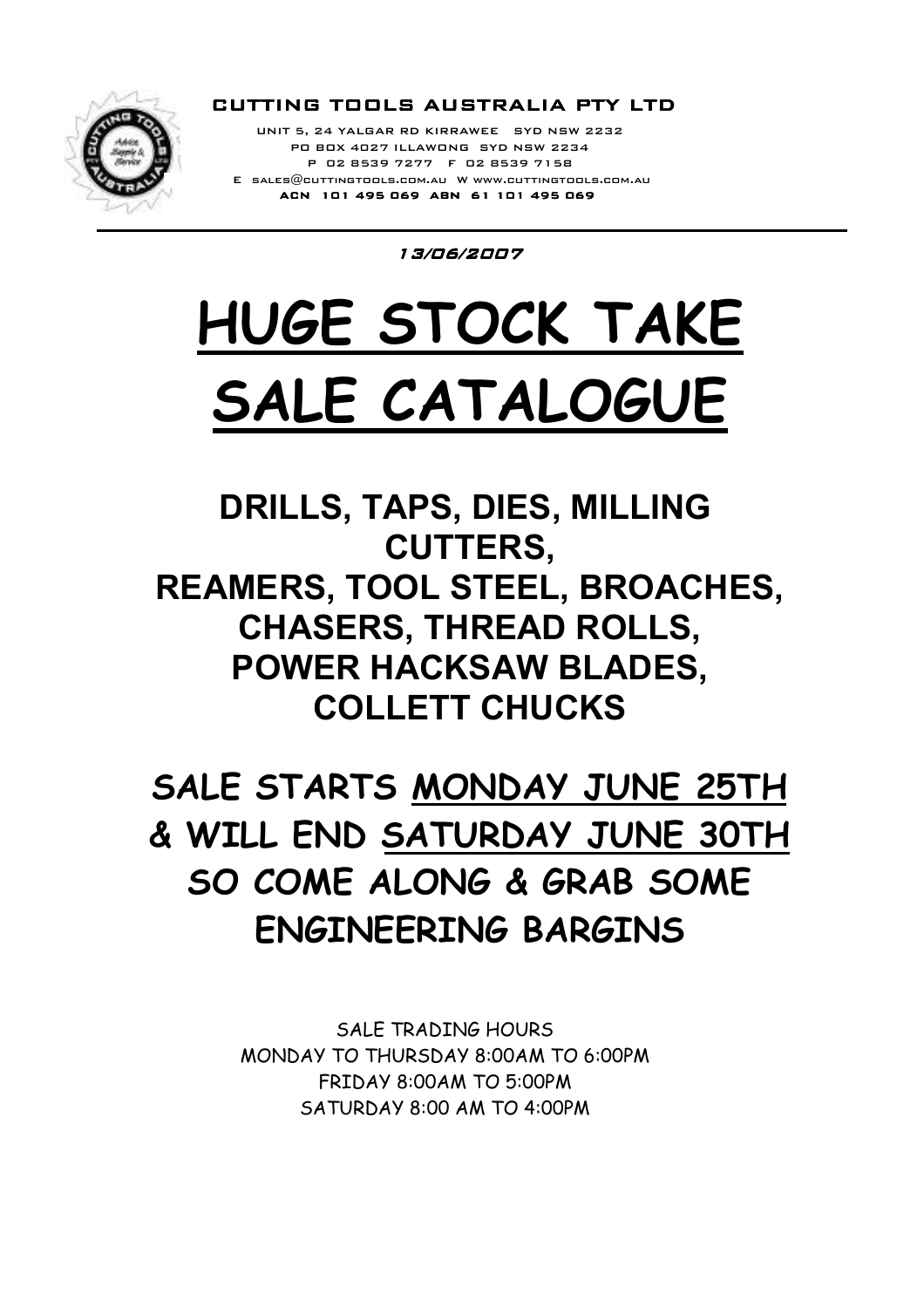

ACN 101 495 069 ABN 61 101 495 069  $E$  sales $@$ cuttingtools.com.au W www.cuttingtools.com.au P 02 8539 7277 F 02 8539 7158 PO BOX 4027 ILLAWONG SYD NSW 2234 UNIT 5, 24 YALGAR RD KIRRAWEE SYD NSW 2232

13/06/2007

# HUGE STOCK TAKE SALE CATALOGUE

DRILLS, TAPS, DIES, MILLING CUTTERS, REAMERS, TOOL STEEL, BROACHES, CHASERS, THREAD ROLLS, POWER HACKSAW BLADES, COLLETT CHUCKS

## SALE STARTS MONDAY JUNE 25TH & WILL END SATURDAY JUNE 30TH SO COME ALONG & GRAB SOME ENGINEERING BARGINS

SALE TRADING HOURS MONDAY TO THURSDAY 8:00AM TO 6:00PM FRIDAY 8:00AM TO 5:00PM SATURDAY 8:00 AM TO 4:00PM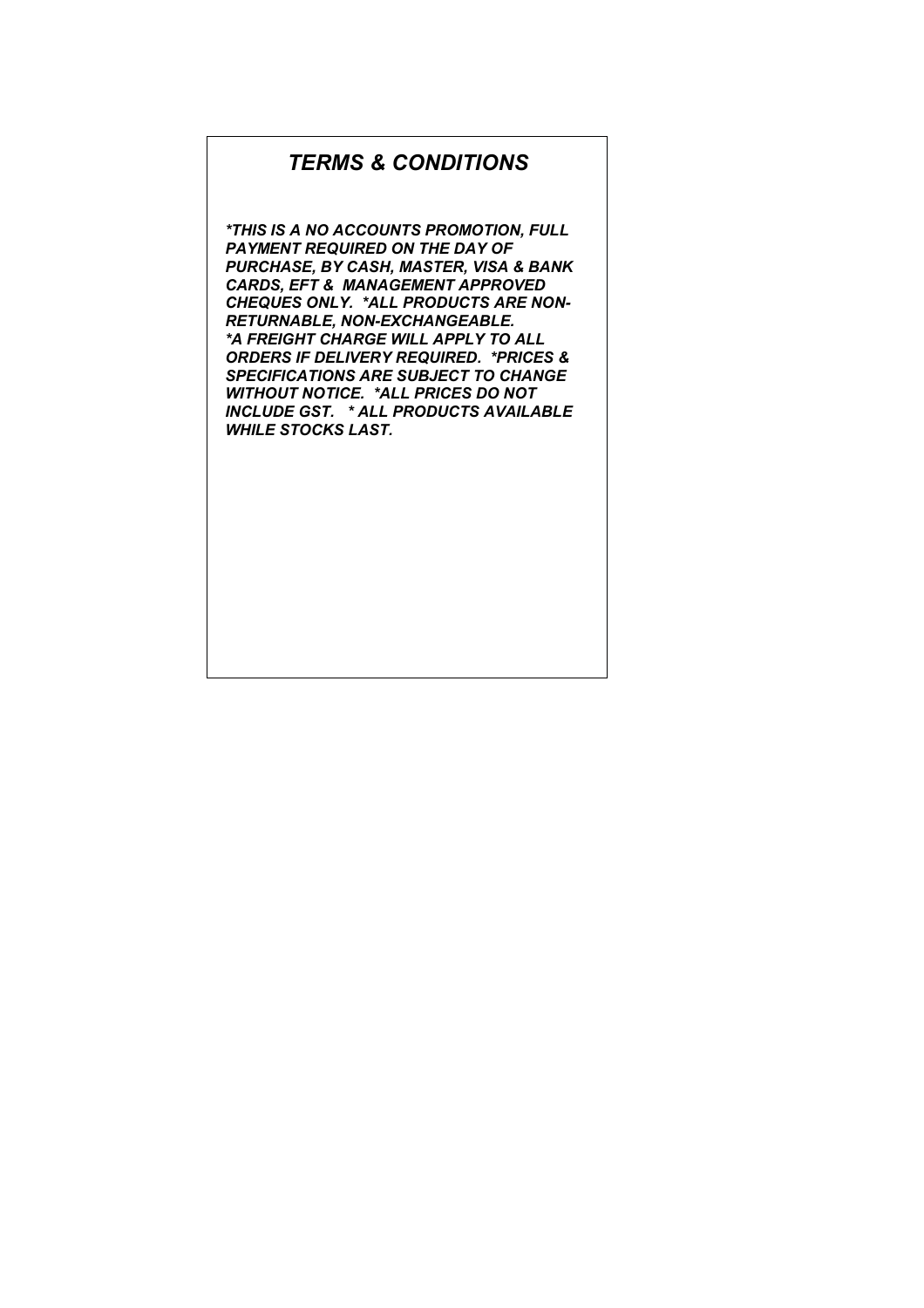#### TERMS & CONDITIONS

\*THIS IS A NO ACCOUNTS PROMOTION, FULL PAYMENT REQUIRED ON THE DAY OF PURCHASE, BY CASH, MASTER, VISA & BANK CARDS, EFT & MANAGEMENT APPROVED CHEQUES ONLY. \*ALL PRODUCTS ARE NON-RETURNABLE, NON-EXCHANGEABLE. \*A FREIGHT CHARGE WILL APPLY TO ALL ORDERS IF DELIVERY REQUIRED. \*PRICES & SPECIFICATIONS ARE SUBJECT TO CHANGE WITHOUT NOTICE. \*ALL PRICES DO NOT INCLUDE GST. \* ALL PRODUCTS AVAILABLE WHILE STOCKS LAST.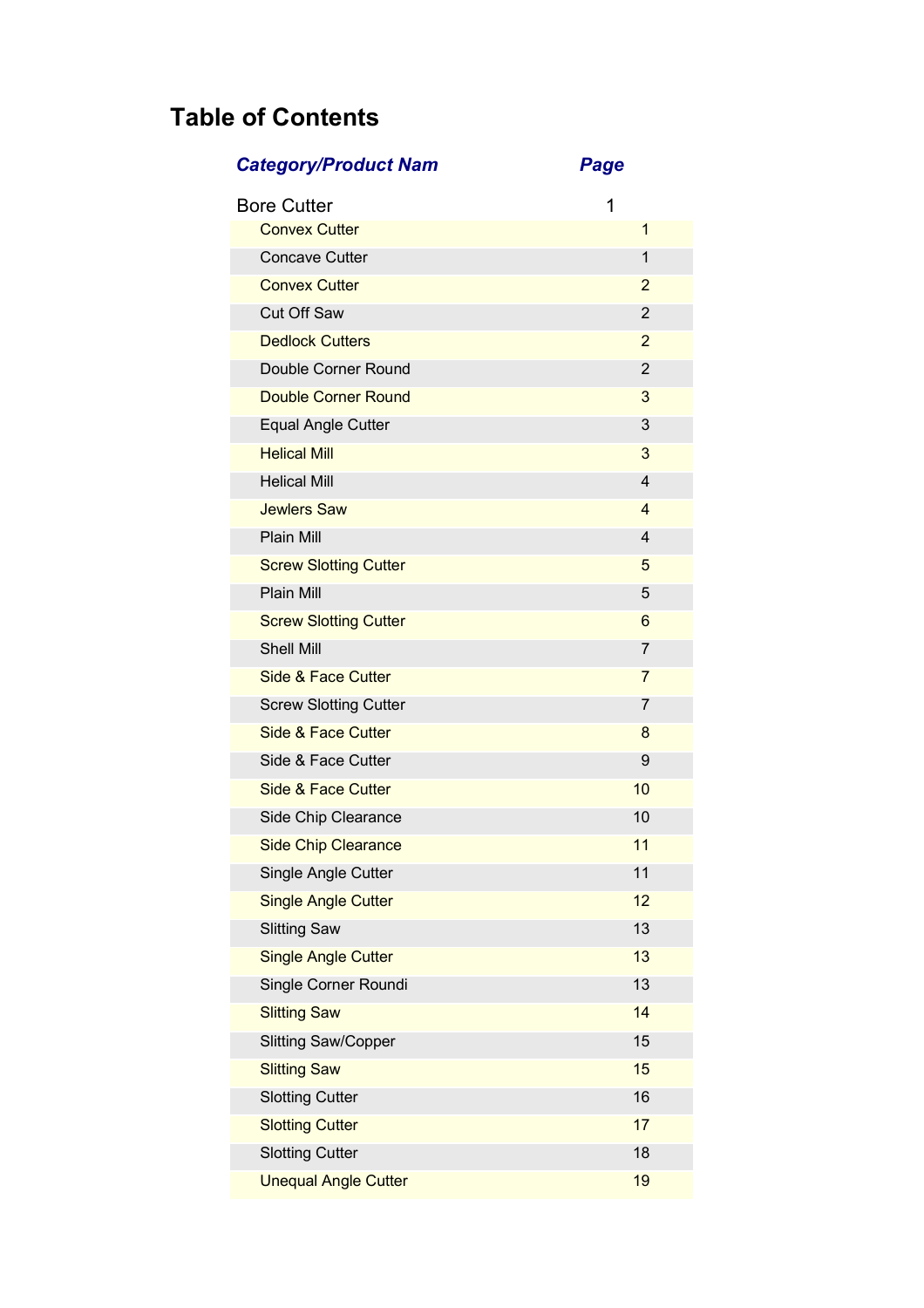## Table of Contents

### Category/Product Nam Page

| <b>Bore Cutter</b>            | 1              |
|-------------------------------|----------------|
| <b>Convex Cutter</b>          | $\mathbf{1}$   |
| <b>Concave Cutter</b>         | 1              |
| <b>Convex Cutter</b>          | $\overline{2}$ |
| <b>Cut Off Saw</b>            | 2              |
| <b>Dedlock Cutters</b>        | $\overline{2}$ |
| Double Corner Round           | 2              |
| <b>Double Corner Round</b>    | 3              |
| <b>Equal Angle Cutter</b>     | 3              |
| <b>Helical Mill</b>           | 3              |
| <b>Helical Mill</b>           | $\overline{4}$ |
| <b>Jewlers Saw</b>            | 4              |
| Plain Mill                    | $\overline{4}$ |
| <b>Screw Slotting Cutter</b>  | 5              |
| <b>Plain Mill</b>             | 5              |
| <b>Screw Slotting Cutter</b>  | 6              |
| <b>Shell Mill</b>             | $\overline{7}$ |
| <b>Side &amp; Face Cutter</b> | 7              |
| <b>Screw Slotting Cutter</b>  | 7              |
| Side & Face Cutter            | 8              |
| Side & Face Cutter            | 9              |
| <b>Side &amp; Face Cutter</b> | 10             |
| Side Chip Clearance           | 10             |
| <b>Side Chip Clearance</b>    | 11             |
| Single Angle Cutter           | 11             |
| <b>Single Angle Cutter</b>    | 12             |
| <b>Slitting Saw</b>           | 13             |
| <b>Single Angle Cutter</b>    | 13             |
| Single Corner Roundi          | 13             |
| <b>Slitting Saw</b>           | 14             |
| <b>Slitting Saw/Copper</b>    | 15             |
| <b>Slitting Saw</b>           | 15             |
| <b>Slotting Cutter</b>        | 16             |
| <b>Slotting Cutter</b>        | 17             |
| <b>Slotting Cutter</b>        | 18             |
| <b>Unequal Angle Cutter</b>   | 19             |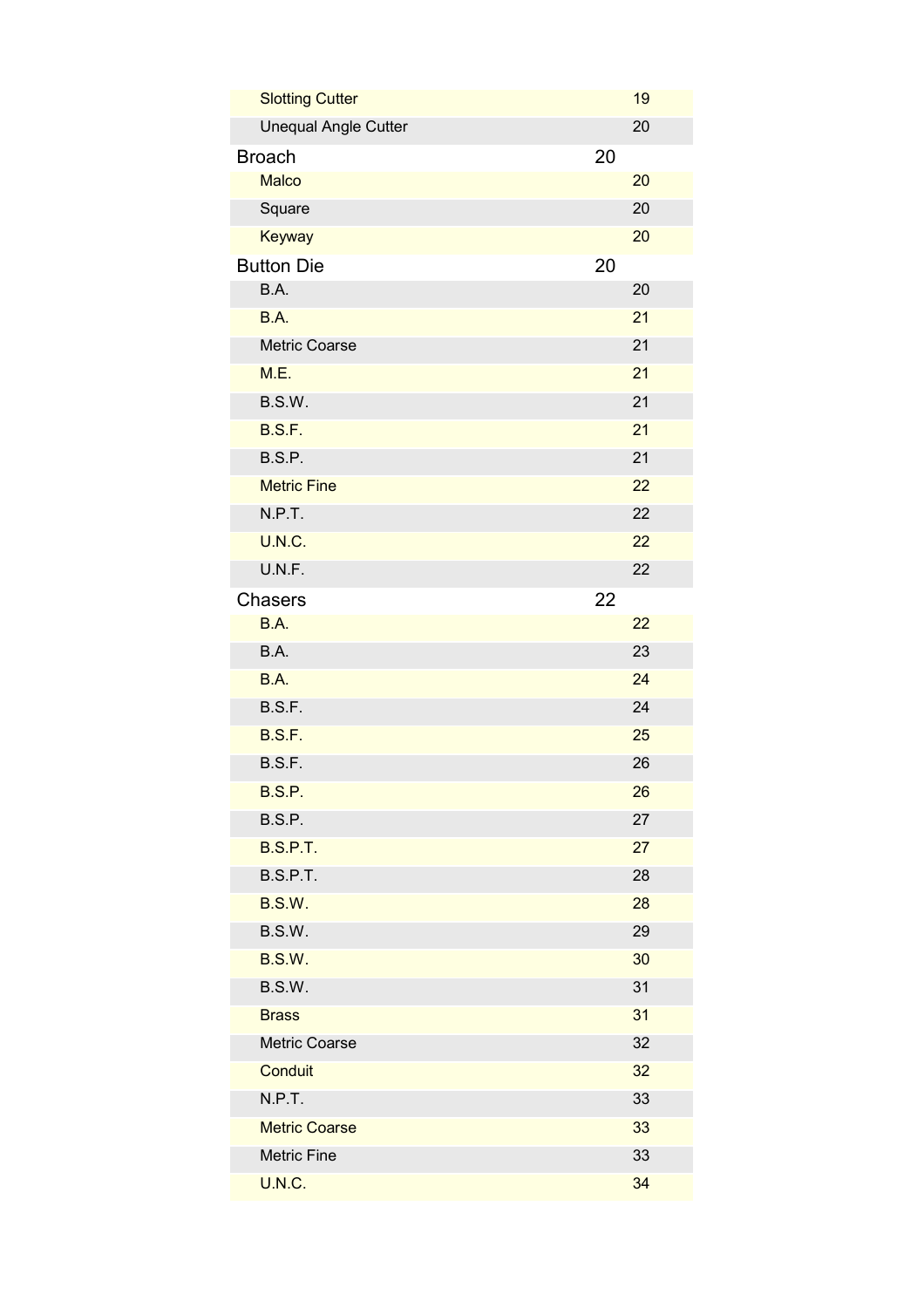| <b>Slotting Cutter</b>      |    | 19 |
|-----------------------------|----|----|
| <b>Unequal Angle Cutter</b> |    | 20 |
| <b>Broach</b>               | 20 |    |
| <b>Malco</b>                |    | 20 |
| Square                      |    | 20 |
| <b>Keyway</b>               |    | 20 |
| <b>Button Die</b>           | 20 |    |
| B.A.                        |    | 20 |
| B.A.                        |    | 21 |
| Metric Coarse               |    | 21 |
| M.E.                        |    | 21 |
| B.S.W.                      |    | 21 |
| B.S.F.                      |    | 21 |
| B.S.P.                      |    | 21 |
| <b>Metric Fine</b>          |    | 22 |
| N.P.T.                      |    | 22 |
| U.N.C.                      |    | 22 |
| U.N.F.                      |    | 22 |
| <b>Chasers</b>              | 22 |    |
| B.A.                        |    | 22 |
| B.A.                        |    | 23 |
| B.A.                        |    | 24 |
| B.S.F.                      |    | 24 |
| B.S.F.                      |    | 25 |
| B.S.F.                      |    | 26 |
| <b>B.S.P.</b>               |    | 26 |
| B.S.P.                      |    | 27 |
| <b>B.S.P.T.</b>             |    | 27 |
| <b>B.S.P.T.</b>             |    | 28 |
| <b>B.S.W.</b>               |    | 28 |
| B.S.W.                      |    | 29 |
| <b>B.S.W.</b>               |    | 30 |
| B.S.W.                      |    | 31 |
| <b>Brass</b>                |    | 31 |
| Metric Coarse               |    | 32 |
| Conduit                     |    | 32 |
| N.P.T.                      |    | 33 |
| <b>Metric Coarse</b>        |    | 33 |
| <b>Metric Fine</b>          |    | 33 |
| <b>U.N.C.</b>               |    | 34 |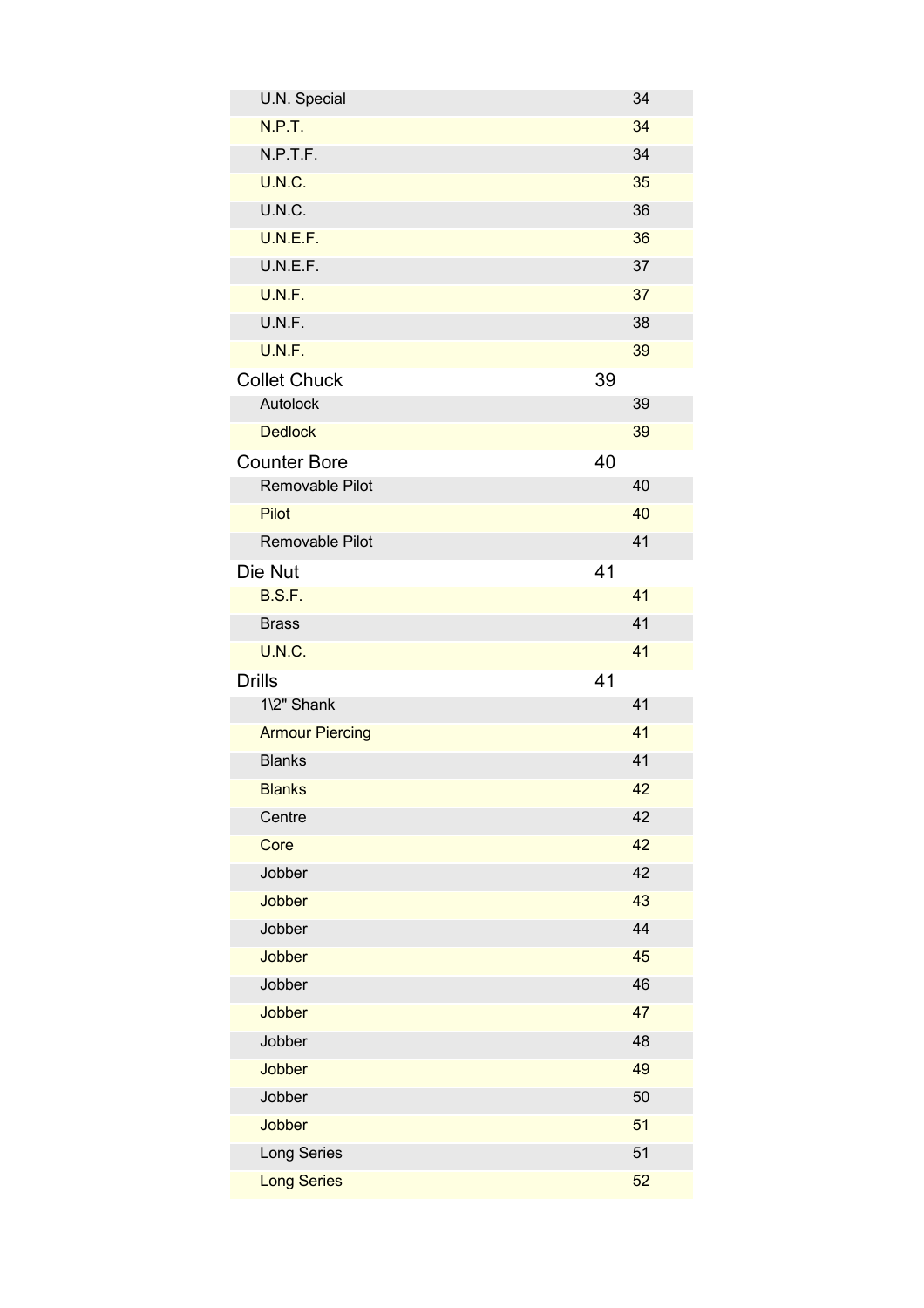| U.N. Special           |    | 34 |
|------------------------|----|----|
| N.P.T.                 |    | 34 |
| N.P.T.F.               |    | 34 |
| <b>U.N.C.</b>          |    | 35 |
| U.N.C.                 |    | 36 |
| U.N.E.F.               |    | 36 |
| U.N.E.F.               |    | 37 |
| U.N.F.                 |    | 37 |
| U.N.F.                 |    | 38 |
| U.N.F.                 |    | 39 |
| <b>Collet Chuck</b>    | 39 |    |
| Autolock               |    | 39 |
| <b>Dedlock</b>         |    | 39 |
| <b>Counter Bore</b>    | 40 |    |
| Removable Pilot        |    | 40 |
| <b>Pilot</b>           |    | 40 |
| Removable Pilot        |    | 41 |
| Die Nut                | 41 |    |
| B.S.F.                 |    | 41 |
| <b>Brass</b>           |    | 41 |
| <b>U.N.C.</b>          |    | 41 |
| <b>Drills</b>          | 41 |    |
| 1\2" Shank             |    | 41 |
| <b>Armour Piercing</b> |    | 41 |
| <b>Blanks</b>          |    | 41 |
| <b>Blanks</b>          |    | 42 |
| Centre                 |    | 42 |
| Core                   |    | 42 |
| Jobber                 |    | 42 |
| <b>Jobber</b>          |    | 43 |
| Jobber                 |    | 44 |
| Jobber                 |    | 45 |
| Jobber                 |    | 46 |
| Jobber                 |    | 47 |
| Jobber                 |    | 48 |
| Jobber                 |    | 49 |
| Jobber                 |    | 50 |
| <b>Jobber</b>          |    | 51 |
| Long Series            |    | 51 |
| <b>Long Series</b>     |    | 52 |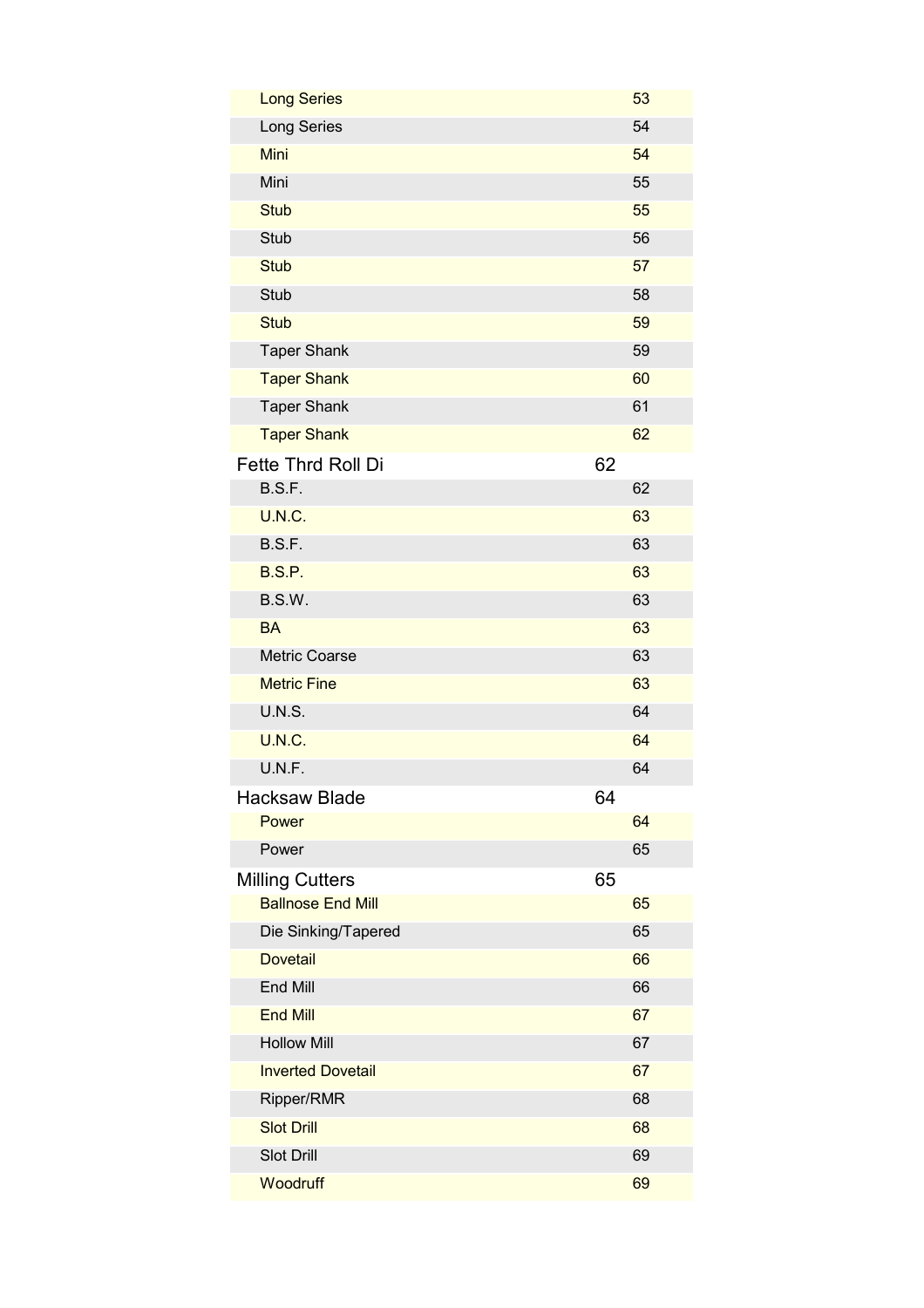| <b>Long Series</b>       |    | 53 |
|--------------------------|----|----|
| Long Series              |    | 54 |
| Mini                     |    | 54 |
| Mini                     |    | 55 |
| <b>Stub</b>              |    | 55 |
| Stub                     |    | 56 |
| <b>Stub</b>              |    | 57 |
| Stub                     |    | 58 |
| <b>Stub</b>              |    | 59 |
| <b>Taper Shank</b>       |    | 59 |
| <b>Taper Shank</b>       |    | 60 |
| <b>Taper Shank</b>       |    | 61 |
| <b>Taper Shank</b>       |    | 62 |
| Fette Thrd Roll Di       | 62 |    |
| B.S.F.                   |    | 62 |
| <b>U.N.C.</b>            |    | 63 |
| B.S.F.                   |    | 63 |
| B.S.P.                   |    | 63 |
| B.S.W.                   |    | 63 |
| <b>BA</b>                |    | 63 |
| <b>Metric Coarse</b>     |    | 63 |
| <b>Metric Fine</b>       |    | 63 |
| <b>U.N.S.</b>            |    | 64 |
| <b>U.N.C.</b>            |    | 64 |
| U.N.F.                   |    | 64 |
| <b>Hacksaw Blade</b>     | 64 |    |
| Power                    |    | 64 |
| Power                    |    | 65 |
| <b>Milling Cutters</b>   | 65 |    |
| <b>Ballnose End Mill</b> |    | 65 |
| Die Sinking/Tapered      |    | 65 |
| <b>Dovetail</b>          |    | 66 |
| <b>End Mill</b>          |    | 66 |
| <b>End Mill</b>          |    | 67 |
| <b>Hollow Mill</b>       |    | 67 |
| <b>Inverted Dovetail</b> |    | 67 |
| Ripper/RMR               |    | 68 |
| <b>Slot Drill</b>        |    | 68 |
| Slot Drill               |    | 69 |
| Woodruff                 |    | 69 |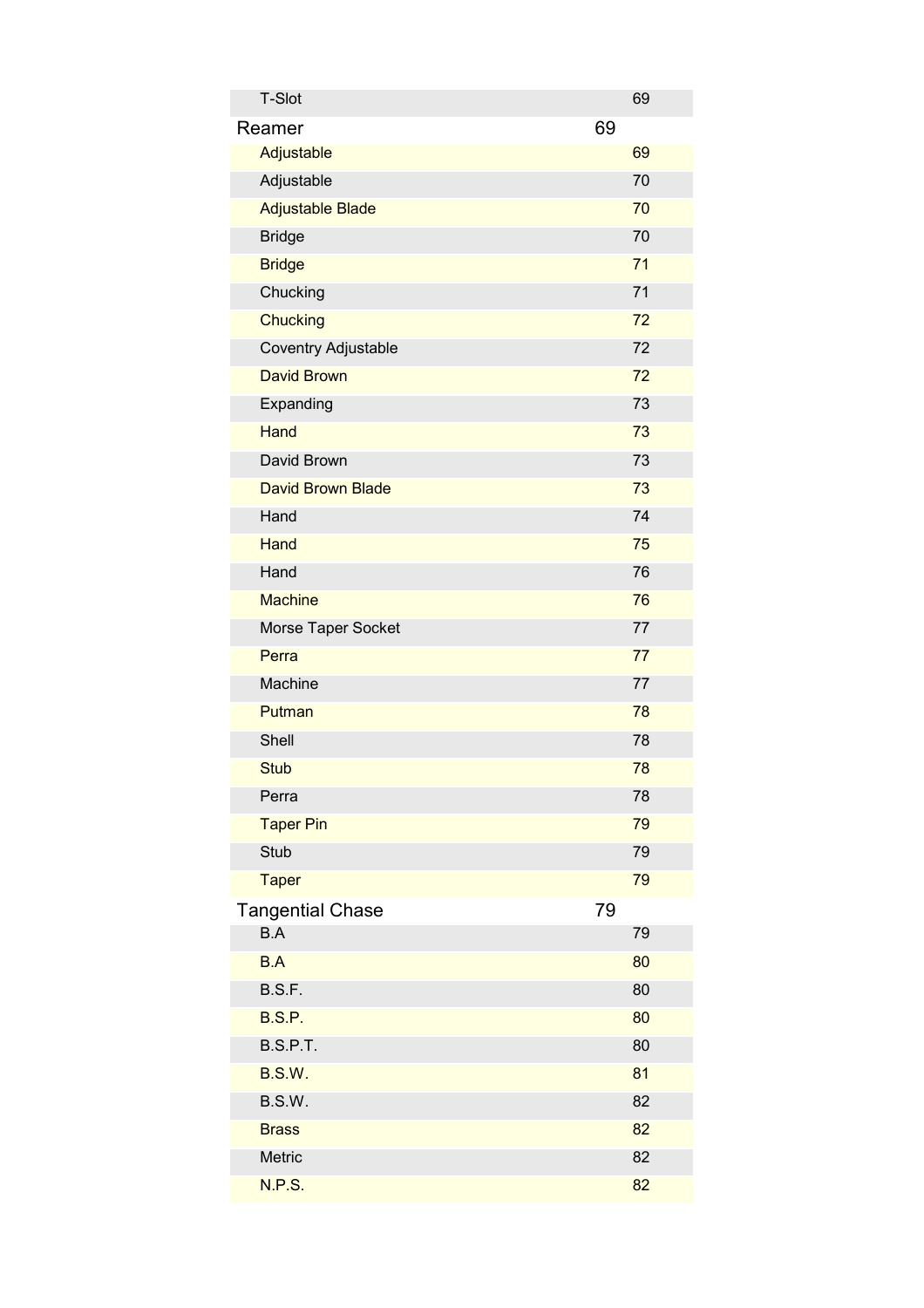| <b>T-Slot</b>            | 69 |
|--------------------------|----|
| Reamer                   | 69 |
| Adjustable               | 69 |
| Adjustable               | 70 |
| <b>Adjustable Blade</b>  | 70 |
| <b>Bridge</b>            | 70 |
| <b>Bridge</b>            | 71 |
| Chucking                 | 71 |
| <b>Chucking</b>          | 72 |
| Coventry Adjustable      | 72 |
| <b>David Brown</b>       | 72 |
| Expanding                | 73 |
| <b>Hand</b>              | 73 |
| David Brown              | 73 |
| <b>David Brown Blade</b> | 73 |
| Hand                     | 74 |
| Hand                     | 75 |
| Hand                     | 76 |
| <b>Machine</b>           | 76 |
| Morse Taper Socket       | 77 |
| Perra                    | 77 |
| Machine                  | 77 |
| Putman                   | 78 |
| Shell                    | 78 |
| <b>Stub</b>              | 78 |
| Perra                    | 78 |
| <b>Taper Pin</b>         | 79 |
| Stub                     | 79 |
| <b>Taper</b>             | 79 |
| <b>Tangential Chase</b>  | 79 |
| B.A                      | 79 |
| <b>B.A</b>               | 80 |
| B.S.F.                   | 80 |
| <b>B.S.P.</b>            | 80 |
| B.S.P.T.                 | 80 |
| B.S.W.                   | 81 |
| B.S.W.                   | 82 |
| <b>Brass</b>             | 82 |
| Metric                   | 82 |
| N.P.S.                   | 82 |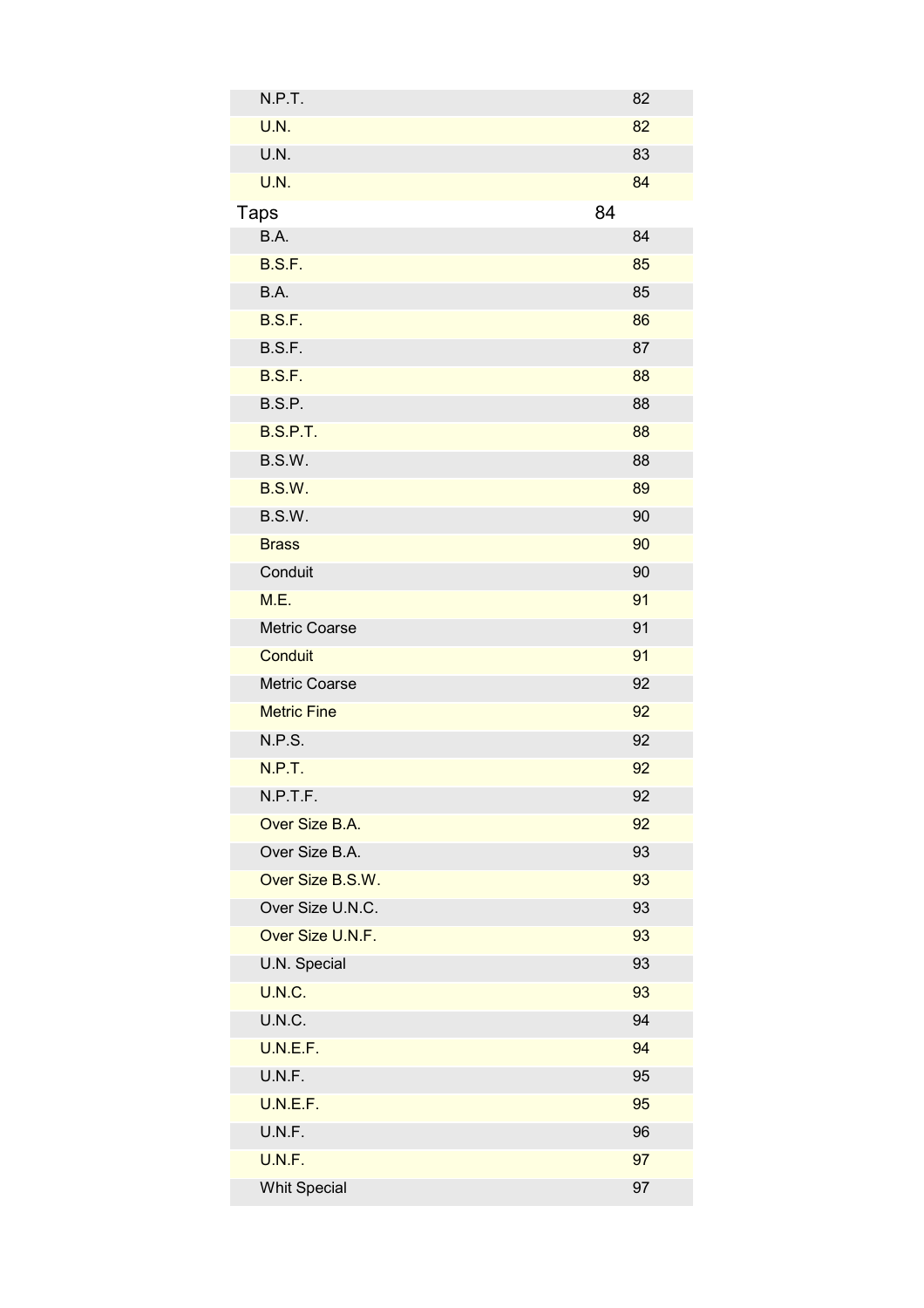| N.P.T.              | 82 |
|---------------------|----|
| U.N.                | 82 |
| U.N.                | 83 |
| U.N.                | 84 |
| Taps                | 84 |
| B.A.                | 84 |
| <b>B.S.F.</b>       | 85 |
| B.A.                | 85 |
| <b>B.S.F.</b>       | 86 |
| B.S.F.              | 87 |
| <b>B.S.F.</b>       | 88 |
| <b>B.S.P.</b>       | 88 |
| <b>B.S.P.T.</b>     | 88 |
| B.S.W.              | 88 |
| <b>B.S.W.</b>       | 89 |
| B.S.W.              | 90 |
| <b>Brass</b>        | 90 |
| Conduit             | 90 |
| M.E.                | 91 |
| Metric Coarse       | 91 |
| Conduit             | 91 |
| Metric Coarse       | 92 |
| <b>Metric Fine</b>  | 92 |
| N.P.S.              | 92 |
| N.P.T.              | 92 |
| N.P.T.F.            | 92 |
| Over Size B.A.      | 92 |
| Over Size B.A.      | 93 |
| Over Size B.S.W.    | 93 |
| Over Size U.N.C.    | 93 |
| Over Size U.N.F.    | 93 |
| U.N. Special        | 93 |
| <b>U.N.C.</b>       | 93 |
| U.N.C.              | 94 |
| U.N.E.F.            | 94 |
| U.N.F.              | 95 |
| U.N.E.F.            | 95 |
| U.N.F.              | 96 |
| U.N.F.              | 97 |
| <b>Whit Special</b> | 97 |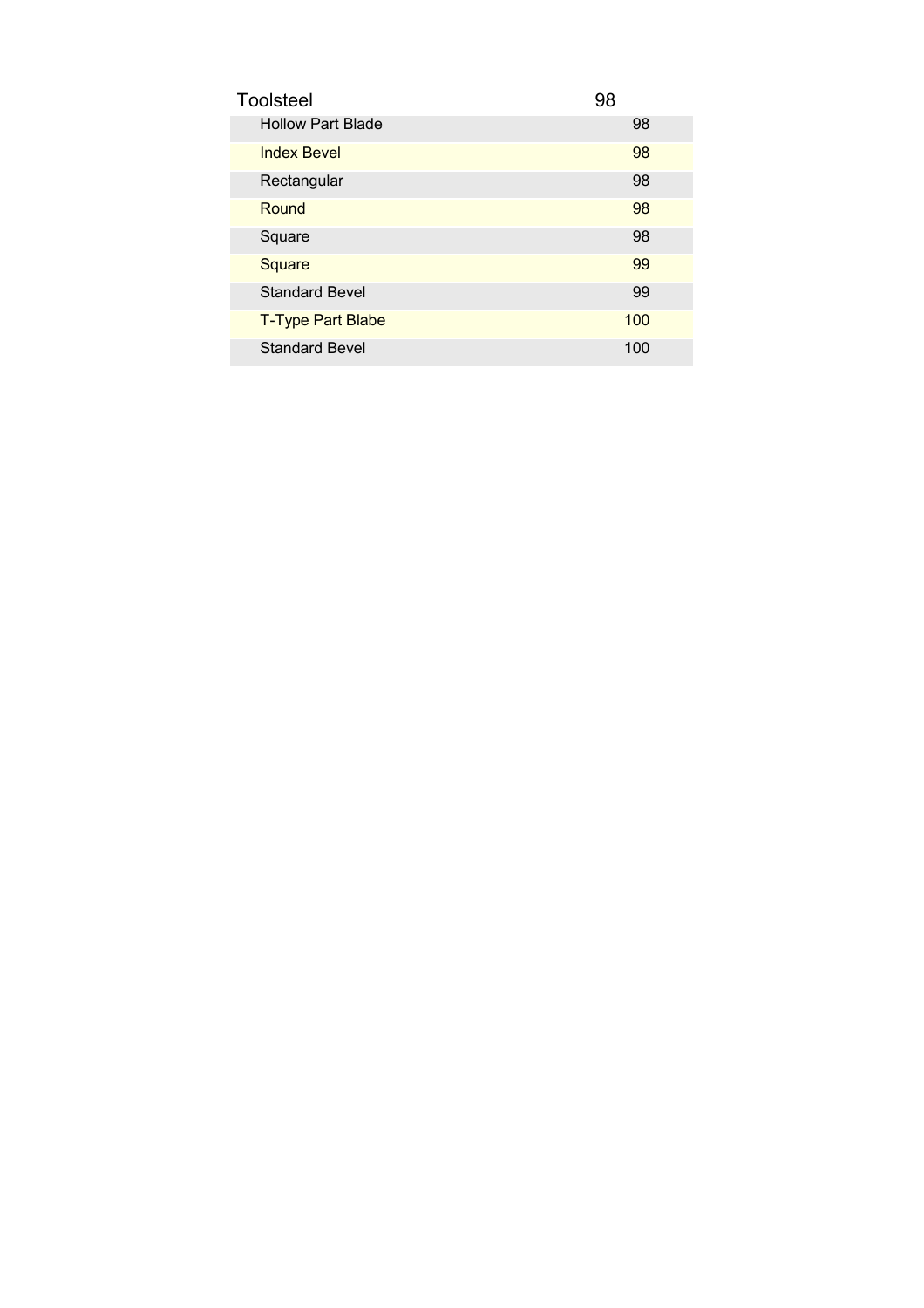| <b>Toolsteel</b>         | 98  |
|--------------------------|-----|
| <b>Hollow Part Blade</b> | 98  |
| <b>Index Bevel</b>       | 98  |
| Rectangular              | 98  |
| Round                    | 98  |
| Square                   | 98  |
| Square                   | 99  |
| <b>Standard Bevel</b>    | 99  |
| <b>T-Type Part Blabe</b> | 100 |
| <b>Standard Bevel</b>    | 100 |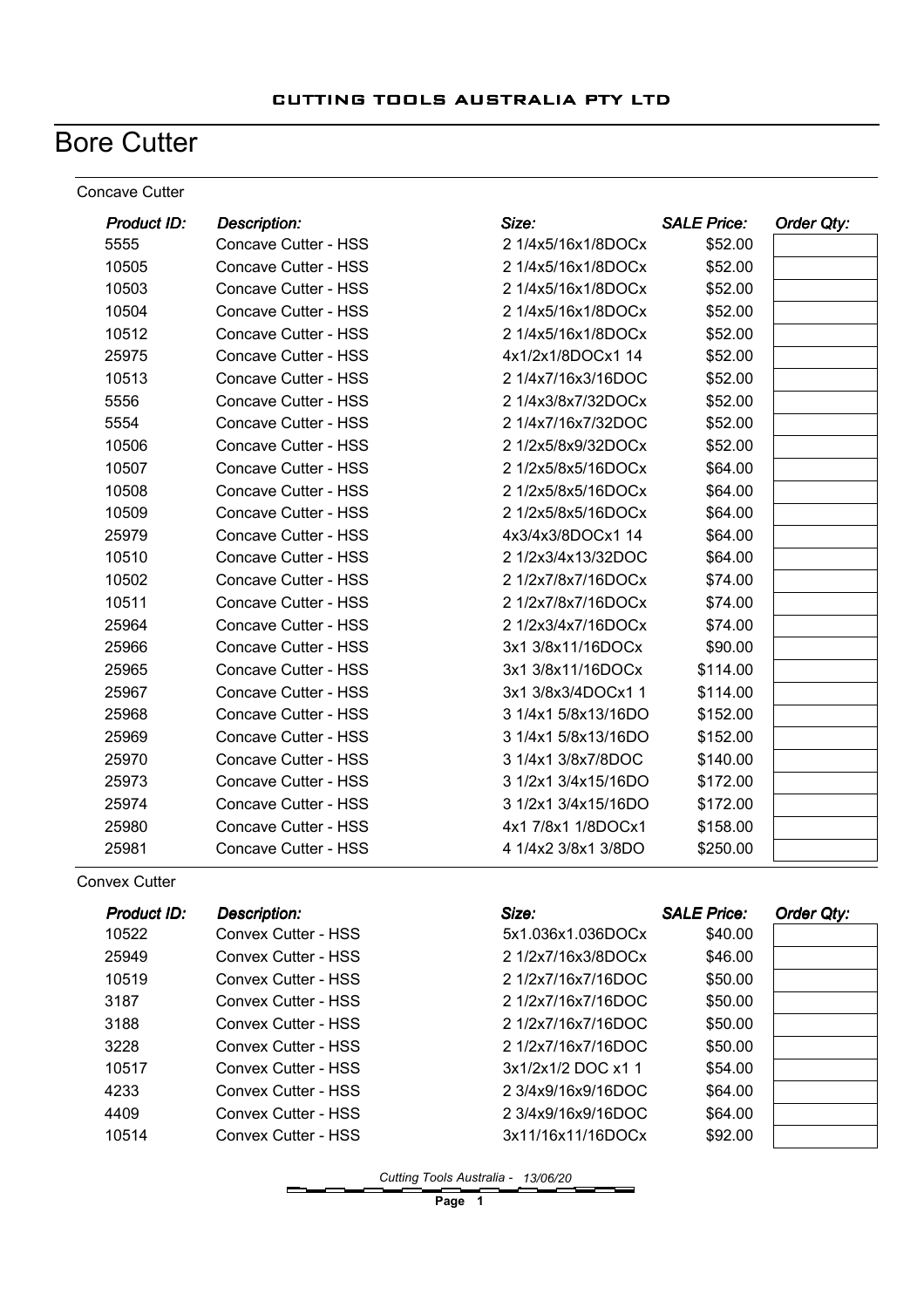## **Bore Cutter**

#### Concave Cutter

| <b>Product ID:</b> | <b>Description:</b>  | Size:               | <b>SALE Price:</b> | Order Qty: |
|--------------------|----------------------|---------------------|--------------------|------------|
| 5555               | Concave Cutter - HSS | 2 1/4x5/16x1/8DOCx  | \$52.00            |            |
| 10505              | Concave Cutter - HSS | 2 1/4x5/16x1/8DOCx  | \$52.00            |            |
| 10503              | Concave Cutter - HSS | 2 1/4x5/16x1/8DOCx  | \$52.00            |            |
| 10504              | Concave Cutter - HSS | 2 1/4x5/16x1/8DOCx  | \$52.00            |            |
| 10512              | Concave Cutter - HSS | 2 1/4x5/16x1/8DOCx  | \$52.00            |            |
| 25975              | Concave Cutter - HSS | 4x1/2x1/8DOCx1 14   | \$52.00            |            |
| 10513              | Concave Cutter - HSS | 2 1/4x7/16x3/16DOC  | \$52.00            |            |
| 5556               | Concave Cutter - HSS | 2 1/4x3/8x7/32DOCx  | \$52.00            |            |
| 5554               | Concave Cutter - HSS | 2 1/4x7/16x7/32DOC  | \$52.00            |            |
| 10506              | Concave Cutter - HSS | 2 1/2x5/8x9/32DOCx  | \$52.00            |            |
| 10507              | Concave Cutter - HSS | 2 1/2x5/8x5/16DOCx  | \$64.00            |            |
| 10508              | Concave Cutter - HSS | 2 1/2x5/8x5/16DOCx  | \$64.00            |            |
| 10509              | Concave Cutter - HSS | 2 1/2x5/8x5/16DOCx  | \$64.00            |            |
| 25979              | Concave Cutter - HSS | 4x3/4x3/8DOCx1 14   | \$64.00            |            |
| 10510              | Concave Cutter - HSS | 2 1/2x3/4x13/32DOC  | \$64.00            |            |
| 10502              | Concave Cutter - HSS | 2 1/2x7/8x7/16DOCx  | \$74.00            |            |
| 10511              | Concave Cutter - HSS | 2 1/2x7/8x7/16DOCx  | \$74.00            |            |
| 25964              | Concave Cutter - HSS | 2 1/2x3/4x7/16DOCx  | \$74.00            |            |
| 25966              | Concave Cutter - HSS | 3x1 3/8x11/16DOCx   | \$90.00            |            |
| 25965              | Concave Cutter - HSS | 3x1 3/8x11/16DOCx   | \$114.00           |            |
| 25967              | Concave Cutter - HSS | 3x1 3/8x3/4DOCx1 1  | \$114.00           |            |
| 25968              | Concave Cutter - HSS | 3 1/4x1 5/8x13/16DO | \$152.00           |            |
| 25969              | Concave Cutter - HSS | 3 1/4x1 5/8x13/16DO | \$152.00           |            |
| 25970              | Concave Cutter - HSS | 3 1/4x1 3/8x7/8DOC  | \$140.00           |            |
| 25973              | Concave Cutter - HSS | 3 1/2x1 3/4x15/16DO | \$172.00           |            |
| 25974              | Concave Cutter - HSS | 3 1/2x1 3/4x15/16DO | \$172.00           |            |
| 25980              | Concave Cutter - HSS | 4x1 7/8x1 1/8DOCx1  | \$158.00           |            |
| 25981              | Concave Cutter - HSS | 4 1/4x2 3/8x1 3/8DO | \$250.00           |            |

Convex Cutter

| Product ID: | <b>Description:</b> | Size:              | <b>SALE Price:</b> | Order Qty: |
|-------------|---------------------|--------------------|--------------------|------------|
| 10522       | Convex Cutter - HSS | 5x1.036x1.036DOCx  | \$40.00            |            |
| 25949       | Convex Cutter - HSS | 2 1/2x7/16x3/8DOCx | \$46.00            |            |
| 10519       | Convex Cutter - HSS | 2 1/2x7/16x7/16DOC | \$50.00            |            |
| 3187        | Convex Cutter - HSS | 2 1/2x7/16x7/16DOC | \$50.00            |            |
| 3188        | Convex Cutter - HSS | 2 1/2x7/16x7/16DOC | \$50.00            |            |
| 3228        | Convex Cutter - HSS | 2 1/2x7/16x7/16DOC | \$50.00            |            |
| 10517       | Convex Cutter - HSS | 3x1/2x1/2 DOC x1 1 | \$54.00            |            |
| 4233        | Convex Cutter - HSS | 2 3/4x9/16x9/16DOC | \$64.00            |            |
| 4409        | Convex Cutter - HSS | 2 3/4x9/16x9/16DOC | \$64.00            |            |
| 10514       | Convex Cutter - HSS | 3x11/16x11/16DOCx  | \$92.00            |            |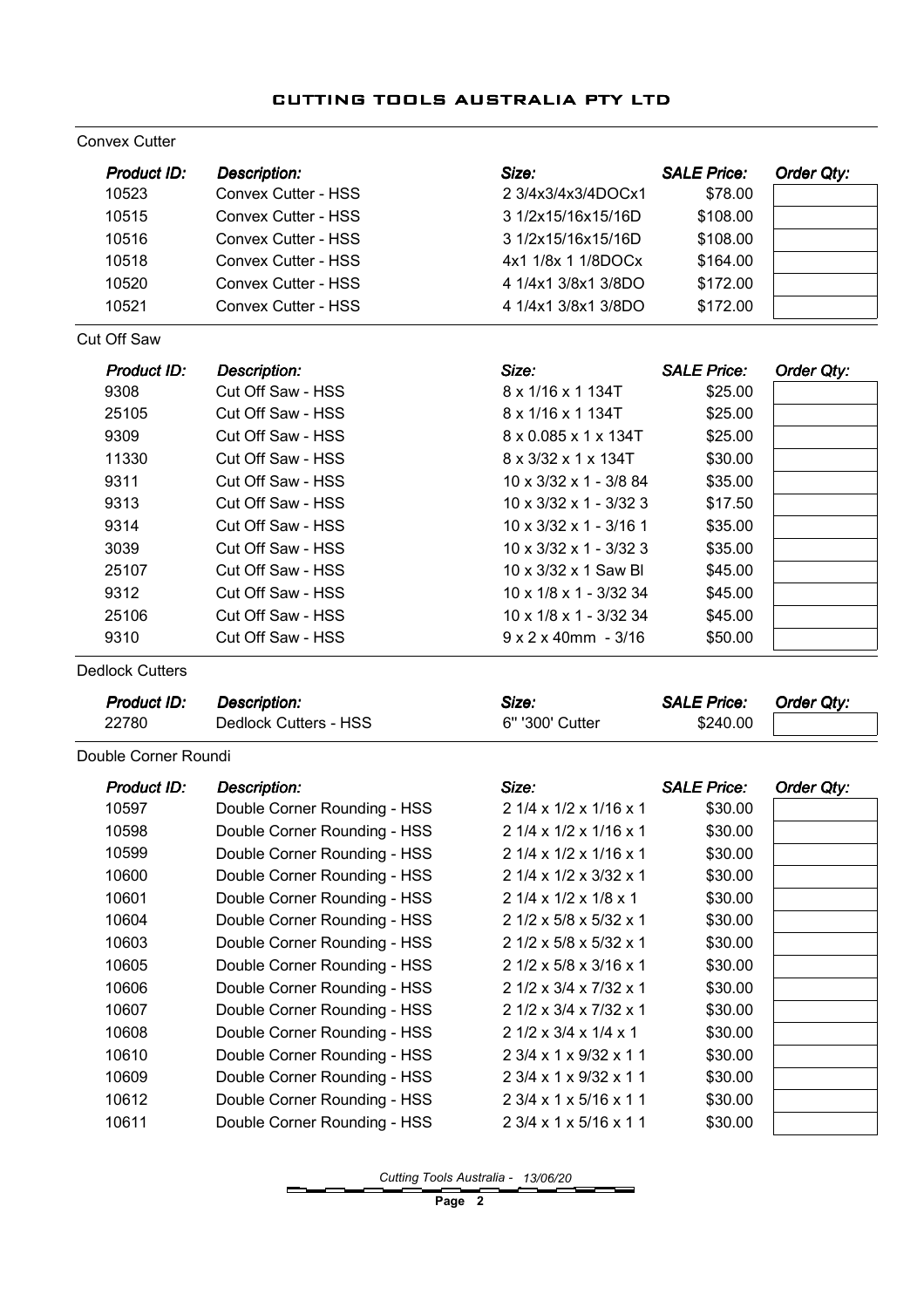#### Convex Cutter

| Product ID:        | <b>Description:</b>        | Size:                              | <b>SALE Price:</b> | Order Qty: |
|--------------------|----------------------------|------------------------------------|--------------------|------------|
| 10523              | Convex Cutter - HSS        | 2 3/4x3/4x3/4DOCx1                 | \$78.00            |            |
| 10515              | <b>Convex Cutter - HSS</b> | 3 1/2x15/16x15/16D                 | \$108.00           |            |
| 10516              | <b>Convex Cutter - HSS</b> | 3 1/2x15/16x15/16D                 | \$108.00           |            |
| 10518              | <b>Convex Cutter - HSS</b> | 4x1 1/8x 1 1/8DOCx                 | \$164.00           |            |
| 10520              | Convex Cutter - HSS        | 4 1/4x1 3/8x1 3/8DO                | \$172.00           |            |
| 10521              | Convex Cutter - HSS        | 4 1/4x1 3/8x1 3/8DO                | \$172.00           |            |
| <b>Cut Off Saw</b> |                            |                                    |                    |            |
| Product ID:        | <b>Description:</b>        | Size:                              | <b>SALE Price:</b> | Order Qty: |
| 9308               | Cut Off Saw - HSS          | 8 x 1/16 x 1 134T                  | \$25.00            |            |
| 25105              | Cut Off Saw - HSS          | 8 x 1/16 x 1 134T                  | \$25.00            |            |
| 9309               | Cut Off Saw - HSS          | 8 x 0.085 x 1 x 134T               | \$25.00            |            |
| 11330              | Cut Off Saw - HSS          | 8 x 3/32 x 1 x 134T                | \$30.00            |            |
| 9311               | Cut Off Saw - HSS          | $10 \times 3/32 \times 1 - 3/8$ 84 | \$35.00            |            |
| 9313               | Cut Off Saw - HSS          | $10 \times 3/32 \times 1 - 3/32$ 3 | \$17.50            |            |
| 9314               | Cut Off Saw - HSS          | $10 \times 3/32 \times 1 - 3/16$ 1 | \$35.00            |            |
| 3039               | Cut Off Saw - HSS          | $10 \times 3/32 \times 1 - 3/32$ 3 | \$35.00            |            |
| 25107              | Cut Off Saw - HSS          | 10 x 3/32 x 1 Saw Bl               | \$45.00            |            |
| 9312               | Cut Off Saw - HSS          | 10 x 1/8 x 1 - 3/32 34             | \$45.00            |            |
| 25106              | Cut Off Saw - HSS          | 10 x 1/8 x 1 - 3/32 34             | \$45.00            |            |
| 9310               | Cut Off Saw - HSS          | $9 \times 2 \times 40$ mm - 3/16   | \$50.00            |            |

Dedlock Cutters

| Product ID:          | Description:                 | Size:                                  | <b>SALE Price:</b> | Order Qty: |
|----------------------|------------------------------|----------------------------------------|--------------------|------------|
| 22780                | Dedlock Cutters - HSS        | 6" '300' Cutter                        | \$240.00           |            |
| Double Corner Roundi |                              |                                        |                    |            |
| <b>Product ID:</b>   | <b>Description:</b>          | Size:                                  | <b>SALE Price:</b> | Order Qty: |
| 10597                | Double Corner Rounding - HSS | $21/4 \times 1/2 \times 1/16 \times 1$ | \$30.00            |            |
| 10598                | Double Corner Rounding - HSS | 2 1/4 x 1/2 x 1/16 x 1                 | \$30.00            |            |
| 10599                | Double Corner Rounding - HSS | 2 1/4 x 1/2 x 1/16 x 1                 | \$30.00            |            |
| 10600                | Double Corner Rounding - HSS | 2 1/4 x 1/2 x 3/32 x 1                 | \$30.00            |            |
| 10601                | Double Corner Rounding - HSS | 2 1/4 x 1/2 x 1/8 x 1                  | \$30.00            |            |
| 10604                | Double Corner Rounding - HSS | 2 1/2 x 5/8 x 5/32 x 1                 | \$30.00            |            |
| 10603                | Double Corner Rounding - HSS | 2 1/2 x 5/8 x 5/32 x 1                 | \$30.00            |            |
| 10605                | Double Corner Rounding - HSS | 2 1/2 x 5/8 x 3/16 x 1                 | \$30.00            |            |
| 10606                | Double Corner Rounding - HSS | 2 1/2 x 3/4 x 7/32 x 1                 | \$30.00            |            |
| 10607                | Double Corner Rounding - HSS | 2 1/2 x 3/4 x 7/32 x 1                 | \$30.00            |            |
| 10608                | Double Corner Rounding - HSS | 2 1/2 x 3/4 x 1/4 x 1                  | \$30.00            |            |
| 10610                | Double Corner Rounding - HSS | 2 3/4 x 1 x 9/32 x 1 1                 | \$30.00            |            |
| 10609                | Double Corner Rounding - HSS | 2 3/4 x 1 x 9/32 x 1 1                 | \$30.00            |            |
| 10612                | Double Corner Rounding - HSS | 2 3/4 x 1 x 5/16 x 1 1                 | \$30.00            |            |
| 10611                | Double Corner Rounding - HSS | 2 3/4 x 1 x 5/16 x 1 1                 | \$30.00            |            |
|                      |                              |                                        |                    |            |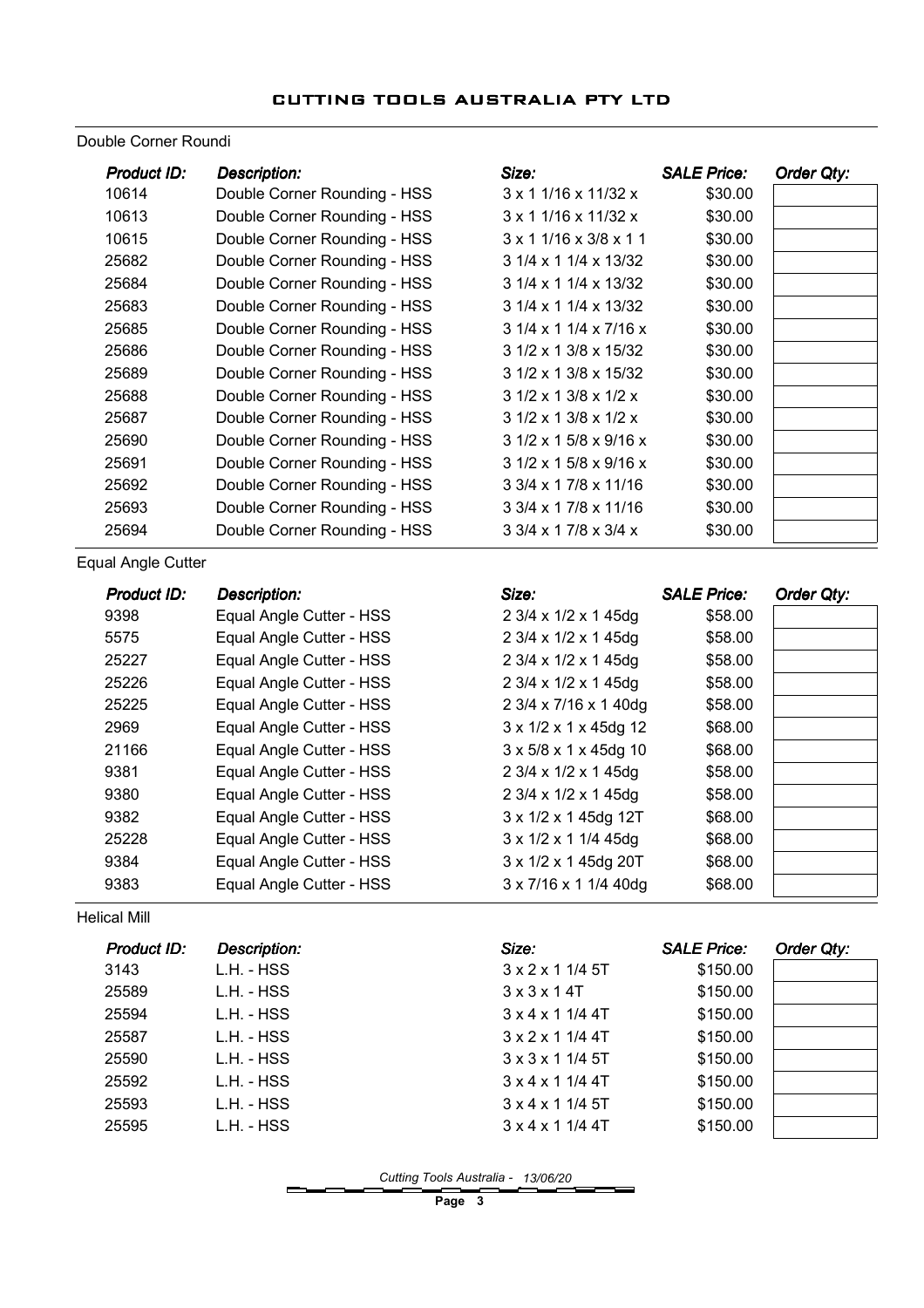#### Double Corner Roundi

| Product ID:        | <b>Description:</b>          | Size:                                       | <b>SALE Price:</b> | Order Qty: |
|--------------------|------------------------------|---------------------------------------------|--------------------|------------|
| 10614              | Double Corner Rounding - HSS | $3 \times 1$ 1/16 x 11/32 x                 | \$30.00            |            |
| 10613              | Double Corner Rounding - HSS | $3 \times 1$ 1/16 x 11/32 x                 | \$30.00            |            |
| 10615              | Double Corner Rounding - HSS | $3 \times 1$ 1/16 $\times$ 3/8 $\times$ 1 1 | \$30.00            |            |
| 25682              | Double Corner Rounding - HSS | 3 1/4 x 1 1/4 x 13/32                       | \$30.00            |            |
| 25684              | Double Corner Rounding - HSS | 3 1/4 x 1 1/4 x 13/32                       | \$30.00            |            |
| 25683              | Double Corner Rounding - HSS | 3 1/4 x 1 1/4 x 13/32                       | \$30.00            |            |
| 25685              | Double Corner Rounding - HSS | $31/4 \times 11/4 \times 7/16 \times$       | \$30.00            |            |
| 25686              | Double Corner Rounding - HSS | 3 1/2 x 1 3/8 x 15/32                       | \$30.00            |            |
| 25689              | Double Corner Rounding - HSS | 3 1/2 x 1 3/8 x 15/32                       | \$30.00            |            |
| 25688              | Double Corner Rounding - HSS | 3 1/2 x 1 3/8 x 1/2 x                       | \$30.00            |            |
| 25687              | Double Corner Rounding - HSS | 3 1/2 x 1 3/8 x 1/2 x                       | \$30.00            |            |
| 25690              | Double Corner Rounding - HSS | 3 1/2 x 1 5/8 x 9/16 x                      | \$30.00            |            |
| 25691              | Double Corner Rounding - HSS | 3 1/2 x 1 5/8 x 9/16 x                      | \$30.00            |            |
| 25692              | Double Corner Rounding - HSS | 3 3/4 x 1 7/8 x 11/16                       | \$30.00            |            |
| 25693              | Double Corner Rounding - HSS | 3 3/4 x 1 7/8 x 11/16                       | \$30.00            |            |
| 25694              | Double Corner Rounding - HSS | 3 3/4 x 1 7/8 x 3/4 x                       | \$30.00            |            |
| Equal Angle Cutter |                              |                                             |                    |            |
| <b>Product ID:</b> | <b>Description:</b>          | Size:                                       | <b>SALE Price:</b> | Order Qty: |
| 9398               | Equal Angle Cutter - HSS     | 2 3/4 x 1/2 x 1 45dg                        | \$58.00            |            |
| 5575               | Equal Angle Cutter - HSS     | 2 3/4 x 1/2 x 1 45dg                        | \$58.00            |            |
| 25227              | Equal Angle Cutter - HSS     | 2 3/4 x 1/2 x 1 45dg                        | \$58.00            |            |
| 25226              | Equal Angle Cutter - HSS     | 2 3/4 x 1/2 x 1 45dg                        | \$58.00            |            |
| 25225              | Equal Angle Cutter - HSS     | 2 3/4 x 7/16 x 1 40dg                       | \$58.00            |            |
| 2969               | Equal Angle Cutter - HSS     | 3 x 1/2 x 1 x 45dg 12                       | \$68.00            |            |
| 21166              | Equal Angle Cutter - HSS     | 3 x 5/8 x 1 x 45dg 10                       | \$68.00            |            |
| 9381               | Equal Angle Cutter - HSS     | 2 3/4 x 1/2 x 1 45dg                        | \$58.00            |            |
| 9380               | Equal Angle Cutter - HSS     | 2 3/4 x 1/2 x 1 45dg                        | \$58.00            |            |
| 9382               | Equal Angle Cutter - HSS     | 3 x 1/2 x 1 45dg 12T                        | \$68.00            |            |
| 25228              | Equal Angle Cutter - HSS     | 3 x 1/2 x 1 1/4 45dg                        | \$68.00            |            |

Helical Mill

| Product ID: | <b>Description:</b> | Size:                        | <b>SALE Price:</b> | Order Qty: |
|-------------|---------------------|------------------------------|--------------------|------------|
| 3143        | L.H. - HSS          | $3 \times 2 \times 1$ 1/4 5T | \$150.00           |            |
| 25589       | L.H. - HSS          | $3 \times 3 \times 14$ T     | \$150.00           |            |
| 25594       | L.H. - HSS          | $3 \times 4 \times 1$ 1/4 4T | \$150.00           |            |
| 25587       | L.H. - HSS          | 3 x 2 x 1 1/4 4T             | \$150.00           |            |
| 25590       | L.H. - HSS          | 3 x 3 x 1 1/4 5T             | \$150.00           |            |
| 25592       | L.H. - HSS          | $3 \times 4 \times 1$ 1/4 4T | \$150.00           |            |
| 25593       | L.H. - HSS          | $3 \times 4 \times 1$ 1/4 5T | \$150.00           |            |
| 25595       | L.H. - HSS          | $3 \times 4 \times 1$ 1/4 4T | \$150.00           |            |

9384 Equal Angle Cutter - HSS 3 x 1/2 x 1 45dg 20T \$68.00 9383 Equal Angle Cutter - HSS 3 x 7/16 x 1 1/4 40dg \$68.00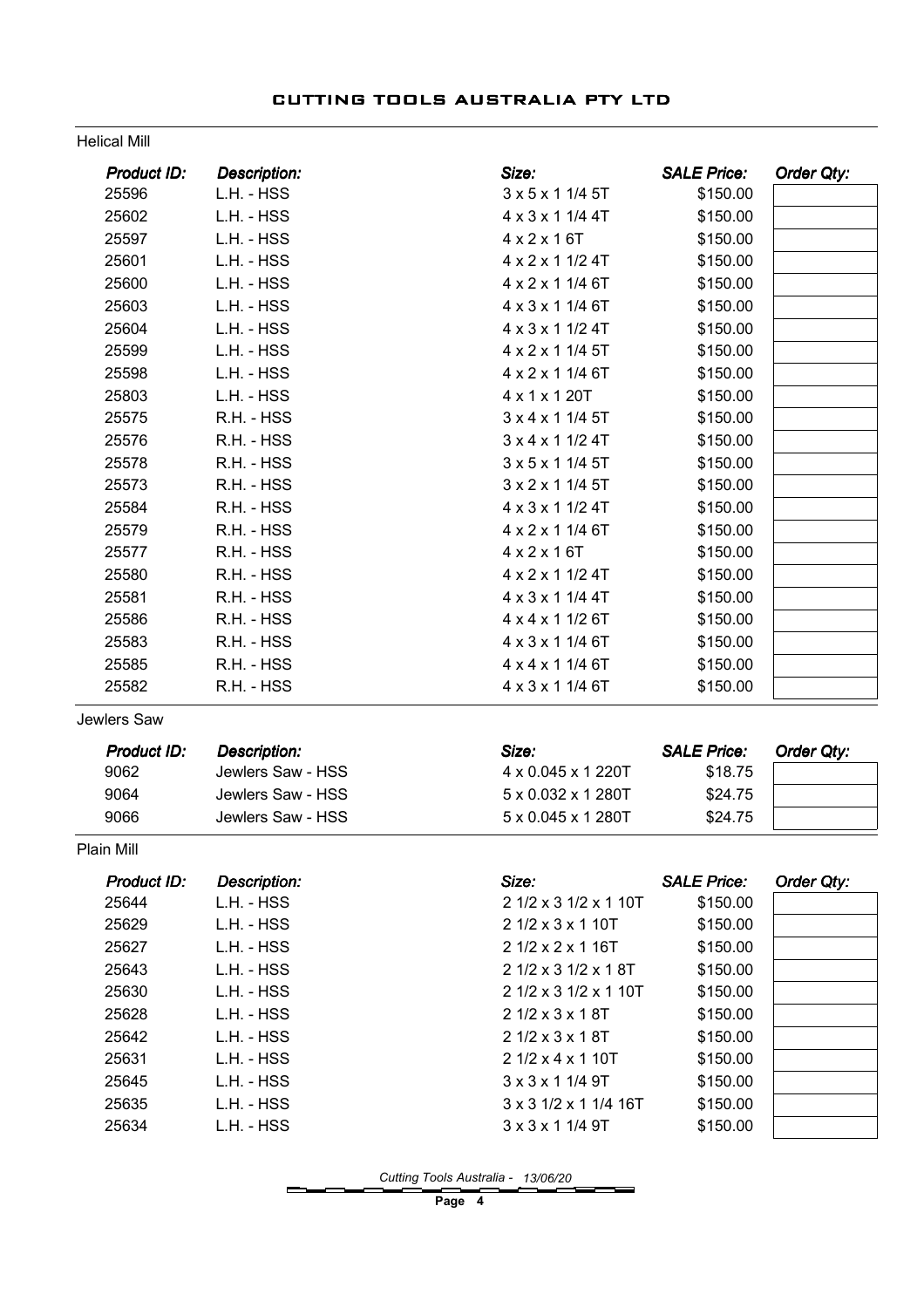#### Helical Mill

| Size:<br><b>Product ID:</b><br><b>Description:</b>                       | <b>SALE Price:</b><br>Order Qty: |
|--------------------------------------------------------------------------|----------------------------------|
| 25596<br>L.H. - HSS<br>3 x 5 x 1 1/4 5T                                  | \$150.00                         |
| 25602<br>L.H. - HSS<br>4 x 3 x 1 1/4 4T                                  | \$150.00                         |
| 25597<br>L.H. - HSS<br>$4 \times 2 \times 16T$                           | \$150.00                         |
| 25601<br>L.H. - HSS<br>4 x 2 x 1 1/2 4T                                  | \$150.00                         |
| 25600<br>L.H. - HSS<br>4 x 2 x 1 1/4 6T                                  | \$150.00                         |
| 25603<br>L.H. - HSS<br>4 x 3 x 1 1/4 6T                                  | \$150.00                         |
| 25604<br>L.H. - HSS<br>4 x 3 x 1 1/2 4T                                  | \$150.00                         |
| 25599<br>L.H. - HSS<br>4 x 2 x 1 1/4 5T                                  | \$150.00                         |
| 25598<br>L.H. - HSS<br>4 x 2 x 1 1/4 6T                                  | \$150.00                         |
| 25803<br>L.H. - HSS<br>4 x 1 x 1 20T                                     | \$150.00                         |
| 3 x 4 x 1 1/4 5T<br>25575<br>R.H. - HSS                                  | \$150.00                         |
| 25576<br>R.H. - HSS<br>$3 \times 4 \times 1$ 1/2 4T                      | \$150.00                         |
| 25578<br>R.H. - HSS<br>3 x 5 x 1 1/4 5T                                  | \$150.00                         |
| 25573<br>R.H. - HSS<br>3 x 2 x 1 1/4 5T                                  | \$150.00                         |
| 25584<br>R.H. - HSS<br>4 x 3 x 1 1/2 4T                                  | \$150.00                         |
| 25579<br>4 x 2 x 1 1/4 6T<br>R.H. - HSS                                  | \$150.00                         |
| 25577<br>R.H. - HSS<br>$4 \times 2 \times 16T$                           | \$150.00                         |
| 25580<br>R.H. - HSS<br>4 x 2 x 1 1/2 4T                                  | \$150.00                         |
| 25581<br>R.H. - HSS<br>4 x 3 x 1 1/4 4T                                  | \$150.00                         |
| 25586<br>R.H. - HSS<br>4 x 4 x 1 1/2 6T                                  | \$150.00                         |
| 25583<br>4 x 3 x 1 1/4 6T<br>R.H. - HSS                                  | \$150.00                         |
| 25585<br>R.H. - HSS<br>4 x 4 x 1 1/4 6T                                  | \$150.00                         |
| 25582<br>4 x 3 x 1 1/4 6T<br>R.H. - HSS                                  | \$150.00                         |
| Jewlers Saw                                                              |                                  |
| Size:<br><b>SALE Price:</b><br>Product ID:<br><b>Description:</b>        | <b>Order Qty:</b>                |
| 9062<br>Jewlers Saw - HSS<br>4 x 0.045 x 1 220T                          | \$18.75                          |
| 9064<br>Jewlers Saw - HSS<br>5 x 0.032 x 1 280T                          | \$24.75                          |
| 9066<br>Jewlers Saw - HSS<br>5 x 0.045 x 1 280T                          | \$24.75                          |
| Plain Mill                                                               |                                  |
| Size:<br><b>SALE Price:</b><br><b>Product ID:</b><br><b>Description:</b> | Order Qty:                       |
| 25644<br>L.H. - HSS<br>2 1/2 x 3 1/2 x 1 10T                             | \$150.00                         |
| 2 1/2 x 3 x 1 10T<br>25629<br>L.H. - HSS                                 | \$150.00                         |
| L.H. - HSS<br>2 1/2 x 2 x 1 16T<br>25627                                 | \$150.00                         |
| 25643<br>L.H. - HSS<br>2 1/2 x 3 1/2 x 1 8T                              | \$150.00                         |
| 25630<br>L.H. - HSS<br>2 1/2 x 3 1/2 x 1 10T                             | \$150.00                         |
| 2 1/2 x 3 x 1 8T<br>25628<br>L.H. - HSS                                  | \$150.00                         |
| 25642<br>L.H. - HSS<br>2 1/2 x 3 x 1 8T                                  | \$150.00                         |
| 25631<br>L.H. - HSS<br>2 1/2 x 4 x 1 10T                                 | \$150.00                         |
| 3 x 3 x 1 1/4 9T<br>25645<br>L.H. - HSS                                  | \$150.00                         |
| 25635<br>L.H. - HSS<br>3 x 3 1/2 x 1 1/4 16T                             | \$150.00                         |
| 25634<br>L.H. - HSS<br>3 x 3 x 1 1/4 9T                                  | \$150.00                         |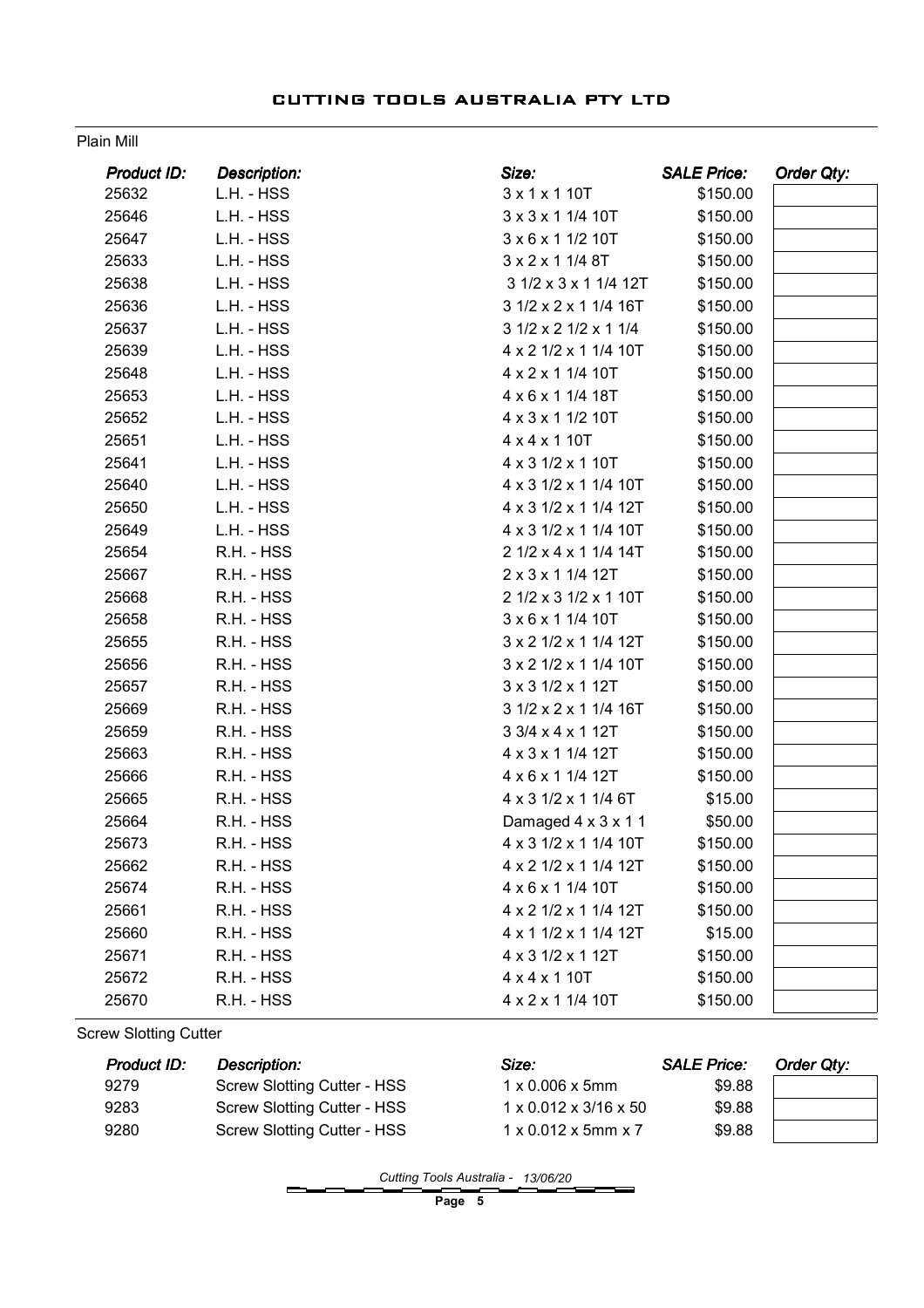#### Plain Mill

| Product ID: | <b>Description:</b> | Size:                 | <b>SALE Price:</b> | Order Qty: |
|-------------|---------------------|-----------------------|--------------------|------------|
| 25632       | L.H. - HSS          | 3 x 1 x 1 10T         | \$150.00           |            |
| 25646       | L.H. - HSS          | 3 x 3 x 1 1/4 10T     | \$150.00           |            |
| 25647       | L.H. - HSS          | 3 x 6 x 1 1/2 10T     | \$150.00           |            |
| 25633       | L.H. - HSS          | 3 x 2 x 1 1/4 8T      | \$150.00           |            |
| 25638       | L.H. - HSS          | 3 1/2 x 3 x 1 1/4 12T | \$150.00           |            |
| 25636       | L.H. - HSS          | 3 1/2 x 2 x 1 1/4 16T | \$150.00           |            |
| 25637       | L.H. - HSS          | 3 1/2 x 2 1/2 x 1 1/4 | \$150.00           |            |
| 25639       | L.H. - HSS          | 4 x 2 1/2 x 1 1/4 10T | \$150.00           |            |
| 25648       | L.H. - HSS          | 4 x 2 x 1 1/4 10T     | \$150.00           |            |
| 25653       | L.H. - HSS          | 4 x 6 x 1 1/4 18T     | \$150.00           |            |
| 25652       | L.H. - HSS          | 4 x 3 x 1 1/2 10T     | \$150.00           |            |
| 25651       | L.H. - HSS          | 4 x 4 x 1 10T         | \$150.00           |            |
| 25641       | L.H. - HSS          | 4 x 3 1/2 x 1 10T     | \$150.00           |            |
| 25640       | L.H. - HSS          | 4 x 3 1/2 x 1 1/4 10T | \$150.00           |            |
| 25650       | L.H. - HSS          | 4 x 3 1/2 x 1 1/4 12T | \$150.00           |            |
| 25649       | L.H. - HSS          | 4 x 3 1/2 x 1 1/4 10T | \$150.00           |            |
| 25654       | R.H. - HSS          | 2 1/2 x 4 x 1 1/4 14T | \$150.00           |            |
| 25667       | R.H. - HSS          | 2 x 3 x 1 1/4 12T     | \$150.00           |            |
| 25668       | R.H. - HSS          | 2 1/2 x 3 1/2 x 1 10T | \$150.00           |            |
| 25658       | R.H. - HSS          | 3 x 6 x 1 1/4 10T     | \$150.00           |            |
| 25655       | R.H. - HSS          | 3 x 2 1/2 x 1 1/4 12T | \$150.00           |            |
| 25656       | R.H. - HSS          | 3 x 2 1/2 x 1 1/4 10T | \$150.00           |            |
| 25657       | R.H. - HSS          | 3 x 3 1/2 x 1 12T     | \$150.00           |            |
| 25669       | R.H. - HSS          | 3 1/2 x 2 x 1 1/4 16T | \$150.00           |            |
| 25659       | R.H. - HSS          | 3 3/4 x 4 x 1 12T     | \$150.00           |            |
| 25663       | R.H. - HSS          | 4 x 3 x 1 1/4 12T     | \$150.00           |            |
| 25666       | R.H. - HSS          | 4 x 6 x 1 1/4 12T     | \$150.00           |            |
| 25665       | R.H. - HSS          | 4 x 3 1/2 x 1 1/4 6T  | \$15.00            |            |
| 25664       | R.H. - HSS          | Damaged 4 x 3 x 1 1   | \$50.00            |            |
| 25673       | R.H. - HSS          | 4 x 3 1/2 x 1 1/4 10T | \$150.00           |            |
| 25662       | R.H. - HSS          | 4 x 2 1/2 x 1 1/4 12T | \$150.00           |            |
| 25674       | R.H. - HSS          | 4 x 6 x 1 1/4 10T     | \$150.00           |            |
| 25661       | R.H. - HSS          | 4 x 2 1/2 x 1 1/4 12T | \$150.00           |            |
| 25660       | R.H. - HSS          | 4 x 1 1/2 x 1 1/4 12T | \$15.00            |            |
| 25671       | R.H. - HSS          | 4 x 3 1/2 x 1 12T     | \$150.00           |            |
| 25672       | R.H. - HSS          | 4 x 4 x 1 10T         | \$150.00           |            |
| 25670       | R.H. - HSS          | 4 x 2 x 1 1/4 10T     | \$150.00           |            |

Screw Slotting Cutter

| Product ID: | Description:                       | Size:                                   | <b>SALE Price:</b> | Order Qty: |
|-------------|------------------------------------|-----------------------------------------|--------------------|------------|
| 9279        | Screw Slotting Cutter - HSS        | $1 \times 0.006 \times 5$ mm            | \$9.88             |            |
| 9283        | Screw Slotting Cutter - HSS        | $1 \times 0.012 \times 3/16 \times 50$  | \$9.88             |            |
| 9280        | <b>Screw Slotting Cutter - HSS</b> | $1 \times 0.012 \times 5$ mm $\times 7$ | \$9.88             |            |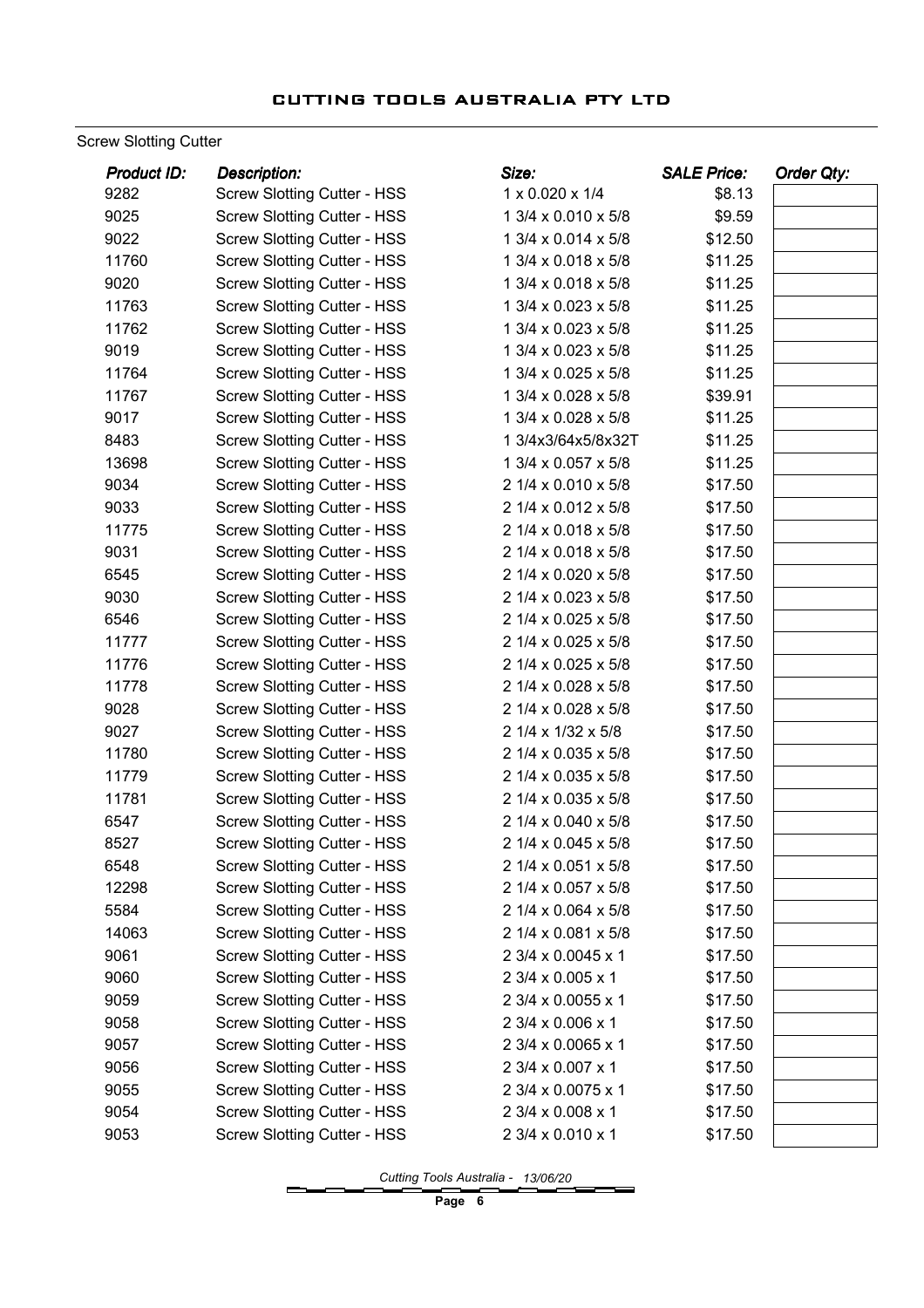Screw Slotting Cutter

| <b>Product ID:</b> | <b>Description:</b>                | Size:               | <b>SALE Price:</b> | Order Qty: |
|--------------------|------------------------------------|---------------------|--------------------|------------|
| 9282               | <b>Screw Slotting Cutter - HSS</b> | 1 x 0.020 x 1/4     | \$8.13             |            |
| 9025               | <b>Screw Slotting Cutter - HSS</b> | 1 3/4 x 0.010 x 5/8 | \$9.59             |            |
| 9022               | <b>Screw Slotting Cutter - HSS</b> | 1 3/4 x 0.014 x 5/8 | \$12.50            |            |
| 11760              | <b>Screw Slotting Cutter - HSS</b> | 1 3/4 x 0.018 x 5/8 | \$11.25            |            |
| 9020               | <b>Screw Slotting Cutter - HSS</b> | 1 3/4 x 0.018 x 5/8 | \$11.25            |            |
| 11763              | <b>Screw Slotting Cutter - HSS</b> | 1 3/4 x 0.023 x 5/8 | \$11.25            |            |
| 11762              | <b>Screw Slotting Cutter - HSS</b> | 1 3/4 x 0.023 x 5/8 | \$11.25            |            |
| 9019               | <b>Screw Slotting Cutter - HSS</b> | 1 3/4 x 0.023 x 5/8 | \$11.25            |            |
| 11764              | <b>Screw Slotting Cutter - HSS</b> | 1 3/4 x 0.025 x 5/8 | \$11.25            |            |
| 11767              | <b>Screw Slotting Cutter - HSS</b> | 1 3/4 x 0.028 x 5/8 | \$39.91            |            |
| 9017               | <b>Screw Slotting Cutter - HSS</b> | 1 3/4 x 0.028 x 5/8 | \$11.25            |            |
| 8483               | <b>Screw Slotting Cutter - HSS</b> | 1 3/4x3/64x5/8x32T  | \$11.25            |            |
| 13698              | <b>Screw Slotting Cutter - HSS</b> | 1 3/4 x 0.057 x 5/8 | \$11.25            |            |
| 9034               | <b>Screw Slotting Cutter - HSS</b> | 2 1/4 x 0.010 x 5/8 | \$17.50            |            |
| 9033               | <b>Screw Slotting Cutter - HSS</b> | 2 1/4 x 0.012 x 5/8 | \$17.50            |            |
| 11775              | <b>Screw Slotting Cutter - HSS</b> | 2 1/4 x 0.018 x 5/8 | \$17.50            |            |
| 9031               | <b>Screw Slotting Cutter - HSS</b> | 2 1/4 x 0.018 x 5/8 | \$17.50            |            |
| 6545               | <b>Screw Slotting Cutter - HSS</b> | 2 1/4 x 0.020 x 5/8 | \$17.50            |            |
| 9030               | <b>Screw Slotting Cutter - HSS</b> | 2 1/4 x 0.023 x 5/8 | \$17.50            |            |
| 6546               | <b>Screw Slotting Cutter - HSS</b> | 2 1/4 x 0.025 x 5/8 | \$17.50            |            |
| 11777              | <b>Screw Slotting Cutter - HSS</b> | 2 1/4 x 0.025 x 5/8 | \$17.50            |            |
| 11776              | <b>Screw Slotting Cutter - HSS</b> | 2 1/4 x 0.025 x 5/8 | \$17.50            |            |
| 11778              | <b>Screw Slotting Cutter - HSS</b> | 2 1/4 x 0.028 x 5/8 | \$17.50            |            |
| 9028               | <b>Screw Slotting Cutter - HSS</b> | 2 1/4 x 0.028 x 5/8 | \$17.50            |            |
| 9027               | <b>Screw Slotting Cutter - HSS</b> | 2 1/4 x 1/32 x 5/8  | \$17.50            |            |
| 11780              | <b>Screw Slotting Cutter - HSS</b> | 2 1/4 x 0.035 x 5/8 | \$17.50            |            |
| 11779              | <b>Screw Slotting Cutter - HSS</b> | 2 1/4 x 0.035 x 5/8 | \$17.50            |            |
| 11781              | <b>Screw Slotting Cutter - HSS</b> | 2 1/4 x 0.035 x 5/8 | \$17.50            |            |
| 6547               | <b>Screw Slotting Cutter - HSS</b> | 2 1/4 x 0.040 x 5/8 | \$17.50            |            |
| 8527               | <b>Screw Slotting Cutter - HSS</b> | 2 1/4 x 0.045 x 5/8 | \$17.50            |            |
| 6548               | <b>Screw Slotting Cutter - HSS</b> | 2 1/4 x 0.051 x 5/8 | \$17.50            |            |
| 12298              | <b>Screw Slotting Cutter - HSS</b> | 2 1/4 x 0.057 x 5/8 | \$17.50            |            |
| 5584               | <b>Screw Slotting Cutter - HSS</b> | 2 1/4 x 0.064 x 5/8 | \$17.50            |            |
| 14063              | <b>Screw Slotting Cutter - HSS</b> | 2 1/4 x 0.081 x 5/8 | \$17.50            |            |
| 9061               | <b>Screw Slotting Cutter - HSS</b> | 2 3/4 x 0.0045 x 1  | \$17.50            |            |
| 9060               | <b>Screw Slotting Cutter - HSS</b> | 2 3/4 x 0.005 x 1   | \$17.50            |            |
| 9059               | <b>Screw Slotting Cutter - HSS</b> | 2 3/4 x 0.0055 x 1  | \$17.50            |            |
| 9058               | <b>Screw Slotting Cutter - HSS</b> | 2 3/4 x 0.006 x 1   | \$17.50            |            |
| 9057               | <b>Screw Slotting Cutter - HSS</b> | 2 3/4 x 0.0065 x 1  | \$17.50            |            |
| 9056               | <b>Screw Slotting Cutter - HSS</b> | 2 3/4 x 0.007 x 1   | \$17.50            |            |
| 9055               | <b>Screw Slotting Cutter - HSS</b> | 2 3/4 x 0.0075 x 1  | \$17.50            |            |
| 9054               | <b>Screw Slotting Cutter - HSS</b> | 2 3/4 x 0.008 x 1   | \$17.50            |            |
| 9053               | <b>Screw Slotting Cutter - HSS</b> | 2 3/4 x 0.010 x 1   | \$17.50            |            |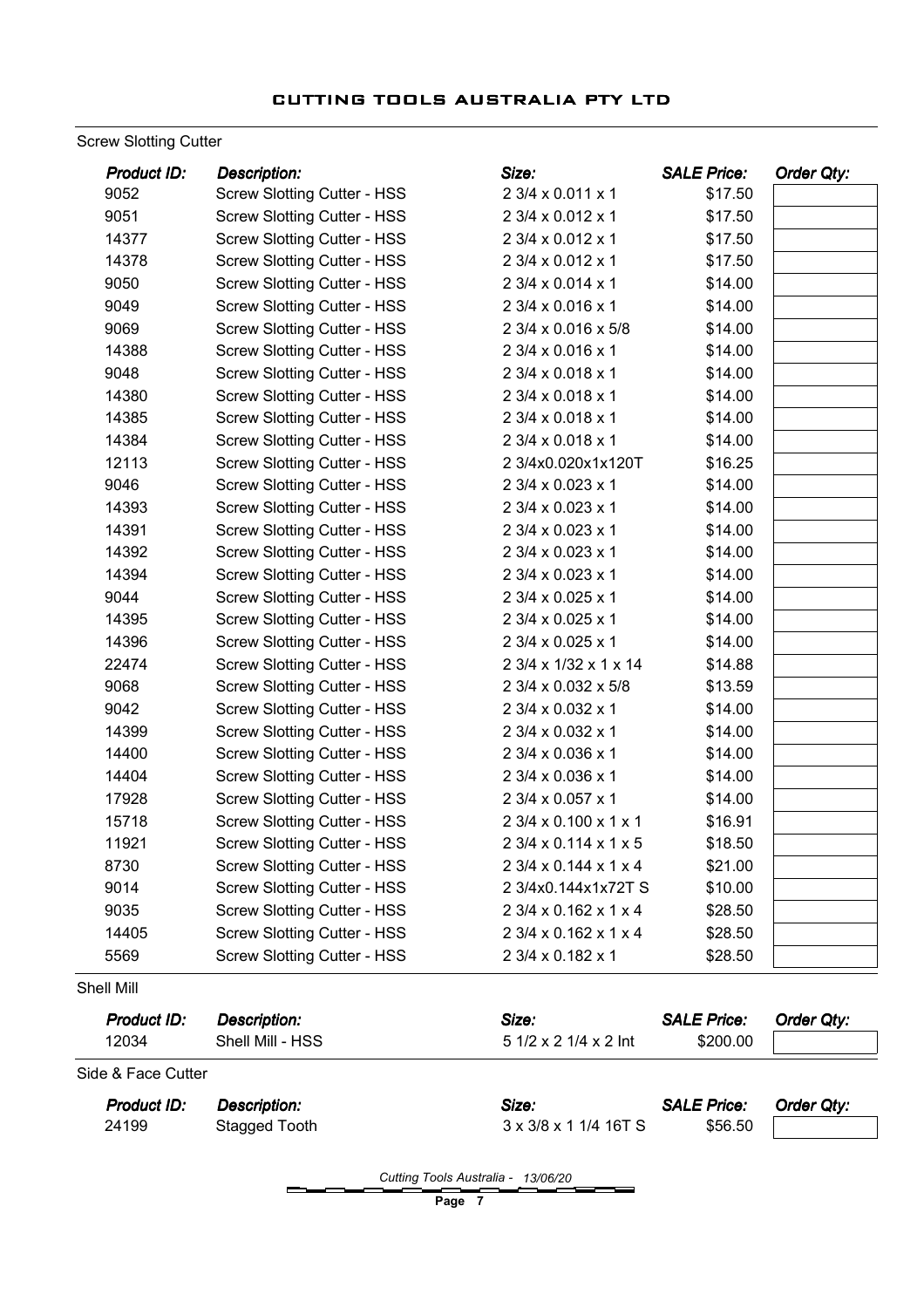Screw Slotting Cutter

| <b>SALE Price:</b>    |         | Order Qty:         |
|-----------------------|---------|--------------------|
| 2 3/4 x 0.011 x 1     | \$17.50 |                    |
| 2 3/4 x 0.012 x 1     | \$17.50 |                    |
| 2 3/4 x 0.012 x 1     | \$17.50 |                    |
| 2 3/4 x 0.012 x 1     | \$17.50 |                    |
| 2 3/4 x 0.014 x 1     | \$14.00 |                    |
| 2 3/4 x 0.016 x 1     | \$14.00 |                    |
| 2 3/4 x 0.016 x 5/8   | \$14.00 |                    |
| 2 3/4 x 0.016 x 1     | \$14.00 |                    |
| 2 3/4 x 0.018 x 1     | \$14.00 |                    |
| 2 3/4 x 0.018 x 1     | \$14.00 |                    |
| 2 3/4 x 0.018 x 1     | \$14.00 |                    |
| 2 3/4 x 0.018 x 1     | \$14.00 |                    |
| 2 3/4x0.020x1x120T    | \$16.25 |                    |
| 2 3/4 x 0.023 x 1     | \$14.00 |                    |
| 2 3/4 x 0.023 x 1     | \$14.00 |                    |
| 2 3/4 x 0.023 x 1     | \$14.00 |                    |
| 2 3/4 x 0.023 x 1     | \$14.00 |                    |
| 2 3/4 x 0.023 x 1     | \$14.00 |                    |
| 2 3/4 x 0.025 x 1     | \$14.00 |                    |
| 2 3/4 x 0.025 x 1     | \$14.00 |                    |
| 2 3/4 x 0.025 x 1     | \$14.00 |                    |
| 2 3/4 x 1/32 x 1 x 14 | \$14.88 |                    |
| 2 3/4 x 0.032 x 5/8   | \$13.59 |                    |
| 2 3/4 x 0.032 x 1     | \$14.00 |                    |
| 2 3/4 x 0.032 x 1     | \$14.00 |                    |
| 2 3/4 x 0.036 x 1     | \$14.00 |                    |
| 2 3/4 x 0.036 x 1     | \$14.00 |                    |
| 2 3/4 x 0.057 x 1     | \$14.00 |                    |
| 2 3/4 x 0.100 x 1 x 1 | \$16.91 |                    |
| 2 3/4 x 0.114 x 1 x 5 | \$18.50 |                    |
| 2 3/4 x 0.144 x 1 x 4 | \$21.00 |                    |
| 2 3/4x0.144x1x72T S   | \$10.00 |                    |
| 2 3/4 x 0.162 x 1 x 4 | \$28.50 |                    |
| 2 3/4 x 0.162 x 1 x 4 |         |                    |
| 2 3/4 x 0.182 x 1     |         |                    |
|                       |         | \$28.50<br>\$28.50 |

| <b>Product ID:</b> | Description:     | Size:                 | <b>SALE Price:</b> | Order Qty: |
|--------------------|------------------|-----------------------|--------------------|------------|
| 12034              | Shell Mill - HSS | 5 1/2 x 2 1/4 x 2 lnt | \$200.00           |            |
| Side & Face Cutter |                  |                       |                    |            |
| <b>Product ID:</b> | Description:     | Size:                 | <b>SALE Price:</b> | Order Qty: |
| 24199              | Stagged Tooth    | 3 x 3/8 x 1 1/4 16T S | \$56.50            |            |

Cutting Tools Australia - 13/06/20

Page 7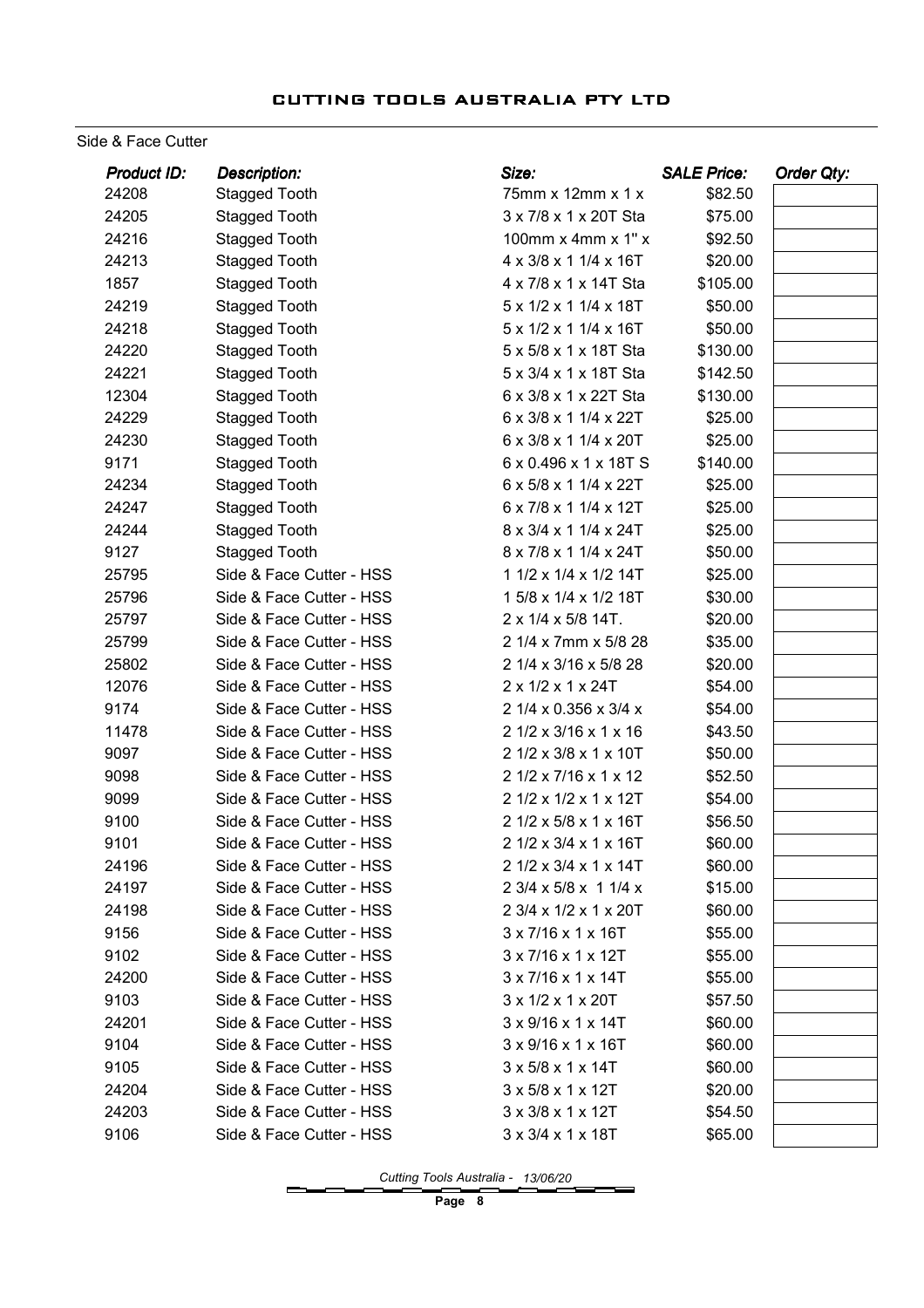#### Side & Face Cutter

| Product ID: | <b>Description:</b>      | Size:                                | <b>SALE Price:</b> | Order Qty: |
|-------------|--------------------------|--------------------------------------|--------------------|------------|
| 24208       | <b>Stagged Tooth</b>     | 75mm x 12mm x 1 x                    | \$82.50            |            |
| 24205       | Stagged Tooth            | 3 x 7/8 x 1 x 20T Sta                | \$75.00            |            |
| 24216       | <b>Stagged Tooth</b>     | 100mm $x$ 4mm $x$ 1" $x$             | \$92.50            |            |
| 24213       | <b>Stagged Tooth</b>     | 4 x 3/8 x 1 1/4 x 16T                | \$20.00            |            |
| 1857        | <b>Stagged Tooth</b>     | 4 x 7/8 x 1 x 14T Sta                | \$105.00           |            |
| 24219       | <b>Stagged Tooth</b>     | 5 x 1/2 x 1 1/4 x 18T                | \$50.00            |            |
| 24218       | <b>Stagged Tooth</b>     | 5 x 1/2 x 1 1/4 x 16T                | \$50.00            |            |
| 24220       | <b>Stagged Tooth</b>     | 5 x 5/8 x 1 x 18T Sta                | \$130.00           |            |
| 24221       | <b>Stagged Tooth</b>     | 5 x 3/4 x 1 x 18T Sta                | \$142.50           |            |
| 12304       | <b>Stagged Tooth</b>     | 6 x 3/8 x 1 x 22T Sta                | \$130.00           |            |
| 24229       | <b>Stagged Tooth</b>     | 6 x 3/8 x 1 1/4 x 22T                | \$25.00            |            |
| 24230       | <b>Stagged Tooth</b>     | 6 x 3/8 x 1 1/4 x 20T                | \$25.00            |            |
| 9171        | <b>Stagged Tooth</b>     | 6 x 0.496 x 1 x 18T S                | \$140.00           |            |
| 24234       | <b>Stagged Tooth</b>     | 6 x 5/8 x 1 1/4 x 22T                | \$25.00            |            |
| 24247       | <b>Stagged Tooth</b>     | 6 x 7/8 x 1 1/4 x 12T                | \$25.00            |            |
| 24244       | <b>Stagged Tooth</b>     | 8 x 3/4 x 1 1/4 x 24T                | \$25.00            |            |
| 9127        | <b>Stagged Tooth</b>     | 8 x 7/8 x 1 1/4 x 24T                | \$50.00            |            |
| 25795       | Side & Face Cutter - HSS | 1 1/2 x 1/4 x 1/2 14T                | \$25.00            |            |
| 25796       | Side & Face Cutter - HSS | 1 5/8 x 1/4 x 1/2 18T                | \$30.00            |            |
| 25797       | Side & Face Cutter - HSS | 2 x 1/4 x 5/8 14T.                   | \$20.00            |            |
| 25799       | Side & Face Cutter - HSS | 2 1/4 x 7mm x 5/8 28                 | \$35.00            |            |
| 25802       | Side & Face Cutter - HSS | 2 1/4 x 3/16 x 5/8 28                | \$20.00            |            |
| 12076       | Side & Face Cutter - HSS | 2 x 1/2 x 1 x 24T                    | \$54.00            |            |
| 9174        | Side & Face Cutter - HSS | 2 1/4 x 0.356 x 3/4 x                | \$54.00            |            |
| 11478       | Side & Face Cutter - HSS | 2 1/2 x 3/16 x 1 x 16                | \$43.50            |            |
| 9097        | Side & Face Cutter - HSS | 2 1/2 x 3/8 x 1 x 10T                | \$50.00            |            |
| 9098        | Side & Face Cutter - HSS | 2 1/2 x 7/16 x 1 x 12                | \$52.50            |            |
| 9099        | Side & Face Cutter - HSS | 2 1/2 x 1/2 x 1 x 12T                | \$54.00            |            |
| 9100        | Side & Face Cutter - HSS | 2 1/2 x 5/8 x 1 x 16T                | \$56.50            |            |
| 9101        | Side & Face Cutter - HSS | 2 1/2 x 3/4 x 1 x 16T                | \$60.00            |            |
| 24196       | Side & Face Cutter - HSS | 2 1/2 x 3/4 x 1 x 14T                | \$60.00            |            |
| 24197       | Side & Face Cutter - HSS | 2 3/4 x 5/8 x 1 1/4 x                | \$15.00            |            |
| 24198       | Side & Face Cutter - HSS | 2 3/4 x 1/2 x 1 x 20T                | \$60.00            |            |
| 9156        | Side & Face Cutter - HSS | $3 \times 7/16 \times 1 \times 16$ T | \$55.00            |            |
| 9102        | Side & Face Cutter - HSS | 3 x 7/16 x 1 x 12T                   | \$55.00            |            |
| 24200       | Side & Face Cutter - HSS | $3 \times 7/16 \times 1 \times 14$ T | \$55.00            |            |
| 9103        | Side & Face Cutter - HSS | 3 x 1/2 x 1 x 20T                    | \$57.50            |            |
| 24201       | Side & Face Cutter - HSS | $3 \times 9/16 \times 1 \times 14$ T | \$60.00            |            |
| 9104        | Side & Face Cutter - HSS | 3 x 9/16 x 1 x 16T                   | \$60.00            |            |
| 9105        | Side & Face Cutter - HSS | 3 x 5/8 x 1 x 14T                    | \$60.00            |            |
| 24204       | Side & Face Cutter - HSS | $3 \times 5/8 \times 1 \times 12$ T  | \$20.00            |            |
| 24203       | Side & Face Cutter - HSS | $3 \times 3/8 \times 1 \times 12$ T  | \$54.50            |            |
| 9106        | Side & Face Cutter - HSS | $3 \times 3/4 \times 1 \times 18$ T  | \$65.00            |            |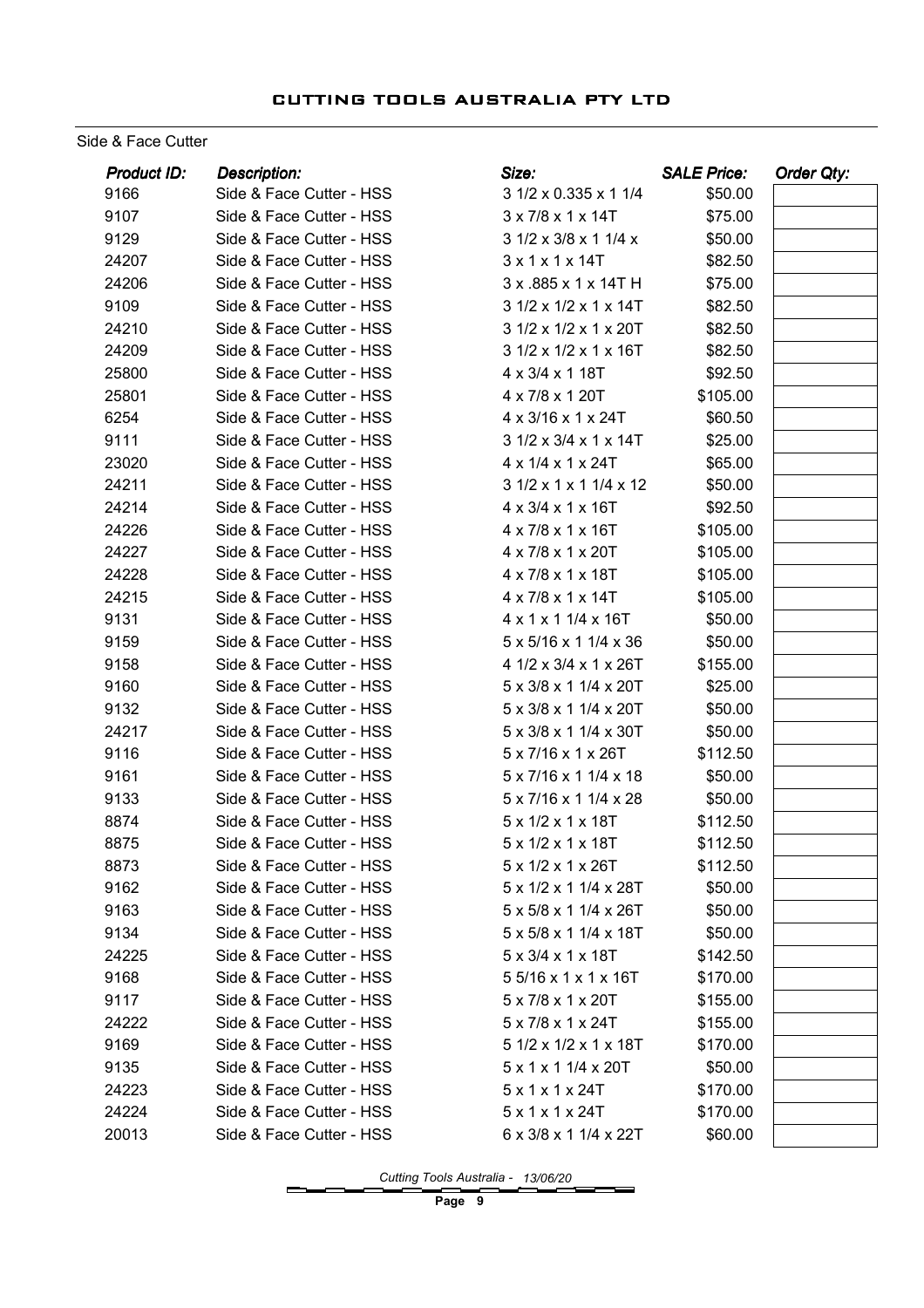Side & Face Cutter

| Product ID: | <b>Description:</b>      | Size:                                  | <b>SALE Price:</b> | <b>Order Qty:</b> |
|-------------|--------------------------|----------------------------------------|--------------------|-------------------|
| 9166        | Side & Face Cutter - HSS | 3 1/2 x 0.335 x 1 1/4                  | \$50.00            |                   |
| 9107        | Side & Face Cutter - HSS | 3 x 7/8 x 1 x 14T                      | \$75.00            |                   |
| 9129        | Side & Face Cutter - HSS | 3 1/2 x 3/8 x 1 1/4 x                  | \$50.00            |                   |
| 24207       | Side & Face Cutter - HSS | 3x1x1x14T                              | \$82.50            |                   |
| 24206       | Side & Face Cutter - HSS | 3 x .885 x 1 x 14T H                   | \$75.00            |                   |
| 9109        | Side & Face Cutter - HSS | 3 1/2 x 1/2 x 1 x 14T                  | \$82.50            |                   |
| 24210       | Side & Face Cutter - HSS | 3 1/2 x 1/2 x 1 x 20T                  | \$82.50            |                   |
| 24209       | Side & Face Cutter - HSS | 3 1/2 x 1/2 x 1 x 16T                  | \$82.50            |                   |
| 25800       | Side & Face Cutter - HSS | 4 x 3/4 x 1 18T                        | \$92.50            |                   |
| 25801       | Side & Face Cutter - HSS | 4 x 7/8 x 1 20T                        | \$105.00           |                   |
| 6254        | Side & Face Cutter - HSS | 4 x 3/16 x 1 x 24T                     | \$60.50            |                   |
| 9111        | Side & Face Cutter - HSS | 3 1/2 x 3/4 x 1 x 14T                  | \$25.00            |                   |
| 23020       | Side & Face Cutter - HSS | 4 x 1/4 x 1 x 24T                      | \$65.00            |                   |
| 24211       | Side & Face Cutter - HSS | 3 1/2 x 1 x 1 1/4 x 12                 | \$50.00            |                   |
| 24214       | Side & Face Cutter - HSS | 4 x 3/4 x 1 x 16T                      | \$92.50            |                   |
| 24226       | Side & Face Cutter - HSS | 4 x 7/8 x 1 x 16T                      | \$105.00           |                   |
| 24227       | Side & Face Cutter - HSS | 4 x 7/8 x 1 x 20T                      | \$105.00           |                   |
| 24228       | Side & Face Cutter - HSS | 4 x 7/8 x 1 x 18T                      | \$105.00           |                   |
| 24215       | Side & Face Cutter - HSS | 4 x 7/8 x 1 x 14T                      | \$105.00           |                   |
| 9131        | Side & Face Cutter - HSS | 4 x 1 x 1 1/4 x 16T                    | \$50.00            |                   |
| 9159        | Side & Face Cutter - HSS | 5 x 5/16 x 1 1/4 x 36                  | \$50.00            |                   |
| 9158        | Side & Face Cutter - HSS | 4 1/2 x 3/4 x 1 x 26T                  | \$155.00           |                   |
| 9160        | Side & Face Cutter - HSS | 5 x 3/8 x 1 1/4 x 20T                  | \$25.00            |                   |
| 9132        | Side & Face Cutter - HSS | 5 x 3/8 x 1 1/4 x 20T                  | \$50.00            |                   |
| 24217       | Side & Face Cutter - HSS | 5 x 3/8 x 1 1/4 x 30T                  | \$50.00            |                   |
| 9116        | Side & Face Cutter - HSS | 5 x 7/16 x 1 x 26T                     | \$112.50           |                   |
| 9161        | Side & Face Cutter - HSS | 5 x 7/16 x 1 1/4 x 18                  | \$50.00            |                   |
| 9133        | Side & Face Cutter - HSS | 5 x 7/16 x 1 1/4 x 28                  | \$50.00            |                   |
| 8874        | Side & Face Cutter - HSS | 5 x 1/2 x 1 x 18T                      | \$112.50           |                   |
| 8875        | Side & Face Cutter - HSS | 5 x 1/2 x 1 x 18T                      | \$112.50           |                   |
| 8873        | Side & Face Cutter - HSS | 5 x 1/2 x 1 x 26T                      | \$112.50           |                   |
| 9162        | Side & Face Cutter - HSS | 5 x 1/2 x 1 1/4 x 28T                  | \$50.00            |                   |
| 9163        | Side & Face Cutter - HSS | $5 \times 5/8 \times 11/4 \times 26$ T | \$50.00            |                   |
| 9134        | Side & Face Cutter - HSS | 5 x 5/8 x 1 1/4 x 18T                  | \$50.00            |                   |
| 24225       | Side & Face Cutter - HSS | 5 x 3/4 x 1 x 18T                      | \$142.50           |                   |
| 9168        | Side & Face Cutter - HSS | 5 5/16 x 1 x 1 x 16T                   | \$170.00           |                   |
| 9117        | Side & Face Cutter - HSS | $5 \times 7/8 \times 1 \times 20$ T    | \$155.00           |                   |
| 24222       | Side & Face Cutter - HSS | 5 x 7/8 x 1 x 24T                      | \$155.00           |                   |
| 9169        | Side & Face Cutter - HSS | 5 1/2 x 1/2 x 1 x 18T                  | \$170.00           |                   |
| 9135        | Side & Face Cutter - HSS | $5 \times 1 \times 1$ 1/4 $\times$ 20T | \$50.00            |                   |
| 24223       | Side & Face Cutter - HSS | 5x1x1x24T                              | \$170.00           |                   |
| 24224       | Side & Face Cutter - HSS | 5x1x1x24T                              | \$170.00           |                   |
| 20013       | Side & Face Cutter - HSS | 6 x 3/8 x 1 1/4 x 22T                  | \$60.00            |                   |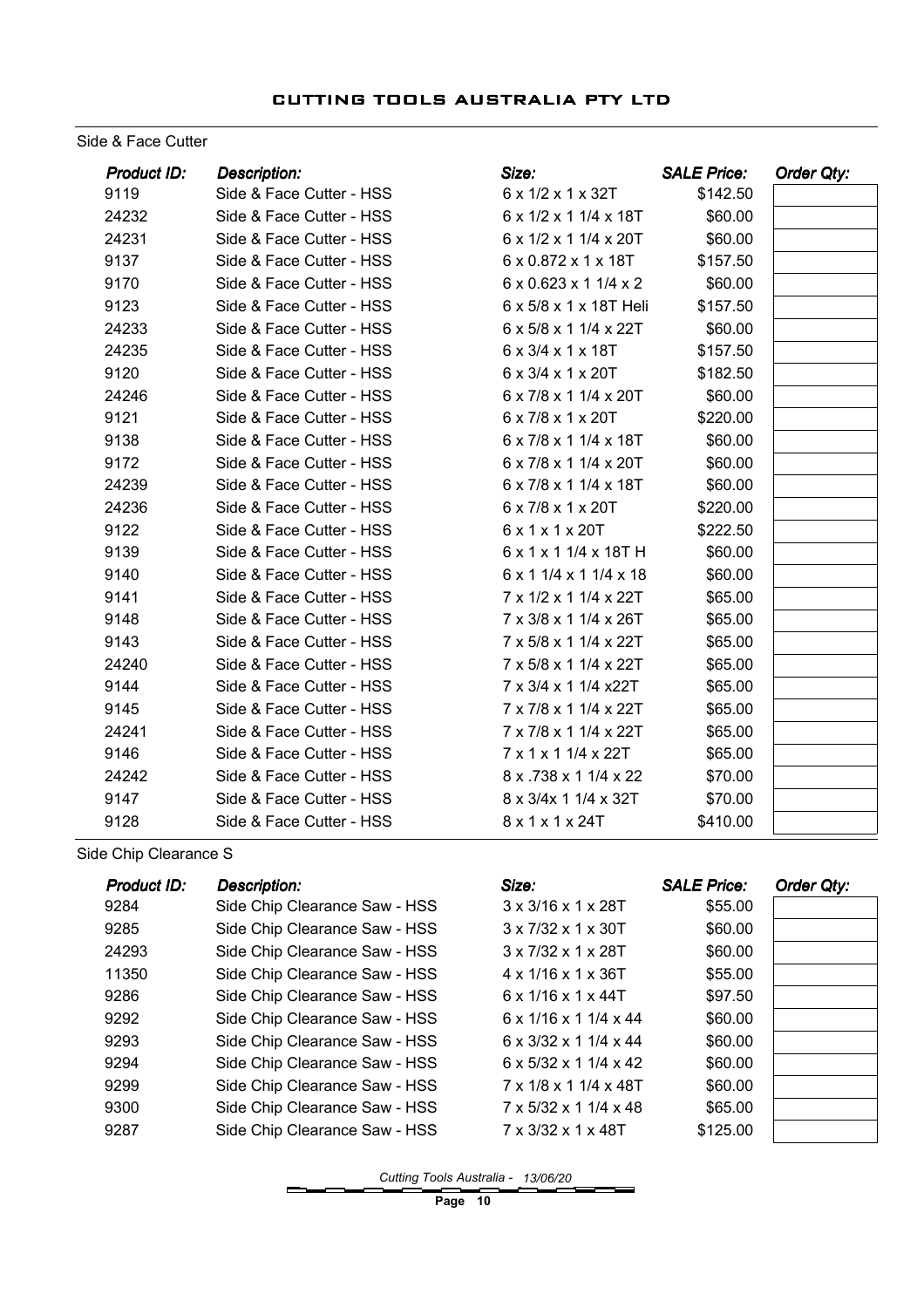#### Side & Face Cutter

| Product ID: | <b>Description:</b>      | Size:                                  | <b>SALE Price:</b> | Order Qty: |
|-------------|--------------------------|----------------------------------------|--------------------|------------|
| 9119        | Side & Face Cutter - HSS | 6 x 1/2 x 1 x 32T                      | \$142.50           |            |
| 24232       | Side & Face Cutter - HSS | 6 x 1/2 x 1 1/4 x 18T                  | \$60.00            |            |
| 24231       | Side & Face Cutter - HSS | $6 \times 1/2 \times 11/4 \times 20$ T | \$60.00            |            |
| 9137        | Side & Face Cutter - HSS | 6 x 0.872 x 1 x 18T                    | \$157.50           |            |
| 9170        | Side & Face Cutter - HSS | 6 x 0.623 x 1 1/4 x 2                  | \$60.00            |            |
| 9123        | Side & Face Cutter - HSS | 6 x 5/8 x 1 x 18T Heli                 | \$157.50           |            |
| 24233       | Side & Face Cutter - HSS | 6 x 5/8 x 1 1/4 x 22T                  | \$60.00            |            |
| 24235       | Side & Face Cutter - HSS | 6 x 3/4 x 1 x 18T                      | \$157.50           |            |
| 9120        | Side & Face Cutter - HSS | $6 \times 3/4 \times 1 \times 20$ T    | \$182.50           |            |
| 24246       | Side & Face Cutter - HSS | 6 x 7/8 x 1 1/4 x 20T                  | \$60.00            |            |
| 9121        | Side & Face Cutter - HSS | 6 x 7/8 x 1 x 20T                      | \$220.00           |            |
| 9138        | Side & Face Cutter - HSS | 6 x 7/8 x 1 1/4 x 18T                  | \$60.00            |            |
| 9172        | Side & Face Cutter - HSS | 6 x 7/8 x 1 1/4 x 20T                  | \$60.00            |            |
| 24239       | Side & Face Cutter - HSS | 6 x 7/8 x 1 1/4 x 18T                  | \$60.00            |            |
| 24236       | Side & Face Cutter - HSS | 6 x 7/8 x 1 x 20T                      | \$220.00           |            |
| 9122        | Side & Face Cutter - HSS | 6 x 1 x 1 x 20T                        | \$222.50           |            |
| 9139        | Side & Face Cutter - HSS | 6 x 1 x 1 1/4 x 18T H                  | \$60.00            |            |
| 9140        | Side & Face Cutter - HSS | 6 x 1 1/4 x 1 1/4 x 18                 | \$60.00            |            |
| 9141        | Side & Face Cutter - HSS | 7 x 1/2 x 1 1/4 x 22T                  | \$65.00            |            |
| 9148        | Side & Face Cutter - HSS | 7 x 3/8 x 1 1/4 x 26T                  | \$65.00            |            |
| 9143        | Side & Face Cutter - HSS | 7 x 5/8 x 1 1/4 x 22T                  | \$65.00            |            |
| 24240       | Side & Face Cutter - HSS | 7 x 5/8 x 1 1/4 x 22T                  | \$65.00            |            |
| 9144        | Side & Face Cutter - HSS | 7 x 3/4 x 1 1/4 x22T                   | \$65.00            |            |
| 9145        | Side & Face Cutter - HSS | 7 x 7/8 x 1 1/4 x 22T                  | \$65.00            |            |
| 24241       | Side & Face Cutter - HSS | 7 x 7/8 x 1 1/4 x 22T                  | \$65.00            |            |
| 9146        | Side & Face Cutter - HSS | 7 x 1 x 1 1/4 x 22T                    | \$65.00            |            |
| 24242       | Side & Face Cutter - HSS | 8 x .738 x 1 1/4 x 22                  | \$70.00            |            |
| 9147        | Side & Face Cutter - HSS | 8 x 3/4x 1 1/4 x 32T                   | \$70.00            |            |
| 9128        | Side & Face Cutter - HSS | 8 x 1 x 1 x 24T                        | \$410.00           |            |

Side Chip Clearance S

| <b>Product ID:</b> | <b>Description:</b>           | Size:                                 | <b>SALE Price:</b> | Order Qty: |
|--------------------|-------------------------------|---------------------------------------|--------------------|------------|
| 9284               | Side Chip Clearance Saw - HSS | $3 \times 3/16 \times 1 \times 28$ T  | \$55.00            |            |
| 9285               | Side Chip Clearance Saw - HSS | $3 \times 7/32 \times 1 \times 30$ T  | \$60.00            |            |
| 24293              | Side Chip Clearance Saw - HSS | $3 \times 7/32 \times 1 \times 28$ T  | \$60.00            |            |
| 11350              | Side Chip Clearance Saw - HSS | $4 \times 1/16 \times 1 \times 36$ T  | \$55.00            |            |
| 9286               | Side Chip Clearance Saw - HSS | $6 \times 1/16 \times 1 \times 44$ T  | \$97.50            |            |
| 9292               | Side Chip Clearance Saw - HSS | $6 \times 1/16 \times 11/4 \times 44$ | \$60.00            |            |
| 9293               | Side Chip Clearance Saw - HSS | $6 \times 3/32 \times 11/4 \times 44$ | \$60.00            |            |
| 9294               | Side Chip Clearance Saw - HSS | $6 \times 5/32 \times 11/4 \times 42$ | \$60.00            |            |
| 9299               | Side Chip Clearance Saw - HSS | 7 x 1/8 x 1 1/4 x 48T                 | \$60.00            |            |
| 9300               | Side Chip Clearance Saw - HSS | $7 \times 5/32 \times 11/4 \times 48$ | \$65.00            |            |
| 9287               | Side Chip Clearance Saw - HSS | $7 \times 3/32 \times 1 \times 48$ T  | \$125.00           |            |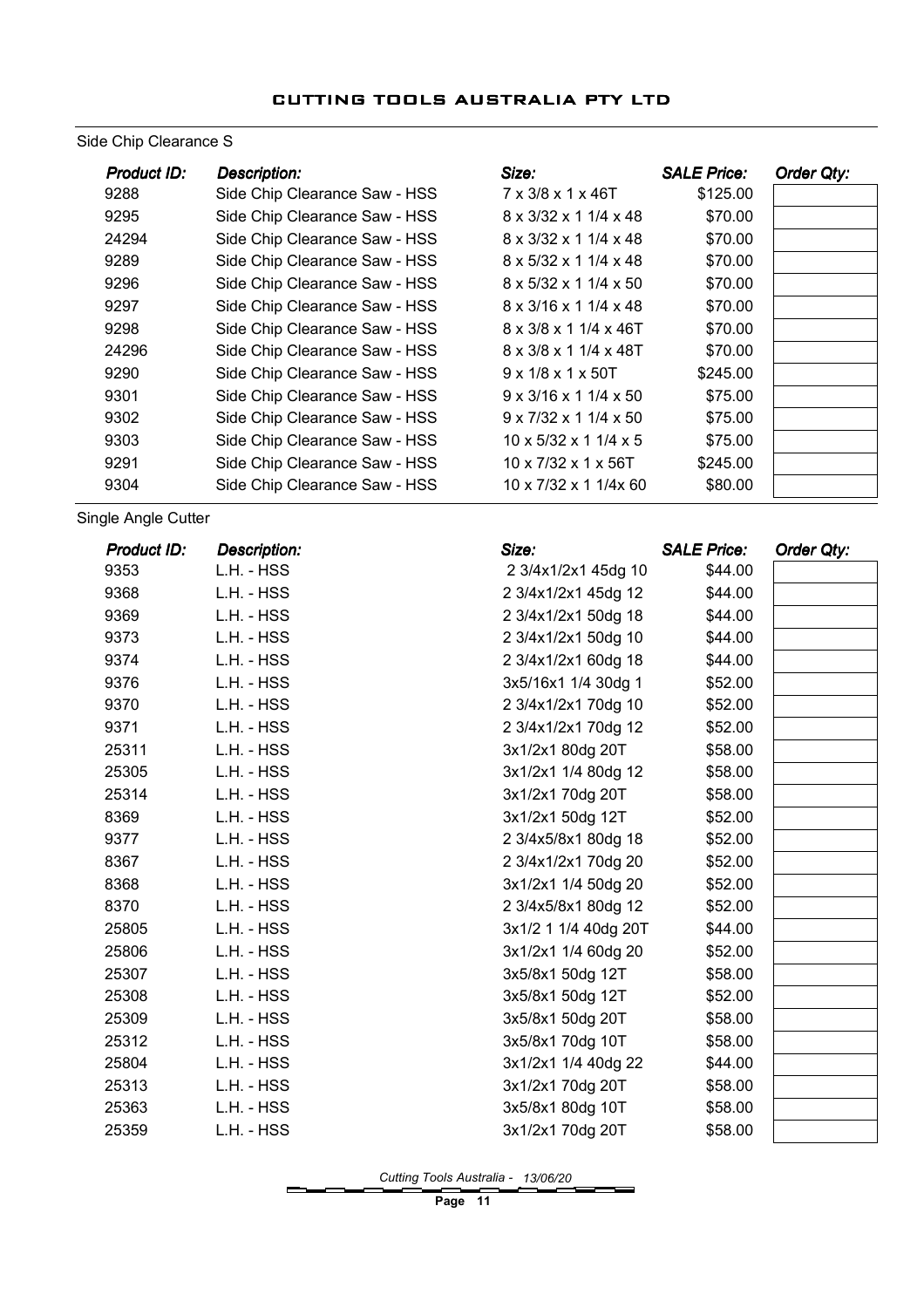#### Side Chip Clearance S

| Product ID: | <b>Description:</b>           | Size:                                  | <b>SALE Price:</b> | Order Qty: |
|-------------|-------------------------------|----------------------------------------|--------------------|------------|
| 9288        | Side Chip Clearance Saw - HSS | 7 x 3/8 x 1 x 46T                      | \$125.00           |            |
| 9295        | Side Chip Clearance Saw - HSS | $8 \times 3/32 \times 11/4 \times 48$  | \$70.00            |            |
| 24294       | Side Chip Clearance Saw - HSS | $8 \times 3/32 \times 11/4 \times 48$  | \$70.00            |            |
| 9289        | Side Chip Clearance Saw - HSS | 8 x 5/32 x 1 1/4 x 48                  | \$70.00            |            |
| 9296        | Side Chip Clearance Saw - HSS | $8 \times 5/32 \times 11/4 \times 50$  | \$70.00            |            |
| 9297        | Side Chip Clearance Saw - HSS | $8 \times 3/16 \times 11/4 \times 48$  | \$70.00            |            |
| 9298        | Side Chip Clearance Saw - HSS | $8 \times 3/8 \times 11/4 \times 46$ T | \$70.00            |            |
| 24296       | Side Chip Clearance Saw - HSS | 8 x 3/8 x 1 1/4 x 48T                  | \$70.00            |            |
| 9290        | Side Chip Clearance Saw - HSS | $9 \times 1/8 \times 1 \times 50$ T    | \$245.00           |            |
| 9301        | Side Chip Clearance Saw - HSS | $9 \times 3/16 \times 11/4 \times 50$  | \$75.00            |            |
| 9302        | Side Chip Clearance Saw - HSS | $9 \times 7/32 \times 11/4 \times 50$  | \$75.00            |            |
| 9303        | Side Chip Clearance Saw - HSS | $10 \times 5/32 \times 11/4 \times 5$  | \$75.00            |            |
| 9291        | Side Chip Clearance Saw - HSS | $10 \times 7/32 \times 1 \times 56$ T  | \$245.00           |            |
| 9304        | Side Chip Clearance Saw - HSS | $10 \times 7/32 \times 11/4 \times 60$ | \$80.00            |            |

Single Angle Cutter

| Product ID: | <b>Description:</b> | Size:                | <b>SALE Price:</b> | Order Qty: |
|-------------|---------------------|----------------------|--------------------|------------|
| 9353        | L.H. - HSS          | 2 3/4x1/2x1 45dg 10  | \$44.00            |            |
| 9368        | L.H. - HSS          | 2 3/4x1/2x1 45dg 12  | \$44.00            |            |
| 9369        | L.H. - HSS          | 2 3/4x1/2x1 50dg 18  | \$44.00            |            |
| 9373        | L.H. - HSS          | 2 3/4x1/2x1 50dg 10  | \$44.00            |            |
| 9374        | L.H. - HSS          | 2 3/4x1/2x1 60dg 18  | \$44.00            |            |
| 9376        | L.H. - HSS          | 3x5/16x1 1/4 30dg 1  | \$52.00            |            |
| 9370        | L.H. - HSS          | 2 3/4x1/2x1 70dg 10  | \$52.00            |            |
| 9371        | L.H. - HSS          | 2 3/4x1/2x1 70dg 12  | \$52.00            |            |
| 25311       | L.H. - HSS          | 3x1/2x1 80dg 20T     | \$58.00            |            |
| 25305       | L.H. - HSS          | 3x1/2x1 1/4 80dg 12  | \$58.00            |            |
| 25314       | L.H. - HSS          | 3x1/2x1 70dg 20T     | \$58.00            |            |
| 8369        | L.H. - HSS          | 3x1/2x1 50dg 12T     | \$52.00            |            |
| 9377        | L.H. - HSS          | 2 3/4x5/8x1 80dg 18  | \$52.00            |            |
| 8367        | L.H. - HSS          | 2 3/4x1/2x1 70dg 20  | \$52.00            |            |
| 8368        | L.H. - HSS          | 3x1/2x1 1/4 50dg 20  | \$52.00            |            |
| 8370        | L.H. - HSS          | 2 3/4x5/8x1 80dg 12  | \$52.00            |            |
| 25805       | L.H. - HSS          | 3x1/2 1 1/4 40dg 20T | \$44.00            |            |
| 25806       | L.H. - HSS          | 3x1/2x1 1/4 60dg 20  | \$52.00            |            |
| 25307       | L.H. - HSS          | 3x5/8x1 50dg 12T     | \$58.00            |            |
| 25308       | L.H. - HSS          | 3x5/8x1 50dg 12T     | \$52.00            |            |
| 25309       | L.H. - HSS          | 3x5/8x1 50dg 20T     | \$58.00            |            |
| 25312       | L.H. - HSS          | 3x5/8x1 70dg 10T     | \$58.00            |            |
| 25804       | L.H. - HSS          | 3x1/2x1 1/4 40dg 22  | \$44.00            |            |
| 25313       | L.H. - HSS          | 3x1/2x1 70dg 20T     | \$58.00            |            |
| 25363       | L.H. - HSS          | 3x5/8x1 80dg 10T     | \$58.00            |            |
| 25359       | L.H. - HSS          | 3x1/2x1 70dg 20T     | \$58.00            |            |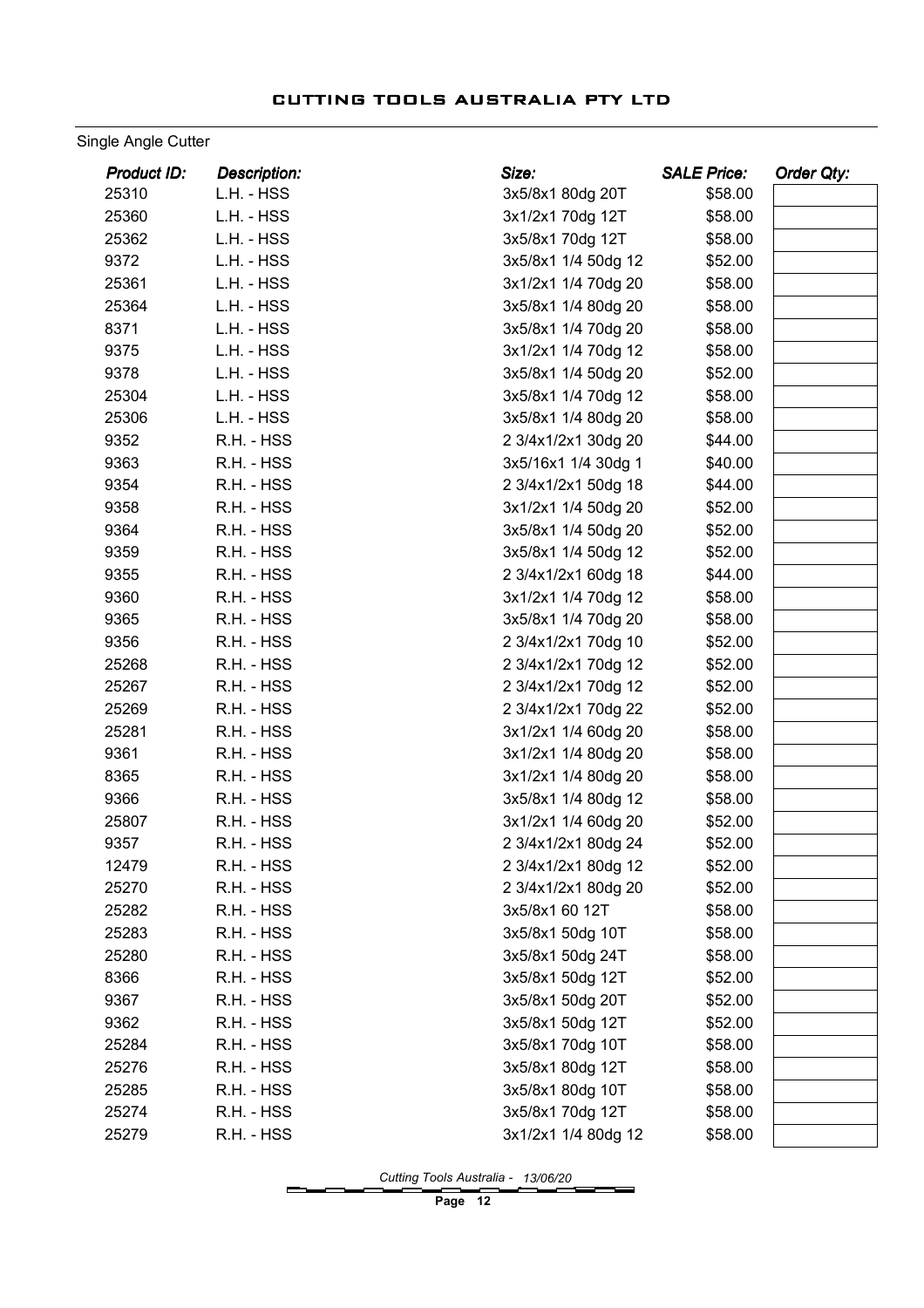#### Single Angle Cutter

| Product ID: | <b>Description:</b> | Size:               | <b>SALE Price:</b> | Order Qty: |
|-------------|---------------------|---------------------|--------------------|------------|
| 25310       | L.H. - HSS          | 3x5/8x1 80dg 20T    | \$58.00            |            |
| 25360       | L.H. - HSS          | 3x1/2x1 70dg 12T    | \$58.00            |            |
| 25362       | L.H. - HSS          | 3x5/8x1 70dg 12T    | \$58.00            |            |
| 9372        | L.H. - HSS          | 3x5/8x1 1/4 50dg 12 | \$52.00            |            |
| 25361       | L.H. - HSS          | 3x1/2x1 1/4 70dg 20 | \$58.00            |            |
| 25364       | L.H. - HSS          | 3x5/8x1 1/4 80dg 20 | \$58.00            |            |
| 8371        | L.H. - HSS          | 3x5/8x1 1/4 70dg 20 | \$58.00            |            |
| 9375        | L.H. - HSS          | 3x1/2x1 1/4 70dg 12 | \$58.00            |            |
| 9378        | L.H. - HSS          | 3x5/8x1 1/4 50dg 20 | \$52.00            |            |
| 25304       | L.H. - HSS          | 3x5/8x1 1/4 70dg 12 | \$58.00            |            |
| 25306       | L.H. - HSS          | 3x5/8x1 1/4 80dg 20 | \$58.00            |            |
| 9352        | R.H. - HSS          | 2 3/4x1/2x1 30dg 20 | \$44.00            |            |
| 9363        | R.H. - HSS          | 3x5/16x1 1/4 30dg 1 | \$40.00            |            |
| 9354        | R.H. - HSS          | 2 3/4x1/2x1 50dg 18 | \$44.00            |            |
| 9358        | R.H. - HSS          | 3x1/2x1 1/4 50dg 20 | \$52.00            |            |
| 9364        | R.H. - HSS          | 3x5/8x1 1/4 50dg 20 | \$52.00            |            |
| 9359        | R.H. - HSS          | 3x5/8x1 1/4 50dg 12 | \$52.00            |            |
| 9355        | R.H. - HSS          | 2 3/4x1/2x1 60dg 18 | \$44.00            |            |
| 9360        | R.H. - HSS          | 3x1/2x1 1/4 70dg 12 | \$58.00            |            |
| 9365        | R.H. - HSS          | 3x5/8x1 1/4 70dg 20 | \$58.00            |            |
| 9356        | R.H. - HSS          | 2 3/4x1/2x1 70dg 10 | \$52.00            |            |
| 25268       | R.H. - HSS          | 2 3/4x1/2x1 70dg 12 | \$52.00            |            |
| 25267       | R.H. - HSS          | 2 3/4x1/2x1 70dg 12 | \$52.00            |            |
| 25269       | R.H. - HSS          | 2 3/4x1/2x1 70dg 22 | \$52.00            |            |
| 25281       | R.H. - HSS          | 3x1/2x1 1/4 60dg 20 | \$58.00            |            |
| 9361        | R.H. - HSS          | 3x1/2x1 1/4 80dg 20 | \$58.00            |            |
| 8365        | R.H. - HSS          | 3x1/2x1 1/4 80dg 20 | \$58.00            |            |
| 9366        | R.H. - HSS          | 3x5/8x1 1/4 80dg 12 | \$58.00            |            |
| 25807       | R.H. - HSS          | 3x1/2x1 1/4 60dg 20 | \$52.00            |            |
| 9357        | R.H. - HSS          | 2 3/4x1/2x1 80dg 24 | \$52.00            |            |
| 12479       | R.H. - HSS          | 2 3/4x1/2x1 80dg 12 | \$52.00            |            |
| 25270       | R.H. - HSS          | 2 3/4x1/2x1 80dg 20 | \$52.00            |            |
| 25282       | R.H. - HSS          | 3x5/8x1 60 12T      | \$58.00            |            |
| 25283       | R.H. - HSS          | 3x5/8x1 50dg 10T    | \$58.00            |            |
| 25280       | R.H. - HSS          | 3x5/8x1 50dg 24T    | \$58.00            |            |
| 8366        | R.H. - HSS          | 3x5/8x1 50dg 12T    | \$52.00            |            |
| 9367        | R.H. - HSS          | 3x5/8x1 50dg 20T    | \$52.00            |            |
| 9362        | R.H. - HSS          | 3x5/8x1 50dg 12T    | \$52.00            |            |
| 25284       | R.H. - HSS          | 3x5/8x1 70dg 10T    | \$58.00            |            |
| 25276       | R.H. - HSS          | 3x5/8x1 80dg 12T    | \$58.00            |            |
| 25285       | R.H. - HSS          | 3x5/8x1 80dg 10T    | \$58.00            |            |
| 25274       | R.H. - HSS          | 3x5/8x1 70dg 12T    | \$58.00            |            |
| 25279       | R.H. - HSS          | 3x1/2x1 1/4 80dg 12 | \$58.00            |            |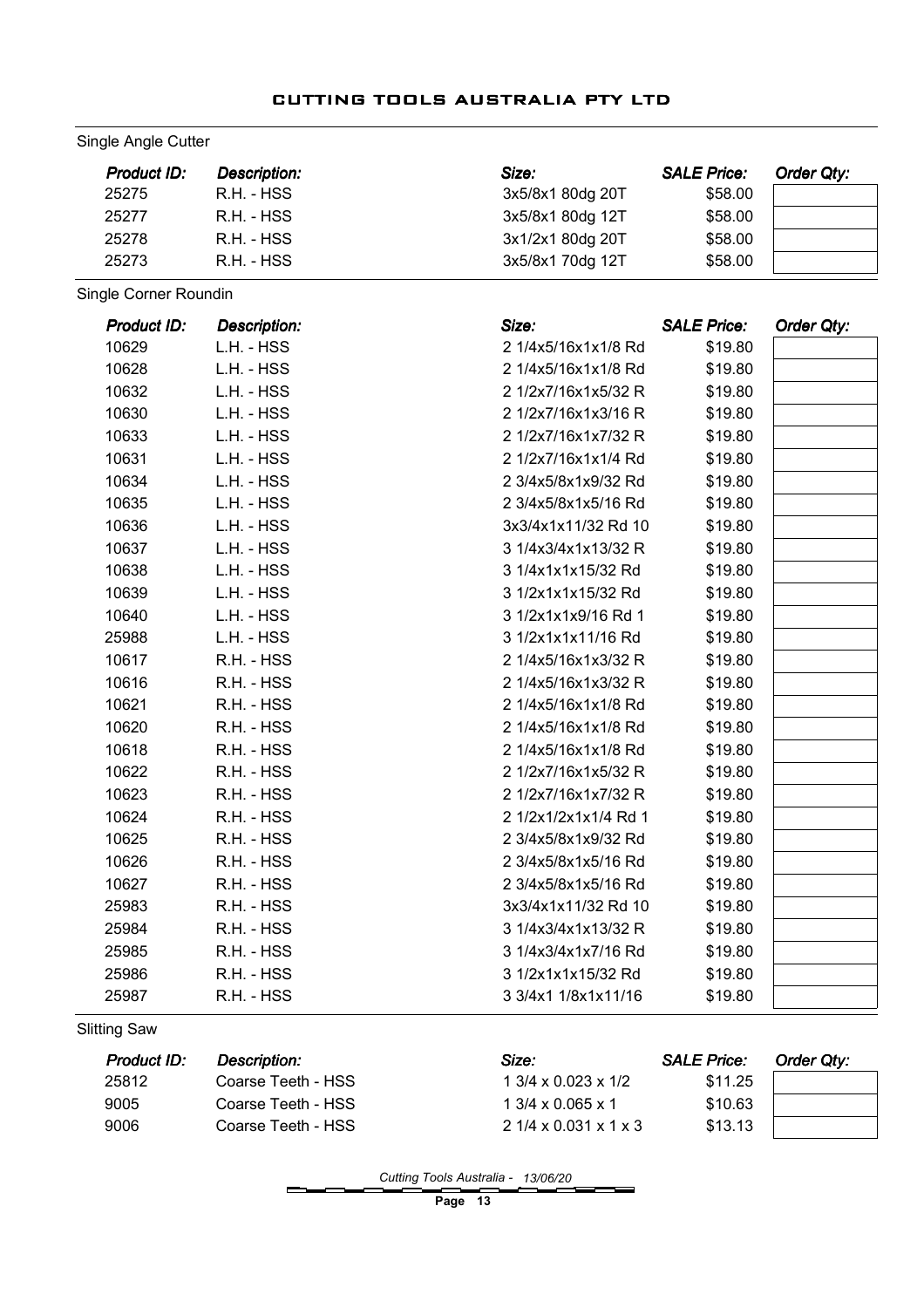#### Single Angle Cutter

| Product ID: | Description: | Size:            | <b>SALE Price:</b> | <b>Order Qty:</b> |
|-------------|--------------|------------------|--------------------|-------------------|
| 25275       | R.H. - HSS   | 3x5/8x1 80dg 20T | \$58.00            |                   |
| 25277       | R.H. - HSS   | 3x5/8x1 80dg 12T | \$58.00            |                   |
| 25278       | R.H. - HSS   | 3x1/2x1 80dg 20T | \$58.00            |                   |
| 25273       | R.H. - HSS   | 3x5/8x1 70dg 12T | \$58.00            |                   |

Single Corner Roundin

| <b>Product ID:</b> | <b>Description:</b> | Size:                | <b>SALE Price:</b> | Order Qty: |
|--------------------|---------------------|----------------------|--------------------|------------|
| 10629              | L.H. - HSS          | 2 1/4x5/16x1x1/8 Rd  | \$19.80            |            |
| 10628              | L.H. - HSS          | 2 1/4x5/16x1x1/8 Rd  | \$19.80            |            |
| 10632              | L.H. - HSS          | 2 1/2x7/16x1x5/32 R  | \$19.80            |            |
| 10630              | L.H. - HSS          | 2 1/2x7/16x1x3/16 R  | \$19.80            |            |
| 10633              | L.H. - HSS          | 2 1/2x7/16x1x7/32 R  | \$19.80            |            |
| 10631              | L.H. - HSS          | 2 1/2x7/16x1x1/4 Rd  | \$19.80            |            |
| 10634              | L.H. - HSS          | 2 3/4x5/8x1x9/32 Rd  | \$19.80            |            |
| 10635              | L.H. - HSS          | 2 3/4x5/8x1x5/16 Rd  | \$19.80            |            |
| 10636              | L.H. - HSS          | 3x3/4x1x11/32 Rd 10  | \$19.80            |            |
| 10637              | L.H. - HSS          | 3 1/4x3/4x1x13/32 R  | \$19.80            |            |
| 10638              | L.H. - HSS          | 3 1/4x1x1x15/32 Rd   | \$19.80            |            |
| 10639              | L.H. - HSS          | 3 1/2x1x1x15/32 Rd   | \$19.80            |            |
| 10640              | L.H. - HSS          | 3 1/2x1x1x9/16 Rd 1  | \$19.80            |            |
| 25988              | L.H. - HSS          | 3 1/2x1x1x11/16 Rd   | \$19.80            |            |
| 10617              | R.H. - HSS          | 2 1/4x5/16x1x3/32 R  | \$19.80            |            |
| 10616              | R.H. - HSS          | 2 1/4x5/16x1x3/32 R  | \$19.80            |            |
| 10621              | R.H. - HSS          | 2 1/4x5/16x1x1/8 Rd  | \$19.80            |            |
| 10620              | R.H. - HSS          | 2 1/4x5/16x1x1/8 Rd  | \$19.80            |            |
| 10618              | R.H. - HSS          | 2 1/4x5/16x1x1/8 Rd  | \$19.80            |            |
| 10622              | R.H. - HSS          | 2 1/2x7/16x1x5/32 R  | \$19.80            |            |
| 10623              | R.H. - HSS          | 2 1/2x7/16x1x7/32 R  | \$19.80            |            |
| 10624              | R.H. - HSS          | 2 1/2x1/2x1x1/4 Rd 1 | \$19.80            |            |
| 10625              | R.H. - HSS          | 2 3/4x5/8x1x9/32 Rd  | \$19.80            |            |
| 10626              | R.H. - HSS          | 2 3/4x5/8x1x5/16 Rd  | \$19.80            |            |
| 10627              | R.H. - HSS          | 2 3/4x5/8x1x5/16 Rd  | \$19.80            |            |
| 25983              | R.H. - HSS          | 3x3/4x1x11/32 Rd 10  | \$19.80            |            |
| 25984              | R.H. - HSS          | 3 1/4x3/4x1x13/32 R  | \$19.80            |            |
| 25985              | R.H. - HSS          | 3 1/4x3/4x1x7/16 Rd  | \$19.80            |            |
| 25986              | R.H. - HSS          | 3 1/2x1x1x15/32 Rd   | \$19.80            |            |
| 25987              | R.H. - HSS          | 3 3/4x1 1/8x1x11/16  | \$19.80            |            |

Slitting Saw

| <b>Product ID:</b> | <b>Description:</b> | Size:                                 | <b>SALE Price:</b> | Order Qtv: |
|--------------------|---------------------|---------------------------------------|--------------------|------------|
| 25812              | Coarse Teeth - HSS  | $1.3/4 \times 0.023 \times 1/2$       | \$11.25            |            |
| 9005               | Coarse Teeth - HSS  | $1.3/4 \times 0.065 \times 1$         | \$10.63            |            |
| 9006               | Coarse Teeth - HSS  | $21/4 \times 0.031 \times 1 \times 3$ | \$13.13            |            |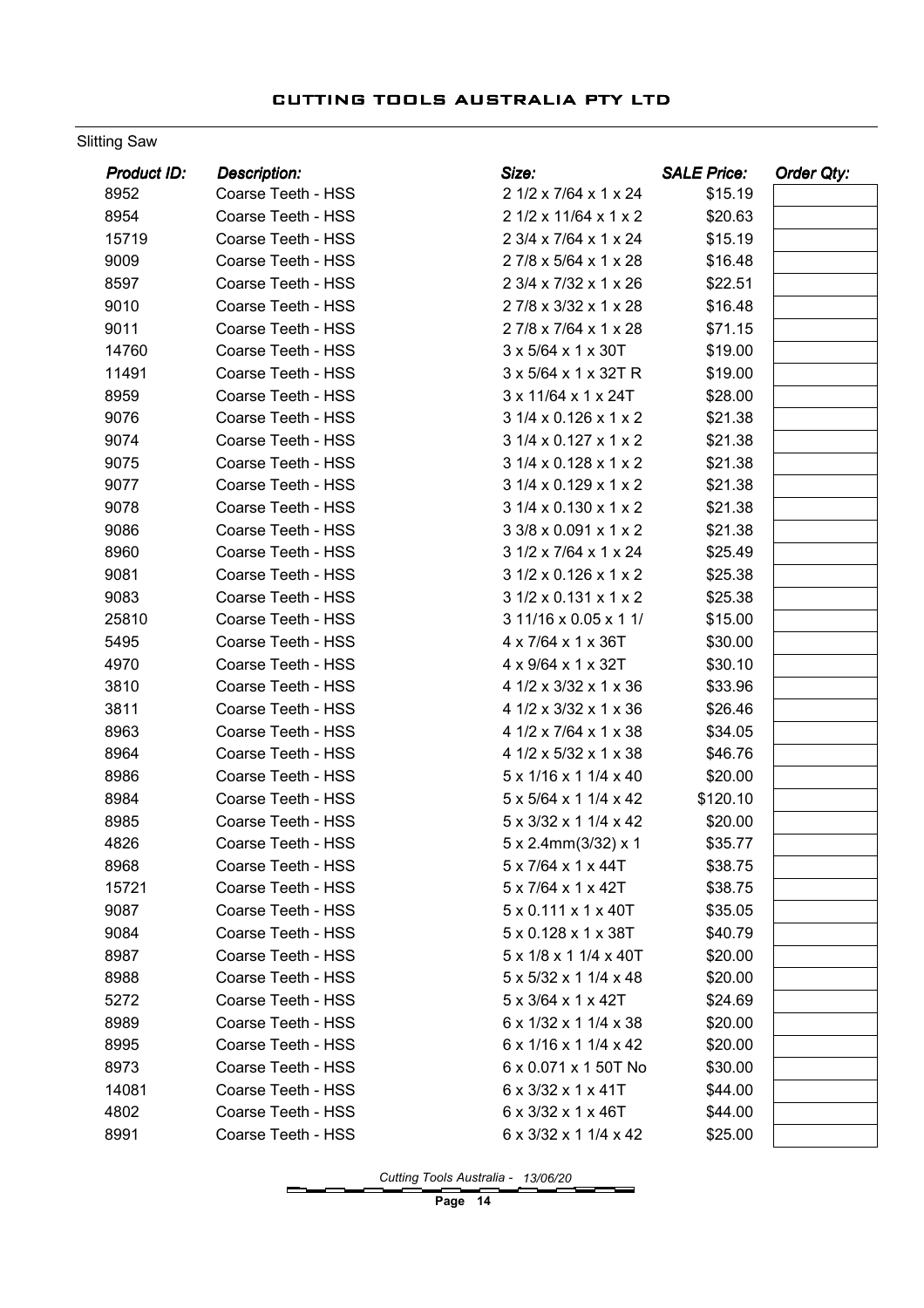#### Slitting Saw

| <b>Product ID:</b> | <b>Description:</b> | Size:                                 | <b>SALE Price:</b> | Order Qty: |
|--------------------|---------------------|---------------------------------------|--------------------|------------|
| 8952               | Coarse Teeth - HSS  | 2 1/2 x 7/64 x 1 x 24                 | \$15.19            |            |
| 8954               | Coarse Teeth - HSS  | 2 1/2 x 11/64 x 1 x 2                 | \$20.63            |            |
| 15719              | Coarse Teeth - HSS  | 2 3/4 x 7/64 x 1 x 24                 | \$15.19            |            |
| 9009               | Coarse Teeth - HSS  | 27/8 x 5/64 x 1 x 28                  | \$16.48            |            |
| 8597               | Coarse Teeth - HSS  | 2 3/4 x 7/32 x 1 x 26                 | \$22.51            |            |
| 9010               | Coarse Teeth - HSS  | 2 7/8 x 3/32 x 1 x 28                 | \$16.48            |            |
| 9011               | Coarse Teeth - HSS  | 27/8 x 7/64 x 1 x 28                  | \$71.15            |            |
| 14760              | Coarse Teeth - HSS  | 3 x 5/64 x 1 x 30T                    | \$19.00            |            |
| 11491              | Coarse Teeth - HSS  | 3 x 5/64 x 1 x 32T R                  | \$19.00            |            |
| 8959               | Coarse Teeth - HSS  | 3 x 11/64 x 1 x 24T                   | \$28.00            |            |
| 9076               | Coarse Teeth - HSS  | 3 1/4 x 0.126 x 1 x 2                 | \$21.38            |            |
| 9074               | Coarse Teeth - HSS  | 3 1/4 x 0.127 x 1 x 2                 | \$21.38            |            |
| 9075               | Coarse Teeth - HSS  | $31/4 \times 0.128 \times 1 \times 2$ | \$21.38            |            |
| 9077               | Coarse Teeth - HSS  | 3 1/4 x 0.129 x 1 x 2                 | \$21.38            |            |
| 9078               | Coarse Teeth - HSS  | $31/4 \times 0.130 \times 1 \times 2$ | \$21.38            |            |
| 9086               | Coarse Teeth - HSS  | 3 3/8 x 0.091 x 1 x 2                 | \$21.38            |            |
| 8960               | Coarse Teeth - HSS  | 3 1/2 x 7/64 x 1 x 24                 | \$25.49            |            |
| 9081               | Coarse Teeth - HSS  | $31/2 \times 0.126 \times 1 \times 2$ | \$25.38            |            |
| 9083               | Coarse Teeth - HSS  | $31/2 \times 0.131 \times 1 \times 2$ | \$25.38            |            |
| 25810              | Coarse Teeth - HSS  | 3 11/16 x 0.05 x 1 1/                 | \$15.00            |            |
| 5495               | Coarse Teeth - HSS  | 4 x 7/64 x 1 x 36T                    | \$30.00            |            |
| 4970               | Coarse Teeth - HSS  | 4 x 9/64 x 1 x 32T                    | \$30.10            |            |
| 3810               | Coarse Teeth - HSS  | 4 1/2 x 3/32 x 1 x 36                 | \$33.96            |            |
| 3811               | Coarse Teeth - HSS  | 4 1/2 x 3/32 x 1 x 36                 | \$26.46            |            |
| 8963               | Coarse Teeth - HSS  | 4 1/2 x 7/64 x 1 x 38                 | \$34.05            |            |
| 8964               | Coarse Teeth - HSS  | 4 1/2 x 5/32 x 1 x 38                 | \$46.76            |            |
| 8986               | Coarse Teeth - HSS  | 5 x 1/16 x 1 1/4 x 40                 | \$20.00            |            |
| 8984               | Coarse Teeth - HSS  | 5 x 5/64 x 1 1/4 x 42                 | \$120.10           |            |
| 8985               | Coarse Teeth - HSS  | 5 x 3/32 x 1 1/4 x 42                 | \$20.00            |            |
| 4826               | Coarse Teeth - HSS  | 5 x 2.4mm(3/32) x 1                   | \$35.77            |            |
| 8968               | Coarse Teeth - HSS  | $5 \times 7/64 \times 1 \times 44$ T  | \$38.75            |            |
| 15721              | Coarse Teeth - HSS  | 5 x 7/64 x 1 x 42T                    | \$38.75            |            |
| 9087               | Coarse Teeth - HSS  | $5 \times 0.111 \times 1 \times 40T$  | \$35.05            |            |
| 9084               | Coarse Teeth - HSS  | 5 x 0.128 x 1 x 38T                   | \$40.79            |            |
| 8987               | Coarse Teeth - HSS  | 5 x 1/8 x 1 1/4 x 40T                 | \$20.00            |            |
| 8988               | Coarse Teeth - HSS  | 5 x 5/32 x 1 1/4 x 48                 | \$20.00            |            |
| 5272               | Coarse Teeth - HSS  | 5 x 3/64 x 1 x 42T                    | \$24.69            |            |
| 8989               | Coarse Teeth - HSS  | 6 x 1/32 x 1 1/4 x 38                 | \$20.00            |            |
| 8995               | Coarse Teeth - HSS  | 6 x 1/16 x 1 1/4 x 42                 | \$20.00            |            |
| 8973               | Coarse Teeth - HSS  | 6 x 0.071 x 1 50T No                  | \$30.00            |            |
| 14081              | Coarse Teeth - HSS  | 6 x 3/32 x 1 x 41T                    | \$44.00            |            |
| 4802               | Coarse Teeth - HSS  | 6 x 3/32 x 1 x 46T                    | \$44.00            |            |
| 8991               | Coarse Teeth - HSS  | 6 x 3/32 x 1 1/4 x 42                 | \$25.00            |            |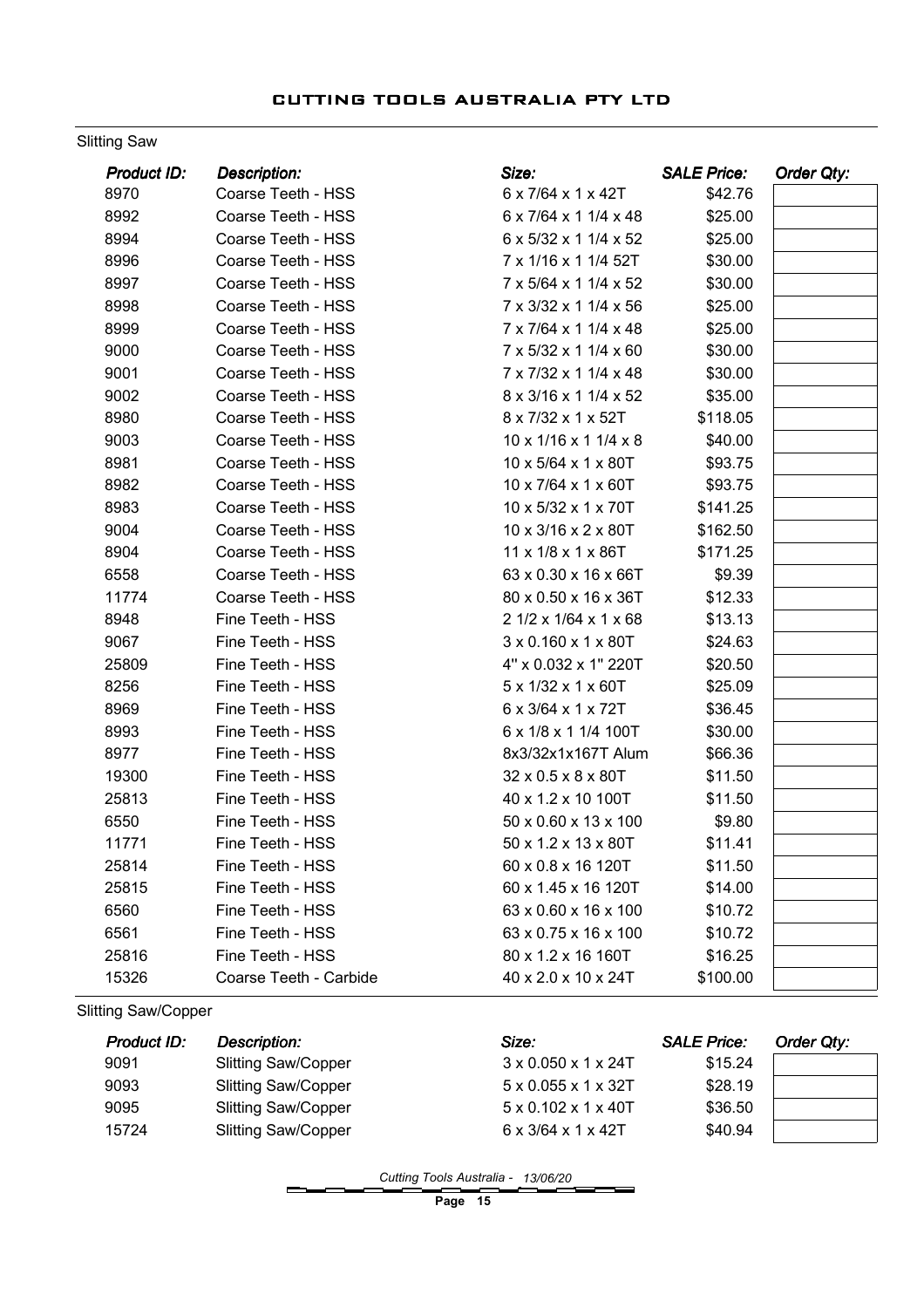#### Slitting Saw

| Product ID: | <b>Description:</b>    | Size:                 | <b>SALE Price:</b> | <b>Order Qty:</b> |
|-------------|------------------------|-----------------------|--------------------|-------------------|
| 8970        | Coarse Teeth - HSS     | 6 x 7/64 x 1 x 42T    | \$42.76            |                   |
| 8992        | Coarse Teeth - HSS     | 6 x 7/64 x 1 1/4 x 48 | \$25.00            |                   |
| 8994        | Coarse Teeth - HSS     | 6 x 5/32 x 1 1/4 x 52 | \$25.00            |                   |
| 8996        | Coarse Teeth - HSS     | 7 x 1/16 x 1 1/4 52T  | \$30.00            |                   |
| 8997        | Coarse Teeth - HSS     | 7 x 5/64 x 1 1/4 x 52 | \$30.00            |                   |
| 8998        | Coarse Teeth - HSS     | 7 x 3/32 x 1 1/4 x 56 | \$25.00            |                   |
| 8999        | Coarse Teeth - HSS     | 7 x 7/64 x 1 1/4 x 48 | \$25.00            |                   |
| 9000        | Coarse Teeth - HSS     | 7 x 5/32 x 1 1/4 x 60 | \$30.00            |                   |
| 9001        | Coarse Teeth - HSS     | 7 x 7/32 x 1 1/4 x 48 | \$30.00            |                   |
| 9002        | Coarse Teeth - HSS     | 8 x 3/16 x 1 1/4 x 52 | \$35.00            |                   |
| 8980        | Coarse Teeth - HSS     | 8 x 7/32 x 1 x 52T    | \$118.05           |                   |
| 9003        | Coarse Teeth - HSS     | 10 x 1/16 x 1 1/4 x 8 | \$40.00            |                   |
| 8981        | Coarse Teeth - HSS     | 10 x 5/64 x 1 x 80T   | \$93.75            |                   |
| 8982        | Coarse Teeth - HSS     | 10 x 7/64 x 1 x 60T   | \$93.75            |                   |
| 8983        | Coarse Teeth - HSS     | 10 x 5/32 x 1 x 70T   | \$141.25           |                   |
| 9004        | Coarse Teeth - HSS     | 10 x 3/16 x 2 x 80T   | \$162.50           |                   |
| 8904        | Coarse Teeth - HSS     | 11 x 1/8 x 1 x 86T    | \$171.25           |                   |
| 6558        | Coarse Teeth - HSS     | 63 x 0.30 x 16 x 66T  | \$9.39             |                   |
| 11774       | Coarse Teeth - HSS     | 80 x 0.50 x 16 x 36T  | \$12.33            |                   |
| 8948        | Fine Teeth - HSS       | 2 1/2 x 1/64 x 1 x 68 | \$13.13            |                   |
| 9067        | Fine Teeth - HSS       | 3 x 0.160 x 1 x 80T   | \$24.63            |                   |
| 25809       | Fine Teeth - HSS       | 4" x 0.032 x 1" 220T  | \$20.50            |                   |
| 8256        | Fine Teeth - HSS       | 5 x 1/32 x 1 x 60T    | \$25.09            |                   |
| 8969        | Fine Teeth - HSS       | 6 x 3/64 x 1 x 72T    | \$36.45            |                   |
| 8993        | Fine Teeth - HSS       | 6 x 1/8 x 1 1/4 100T  | \$30.00            |                   |
| 8977        | Fine Teeth - HSS       | 8x3/32x1x167T Alum    | \$66.36            |                   |
| 19300       | Fine Teeth - HSS       | 32 x 0.5 x 8 x 80T    | \$11.50            |                   |
| 25813       | Fine Teeth - HSS       | 40 x 1.2 x 10 100T    | \$11.50            |                   |
| 6550        | Fine Teeth - HSS       | 50 x 0.60 x 13 x 100  | \$9.80             |                   |
| 11771       | Fine Teeth - HSS       | 50 x 1.2 x 13 x 80T   | \$11.41            |                   |
| 25814       | Fine Teeth - HSS       | 60 x 0.8 x 16 120T    | \$11.50            |                   |
| 25815       | Fine Teeth - HSS       | 60 x 1.45 x 16 120T   | \$14.00            |                   |
| 6560        | Fine Teeth - HSS       | 63 x 0.60 x 16 x 100  | \$10.72            |                   |
| 6561        | Fine Teeth - HSS       | 63 x 0.75 x 16 x 100  | \$10.72            |                   |
| 25816       | Fine Teeth - HSS       | 80 x 1.2 x 16 160T    | \$16.25            |                   |
| 15326       | Coarse Teeth - Carbide | 40 x 2.0 x 10 x 24T   | \$100.00           |                   |

Slitting Saw/Copper

| <b>Product ID:</b> | <b>Description:</b>        | Size:                                 | <b>SALE Price:</b> | Order Qty: |
|--------------------|----------------------------|---------------------------------------|--------------------|------------|
| 9091               | <b>Slitting Saw/Copper</b> | $3 \times 0.050 \times 1 \times 24$ T | \$15.24            |            |
| 9093               | <b>Slitting Saw/Copper</b> | $5 \times 0.055 \times 1 \times 32T$  | \$28.19            |            |
| 9095               | <b>Slitting Saw/Copper</b> | $5 \times 0.102 \times 1 \times 40$ T | \$36.50            |            |
| 15724              | <b>Slitting Saw/Copper</b> | $6 \times 3/64 \times 1 \times 42T$   | \$40.94            |            |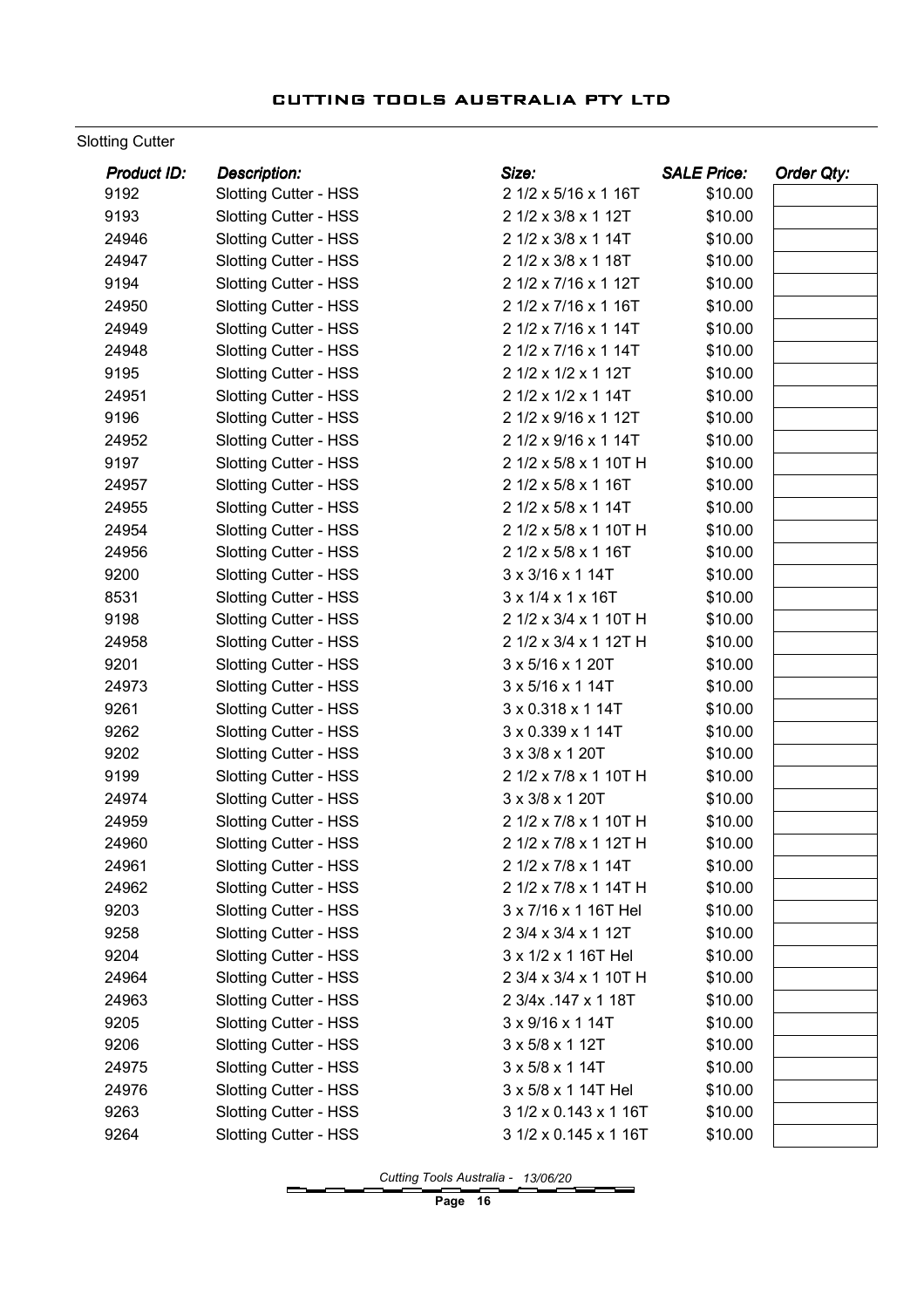#### Slotting Cutter

| 9192<br><b>Slotting Cutter - HSS</b><br>2 1/2 x 5/16 x 1 16T<br>\$10.00<br>9193<br><b>Slotting Cutter - HSS</b><br>2 1/2 x 3/8 x 1 12T<br>\$10.00<br>2 1/2 x 3/8 x 1 14T<br>\$10.00<br>24946<br><b>Slotting Cutter - HSS</b><br>2 1/2 x 3/8 x 1 18T<br>24947<br><b>Slotting Cutter - HSS</b><br>\$10.00<br>9194<br>Slotting Cutter - HSS<br>2 1/2 x 7/16 x 1 12T<br>\$10.00<br>24950<br>2 1/2 x 7/16 x 1 16T<br>\$10.00<br><b>Slotting Cutter - HSS</b><br><b>Slotting Cutter - HSS</b><br>2 1/2 x 7/16 x 1 14T<br>\$10.00<br>24949<br>24948<br>2 1/2 x 7/16 x 1 14T<br>\$10.00<br><b>Slotting Cutter - HSS</b><br>9195<br>2 1/2 x 1/2 x 1 12T<br><b>Slotting Cutter - HSS</b><br>\$10.00<br>24951<br><b>Slotting Cutter - HSS</b><br>2 1/2 x 1/2 x 1 14T<br>\$10.00<br>9196<br>2 1/2 x 9/16 x 1 12T<br>\$10.00<br><b>Slotting Cutter - HSS</b><br>24952<br>2 1/2 x 9/16 x 1 14T<br>\$10.00<br><b>Slotting Cutter - HSS</b><br>9197<br>2 1/2 x 5/8 x 1 10T H<br>\$10.00<br><b>Slotting Cutter - HSS</b><br><b>Slotting Cutter - HSS</b><br>2 1/2 x 5/8 x 1 16T<br>\$10.00<br>24957<br>2 1/2 x 5/8 x 1 14T<br>\$10.00<br>24955<br><b>Slotting Cutter - HSS</b><br>24954<br>2 1/2 x 5/8 x 1 10T H<br>\$10.00<br><b>Slotting Cutter - HSS</b> |
|--------------------------------------------------------------------------------------------------------------------------------------------------------------------------------------------------------------------------------------------------------------------------------------------------------------------------------------------------------------------------------------------------------------------------------------------------------------------------------------------------------------------------------------------------------------------------------------------------------------------------------------------------------------------------------------------------------------------------------------------------------------------------------------------------------------------------------------------------------------------------------------------------------------------------------------------------------------------------------------------------------------------------------------------------------------------------------------------------------------------------------------------------------------------------------------------------------------------------------------------|
|                                                                                                                                                                                                                                                                                                                                                                                                                                                                                                                                                                                                                                                                                                                                                                                                                                                                                                                                                                                                                                                                                                                                                                                                                                            |
|                                                                                                                                                                                                                                                                                                                                                                                                                                                                                                                                                                                                                                                                                                                                                                                                                                                                                                                                                                                                                                                                                                                                                                                                                                            |
|                                                                                                                                                                                                                                                                                                                                                                                                                                                                                                                                                                                                                                                                                                                                                                                                                                                                                                                                                                                                                                                                                                                                                                                                                                            |
|                                                                                                                                                                                                                                                                                                                                                                                                                                                                                                                                                                                                                                                                                                                                                                                                                                                                                                                                                                                                                                                                                                                                                                                                                                            |
|                                                                                                                                                                                                                                                                                                                                                                                                                                                                                                                                                                                                                                                                                                                                                                                                                                                                                                                                                                                                                                                                                                                                                                                                                                            |
|                                                                                                                                                                                                                                                                                                                                                                                                                                                                                                                                                                                                                                                                                                                                                                                                                                                                                                                                                                                                                                                                                                                                                                                                                                            |
|                                                                                                                                                                                                                                                                                                                                                                                                                                                                                                                                                                                                                                                                                                                                                                                                                                                                                                                                                                                                                                                                                                                                                                                                                                            |
|                                                                                                                                                                                                                                                                                                                                                                                                                                                                                                                                                                                                                                                                                                                                                                                                                                                                                                                                                                                                                                                                                                                                                                                                                                            |
|                                                                                                                                                                                                                                                                                                                                                                                                                                                                                                                                                                                                                                                                                                                                                                                                                                                                                                                                                                                                                                                                                                                                                                                                                                            |
|                                                                                                                                                                                                                                                                                                                                                                                                                                                                                                                                                                                                                                                                                                                                                                                                                                                                                                                                                                                                                                                                                                                                                                                                                                            |
|                                                                                                                                                                                                                                                                                                                                                                                                                                                                                                                                                                                                                                                                                                                                                                                                                                                                                                                                                                                                                                                                                                                                                                                                                                            |
|                                                                                                                                                                                                                                                                                                                                                                                                                                                                                                                                                                                                                                                                                                                                                                                                                                                                                                                                                                                                                                                                                                                                                                                                                                            |
|                                                                                                                                                                                                                                                                                                                                                                                                                                                                                                                                                                                                                                                                                                                                                                                                                                                                                                                                                                                                                                                                                                                                                                                                                                            |
|                                                                                                                                                                                                                                                                                                                                                                                                                                                                                                                                                                                                                                                                                                                                                                                                                                                                                                                                                                                                                                                                                                                                                                                                                                            |
|                                                                                                                                                                                                                                                                                                                                                                                                                                                                                                                                                                                                                                                                                                                                                                                                                                                                                                                                                                                                                                                                                                                                                                                                                                            |
|                                                                                                                                                                                                                                                                                                                                                                                                                                                                                                                                                                                                                                                                                                                                                                                                                                                                                                                                                                                                                                                                                                                                                                                                                                            |
| 24956<br>2 1/2 x 5/8 x 1 16T<br>\$10.00<br><b>Slotting Cutter - HSS</b>                                                                                                                                                                                                                                                                                                                                                                                                                                                                                                                                                                                                                                                                                                                                                                                                                                                                                                                                                                                                                                                                                                                                                                    |
| 9200<br>3 x 3/16 x 1 14T<br>\$10.00<br><b>Slotting Cutter - HSS</b>                                                                                                                                                                                                                                                                                                                                                                                                                                                                                                                                                                                                                                                                                                                                                                                                                                                                                                                                                                                                                                                                                                                                                                        |
| 8531<br>3 x 1/4 x 1 x 16T<br>\$10.00<br><b>Slotting Cutter - HSS</b>                                                                                                                                                                                                                                                                                                                                                                                                                                                                                                                                                                                                                                                                                                                                                                                                                                                                                                                                                                                                                                                                                                                                                                       |
| 9198<br><b>Slotting Cutter - HSS</b><br>2 1/2 x 3/4 x 1 10T H<br>\$10.00                                                                                                                                                                                                                                                                                                                                                                                                                                                                                                                                                                                                                                                                                                                                                                                                                                                                                                                                                                                                                                                                                                                                                                   |
| 2 1/2 x 3/4 x 1 12T H<br>\$10.00<br>24958<br><b>Slotting Cutter - HSS</b>                                                                                                                                                                                                                                                                                                                                                                                                                                                                                                                                                                                                                                                                                                                                                                                                                                                                                                                                                                                                                                                                                                                                                                  |
| 9201<br>3 x 5/16 x 1 20T<br>\$10.00<br><b>Slotting Cutter - HSS</b>                                                                                                                                                                                                                                                                                                                                                                                                                                                                                                                                                                                                                                                                                                                                                                                                                                                                                                                                                                                                                                                                                                                                                                        |
| 24973<br><b>Slotting Cutter - HSS</b><br>3 x 5/16 x 1 14T<br>\$10.00                                                                                                                                                                                                                                                                                                                                                                                                                                                                                                                                                                                                                                                                                                                                                                                                                                                                                                                                                                                                                                                                                                                                                                       |
| 9261<br>3 x 0.318 x 1 14T<br>\$10.00<br><b>Slotting Cutter - HSS</b>                                                                                                                                                                                                                                                                                                                                                                                                                                                                                                                                                                                                                                                                                                                                                                                                                                                                                                                                                                                                                                                                                                                                                                       |
| 9262<br>3 x 0.339 x 1 14T<br>\$10.00<br><b>Slotting Cutter - HSS</b>                                                                                                                                                                                                                                                                                                                                                                                                                                                                                                                                                                                                                                                                                                                                                                                                                                                                                                                                                                                                                                                                                                                                                                       |
| 9202<br>3 x 3/8 x 1 20T<br>\$10.00<br><b>Slotting Cutter - HSS</b>                                                                                                                                                                                                                                                                                                                                                                                                                                                                                                                                                                                                                                                                                                                                                                                                                                                                                                                                                                                                                                                                                                                                                                         |
| 9199<br>2 1/2 x 7/8 x 1 10T H<br>Slotting Cutter - HSS<br>\$10.00                                                                                                                                                                                                                                                                                                                                                                                                                                                                                                                                                                                                                                                                                                                                                                                                                                                                                                                                                                                                                                                                                                                                                                          |
| <b>Slotting Cutter - HSS</b><br>3 x 3/8 x 1 20T<br>\$10.00<br>24974                                                                                                                                                                                                                                                                                                                                                                                                                                                                                                                                                                                                                                                                                                                                                                                                                                                                                                                                                                                                                                                                                                                                                                        |
| <b>Slotting Cutter - HSS</b><br>2 1/2 x 7/8 x 1 10T H<br>\$10.00<br>24959                                                                                                                                                                                                                                                                                                                                                                                                                                                                                                                                                                                                                                                                                                                                                                                                                                                                                                                                                                                                                                                                                                                                                                  |
| 24960<br>2 1/2 x 7/8 x 1 12T H<br>\$10.00<br><b>Slotting Cutter - HSS</b>                                                                                                                                                                                                                                                                                                                                                                                                                                                                                                                                                                                                                                                                                                                                                                                                                                                                                                                                                                                                                                                                                                                                                                  |
| 24961<br><b>Slotting Cutter - HSS</b><br>2 1/2 x 7/8 x 1 14T<br>\$10.00                                                                                                                                                                                                                                                                                                                                                                                                                                                                                                                                                                                                                                                                                                                                                                                                                                                                                                                                                                                                                                                                                                                                                                    |
| 24962<br><b>Slotting Cutter - HSS</b><br>2 1/2 x 7/8 x 1 14T H<br>\$10.00                                                                                                                                                                                                                                                                                                                                                                                                                                                                                                                                                                                                                                                                                                                                                                                                                                                                                                                                                                                                                                                                                                                                                                  |
| 9203<br><b>Slotting Cutter - HSS</b><br>3 x 7/16 x 1 16T Hel<br>\$10.00                                                                                                                                                                                                                                                                                                                                                                                                                                                                                                                                                                                                                                                                                                                                                                                                                                                                                                                                                                                                                                                                                                                                                                    |
| 9258<br><b>Slotting Cutter - HSS</b><br>2 3/4 x 3/4 x 1 12T<br>\$10.00                                                                                                                                                                                                                                                                                                                                                                                                                                                                                                                                                                                                                                                                                                                                                                                                                                                                                                                                                                                                                                                                                                                                                                     |
| 9204<br><b>Slotting Cutter - HSS</b><br>3 x 1/2 x 1 16T Hel<br>\$10.00                                                                                                                                                                                                                                                                                                                                                                                                                                                                                                                                                                                                                                                                                                                                                                                                                                                                                                                                                                                                                                                                                                                                                                     |
| Slotting Cutter - HSS<br>2 3/4 x 3/4 x 1 10T H<br>24964<br>\$10.00                                                                                                                                                                                                                                                                                                                                                                                                                                                                                                                                                                                                                                                                                                                                                                                                                                                                                                                                                                                                                                                                                                                                                                         |
| <b>Slotting Cutter - HSS</b><br>24963<br>2 3/4x .147 x 1 18T<br>\$10.00                                                                                                                                                                                                                                                                                                                                                                                                                                                                                                                                                                                                                                                                                                                                                                                                                                                                                                                                                                                                                                                                                                                                                                    |
| 9205<br><b>Slotting Cutter - HSS</b><br>3 x 9/16 x 1 14T<br>\$10.00                                                                                                                                                                                                                                                                                                                                                                                                                                                                                                                                                                                                                                                                                                                                                                                                                                                                                                                                                                                                                                                                                                                                                                        |
| 9206<br><b>Slotting Cutter - HSS</b><br>3 x 5/8 x 1 12T<br>\$10.00                                                                                                                                                                                                                                                                                                                                                                                                                                                                                                                                                                                                                                                                                                                                                                                                                                                                                                                                                                                                                                                                                                                                                                         |
| 24975<br><b>Slotting Cutter - HSS</b><br>3 x 5/8 x 1 14T<br>\$10.00                                                                                                                                                                                                                                                                                                                                                                                                                                                                                                                                                                                                                                                                                                                                                                                                                                                                                                                                                                                                                                                                                                                                                                        |
| <b>Slotting Cutter - HSS</b><br>24976<br>3 x 5/8 x 1 14T Hel<br>\$10.00                                                                                                                                                                                                                                                                                                                                                                                                                                                                                                                                                                                                                                                                                                                                                                                                                                                                                                                                                                                                                                                                                                                                                                    |
| 9263<br><b>Slotting Cutter - HSS</b><br>3 1/2 x 0.143 x 1 16T<br>\$10.00                                                                                                                                                                                                                                                                                                                                                                                                                                                                                                                                                                                                                                                                                                                                                                                                                                                                                                                                                                                                                                                                                                                                                                   |
| <b>Slotting Cutter - HSS</b><br>9264<br>3 1/2 x 0.145 x 1 16T<br>\$10.00                                                                                                                                                                                                                                                                                                                                                                                                                                                                                                                                                                                                                                                                                                                                                                                                                                                                                                                                                                                                                                                                                                                                                                   |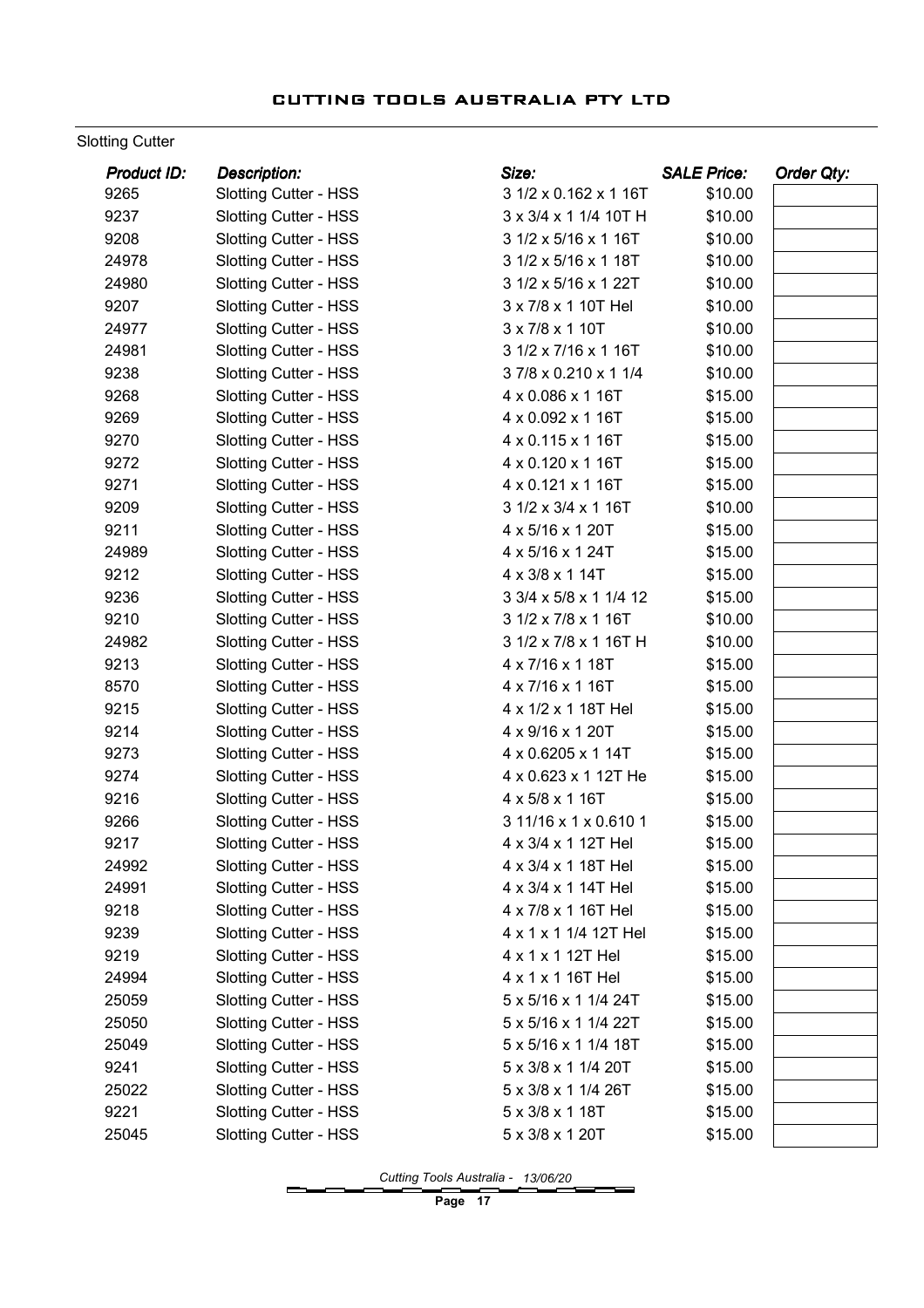#### Slotting Cutter

| 9265<br>3 1/2 x 0.162 x 1 16T<br>\$10.00<br><b>Slotting Cutter - HSS</b><br>9237<br><b>Slotting Cutter - HSS</b><br>3 x 3/4 x 1 1/4 10T H<br>\$10.00<br>9208<br>\$10.00<br><b>Slotting Cutter - HSS</b><br>3 1/2 x 5/16 x 1 16T<br>24978<br><b>Slotting Cutter - HSS</b><br>3 1/2 x 5/16 x 1 18T<br>\$10.00<br>24980<br><b>Slotting Cutter - HSS</b><br>3 1/2 x 5/16 x 1 22T<br>\$10.00<br>9207<br>\$10.00<br><b>Slotting Cutter - HSS</b><br>3 x 7/8 x 1 10T Hel<br>24977<br>3 x 7/8 x 1 10T<br>\$10.00<br><b>Slotting Cutter - HSS</b><br>24981<br><b>Slotting Cutter - HSS</b><br>3 1/2 x 7/16 x 1 16T<br>\$10.00<br>9238<br>37/8 x 0.210 x 1 1/4<br>\$10.00<br><b>Slotting Cutter - HSS</b><br>9268<br><b>Slotting Cutter - HSS</b><br>4 x 0.086 x 1 16T<br>\$15.00<br>9269<br><b>Slotting Cutter - HSS</b><br>4 x 0.092 x 1 16T<br>\$15.00<br>9270<br>4 x 0.115 x 1 16T<br>\$15.00<br><b>Slotting Cutter - HSS</b><br>9272<br>4 x 0.120 x 1 16T<br><b>Slotting Cutter - HSS</b><br>\$15.00<br>9271<br>4 x 0.121 x 1 16T<br><b>Slotting Cutter - HSS</b><br>\$15.00<br>9209<br>3 1/2 x 3/4 x 1 16T<br>\$10.00<br><b>Slotting Cutter - HSS</b><br>9211<br>4 x 5/16 x 1 20T<br>\$15.00<br><b>Slotting Cutter - HSS</b><br>24989<br>4 x 5/16 x 1 24T<br>\$15.00<br><b>Slotting Cutter - HSS</b><br>9212<br><b>Slotting Cutter - HSS</b><br>4 x 3/8 x 1 14T<br>\$15.00<br>9236<br><b>Slotting Cutter - HSS</b><br>3 3/4 x 5/8 x 1 1/4 12<br>\$15.00<br>9210<br><b>Slotting Cutter - HSS</b><br>3 1/2 x 7/8 x 1 16T<br>\$10.00<br>3 1/2 x 7/8 x 1 16T H<br>\$10.00<br>24982<br><b>Slotting Cutter - HSS</b><br>9213<br>4 x 7/16 x 1 18T<br>\$15.00<br><b>Slotting Cutter - HSS</b><br>8570<br><b>Slotting Cutter - HSS</b><br>4 x 7/16 x 1 16T<br>\$15.00<br>9215<br><b>Slotting Cutter - HSS</b><br>4 x 1/2 x 1 18T Hel<br>\$15.00<br>9214<br>Slotting Cutter - HSS<br>4 x 9/16 x 1 20T<br>\$15.00<br>9273<br><b>Slotting Cutter - HSS</b><br>4 x 0.6205 x 1 14T<br>\$15.00<br>9274<br>Slotting Cutter - HSS<br>4 x 0.623 x 1 12T He<br>\$15.00<br>9216<br>4 x 5/8 x 1 16T<br>\$15.00<br><b>Slotting Cutter - HSS</b><br><b>Slotting Cutter - HSS</b><br>3 11/16 x 1 x 0.610 1<br>\$15.00<br>9266<br>9217<br><b>Slotting Cutter - HSS</b><br>4 x 3/4 x 1 12T Hel<br>\$15.00<br><b>Slotting Cutter - HSS</b><br>\$15.00<br>24992<br>4 x 3/4 x 1 18T Hel | Product ID: | <b>Description:</b> | Size: | <b>SALE Price:</b> | Order Qty: |
|--------------------------------------------------------------------------------------------------------------------------------------------------------------------------------------------------------------------------------------------------------------------------------------------------------------------------------------------------------------------------------------------------------------------------------------------------------------------------------------------------------------------------------------------------------------------------------------------------------------------------------------------------------------------------------------------------------------------------------------------------------------------------------------------------------------------------------------------------------------------------------------------------------------------------------------------------------------------------------------------------------------------------------------------------------------------------------------------------------------------------------------------------------------------------------------------------------------------------------------------------------------------------------------------------------------------------------------------------------------------------------------------------------------------------------------------------------------------------------------------------------------------------------------------------------------------------------------------------------------------------------------------------------------------------------------------------------------------------------------------------------------------------------------------------------------------------------------------------------------------------------------------------------------------------------------------------------------------------------------------------------------------------------------------------------------------------------------------------------------------------------------------------------------------------------------------------------------------------------------------------------------------------------------------------------------------------------------------------------|-------------|---------------------|-------|--------------------|------------|
|                                                                                                                                                                                                                                                                                                                                                                                                                                                                                                                                                                                                                                                                                                                                                                                                                                                                                                                                                                                                                                                                                                                                                                                                                                                                                                                                                                                                                                                                                                                                                                                                                                                                                                                                                                                                                                                                                                                                                                                                                                                                                                                                                                                                                                                                                                                                                        |             |                     |       |                    |            |
|                                                                                                                                                                                                                                                                                                                                                                                                                                                                                                                                                                                                                                                                                                                                                                                                                                                                                                                                                                                                                                                                                                                                                                                                                                                                                                                                                                                                                                                                                                                                                                                                                                                                                                                                                                                                                                                                                                                                                                                                                                                                                                                                                                                                                                                                                                                                                        |             |                     |       |                    |            |
|                                                                                                                                                                                                                                                                                                                                                                                                                                                                                                                                                                                                                                                                                                                                                                                                                                                                                                                                                                                                                                                                                                                                                                                                                                                                                                                                                                                                                                                                                                                                                                                                                                                                                                                                                                                                                                                                                                                                                                                                                                                                                                                                                                                                                                                                                                                                                        |             |                     |       |                    |            |
|                                                                                                                                                                                                                                                                                                                                                                                                                                                                                                                                                                                                                                                                                                                                                                                                                                                                                                                                                                                                                                                                                                                                                                                                                                                                                                                                                                                                                                                                                                                                                                                                                                                                                                                                                                                                                                                                                                                                                                                                                                                                                                                                                                                                                                                                                                                                                        |             |                     |       |                    |            |
|                                                                                                                                                                                                                                                                                                                                                                                                                                                                                                                                                                                                                                                                                                                                                                                                                                                                                                                                                                                                                                                                                                                                                                                                                                                                                                                                                                                                                                                                                                                                                                                                                                                                                                                                                                                                                                                                                                                                                                                                                                                                                                                                                                                                                                                                                                                                                        |             |                     |       |                    |            |
|                                                                                                                                                                                                                                                                                                                                                                                                                                                                                                                                                                                                                                                                                                                                                                                                                                                                                                                                                                                                                                                                                                                                                                                                                                                                                                                                                                                                                                                                                                                                                                                                                                                                                                                                                                                                                                                                                                                                                                                                                                                                                                                                                                                                                                                                                                                                                        |             |                     |       |                    |            |
|                                                                                                                                                                                                                                                                                                                                                                                                                                                                                                                                                                                                                                                                                                                                                                                                                                                                                                                                                                                                                                                                                                                                                                                                                                                                                                                                                                                                                                                                                                                                                                                                                                                                                                                                                                                                                                                                                                                                                                                                                                                                                                                                                                                                                                                                                                                                                        |             |                     |       |                    |            |
|                                                                                                                                                                                                                                                                                                                                                                                                                                                                                                                                                                                                                                                                                                                                                                                                                                                                                                                                                                                                                                                                                                                                                                                                                                                                                                                                                                                                                                                                                                                                                                                                                                                                                                                                                                                                                                                                                                                                                                                                                                                                                                                                                                                                                                                                                                                                                        |             |                     |       |                    |            |
|                                                                                                                                                                                                                                                                                                                                                                                                                                                                                                                                                                                                                                                                                                                                                                                                                                                                                                                                                                                                                                                                                                                                                                                                                                                                                                                                                                                                                                                                                                                                                                                                                                                                                                                                                                                                                                                                                                                                                                                                                                                                                                                                                                                                                                                                                                                                                        |             |                     |       |                    |            |
|                                                                                                                                                                                                                                                                                                                                                                                                                                                                                                                                                                                                                                                                                                                                                                                                                                                                                                                                                                                                                                                                                                                                                                                                                                                                                                                                                                                                                                                                                                                                                                                                                                                                                                                                                                                                                                                                                                                                                                                                                                                                                                                                                                                                                                                                                                                                                        |             |                     |       |                    |            |
|                                                                                                                                                                                                                                                                                                                                                                                                                                                                                                                                                                                                                                                                                                                                                                                                                                                                                                                                                                                                                                                                                                                                                                                                                                                                                                                                                                                                                                                                                                                                                                                                                                                                                                                                                                                                                                                                                                                                                                                                                                                                                                                                                                                                                                                                                                                                                        |             |                     |       |                    |            |
|                                                                                                                                                                                                                                                                                                                                                                                                                                                                                                                                                                                                                                                                                                                                                                                                                                                                                                                                                                                                                                                                                                                                                                                                                                                                                                                                                                                                                                                                                                                                                                                                                                                                                                                                                                                                                                                                                                                                                                                                                                                                                                                                                                                                                                                                                                                                                        |             |                     |       |                    |            |
|                                                                                                                                                                                                                                                                                                                                                                                                                                                                                                                                                                                                                                                                                                                                                                                                                                                                                                                                                                                                                                                                                                                                                                                                                                                                                                                                                                                                                                                                                                                                                                                                                                                                                                                                                                                                                                                                                                                                                                                                                                                                                                                                                                                                                                                                                                                                                        |             |                     |       |                    |            |
|                                                                                                                                                                                                                                                                                                                                                                                                                                                                                                                                                                                                                                                                                                                                                                                                                                                                                                                                                                                                                                                                                                                                                                                                                                                                                                                                                                                                                                                                                                                                                                                                                                                                                                                                                                                                                                                                                                                                                                                                                                                                                                                                                                                                                                                                                                                                                        |             |                     |       |                    |            |
|                                                                                                                                                                                                                                                                                                                                                                                                                                                                                                                                                                                                                                                                                                                                                                                                                                                                                                                                                                                                                                                                                                                                                                                                                                                                                                                                                                                                                                                                                                                                                                                                                                                                                                                                                                                                                                                                                                                                                                                                                                                                                                                                                                                                                                                                                                                                                        |             |                     |       |                    |            |
|                                                                                                                                                                                                                                                                                                                                                                                                                                                                                                                                                                                                                                                                                                                                                                                                                                                                                                                                                                                                                                                                                                                                                                                                                                                                                                                                                                                                                                                                                                                                                                                                                                                                                                                                                                                                                                                                                                                                                                                                                                                                                                                                                                                                                                                                                                                                                        |             |                     |       |                    |            |
|                                                                                                                                                                                                                                                                                                                                                                                                                                                                                                                                                                                                                                                                                                                                                                                                                                                                                                                                                                                                                                                                                                                                                                                                                                                                                                                                                                                                                                                                                                                                                                                                                                                                                                                                                                                                                                                                                                                                                                                                                                                                                                                                                                                                                                                                                                                                                        |             |                     |       |                    |            |
|                                                                                                                                                                                                                                                                                                                                                                                                                                                                                                                                                                                                                                                                                                                                                                                                                                                                                                                                                                                                                                                                                                                                                                                                                                                                                                                                                                                                                                                                                                                                                                                                                                                                                                                                                                                                                                                                                                                                                                                                                                                                                                                                                                                                                                                                                                                                                        |             |                     |       |                    |            |
|                                                                                                                                                                                                                                                                                                                                                                                                                                                                                                                                                                                                                                                                                                                                                                                                                                                                                                                                                                                                                                                                                                                                                                                                                                                                                                                                                                                                                                                                                                                                                                                                                                                                                                                                                                                                                                                                                                                                                                                                                                                                                                                                                                                                                                                                                                                                                        |             |                     |       |                    |            |
|                                                                                                                                                                                                                                                                                                                                                                                                                                                                                                                                                                                                                                                                                                                                                                                                                                                                                                                                                                                                                                                                                                                                                                                                                                                                                                                                                                                                                                                                                                                                                                                                                                                                                                                                                                                                                                                                                                                                                                                                                                                                                                                                                                                                                                                                                                                                                        |             |                     |       |                    |            |
|                                                                                                                                                                                                                                                                                                                                                                                                                                                                                                                                                                                                                                                                                                                                                                                                                                                                                                                                                                                                                                                                                                                                                                                                                                                                                                                                                                                                                                                                                                                                                                                                                                                                                                                                                                                                                                                                                                                                                                                                                                                                                                                                                                                                                                                                                                                                                        |             |                     |       |                    |            |
|                                                                                                                                                                                                                                                                                                                                                                                                                                                                                                                                                                                                                                                                                                                                                                                                                                                                                                                                                                                                                                                                                                                                                                                                                                                                                                                                                                                                                                                                                                                                                                                                                                                                                                                                                                                                                                                                                                                                                                                                                                                                                                                                                                                                                                                                                                                                                        |             |                     |       |                    |            |
|                                                                                                                                                                                                                                                                                                                                                                                                                                                                                                                                                                                                                                                                                                                                                                                                                                                                                                                                                                                                                                                                                                                                                                                                                                                                                                                                                                                                                                                                                                                                                                                                                                                                                                                                                                                                                                                                                                                                                                                                                                                                                                                                                                                                                                                                                                                                                        |             |                     |       |                    |            |
|                                                                                                                                                                                                                                                                                                                                                                                                                                                                                                                                                                                                                                                                                                                                                                                                                                                                                                                                                                                                                                                                                                                                                                                                                                                                                                                                                                                                                                                                                                                                                                                                                                                                                                                                                                                                                                                                                                                                                                                                                                                                                                                                                                                                                                                                                                                                                        |             |                     |       |                    |            |
|                                                                                                                                                                                                                                                                                                                                                                                                                                                                                                                                                                                                                                                                                                                                                                                                                                                                                                                                                                                                                                                                                                                                                                                                                                                                                                                                                                                                                                                                                                                                                                                                                                                                                                                                                                                                                                                                                                                                                                                                                                                                                                                                                                                                                                                                                                                                                        |             |                     |       |                    |            |
|                                                                                                                                                                                                                                                                                                                                                                                                                                                                                                                                                                                                                                                                                                                                                                                                                                                                                                                                                                                                                                                                                                                                                                                                                                                                                                                                                                                                                                                                                                                                                                                                                                                                                                                                                                                                                                                                                                                                                                                                                                                                                                                                                                                                                                                                                                                                                        |             |                     |       |                    |            |
|                                                                                                                                                                                                                                                                                                                                                                                                                                                                                                                                                                                                                                                                                                                                                                                                                                                                                                                                                                                                                                                                                                                                                                                                                                                                                                                                                                                                                                                                                                                                                                                                                                                                                                                                                                                                                                                                                                                                                                                                                                                                                                                                                                                                                                                                                                                                                        |             |                     |       |                    |            |
|                                                                                                                                                                                                                                                                                                                                                                                                                                                                                                                                                                                                                                                                                                                                                                                                                                                                                                                                                                                                                                                                                                                                                                                                                                                                                                                                                                                                                                                                                                                                                                                                                                                                                                                                                                                                                                                                                                                                                                                                                                                                                                                                                                                                                                                                                                                                                        |             |                     |       |                    |            |
|                                                                                                                                                                                                                                                                                                                                                                                                                                                                                                                                                                                                                                                                                                                                                                                                                                                                                                                                                                                                                                                                                                                                                                                                                                                                                                                                                                                                                                                                                                                                                                                                                                                                                                                                                                                                                                                                                                                                                                                                                                                                                                                                                                                                                                                                                                                                                        |             |                     |       |                    |            |
|                                                                                                                                                                                                                                                                                                                                                                                                                                                                                                                                                                                                                                                                                                                                                                                                                                                                                                                                                                                                                                                                                                                                                                                                                                                                                                                                                                                                                                                                                                                                                                                                                                                                                                                                                                                                                                                                                                                                                                                                                                                                                                                                                                                                                                                                                                                                                        |             |                     |       |                    |            |
|                                                                                                                                                                                                                                                                                                                                                                                                                                                                                                                                                                                                                                                                                                                                                                                                                                                                                                                                                                                                                                                                                                                                                                                                                                                                                                                                                                                                                                                                                                                                                                                                                                                                                                                                                                                                                                                                                                                                                                                                                                                                                                                                                                                                                                                                                                                                                        |             |                     |       |                    |            |
| <b>Slotting Cutter - HSS</b><br>24991<br>4 x 3/4 x 1 14T Hel<br>\$15.00                                                                                                                                                                                                                                                                                                                                                                                                                                                                                                                                                                                                                                                                                                                                                                                                                                                                                                                                                                                                                                                                                                                                                                                                                                                                                                                                                                                                                                                                                                                                                                                                                                                                                                                                                                                                                                                                                                                                                                                                                                                                                                                                                                                                                                                                                |             |                     |       |                    |            |
| 9218<br><b>Slotting Cutter - HSS</b><br>4 x 7/8 x 1 16T Hel<br>\$15.00                                                                                                                                                                                                                                                                                                                                                                                                                                                                                                                                                                                                                                                                                                                                                                                                                                                                                                                                                                                                                                                                                                                                                                                                                                                                                                                                                                                                                                                                                                                                                                                                                                                                                                                                                                                                                                                                                                                                                                                                                                                                                                                                                                                                                                                                                 |             |                     |       |                    |            |
| 9239<br><b>Slotting Cutter - HSS</b><br>4 x 1 x 1 1/4 12T Hel<br>\$15.00                                                                                                                                                                                                                                                                                                                                                                                                                                                                                                                                                                                                                                                                                                                                                                                                                                                                                                                                                                                                                                                                                                                                                                                                                                                                                                                                                                                                                                                                                                                                                                                                                                                                                                                                                                                                                                                                                                                                                                                                                                                                                                                                                                                                                                                                               |             |                     |       |                    |            |
| 9219<br><b>Slotting Cutter - HSS</b><br>4 x 1 x 1 12T Hel<br>\$15.00                                                                                                                                                                                                                                                                                                                                                                                                                                                                                                                                                                                                                                                                                                                                                                                                                                                                                                                                                                                                                                                                                                                                                                                                                                                                                                                                                                                                                                                                                                                                                                                                                                                                                                                                                                                                                                                                                                                                                                                                                                                                                                                                                                                                                                                                                   |             |                     |       |                    |            |
| Slotting Cutter - HSS<br>24994<br>4 x 1 x 1 16T Hel<br>\$15.00                                                                                                                                                                                                                                                                                                                                                                                                                                                                                                                                                                                                                                                                                                                                                                                                                                                                                                                                                                                                                                                                                                                                                                                                                                                                                                                                                                                                                                                                                                                                                                                                                                                                                                                                                                                                                                                                                                                                                                                                                                                                                                                                                                                                                                                                                         |             |                     |       |                    |            |
| <b>Slotting Cutter - HSS</b><br>25059<br>5 x 5/16 x 1 1/4 24T<br>\$15.00                                                                                                                                                                                                                                                                                                                                                                                                                                                                                                                                                                                                                                                                                                                                                                                                                                                                                                                                                                                                                                                                                                                                                                                                                                                                                                                                                                                                                                                                                                                                                                                                                                                                                                                                                                                                                                                                                                                                                                                                                                                                                                                                                                                                                                                                               |             |                     |       |                    |            |
| 25050<br><b>Slotting Cutter - HSS</b><br>5 x 5/16 x 1 1/4 22T<br>\$15.00                                                                                                                                                                                                                                                                                                                                                                                                                                                                                                                                                                                                                                                                                                                                                                                                                                                                                                                                                                                                                                                                                                                                                                                                                                                                                                                                                                                                                                                                                                                                                                                                                                                                                                                                                                                                                                                                                                                                                                                                                                                                                                                                                                                                                                                                               |             |                     |       |                    |            |
| 25049<br><b>Slotting Cutter - HSS</b><br>5 x 5/16 x 1 1/4 18T<br>\$15.00                                                                                                                                                                                                                                                                                                                                                                                                                                                                                                                                                                                                                                                                                                                                                                                                                                                                                                                                                                                                                                                                                                                                                                                                                                                                                                                                                                                                                                                                                                                                                                                                                                                                                                                                                                                                                                                                                                                                                                                                                                                                                                                                                                                                                                                                               |             |                     |       |                    |            |
| 9241<br><b>Slotting Cutter - HSS</b><br>5 x 3/8 x 1 1/4 20T<br>\$15.00                                                                                                                                                                                                                                                                                                                                                                                                                                                                                                                                                                                                                                                                                                                                                                                                                                                                                                                                                                                                                                                                                                                                                                                                                                                                                                                                                                                                                                                                                                                                                                                                                                                                                                                                                                                                                                                                                                                                                                                                                                                                                                                                                                                                                                                                                 |             |                     |       |                    |            |
| <b>Slotting Cutter - HSS</b><br>25022<br>5 x 3/8 x 1 1/4 26T<br>\$15.00                                                                                                                                                                                                                                                                                                                                                                                                                                                                                                                                                                                                                                                                                                                                                                                                                                                                                                                                                                                                                                                                                                                                                                                                                                                                                                                                                                                                                                                                                                                                                                                                                                                                                                                                                                                                                                                                                                                                                                                                                                                                                                                                                                                                                                                                                |             |                     |       |                    |            |
| <b>Slotting Cutter - HSS</b><br>9221<br>5 x 3/8 x 1 18T<br>\$15.00                                                                                                                                                                                                                                                                                                                                                                                                                                                                                                                                                                                                                                                                                                                                                                                                                                                                                                                                                                                                                                                                                                                                                                                                                                                                                                                                                                                                                                                                                                                                                                                                                                                                                                                                                                                                                                                                                                                                                                                                                                                                                                                                                                                                                                                                                     |             |                     |       |                    |            |
| 25045<br><b>Slotting Cutter - HSS</b><br>5 x 3/8 x 1 20T<br>\$15.00                                                                                                                                                                                                                                                                                                                                                                                                                                                                                                                                                                                                                                                                                                                                                                                                                                                                                                                                                                                                                                                                                                                                                                                                                                                                                                                                                                                                                                                                                                                                                                                                                                                                                                                                                                                                                                                                                                                                                                                                                                                                                                                                                                                                                                                                                    |             |                     |       |                    |            |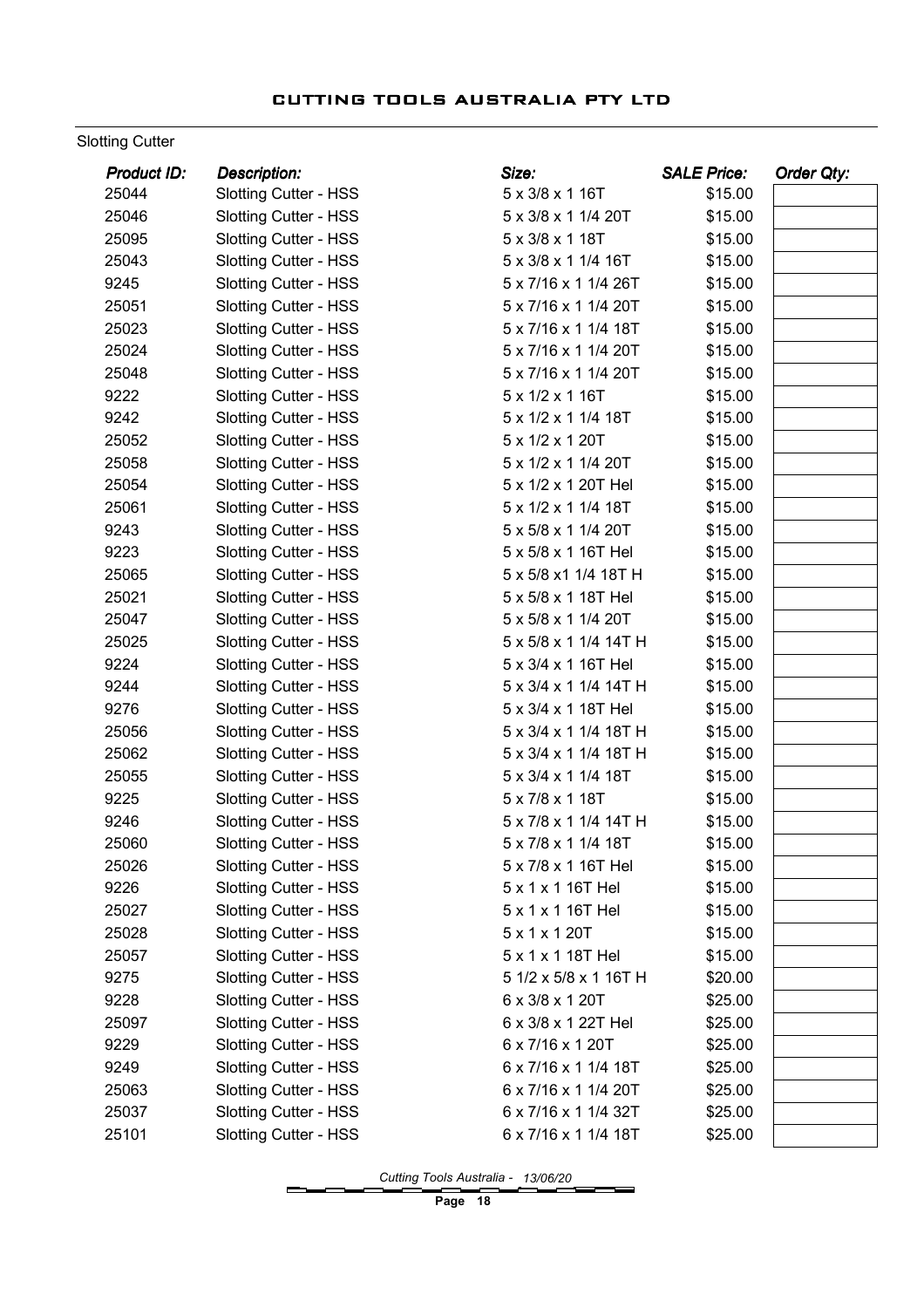#### Slotting Cutter

| 25044<br>\$15.00<br><b>Slotting Cutter - HSS</b><br>5 x 3/8 x 1 16T<br>\$15.00<br>25046<br><b>Slotting Cutter - HSS</b><br>5 x 3/8 x 1 1/4 20T<br>25095<br>5 x 3/8 x 1 18T<br>\$15.00<br><b>Slotting Cutter - HSS</b><br>25043<br><b>Slotting Cutter - HSS</b><br>5 x 3/8 x 1 1/4 16T<br>\$15.00<br>9245<br>Slotting Cutter - HSS<br>5 x 7/16 x 1 1/4 26T<br>\$15.00<br>25051<br><b>Slotting Cutter - HSS</b><br>5 x 7/16 x 1 1/4 20T<br>\$15.00<br>25023<br>5 x 7/16 x 1 1/4 18T<br>\$15.00<br><b>Slotting Cutter - HSS</b><br>25024<br>5 x 7/16 x 1 1/4 20T<br>\$15.00<br><b>Slotting Cutter - HSS</b><br>25048<br><b>Slotting Cutter - HSS</b><br>5 x 7/16 x 1 1/4 20T<br>\$15.00<br>9222<br><b>Slotting Cutter - HSS</b><br>5 x 1/2 x 1 16T<br>\$15.00<br>9242<br><b>Slotting Cutter - HSS</b><br>5 x 1/2 x 1 1/4 18T<br>\$15.00<br>25052<br>5 x 1/2 x 1 20T<br>\$15.00<br><b>Slotting Cutter - HSS</b><br>25058<br>\$15.00<br><b>Slotting Cutter - HSS</b><br>5 x 1/2 x 1 1/4 20T<br>25054<br><b>Slotting Cutter - HSS</b><br>5 x 1/2 x 1 20T Hel<br>\$15.00<br>25061<br>5 x 1/2 x 1 1/4 18T<br>\$15.00<br><b>Slotting Cutter - HSS</b><br>9243<br><b>Slotting Cutter - HSS</b><br>5 x 5/8 x 1 1/4 20T<br>\$15.00<br>9223<br>5 x 5/8 x 1 16T Hel<br>\$15.00<br><b>Slotting Cutter - HSS</b><br>25065<br>\$15.00<br><b>Slotting Cutter - HSS</b><br>5 x 5/8 x1 1/4 18T H<br>25021<br><b>Slotting Cutter - HSS</b><br>5 x 5/8 x 1 18T Hel<br>\$15.00<br>25047<br><b>Slotting Cutter - HSS</b><br>5 x 5/8 x 1 1/4 20T<br>\$15.00<br>25025<br><b>Slotting Cutter - HSS</b><br>5 x 5/8 x 1 1/4 14T H<br>\$15.00<br>9224<br><b>Slotting Cutter - HSS</b><br>5 x 3/4 x 1 16T Hel<br>\$15.00<br>9244<br><b>Slotting Cutter - HSS</b><br>5 x 3/4 x 1 1/4 14T H<br>\$15.00<br><b>Slotting Cutter - HSS</b><br>9276<br>5 x 3/4 x 1 18T Hel<br>\$15.00<br>25056<br>\$15.00<br><b>Slotting Cutter - HSS</b><br>5 x 3/4 x 1 1/4 18T H<br>25062<br><b>Slotting Cutter - HSS</b><br>5 x 3/4 x 1 1/4 18T H<br>\$15.00<br>25055<br>Slotting Cutter - HSS<br>5 x 3/4 x 1 1/4 18T<br>\$15.00<br>9225<br>5 x 7/8 x 1 18T<br>\$15.00<br><b>Slotting Cutter - HSS</b><br>9246<br><b>Slotting Cutter - HSS</b><br>5 x 7/8 x 1 1/4 14T H<br>\$15.00<br>25060<br><b>Slotting Cutter - HSS</b><br>5 x 7/8 x 1 1/4 18T<br>\$15.00<br><b>Slotting Cutter - HSS</b><br>5 x 7/8 x 1 16T Hel<br>\$15.00<br>25026<br>9226<br><b>Slotting Cutter - HSS</b><br>5 x 1 x 1 16T Hel<br>\$15.00<br>25027<br><b>Slotting Cutter - HSS</b><br>5 x 1 x 1 16T Hel<br>\$15.00<br>25028<br><b>Slotting Cutter - HSS</b><br>5 x 1 x 1 20T<br>\$15.00<br>25057<br><b>Slotting Cutter - HSS</b><br>5 x 1 x 1 18T Hel<br>\$15.00<br>9275<br><b>Slotting Cutter - HSS</b><br>5 1/2 x 5/8 x 1 16T H<br>\$20.00<br><b>Slotting Cutter - HSS</b><br>9228<br>6 x 3/8 x 1 20T<br>\$25.00<br>25097<br><b>Slotting Cutter - HSS</b><br>6 x 3/8 x 1 22T Hel<br>\$25.00<br>6 x 7/16 x 1 20T<br>9229<br><b>Slotting Cutter - HSS</b><br>\$25.00<br>6 x 7/16 x 1 1/4 18T<br>9249<br><b>Slotting Cutter - HSS</b><br>\$25.00<br>25063<br><b>Slotting Cutter - HSS</b><br>6 x 7/16 x 1 1/4 20T<br>\$25.00<br><b>Slotting Cutter - HSS</b><br>25037<br>6 x 7/16 x 1 1/4 32T<br>\$25.00<br><b>Slotting Cutter - HSS</b><br>25101<br>6 x 7/16 x 1 1/4 18T<br>\$25.00 | Product ID: | <b>Description:</b> | Size: | <b>SALE Price:</b> | Order Qty: |
|---------------------------------------------------------------------------------------------------------------------------------------------------------------------------------------------------------------------------------------------------------------------------------------------------------------------------------------------------------------------------------------------------------------------------------------------------------------------------------------------------------------------------------------------------------------------------------------------------------------------------------------------------------------------------------------------------------------------------------------------------------------------------------------------------------------------------------------------------------------------------------------------------------------------------------------------------------------------------------------------------------------------------------------------------------------------------------------------------------------------------------------------------------------------------------------------------------------------------------------------------------------------------------------------------------------------------------------------------------------------------------------------------------------------------------------------------------------------------------------------------------------------------------------------------------------------------------------------------------------------------------------------------------------------------------------------------------------------------------------------------------------------------------------------------------------------------------------------------------------------------------------------------------------------------------------------------------------------------------------------------------------------------------------------------------------------------------------------------------------------------------------------------------------------------------------------------------------------------------------------------------------------------------------------------------------------------------------------------------------------------------------------------------------------------------------------------------------------------------------------------------------------------------------------------------------------------------------------------------------------------------------------------------------------------------------------------------------------------------------------------------------------------------------------------------------------------------------------------------------------------------------------------------------------------------------------------------------------------------------------------------------------------------------------------------------------------------------------------------------------------------------------------------------------------------------------------------------------------------------------------------------------------------------------------------|-------------|---------------------|-------|--------------------|------------|
|                                                                                                                                                                                                                                                                                                                                                                                                                                                                                                                                                                                                                                                                                                                                                                                                                                                                                                                                                                                                                                                                                                                                                                                                                                                                                                                                                                                                                                                                                                                                                                                                                                                                                                                                                                                                                                                                                                                                                                                                                                                                                                                                                                                                                                                                                                                                                                                                                                                                                                                                                                                                                                                                                                                                                                                                                                                                                                                                                                                                                                                                                                                                                                                                                                                                                                         |             |                     |       |                    |            |
|                                                                                                                                                                                                                                                                                                                                                                                                                                                                                                                                                                                                                                                                                                                                                                                                                                                                                                                                                                                                                                                                                                                                                                                                                                                                                                                                                                                                                                                                                                                                                                                                                                                                                                                                                                                                                                                                                                                                                                                                                                                                                                                                                                                                                                                                                                                                                                                                                                                                                                                                                                                                                                                                                                                                                                                                                                                                                                                                                                                                                                                                                                                                                                                                                                                                                                         |             |                     |       |                    |            |
|                                                                                                                                                                                                                                                                                                                                                                                                                                                                                                                                                                                                                                                                                                                                                                                                                                                                                                                                                                                                                                                                                                                                                                                                                                                                                                                                                                                                                                                                                                                                                                                                                                                                                                                                                                                                                                                                                                                                                                                                                                                                                                                                                                                                                                                                                                                                                                                                                                                                                                                                                                                                                                                                                                                                                                                                                                                                                                                                                                                                                                                                                                                                                                                                                                                                                                         |             |                     |       |                    |            |
|                                                                                                                                                                                                                                                                                                                                                                                                                                                                                                                                                                                                                                                                                                                                                                                                                                                                                                                                                                                                                                                                                                                                                                                                                                                                                                                                                                                                                                                                                                                                                                                                                                                                                                                                                                                                                                                                                                                                                                                                                                                                                                                                                                                                                                                                                                                                                                                                                                                                                                                                                                                                                                                                                                                                                                                                                                                                                                                                                                                                                                                                                                                                                                                                                                                                                                         |             |                     |       |                    |            |
|                                                                                                                                                                                                                                                                                                                                                                                                                                                                                                                                                                                                                                                                                                                                                                                                                                                                                                                                                                                                                                                                                                                                                                                                                                                                                                                                                                                                                                                                                                                                                                                                                                                                                                                                                                                                                                                                                                                                                                                                                                                                                                                                                                                                                                                                                                                                                                                                                                                                                                                                                                                                                                                                                                                                                                                                                                                                                                                                                                                                                                                                                                                                                                                                                                                                                                         |             |                     |       |                    |            |
|                                                                                                                                                                                                                                                                                                                                                                                                                                                                                                                                                                                                                                                                                                                                                                                                                                                                                                                                                                                                                                                                                                                                                                                                                                                                                                                                                                                                                                                                                                                                                                                                                                                                                                                                                                                                                                                                                                                                                                                                                                                                                                                                                                                                                                                                                                                                                                                                                                                                                                                                                                                                                                                                                                                                                                                                                                                                                                                                                                                                                                                                                                                                                                                                                                                                                                         |             |                     |       |                    |            |
|                                                                                                                                                                                                                                                                                                                                                                                                                                                                                                                                                                                                                                                                                                                                                                                                                                                                                                                                                                                                                                                                                                                                                                                                                                                                                                                                                                                                                                                                                                                                                                                                                                                                                                                                                                                                                                                                                                                                                                                                                                                                                                                                                                                                                                                                                                                                                                                                                                                                                                                                                                                                                                                                                                                                                                                                                                                                                                                                                                                                                                                                                                                                                                                                                                                                                                         |             |                     |       |                    |            |
|                                                                                                                                                                                                                                                                                                                                                                                                                                                                                                                                                                                                                                                                                                                                                                                                                                                                                                                                                                                                                                                                                                                                                                                                                                                                                                                                                                                                                                                                                                                                                                                                                                                                                                                                                                                                                                                                                                                                                                                                                                                                                                                                                                                                                                                                                                                                                                                                                                                                                                                                                                                                                                                                                                                                                                                                                                                                                                                                                                                                                                                                                                                                                                                                                                                                                                         |             |                     |       |                    |            |
|                                                                                                                                                                                                                                                                                                                                                                                                                                                                                                                                                                                                                                                                                                                                                                                                                                                                                                                                                                                                                                                                                                                                                                                                                                                                                                                                                                                                                                                                                                                                                                                                                                                                                                                                                                                                                                                                                                                                                                                                                                                                                                                                                                                                                                                                                                                                                                                                                                                                                                                                                                                                                                                                                                                                                                                                                                                                                                                                                                                                                                                                                                                                                                                                                                                                                                         |             |                     |       |                    |            |
|                                                                                                                                                                                                                                                                                                                                                                                                                                                                                                                                                                                                                                                                                                                                                                                                                                                                                                                                                                                                                                                                                                                                                                                                                                                                                                                                                                                                                                                                                                                                                                                                                                                                                                                                                                                                                                                                                                                                                                                                                                                                                                                                                                                                                                                                                                                                                                                                                                                                                                                                                                                                                                                                                                                                                                                                                                                                                                                                                                                                                                                                                                                                                                                                                                                                                                         |             |                     |       |                    |            |
|                                                                                                                                                                                                                                                                                                                                                                                                                                                                                                                                                                                                                                                                                                                                                                                                                                                                                                                                                                                                                                                                                                                                                                                                                                                                                                                                                                                                                                                                                                                                                                                                                                                                                                                                                                                                                                                                                                                                                                                                                                                                                                                                                                                                                                                                                                                                                                                                                                                                                                                                                                                                                                                                                                                                                                                                                                                                                                                                                                                                                                                                                                                                                                                                                                                                                                         |             |                     |       |                    |            |
|                                                                                                                                                                                                                                                                                                                                                                                                                                                                                                                                                                                                                                                                                                                                                                                                                                                                                                                                                                                                                                                                                                                                                                                                                                                                                                                                                                                                                                                                                                                                                                                                                                                                                                                                                                                                                                                                                                                                                                                                                                                                                                                                                                                                                                                                                                                                                                                                                                                                                                                                                                                                                                                                                                                                                                                                                                                                                                                                                                                                                                                                                                                                                                                                                                                                                                         |             |                     |       |                    |            |
|                                                                                                                                                                                                                                                                                                                                                                                                                                                                                                                                                                                                                                                                                                                                                                                                                                                                                                                                                                                                                                                                                                                                                                                                                                                                                                                                                                                                                                                                                                                                                                                                                                                                                                                                                                                                                                                                                                                                                                                                                                                                                                                                                                                                                                                                                                                                                                                                                                                                                                                                                                                                                                                                                                                                                                                                                                                                                                                                                                                                                                                                                                                                                                                                                                                                                                         |             |                     |       |                    |            |
|                                                                                                                                                                                                                                                                                                                                                                                                                                                                                                                                                                                                                                                                                                                                                                                                                                                                                                                                                                                                                                                                                                                                                                                                                                                                                                                                                                                                                                                                                                                                                                                                                                                                                                                                                                                                                                                                                                                                                                                                                                                                                                                                                                                                                                                                                                                                                                                                                                                                                                                                                                                                                                                                                                                                                                                                                                                                                                                                                                                                                                                                                                                                                                                                                                                                                                         |             |                     |       |                    |            |
|                                                                                                                                                                                                                                                                                                                                                                                                                                                                                                                                                                                                                                                                                                                                                                                                                                                                                                                                                                                                                                                                                                                                                                                                                                                                                                                                                                                                                                                                                                                                                                                                                                                                                                                                                                                                                                                                                                                                                                                                                                                                                                                                                                                                                                                                                                                                                                                                                                                                                                                                                                                                                                                                                                                                                                                                                                                                                                                                                                                                                                                                                                                                                                                                                                                                                                         |             |                     |       |                    |            |
|                                                                                                                                                                                                                                                                                                                                                                                                                                                                                                                                                                                                                                                                                                                                                                                                                                                                                                                                                                                                                                                                                                                                                                                                                                                                                                                                                                                                                                                                                                                                                                                                                                                                                                                                                                                                                                                                                                                                                                                                                                                                                                                                                                                                                                                                                                                                                                                                                                                                                                                                                                                                                                                                                                                                                                                                                                                                                                                                                                                                                                                                                                                                                                                                                                                                                                         |             |                     |       |                    |            |
|                                                                                                                                                                                                                                                                                                                                                                                                                                                                                                                                                                                                                                                                                                                                                                                                                                                                                                                                                                                                                                                                                                                                                                                                                                                                                                                                                                                                                                                                                                                                                                                                                                                                                                                                                                                                                                                                                                                                                                                                                                                                                                                                                                                                                                                                                                                                                                                                                                                                                                                                                                                                                                                                                                                                                                                                                                                                                                                                                                                                                                                                                                                                                                                                                                                                                                         |             |                     |       |                    |            |
|                                                                                                                                                                                                                                                                                                                                                                                                                                                                                                                                                                                                                                                                                                                                                                                                                                                                                                                                                                                                                                                                                                                                                                                                                                                                                                                                                                                                                                                                                                                                                                                                                                                                                                                                                                                                                                                                                                                                                                                                                                                                                                                                                                                                                                                                                                                                                                                                                                                                                                                                                                                                                                                                                                                                                                                                                                                                                                                                                                                                                                                                                                                                                                                                                                                                                                         |             |                     |       |                    |            |
|                                                                                                                                                                                                                                                                                                                                                                                                                                                                                                                                                                                                                                                                                                                                                                                                                                                                                                                                                                                                                                                                                                                                                                                                                                                                                                                                                                                                                                                                                                                                                                                                                                                                                                                                                                                                                                                                                                                                                                                                                                                                                                                                                                                                                                                                                                                                                                                                                                                                                                                                                                                                                                                                                                                                                                                                                                                                                                                                                                                                                                                                                                                                                                                                                                                                                                         |             |                     |       |                    |            |
|                                                                                                                                                                                                                                                                                                                                                                                                                                                                                                                                                                                                                                                                                                                                                                                                                                                                                                                                                                                                                                                                                                                                                                                                                                                                                                                                                                                                                                                                                                                                                                                                                                                                                                                                                                                                                                                                                                                                                                                                                                                                                                                                                                                                                                                                                                                                                                                                                                                                                                                                                                                                                                                                                                                                                                                                                                                                                                                                                                                                                                                                                                                                                                                                                                                                                                         |             |                     |       |                    |            |
|                                                                                                                                                                                                                                                                                                                                                                                                                                                                                                                                                                                                                                                                                                                                                                                                                                                                                                                                                                                                                                                                                                                                                                                                                                                                                                                                                                                                                                                                                                                                                                                                                                                                                                                                                                                                                                                                                                                                                                                                                                                                                                                                                                                                                                                                                                                                                                                                                                                                                                                                                                                                                                                                                                                                                                                                                                                                                                                                                                                                                                                                                                                                                                                                                                                                                                         |             |                     |       |                    |            |
|                                                                                                                                                                                                                                                                                                                                                                                                                                                                                                                                                                                                                                                                                                                                                                                                                                                                                                                                                                                                                                                                                                                                                                                                                                                                                                                                                                                                                                                                                                                                                                                                                                                                                                                                                                                                                                                                                                                                                                                                                                                                                                                                                                                                                                                                                                                                                                                                                                                                                                                                                                                                                                                                                                                                                                                                                                                                                                                                                                                                                                                                                                                                                                                                                                                                                                         |             |                     |       |                    |            |
|                                                                                                                                                                                                                                                                                                                                                                                                                                                                                                                                                                                                                                                                                                                                                                                                                                                                                                                                                                                                                                                                                                                                                                                                                                                                                                                                                                                                                                                                                                                                                                                                                                                                                                                                                                                                                                                                                                                                                                                                                                                                                                                                                                                                                                                                                                                                                                                                                                                                                                                                                                                                                                                                                                                                                                                                                                                                                                                                                                                                                                                                                                                                                                                                                                                                                                         |             |                     |       |                    |            |
|                                                                                                                                                                                                                                                                                                                                                                                                                                                                                                                                                                                                                                                                                                                                                                                                                                                                                                                                                                                                                                                                                                                                                                                                                                                                                                                                                                                                                                                                                                                                                                                                                                                                                                                                                                                                                                                                                                                                                                                                                                                                                                                                                                                                                                                                                                                                                                                                                                                                                                                                                                                                                                                                                                                                                                                                                                                                                                                                                                                                                                                                                                                                                                                                                                                                                                         |             |                     |       |                    |            |
|                                                                                                                                                                                                                                                                                                                                                                                                                                                                                                                                                                                                                                                                                                                                                                                                                                                                                                                                                                                                                                                                                                                                                                                                                                                                                                                                                                                                                                                                                                                                                                                                                                                                                                                                                                                                                                                                                                                                                                                                                                                                                                                                                                                                                                                                                                                                                                                                                                                                                                                                                                                                                                                                                                                                                                                                                                                                                                                                                                                                                                                                                                                                                                                                                                                                                                         |             |                     |       |                    |            |
|                                                                                                                                                                                                                                                                                                                                                                                                                                                                                                                                                                                                                                                                                                                                                                                                                                                                                                                                                                                                                                                                                                                                                                                                                                                                                                                                                                                                                                                                                                                                                                                                                                                                                                                                                                                                                                                                                                                                                                                                                                                                                                                                                                                                                                                                                                                                                                                                                                                                                                                                                                                                                                                                                                                                                                                                                                                                                                                                                                                                                                                                                                                                                                                                                                                                                                         |             |                     |       |                    |            |
|                                                                                                                                                                                                                                                                                                                                                                                                                                                                                                                                                                                                                                                                                                                                                                                                                                                                                                                                                                                                                                                                                                                                                                                                                                                                                                                                                                                                                                                                                                                                                                                                                                                                                                                                                                                                                                                                                                                                                                                                                                                                                                                                                                                                                                                                                                                                                                                                                                                                                                                                                                                                                                                                                                                                                                                                                                                                                                                                                                                                                                                                                                                                                                                                                                                                                                         |             |                     |       |                    |            |
|                                                                                                                                                                                                                                                                                                                                                                                                                                                                                                                                                                                                                                                                                                                                                                                                                                                                                                                                                                                                                                                                                                                                                                                                                                                                                                                                                                                                                                                                                                                                                                                                                                                                                                                                                                                                                                                                                                                                                                                                                                                                                                                                                                                                                                                                                                                                                                                                                                                                                                                                                                                                                                                                                                                                                                                                                                                                                                                                                                                                                                                                                                                                                                                                                                                                                                         |             |                     |       |                    |            |
|                                                                                                                                                                                                                                                                                                                                                                                                                                                                                                                                                                                                                                                                                                                                                                                                                                                                                                                                                                                                                                                                                                                                                                                                                                                                                                                                                                                                                                                                                                                                                                                                                                                                                                                                                                                                                                                                                                                                                                                                                                                                                                                                                                                                                                                                                                                                                                                                                                                                                                                                                                                                                                                                                                                                                                                                                                                                                                                                                                                                                                                                                                                                                                                                                                                                                                         |             |                     |       |                    |            |
|                                                                                                                                                                                                                                                                                                                                                                                                                                                                                                                                                                                                                                                                                                                                                                                                                                                                                                                                                                                                                                                                                                                                                                                                                                                                                                                                                                                                                                                                                                                                                                                                                                                                                                                                                                                                                                                                                                                                                                                                                                                                                                                                                                                                                                                                                                                                                                                                                                                                                                                                                                                                                                                                                                                                                                                                                                                                                                                                                                                                                                                                                                                                                                                                                                                                                                         |             |                     |       |                    |            |
|                                                                                                                                                                                                                                                                                                                                                                                                                                                                                                                                                                                                                                                                                                                                                                                                                                                                                                                                                                                                                                                                                                                                                                                                                                                                                                                                                                                                                                                                                                                                                                                                                                                                                                                                                                                                                                                                                                                                                                                                                                                                                                                                                                                                                                                                                                                                                                                                                                                                                                                                                                                                                                                                                                                                                                                                                                                                                                                                                                                                                                                                                                                                                                                                                                                                                                         |             |                     |       |                    |            |
|                                                                                                                                                                                                                                                                                                                                                                                                                                                                                                                                                                                                                                                                                                                                                                                                                                                                                                                                                                                                                                                                                                                                                                                                                                                                                                                                                                                                                                                                                                                                                                                                                                                                                                                                                                                                                                                                                                                                                                                                                                                                                                                                                                                                                                                                                                                                                                                                                                                                                                                                                                                                                                                                                                                                                                                                                                                                                                                                                                                                                                                                                                                                                                                                                                                                                                         |             |                     |       |                    |            |
|                                                                                                                                                                                                                                                                                                                                                                                                                                                                                                                                                                                                                                                                                                                                                                                                                                                                                                                                                                                                                                                                                                                                                                                                                                                                                                                                                                                                                                                                                                                                                                                                                                                                                                                                                                                                                                                                                                                                                                                                                                                                                                                                                                                                                                                                                                                                                                                                                                                                                                                                                                                                                                                                                                                                                                                                                                                                                                                                                                                                                                                                                                                                                                                                                                                                                                         |             |                     |       |                    |            |
|                                                                                                                                                                                                                                                                                                                                                                                                                                                                                                                                                                                                                                                                                                                                                                                                                                                                                                                                                                                                                                                                                                                                                                                                                                                                                                                                                                                                                                                                                                                                                                                                                                                                                                                                                                                                                                                                                                                                                                                                                                                                                                                                                                                                                                                                                                                                                                                                                                                                                                                                                                                                                                                                                                                                                                                                                                                                                                                                                                                                                                                                                                                                                                                                                                                                                                         |             |                     |       |                    |            |
|                                                                                                                                                                                                                                                                                                                                                                                                                                                                                                                                                                                                                                                                                                                                                                                                                                                                                                                                                                                                                                                                                                                                                                                                                                                                                                                                                                                                                                                                                                                                                                                                                                                                                                                                                                                                                                                                                                                                                                                                                                                                                                                                                                                                                                                                                                                                                                                                                                                                                                                                                                                                                                                                                                                                                                                                                                                                                                                                                                                                                                                                                                                                                                                                                                                                                                         |             |                     |       |                    |            |
|                                                                                                                                                                                                                                                                                                                                                                                                                                                                                                                                                                                                                                                                                                                                                                                                                                                                                                                                                                                                                                                                                                                                                                                                                                                                                                                                                                                                                                                                                                                                                                                                                                                                                                                                                                                                                                                                                                                                                                                                                                                                                                                                                                                                                                                                                                                                                                                                                                                                                                                                                                                                                                                                                                                                                                                                                                                                                                                                                                                                                                                                                                                                                                                                                                                                                                         |             |                     |       |                    |            |
|                                                                                                                                                                                                                                                                                                                                                                                                                                                                                                                                                                                                                                                                                                                                                                                                                                                                                                                                                                                                                                                                                                                                                                                                                                                                                                                                                                                                                                                                                                                                                                                                                                                                                                                                                                                                                                                                                                                                                                                                                                                                                                                                                                                                                                                                                                                                                                                                                                                                                                                                                                                                                                                                                                                                                                                                                                                                                                                                                                                                                                                                                                                                                                                                                                                                                                         |             |                     |       |                    |            |
|                                                                                                                                                                                                                                                                                                                                                                                                                                                                                                                                                                                                                                                                                                                                                                                                                                                                                                                                                                                                                                                                                                                                                                                                                                                                                                                                                                                                                                                                                                                                                                                                                                                                                                                                                                                                                                                                                                                                                                                                                                                                                                                                                                                                                                                                                                                                                                                                                                                                                                                                                                                                                                                                                                                                                                                                                                                                                                                                                                                                                                                                                                                                                                                                                                                                                                         |             |                     |       |                    |            |
|                                                                                                                                                                                                                                                                                                                                                                                                                                                                                                                                                                                                                                                                                                                                                                                                                                                                                                                                                                                                                                                                                                                                                                                                                                                                                                                                                                                                                                                                                                                                                                                                                                                                                                                                                                                                                                                                                                                                                                                                                                                                                                                                                                                                                                                                                                                                                                                                                                                                                                                                                                                                                                                                                                                                                                                                                                                                                                                                                                                                                                                                                                                                                                                                                                                                                                         |             |                     |       |                    |            |
|                                                                                                                                                                                                                                                                                                                                                                                                                                                                                                                                                                                                                                                                                                                                                                                                                                                                                                                                                                                                                                                                                                                                                                                                                                                                                                                                                                                                                                                                                                                                                                                                                                                                                                                                                                                                                                                                                                                                                                                                                                                                                                                                                                                                                                                                                                                                                                                                                                                                                                                                                                                                                                                                                                                                                                                                                                                                                                                                                                                                                                                                                                                                                                                                                                                                                                         |             |                     |       |                    |            |
|                                                                                                                                                                                                                                                                                                                                                                                                                                                                                                                                                                                                                                                                                                                                                                                                                                                                                                                                                                                                                                                                                                                                                                                                                                                                                                                                                                                                                                                                                                                                                                                                                                                                                                                                                                                                                                                                                                                                                                                                                                                                                                                                                                                                                                                                                                                                                                                                                                                                                                                                                                                                                                                                                                                                                                                                                                                                                                                                                                                                                                                                                                                                                                                                                                                                                                         |             |                     |       |                    |            |
|                                                                                                                                                                                                                                                                                                                                                                                                                                                                                                                                                                                                                                                                                                                                                                                                                                                                                                                                                                                                                                                                                                                                                                                                                                                                                                                                                                                                                                                                                                                                                                                                                                                                                                                                                                                                                                                                                                                                                                                                                                                                                                                                                                                                                                                                                                                                                                                                                                                                                                                                                                                                                                                                                                                                                                                                                                                                                                                                                                                                                                                                                                                                                                                                                                                                                                         |             |                     |       |                    |            |
|                                                                                                                                                                                                                                                                                                                                                                                                                                                                                                                                                                                                                                                                                                                                                                                                                                                                                                                                                                                                                                                                                                                                                                                                                                                                                                                                                                                                                                                                                                                                                                                                                                                                                                                                                                                                                                                                                                                                                                                                                                                                                                                                                                                                                                                                                                                                                                                                                                                                                                                                                                                                                                                                                                                                                                                                                                                                                                                                                                                                                                                                                                                                                                                                                                                                                                         |             |                     |       |                    |            |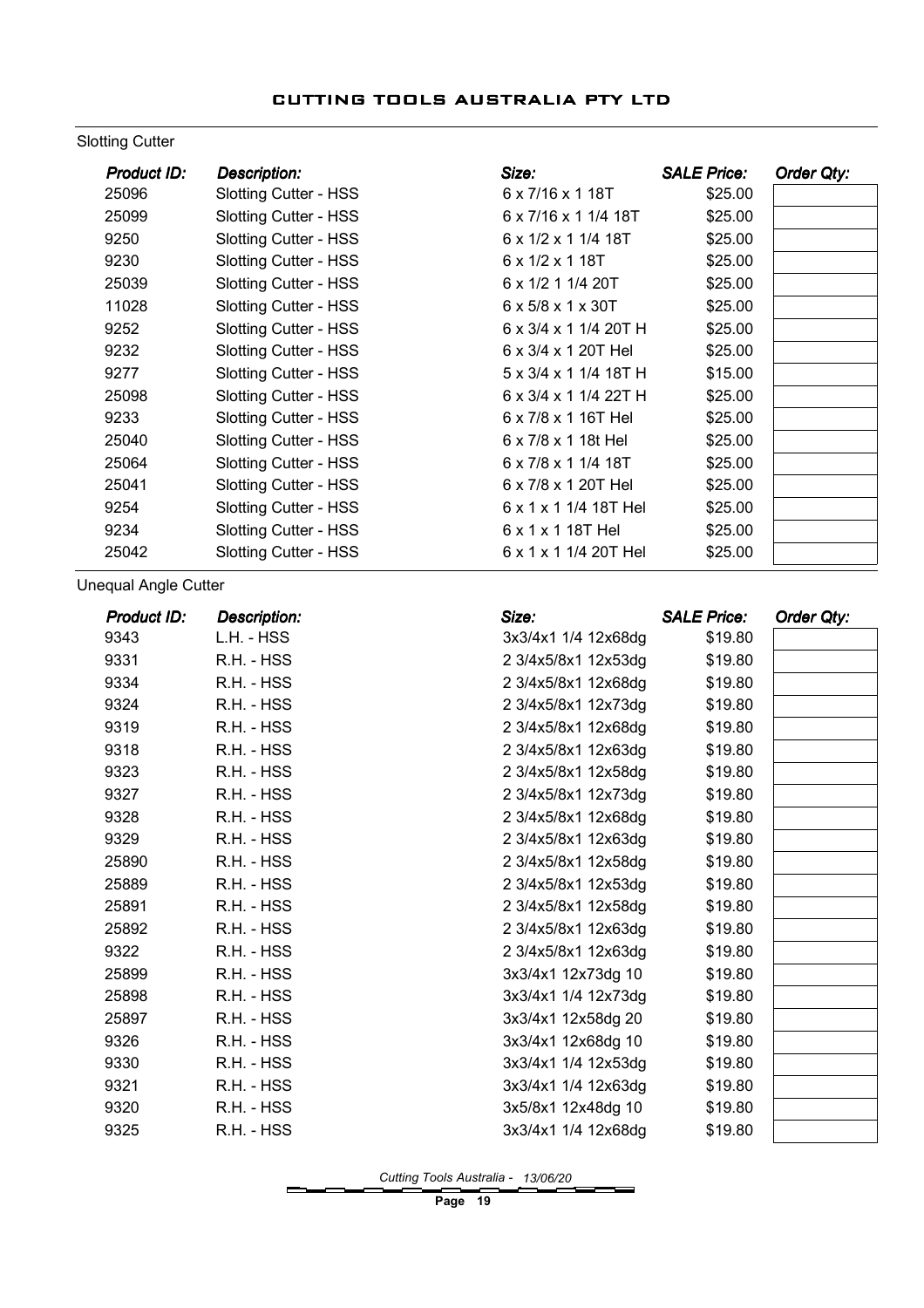#### Slotting Cutter

| Product ID: | <b>Description:</b>          | Size:                               | <b>SALE Price:</b> | Order Qty: |
|-------------|------------------------------|-------------------------------------|--------------------|------------|
| 25096       | <b>Slotting Cutter - HSS</b> | 6 x 7/16 x 1 18T                    | \$25.00            |            |
| 25099       | <b>Slotting Cutter - HSS</b> | 6 x 7/16 x 1 1/4 18T                | \$25.00            |            |
| 9250        | <b>Slotting Cutter - HSS</b> | $6 \times 1/2 \times 11/418$ T      | \$25.00            |            |
| 9230        | <b>Slotting Cutter - HSS</b> | $6 \times 1/2 \times 118$ T         | \$25.00            |            |
| 25039       | <b>Slotting Cutter - HSS</b> | 6 x 1/2 1 1/4 20T                   | \$25.00            |            |
| 11028       | <b>Slotting Cutter - HSS</b> | $6 \times 5/8 \times 1 \times 30$ T | \$25.00            |            |
| 9252        | <b>Slotting Cutter - HSS</b> | 6 x 3/4 x 1 1/4 20T H               | \$25.00            |            |
| 9232        | <b>Slotting Cutter - HSS</b> | 6 x 3/4 x 1 20T Hel                 | \$25.00            |            |
| 9277        | <b>Slotting Cutter - HSS</b> | $5 \times 3/4 \times 11/418$ TH     | \$15.00            |            |
| 25098       | <b>Slotting Cutter - HSS</b> | 6 x 3/4 x 1 1/4 22T H               | \$25.00            |            |
| 9233        | <b>Slotting Cutter - HSS</b> | $6 \times 7/8 \times 116$ T Hel     | \$25.00            |            |
| 25040       | <b>Slotting Cutter - HSS</b> | 6 x 7/8 x 1 18t Hel                 | \$25.00            |            |
| 25064       | <b>Slotting Cutter - HSS</b> | 6 x 7/8 x 1 1/4 18T                 | \$25.00            |            |
| 25041       | <b>Slotting Cutter - HSS</b> | 6 x 7/8 x 1 20T Hel                 | \$25.00            |            |
| 9254        | <b>Slotting Cutter - HSS</b> | 6 x 1 x 1 1/4 18T Hel               | \$25.00            |            |
| 9234        | <b>Slotting Cutter - HSS</b> | $6 \times 1 \times 1$ 18T Hel       | \$25.00            |            |
| 25042       | <b>Slotting Cutter - HSS</b> | 6 x 1 x 1 1/4 20T Hel               | \$25.00            |            |

Unequal Angle Cutter

| Product ID: | <b>Description:</b> | Size:               | <b>SALE Price:</b> | Order Qty: |
|-------------|---------------------|---------------------|--------------------|------------|
| 9343        | L.H. - HSS          | 3x3/4x1 1/4 12x68dg | \$19.80            |            |
| 9331        | R.H. - HSS          | 2 3/4x5/8x1 12x53dg | \$19.80            |            |
| 9334        | R.H. - HSS          | 2 3/4x5/8x1 12x68dg | \$19.80            |            |
| 9324        | R.H. - HSS          | 2 3/4x5/8x1 12x73dg | \$19.80            |            |
| 9319        | R.H. - HSS          | 2 3/4x5/8x1 12x68dg | \$19.80            |            |
| 9318        | R.H. - HSS          | 2 3/4x5/8x1 12x63dg | \$19.80            |            |
| 9323        | R.H. - HSS          | 2 3/4x5/8x1 12x58dg | \$19.80            |            |
| 9327        | R.H. - HSS          | 2 3/4x5/8x1 12x73dg | \$19.80            |            |
| 9328        | R.H. - HSS          | 2 3/4x5/8x1 12x68dg | \$19.80            |            |
| 9329        | R.H. - HSS          | 2 3/4x5/8x1 12x63dg | \$19.80            |            |
| 25890       | R.H. - HSS          | 2 3/4x5/8x1 12x58dg | \$19.80            |            |
| 25889       | R.H. - HSS          | 2 3/4x5/8x1 12x53dg | \$19.80            |            |
| 25891       | R.H. - HSS          | 2 3/4x5/8x1 12x58dg | \$19.80            |            |
| 25892       | R.H. - HSS          | 2 3/4x5/8x1 12x63dg | \$19.80            |            |
| 9322        | R.H. - HSS          | 2 3/4x5/8x1 12x63dg | \$19.80            |            |
| 25899       | R.H. - HSS          | 3x3/4x1 12x73dg 10  | \$19.80            |            |
| 25898       | R.H. - HSS          | 3x3/4x1 1/4 12x73dg | \$19.80            |            |
| 25897       | R.H. - HSS          | 3x3/4x1 12x58dg 20  | \$19.80            |            |
| 9326        | R.H. - HSS          | 3x3/4x1 12x68dg 10  | \$19.80            |            |
| 9330        | R.H. - HSS          | 3x3/4x1 1/4 12x53dg | \$19.80            |            |
| 9321        | R.H. - HSS          | 3x3/4x1 1/4 12x63dg | \$19.80            |            |
| 9320        | R.H. - HSS          | 3x5/8x1 12x48dg 10  | \$19.80            |            |
| 9325        | R.H. - HSS          | 3x3/4x1 1/4 12x68dg | \$19.80            |            |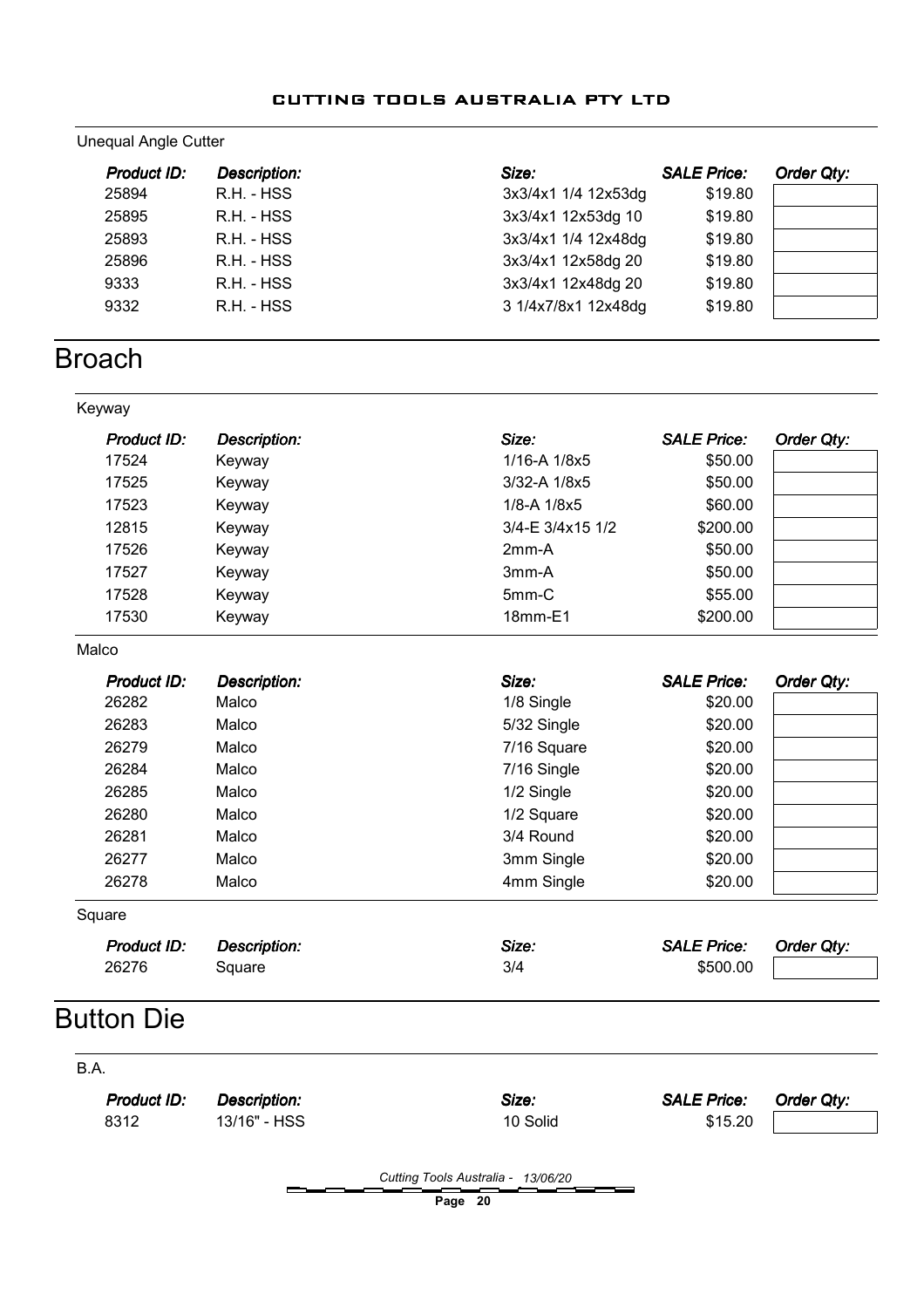#### Unequal Angle Cutter

| Product ID: | <b>Description:</b> | Size:               | <b>SALE Price:</b> | Order Qty: |
|-------------|---------------------|---------------------|--------------------|------------|
| 25894       | R.H. - HSS          | 3x3/4x1 1/4 12x53dg | \$19.80            |            |
| 25895       | R.H. - HSS          | 3x3/4x1 12x53dg 10  | \$19.80            |            |
| 25893       | R.H. - HSS          | 3x3/4x1 1/4 12x48dg | \$19.80            |            |
| 25896       | $R.H. - HSS$        | 3x3/4x1 12x58dg 20  | \$19.80            |            |
| 9333        | R.H. - HSS          | 3x3/4x1 12x48dg 20  | \$19.80            |            |
| 9332        | R.H. - HSS          | 3 1/4x7/8x1 12x48dg | \$19.80            |            |

## **Broach**

| Keyway             |                     |                  |                    |            |
|--------------------|---------------------|------------------|--------------------|------------|
| <b>Product ID:</b> | <b>Description:</b> | Size:            | <b>SALE Price:</b> | Order Qty: |
| 17524              | Keyway              | 1/16-A 1/8x5     | \$50.00            |            |
| 17525              | Keyway              | 3/32-A 1/8x5     | \$50.00            |            |
| 17523              | Keyway              | 1/8-A 1/8x5      | \$60.00            |            |
| 12815              | Keyway              | 3/4-E 3/4x15 1/2 | \$200.00           |            |
| 17526              | Keyway              | $2mm-A$          | \$50.00            |            |
| 17527              | Keyway              | 3mm-A            | \$50.00            |            |
| 17528              | Keyway              | 5mm-C            | \$55.00            |            |
| 17530              | Keyway              | 18mm-E1          | \$200.00           |            |
| Malco              |                     |                  |                    |            |
| <b>Product ID:</b> | <b>Description:</b> | Size:            | <b>SALE Price:</b> | Order Qty: |
| 26282              | Malco               | 1/8 Single       | \$20.00            |            |
| 26283              | Malco               | 5/32 Single      | \$20.00            |            |
| 26279              | Malco               | 7/16 Square      | \$20.00            |            |
| 26284              | Malco               | 7/16 Single      | \$20.00            |            |
| 26285              | Malco               | 1/2 Single       | \$20.00            |            |
| 26280              | Malco               | 1/2 Square       | \$20.00            |            |
| 26281              | Malco               | 3/4 Round        | \$20.00            |            |
| 26277              | Malco               | 3mm Single       | \$20.00            |            |
| 26278              | Malco               | 4mm Single       | \$20.00            |            |
| Square             |                     |                  |                    |            |
| Product ID:        | <b>Description:</b> | Size:            | <b>SALE Price:</b> | Order Qty: |
| 26276              | Square              | 3/4              | \$500.00           |            |

## Button Die

B.A.

Description: Size: Description: Size: SALE Price: Product ID: Order Qty:

8312 13/16" - HSS 10 Solid 10 Solid \$15.20

Cutting Tools Australia - 13/06/20

Page 20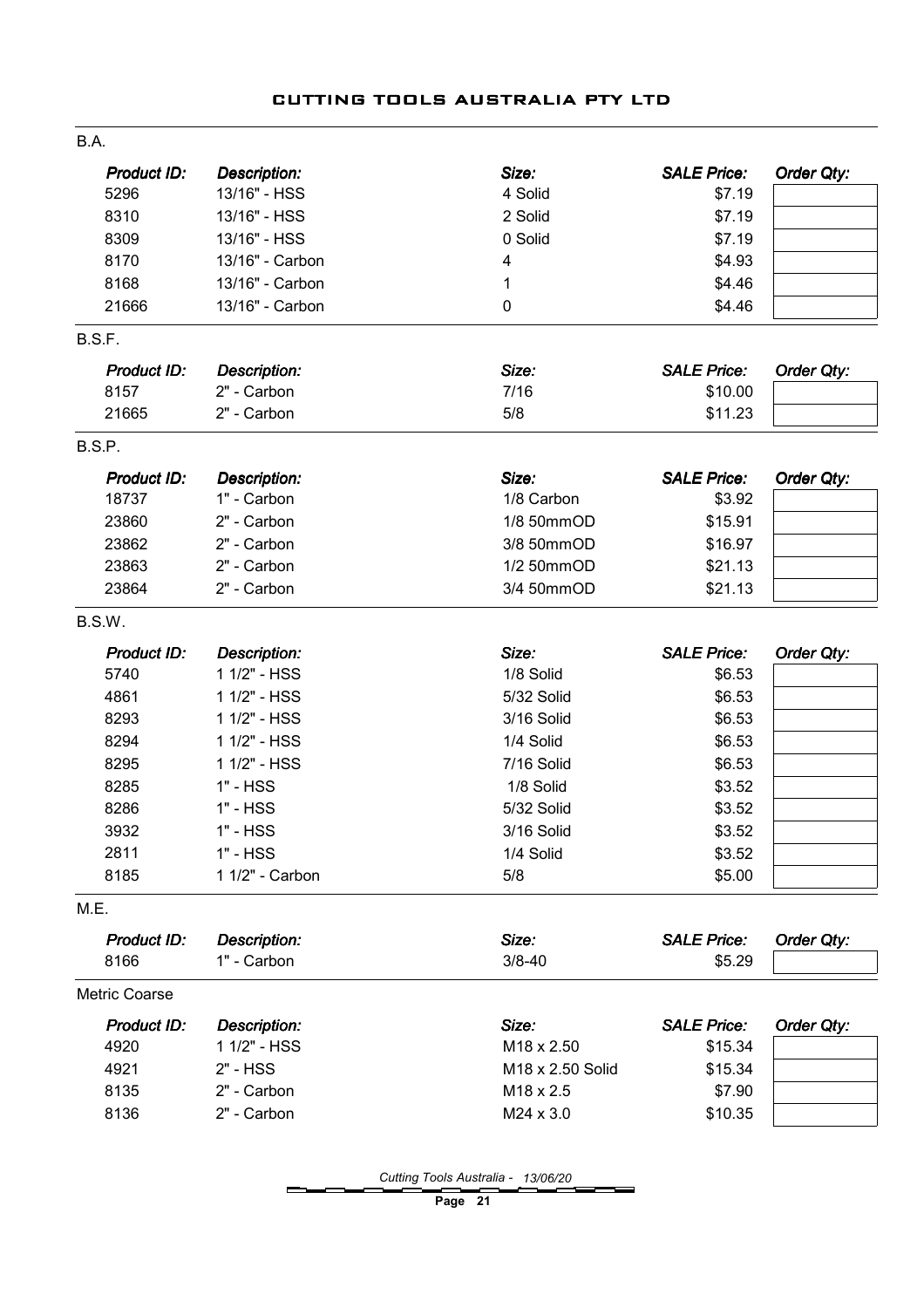| B.A.               |                     |                  |                    |            |
|--------------------|---------------------|------------------|--------------------|------------|
| <b>Product ID:</b> | <b>Description:</b> | Size:            | <b>SALE Price:</b> | Order Qty: |
| 5296               | 13/16" - HSS        | 4 Solid          | \$7.19             |            |
| 8310               | 13/16" - HSS        | 2 Solid          | \$7.19             |            |
| 8309               | 13/16" - HSS        | 0 Solid          | \$7.19             |            |
| 8170               | 13/16" - Carbon     | 4                | \$4.93             |            |
| 8168               | 13/16" - Carbon     | $\mathbf 1$      | \$4.46             |            |
| 21666              | 13/16" - Carbon     | 0                | \$4.46             |            |
| B.S.F.             |                     |                  |                    |            |
| Product ID:        | Description:        | Size:            | <b>SALE Price:</b> | Order Qty: |
| 8157               | 2" - Carbon         | 7/16             | \$10.00            |            |
| 21665              | 2" - Carbon         | 5/8              | \$11.23            |            |
| B.S.P.             |                     |                  |                    |            |
| Product ID:        | <b>Description:</b> | Size:            | <b>SALE Price:</b> | Order Qty: |
| 18737              | 1" - Carbon         | 1/8 Carbon       | \$3.92             |            |
| 23860              | 2" - Carbon         | 1/8 50mmOD       | \$15.91            |            |
| 23862              | 2" - Carbon         | 3/8 50mmOD       | \$16.97            |            |
| 23863              | 2" - Carbon         | 1/2 50mmOD       | \$21.13            |            |
| 23864              | 2" - Carbon         | 3/4 50mmOD       | \$21.13            |            |
| B.S.W.             |                     |                  |                    |            |
| Product ID:        | <b>Description:</b> | Size:            | <b>SALE Price:</b> | Order Qty: |
| 5740               | 1 1/2" - HSS        | 1/8 Solid        | \$6.53             |            |
| 4861               | 1 1/2" - HSS        | 5/32 Solid       | \$6.53             |            |
| 8293               | 1 1/2" - HSS        | 3/16 Solid       | \$6.53             |            |
| 8294               | 1 1/2" - HSS        | 1/4 Solid        | \$6.53             |            |
| 8295               | 1 1/2" - HSS        | 7/16 Solid       | \$6.53             |            |
| 8285               | 1" - HSS            | 1/8 Solid        | \$3.52             |            |
| 8286               | $1" - HSS$          | 5/32 Solid       | \$3.52             |            |
| 3932               | 1" - HSS            | 3/16 Solid       | \$3.52             |            |
| 2811               | $1" - HSS$          | 1/4 Solid        | \$3.52             |            |
| 8185               | 1 1/2" - Carbon     | 5/8              | \$5.00             |            |
| M.E.               |                     |                  |                    |            |
| Product ID:        | <b>Description:</b> | Size:            | <b>SALE Price:</b> | Order Qty: |
| 8166               | 1" - Carbon         | $3/8 - 40$       | \$5.29             |            |
| Metric Coarse      |                     |                  |                    |            |
| Product ID:        | <b>Description:</b> | Size:            | <b>SALE Price:</b> | Order Qty: |
| 4920               | 1 1/2" - HSS        | M18 x 2.50       | \$15.34            |            |
| 4921               | 2" - HSS            | M18 x 2.50 Solid | \$15.34            |            |
| 8135               | 2" - Carbon         | M18 x 2.5        | \$7.90             |            |
| 8136               | 2" - Carbon         | M24 x 3.0        | \$10.35            |            |
|                    |                     |                  |                    |            |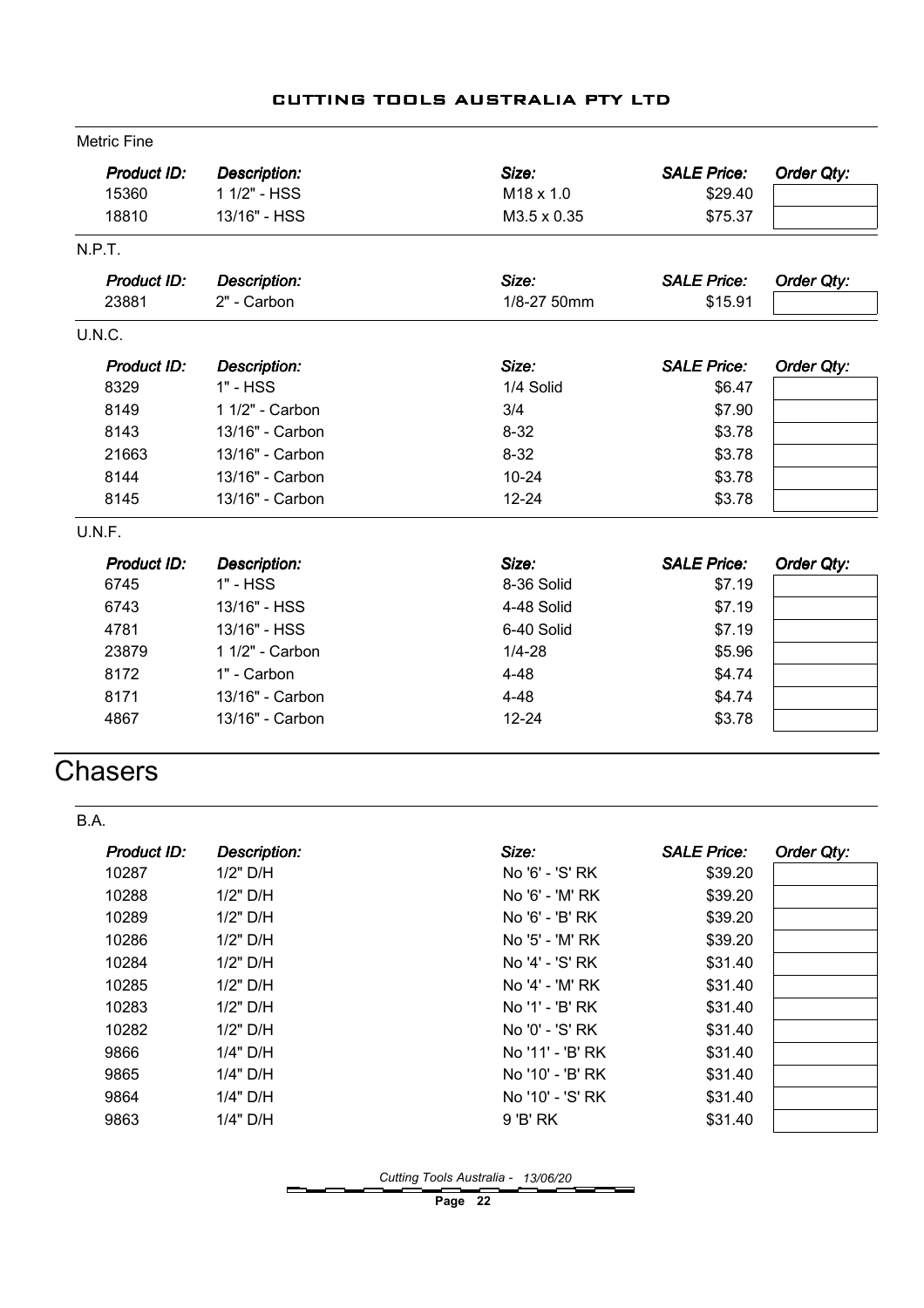|  | CUTTING TOOLS AUSTRALIA PTY LTD |  |
|--|---------------------------------|--|
|  |                                 |  |

| <b>Metric Fine</b> |                     |             |                    |            |
|--------------------|---------------------|-------------|--------------------|------------|
| Product ID:        | <b>Description:</b> | Size:       | <b>SALE Price:</b> | Order Qty: |
| 15360              | 1 1/2" - HSS        | M18 x 1.0   | \$29.40            |            |
| 18810              | 13/16" - HSS        | M3.5 x 0.35 | \$75.37            |            |
| N.P.T.             |                     |             |                    |            |
| Product ID:        | <b>Description:</b> | Size:       | <b>SALE Price:</b> | Order Qty: |
| 23881              | 2" - Carbon         | 1/8-27 50mm | \$15.91            |            |
| U.N.C.             |                     |             |                    |            |
| Product ID:        | <b>Description:</b> | Size:       | <b>SALE Price:</b> | Order Qty: |
| 8329               | 1" - HSS            | 1/4 Solid   | \$6.47             |            |
| 8149               | 1 1/2" - Carbon     | 3/4         | \$7.90             |            |
| 8143               | 13/16" - Carbon     | $8 - 32$    | \$3.78             |            |
| 21663              | 13/16" - Carbon     | $8 - 32$    | \$3.78             |            |
| 8144               | 13/16" - Carbon     | $10 - 24$   | \$3.78             |            |
| 8145               | 13/16" - Carbon     | $12 - 24$   | \$3.78             |            |
| U.N.F.             |                     |             |                    |            |
| Product ID:        | <b>Description:</b> | Size:       | <b>SALE Price:</b> | Order Qty: |
| 6745               | 1" - HSS            | 8-36 Solid  | \$7.19             |            |
| 6743               | 13/16" - HSS        | 4-48 Solid  | \$7.19             |            |
| 4781               | 13/16" - HSS        | 6-40 Solid  | \$7.19             |            |
| 23879              | 1 1/2" - Carbon     | $1/4 - 28$  | \$5.96             |            |
| 8172               | 1" - Carbon         | $4 - 48$    | \$4.74             |            |
| 8171               | 13/16" - Carbon     | $4 - 48$    | \$4.74             |            |
| 4867               | 13/16" - Carbon     | $12 - 24$   | \$3.78             |            |

## **Chasers**

| B.A.        |                     |                  |                    |            |
|-------------|---------------------|------------------|--------------------|------------|
| Product ID: | <b>Description:</b> | Size:            | <b>SALE Price:</b> | Order Qty: |
| 10287       | $1/2"$ D/H          | No '6' - 'S' RK  | \$39.20            |            |
| 10288       | $1/2"$ D/H          | No '6' - 'M' RK  | \$39.20            |            |
| 10289       | $1/2"$ D/H          | No '6' - 'B' RK  | \$39.20            |            |
| 10286       | $1/2"$ D/H          | No '5' - 'M' RK  | \$39.20            |            |
| 10284       | $1/2"$ D/H          | No '4' - 'S' RK  | \$31.40            |            |
| 10285       | $1/2"$ D/H          | No '4' - 'M' RK  | \$31.40            |            |
| 10283       | $1/2"$ D/H          | No '1' - 'B' RK  | \$31.40            |            |
| 10282       | $1/2"$ D/H          | No '0' - 'S' RK  | \$31.40            |            |
| 9866        | 1/4" D/H            | No '11' - 'B' RK | \$31.40            |            |
| 9865        | $1/4"$ D/H          | No '10' - 'B' RK | \$31.40            |            |
| 9864        | $1/4"$ D/H          | No '10' - 'S' RK | \$31.40            |            |
| 9863        | $1/4"$ D/H          | 9 'B' RK         | \$31.40            |            |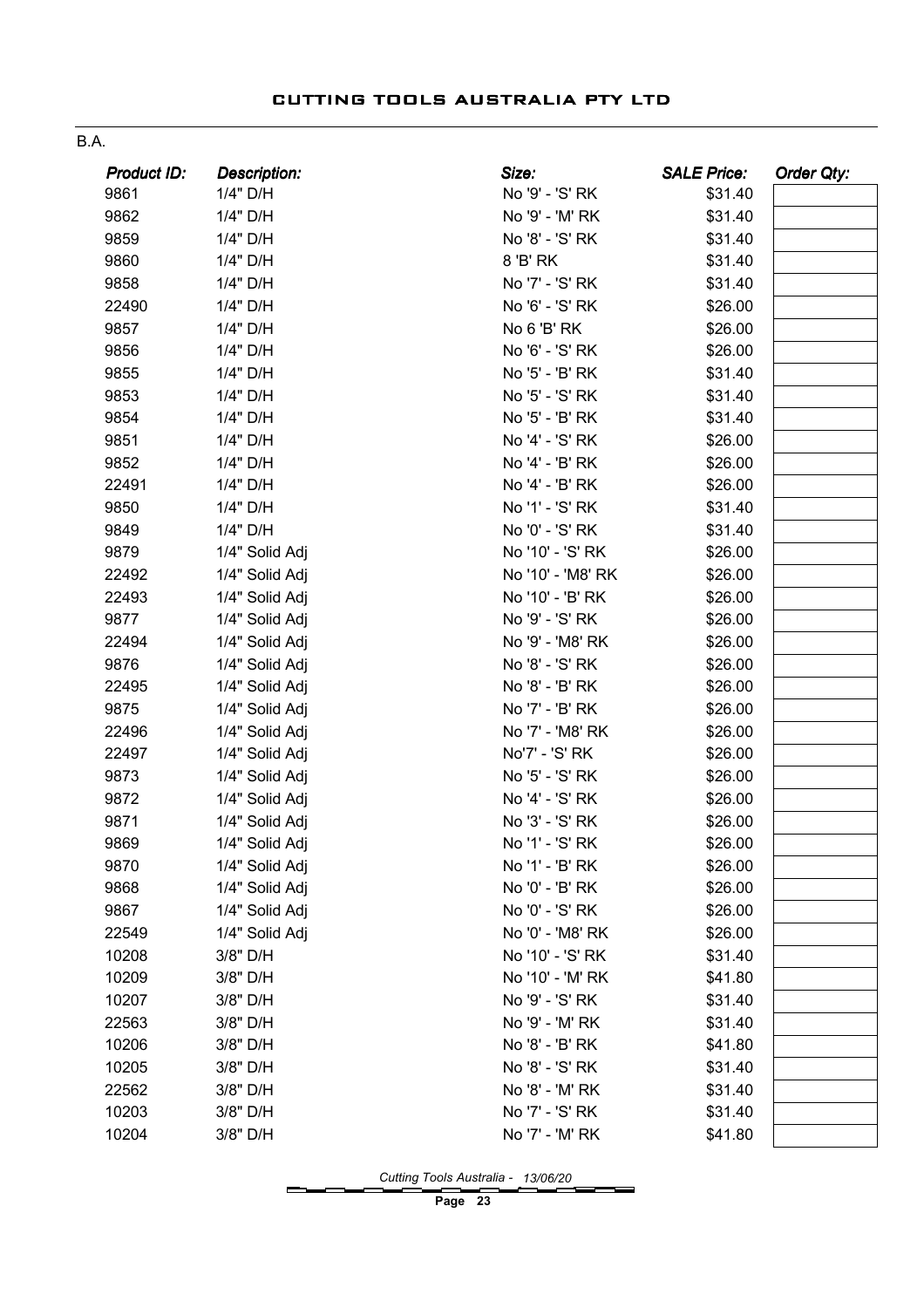| ۰, |  |
|----|--|
|    |  |

| Product ID: | Description:   | Size:             | <b>SALE Price:</b> | <b>Order Qty:</b> |
|-------------|----------------|-------------------|--------------------|-------------------|
| 9861        | 1/4" D/H       | No '9' - 'S' RK   | \$31.40            |                   |
| 9862        | 1/4" D/H       | No '9' - 'M' RK   | \$31.40            |                   |
| 9859        | 1/4" D/H       | No '8' - 'S' RK   | \$31.40            |                   |
| 9860        | 1/4" D/H       | 8 'B' RK          | \$31.40            |                   |
| 9858        | 1/4" D/H       | No '7' - 'S' RK   | \$31.40            |                   |
| 22490       | 1/4" D/H       | No '6' - 'S' RK   | \$26.00            |                   |
| 9857        | 1/4" D/H       | No 6 'B' RK       | \$26.00            |                   |
| 9856        | 1/4" D/H       | No '6' - 'S' RK   | \$26.00            |                   |
| 9855        | 1/4" D/H       | No '5' - 'B' RK   | \$31.40            |                   |
| 9853        | 1/4" D/H       | No '5' - 'S' RK   | \$31.40            |                   |
| 9854        | 1/4" D/H       | No '5' - 'B' RK   | \$31.40            |                   |
| 9851        | 1/4" D/H       | No '4' - 'S' RK   | \$26.00            |                   |
| 9852        | 1/4" D/H       | No '4' - 'B' RK   | \$26.00            |                   |
| 22491       | 1/4" D/H       | No '4' - 'B' RK   | \$26.00            |                   |
| 9850        | 1/4" D/H       | No '1' - 'S' RK   | \$31.40            |                   |
| 9849        | 1/4" D/H       | No '0' - 'S' RK   | \$31.40            |                   |
| 9879        | 1/4" Solid Adj | No '10' - 'S' RK  | \$26.00            |                   |
| 22492       | 1/4" Solid Adj | No '10' - 'M8' RK | \$26.00            |                   |
| 22493       | 1/4" Solid Adj | No '10' - 'B' RK  | \$26.00            |                   |
| 9877        | 1/4" Solid Adj | No '9' - 'S' RK   | \$26.00            |                   |
| 22494       | 1/4" Solid Adj | No '9' - 'M8' RK  | \$26.00            |                   |
| 9876        | 1/4" Solid Adj | No '8' - 'S' RK   | \$26.00            |                   |
| 22495       | 1/4" Solid Adj | No '8' - 'B' RK   | \$26.00            |                   |
| 9875        | 1/4" Solid Adj | No '7' - 'B' RK   | \$26.00            |                   |
| 22496       | 1/4" Solid Adj | No '7' - 'M8' RK  | \$26.00            |                   |
| 22497       | 1/4" Solid Adj | No'7' - 'S' RK    | \$26.00            |                   |
| 9873        | 1/4" Solid Adj | No '5' - 'S' RK   | \$26.00            |                   |
| 9872        | 1/4" Solid Adj | No '4' - 'S' RK   | \$26.00            |                   |
| 9871        | 1/4" Solid Adj | No '3' - 'S' RK   | \$26.00            |                   |
| 9869        | 1/4" Solid Adj | No '1' - 'S' RK   | \$26.00            |                   |
| 9870        | 1/4" Solid Adj | No '1' - 'B' RK   | \$26.00            |                   |
| 9868        | 1/4" Solid Adj | No '0' - 'B' RK   | \$26.00            |                   |
| 9867        | 1/4" Solid Adj | No '0' - 'S' RK   | \$26.00            |                   |
| 22549       | 1/4" Solid Adj | No '0' - 'M8' RK  | \$26.00            |                   |
| 10208       | 3/8" D/H       | No '10' - 'S' RK  | \$31.40            |                   |
| 10209       | 3/8" D/H       | No '10' - 'M' RK  | \$41.80            |                   |
| 10207       | 3/8" D/H       | No '9' - 'S' RK   | \$31.40            |                   |
| 22563       | 3/8" D/H       | No '9' - 'M' RK   | \$31.40            |                   |
| 10206       | 3/8" D/H       | No '8' - 'B' RK   | \$41.80            |                   |
| 10205       | 3/8" D/H       | No '8' - 'S' RK   | \$31.40            |                   |
| 22562       | 3/8" D/H       | No '8' - 'M' RK   | \$31.40            |                   |
| 10203       | 3/8" D/H       | No '7' - 'S' RK   | \$31.40            |                   |
| 10204       | 3/8" D/H       | No '7' - 'M' RK   | \$41.80            |                   |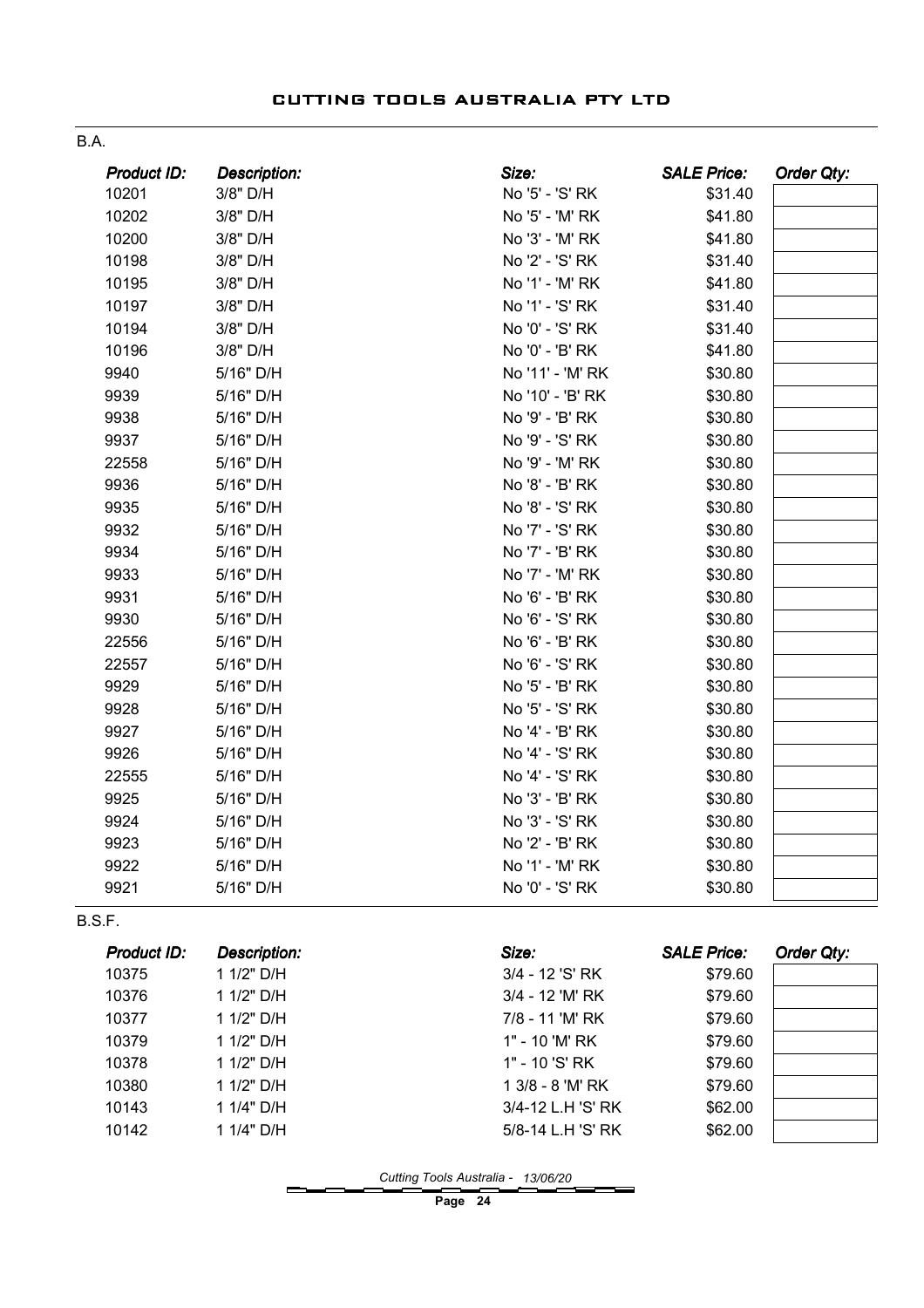B.A.

| Product ID:        | <b>Description:</b> | Size:            | <b>SALE Price:</b> | <b>Order Qty:</b> |
|--------------------|---------------------|------------------|--------------------|-------------------|
| 10201              | 3/8" D/H            | No '5' - 'S' RK  | \$31.40            |                   |
| 10202              | 3/8" D/H            | No '5' - 'M' RK  | \$41.80            |                   |
| 10200              | 3/8" D/H            | No '3' - 'M' RK  | \$41.80            |                   |
| 10198              | 3/8" D/H            | No '2' - 'S' RK  | \$31.40            |                   |
| 10195              | 3/8" D/H            | No '1' - 'M' RK  | \$41.80            |                   |
| 10197              | 3/8" D/H            | No '1' - 'S' RK  | \$31.40            |                   |
| 10194              | 3/8" D/H            | No '0' - 'S' RK  | \$31.40            |                   |
| 10196              | 3/8" D/H            | No '0' - 'B' RK  | \$41.80            |                   |
| 9940               | 5/16" D/H           | No '11' - 'M' RK | \$30.80            |                   |
| 9939               | 5/16" D/H           | No '10' - 'B' RK | \$30.80            |                   |
| 9938               | 5/16" D/H           | No '9' - 'B' RK  | \$30.80            |                   |
| 9937               | 5/16" D/H           | No '9' - 'S' RK  | \$30.80            |                   |
| 22558              | 5/16" D/H           | No '9' - 'M' RK  | \$30.80            |                   |
| 9936               | 5/16" D/H           | No '8' - 'B' RK  | \$30.80            |                   |
| 9935               | 5/16" D/H           | No '8' - 'S' RK  | \$30.80            |                   |
| 9932               | 5/16" D/H           | No '7' - 'S' RK  | \$30.80            |                   |
| 9934               | 5/16" D/H           | No '7' - 'B' RK  | \$30.80            |                   |
| 9933               | 5/16" D/H           | No '7' - 'M' RK  | \$30.80            |                   |
| 9931               | 5/16" D/H           | No '6' - 'B' RK  | \$30.80            |                   |
| 9930               | 5/16" D/H           | No '6' - 'S' RK  | \$30.80            |                   |
| 22556              | 5/16" D/H           | No '6' - 'B' RK  | \$30.80            |                   |
| 22557              | 5/16" D/H           | No '6' - 'S' RK  | \$30.80            |                   |
| 9929               | 5/16" D/H           | No '5' - 'B' RK  | \$30.80            |                   |
| 9928               | 5/16" D/H           | No '5' - 'S' RK  | \$30.80            |                   |
| 9927               | 5/16" D/H           | No '4' - 'B' RK  | \$30.80            |                   |
| 9926               | 5/16" D/H           | No '4' - 'S' RK  | \$30.80            |                   |
| 22555              | 5/16" D/H           | No '4' - 'S' RK  | \$30.80            |                   |
| 9925               | 5/16" D/H           | No '3' - 'B' RK  | \$30.80            |                   |
| 9924               | 5/16" D/H           | No '3' - 'S' RK  | \$30.80            |                   |
| 9923               | 5/16" D/H           | No '2' - 'B' RK  | \$30.80            |                   |
| 9922               | 5/16" D/H           | No '1' - 'M' RK  | \$30.80            |                   |
| 9921               | 5/16" D/H           | No '0' - 'S' RK  | \$30.80            |                   |
| B.S.F.             |                     |                  |                    |                   |
| <b>Product ID:</b> | <b>Description:</b> | Size:            | <b>SALE Price:</b> | <b>Order Qty:</b> |

| .     | ---------- | ----              |         | $\sim$ , we are $\sim$ |
|-------|------------|-------------------|---------|------------------------|
| 10375 | 1 1/2" D/H | 3/4 - 12 'S' RK   | \$79.60 |                        |
| 10376 | 1 1/2" D/H | 3/4 - 12 'M' RK   | \$79.60 |                        |
| 10377 | 1 1/2" D/H | 7/8 - 11 'M' RK   | \$79.60 |                        |
| 10379 | 1 1/2" D/H | 1" - 10 'M' RK    | \$79.60 |                        |
| 10378 | 1 1/2" D/H | 1" - 10 'S' RK    | \$79.60 |                        |
| 10380 | 1 1/2" D/H | 1 3/8 - 8 'M' RK  | \$79.60 |                        |
| 10143 | 1 1/4" D/H | 3/4-12 L.H 'S' RK | \$62.00 |                        |
| 10142 | 1 1/4" D/H | 5/8-14 L.H 'S' RK | \$62.00 |                        |
|       |            |                   |         |                        |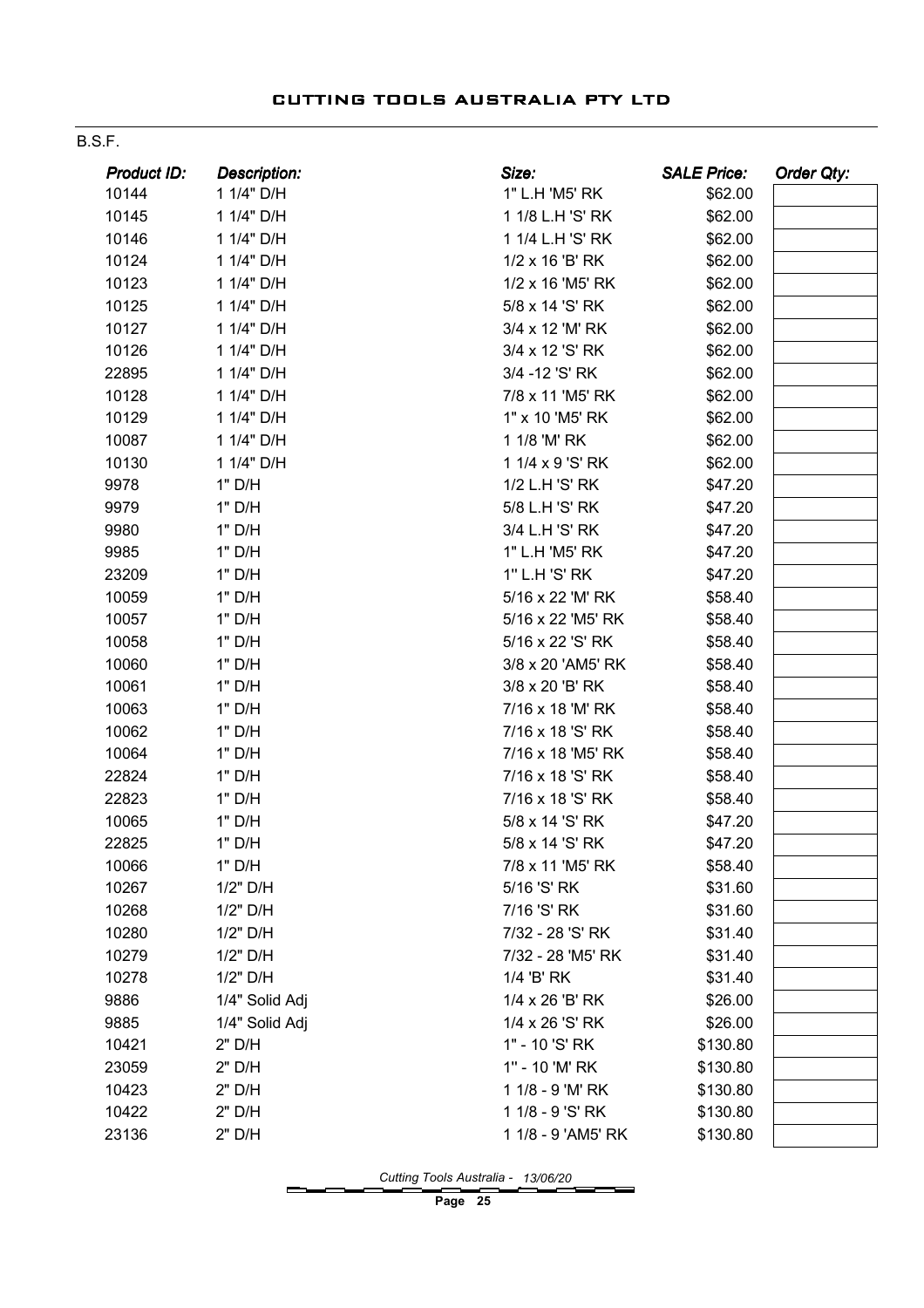| M.<br>۰, |  |
|----------|--|
|          |  |

| Product ID: | <b>Description:</b> | Size:              | <b>SALE Price:</b> | Order Qty: |
|-------------|---------------------|--------------------|--------------------|------------|
| 10144       | 1 1/4" D/H          | 1" L.H 'M5' RK     | \$62.00            |            |
| 10145       | 1 1/4" D/H          | 1 1/8 L.H 'S' RK   | \$62.00            |            |
| 10146       | 1 1/4" D/H          | 1 1/4 L.H 'S' RK   | \$62.00            |            |
| 10124       | 1 1/4" D/H          | 1/2 x 16 'B' RK    | \$62.00            |            |
| 10123       | 1 1/4" D/H          | 1/2 x 16 'M5' RK   | \$62.00            |            |
| 10125       | 1 1/4" D/H          | 5/8 x 14 'S' RK    | \$62.00            |            |
| 10127       | 1 1/4" D/H          | 3/4 x 12 'M' RK    | \$62.00            |            |
| 10126       | 1 1/4" D/H          | 3/4 x 12 'S' RK    | \$62.00            |            |
| 22895       | 1 1/4" D/H          | 3/4 - 12 'S' RK    | \$62.00            |            |
| 10128       | 1 1/4" D/H          | 7/8 x 11 'M5' RK   | \$62.00            |            |
| 10129       | 1 1/4" D/H          | 1" x 10 'M5' RK    | \$62.00            |            |
| 10087       | 1 1/4" D/H          | 1 1/8 'M' RK       | \$62.00            |            |
| 10130       | 1 1/4" D/H          | 1 1/4 x 9 'S' RK   | \$62.00            |            |
| 9978        | 1" D/H              | 1/2 L.H 'S' RK     | \$47.20            |            |
| 9979        | 1" D/H              | 5/8 L.H 'S' RK     | \$47.20            |            |
| 9980        | 1" D/H              | 3/4 L.H 'S' RK     | \$47.20            |            |
| 9985        | 1" D/H              | 1" L.H 'M5' RK     | \$47.20            |            |
| 23209       | 1" D/H              | 1" L.H 'S' RK      | \$47.20            |            |
| 10059       | 1" D/H              | 5/16 x 22 'M' RK   | \$58.40            |            |
| 10057       | 1" D/H              | 5/16 x 22 'M5' RK  | \$58.40            |            |
| 10058       | 1" D/H              | 5/16 x 22 'S' RK   | \$58.40            |            |
| 10060       | 1" D/H              | 3/8 x 20 'AM5' RK  | \$58.40            |            |
| 10061       | 1" D/H              | 3/8 x 20 'B' RK    | \$58.40            |            |
| 10063       | 1" D/H              | 7/16 x 18 'M' RK   | \$58.40            |            |
| 10062       | 1" D/H              | 7/16 x 18 'S' RK   | \$58.40            |            |
| 10064       | 1" D/H              | 7/16 x 18 'M5' RK  | \$58.40            |            |
| 22824       | 1" D/H              | 7/16 x 18 'S' RK   | \$58.40            |            |
| 22823       | 1" D/H              | 7/16 x 18 'S' RK   | \$58.40            |            |
| 10065       | 1" D/H              | 5/8 x 14 'S' RK    | \$47.20            |            |
| 22825       | 1" D/H              | 5/8 x 14 'S' RK    | \$47.20            |            |
| 10066       | 1" D/H              | 7/8 x 11 'M5' RK   | \$58.40            |            |
| 10267       | 1/2" D/H            | 5/16 'S' RK        | \$31.60            |            |
| 10268       | 1/2" D/H            | 7/16 'S' RK        | \$31.60            |            |
| 10280       | 1/2" D/H            | 7/32 - 28 'S' RK   | \$31.40            |            |
| 10279       | 1/2" D/H            | 7/32 - 28 'M5' RK  | \$31.40            |            |
| 10278       | 1/2" D/H            | 1/4 'B' RK         | \$31.40            |            |
| 9886        | 1/4" Solid Adj      | 1/4 x 26 'B' RK    | \$26.00            |            |
| 9885        | 1/4" Solid Adj      | 1/4 x 26 'S' RK    | \$26.00            |            |
| 10421       | 2" D/H              | 1" - 10 'S' RK     | \$130.80           |            |
| 23059       | 2" D/H              | 1" - 10 'M' RK     | \$130.80           |            |
| 10423       | 2" D/H              | 1 1/8 - 9 'M' RK   | \$130.80           |            |
| 10422       | 2" D/H              | 1 1/8 - 9 'S' RK   | \$130.80           |            |
| 23136       | 2" D/H              | 1 1/8 - 9 'AM5' RK | \$130.80           |            |

Cutting Tools Australia - 13/06/20

-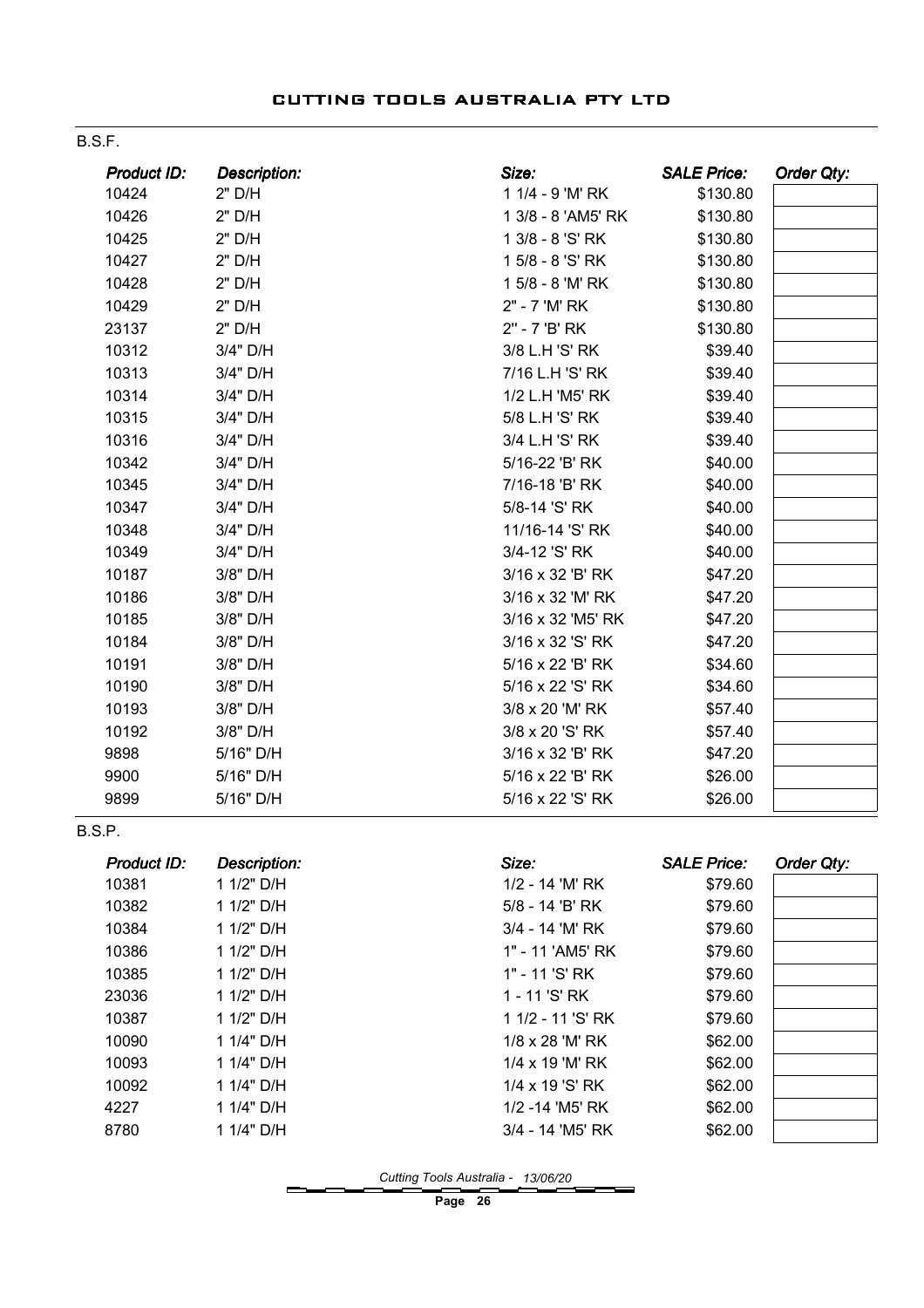B.S.F.

| Product ID:   | <b>Description:</b> | Size:              | <b>SALE Price:</b> | Order Qty: |
|---------------|---------------------|--------------------|--------------------|------------|
| 10424         | 2" D/H              | 1 1/4 - 9 'M' RK   | \$130.80           |            |
| 10426         | 2" D/H              | 1 3/8 - 8 'AM5' RK | \$130.80           |            |
| 10425         | 2" D/H              | 1 3/8 - 8 'S' RK   | \$130.80           |            |
| 10427         | 2" D/H              | 1 5/8 - 8 'S' RK   | \$130.80           |            |
| 10428         | 2" D/H              | 1 5/8 - 8 'M' RK   | \$130.80           |            |
| 10429         | 2" D/H              | 2" - 7 'M' RK      | \$130.80           |            |
| 23137         | 2" D/H              | 2" - 7 'B' RK      | \$130.80           |            |
| 10312         | 3/4" D/H            | 3/8 L.H 'S' RK     | \$39.40            |            |
| 10313         | 3/4" D/H            | 7/16 L.H 'S' RK    | \$39.40            |            |
| 10314         | 3/4" D/H            | 1/2 L.H 'M5' RK    | \$39.40            |            |
| 10315         | 3/4" D/H            | 5/8 L.H 'S' RK     | \$39.40            |            |
| 10316         | 3/4" D/H            | 3/4 L.H 'S' RK     | \$39.40            |            |
| 10342         | 3/4" D/H            | 5/16-22 'B' RK     | \$40.00            |            |
| 10345         | 3/4" D/H            | 7/16-18 'B' RK     | \$40.00            |            |
| 10347         | 3/4" D/H            | 5/8-14 'S' RK      | \$40.00            |            |
| 10348         | 3/4" D/H            | 11/16-14 'S' RK    | \$40.00            |            |
| 10349         | 3/4" D/H            | 3/4-12 'S' RK      | \$40.00            |            |
| 10187         | 3/8" D/H            | 3/16 x 32 'B' RK   | \$47.20            |            |
| 10186         | 3/8" D/H            | 3/16 x 32 'M' RK   | \$47.20            |            |
| 10185         | 3/8" D/H            | 3/16 x 32 'M5' RK  | \$47.20            |            |
| 10184         | 3/8" D/H            | 3/16 x 32 'S' RK   | \$47.20            |            |
| 10191         | 3/8" D/H            | 5/16 x 22 'B' RK   | \$34.60            |            |
| 10190         | 3/8" D/H            | 5/16 x 22 'S' RK   | \$34.60            |            |
| 10193         | 3/8" D/H            | 3/8 x 20 'M' RK    | \$57.40            |            |
| 10192         | 3/8" D/H            | 3/8 x 20 'S' RK    | \$57.40            |            |
| 9898          | 5/16" D/H           | 3/16 x 32 'B' RK   | \$47.20            |            |
| 9900          | 5/16" D/H           | 5/16 x 22 'B' RK   | \$26.00            |            |
| 9899          | 5/16" D/H           | 5/16 x 22 'S' RK   | \$26.00            |            |
| <b>B.S.P.</b> |                     |                    |                    |            |
| Product ID:   | <b>Description:</b> | Size:              | <b>SALE Price:</b> | Order Qty: |
| 10381         | 1 1/2" D/H          | 1/2 - 14 'M' RK    | \$79.60            |            |
| 10382         | 1 1/2" D/H          | $5/8 - 14$ 'B' RK  | \$79.60            |            |

| 10382 | 1 1/2" D/H | 5/8 - 14 'B' RK        | \$79.60 |
|-------|------------|------------------------|---------|
| 10384 | 1 1/2" D/H | 3/4 - 14 'M' RK        | \$79.60 |
| 10386 | 1 1/2" D/H | 1" - 11 'AM5' RK       | \$79.60 |
| 10385 | 1 1/2" D/H | 1" - 11 'S' RK         | \$79.60 |
| 23036 | 1 1/2" D/H | 1 - 11 'S' RK          | \$79.60 |
| 10387 | 1 1/2" D/H | 1 1/2 - 11 'S' RK      | \$79.60 |
| 10090 | 1 1/4" D/H | $1/8 \times 28$ 'M' RK | \$62.00 |
| 10093 | 1 1/4" D/H | 1/4 x 19 'M' RK        | \$62.00 |
| 10092 | 1 1/4" D/H | 1/4 x 19 'S' RK        | \$62.00 |
| 4227  | 1 1/4" D/H | 1/2 -14 'M5' RK        | \$62.00 |
| 8780  | 1 1/4" D/H | 3/4 - 14 'M5' RK       | \$62.00 |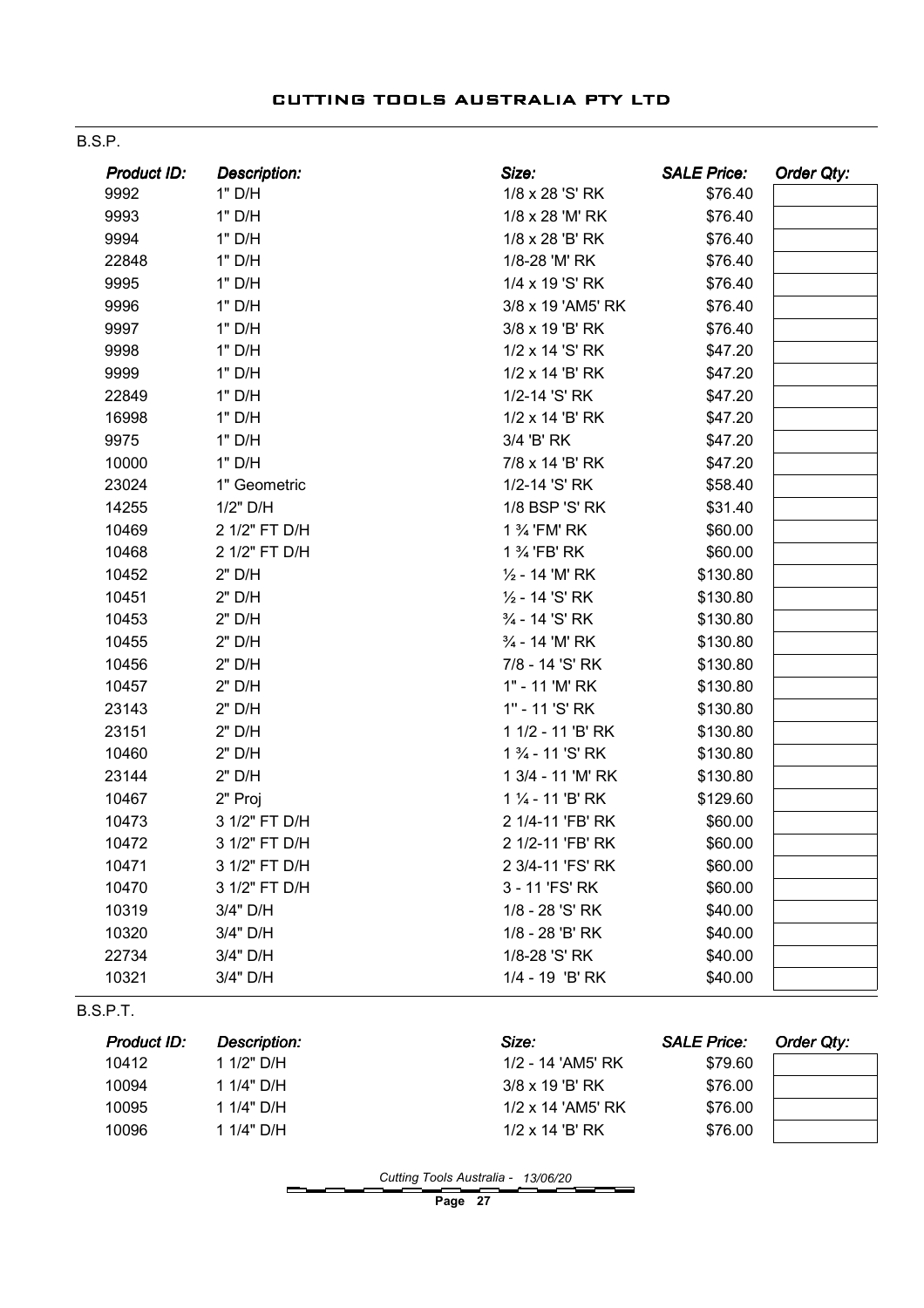| <b>Product ID:</b> | <b>Description:</b> | Size:             | <b>SALE Price:</b> | Order Qty: |
|--------------------|---------------------|-------------------|--------------------|------------|
| 9992               | 1" D/H              | 1/8 x 28 'S' RK   | \$76.40            |            |
| 9993               | 1" D/H              | 1/8 x 28 'M' RK   | \$76.40            |            |
| 9994               | 1" D/H              | 1/8 x 28 'B' RK   | \$76.40            |            |
| 22848              | 1" D/H              | 1/8-28 'M' RK     | \$76.40            |            |
| 9995               | 1" D/H              | 1/4 x 19 'S' RK   | \$76.40            |            |
| 9996               | 1" D/H              | 3/8 x 19 'AM5' RK | \$76.40            |            |
| 9997               | 1" D/H              | 3/8 x 19 'B' RK   | \$76.40            |            |
| 9998               | 1" D/H              | 1/2 x 14 'S' RK   | \$47.20            |            |
| 9999               | 1" D/H              | 1/2 x 14 'B' RK   | \$47.20            |            |
| 22849              | 1" D/H              | 1/2-14 'S' RK     | \$47.20            |            |
| 16998              | 1" D/H              | 1/2 x 14 'B' RK   | \$47.20            |            |
| 9975               | 1" D/H              | 3/4 'B' RK        | \$47.20            |            |
| 10000              | 1" D/H              | 7/8 x 14 'B' RK   | \$47.20            |            |
| 23024              | 1" Geometric        | 1/2-14 'S' RK     | \$58.40            |            |
| 14255              | 1/2" D/H            | 1/8 BSP 'S' RK    | \$31.40            |            |
| 10469              | 2 1/2" FT D/H       | 1 % 'FM' RK       | \$60.00            |            |
| 10468              | 2 1/2" FT D/H       | 1 % 'FB' RK       | \$60.00            |            |
| 10452              | 2" D/H              | 1/2 - 14 'M' RK   | \$130.80           |            |
| 10451              | 2" D/H              | 1/2 - 14 'S' RK   | \$130.80           |            |
| 10453              | 2" D/H              | 3/4 - 14 'S' RK   | \$130.80           |            |
| 10455              | 2" D/H              | 3/4 - 14 'M' RK   | \$130.80           |            |
| 10456              | 2" D/H              | 7/8 - 14 'S' RK   | \$130.80           |            |
| 10457              | 2" D/H              | 1" - 11 'M' RK    | \$130.80           |            |
| 23143              | 2" D/H              | 1" - 11 'S' RK    | \$130.80           |            |
| 23151              | 2" D/H              | 1 1/2 - 11 'B' RK | \$130.80           |            |
| 10460              | 2" D/H              | 1 3/4 - 11 'S' RK | \$130.80           |            |
| 23144              | 2" D/H              | 1 3/4 - 11 'M' RK | \$130.80           |            |
| 10467              | 2" Proj             | 1 1/4 - 11 'B' RK | \$129.60           |            |
| 10473              | 3 1/2" FT D/H       | 2 1/4-11 'FB' RK  | \$60.00            |            |
| 10472              | 3 1/2" FT D/H       | 2 1/2-11 'FB' RK  | \$60.00            |            |
| 10471              | 3 1/2" FT D/H       | 2 3/4-11 'FS' RK  | \$60.00            |            |
| 10470              | 3 1/2" FT D/H       | 3 - 11 'FS' RK    | \$60.00            |            |
| 10319              | 3/4" D/H            | 1/8 - 28 'S' RK   | \$40.00            |            |
| 10320              | 3/4" D/H            | 1/8 - 28 'B' RK   | \$40.00            |            |
| 22734              | 3/4" D/H            | 1/8-28 'S' RK     | \$40.00            |            |
| 10321              | 3/4" D/H            | 1/4 - 19 'B' RK   | \$40.00            |            |

B.S.P.T.

| Product ID: | <b>Description:</b> | Size:                    | <b>SALE Price:</b> | Order Qtv: |
|-------------|---------------------|--------------------------|--------------------|------------|
| 10412       | 1 1/2" D/H          | 1/2 - 14 'AM5' RK        | \$79.60            |            |
| 10094       | 1 1/4" D/H          | $3/8 \times 19$ 'B' RK   | \$76.00            |            |
| 10095       | 1 1/4" D/H          | $1/2 \times 14$ 'AM5' RK | \$76.00            |            |
| 10096       | 1 1/4" D/H          | $1/2 \times 14$ 'B' RK   | \$76.00            |            |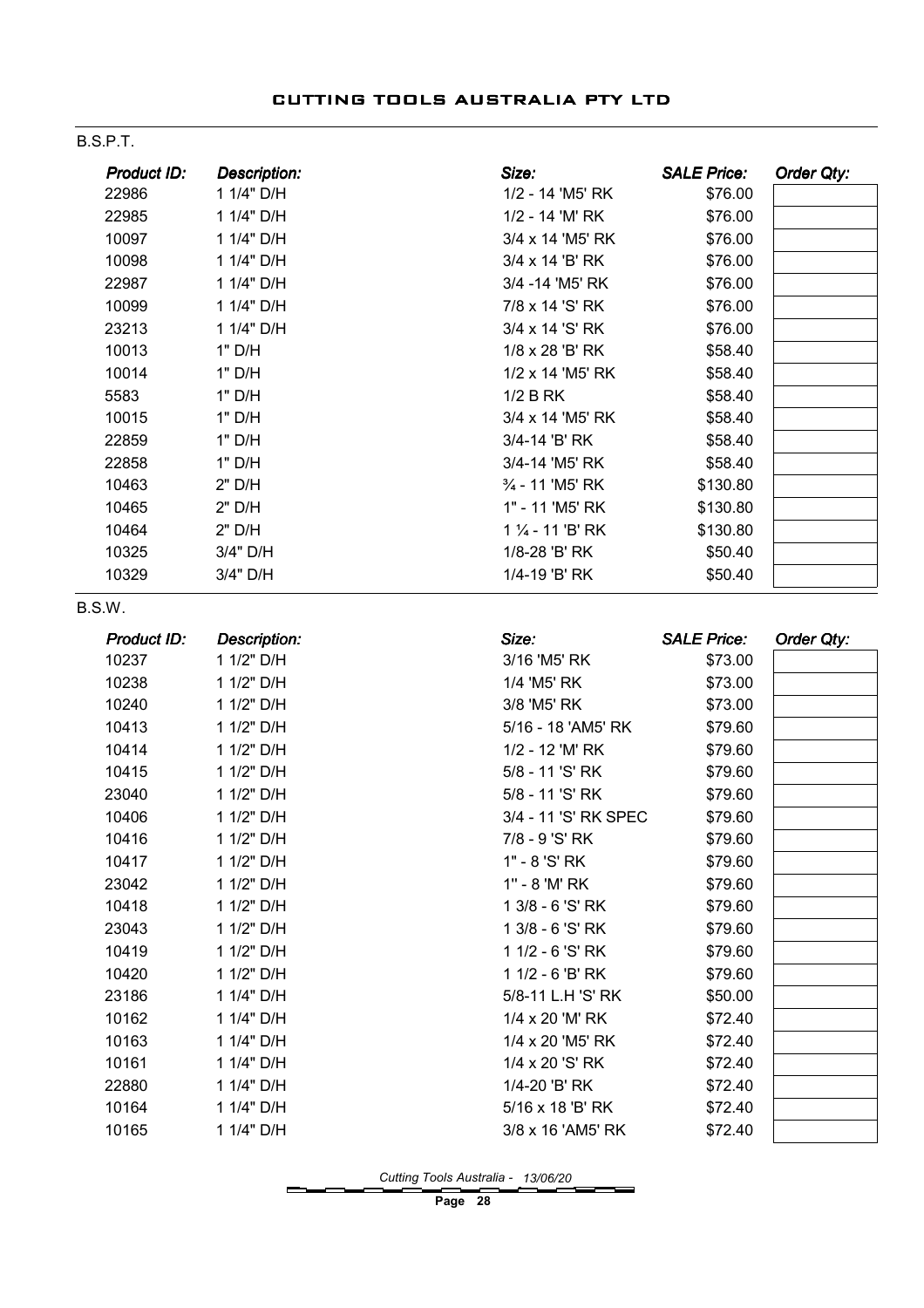#### B.S.P.T.

| Product ID: | <b>Description:</b> | Size:                         | <b>SALE Price:</b> | Order Qty: |
|-------------|---------------------|-------------------------------|--------------------|------------|
| 22986       | 1 1/4" D/H          | 1/2 - 14 'M5' RK              | \$76.00            |            |
| 22985       | 1 1/4" D/H          | 1/2 - 14 'M' RK               | \$76.00            |            |
| 10097       | 1 1/4" D/H          | 3/4 x 14 'M5' RK              | \$76.00            |            |
| 10098       | 1 1/4" D/H          | 3/4 x 14 'B' RK               | \$76.00            |            |
| 22987       | 1 1/4" D/H          | 3/4 - 14 'M5' RK              | \$76.00            |            |
| 10099       | 1 1/4" D/H          | 7/8 x 14 'S' RK               | \$76.00            |            |
| 23213       | 1 1/4" D/H          | 3/4 x 14 'S' RK               | \$76.00            |            |
| 10013       | 1" D/H              | 1/8 x 28 'B' RK               | \$58.40            |            |
| 10014       | 1" D/H              | 1/2 x 14 'M5' RK              | \$58.40            |            |
| 5583        | 1" D/H              | 1/2 B RK                      | \$58.40            |            |
| 10015       | 1" D/H              | 3/4 x 14 'M5' RK              | \$58.40            |            |
| 22859       | 1" D/H              | 3/4-14 'B' RK                 | \$58.40            |            |
| 22858       | 1" D/H              | 3/4-14 'M5' RK                | \$58.40            |            |
| 10463       | 2" D/H              | 3/4 - 11 'M5' RK              | \$130.80           |            |
| 10465       | $2"$ D/H            | 1" - 11 'M5' RK               | \$130.80           |            |
| 10464       | 2" D/H              | 1 1/ <sub>4</sub> - 11 'B' RK | \$130.80           |            |
| 10325       | 3/4" D/H            | 1/8-28 'B' RK                 | \$50.40            |            |
| 10329       | 3/4" D/H            | 1/4-19 'B' RK                 | \$50.40            |            |
| B.S.W.      |                     |                               |                    |            |
| Product ID: | <b>Description:</b> | Size:                         | <b>SALE Price:</b> | Order Qty: |
| 10237       | 1 1/2" D/H          | 3/16 'M5' RK                  | \$73.00            |            |
| 10238       | 1 1/2" D/H          | 1/4 'M5' RK                   | \$73.00            |            |
| 10240       | 1 1/2" D/H          | 3/8 'M5' RK                   | \$73.00            |            |
| 10413       | 1 1/2" D/H          | 5/16 - 18 'AM5' RK            | \$79.60            |            |
| 10414       | 1 1/2" D/H          | 1/2 - 12 'M' RK               | \$79.60            |            |
| 10415       | 1 1/2" D/H          | 5/8 - 11 'S' RK               | \$79.60            |            |
| 23040       | 1 1/2" D/H          | 5/8 - 11 'S' RK               | \$79.60            |            |
| 10406       | 1 1/2" D/H          | 3/4 - 11 'S' RK SPEC          | \$79.60            |            |
| 10416       | 1 1/2" D/H          | 7/8 - 9 'S' RK                | \$79.60            |            |
| 10417       | 1 1/2" D/H          | 1" - 8 'S' RK                 | \$79.60            |            |
| 23042       | 1 1/2" D/H          | 1" - 8 'M' RK                 | \$79.60            |            |
| 10418       | 1 1/2" D/H          | 1 3/8 - 6 'S' RK              | \$79.60            |            |
| 23043       | 1 1/2" D/H          | 1 3/8 - 6 'S' RK              | \$79.60            |            |
| 10419       | 1 1/2" D/H          | 1 1/2 - 6 'S' RK              | \$79.60            |            |
| 10420       | 1 1/2" D/H          | 1 1/2 - 6 'B' RK              | \$79.60            |            |
| 23186       | 1 1/4" D/H          | 5/8-11 L.H 'S' RK             | \$50.00            |            |
| 10162       | 1 1/4" D/H          | 1/4 x 20 'M' RK               | \$72.40            |            |
| 10163       | 1 1/4" D/H          | 1/4 x 20 'M5' RK              | \$72.40            |            |
| 10161       | 1 1/4" D/H          | 1/4 x 20 'S' RK               | \$72.40            |            |
| 22880       | 1 1/4" D/H          | 1/4-20 'B' RK                 | \$72.40            |            |
| 10164       | 1 1/4" D/H          | 5/16 x 18 'B' RK              | \$72.40            |            |
| 10165       | 1 1/4" D/H          | 3/8 x 16 'AM5' RK             | \$72.40            |            |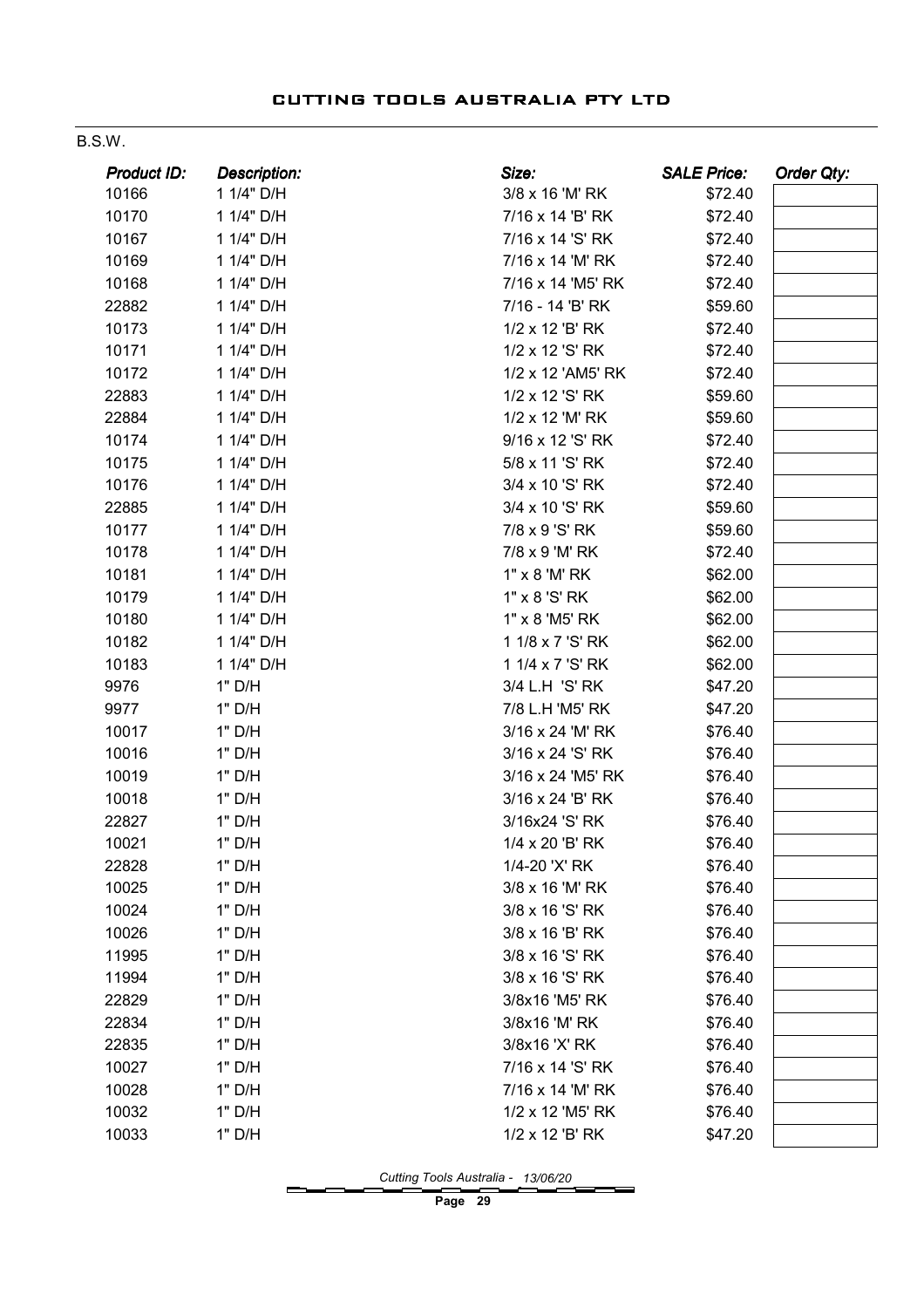#### B.S.W.

| Product ID: | <b>Description:</b> | Size:             | <b>SALE Price:</b> | <b>Order Qty:</b> |
|-------------|---------------------|-------------------|--------------------|-------------------|
| 10166       | 1 1/4" D/H          | 3/8 x 16 'M' RK   | \$72.40            |                   |
| 10170       | 1 1/4" D/H          | 7/16 x 14 'B' RK  | \$72.40            |                   |
| 10167       | 1 1/4" D/H          | 7/16 x 14 'S' RK  | \$72.40            |                   |
| 10169       | 1 1/4" D/H          | 7/16 x 14 'M' RK  | \$72.40            |                   |
| 10168       | 1 1/4" D/H          | 7/16 x 14 'M5' RK | \$72.40            |                   |
| 22882       | 1 1/4" D/H          | 7/16 - 14 'B' RK  | \$59.60            |                   |
| 10173       | 1 1/4" D/H          | 1/2 x 12 'B' RK   | \$72.40            |                   |
| 10171       | 1 1/4" D/H          | 1/2 x 12 'S' RK   | \$72.40            |                   |
| 10172       | 1 1/4" D/H          | 1/2 x 12 'AM5' RK | \$72.40            |                   |
| 22883       | 1 1/4" D/H          | 1/2 x 12 'S' RK   | \$59.60            |                   |
| 22884       | 1 1/4" D/H          | 1/2 x 12 'M' RK   | \$59.60            |                   |
| 10174       | 1 1/4" D/H          | 9/16 x 12 'S' RK  | \$72.40            |                   |
| 10175       | 1 1/4" D/H          | 5/8 x 11 'S' RK   | \$72.40            |                   |
| 10176       | 1 1/4" D/H          | 3/4 x 10 'S' RK   | \$72.40            |                   |
| 22885       | 1 1/4" D/H          | 3/4 x 10 'S' RK   | \$59.60            |                   |
| 10177       | 1 1/4" D/H          | 7/8 x 9 'S' RK    | \$59.60            |                   |
| 10178       | 1 1/4" D/H          | 7/8 x 9 'M' RK    | \$72.40            |                   |
| 10181       | 1 1/4" D/H          | 1" x 8 'M' RK     | \$62.00            |                   |
| 10179       | 1 1/4" D/H          | 1" x 8 'S' RK     | \$62.00            |                   |
| 10180       | 1 1/4" D/H          | 1" x 8 'M5' RK    | \$62.00            |                   |
| 10182       | 1 1/4" D/H          | 1 1/8 x 7 'S' RK  | \$62.00            |                   |
| 10183       | 1 1/4" D/H          | 1 1/4 x 7 'S' RK  | \$62.00            |                   |
| 9976        | 1" D/H              | 3/4 L.H 'S' RK    | \$47.20            |                   |
| 9977        | 1" D/H              | 7/8 L.H 'M5' RK   | \$47.20            |                   |
| 10017       | 1" D/H              | 3/16 x 24 'M' RK  | \$76.40            |                   |
| 10016       | 1" D/H              | 3/16 x 24 'S' RK  | \$76.40            |                   |
| 10019       | 1" D/H              | 3/16 x 24 'M5' RK | \$76.40            |                   |
| 10018       | 1" D/H              | 3/16 x 24 'B' RK  | \$76.40            |                   |
| 22827       | 1" D/H              | 3/16x24 'S' RK    | \$76.40            |                   |
| 10021       | 1" D/H              | 1/4 x 20 'B' RK   | \$76.40            |                   |
| 22828       | 1" D/H              | 1/4-20 'X' RK     | \$76.40            |                   |
| 10025       | 1" D/H              | 3/8 x 16 'M' RK   | \$76.40            |                   |
| 10024       | 1" D/H              | 3/8 x 16 'S' RK   | \$76.40            |                   |
| 10026       | 1" D/H              | 3/8 x 16 'B' RK   | \$76.40            |                   |
| 11995       | 1" D/H              | 3/8 x 16 'S' RK   | \$76.40            |                   |
| 11994       | 1" D/H              | 3/8 x 16 'S' RK   | \$76.40            |                   |
| 22829       | 1" D/H              | 3/8x16 'M5' RK    | \$76.40            |                   |
| 22834       | 1" D/H              | 3/8x16 'M' RK     | \$76.40            |                   |
| 22835       | 1" D/H              | 3/8x16 'X' RK     | \$76.40            |                   |
| 10027       | 1" D/H              | 7/16 x 14 'S' RK  | \$76.40            |                   |
| 10028       | 1" D/H              | 7/16 x 14 'M' RK  | \$76.40            |                   |
| 10032       | 1" D/H              | 1/2 x 12 'M5' RK  | \$76.40            |                   |
| 10033       | 1" D/H              | 1/2 x 12 'B' RK   | \$47.20            |                   |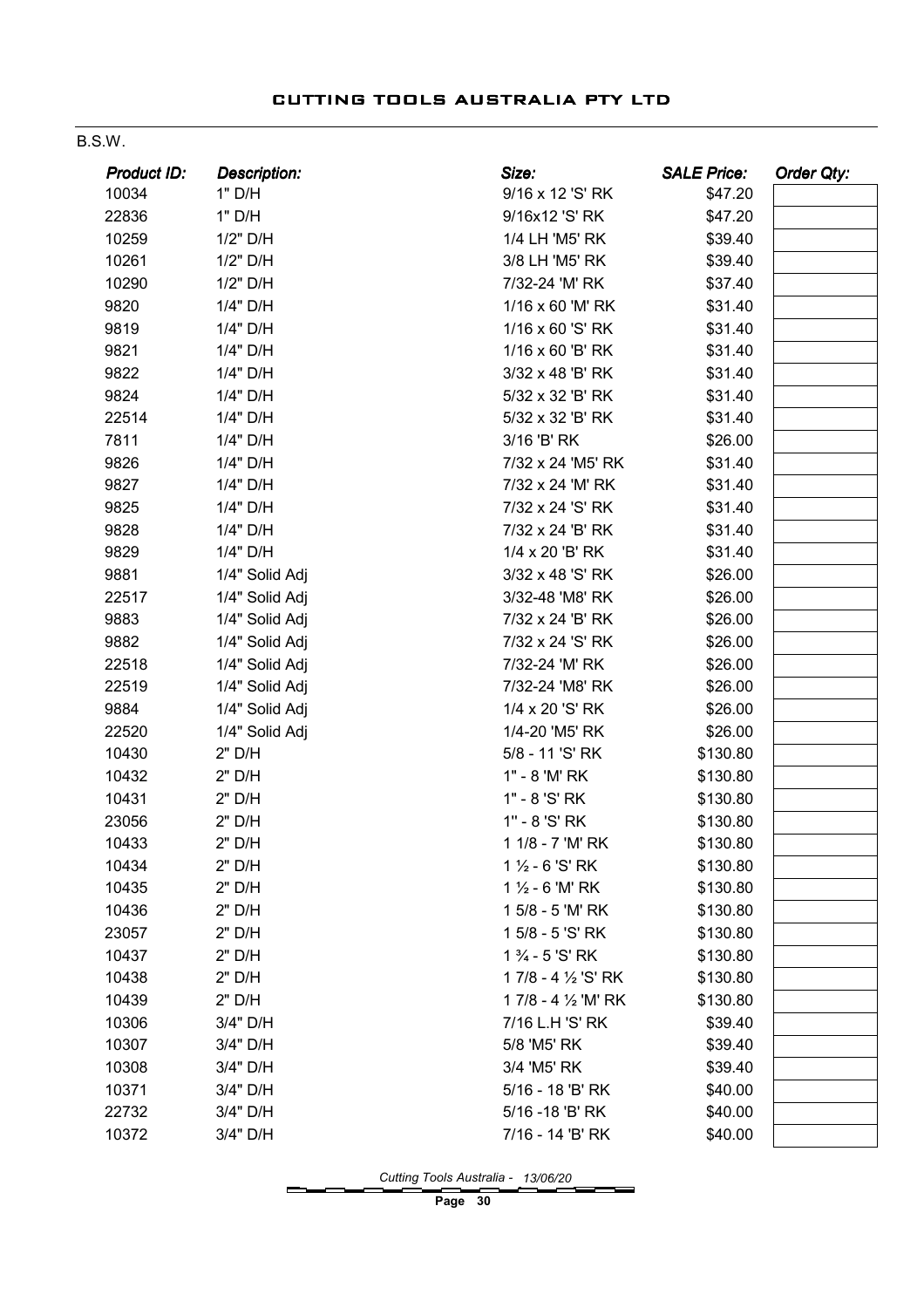#### B.S.W.

| Product ID: | <b>Description:</b> | Size:                     | <b>SALE Price:</b> | Order Qty: |
|-------------|---------------------|---------------------------|--------------------|------------|
| 10034       | 1" D/H              | 9/16 x 12 'S' RK          | \$47.20            |            |
| 22836       | 1" D/H              | 9/16x12 'S' RK            | \$47.20            |            |
| 10259       | 1/2" D/H            | 1/4 LH 'M5' RK            | \$39.40            |            |
| 10261       | 1/2" D/H            | 3/8 LH 'M5' RK            | \$39.40            |            |
| 10290       | 1/2" D/H            | 7/32-24 'M' RK            | \$37.40            |            |
| 9820        | 1/4" D/H            | 1/16 x 60 'M' RK          | \$31.40            |            |
| 9819        | 1/4" D/H            | 1/16 x 60 'S' RK          | \$31.40            |            |
| 9821        | 1/4" D/H            | 1/16 x 60 'B' RK          | \$31.40            |            |
| 9822        | 1/4" D/H            | 3/32 x 48 'B' RK          | \$31.40            |            |
| 9824        | 1/4" D/H            | 5/32 x 32 'B' RK          | \$31.40            |            |
| 22514       | 1/4" D/H            | 5/32 x 32 'B' RK          | \$31.40            |            |
| 7811        | 1/4" D/H            | 3/16 'B' RK               | \$26.00            |            |
| 9826        | 1/4" D/H            | 7/32 x 24 'M5' RK         | \$31.40            |            |
| 9827        | 1/4" D/H            | 7/32 x 24 'M' RK          | \$31.40            |            |
| 9825        | 1/4" D/H            | 7/32 x 24 'S' RK          | \$31.40            |            |
| 9828        | 1/4" D/H            | 7/32 x 24 'B' RK          | \$31.40            |            |
| 9829        | 1/4" D/H            | 1/4 x 20 'B' RK           | \$31.40            |            |
| 9881        | 1/4" Solid Adj      | 3/32 x 48 'S' RK          | \$26.00            |            |
| 22517       | 1/4" Solid Adj      | 3/32-48 'M8' RK           | \$26.00            |            |
| 9883        | 1/4" Solid Adj      | 7/32 x 24 'B' RK          | \$26.00            |            |
| 9882        | 1/4" Solid Adj      | 7/32 x 24 'S' RK          | \$26.00            |            |
| 22518       | 1/4" Solid Adj      | 7/32-24 'M' RK            | \$26.00            |            |
| 22519       | 1/4" Solid Adj      | 7/32-24 'M8' RK           | \$26.00            |            |
| 9884        | 1/4" Solid Adj      | 1/4 x 20 'S' RK           | \$26.00            |            |
| 22520       | 1/4" Solid Adj      | 1/4-20 'M5' RK            | \$26.00            |            |
| 10430       | 2" D/H              | 5/8 - 11 'S' RK           | \$130.80           |            |
| 10432       | 2" D/H              | 1" - 8 'M' RK             | \$130.80           |            |
| 10431       | 2" D/H              | 1" - 8 'S' RK             | \$130.80           |            |
| 23056       | 2" D/H              | 1" - 8 'S' RK             | \$130.80           |            |
| 10433       | 2" D/H              | 1 1/8 - 7 'M' RK          | \$130.80           |            |
| 10434       | 2" D/H              | $1\frac{1}{2}$ - 6 'S' RK | \$130.80           |            |
| 10435       | 2" D/H              | $1\frac{1}{2}$ - 6 'M' RK | \$130.80           |            |
| 10436       | 2" D/H              | 1 5/8 - 5 'M' RK          | \$130.80           |            |
| 23057       | 2" D/H              | 1 5/8 - 5 'S' RK          | \$130.80           |            |
| 10437       | 2" D/H              | 1 % - 5 'S' RK            | \$130.80           |            |
| 10438       | 2" D/H              | 17/8 - 4 1/2 'S' RK       | \$130.80           |            |
| 10439       | 2" D/H              | 1 7/8 - 4 1/2 'M' RK      | \$130.80           |            |
| 10306       | 3/4" D/H            | 7/16 L.H 'S' RK           | \$39.40            |            |
| 10307       | 3/4" D/H            | 5/8 'M5' RK               | \$39.40            |            |
| 10308       | 3/4" D/H            | 3/4 'M5' RK               | \$39.40            |            |
| 10371       | 3/4" D/H            | 5/16 - 18 'B' RK          | \$40.00            |            |
| 22732       | 3/4" D/H            | 5/16 -18 'B' RK           | \$40.00            |            |
| 10372       | 3/4" D/H            | 7/16 - 14 'B' RK          | \$40.00            |            |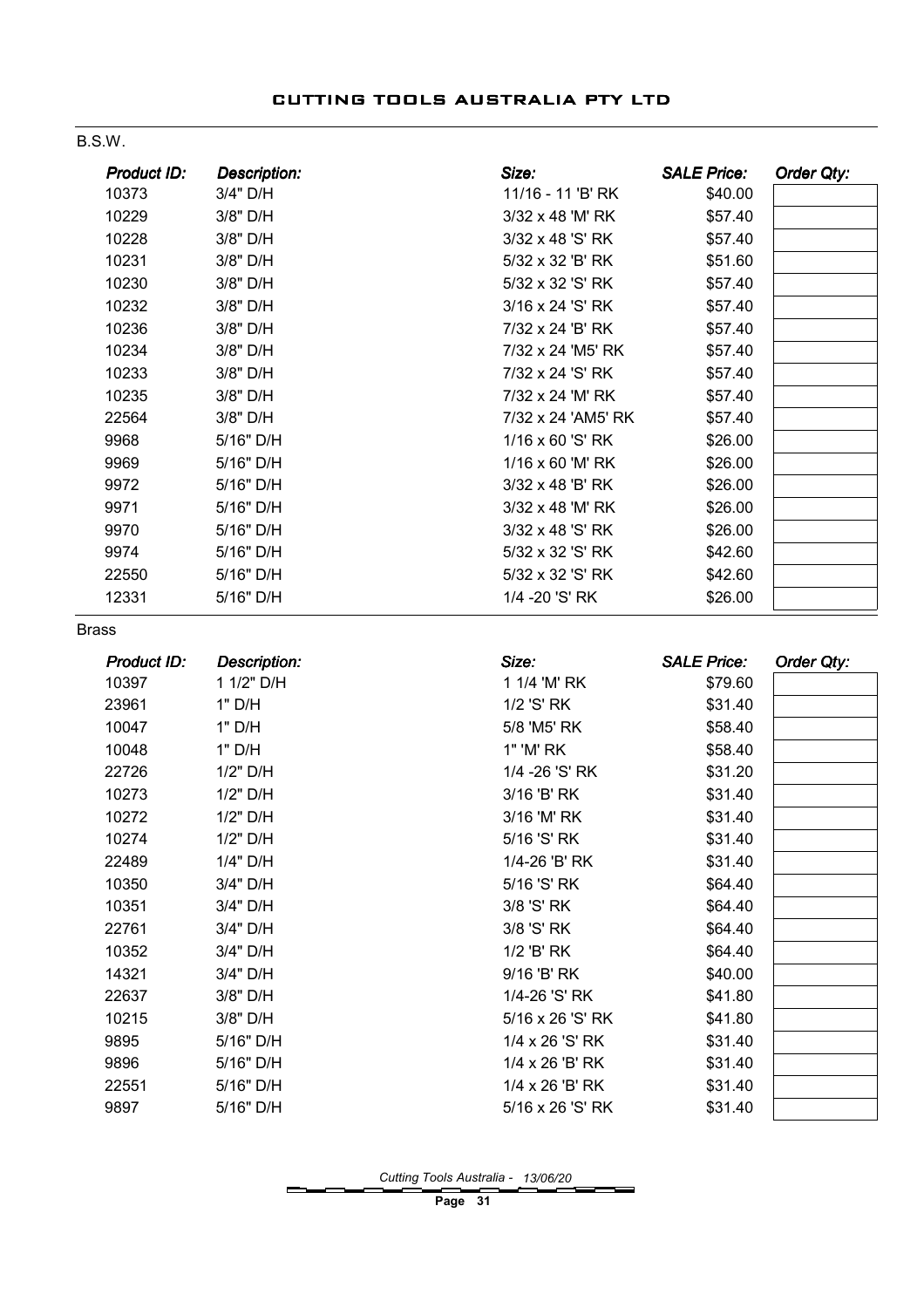#### B.S.W.

| Product ID:  | <b>Description:</b> | Size:              | <b>SALE Price:</b> | Order Qty: |
|--------------|---------------------|--------------------|--------------------|------------|
| 10373        | 3/4" D/H            | 11/16 - 11 'B' RK  | \$40.00            |            |
| 10229        | 3/8" D/H            | 3/32 x 48 'M' RK   | \$57.40            |            |
| 10228        | 3/8" D/H            | 3/32 x 48 'S' RK   | \$57.40            |            |
| 10231        | 3/8" D/H            | 5/32 x 32 'B' RK   | \$51.60            |            |
| 10230        | 3/8" D/H            | 5/32 x 32 'S' RK   | \$57.40            |            |
| 10232        | 3/8" D/H            | 3/16 x 24 'S' RK   | \$57.40            |            |
| 10236        | 3/8" D/H            | 7/32 x 24 'B' RK   | \$57.40            |            |
| 10234        | 3/8" D/H            | 7/32 x 24 'M5' RK  | \$57.40            |            |
| 10233        | 3/8" D/H            | 7/32 x 24 'S' RK   | \$57.40            |            |
| 10235        | 3/8" D/H            | 7/32 x 24 'M' RK   | \$57.40            |            |
| 22564        | 3/8" D/H            | 7/32 x 24 'AM5' RK | \$57.40            |            |
| 9968         | 5/16" D/H           | 1/16 x 60 'S' RK   | \$26.00            |            |
| 9969         | 5/16" D/H           | 1/16 x 60 'M' RK   | \$26.00            |            |
| 9972         | 5/16" D/H           | 3/32 x 48 'B' RK   | \$26.00            |            |
| 9971         | 5/16" D/H           | 3/32 x 48 'M' RK   | \$26.00            |            |
| 9970         | 5/16" D/H           | 3/32 x 48 'S' RK   | \$26.00            |            |
| 9974         | 5/16" D/H           | 5/32 x 32 'S' RK   | \$42.60            |            |
| 22550        | 5/16" D/H           | 5/32 x 32 'S' RK   | \$42.60            |            |
| 12331        | 5/16" D/H           | 1/4 - 20 'S' RK    | \$26.00            |            |
| <b>Brass</b> |                     |                    |                    |            |
|              |                     |                    |                    |            |
| Product ID:  | Description:        | Size:              | <b>SALE Price:</b> | Order Qty: |
| 10397        | 1 1/2" D/H          | 1 1/4 'M' RK       | \$79.60            |            |
| 23961        | 1" D/H              | 1/2 'S' RK         | \$31.40            |            |
| 10047        | 1" D/H              | 5/8 'M5' RK        | \$58.40            |            |
| 10048        | 1" D/H              | 1" 'M' RK          | \$58.40            |            |
| 22726        | 1/2" D/H            | 1/4 - 26 'S' RK    | \$31.20            |            |
| 10273        | 1/2" D/H            | 3/16 'B' RK        | \$31.40            |            |
| 10272        | 1/2" D/H            | 3/16 'M' RK        | \$31.40            |            |
| 10274        | 1/2" D/H            | 5/16 'S' RK        | \$31.40            |            |
| 22489        | 1/4" D/H            | 1/4-26 'B' RK      | \$31.40            |            |
| 10350        | 3/4" D/H            | 5/16 'S' RK        | \$64.40            |            |
| 10351        | 3/4" D/H            | 3/8 'S' RK         | \$64.40            |            |
| 22761        | 3/4" D/H            | 3/8 'S' RK         | \$64.40            |            |
| 10352        | 3/4" D/H            | 1/2 'B' RK         | \$64.40            |            |
| 14321        | 3/4" D/H            | 9/16 'B' RK        | \$40.00            |            |
| 22637        | 3/8" D/H            | 1/4-26 'S' RK      | \$41.80            |            |
| 10215        | 3/8" D/H            | 5/16 x 26 'S' RK   | \$41.80            |            |
| 9895         | 5/16" D/H           | 1/4 x 26 'S' RK    | \$31.40            |            |
| 9896         | 5/16" D/H           | 1/4 x 26 'B' RK    | \$31.40            |            |
| 22551        | 5/16" D/H           | 1/4 x 26 'B' RK    | \$31.40            |            |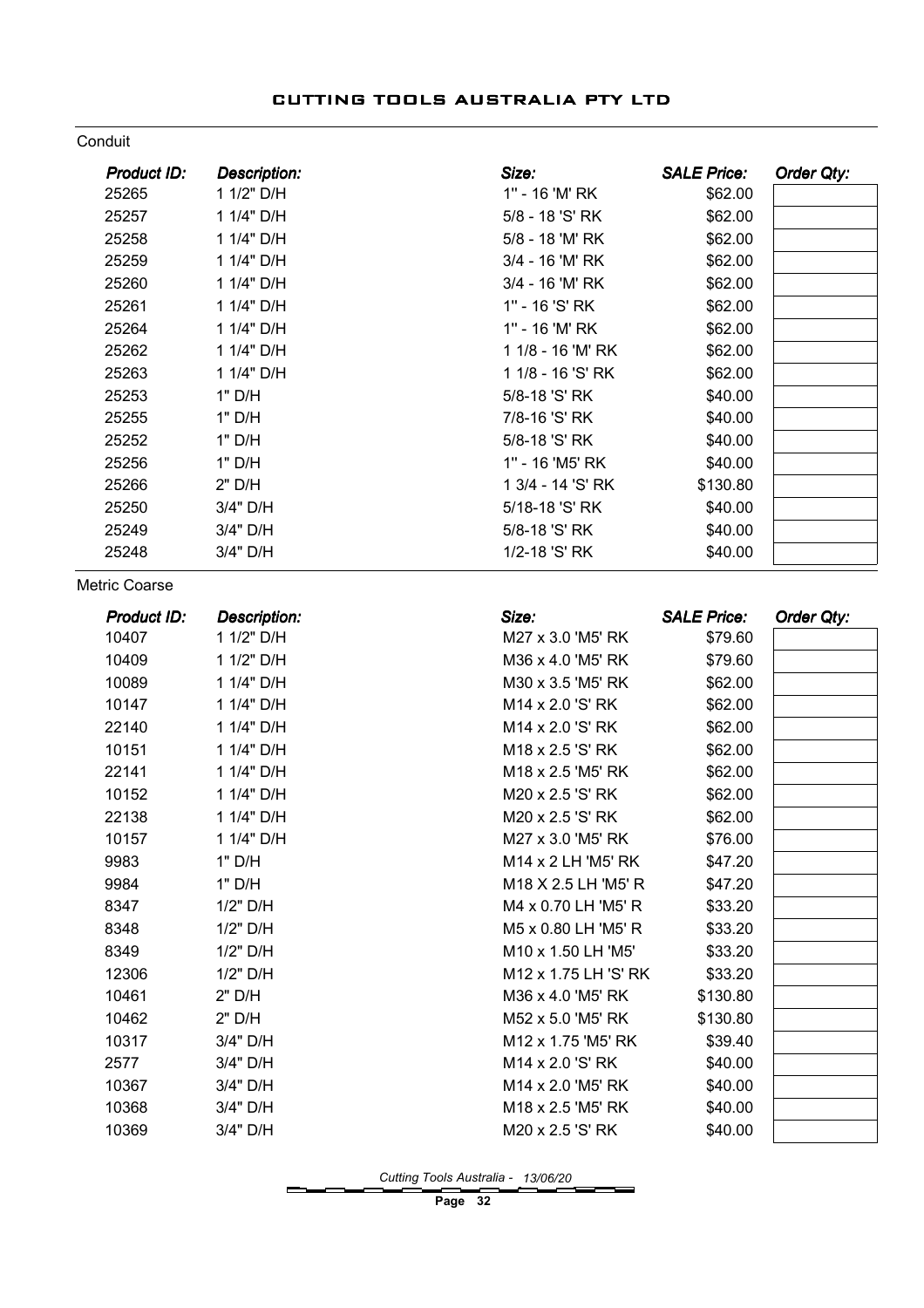#### Conduit

| Product ID:        | <b>Description:</b> | Size:                | <b>SALE Price:</b> | Order Qty: |
|--------------------|---------------------|----------------------|--------------------|------------|
| 25265              | 1 1/2" D/H          | 1" - 16 'M' RK       | \$62.00            |            |
| 25257              | 1 1/4" D/H          | 5/8 - 18 'S' RK      | \$62.00            |            |
| 25258              | 1 1/4" D/H          | 5/8 - 18 'M' RK      | \$62.00            |            |
| 25259              | 1 1/4" D/H          | 3/4 - 16 'M' RK      | \$62.00            |            |
| 25260              | 1 1/4" D/H          | 3/4 - 16 'M' RK      | \$62.00            |            |
| 25261              | 1 1/4" D/H          | 1" - 16 'S' RK       | \$62.00            |            |
| 25264              | 1 1/4" D/H          | 1" - 16 'M' RK       | \$62.00            |            |
| 25262              | 1 1/4" D/H          | 1 1/8 - 16 'M' RK    | \$62.00            |            |
| 25263              | 1 1/4" D/H          | 1 1/8 - 16 'S' RK    | \$62.00            |            |
| 25253              | 1" D/H              | 5/8-18 'S' RK        | \$40.00            |            |
| 25255              | 1" D/H              | 7/8-16 'S' RK        | \$40.00            |            |
| 25252              | 1" D/H              | 5/8-18 'S' RK        | \$40.00            |            |
| 25256              | 1" D/H              | 1" - 16 'M5' RK      | \$40.00            |            |
| 25266              | 2" D/H              | 1 3/4 - 14 'S' RK    | \$130.80           |            |
| 25250              | 3/4" D/H            | 5/18-18 'S' RK       | \$40.00            |            |
| 25249              | 3/4" D/H            | 5/8-18 'S' RK        | \$40.00            |            |
| 25248              | 3/4" D/H            | 1/2-18 'S' RK        | \$40.00            |            |
| Metric Coarse      |                     |                      |                    |            |
| <b>Product ID:</b> | Description:        | Size:                | <b>SALE Price:</b> | Order Qty: |
| 10407              | 1 1/2" D/H          | M27 x 3.0 'M5' RK    | \$79.60            |            |
| 10409              | 1 1/2" D/H          | M36 x 4.0 'M5' RK    | \$79.60            |            |
| 10089              | 1 1/4" D/H          | M30 x 3.5 'M5' RK    | \$62.00            |            |
| 10147              | 1 1/4" D/H          | M14 x 2.0 'S' RK     | \$62.00            |            |
| 22140              | 1 1/4" D/H          | M14 x 2.0 'S' RK     | \$62.00            |            |
| 10151              | 1 1/4" D/H          | M18 x 2.5 'S' RK     | \$62.00            |            |
| 22141              | 1 1/4" D/H          | M18 x 2.5 'M5' RK    | \$62.00            |            |
| 10152              | 1 1/4" D/H          | M20 x 2.5 'S' RK     | \$62.00            |            |
| 22138              | 1 1/4" D/H          | M20 x 2.5 'S' RK     | \$62.00            |            |
| 10157              | 1 1/4" D/H          | M27 x 3.0 'M5' RK    | \$76.00            |            |
| 9983               | 1" D/H              | M14 x 2 LH 'M5' RK   | \$47.20            |            |
| 9984               | 1" D/H              | M18 X 2.5 LH 'M5' R  | \$47.20            |            |
| 8347               | 1/2" D/H            | M4 x 0.70 LH 'M5' R  | \$33.20            |            |
| 8348               | 1/2" D/H            | M5 x 0.80 LH 'M5' R  | \$33.20            |            |
| 8349               | 1/2" D/H            | M10 x 1.50 LH 'M5'   | \$33.20            |            |
| 12306              | 1/2" D/H            | M12 x 1.75 LH 'S' RK | \$33.20            |            |
| 10461              | 2" D/H              | M36 x 4.0 'M5' RK    | \$130.80           |            |
| 10462              | 2" D/H              | M52 x 5.0 'M5' RK    | \$130.80           |            |
| 10317              | 3/4" D/H            | M12 x 1.75 'M5' RK   | \$39.40            |            |
| 2577               | 3/4" D/H            | M14 x 2.0 'S' RK     | \$40.00            |            |
| 10367              | 3/4" D/H            | M14 x 2.0 'M5' RK    | \$40.00            |            |
| 10368              | 3/4" D/H            | M18 x 2.5 'M5' RK    | \$40.00            |            |
| 10369              | 3/4" D/H            | M20 x 2.5 'S' RK     | \$40.00            |            |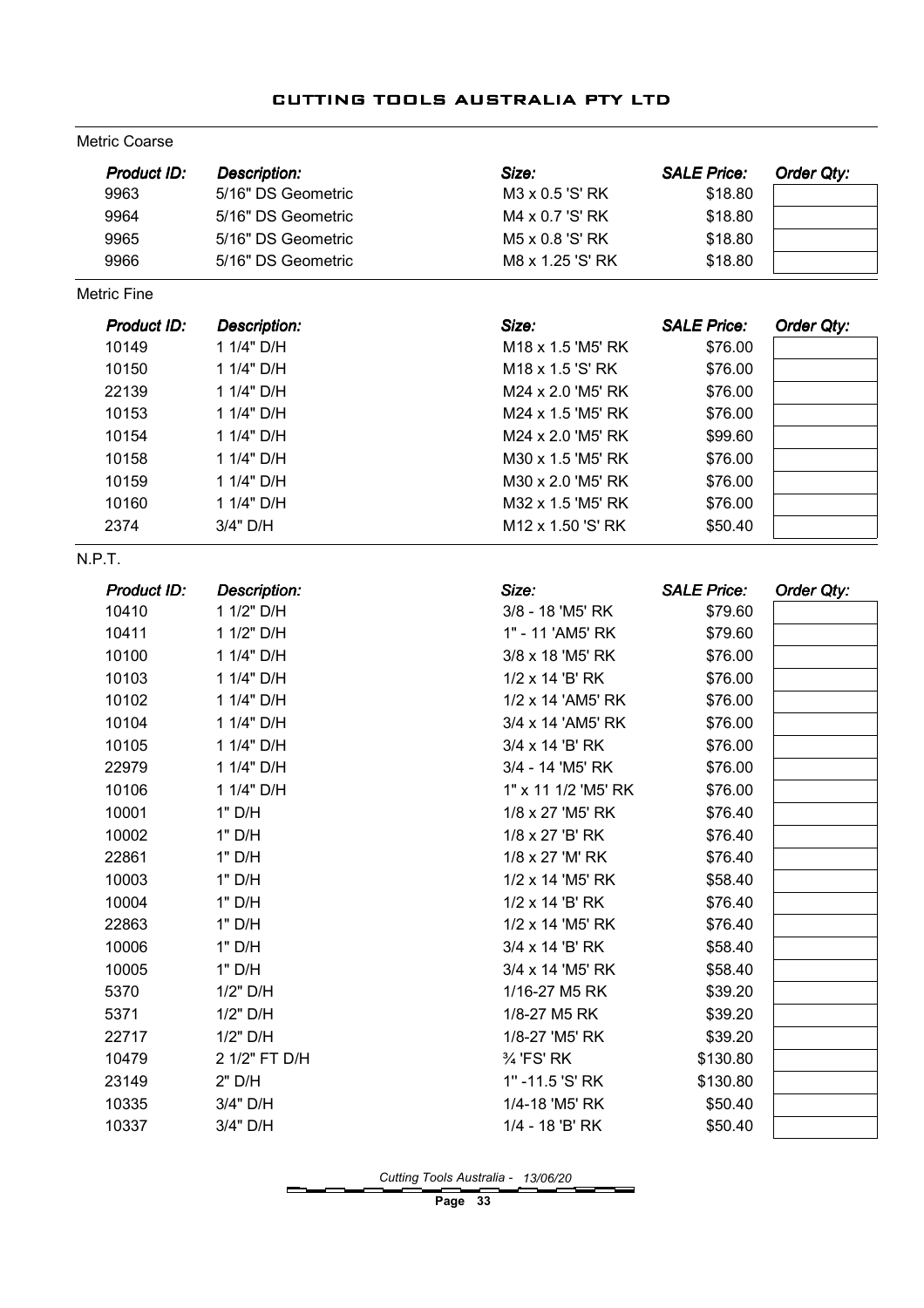#### Metric Coarse

| Product ID:        | <b>Description:</b> | Size:               | <b>SALE Price:</b> | Order Qty: |
|--------------------|---------------------|---------------------|--------------------|------------|
| 9963               | 5/16" DS Geometric  | M3 x 0.5 'S' RK     | \$18.80            |            |
| 9964               | 5/16" DS Geometric  | M4 x 0.7 'S' RK     | \$18.80            |            |
| 9965               | 5/16" DS Geometric  | M5 x 0.8 'S' RK     | \$18.80            |            |
| 9966               | 5/16" DS Geometric  | M8 x 1.25 'S' RK    | \$18.80            |            |
| <b>Metric Fine</b> |                     |                     |                    |            |
| Product ID:        | Description:        | Size:               | <b>SALE Price:</b> | Order Qty: |
| 10149              | 1 1/4" D/H          | M18 x 1.5 'M5' RK   | \$76.00            |            |
| 10150              | 1 1/4" D/H          | M18 x 1.5 'S' RK    | \$76.00            |            |
| 22139              | 1 1/4" D/H          | M24 x 2.0 'M5' RK   | \$76.00            |            |
| 10153              | 1 1/4" D/H          | M24 x 1.5 'M5' RK   | \$76.00            |            |
| 10154              | 1 1/4" D/H          | M24 x 2.0 'M5' RK   | \$99.60            |            |
| 10158              | 1 1/4" D/H          | M30 x 1.5 'M5' RK   | \$76.00            |            |
| 10159              | 1 1/4" D/H          | M30 x 2.0 'M5' RK   | \$76.00            |            |
| 10160              | 1 1/4" D/H          | M32 x 1.5 'M5' RK   | \$76.00            |            |
| 2374               | 3/4" D/H            | M12 x 1.50 'S' RK   | \$50.40            |            |
| N.P.T.             |                     |                     |                    |            |
| Product ID:        | <b>Description:</b> | Size:               | <b>SALE Price:</b> | Order Qty: |
| 10410              | 1 1/2" D/H          | 3/8 - 18 'M5' RK    | \$79.60            |            |
| 10411              | 1 1/2" D/H          | 1" - 11 'AM5' RK    | \$79.60            |            |
| 10100              | 1 1/4" D/H          | 3/8 x 18 'M5' RK    | \$76.00            |            |
| 10103              | 1 1/4" D/H          | 1/2 x 14 'B' RK     | \$76.00            |            |
| 10102              | 1 1/4" D/H          | 1/2 x 14 'AM5' RK   | \$76.00            |            |
| 10104              | 1 1/4" D/H          | 3/4 x 14 'AM5' RK   | \$76.00            |            |
| 10105              | 1 1/4" D/H          | 3/4 x 14 'B' RK     | \$76.00            |            |
| 22979              | 1 1/4" D/H          | 3/4 - 14 'M5' RK    | \$76.00            |            |
| 10106              | 1 1/4" D/H          | 1" x 11 1/2 'M5' RK | \$76.00            |            |
| 10001              | 1" D/H              | 1/8 x 27 'M5' RK    | \$76.40            |            |
| 10002              | 1" D/H              | 1/8 x 27 'B' RK     | \$76.40            |            |
| 22861              | 1" D/H              | 1/8 x 27 'M' RK     | \$76.40            |            |
| 10003              | 1" D/H              | 1/2 x 14 'M5' RK    | \$58.40            |            |
| 10004              | 1" D/H              | 1/2 x 14 'B' RK     | \$76.40            |            |
| 22863              | 1" D/H              | 1/2 x 14 'M5' RK    | \$76.40            |            |
| 10006              | 1" D/H              | 3/4 x 14 'B' RK     | \$58.40            |            |
| 10005              | 1" D/H              | 3/4 x 14 'M5' RK    | \$58.40            |            |
| 5370               | 1/2" D/H            | 1/16-27 M5 RK       | \$39.20            |            |
| 5371               | 1/2" D/H            | 1/8-27 M5 RK        | \$39.20            |            |
| 22717              | 1/2" D/H            | 1/8-27 'M5' RK      | \$39.20            |            |
| 10479              | 2 1/2" FT D/H       | % 'FS' RK           | \$130.80           |            |
| 23149              | 2" D/H              | 1"-11.5 'S' RK      | \$130.80           |            |
| 10335              | 3/4" D/H            | 1/4-18 'M5' RK      | \$50.40            |            |
| 10337              | 3/4" D/H            | 1/4 - 18 'B' RK     | \$50.40            |            |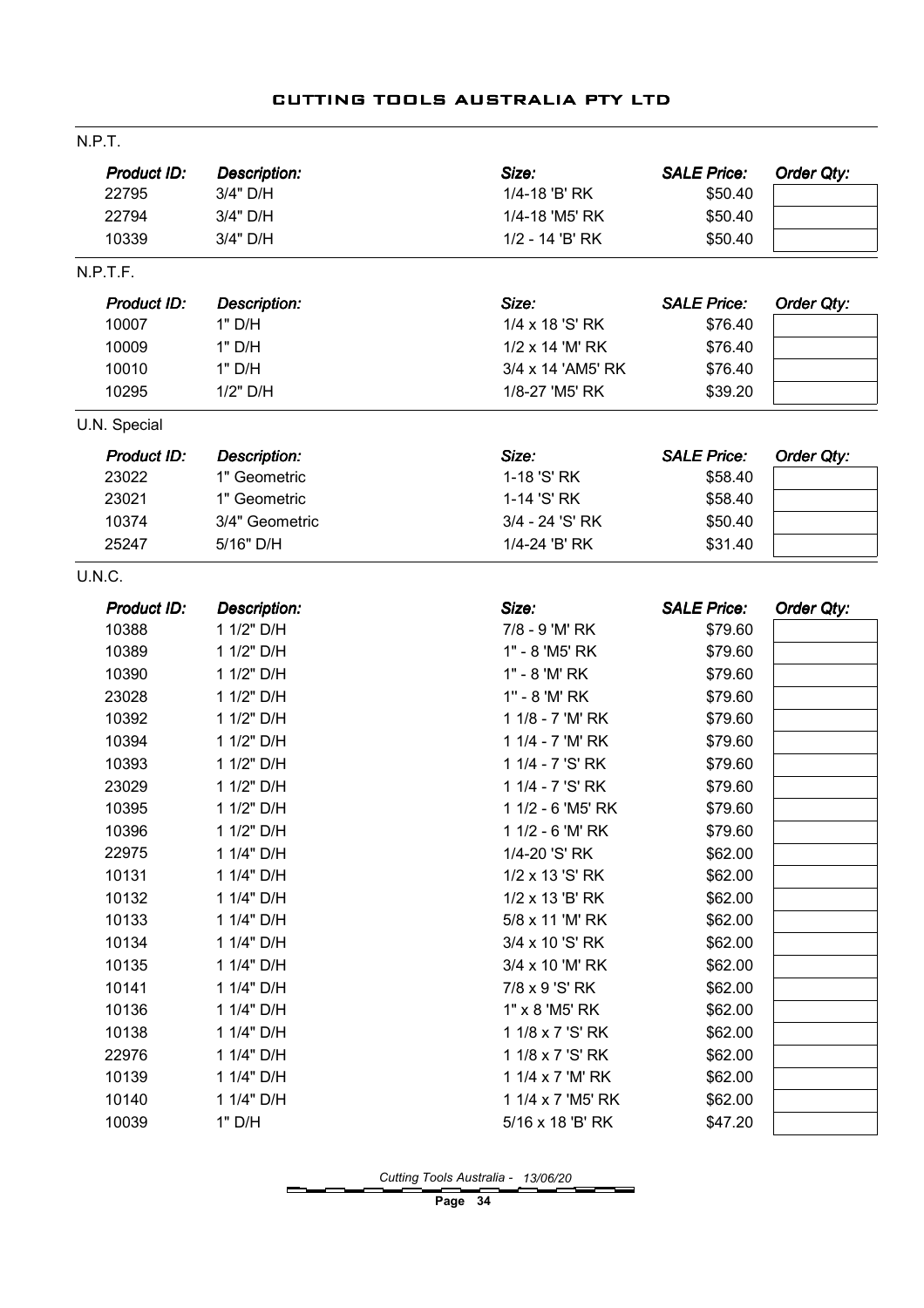| N.P.T.       |                     |                   |                    |                   |
|--------------|---------------------|-------------------|--------------------|-------------------|
| Product ID:  | <b>Description:</b> | Size:             | <b>SALE Price:</b> | <b>Order Qty:</b> |
| 22795        | 3/4" D/H            | 1/4-18 'B' RK     | \$50.40            |                   |
| 22794        | 3/4" D/H            | 1/4-18 'M5' RK    | \$50.40            |                   |
| 10339        | 3/4" D/H            | 1/2 - 14 'B' RK   | \$50.40            |                   |
| N.P.T.F.     |                     |                   |                    |                   |
| Product ID:  | <b>Description:</b> | Size:             | <b>SALE Price:</b> | <b>Order Qty:</b> |
| 10007        | 1" D/H              | 1/4 x 18 'S' RK   | \$76.40            |                   |
| 10009        | 1" D/H              | 1/2 x 14 'M' RK   | \$76.40            |                   |
| 10010        | 1" D/H              | 3/4 x 14 'AM5' RK | \$76.40            |                   |
| 10295        | 1/2" D/H            | 1/8-27 'M5' RK    | \$39.20            |                   |
| U.N. Special |                     |                   |                    |                   |
| Product ID:  | <b>Description:</b> | Size:             | <b>SALE Price:</b> | Order Qty:        |
| 23022        | 1" Geometric        | 1-18 'S' RK       | \$58.40            |                   |
| 23021        | 1" Geometric        | 1-14 'S' RK       | \$58.40            |                   |
| 10374        | 3/4" Geometric      | 3/4 - 24 'S' RK   | \$50.40            |                   |
| 25247        | 5/16" D/H           | 1/4-24 'B' RK     | \$31.40            |                   |
| U.N.C.       |                     |                   |                    |                   |
| Product ID:  | <b>Description:</b> | Size:             | <b>SALE Price:</b> | Order Qty:        |
| 10388        | 1 1/2" D/H          | 7/8 - 9 'M' RK    | \$79.60            |                   |
| 10389        | 1 1/2" D/H          | 1" - 8 'M5' RK    | \$79.60            |                   |
| 10390        | 1 1/2" D/H          | 1" - 8 'M' RK     | \$79.60            |                   |
| 23028        | 1 1/2" D/H          | 1" - 8 'M' RK     | \$79.60            |                   |
| 10392        | 1 1/2" D/H          | 1 1/8 - 7 'M' RK  | \$79.60            |                   |
| 10394        | 1 1/2" D/H          | 1 1/4 - 7 'M' RK  | \$79.60            |                   |
| 10393        | 1 1/2" D/H          | 1 1/4 - 7 'S' RK  | \$79.60            |                   |
| 23029        | 1 1/2" D/H          | 1 1/4 - 7 'S' RK  | \$79.60            |                   |
| 10395        | 1 1/2" D/H          | 1 1/2 - 6 'M5' RK | \$79.60            |                   |
| 10396        | 1 1/2" D/H          | 1 1/2 - 6 'M' RK  | \$79.60            |                   |
| 22975        | 1 1/4" D/H          | 1/4-20 'S' RK     | \$62.00            |                   |
| 10131        | 1 1/4" D/H          | 1/2 x 13 'S' RK   | \$62.00            |                   |
| 10132        | 1 1/4" D/H          | 1/2 x 13 'B' RK   | \$62.00            |                   |
| 10133        | 1 1/4" D/H          | 5/8 x 11 'M' RK   | \$62.00            |                   |
| 10134        | 1 1/4" D/H          | 3/4 x 10 'S' RK   | \$62.00            |                   |
| 10135        | 1 1/4" D/H          | 3/4 x 10 'M' RK   | \$62.00            |                   |
| 10141        | 1 1/4" D/H          | 7/8 x 9 'S' RK    | \$62.00            |                   |
| 10136        | 1 1/4" D/H          | 1" x 8 'M5' RK    | \$62.00            |                   |
| 10138        | 1 1/4" D/H          | 1 1/8 x 7 'S' RK  | \$62.00            |                   |
| 22976        | 1 1/4" D/H          | 1 1/8 x 7 'S' RK  | \$62.00            |                   |
| 10139        | 1 1/4" D/H          | 1 1/4 x 7 'M' RK  | \$62.00            |                   |
| 10140        | 1 1/4" D/H          | 1 1/4 x 7 'M5' RK | \$62.00            |                   |
| 10039        | 1" D/H              | 5/16 x 18 'B' RK  | \$47.20            |                   |
|              |                     |                   |                    |                   |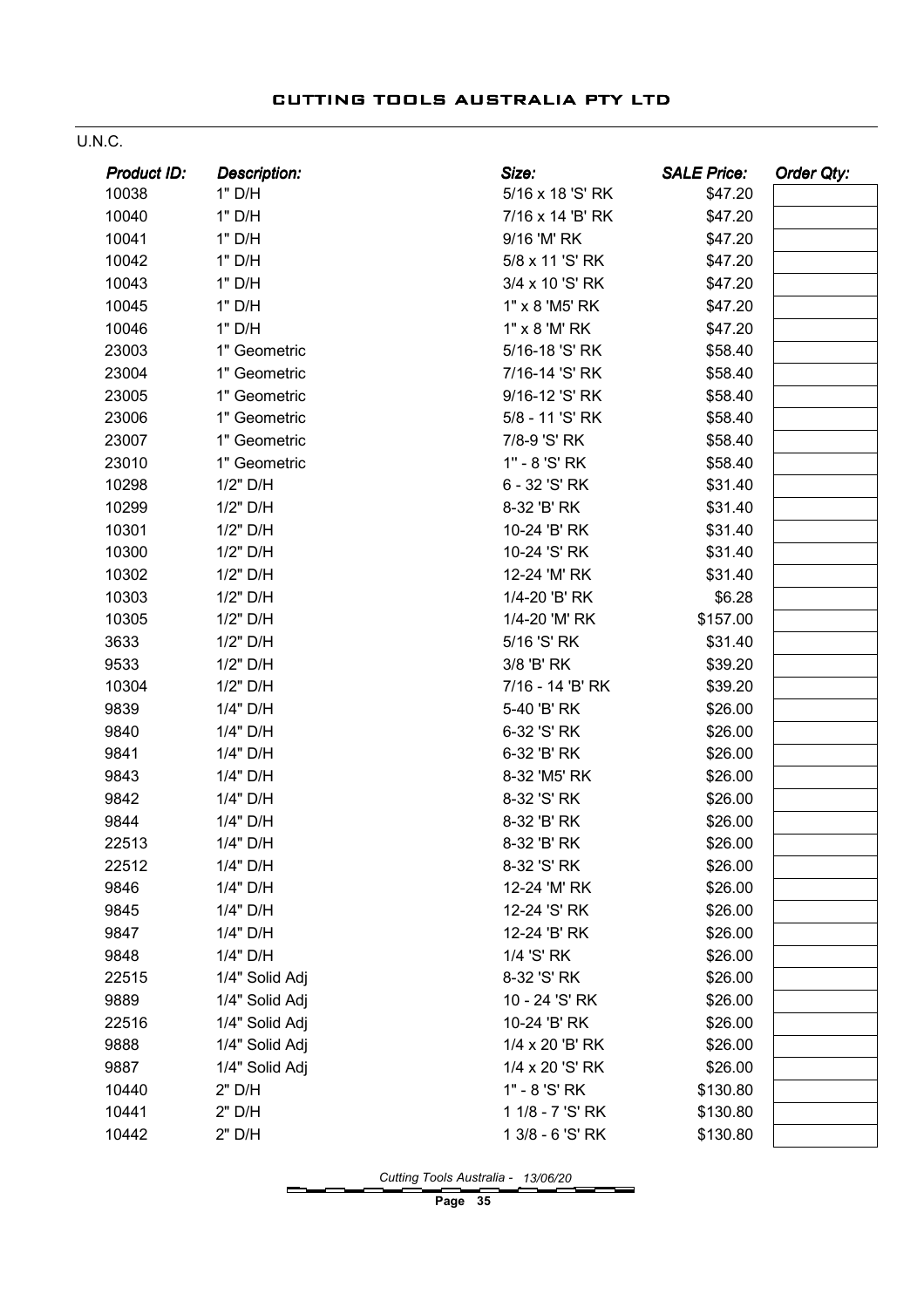#### U.N.C.

| <b>Product ID:</b> | <b>Description:</b> | Size:            | <b>SALE Price:</b> | <b>Order Qty:</b> |
|--------------------|---------------------|------------------|--------------------|-------------------|
| 10038              | 1" D/H              | 5/16 x 18 'S' RK | \$47.20            |                   |
| 10040              | 1" D/H              | 7/16 x 14 'B' RK | \$47.20            |                   |
| 10041              | 1" D/H              | 9/16 'M' RK      | \$47.20            |                   |
| 10042              | 1" D/H              | 5/8 x 11 'S' RK  | \$47.20            |                   |
| 10043              | 1" D/H              | 3/4 x 10 'S' RK  | \$47.20            |                   |
| 10045              | 1" D/H              | 1" x 8 'M5' RK   | \$47.20            |                   |
| 10046              | 1" D/H              | 1" x 8 'M' RK    | \$47.20            |                   |
| 23003              | 1" Geometric        | 5/16-18 'S' RK   | \$58.40            |                   |
| 23004              | 1" Geometric        | 7/16-14 'S' RK   | \$58.40            |                   |
| 23005              | 1" Geometric        | 9/16-12 'S' RK   | \$58.40            |                   |
| 23006              | 1" Geometric        | 5/8 - 11 'S' RK  | \$58.40            |                   |
| 23007              | 1" Geometric        | 7/8-9 'S' RK     | \$58.40            |                   |
| 23010              | 1" Geometric        | 1" - 8 'S' RK    | \$58.40            |                   |
| 10298              | 1/2" D/H            | 6 - 32 'S' RK    | \$31.40            |                   |
| 10299              | 1/2" D/H            | 8-32 'B' RK      | \$31.40            |                   |
| 10301              | 1/2" D/H            | 10-24 'B' RK     | \$31.40            |                   |
| 10300              | 1/2" D/H            | 10-24 'S' RK     | \$31.40            |                   |
| 10302              | 1/2" D/H            | 12-24 'M' RK     | \$31.40            |                   |
| 10303              | 1/2" D/H            | 1/4-20 'B' RK    | \$6.28             |                   |
| 10305              | 1/2" D/H            | 1/4-20 'M' RK    | \$157.00           |                   |
| 3633               | 1/2" D/H            | 5/16 'S' RK      | \$31.40            |                   |
| 9533               | 1/2" D/H            | 3/8 'B' RK       | \$39.20            |                   |
| 10304              | 1/2" D/H            | 7/16 - 14 'B' RK | \$39.20            |                   |
| 9839               | 1/4" D/H            | 5-40 'B' RK      | \$26.00            |                   |
| 9840               | 1/4" D/H            | 6-32 'S' RK      | \$26.00            |                   |
| 9841               | 1/4" D/H            | 6-32 'B' RK      | \$26.00            |                   |
| 9843               | 1/4" D/H            | 8-32 'M5' RK     | \$26.00            |                   |
| 9842               | 1/4" D/H            | 8-32 'S' RK      | \$26.00            |                   |
| 9844               | 1/4" D/H            | 8-32 'B' RK      | \$26.00            |                   |
| 22513              | 1/4" D/H            | 8-32 'B' RK      | \$26.00            |                   |
| 22512              | 1/4" D/H            | 8-32 'S' RK      | \$26.00            |                   |
| 9846               | 1/4" D/H            | 12-24 'M' RK     | \$26.00            |                   |
| 9845               | 1/4" D/H            | 12-24 'S' RK     | \$26.00            |                   |
| 9847               | 1/4" D/H            | 12-24 'B' RK     | \$26.00            |                   |
| 9848               | 1/4" D/H            | 1/4 'S' RK       | \$26.00            |                   |
| 22515              | 1/4" Solid Adj      | 8-32 'S' RK      | \$26.00            |                   |
| 9889               | 1/4" Solid Adj      | 10 - 24 'S' RK   | \$26.00            |                   |
| 22516              | 1/4" Solid Adj      | 10-24 'B' RK     | \$26.00            |                   |
| 9888               | 1/4" Solid Adj      | 1/4 x 20 'B' RK  | \$26.00            |                   |
| 9887               | 1/4" Solid Adj      | 1/4 x 20 'S' RK  | \$26.00            |                   |
| 10440              | 2" D/H              | 1" - 8 'S' RK    | \$130.80           |                   |
| 10441              | 2" D/H              | 1 1/8 - 7 'S' RK | \$130.80           |                   |
| 10442              | 2" D/H              | 1 3/8 - 6 'S' RK | \$130.80           |                   |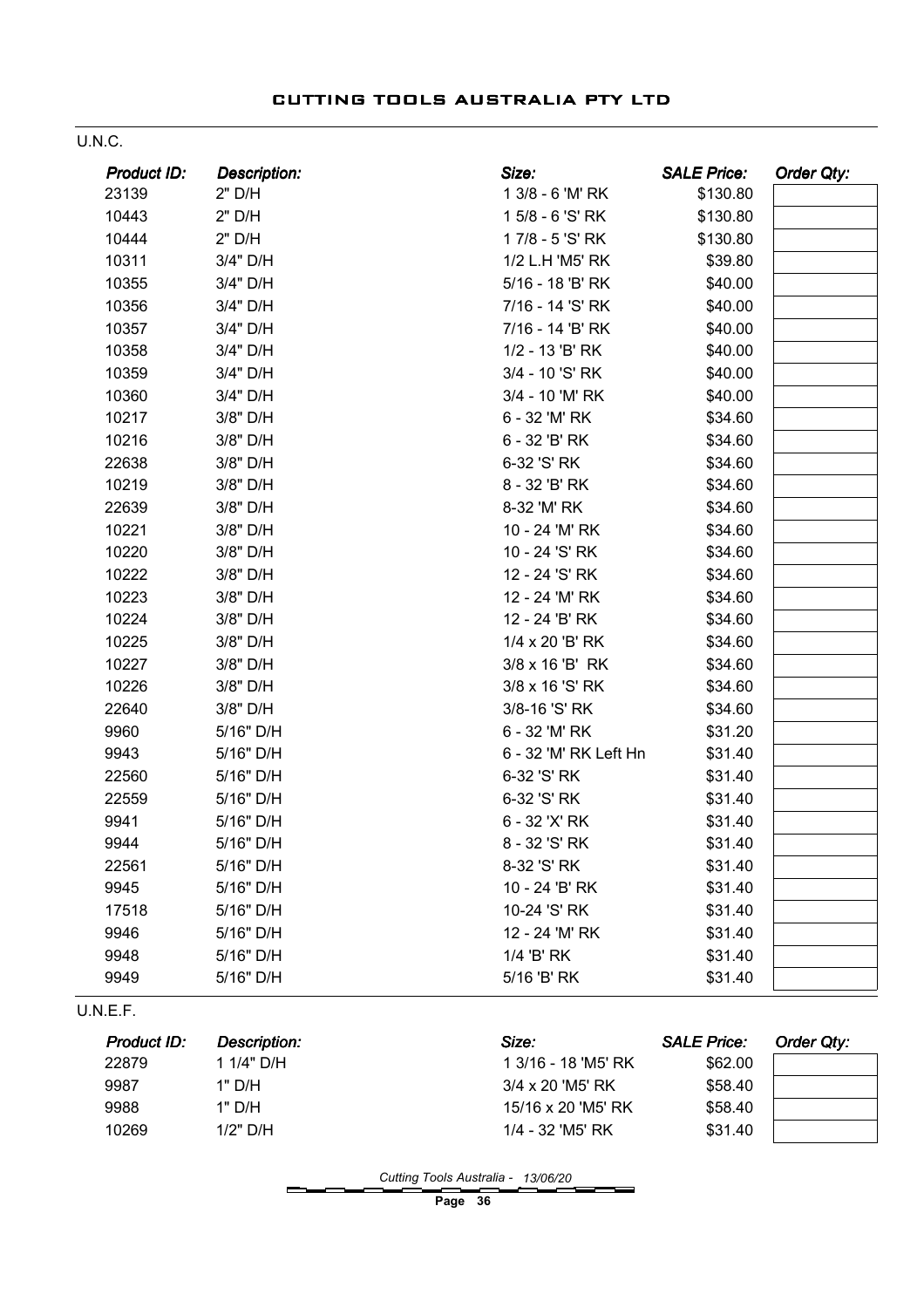| ۰. |  | ۰, |
|----|--|----|
|    |  |    |

| Product ID:          | <b>Description:</b>               | Size:                        | <b>SALE Price:</b>            | Order Qty:        |
|----------------------|-----------------------------------|------------------------------|-------------------------------|-------------------|
| 23139                | 2" D/H                            | 1 3/8 - 6 'M' RK             | \$130.80                      |                   |
| 10443                | 2" D/H                            | 1 5/8 - 6 'S' RK             | \$130.80                      |                   |
| 10444                | 2" D/H                            | 17/8 - 5 'S' RK              | \$130.80                      |                   |
| 10311                | 3/4" D/H                          | 1/2 L.H 'M5' RK              | \$39.80                       |                   |
| 10355                | 3/4" D/H                          | 5/16 - 18 'B' RK             | \$40.00                       |                   |
| 10356                | 3/4" D/H                          | 7/16 - 14 'S' RK             | \$40.00                       |                   |
| 10357                | 3/4" D/H                          | 7/16 - 14 'B' RK             | \$40.00                       |                   |
| 10358                | 3/4" D/H                          | 1/2 - 13 'B' RK              | \$40.00                       |                   |
| 10359                | 3/4" D/H                          | 3/4 - 10 'S' RK              | \$40.00                       |                   |
| 10360                | 3/4" D/H                          | 3/4 - 10 'M' RK              | \$40.00                       |                   |
| 10217                | 3/8" D/H                          | 6 - 32 'M' RK                | \$34.60                       |                   |
| 10216                | 3/8" D/H                          | 6 - 32 'B' RK                | \$34.60                       |                   |
| 22638                | 3/8" D/H                          | 6-32 'S' RK                  | \$34.60                       |                   |
| 10219                | 3/8" D/H                          | 8 - 32 'B' RK                | \$34.60                       |                   |
| 22639                | 3/8" D/H                          | 8-32 'M' RK                  | \$34.60                       |                   |
| 10221                | 3/8" D/H                          | 10 - 24 'M' RK               | \$34.60                       |                   |
| 10220                | 3/8" D/H                          | 10 - 24 'S' RK               | \$34.60                       |                   |
| 10222                | 3/8" D/H                          | 12 - 24 'S' RK               | \$34.60                       |                   |
| 10223                | 3/8" D/H                          | 12 - 24 'M' RK               | \$34.60                       |                   |
| 10224                | 3/8" D/H                          | 12 - 24 'B' RK               | \$34.60                       |                   |
| 10225                | 3/8" D/H                          | 1/4 x 20 'B' RK              | \$34.60                       |                   |
| 10227                | 3/8" D/H                          | 3/8 x 16 'B' RK              | \$34.60                       |                   |
| 10226                | 3/8" D/H                          | 3/8 x 16 'S' RK              | \$34.60                       |                   |
| 22640                | 3/8" D/H                          | 3/8-16 'S' RK                | \$34.60                       |                   |
| 9960                 | 5/16" D/H                         | 6 - 32 'M' RK                | \$31.20                       |                   |
| 9943                 | 5/16" D/H                         | 6 - 32 'M' RK Left Hn        | \$31.40                       |                   |
| 22560                | 5/16" D/H                         | 6-32 'S' RK                  | \$31.40                       |                   |
| 22559                | 5/16" D/H                         | 6-32 'S' RK                  | \$31.40                       |                   |
| 9941                 | 5/16" D/H                         | 6 - 32 'X' RK                | \$31.40                       |                   |
| 9944                 | 5/16" D/H                         | 8 - 32 'S' RK                | \$31.40                       |                   |
| 22561                | 5/16" D/H                         | 8-32 'S' RK                  | \$31.40                       |                   |
| 9945                 | 5/16" D/H                         | 10 - 24 'B' RK               | \$31.40                       |                   |
| 17518                | 5/16" D/H                         | 10-24 'S' RK                 | \$31.40                       |                   |
| 9946                 | 5/16" D/H                         | 12 - 24 'M' RK               | \$31.40                       |                   |
| 9948                 | 5/16" D/H                         | 1/4 'B' RK                   | \$31.40                       |                   |
| 9949                 | 5/16" D/H                         | 5/16 'B' RK                  | \$31.40                       |                   |
| U.N.E.F.             |                                   |                              |                               |                   |
| Product ID:<br>22879 | <b>Description:</b><br>1 1/4" D/H | Size:<br>1 3/16 - 18 'M5' RK | <b>SALE Price:</b><br>\$62.00 | <b>Order Qty:</b> |

Cutting Tools Australia - 13/06/20

Page 36

9987 1" D/H 3/4 x 20 'M5' RK \$58.40 9988 1" D/H 15/16 x 20 'M5' RK \$58.40 10269 1/2" D/H 1/4 - 32 'M5' RK \$31.40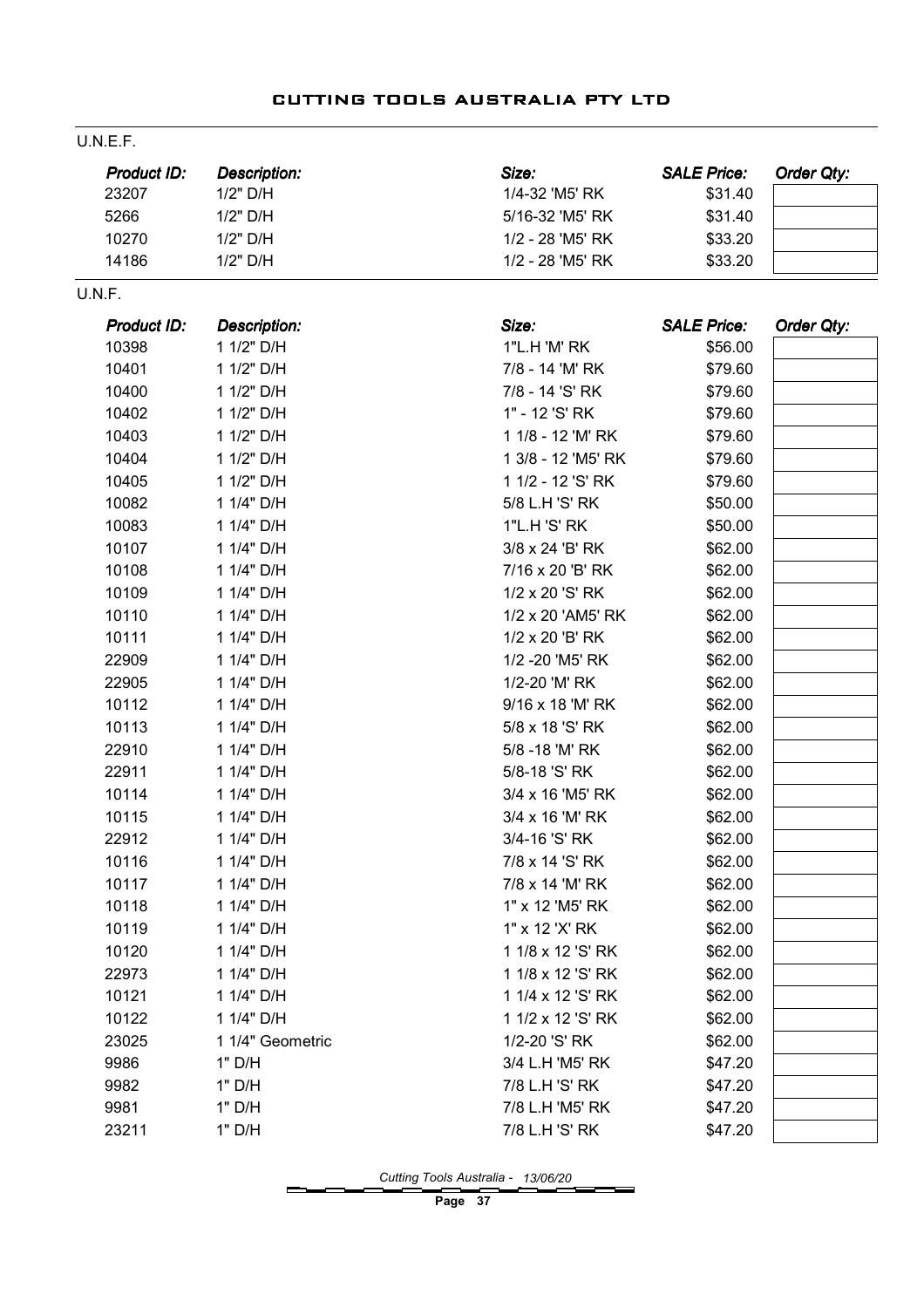#### U.N.E.F.

| <b>Product ID:</b> | Description: | Size:            | <b>SALE Price:</b> | Order Qty: |
|--------------------|--------------|------------------|--------------------|------------|
| 23207              | $1/2"$ D/H   | 1/4-32 'M5' RK   | \$31.40            |            |
| 5266               | $1/2"$ D/H   | 5/16-32 'M5' RK  | \$31.40            |            |
| 10270              | $1/2"$ D/H   | 1/2 - 28 'M5' RK | \$33.20            |            |
| 14186              | 1/2" D/H     | 1/2 - 28 'M5' RK | \$33.20            |            |

#### U.N.F.

| Product ID: | <b>Description:</b> | Size:              | <b>SALE Price:</b> | Order Qty: |
|-------------|---------------------|--------------------|--------------------|------------|
| 10398       | 1 1/2" D/H          | 1"L.H 'M' RK       | \$56.00            |            |
| 10401       | 1 1/2" D/H          | 7/8 - 14 'M' RK    | \$79.60            |            |
| 10400       | 1 1/2" D/H          | 7/8 - 14 'S' RK    | \$79.60            |            |
| 10402       | 1 1/2" D/H          | 1" - 12 'S' RK     | \$79.60            |            |
| 10403       | 1 1/2" D/H          | 1 1/8 - 12 'M' RK  | \$79.60            |            |
| 10404       | 1 1/2" D/H          | 1 3/8 - 12 'M5' RK | \$79.60            |            |
| 10405       | 1 1/2" D/H          | 1 1/2 - 12 'S' RK  | \$79.60            |            |
| 10082       | 1 1/4" D/H          | 5/8 L.H 'S' RK     | \$50.00            |            |
| 10083       | 1 1/4" D/H          | 1"L.H 'S' RK       | \$50.00            |            |
| 10107       | 1 1/4" D/H          | 3/8 x 24 'B' RK    | \$62.00            |            |
| 10108       | 1 1/4" D/H          | 7/16 x 20 'B' RK   | \$62.00            |            |
| 10109       | 1 1/4" D/H          | 1/2 x 20 'S' RK    | \$62.00            |            |
| 10110       | 1 1/4" D/H          | 1/2 x 20 'AM5' RK  | \$62.00            |            |
| 10111       | 1 1/4" D/H          | 1/2 x 20 'B' RK    | \$62.00            |            |
| 22909       | 1 1/4" D/H          | 1/2 - 20 'M5' RK   | \$62.00            |            |
| 22905       | 1 1/4" D/H          | 1/2-20 'M' RK      | \$62.00            |            |
| 10112       | 1 1/4" D/H          | 9/16 x 18 'M' RK   | \$62.00            |            |
| 10113       | 1 1/4" D/H          | 5/8 x 18 'S' RK    | \$62.00            |            |
| 22910       | 1 1/4" D/H          | 5/8 - 18 'M' RK    | \$62.00            |            |
| 22911       | 1 1/4" D/H          | 5/8-18 'S' RK      | \$62.00            |            |
| 10114       | 1 1/4" D/H          | 3/4 x 16 'M5' RK   | \$62.00            |            |
| 10115       | 1 1/4" D/H          | 3/4 x 16 'M' RK    | \$62.00            |            |
| 22912       | 1 1/4" D/H          | 3/4-16 'S' RK      | \$62.00            |            |
| 10116       | 1 1/4" D/H          | 7/8 x 14 'S' RK    | \$62.00            |            |
| 10117       | 1 1/4" D/H          | 7/8 x 14 'M' RK    | \$62.00            |            |
| 10118       | 1 1/4" D/H          | 1" x 12 'M5' RK    | \$62.00            |            |
| 10119       | 1 1/4" D/H          | 1" x 12 'X' RK     | \$62.00            |            |
| 10120       | 1 1/4" D/H          | 1 1/8 x 12 'S' RK  | \$62.00            |            |
| 22973       | 1 1/4" D/H          | 1 1/8 x 12 'S' RK  | \$62.00            |            |
| 10121       | 1 1/4" D/H          | 1 1/4 x 12 'S' RK  | \$62.00            |            |
| 10122       | 1 1/4" D/H          | 1 1/2 x 12 'S' RK  | \$62.00            |            |
| 23025       | 1 1/4" Geometric    | 1/2-20 'S' RK      | \$62.00            |            |
| 9986        | 1" D/H              | 3/4 L.H 'M5' RK    | \$47.20            |            |
| 9982        | 1" D/H              | 7/8 L.H 'S' RK     | \$47.20            |            |
| 9981        | 1" D/H              | 7/8 L.H 'M5' RK    | \$47.20            |            |
| 23211       | 1" D/H              | 7/8 L.H 'S' RK     | \$47.20            |            |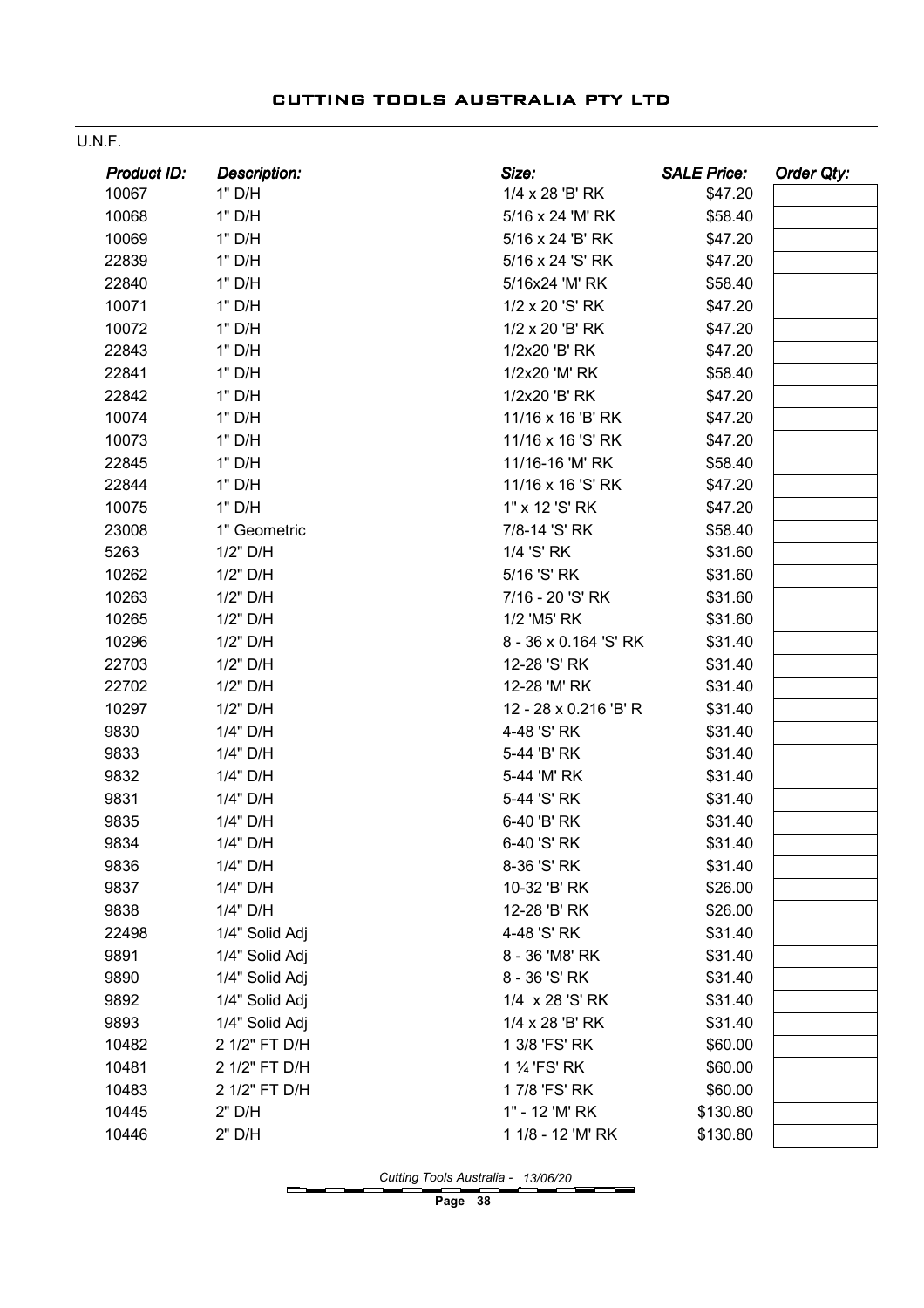#### U.N.F.

| Product ID: | <b>Description:</b> | Size:                 | <b>SALE Price:</b> | Order Qty: |
|-------------|---------------------|-----------------------|--------------------|------------|
| 10067       | 1" D/H              | 1/4 x 28 'B' RK       | \$47.20            |            |
| 10068       | 1" D/H              | 5/16 x 24 'M' RK      | \$58.40            |            |
| 10069       | 1" D/H              | 5/16 x 24 'B' RK      | \$47.20            |            |
| 22839       | 1" D/H              | 5/16 x 24 'S' RK      | \$47.20            |            |
| 22840       | 1" D/H              | 5/16x24 'M' RK        | \$58.40            |            |
| 10071       | 1" D/H              | 1/2 x 20 'S' RK       | \$47.20            |            |
| 10072       | 1" D/H              | 1/2 x 20 'B' RK       | \$47.20            |            |
| 22843       | 1" D/H              | 1/2x20 'B' RK         | \$47.20            |            |
| 22841       | 1" D/H              | 1/2x20 'M' RK         | \$58.40            |            |
| 22842       | 1" D/H              | 1/2x20 'B' RK         | \$47.20            |            |
| 10074       | 1" D/H              | 11/16 x 16 'B' RK     | \$47.20            |            |
| 10073       | 1" D/H              | 11/16 x 16 'S' RK     | \$47.20            |            |
| 22845       | 1" D/H              | 11/16-16 'M' RK       | \$58.40            |            |
| 22844       | 1" D/H              | 11/16 x 16 'S' RK     | \$47.20            |            |
| 10075       | 1" D/H              | 1" x 12 'S' RK        | \$47.20            |            |
| 23008       | 1" Geometric        | 7/8-14 'S' RK         | \$58.40            |            |
| 5263        | 1/2" D/H            | 1/4 'S' RK            | \$31.60            |            |
| 10262       | 1/2" D/H            | 5/16 'S' RK           | \$31.60            |            |
| 10263       | 1/2" D/H            | 7/16 - 20 'S' RK      | \$31.60            |            |
| 10265       | 1/2" D/H            | 1/2 'M5' RK           | \$31.60            |            |
| 10296       | 1/2" D/H            | 8 - 36 x 0.164 'S' RK | \$31.40            |            |
| 22703       | 1/2" D/H            | 12-28 'S' RK          | \$31.40            |            |
| 22702       | 1/2" D/H            | 12-28 'M' RK          | \$31.40            |            |
| 10297       | 1/2" D/H            | 12 - 28 x 0.216 'B' R | \$31.40            |            |
| 9830        | 1/4" D/H            | 4-48 'S' RK           | \$31.40            |            |
| 9833        | 1/4" D/H            | 5-44 'B' RK           | \$31.40            |            |
| 9832        | 1/4" D/H            | 5-44 'M' RK           | \$31.40            |            |
| 9831        | 1/4" D/H            | 5-44 'S' RK           | \$31.40            |            |
| 9835        | 1/4" D/H            | 6-40 'B' RK           | \$31.40            |            |
| 9834        | 1/4" D/H            | 6-40 'S' RK           | \$31.40            |            |
| 9836        | 1/4" D/H            | 8-36 'S' RK           | \$31.40            |            |
| 9837        | 1/4" D/H            | 10-32 'B' RK          | \$26.00            |            |
| 9838        | 1/4" D/H            | 12-28 'B' RK          | \$26.00            |            |
| 22498       | 1/4" Solid Adj      | 4-48 'S' RK           | \$31.40            |            |
| 9891        | 1/4" Solid Adj      | 8 - 36 'M8' RK        | \$31.40            |            |
| 9890        | 1/4" Solid Adj      | 8 - 36 'S' RK         | \$31.40            |            |
| 9892        | 1/4" Solid Adj      | 1/4 x 28 'S' RK       | \$31.40            |            |
| 9893        | 1/4" Solid Adj      | 1/4 x 28 'B' RK       | \$31.40            |            |
| 10482       | 2 1/2" FT D/H       | 1 3/8 'FS' RK         | \$60.00            |            |
| 10481       | 2 1/2" FT D/H       | 1 % 'FS' RK           | \$60.00            |            |
| 10483       | 2 1/2" FT D/H       | 17/8 'FS' RK          | \$60.00            |            |
| 10445       | 2" D/H              | 1" - 12 'M' RK        | \$130.80           |            |
| 10446       | 2" D/H              | 1 1/8 - 12 'M' RK     | \$130.80           |            |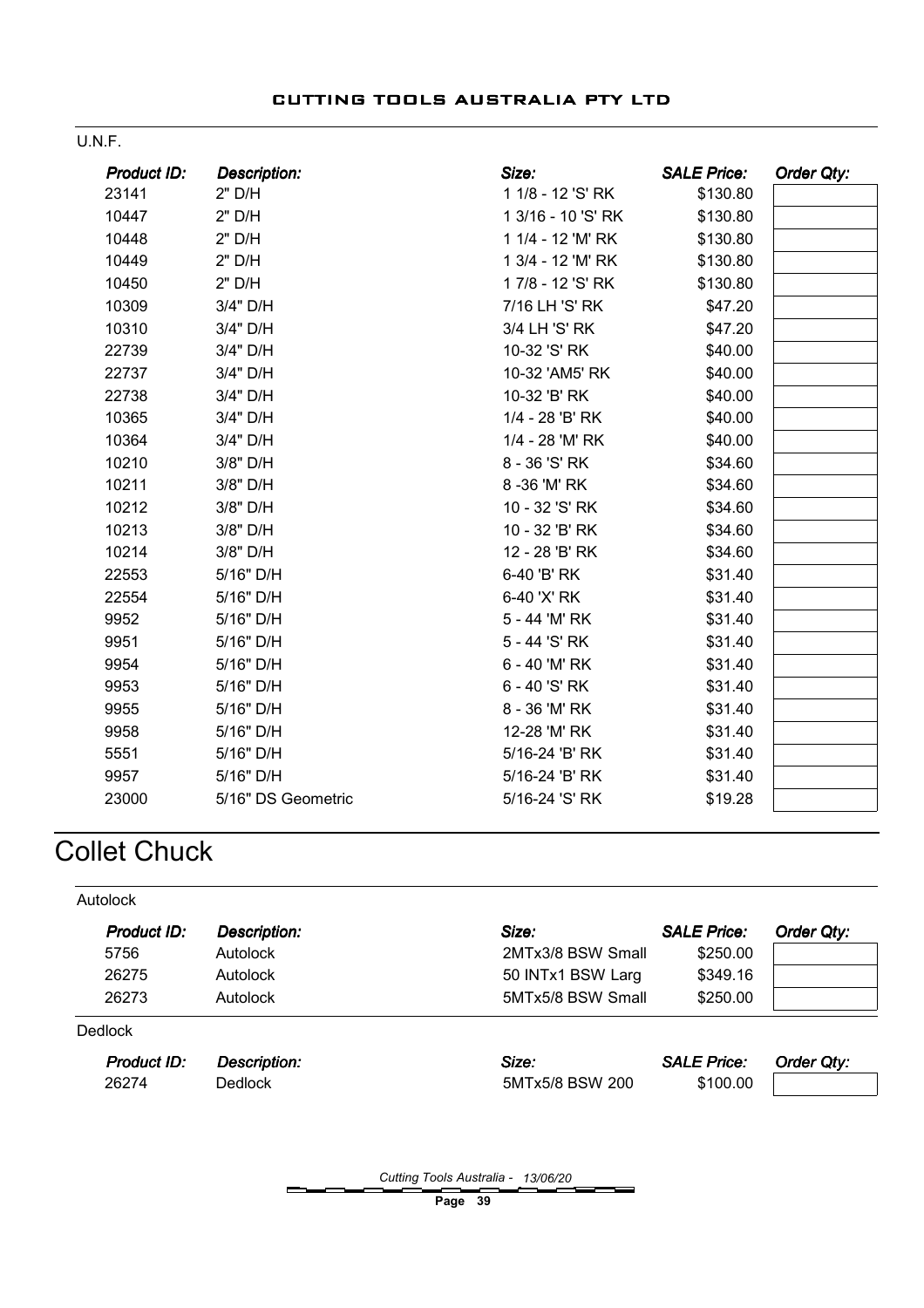| <b>Product ID:</b> | <b>Description:</b> | Size:              | <b>SALE Price:</b> | Order Qty: |
|--------------------|---------------------|--------------------|--------------------|------------|
| 23141              | 2" D/H              | 1 1/8 - 12 'S' RK  | \$130.80           |            |
| 10447              | 2" D/H              | 1 3/16 - 10 'S' RK | \$130.80           |            |
| 10448              | 2" D/H              | 1 1/4 - 12 'M' RK  | \$130.80           |            |
| 10449              | 2" D/H              | 1 3/4 - 12 'M' RK  | \$130.80           |            |
| 10450              | 2" D/H              | 17/8 - 12 'S' RK   | \$130.80           |            |
| 10309              | 3/4" D/H            | 7/16 LH 'S' RK     | \$47.20            |            |
| 10310              | 3/4" D/H            | 3/4 LH 'S' RK      | \$47.20            |            |
| 22739              | 3/4" D/H            | 10-32 'S' RK       | \$40.00            |            |
| 22737              | 3/4" D/H            | 10-32 'AM5' RK     | \$40.00            |            |
| 22738              | 3/4" D/H            | 10-32 'B' RK       | \$40.00            |            |
| 10365              | 3/4" D/H            | 1/4 - 28 'B' RK    | \$40.00            |            |
| 10364              | 3/4" D/H            | 1/4 - 28 'M' RK    | \$40.00            |            |
| 10210              | 3/8" D/H            | 8 - 36 'S' RK      | \$34.60            |            |
| 10211              | 3/8" D/H            | 8 - 36 'M' RK      | \$34.60            |            |
| 10212              | 3/8" D/H            | 10 - 32 'S' RK     | \$34.60            |            |
| 10213              | 3/8" D/H            | 10 - 32 'B' RK     | \$34.60            |            |
| 10214              | 3/8" D/H            | 12 - 28 'B' RK     | \$34.60            |            |
| 22553              | 5/16" D/H           | 6-40 'B' RK        | \$31.40            |            |
| 22554              | 5/16" D/H           | 6-40 'X' RK        | \$31.40            |            |
| 9952               | 5/16" D/H           | 5 - 44 'M' RK      | \$31.40            |            |
| 9951               | 5/16" D/H           | 5 - 44 'S' RK      | \$31.40            |            |
| 9954               | 5/16" D/H           | 6 - 40 'M' RK      | \$31.40            |            |
| 9953               | 5/16" D/H           | 6 - 40 'S' RK      | \$31.40            |            |
| 9955               | 5/16" D/H           | 8 - 36 'M' RK      | \$31.40            |            |
| 9958               | 5/16" D/H           | 12-28 'M' RK       | \$31.40            |            |
| 5551               | 5/16" D/H           | 5/16-24 'B' RK     | \$31.40            |            |
| 9957               | 5/16" D/H           | 5/16-24 'B' RK     | \$31.40            |            |
| 23000              | 5/16" DS Geometric  | 5/16-24 'S' RK     | \$19.28            |            |

## **Collet Chuck**

U.N.F.

| Autolock           |                     |                   |                    |            |
|--------------------|---------------------|-------------------|--------------------|------------|
| Product ID:        | <b>Description:</b> | Size:             | <b>SALE Price:</b> | Order Qty: |
| 5756               | Autolock            | 2MTx3/8 BSW Small | \$250.00           |            |
| 26275              | Autolock            | 50 INTx1 BSW Larg | \$349.16           |            |
| 26273              | Autolock            | 5MTx5/8 BSW Small | \$250.00           |            |
| <b>Dedlock</b>     |                     |                   |                    |            |
| <b>Product ID:</b> | <b>Description:</b> | Size:             | <b>SALE Price:</b> | Order Qty: |
| 26274              | <b>Dedlock</b>      | 5MTx5/8 BSW 200   | \$100.00           |            |
|                    |                     |                   |                    |            |

Cutting Tools Australia - 13/06/20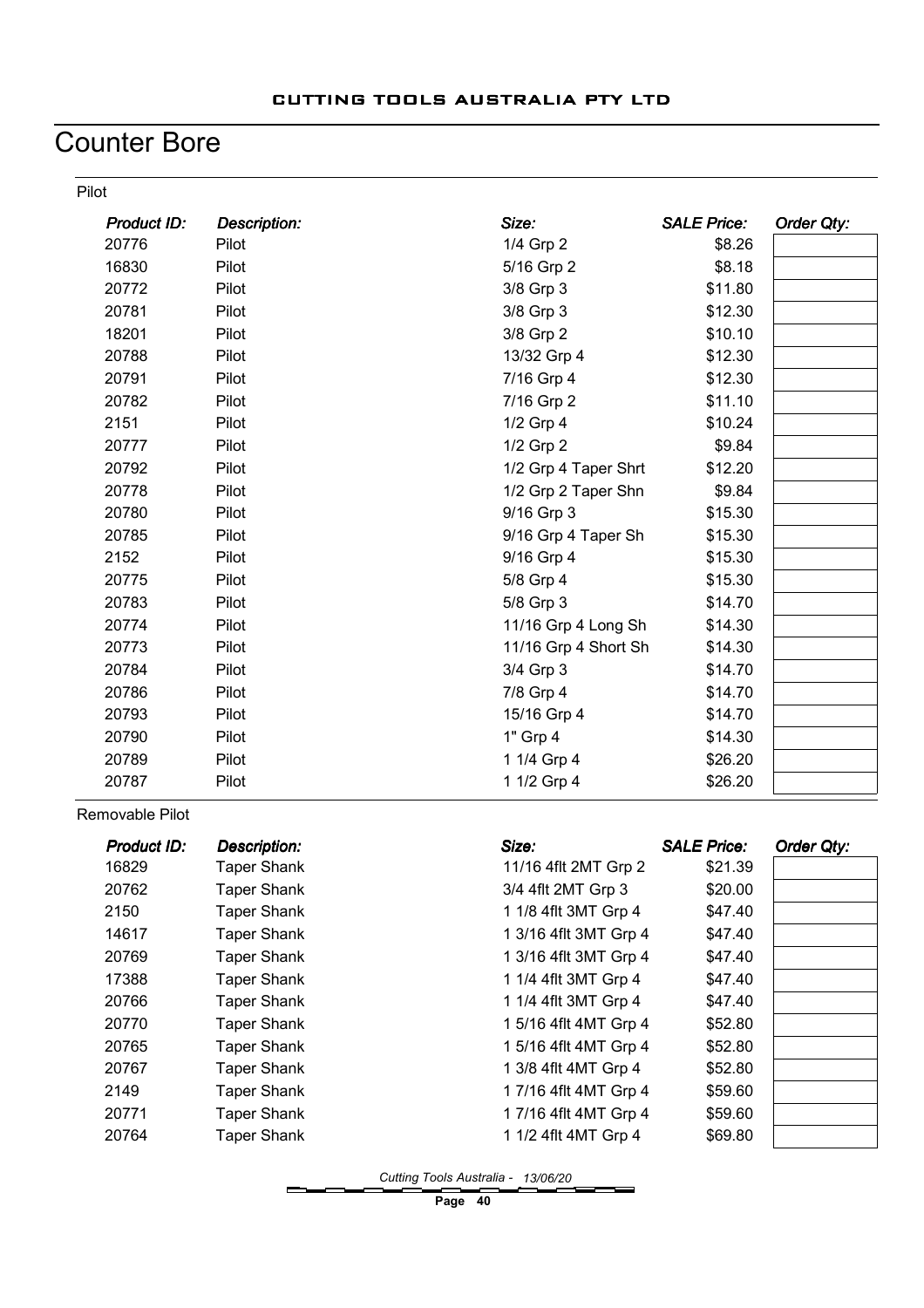## Counter Bore

Pilot

| Product ID: | <b>Description:</b> | Size:                | <b>SALE Price:</b> | Order Qty: |
|-------------|---------------------|----------------------|--------------------|------------|
| 20776       | Pilot               | 1/4 Grp 2            | \$8.26             |            |
| 16830       | Pilot               | 5/16 Grp 2           | \$8.18             |            |
| 20772       | Pilot               | 3/8 Grp 3            | \$11.80            |            |
| 20781       | Pilot               | 3/8 Grp 3            | \$12.30            |            |
| 18201       | Pilot               | 3/8 Grp 2            | \$10.10            |            |
| 20788       | Pilot               | 13/32 Grp 4          | \$12.30            |            |
| 20791       | Pilot               | 7/16 Grp 4           | \$12.30            |            |
| 20782       | Pilot               | 7/16 Grp 2           | \$11.10            |            |
| 2151        | Pilot               | 1/2 Grp 4            | \$10.24            |            |
| 20777       | Pilot               | 1/2 Grp 2            | \$9.84             |            |
| 20792       | Pilot               | 1/2 Grp 4 Taper Shrt | \$12.20            |            |
| 20778       | Pilot               | 1/2 Grp 2 Taper Shn  | \$9.84             |            |
| 20780       | Pilot               | 9/16 Grp 3           | \$15.30            |            |
| 20785       | Pilot               | 9/16 Grp 4 Taper Sh  | \$15.30            |            |
| 2152        | Pilot               | 9/16 Grp 4           | \$15.30            |            |
| 20775       | Pilot               | 5/8 Grp 4            | \$15.30            |            |
| 20783       | Pilot               | 5/8 Grp 3            | \$14.70            |            |
| 20774       | Pilot               | 11/16 Grp 4 Long Sh  | \$14.30            |            |
| 20773       | Pilot               | 11/16 Grp 4 Short Sh | \$14.30            |            |
| 20784       | Pilot               | 3/4 Grp 3            | \$14.70            |            |
| 20786       | Pilot               | 7/8 Grp 4            | \$14.70            |            |
| 20793       | Pilot               | 15/16 Grp 4          | \$14.70            |            |
| 20790       | Pilot               | 1" Grp 4             | \$14.30            |            |
| 20789       | Pilot               | 1 1/4 Grp 4          | \$26.20            |            |
| 20787       | Pilot               | 1 1/2 Grp 4          | \$26.20            |            |

Removable Pilot

| Product ID: | <b>Description:</b> | Size:                 | <b>SALE Price:</b> | Order Qty: |
|-------------|---------------------|-----------------------|--------------------|------------|
| 16829       | <b>Taper Shank</b>  | 11/16 4flt 2MT Grp 2  | \$21.39            |            |
| 20762       | <b>Taper Shank</b>  | 3/4 4flt 2MT Grp 3    | \$20.00            |            |
| 2150        | Taper Shank         | 1 1/8 4flt 3MT Grp 4  | \$47.40            |            |
| 14617       | Taper Shank         | 1 3/16 4flt 3MT Grp 4 | \$47.40            |            |
| 20769       | <b>Taper Shank</b>  | 1 3/16 4flt 3MT Grp 4 | \$47.40            |            |
| 17388       | <b>Taper Shank</b>  | 1 1/4 4flt 3MT Grp 4  | \$47.40            |            |
| 20766       | Taper Shank         | 1 1/4 4flt 3MT Grp 4  | \$47.40            |            |
| 20770       | Taper Shank         | 1 5/16 4flt 4MT Grp 4 | \$52.80            |            |
| 20765       | <b>Taper Shank</b>  | 1 5/16 4flt 4MT Grp 4 | \$52.80            |            |
| 20767       | Taper Shank         | 1 3/8 4flt 4MT Grp 4  | \$52.80            |            |
| 2149        | <b>Taper Shank</b>  | 1 7/16 4flt 4MT Grp 4 | \$59.60            |            |
| 20771       | Taper Shank         | 1 7/16 4flt 4MT Grp 4 | \$59.60            |            |
| 20764       | <b>Taper Shank</b>  | 1 1/2 4flt 4MT Grp 4  | \$69.80            |            |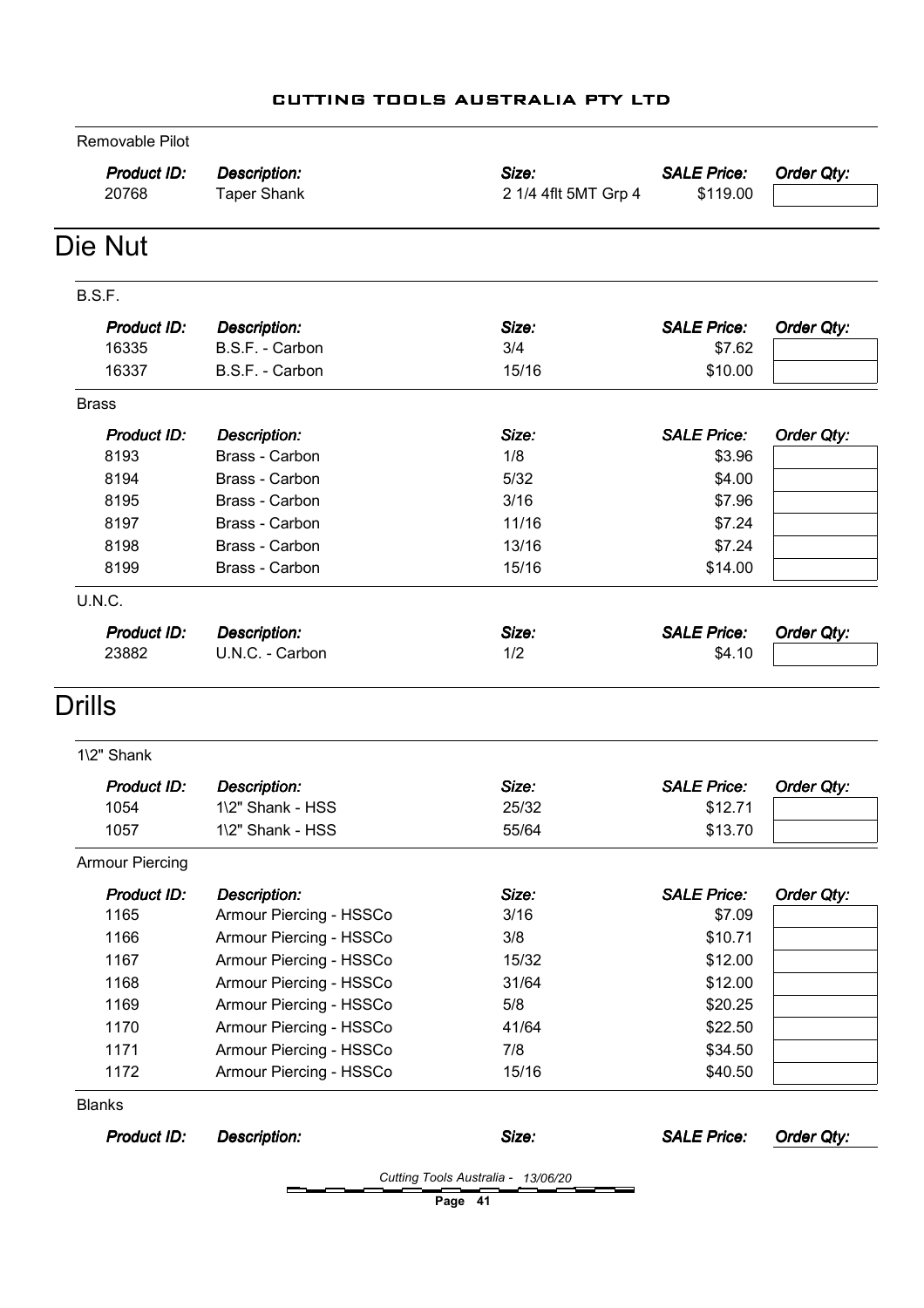| Removable Pilot             |                                           |                               |                                |            |
|-----------------------------|-------------------------------------------|-------------------------------|--------------------------------|------------|
| <b>Product ID:</b><br>20768 | <b>Description:</b><br><b>Taper Shank</b> | Size:<br>2 1/4 4flt 5MT Grp 4 | <b>SALE Price:</b><br>\$119.00 | Order Qty: |
| Die Nut                     |                                           |                               |                                |            |
| B.S.F.                      |                                           |                               |                                |            |
| <b>Product ID:</b>          | Description:                              | Size:                         | <b>SALE Price:</b>             | Order Qty: |
| 16335                       | B.S.F. - Carbon                           | 3/4                           | \$7.62                         |            |
| 16337                       | B.S.F. - Carbon                           | 15/16                         | \$10.00                        |            |
| <b>Brass</b>                |                                           |                               |                                |            |
| <b>Product ID:</b>          | <b>Description:</b>                       | Size:                         | <b>SALE Price:</b>             | Order Qty: |
| 8193                        | Brass - Carbon                            | 1/8                           | \$3.96                         |            |
| 8194                        | Brass - Carbon                            | 5/32                          | \$4.00                         |            |
| 8195                        | Brass - Carbon                            | 3/16                          | \$7.96                         |            |
| 8197                        | Brass - Carbon                            | 11/16                         | \$7.24                         |            |
| 8198                        | Brass - Carbon                            | 13/16                         | \$7.24                         |            |
| 8199                        | Brass - Carbon                            | 15/16                         | \$14.00                        |            |
| U.N.C.                      |                                           |                               |                                |            |
| <b>Product ID:</b>          | <b>Description:</b>                       | Size:                         | <b>SALE Price:</b>             | Order Qty: |
| 23882                       | U.N.C. - Carbon                           | 1/2                           | \$4.10                         |            |
| Drills                      |                                           |                               |                                |            |
| 1\2" Shank                  |                                           |                               |                                |            |
| <b>Product ID:</b>          | <b>Description:</b>                       | Size:                         | <b>SALE Price:</b>             | Order Qty: |
| 1054                        | 1\2" Shank - HSS                          | 25/32                         | \$12.71                        |            |
| 1057                        | 1\2" Shank - HSS                          | 55/64                         | \$13.70                        |            |
| <b>Armour Piercing</b>      |                                           |                               |                                |            |
| <b>Product ID:</b>          | <b>Description:</b>                       | Size:                         | <b>SALE Price:</b>             | Order Qty: |
| 1165                        | Armour Piercing - HSSCo                   | 3/16                          | \$7.09                         |            |
| 1166                        | Armour Piercing - HSSCo                   | 3/8                           | \$10.71                        |            |
| 1167                        | Armour Piercing - HSSCo                   | 15/32                         | \$12.00                        |            |
| 1168                        | Armour Piercing - HSSCo                   | 31/64                         | \$12.00                        |            |
| 1169                        | Armour Piercing - HSSCo                   | 5/8                           | \$20.25                        |            |
| 1170                        | Armour Piercing - HSSCo                   | 41/64                         | \$22.50                        |            |
| 1171                        | Armour Piercing - HSSCo                   | 7/8                           | \$34.50                        |            |
|                             |                                           | 15/16                         | \$40.50                        |            |
| 1172                        | Armour Piercing - HSSCo                   |                               |                                |            |
| <b>Blanks</b>               |                                           |                               |                                |            |
| <b>Product ID:</b>          | <b>Description:</b>                       | Size:                         | <b>SALE Price:</b>             | Order Qty: |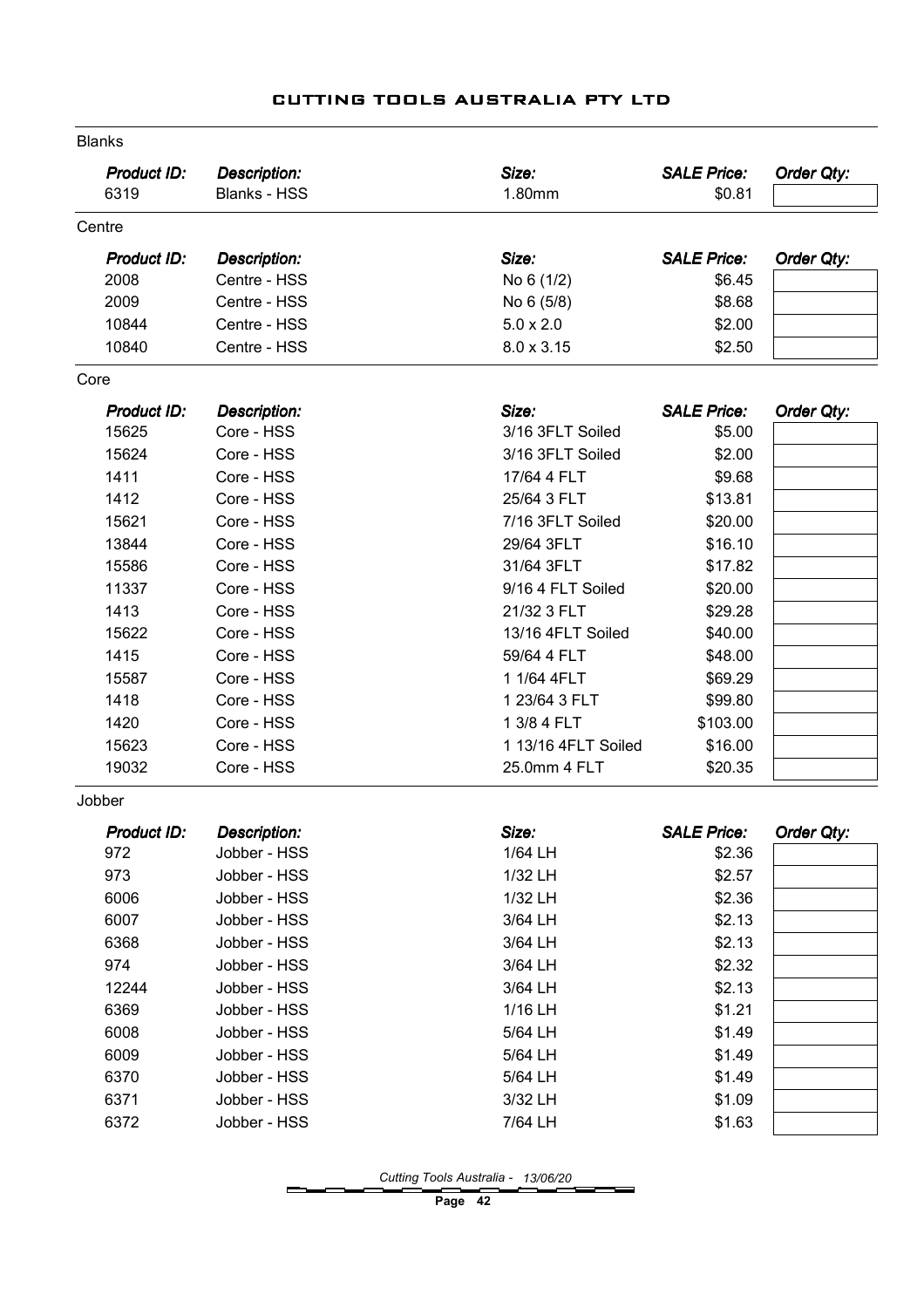| <b>Blanks</b>      |                     |                     |                    |            |
|--------------------|---------------------|---------------------|--------------------|------------|
| <b>Product ID:</b> | <b>Description:</b> | Size:               | <b>SALE Price:</b> | Order Qty: |
| 6319               | <b>Blanks - HSS</b> | 1.80mm              | \$0.81             |            |
| Centre             |                     |                     |                    |            |
| Product ID:        | <b>Description:</b> | Size:               | <b>SALE Price:</b> | Order Qty: |
| 2008               | Centre - HSS        | No 6 (1/2)          | \$6.45             |            |
| 2009               | Centre - HSS        | No 6 (5/8)          | \$8.68             |            |
| 10844              | Centre - HSS        | $5.0 \times 2.0$    | \$2.00             |            |
| 10840              | Centre - HSS        | 8.0 x 3.15          | \$2.50             |            |
| Core               |                     |                     |                    |            |
| <b>Product ID:</b> | <b>Description:</b> | Size:               | <b>SALE Price:</b> | Order Qty: |
| 15625              | Core - HSS          | 3/16 3FLT Soiled    | \$5.00             |            |
| 15624              | Core - HSS          | 3/16 3FLT Soiled    | \$2.00             |            |
| 1411               | Core - HSS          | 17/64 4 FLT         | \$9.68             |            |
| 1412               | Core - HSS          | 25/64 3 FLT         | \$13.81            |            |
| 15621              | Core - HSS          | 7/16 3FLT Soiled    | \$20.00            |            |
| 13844              | Core - HSS          | 29/64 3FLT          | \$16.10            |            |
| 15586              | Core - HSS          | 31/64 3FLT          | \$17.82            |            |
| 11337              | Core - HSS          | 9/16 4 FLT Soiled   | \$20.00            |            |
| 1413               | Core - HSS          | 21/32 3 FLT         | \$29.28            |            |
| 15622              | Core - HSS          | 13/16 4FLT Soiled   | \$40.00            |            |
| 1415               | Core - HSS          | 59/64 4 FLT         | \$48.00            |            |
| 15587              | Core - HSS          | 1 1/64 4FLT         | \$69.29            |            |
| 1418               | Core - HSS          | 1 23/64 3 FLT       | \$99.80            |            |
| 1420               | Core - HSS          | 1 3/8 4 FLT         | \$103.00           |            |
| 15623              | Core - HSS          | 1 13/16 4FLT Soiled | \$16.00            |            |
| 19032              | Core - HSS          | 25.0mm 4 FLT        | \$20.35            |            |
| Jobber             |                     |                     |                    |            |
| Product ID:        | <b>Description:</b> | Size:               | <b>SALE Price:</b> | Order Qty: |
| 972                | Jobber - HSS        | 1/64 LH             | \$2.36             |            |
| 973                | Jobber - HSS        | 1/32 LH             | \$2.57             |            |
| 6006               | Jobber - HSS        | 1/32 LH             | \$2.36             |            |
| 6007               | Jobber - HSS        | 3/64 LH             | \$2.13             |            |
| 6368               | Jobber - HSS        | 3/64 LH             | \$2.13             |            |
| 974                | Jobber - HSS        | 3/64 LH             | \$2.32             |            |
| 12244              | Jobber - HSS        | 3/64 LH             | \$2.13             |            |
| 6369               | Jobber - HSS        | 1/16 LH             | \$1.21             |            |
| 6008               | Jobber - HSS        | 5/64 LH             | \$1.49             |            |
| 6009               | Jobber - HSS        | 5/64 LH             | \$1.49             |            |
| 6370               | Jobber - HSS        | 5/64 LH             | \$1.49             |            |
| 6371               | Jobber - HSS        | 3/32 LH             | \$1.09             |            |
| 6372               | Jobber - HSS        | 7/64 LH             | \$1.63             |            |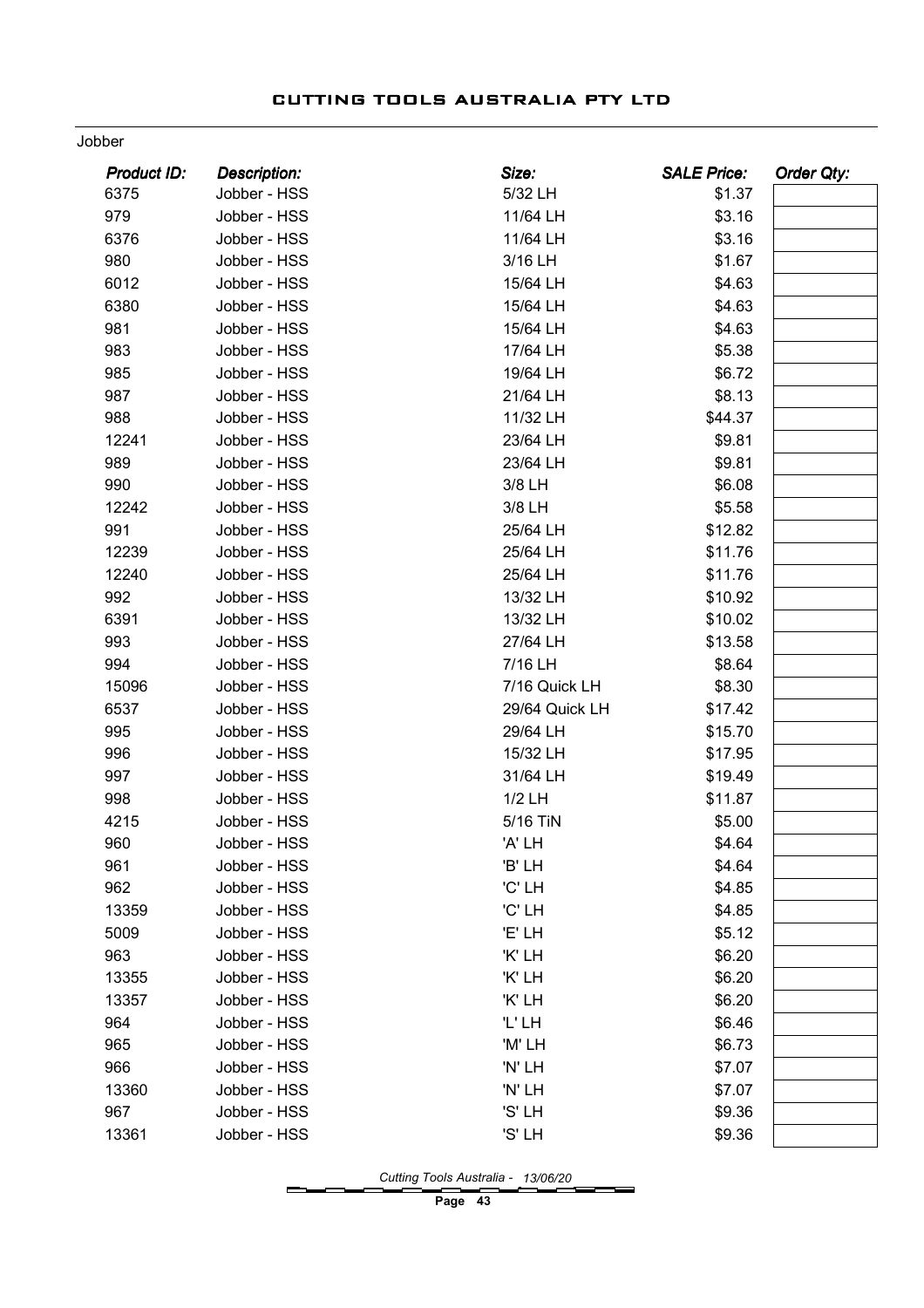#### Jobber

| <b>Product ID:</b><br><b>Description:</b><br>Size:<br><b>SALE Price:</b> | <b>Order Qty:</b> |
|--------------------------------------------------------------------------|-------------------|
| 6375<br>Jobber - HSS<br>5/32 LH                                          | \$1.37            |
| 979<br>Jobber - HSS<br>11/64 LH                                          | \$3.16            |
| 6376<br>11/64 LH<br>Jobber - HSS                                         | \$3.16            |
| 980<br>3/16 LH<br>Jobber - HSS                                           | \$1.67            |
| 6012<br>Jobber - HSS<br>15/64 LH                                         | \$4.63            |
| 6380<br>15/64 LH<br>Jobber - HSS                                         | \$4.63            |
| 981<br>15/64 LH<br>Jobber - HSS                                          | \$4.63            |
| 983<br>17/64 LH<br>Jobber - HSS                                          | \$5.38            |
| 985<br>19/64 LH<br>Jobber - HSS                                          | \$6.72            |
| 987<br>Jobber - HSS<br>21/64 LH                                          | \$8.13            |
| 988<br>11/32 LH<br>Jobber - HSS                                          | \$44.37           |
| 12241<br>23/64 LH<br>Jobber - HSS                                        | \$9.81            |
| 989<br>23/64 LH<br>Jobber - HSS                                          | \$9.81            |
| 990<br>Jobber - HSS<br>3/8 LH                                            | \$6.08            |
| 12242<br>3/8 LH<br>Jobber - HSS                                          | \$5.58            |
| 991<br>Jobber - HSS<br>25/64 LH                                          | \$12.82           |
| 12239<br>25/64 LH<br>Jobber - HSS                                        | \$11.76           |
| 12240<br>25/64 LH<br>Jobber - HSS                                        | \$11.76           |
| 992<br>Jobber - HSS<br>13/32 LH                                          | \$10.92           |
| 6391<br>Jobber - HSS<br>13/32 LH                                         | \$10.02           |
| 993<br>27/64 LH<br>Jobber - HSS                                          | \$13.58           |
| 994<br>7/16 LH<br>Jobber - HSS                                           | \$8.64            |
| 15096<br>Jobber - HSS<br>7/16 Quick LH                                   | \$8.30            |
| 6537<br>29/64 Quick LH<br>Jobber - HSS                                   | \$17.42           |
| 995<br>29/64 LH<br>Jobber - HSS                                          | \$15.70           |
| 996<br>15/32 LH<br>Jobber - HSS                                          | \$17.95           |
| 997<br>Jobber - HSS<br>31/64 LH                                          | \$19.49           |
| 998<br>1/2 LH<br>Jobber - HSS                                            | \$11.87           |
| 4215<br>5/16 TiN<br>Jobber - HSS                                         | \$5.00            |
| 960<br>'A' LH<br>Jobber - HSS                                            | \$4.64            |
| Jobber - HSS<br>'B' LH<br>961                                            | \$4.64            |
| 962<br>'C' LH<br>Jobber - HSS                                            | \$4.85            |
| 'C' LH<br>13359<br>Jobber - HSS                                          | \$4.85            |
| 5009<br>Jobber - HSS<br>'E' LH                                           | \$5.12            |
| 963<br>'K' LH<br>Jobber - HSS                                            | \$6.20            |
| 'K' LH<br>13355<br>Jobber - HSS                                          | \$6.20            |
| 'K' LH<br>13357<br>Jobber - HSS                                          | \$6.20            |
| 'L'LH<br>964<br>Jobber - HSS                                             | \$6.46            |
| 965<br>Jobber - HSS<br>'M' LH                                            | \$6.73            |
| 966<br>'N' LH<br>Jobber - HSS                                            | \$7.07            |
| 13360<br>'N' LH<br>Jobber - HSS                                          | \$7.07            |
| 967<br>Jobber - HSS<br>'S' LH                                            | \$9.36            |
| 'S' LH<br>13361<br>Jobber - HSS                                          | \$9.36            |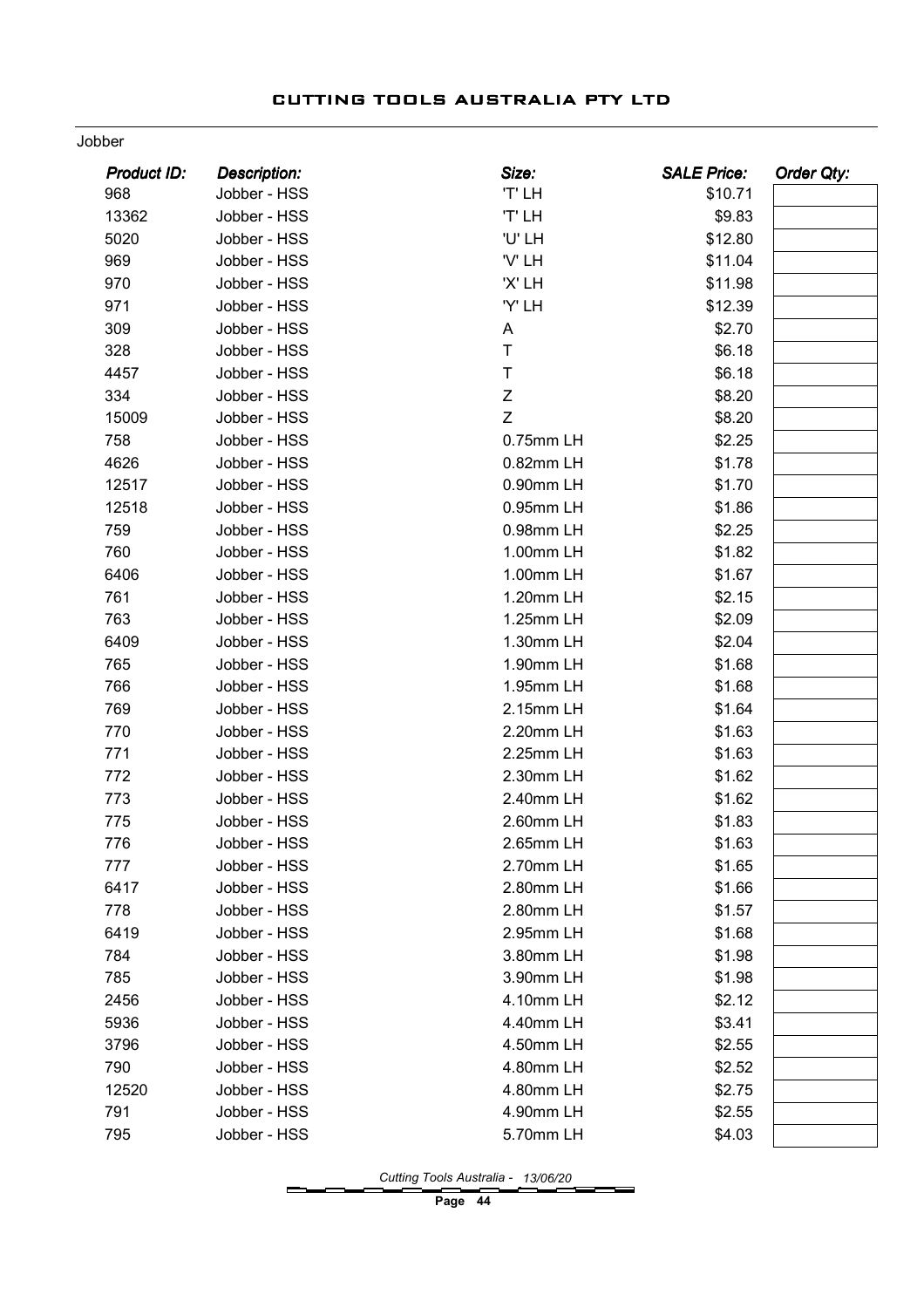#### Jobber

| <b>Product ID:</b> | <b>Description:</b> | Size:       | <b>SALE Price:</b> | Order Qty: |
|--------------------|---------------------|-------------|--------------------|------------|
| 968                | Jobber - HSS        | 'T' LH      | \$10.71            |            |
| 13362              | Jobber - HSS        | 'T' LH      | \$9.83             |            |
| 5020               | Jobber - HSS        | 'U' LH      | \$12.80            |            |
| 969                | Jobber - HSS        | 'V' LH      | \$11.04            |            |
| 970                | Jobber - HSS        | 'X' LH      | \$11.98            |            |
| 971                | Jobber - HSS        | 'Y' LH      | \$12.39            |            |
| 309                | Jobber - HSS        | Α           | \$2.70             |            |
| 328                | Jobber - HSS        | $\top$      | \$6.18             |            |
| 4457               | Jobber - HSS        | $\top$      | \$6.18             |            |
| 334                | Jobber - HSS        | $\mathsf Z$ | \$8.20             |            |
| 15009              | Jobber - HSS        | Z           | \$8.20             |            |
| 758                | Jobber - HSS        | 0.75mm LH   | \$2.25             |            |
| 4626               | Jobber - HSS        | 0.82mm LH   | \$1.78             |            |
| 12517              | Jobber - HSS        | 0.90mm LH   | \$1.70             |            |
| 12518              | Jobber - HSS        | 0.95mm LH   | \$1.86             |            |
| 759                | Jobber - HSS        | 0.98mm LH   | \$2.25             |            |
| 760                | Jobber - HSS        | 1.00mm LH   | \$1.82             |            |
| 6406               | Jobber - HSS        | 1.00mm LH   | \$1.67             |            |
| 761                | Jobber - HSS        | 1.20mm LH   | \$2.15             |            |
| 763                | Jobber - HSS        | 1.25mm LH   | \$2.09             |            |
| 6409               | Jobber - HSS        | 1.30mm LH   | \$2.04             |            |
| 765                | Jobber - HSS        | 1.90mm LH   | \$1.68             |            |
| 766                | Jobber - HSS        | 1.95mm LH   | \$1.68             |            |
| 769                | Jobber - HSS        | 2.15mm LH   | \$1.64             |            |
| 770                | Jobber - HSS        | 2.20mm LH   | \$1.63             |            |
| 771                | Jobber - HSS        | 2.25mm LH   | \$1.63             |            |
| 772                | Jobber - HSS        | 2.30mm LH   | \$1.62             |            |
| 773                | Jobber - HSS        | 2.40mm LH   | \$1.62             |            |
| 775                | Jobber - HSS        | 2.60mm LH   | \$1.83             |            |
| 776                | Jobber - HSS        | 2.65mm LH   | \$1.63             |            |
| 777                | Jobber - HSS        | 2.70mm LH   | \$1.65             |            |
| 6417               | Jobber - HSS        | 2.80mm LH   | \$1.66             |            |
| 778                | Jobber - HSS        | 2.80mm LH   | \$1.57             |            |
| 6419               | Jobber - HSS        | 2.95mm LH   | \$1.68             |            |
| 784                | Jobber - HSS        | 3.80mm LH   | \$1.98             |            |
| 785                | Jobber - HSS        | 3.90mm LH   | \$1.98             |            |
| 2456               | Jobber - HSS        | 4.10mm LH   | \$2.12             |            |
| 5936               | Jobber - HSS        | 4.40mm LH   | \$3.41             |            |
| 3796               | Jobber - HSS        | 4.50mm LH   | \$2.55             |            |
| 790                | Jobber - HSS        | 4.80mm LH   | \$2.52             |            |
| 12520              | Jobber - HSS        | 4.80mm LH   | \$2.75             |            |
| 791                | Jobber - HSS        | 4.90mm LH   | \$2.55             |            |
| 795                | Jobber - HSS        | 5.70mm LH   | \$4.03             |            |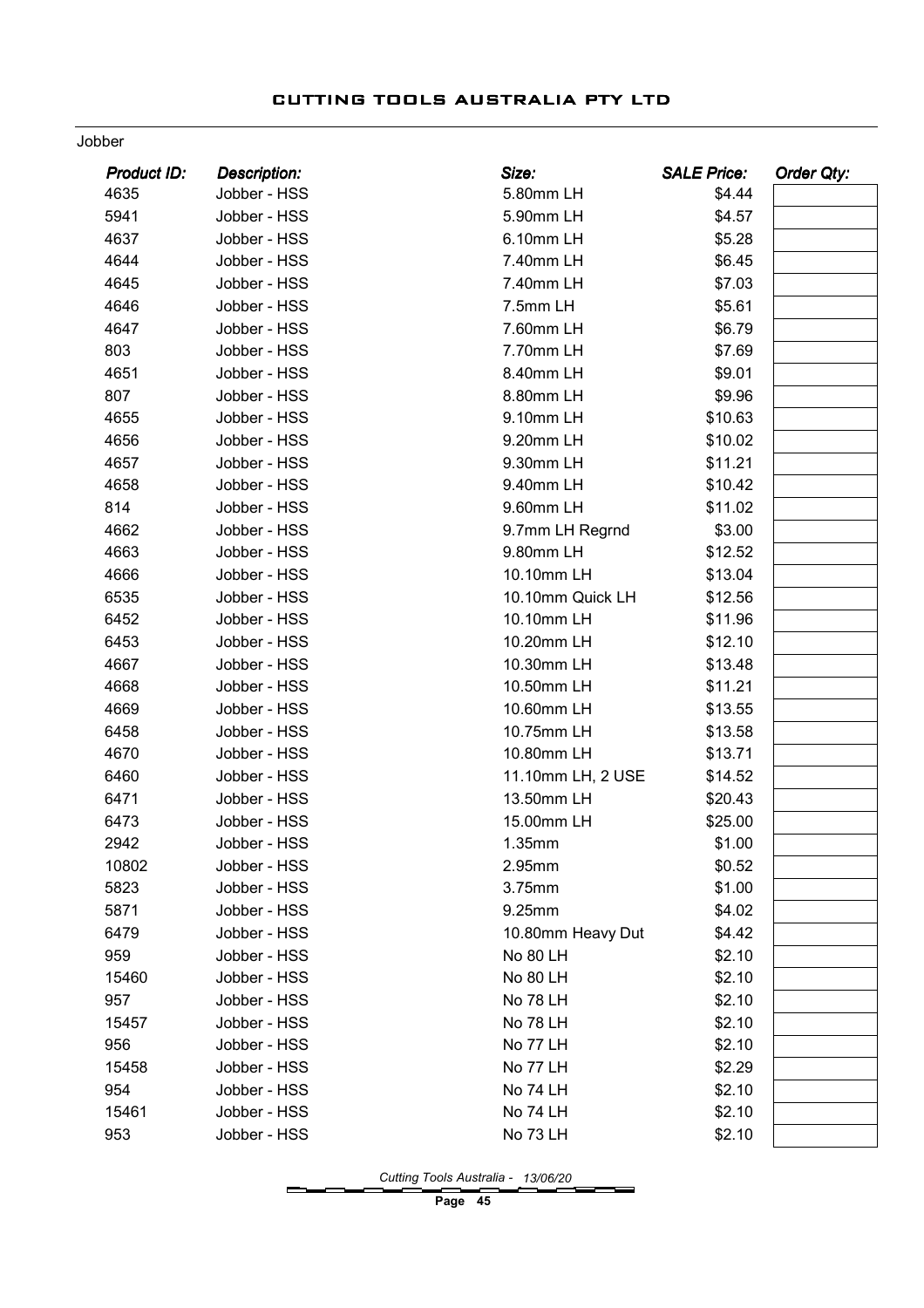#### Jobber

| <b>Product ID:</b> | <b>Description:</b> | Size:             | <b>SALE Price:</b> | Order Qty: |
|--------------------|---------------------|-------------------|--------------------|------------|
| 4635               | Jobber - HSS        | 5.80mm LH         | \$4.44             |            |
| 5941               | Jobber - HSS        | 5.90mm LH         | \$4.57             |            |
| 4637               | Jobber - HSS        | 6.10mm LH         | \$5.28             |            |
| 4644               | Jobber - HSS        | 7.40mm LH         | \$6.45             |            |
| 4645               | Jobber - HSS        | 7.40mm LH         | \$7.03             |            |
| 4646               | Jobber - HSS        | 7.5mm LH          | \$5.61             |            |
| 4647               | Jobber - HSS        | 7.60mm LH         | \$6.79             |            |
| 803                | Jobber - HSS        | 7.70mm LH         | \$7.69             |            |
| 4651               | Jobber - HSS        | 8.40mm LH         | \$9.01             |            |
| 807                | Jobber - HSS        | 8.80mm LH         | \$9.96             |            |
| 4655               | Jobber - HSS        | 9.10mm LH         | \$10.63            |            |
| 4656               | Jobber - HSS        | 9.20mm LH         | \$10.02            |            |
| 4657               | Jobber - HSS        | 9.30mm LH         | \$11.21            |            |
| 4658               | Jobber - HSS        | 9.40mm LH         | \$10.42            |            |
| 814                | Jobber - HSS        | 9.60mm LH         | \$11.02            |            |
| 4662               | Jobber - HSS        | 9.7mm LH Regrnd   | \$3.00             |            |
| 4663               | Jobber - HSS        | 9.80mm LH         | \$12.52            |            |
| 4666               | Jobber - HSS        | 10.10mm LH        | \$13.04            |            |
| 6535               | Jobber - HSS        | 10.10mm Quick LH  | \$12.56            |            |
| 6452               | Jobber - HSS        | 10.10mm LH        | \$11.96            |            |
| 6453               | Jobber - HSS        | 10.20mm LH        | \$12.10            |            |
| 4667               | Jobber - HSS        | 10.30mm LH        | \$13.48            |            |
| 4668               | Jobber - HSS        | 10.50mm LH        | \$11.21            |            |
| 4669               | Jobber - HSS        | 10.60mm LH        | \$13.55            |            |
| 6458               | Jobber - HSS        | 10.75mm LH        | \$13.58            |            |
| 4670               | Jobber - HSS        | 10.80mm LH        | \$13.71            |            |
| 6460               | Jobber - HSS        | 11.10mm LH, 2 USE | \$14.52            |            |
| 6471               | Jobber - HSS        | 13.50mm LH        | \$20.43            |            |
| 6473               | Jobber - HSS        | 15.00mm LH        | \$25.00            |            |
| 2942               | Jobber - HSS        | 1.35mm            | \$1.00             |            |
| 10802              | Jobber - HSS        | 2.95mm            | \$0.52             |            |
| 5823               | Jobber - HSS        | 3.75mm            | \$1.00             |            |
| 5871               | Jobber - HSS        | 9.25mm            | \$4.02             |            |
| 6479               | Jobber - HSS        | 10.80mm Heavy Dut | \$4.42             |            |
| 959                | Jobber - HSS        | <b>No 80 LH</b>   | \$2.10             |            |
| 15460              | Jobber - HSS        | <b>No 80 LH</b>   | \$2.10             |            |
| 957                | Jobber - HSS        | <b>No 78 LH</b>   | \$2.10             |            |
| 15457              | Jobber - HSS        | <b>No 78 LH</b>   | \$2.10             |            |
| 956                | Jobber - HSS        | No 77 LH          | \$2.10             |            |
| 15458              | Jobber - HSS        | No 77 LH          | \$2.29             |            |
| 954                | Jobber - HSS        | <b>No 74 LH</b>   | \$2.10             |            |
| 15461              | Jobber - HSS        | <b>No 74 LH</b>   | \$2.10             |            |
| 953                | Jobber - HSS        | No 73 LH          | \$2.10             |            |

Cutting Tools Australia - 13/06/20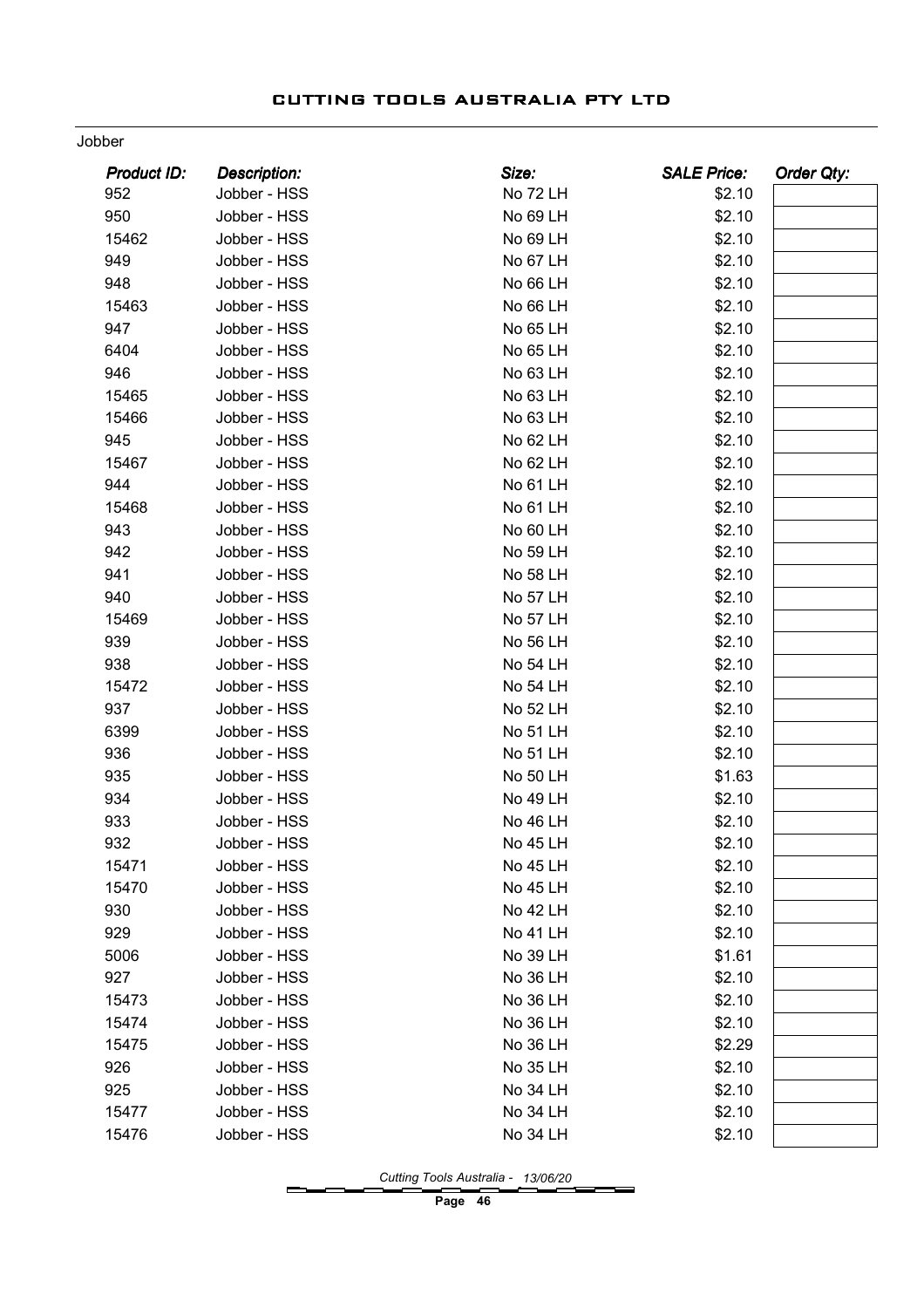#### Jobber

| <b>Product ID:</b> | <b>Description:</b> | Size:           | <b>SALE Price:</b> | <b>Order Qty:</b> |
|--------------------|---------------------|-----------------|--------------------|-------------------|
| 952                | Jobber - HSS        | No 72 LH        | \$2.10             |                   |
| 950                | Jobber - HSS        | No 69 LH        | \$2.10             |                   |
| 15462              | Jobber - HSS        | No 69 LH        | \$2.10             |                   |
| 949                | Jobber - HSS        | No 67 LH        | \$2.10             |                   |
| 948                | Jobber - HSS        | No 66 LH        | \$2.10             |                   |
| 15463              | Jobber - HSS        | No 66 LH        | \$2.10             |                   |
| 947                | Jobber - HSS        | No 65 LH        | \$2.10             |                   |
| 6404               | Jobber - HSS        | No 65 LH        | \$2.10             |                   |
| 946                | Jobber - HSS        | No 63 LH        | \$2.10             |                   |
| 15465              | Jobber - HSS        | No 63 LH        | \$2.10             |                   |
| 15466              | Jobber - HSS        | No 63 LH        | \$2.10             |                   |
| 945                | Jobber - HSS        | No 62 LH        | \$2.10             |                   |
| 15467              | Jobber - HSS        | No 62 LH        | \$2.10             |                   |
| 944                | Jobber - HSS        | No 61 LH        | \$2.10             |                   |
| 15468              | Jobber - HSS        | No 61 LH        | \$2.10             |                   |
| 943                | Jobber - HSS        | No 60 LH        | \$2.10             |                   |
| 942                | Jobber - HSS        | No 59 LH        | \$2.10             |                   |
| 941                | Jobber - HSS        | No 58 LH        | \$2.10             |                   |
| 940                | Jobber - HSS        | <b>No 57 LH</b> | \$2.10             |                   |
| 15469              | Jobber - HSS        | <b>No 57 LH</b> | \$2.10             |                   |
| 939                | Jobber - HSS        | No 56 LH        | \$2.10             |                   |
| 938                | Jobber - HSS        | No 54 LH        | \$2.10             |                   |
| 15472              | Jobber - HSS        | <b>No 54 LH</b> | \$2.10             |                   |
| 937                | Jobber - HSS        | No 52 LH        | \$2.10             |                   |
| 6399               | Jobber - HSS        | No 51 LH        | \$2.10             |                   |
| 936                | Jobber - HSS        | No 51 LH        | \$2.10             |                   |
| 935                | Jobber - HSS        | No 50 LH        | \$1.63             |                   |
| 934                | Jobber - HSS        | No 49 LH        | \$2.10             |                   |
| 933                | Jobber - HSS        | <b>No 46 LH</b> | \$2.10             |                   |
| 932                | Jobber - HSS        | <b>No 45 LH</b> | \$2.10             |                   |
| 15471              | Jobber - HSS        | <b>No 45 LH</b> | \$2.10             |                   |
| 15470              | Jobber - HSS        | No 45 LH        | \$2.10             |                   |
| 930                | Jobber - HSS        | No 42 LH        | \$2.10             |                   |
| 929                | Jobber - HSS        | No 41 LH        | \$2.10             |                   |
| 5006               | Jobber - HSS        | No 39 LH        | \$1.61             |                   |
| 927                | Jobber - HSS        | No 36 LH        | \$2.10             |                   |
| 15473              | Jobber - HSS        | No 36 LH        | \$2.10             |                   |
| 15474              | Jobber - HSS        | No 36 LH        | \$2.10             |                   |
| 15475              | Jobber - HSS        | No 36 LH        | \$2.29             |                   |
| 926                | Jobber - HSS        | No 35 LH        | \$2.10             |                   |
| 925                | Jobber - HSS        | No 34 LH        | \$2.10             |                   |
| 15477              | Jobber - HSS        | No 34 LH        | \$2.10             |                   |
| 15476              | Jobber - HSS        | No 34 LH        | \$2.10             |                   |
|                    |                     |                 |                    |                   |

Cutting Tools Australia - 13/06/20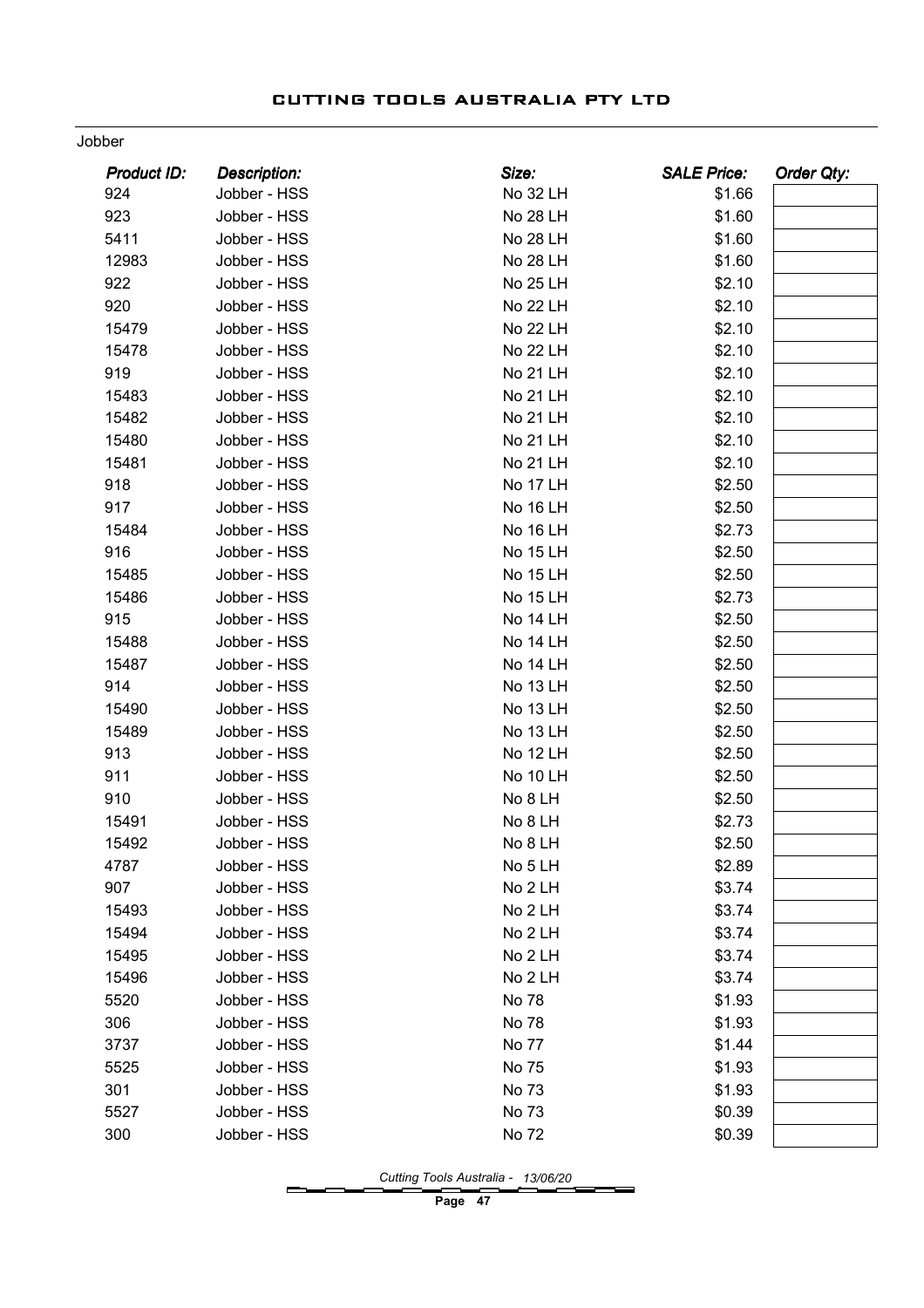#### Jobber

| <b>Product ID:</b> | <b>Description:</b> | Size:           | <b>SALE Price:</b> | <b>Order Qty:</b> |
|--------------------|---------------------|-----------------|--------------------|-------------------|
| 924                | Jobber - HSS        | No 32 LH        | \$1.66             |                   |
| 923                | Jobber - HSS        | <b>No 28 LH</b> | \$1.60             |                   |
| 5411               | Jobber - HSS        | <b>No 28 LH</b> | \$1.60             |                   |
| 12983              | Jobber - HSS        | <b>No 28 LH</b> | \$1.60             |                   |
| 922                | Jobber - HSS        | <b>No 25 LH</b> | \$2.10             |                   |
| 920                | Jobber - HSS        | <b>No 22 LH</b> | \$2.10             |                   |
| 15479              | Jobber - HSS        | <b>No 22 LH</b> | \$2.10             |                   |
| 15478              | Jobber - HSS        | <b>No 22 LH</b> | \$2.10             |                   |
| 919                | Jobber - HSS        | No 21 LH        | \$2.10             |                   |
| 15483              | Jobber - HSS        | <b>No 21 LH</b> | \$2.10             |                   |
| 15482              | Jobber - HSS        | No 21 LH        | \$2.10             |                   |
| 15480              | Jobber - HSS        | <b>No 21 LH</b> | \$2.10             |                   |
| 15481              | Jobber - HSS        | No 21 LH        | \$2.10             |                   |
| 918                | Jobber - HSS        | No 17 LH        | \$2.50             |                   |
| 917                | Jobber - HSS        | <b>No 16 LH</b> | \$2.50             |                   |
| 15484              | Jobber - HSS        | <b>No 16 LH</b> | \$2.73             |                   |
| 916                | Jobber - HSS        | <b>No 15 LH</b> | \$2.50             |                   |
| 15485              | Jobber - HSS        | No 15 LH        | \$2.50             |                   |
| 15486              | Jobber - HSS        | <b>No 15 LH</b> | \$2.73             |                   |
| 915                | Jobber - HSS        | No 14 LH        | \$2.50             |                   |
| 15488              | Jobber - HSS        | No 14 LH        | \$2.50             |                   |
| 15487              | Jobber - HSS        | <b>No 14 LH</b> | \$2.50             |                   |
| 914                | Jobber - HSS        | <b>No 13 LH</b> | \$2.50             |                   |
| 15490              | Jobber - HSS        | <b>No 13 LH</b> | \$2.50             |                   |
| 15489              | Jobber - HSS        | <b>No 13 LH</b> | \$2.50             |                   |
| 913                | Jobber - HSS        | <b>No 12 LH</b> | \$2.50             |                   |
| 911                | Jobber - HSS        | No 10 LH        | \$2.50             |                   |
| 910                | Jobber - HSS        | No 8 LH         | \$2.50             |                   |
| 15491              | Jobber - HSS        | No 8 LH         | \$2.73             |                   |
| 15492              | Jobber - HSS        | No 8 LH         | \$2.50             |                   |
| 4787               | Jobber - HSS        | No 5 LH         | \$2.89             |                   |
| 907                | Jobber - HSS        | No 2 LH         | \$3.74             |                   |
| 15493              | Jobber - HSS        | No 2 LH         | \$3.74             |                   |
| 15494              | Jobber - HSS        | No 2 LH         | \$3.74             |                   |
| 15495              | Jobber - HSS        | No 2 LH         | \$3.74             |                   |
| 15496              | Jobber - HSS        | No 2 LH         | \$3.74             |                   |
| 5520               | Jobber - HSS        | No 78           | \$1.93             |                   |
| 306                | Jobber - HSS        | No 78           | \$1.93             |                   |
| 3737               | Jobber - HSS        | No 77           | \$1.44             |                   |
| 5525               | Jobber - HSS        | No 75           | \$1.93             |                   |
| 301                | Jobber - HSS        | No 73           | \$1.93             |                   |
| 5527               | Jobber - HSS        | No 73           | \$0.39             |                   |
| 300                | Jobber - HSS        | No 72           | \$0.39             |                   |
|                    |                     |                 |                    |                   |

Cutting Tools Australia - 13/06/20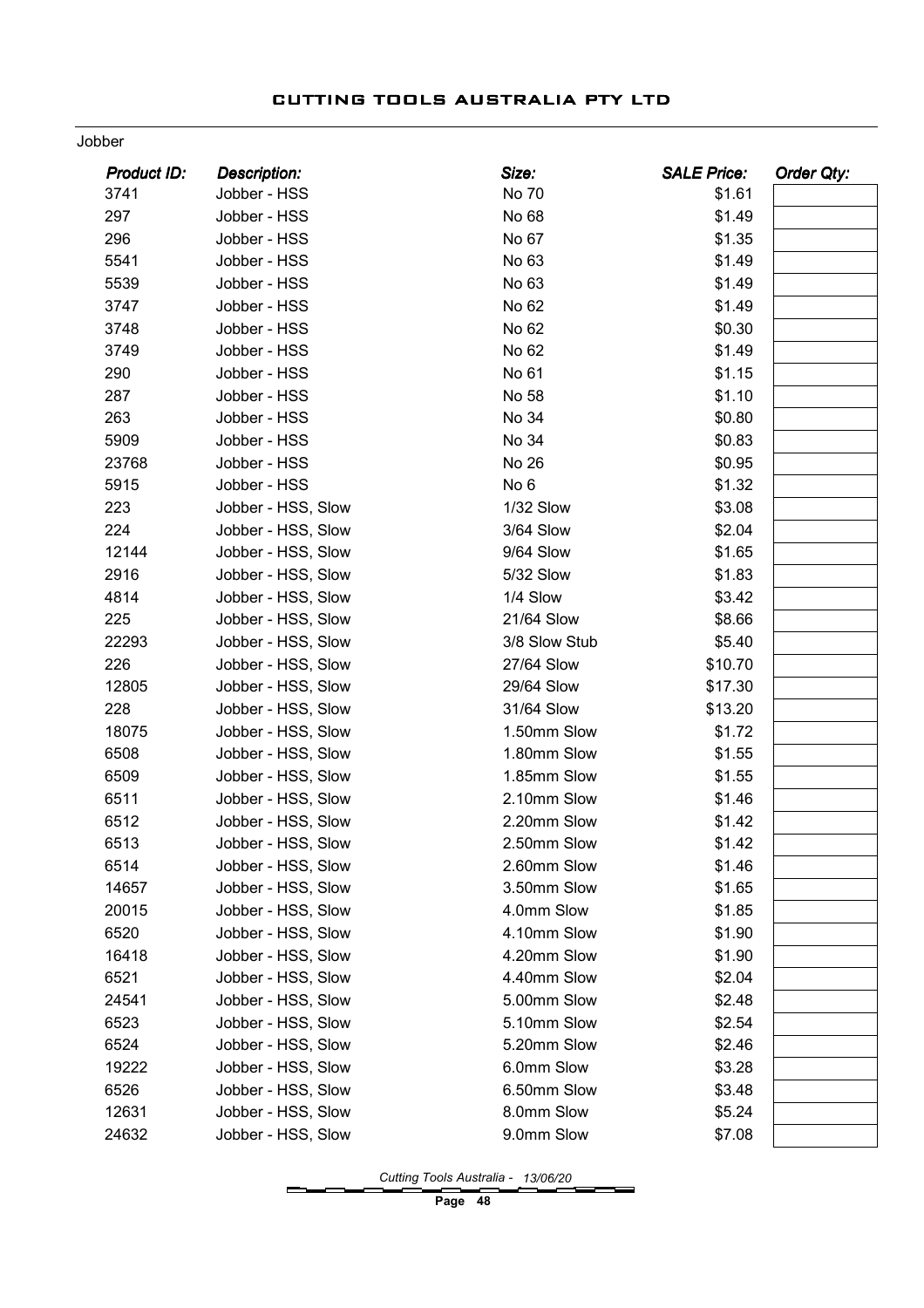#### Jobber

| <b>Product ID:</b> | <b>Description:</b> | Size:         | <b>SALE Price:</b> | Order Qty: |
|--------------------|---------------------|---------------|--------------------|------------|
| 3741               | Jobber - HSS        | No 70         | \$1.61             |            |
| 297                | Jobber - HSS        | No 68         | \$1.49             |            |
| 296                | Jobber - HSS        | No 67         | \$1.35             |            |
| 5541               | Jobber - HSS        | No 63         | \$1.49             |            |
| 5539               | Jobber - HSS        | No 63         | \$1.49             |            |
| 3747               | Jobber - HSS        | No 62         | \$1.49             |            |
| 3748               | Jobber - HSS        | No 62         | \$0.30             |            |
| 3749               | Jobber - HSS        | No 62         | \$1.49             |            |
| 290                | Jobber - HSS        | No 61         | \$1.15             |            |
| 287                | Jobber - HSS        | No 58         | \$1.10             |            |
| 263                | Jobber - HSS        | No 34         | \$0.80             |            |
| 5909               | Jobber - HSS        | No 34         | \$0.83             |            |
| 23768              | Jobber - HSS        | No 26         | \$0.95             |            |
| 5915               | Jobber - HSS        | No 6          | \$1.32             |            |
| 223                | Jobber - HSS, Slow  | 1/32 Slow     | \$3.08             |            |
| 224                | Jobber - HSS, Slow  | 3/64 Slow     | \$2.04             |            |
| 12144              | Jobber - HSS, Slow  | 9/64 Slow     | \$1.65             |            |
| 2916               | Jobber - HSS, Slow  | 5/32 Slow     | \$1.83             |            |
| 4814               | Jobber - HSS, Slow  | 1/4 Slow      | \$3.42             |            |
| 225                | Jobber - HSS, Slow  | 21/64 Slow    | \$8.66             |            |
| 22293              | Jobber - HSS, Slow  | 3/8 Slow Stub | \$5.40             |            |
| 226                | Jobber - HSS, Slow  | 27/64 Slow    | \$10.70            |            |
| 12805              | Jobber - HSS, Slow  | 29/64 Slow    | \$17.30            |            |
| 228                | Jobber - HSS, Slow  | 31/64 Slow    | \$13.20            |            |
| 18075              | Jobber - HSS, Slow  | 1.50mm Slow   | \$1.72             |            |
| 6508               | Jobber - HSS, Slow  | 1.80mm Slow   | \$1.55             |            |
| 6509               | Jobber - HSS, Slow  | 1.85mm Slow   | \$1.55             |            |
| 6511               | Jobber - HSS, Slow  | 2.10mm Slow   | \$1.46             |            |
| 6512               | Jobber - HSS, Slow  | 2.20mm Slow   | \$1.42             |            |
| 6513               | Jobber - HSS, Slow  | 2.50mm Slow   | \$1.42             |            |
| 6514               | Jobber - HSS, Slow  | 2.60mm Slow   | \$1.46             |            |
| 14657              | Jobber - HSS, Slow  | 3.50mm Slow   | \$1.65             |            |
| 20015              | Jobber - HSS, Slow  | 4.0mm Slow    | \$1.85             |            |
| 6520               | Jobber - HSS, Slow  | 4.10mm Slow   | \$1.90             |            |
| 16418              | Jobber - HSS, Slow  | 4.20mm Slow   | \$1.90             |            |
| 6521               | Jobber - HSS, Slow  | 4.40mm Slow   | \$2.04             |            |
| 24541              | Jobber - HSS, Slow  | 5.00mm Slow   | \$2.48             |            |
| 6523               | Jobber - HSS, Slow  | 5.10mm Slow   | \$2.54             |            |
| 6524               | Jobber - HSS, Slow  | 5.20mm Slow   | \$2.46             |            |
| 19222              | Jobber - HSS, Slow  | 6.0mm Slow    | \$3.28             |            |
| 6526               | Jobber - HSS, Slow  | 6.50mm Slow   | \$3.48             |            |
| 12631              | Jobber - HSS, Slow  | 8.0mm Slow    | \$5.24             |            |
| 24632              | Jobber - HSS, Slow  | 9.0mm Slow    | \$7.08             |            |
|                    |                     |               |                    |            |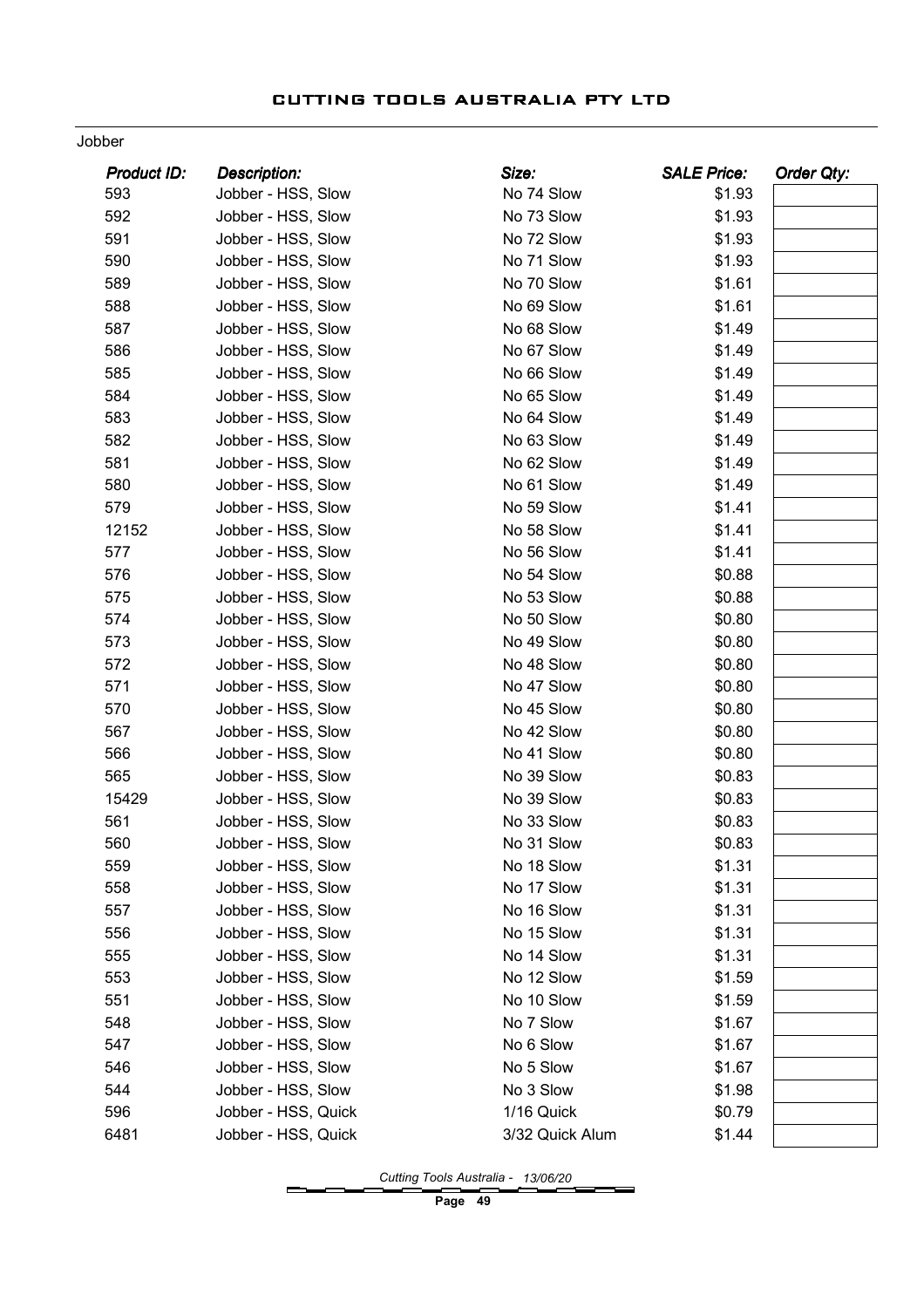#### Jobber

| <b>Product ID:</b> | <b>Description:</b> | Size:           | <b>SALE Price:</b> | Order Qty: |
|--------------------|---------------------|-----------------|--------------------|------------|
| 593                | Jobber - HSS, Slow  | No 74 Slow      | \$1.93             |            |
| 592                | Jobber - HSS, Slow  | No 73 Slow      | \$1.93             |            |
| 591                | Jobber - HSS, Slow  | No 72 Slow      | \$1.93             |            |
| 590                | Jobber - HSS, Slow  | No 71 Slow      | \$1.93             |            |
| 589                | Jobber - HSS, Slow  | No 70 Slow      | \$1.61             |            |
| 588                | Jobber - HSS, Slow  | No 69 Slow      | \$1.61             |            |
| 587                | Jobber - HSS, Slow  | No 68 Slow      | \$1.49             |            |
| 586                | Jobber - HSS, Slow  | No 67 Slow      | \$1.49             |            |
| 585                | Jobber - HSS, Slow  | No 66 Slow      | \$1.49             |            |
| 584                | Jobber - HSS, Slow  | No 65 Slow      | \$1.49             |            |
| 583                | Jobber - HSS, Slow  | No 64 Slow      | \$1.49             |            |
| 582                | Jobber - HSS, Slow  | No 63 Slow      | \$1.49             |            |
| 581                | Jobber - HSS, Slow  | No 62 Slow      | \$1.49             |            |
| 580                | Jobber - HSS, Slow  | No 61 Slow      | \$1.49             |            |
| 579                | Jobber - HSS, Slow  | No 59 Slow      | \$1.41             |            |
| 12152              | Jobber - HSS, Slow  | No 58 Slow      | \$1.41             |            |
| 577                | Jobber - HSS, Slow  | No 56 Slow      | \$1.41             |            |
| 576                | Jobber - HSS, Slow  | No 54 Slow      | \$0.88             |            |
| 575                | Jobber - HSS, Slow  | No 53 Slow      | \$0.88             |            |
| 574                | Jobber - HSS, Slow  | No 50 Slow      | \$0.80             |            |
| 573                | Jobber - HSS, Slow  | No 49 Slow      | \$0.80             |            |
| 572                | Jobber - HSS, Slow  | No 48 Slow      | \$0.80             |            |
| 571                | Jobber - HSS, Slow  | No 47 Slow      | \$0.80             |            |
| 570                | Jobber - HSS, Slow  | No 45 Slow      | \$0.80             |            |
| 567                | Jobber - HSS, Slow  | No 42 Slow      | \$0.80             |            |
| 566                | Jobber - HSS, Slow  | No 41 Slow      | \$0.80             |            |
| 565                | Jobber - HSS, Slow  | No 39 Slow      | \$0.83             |            |
| 15429              | Jobber - HSS, Slow  | No 39 Slow      | \$0.83             |            |
| 561                | Jobber - HSS, Slow  | No 33 Slow      | \$0.83             |            |
| 560                | Jobber - HSS, Slow  | No 31 Slow      | \$0.83             |            |
| 559                | Jobber - HSS, Slow  | No 18 Slow      | \$1.31             |            |
| 558                | Jobber - HSS, Slow  | No 17 Slow      | \$1.31             |            |
| 557                | Jobber - HSS, Slow  | No 16 Slow      | \$1.31             |            |
| 556                | Jobber - HSS, Slow  | No 15 Slow      | \$1.31             |            |
| 555                | Jobber - HSS, Slow  | No 14 Slow      | \$1.31             |            |
| 553                | Jobber - HSS, Slow  | No 12 Slow      | \$1.59             |            |
| 551                | Jobber - HSS, Slow  | No 10 Slow      | \$1.59             |            |
| 548                | Jobber - HSS, Slow  | No 7 Slow       | \$1.67             |            |
| 547                | Jobber - HSS, Slow  | No 6 Slow       | \$1.67             |            |
| 546                | Jobber - HSS, Slow  | No 5 Slow       | \$1.67             |            |
| 544                | Jobber - HSS, Slow  | No 3 Slow       | \$1.98             |            |
| 596                | Jobber - HSS, Quick | 1/16 Quick      | \$0.79             |            |
| 6481               | Jobber - HSS, Quick | 3/32 Quick Alum | \$1.44             |            |

Cutting Tools Australia - 13/06/20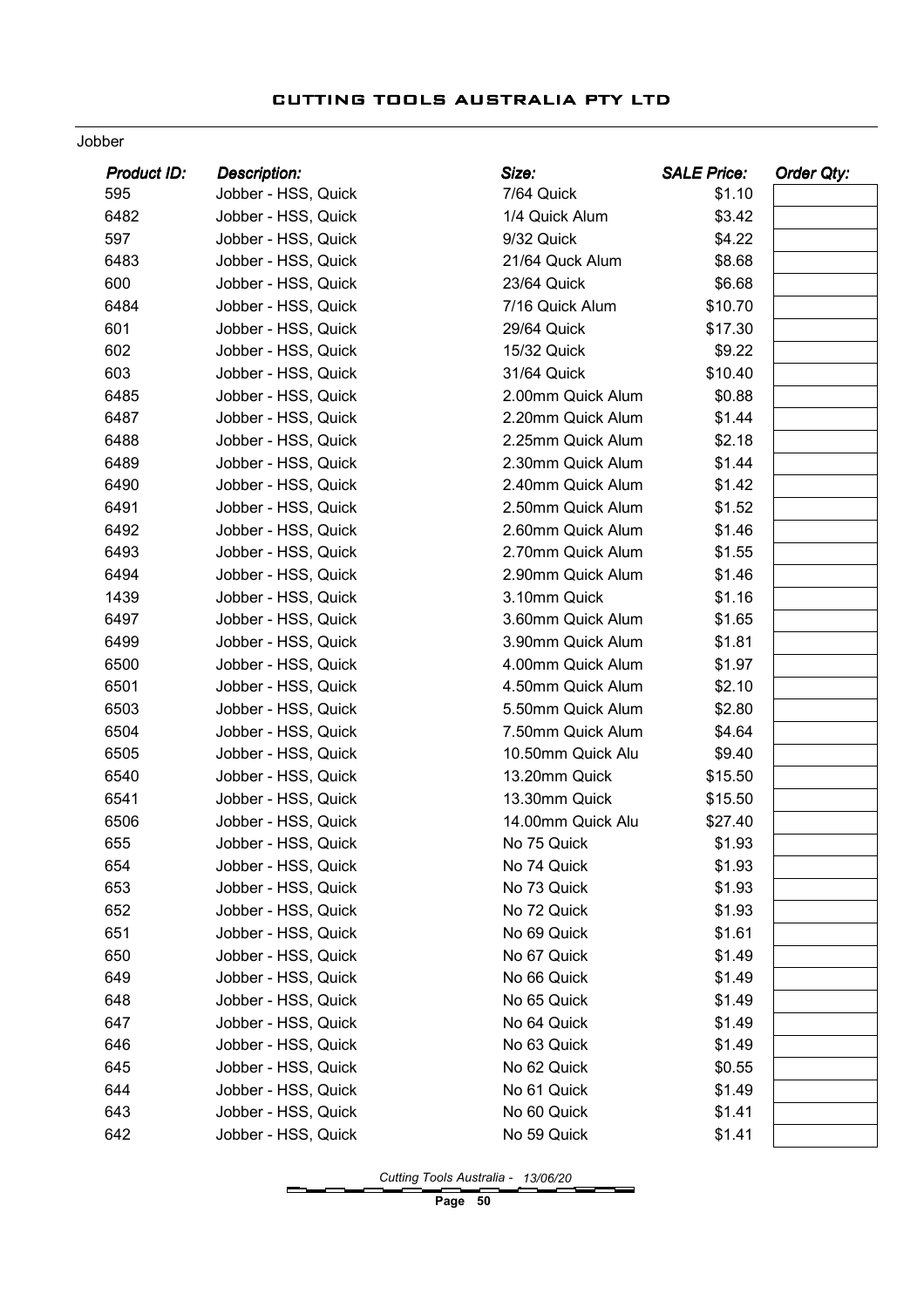#### Jobber

| Product ID: | <b>Description:</b> | Size:             | <b>SALE Price:</b> | <b>Order Qty:</b> |
|-------------|---------------------|-------------------|--------------------|-------------------|
| 595         | Jobber - HSS, Quick | 7/64 Quick        | \$1.10             |                   |
| 6482        | Jobber - HSS, Quick | 1/4 Quick Alum    | \$3.42             |                   |
| 597         | Jobber - HSS, Quick | 9/32 Quick        | \$4.22             |                   |
| 6483        | Jobber - HSS, Quick | 21/64 Quck Alum   | \$8.68             |                   |
| 600         | Jobber - HSS, Quick | 23/64 Quick       | \$6.68             |                   |
| 6484        | Jobber - HSS, Quick | 7/16 Quick Alum   | \$10.70            |                   |
| 601         | Jobber - HSS, Quick | 29/64 Quick       | \$17.30            |                   |
| 602         | Jobber - HSS, Quick | 15/32 Quick       | \$9.22             |                   |
| 603         | Jobber - HSS, Quick | 31/64 Quick       | \$10.40            |                   |
| 6485        | Jobber - HSS, Quick | 2.00mm Quick Alum | \$0.88             |                   |
| 6487        | Jobber - HSS, Quick | 2.20mm Quick Alum | \$1.44             |                   |
| 6488        | Jobber - HSS, Quick | 2.25mm Quick Alum | \$2.18             |                   |
| 6489        | Jobber - HSS, Quick | 2.30mm Quick Alum | \$1.44             |                   |
| 6490        | Jobber - HSS, Quick | 2.40mm Quick Alum | \$1.42             |                   |
| 6491        | Jobber - HSS, Quick | 2.50mm Quick Alum | \$1.52             |                   |
| 6492        | Jobber - HSS, Quick | 2.60mm Quick Alum | \$1.46             |                   |
| 6493        | Jobber - HSS, Quick | 2.70mm Quick Alum | \$1.55             |                   |
| 6494        | Jobber - HSS, Quick | 2.90mm Quick Alum | \$1.46             |                   |
| 1439        | Jobber - HSS, Quick | 3.10mm Quick      | \$1.16             |                   |
| 6497        | Jobber - HSS, Quick | 3.60mm Quick Alum | \$1.65             |                   |
| 6499        | Jobber - HSS, Quick | 3.90mm Quick Alum | \$1.81             |                   |
| 6500        | Jobber - HSS, Quick | 4.00mm Quick Alum | \$1.97             |                   |
| 6501        | Jobber - HSS, Quick | 4.50mm Quick Alum | \$2.10             |                   |
| 6503        | Jobber - HSS, Quick | 5.50mm Quick Alum | \$2.80             |                   |
| 6504        | Jobber - HSS, Quick | 7.50mm Quick Alum | \$4.64             |                   |
| 6505        | Jobber - HSS, Quick | 10.50mm Quick Alu | \$9.40             |                   |
| 6540        | Jobber - HSS, Quick | 13.20mm Quick     | \$15.50            |                   |
| 6541        | Jobber - HSS, Quick | 13.30mm Quick     | \$15.50            |                   |
| 6506        | Jobber - HSS, Quick | 14.00mm Quick Alu | \$27.40            |                   |
| 655         | Jobber - HSS, Quick | No 75 Quick       | \$1.93             |                   |
| 654         | Jobber - HSS, Quick | No 74 Quick       | \$1.93             |                   |
| 653         | Jobber - HSS, Quick | No 73 Quick       | \$1.93             |                   |
| 652         | Jobber - HSS, Quick | No 72 Quick       | \$1.93             |                   |
| 651         | Jobber - HSS, Quick | No 69 Quick       | \$1.61             |                   |
| 650         | Jobber - HSS, Quick | No 67 Quick       | \$1.49             |                   |
| 649         | Jobber - HSS, Quick | No 66 Quick       | \$1.49             |                   |
| 648         | Jobber - HSS, Quick | No 65 Quick       | \$1.49             |                   |
| 647         | Jobber - HSS, Quick | No 64 Quick       | \$1.49             |                   |
| 646         | Jobber - HSS, Quick | No 63 Quick       | \$1.49             |                   |
| 645         | Jobber - HSS, Quick | No 62 Quick       | \$0.55             |                   |
| 644         | Jobber - HSS, Quick | No 61 Quick       | \$1.49             |                   |
| 643         | Jobber - HSS, Quick | No 60 Quick       | \$1.41             |                   |
| 642         | Jobber - HSS, Quick | No 59 Quick       | \$1.41             |                   |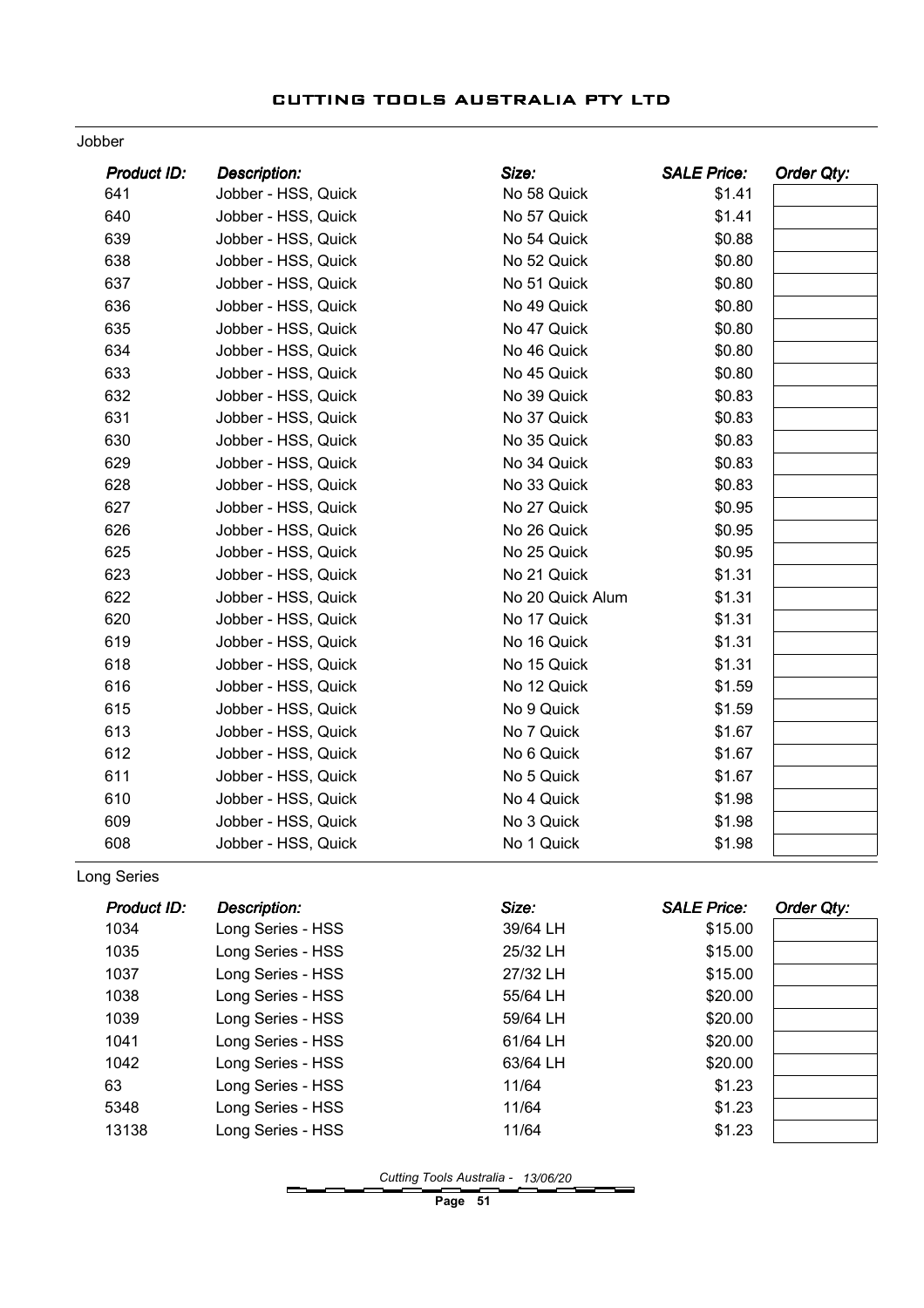#### Jobber

| Product ID: | <b>Description:</b> | Size:            | <b>SALE Price:</b> | <b>Order Qty:</b> |
|-------------|---------------------|------------------|--------------------|-------------------|
| 641         | Jobber - HSS, Quick | No 58 Quick      | \$1.41             |                   |
| 640         | Jobber - HSS, Quick | No 57 Quick      | \$1.41             |                   |
| 639         | Jobber - HSS, Quick | No 54 Quick      | \$0.88             |                   |
| 638         | Jobber - HSS, Quick | No 52 Quick      | \$0.80             |                   |
| 637         | Jobber - HSS, Quick | No 51 Quick      | \$0.80             |                   |
| 636         | Jobber - HSS, Quick | No 49 Quick      | \$0.80             |                   |
| 635         | Jobber - HSS, Quick | No 47 Quick      | \$0.80             |                   |
| 634         | Jobber - HSS, Quick | No 46 Quick      | \$0.80             |                   |
| 633         | Jobber - HSS, Quick | No 45 Quick      | \$0.80             |                   |
| 632         | Jobber - HSS, Quick | No 39 Quick      | \$0.83             |                   |
| 631         | Jobber - HSS, Quick | No 37 Quick      | \$0.83             |                   |
| 630         | Jobber - HSS, Quick | No 35 Quick      | \$0.83             |                   |
| 629         | Jobber - HSS, Quick | No 34 Quick      | \$0.83             |                   |
| 628         | Jobber - HSS, Quick | No 33 Quick      | \$0.83             |                   |
| 627         | Jobber - HSS, Quick | No 27 Quick      | \$0.95             |                   |
| 626         | Jobber - HSS, Quick | No 26 Quick      | \$0.95             |                   |
| 625         | Jobber - HSS, Quick | No 25 Quick      | \$0.95             |                   |
| 623         | Jobber - HSS, Quick | No 21 Quick      | \$1.31             |                   |
| 622         | Jobber - HSS, Quick | No 20 Quick Alum | \$1.31             |                   |
| 620         | Jobber - HSS, Quick | No 17 Quick      | \$1.31             |                   |
| 619         | Jobber - HSS, Quick | No 16 Quick      | \$1.31             |                   |
| 618         | Jobber - HSS, Quick | No 15 Quick      | \$1.31             |                   |
| 616         | Jobber - HSS, Quick | No 12 Quick      | \$1.59             |                   |
| 615         | Jobber - HSS, Quick | No 9 Quick       | \$1.59             |                   |
| 613         | Jobber - HSS, Quick | No 7 Quick       | \$1.67             |                   |
| 612         | Jobber - HSS, Quick | No 6 Quick       | \$1.67             |                   |
| 611         | Jobber - HSS, Quick | No 5 Quick       | \$1.67             |                   |
| 610         | Jobber - HSS, Quick | No 4 Quick       | \$1.98             |                   |
| 609         | Jobber - HSS, Quick | No 3 Quick       | \$1.98             |                   |
| 608         | Jobber - HSS, Quick | No 1 Quick       | \$1.98             |                   |

Long Series

| Product ID: | Description:      | Size:    | <b>SALE Price:</b> | Order Qty: |
|-------------|-------------------|----------|--------------------|------------|
| 1034        | Long Series - HSS | 39/64 LH | \$15.00            |            |
| 1035        | Long Series - HSS | 25/32 LH | \$15.00            |            |
| 1037        | Long Series - HSS | 27/32 LH | \$15.00            |            |
| 1038        | Long Series - HSS | 55/64 LH | \$20.00            |            |
| 1039        | Long Series - HSS | 59/64 LH | \$20.00            |            |
| 1041        | Long Series - HSS | 61/64 LH | \$20.00            |            |
| 1042        | Long Series - HSS | 63/64 LH | \$20.00            |            |
| 63          | Long Series - HSS | 11/64    | \$1.23             |            |
| 5348        | Long Series - HSS | 11/64    | \$1.23             |            |
| 13138       | Long Series - HSS | 11/64    | \$1.23             |            |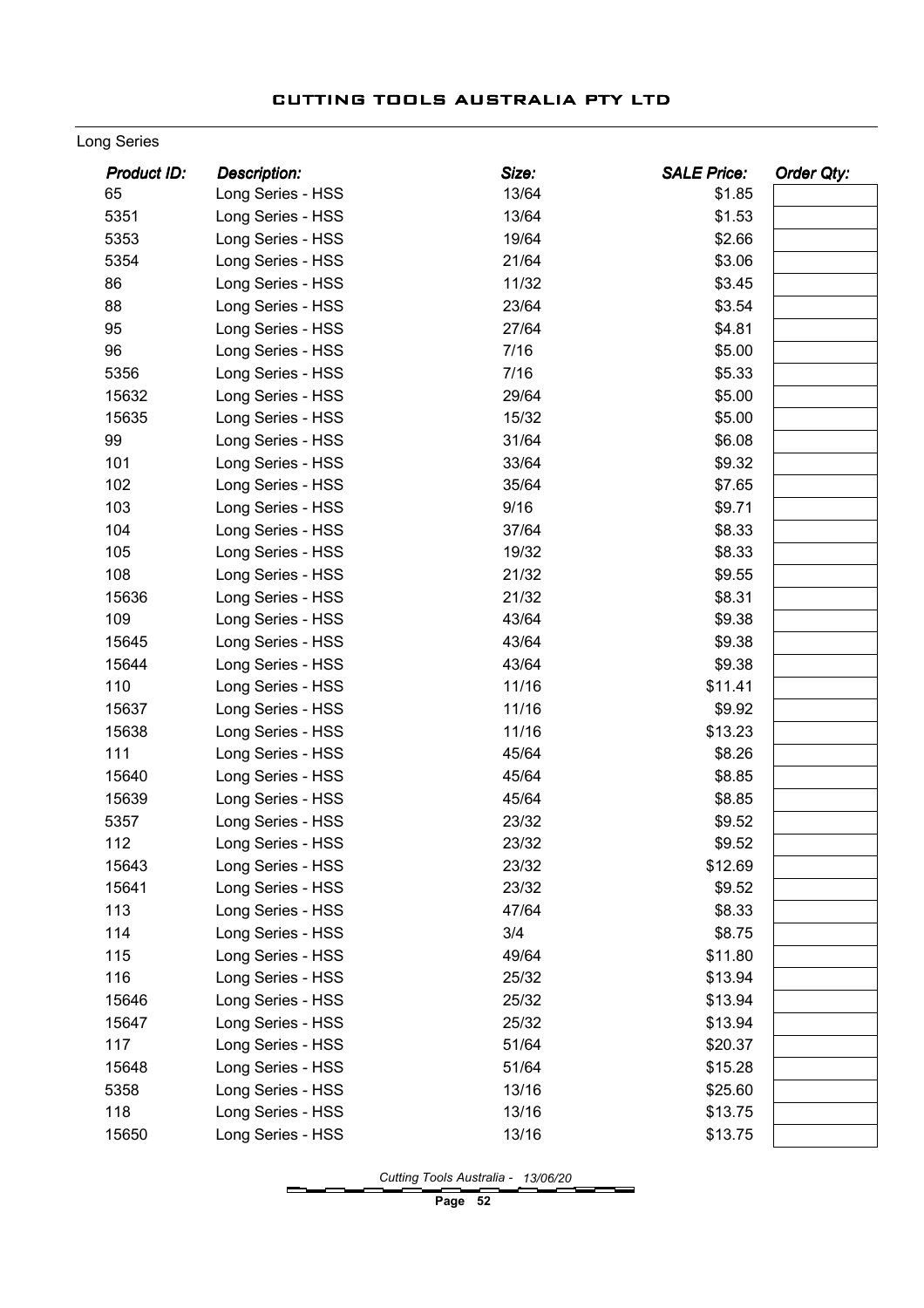#### Long Series

| <b>Product ID:</b> | <b>Description:</b> | Size: | <b>SALE Price:</b><br>Order Qty: |  |
|--------------------|---------------------|-------|----------------------------------|--|
| 65                 | Long Series - HSS   | 13/64 | \$1.85                           |  |
| 5351               | Long Series - HSS   | 13/64 | \$1.53                           |  |
| 5353               | Long Series - HSS   | 19/64 | \$2.66                           |  |
| 5354               | Long Series - HSS   | 21/64 | \$3.06                           |  |
| 86                 | Long Series - HSS   | 11/32 | \$3.45                           |  |
| 88                 | Long Series - HSS   | 23/64 | \$3.54                           |  |
| 95                 | Long Series - HSS   | 27/64 | \$4.81                           |  |
| 96                 | Long Series - HSS   | 7/16  | \$5.00                           |  |
| 5356               | Long Series - HSS   | 7/16  | \$5.33                           |  |
| 15632              | Long Series - HSS   | 29/64 | \$5.00                           |  |
| 15635              | Long Series - HSS   | 15/32 | \$5.00                           |  |
| 99                 | Long Series - HSS   | 31/64 | \$6.08                           |  |
| 101                | Long Series - HSS   | 33/64 | \$9.32                           |  |
| 102                | Long Series - HSS   | 35/64 | \$7.65                           |  |
| 103                | Long Series - HSS   | 9/16  | \$9.71                           |  |
| 104                | Long Series - HSS   | 37/64 | \$8.33                           |  |
| 105                | Long Series - HSS   | 19/32 | \$8.33                           |  |
| 108                | Long Series - HSS   | 21/32 | \$9.55                           |  |
| 15636              | Long Series - HSS   | 21/32 | \$8.31                           |  |
| 109                | Long Series - HSS   | 43/64 | \$9.38                           |  |
| 15645              | Long Series - HSS   | 43/64 | \$9.38                           |  |
| 15644              | Long Series - HSS   | 43/64 | \$9.38                           |  |
| 110                | Long Series - HSS   | 11/16 | \$11.41                          |  |
| 15637              | Long Series - HSS   | 11/16 | \$9.92                           |  |
| 15638              | Long Series - HSS   | 11/16 | \$13.23                          |  |
| 111                | Long Series - HSS   | 45/64 | \$8.26                           |  |
| 15640              | Long Series - HSS   | 45/64 | \$8.85                           |  |
| 15639              | Long Series - HSS   | 45/64 | \$8.85                           |  |
| 5357               | Long Series - HSS   | 23/32 | \$9.52                           |  |
| 112                | Long Series - HSS   | 23/32 | \$9.52                           |  |
| 15643              | Long Series - HSS   | 23/32 | \$12.69                          |  |
| 15641              | Long Series - HSS   | 23/32 | \$9.52                           |  |
| 113                | Long Series - HSS   | 47/64 | \$8.33                           |  |
| 114                | Long Series - HSS   | 3/4   | \$8.75                           |  |
| 115                | Long Series - HSS   | 49/64 | \$11.80                          |  |
| 116                | Long Series - HSS   | 25/32 | \$13.94                          |  |
| 15646              | Long Series - HSS   | 25/32 | \$13.94                          |  |
| 15647              | Long Series - HSS   | 25/32 | \$13.94                          |  |
| 117                | Long Series - HSS   | 51/64 | \$20.37                          |  |
| 15648              | Long Series - HSS   | 51/64 | \$15.28                          |  |
| 5358               | Long Series - HSS   | 13/16 | \$25.60                          |  |
| 118                | Long Series - HSS   | 13/16 | \$13.75                          |  |
| 15650              | Long Series - HSS   | 13/16 | \$13.75                          |  |
|                    |                     |       |                                  |  |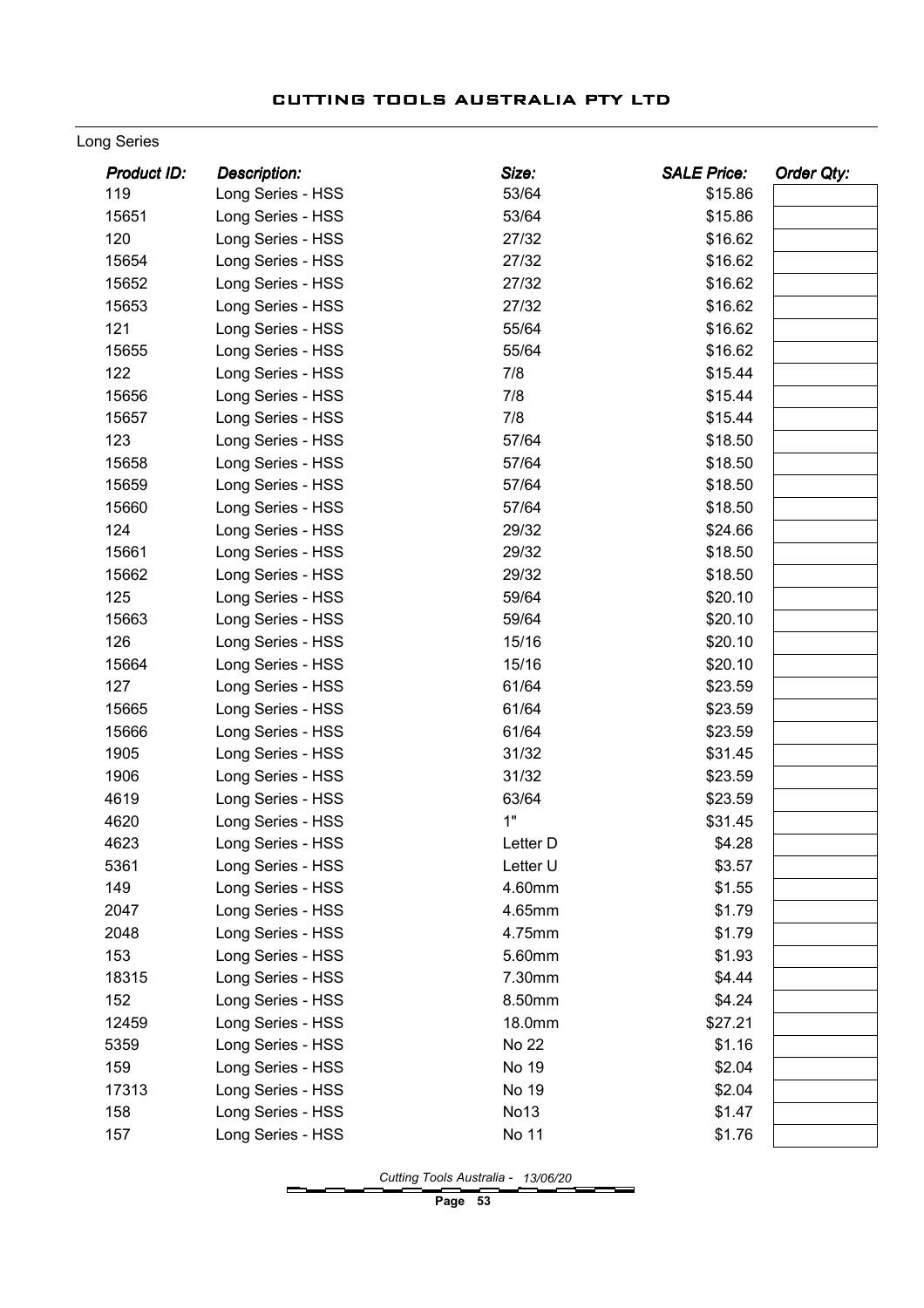#### Long Series

| <b>Product ID:</b> | <b>Description:</b> | Size:        | <b>SALE Price:</b> | Order Qty: |
|--------------------|---------------------|--------------|--------------------|------------|
| 119                | Long Series - HSS   | 53/64        | \$15.86            |            |
| 15651              | Long Series - HSS   | 53/64        | \$15.86            |            |
| 120                | Long Series - HSS   | 27/32        | \$16.62            |            |
| 15654              | Long Series - HSS   | 27/32        | \$16.62            |            |
| 15652              | Long Series - HSS   | 27/32        | \$16.62            |            |
| 15653              | Long Series - HSS   | 27/32        | \$16.62            |            |
| 121                | Long Series - HSS   | 55/64        | \$16.62            |            |
| 15655              | Long Series - HSS   | 55/64        | \$16.62            |            |
| 122                | Long Series - HSS   | 7/8          | \$15.44            |            |
| 15656              | Long Series - HSS   | 7/8          | \$15.44            |            |
| 15657              | Long Series - HSS   | 7/8          | \$15.44            |            |
| 123                | Long Series - HSS   | 57/64        | \$18.50            |            |
| 15658              | Long Series - HSS   | 57/64        | \$18.50            |            |
| 15659              | Long Series - HSS   | 57/64        | \$18.50            |            |
| 15660              | Long Series - HSS   | 57/64        | \$18.50            |            |
| 124                | Long Series - HSS   | 29/32        | \$24.66            |            |
| 15661              | Long Series - HSS   | 29/32        | \$18.50            |            |
| 15662              | Long Series - HSS   | 29/32        | \$18.50            |            |
| 125                | Long Series - HSS   | 59/64        | \$20.10            |            |
| 15663              | Long Series - HSS   | 59/64        | \$20.10            |            |
| 126                | Long Series - HSS   | 15/16        | \$20.10            |            |
| 15664              | Long Series - HSS   | 15/16        | \$20.10            |            |
| 127                | Long Series - HSS   | 61/64        | \$23.59            |            |
| 15665              | Long Series - HSS   | 61/64        | \$23.59            |            |
| 15666              | Long Series - HSS   | 61/64        | \$23.59            |            |
| 1905               | Long Series - HSS   | 31/32        | \$31.45            |            |
| 1906               | Long Series - HSS   | 31/32        | \$23.59            |            |
| 4619               | Long Series - HSS   | 63/64        | \$23.59            |            |
| 4620               | Long Series - HSS   | 1"           | \$31.45            |            |
| 4623               | Long Series - HSS   | Letter D     | \$4.28             |            |
| 5361               | Long Series - HSS   | Letter U     | \$3.57             |            |
| 149                | Long Series - HSS   | 4.60mm       | \$1.55             |            |
| 2047               | Long Series - HSS   | 4.65mm       | \$1.79             |            |
| 2048               | Long Series - HSS   | 4.75mm       | \$1.79             |            |
| 153                | Long Series - HSS   | 5.60mm       | \$1.93             |            |
| 18315              | Long Series - HSS   | 7.30mm       | \$4.44             |            |
| 152                | Long Series - HSS   | 8.50mm       | \$4.24             |            |
| 12459              | Long Series - HSS   | 18.0mm       | \$27.21            |            |
| 5359               | Long Series - HSS   | <b>No 22</b> | \$1.16             |            |
| 159                | Long Series - HSS   | No 19        | \$2.04             |            |
| 17313              | Long Series - HSS   | No 19        | \$2.04             |            |
| 158                | Long Series - HSS   | No13         | \$1.47             |            |
| 157                | Long Series - HSS   | No 11        | \$1.76             |            |
|                    |                     |              |                    |            |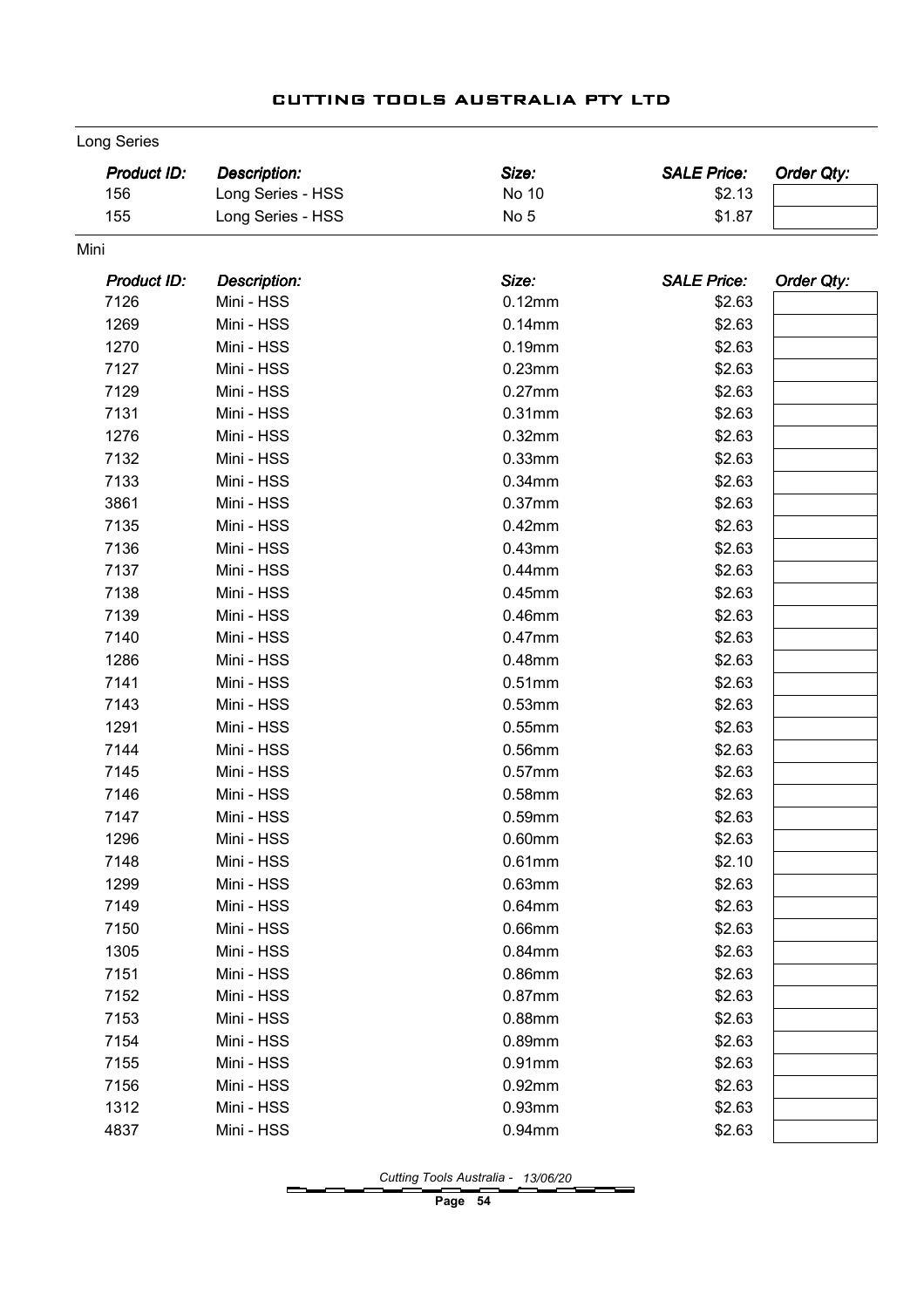| Long Series |
|-------------|
|             |

|      | <b>Product ID:</b> | <b>Description:</b> | Size:           | <b>SALE Price:</b> | Order Qty: |
|------|--------------------|---------------------|-----------------|--------------------|------------|
|      | 156                | Long Series - HSS   | No 10           | \$2.13             |            |
|      | 155                | Long Series - HSS   | No <sub>5</sub> | \$1.87             |            |
| Mini |                    |                     |                 |                    |            |
|      | <b>Product ID:</b> | <b>Description:</b> | Size:           | <b>SALE Price:</b> | Order Qty: |
|      | 7126               | Mini - HSS          | 0.12mm          | \$2.63             |            |
|      | 1269               | Mini - HSS          | $0.14$ mm       | \$2.63             |            |
|      | 1270               | Mini - HSS          | $0.19$ mm       | \$2.63             |            |
|      | 7127               | Mini - HSS          | 0.23mm          | \$2.63             |            |
|      | 7129               | Mini - HSS          | $0.27$ mm       | \$2.63             |            |
|      | 7131               | Mini - HSS          | 0.31mm          | \$2.63             |            |
|      | 1276               | Mini - HSS          | 0.32mm          | \$2.63             |            |
|      | 7132               | Mini - HSS          | 0.33mm          | \$2.63             |            |
|      | 7133               | Mini - HSS          | 0.34mm          | \$2.63             |            |
|      | 3861               | Mini - HSS          | 0.37mm          | \$2.63             |            |
|      | 7135               | Mini - HSS          | $0.42$ mm       | \$2.63             |            |
|      | 7136               | Mini - HSS          | 0.43mm          | \$2.63             |            |
|      | 7137               | Mini - HSS          | $0.44$ mm       | \$2.63             |            |
|      | 7138               | Mini - HSS          | $0.45$ mm       | \$2.63             |            |
|      | 7139               | Mini - HSS          | 0.46mm          | \$2.63             |            |
|      | 7140               | Mini - HSS          | 0.47mm          | \$2.63             |            |
|      | 1286               | Mini - HSS          | 0.48mm          | \$2.63             |            |
|      | 7141               | Mini - HSS          | 0.51mm          | \$2.63             |            |
|      | 7143               | Mini - HSS          | 0.53mm          | \$2.63             |            |
|      | 1291               | Mini - HSS          | 0.55mm          | \$2.63             |            |
|      | 7144               | Mini - HSS          | 0.56mm          | \$2.63             |            |
|      | 7145               | Mini - HSS          | $0.57$ mm       | \$2.63             |            |
|      | 7146               | Mini - HSS          | 0.58mm          | \$2.63             |            |
|      | 7147               | Mini - HSS          | $0.59$ mm       | \$2.63             |            |
|      | 1296               | Mini - HSS          | $0.60$ mm       | \$2.63             |            |
|      | 7148               | Mini - HSS          | 0.61mm          | \$2.10             |            |
|      | 1299               | Mini - HSS          | 0.63mm          | \$2.63             |            |
|      | 7149               | Mini - HSS          | $0.64$ mm       | \$2.63             |            |
|      | 7150               | Mini - HSS          | 0.66mm          | \$2.63             |            |
|      | 1305               | Mini - HSS          | 0.84mm          | \$2.63             |            |
|      | 7151               | Mini - HSS          | 0.86mm          | \$2.63             |            |
|      | 7152               | Mini - HSS          | 0.87mm          | \$2.63             |            |
|      | 7153               | Mini - HSS          | 0.88mm          | \$2.63             |            |
|      | 7154               | Mini - HSS          | 0.89mm          | \$2.63             |            |
|      | 7155               | Mini - HSS          | $0.91$ mm       | \$2.63             |            |
|      | 7156               | Mini - HSS          | 0.92mm          | \$2.63             |            |
|      | 1312               | Mini - HSS          | 0.93mm          | \$2.63             |            |
|      | 4837               | Mini - HSS          | 0.94mm          | \$2.63             |            |

Cutting Tools Australia - 13/06/20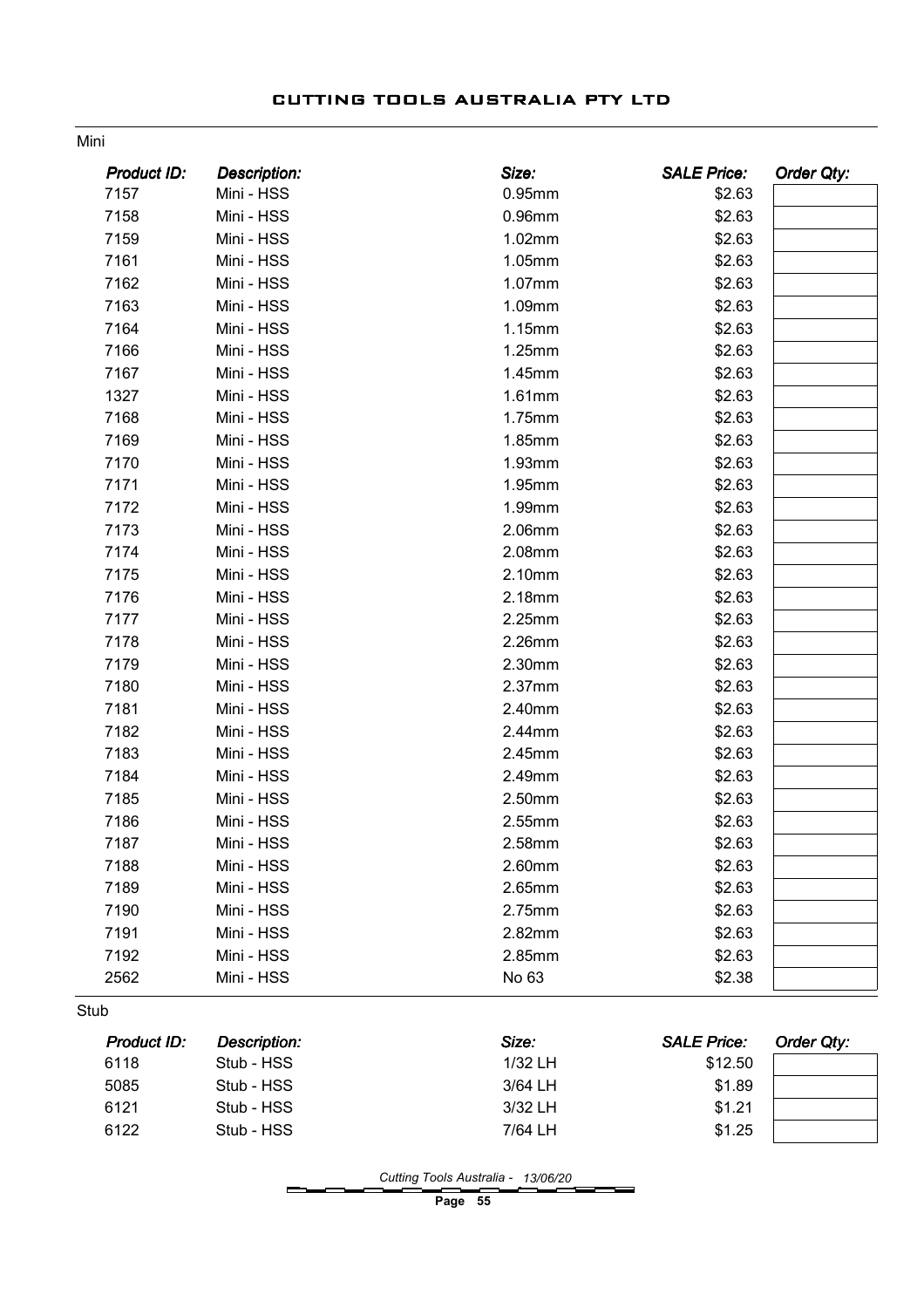| <b>Product ID:</b> | <b>Description:</b> | Size:   | <b>SALE Price:</b> | <b>Order Qty:</b> |
|--------------------|---------------------|---------|--------------------|-------------------|
| 7157               | Mini - HSS          | 0.95mm  | \$2.63             |                   |
| 7158               | Mini - HSS          | 0.96mm  | \$2.63             |                   |
| 7159               | Mini - HSS          | 1.02mm  | \$2.63             |                   |
| 7161               | Mini - HSS          | 1.05mm  | \$2.63             |                   |
| 7162               | Mini - HSS          | 1.07mm  | \$2.63             |                   |
| 7163               | Mini - HSS          | 1.09mm  | \$2.63             |                   |
| 7164               | Mini - HSS          | 1.15mm  | \$2.63             |                   |
| 7166               | Mini - HSS          | 1.25mm  | \$2.63             |                   |
| 7167               | Mini - HSS          | 1.45mm  | \$2.63             |                   |
| 1327               | Mini - HSS          | 1.61mm  | \$2.63             |                   |
| 7168               | Mini - HSS          | 1.75mm  | \$2.63             |                   |
| 7169               | Mini - HSS          | 1.85mm  | \$2.63             |                   |
| 7170               | Mini - HSS          | 1.93mm  | \$2.63             |                   |
| 7171               | Mini - HSS          | 1.95mm  | \$2.63             |                   |
| 7172               | Mini - HSS          | 1.99mm  | \$2.63             |                   |
| 7173               | Mini - HSS          | 2.06mm  | \$2.63             |                   |
| 7174               | Mini - HSS          | 2.08mm  | \$2.63             |                   |
| 7175               | Mini - HSS          | 2.10mm  | \$2.63             |                   |
| 7176               | Mini - HSS          | 2.18mm  | \$2.63             |                   |
| 7177               | Mini - HSS          | 2.25mm  | \$2.63             |                   |
| 7178               | Mini - HSS          | 2.26mm  | \$2.63             |                   |
| 7179               | Mini - HSS          | 2.30mm  | \$2.63             |                   |
| 7180               | Mini - HSS          | 2.37mm  | \$2.63             |                   |
| 7181               | Mini - HSS          | 2.40mm  | \$2.63             |                   |
| 7182               | Mini - HSS          | 2.44mm  |                    |                   |
| 7183               |                     |         | \$2.63             |                   |
|                    | Mini - HSS          | 2.45mm  | \$2.63             |                   |
| 7184               | Mini - HSS          | 2.49mm  | \$2.63             |                   |
| 7185               | Mini - HSS          | 2.50mm  | \$2.63             |                   |
| 7186               | Mini - HSS          | 2.55mm  | \$2.63             |                   |
| 7187               | Mini - HSS          | 2.58mm  | \$2.63             |                   |
| 7188               | Mini - HSS          | 2.60mm  | \$2.63             |                   |
| 7189               | Mini - HSS          | 2.65mm  | \$2.63             |                   |
| 7190               | Mini - HSS          | 2.75mm  | \$2.63             |                   |
| 7191               | Mini - HSS          | 2.82mm  | \$2.63             |                   |
| 7192               | Mini - HSS          | 2.85mm  | \$2.63             |                   |
| 2562               | Mini - HSS          | No 63   | \$2.38             |                   |
| Stub               |                     |         |                    |                   |
| <b>Product ID:</b> | <b>Description:</b> | Size:   | <b>SALE Price:</b> | <b>Order Qty:</b> |
| 6118               | Stub - HSS          | 1/32 LH | \$12.50            |                   |
| 5085               | Stub - HSS          | 3/64 LH | \$1.89             |                   |
| 6121               | Stub - HSS          | 3/32 LH | \$1.21             |                   |
|                    | Stub - HSS          | 7/64 LH | \$1.25             |                   |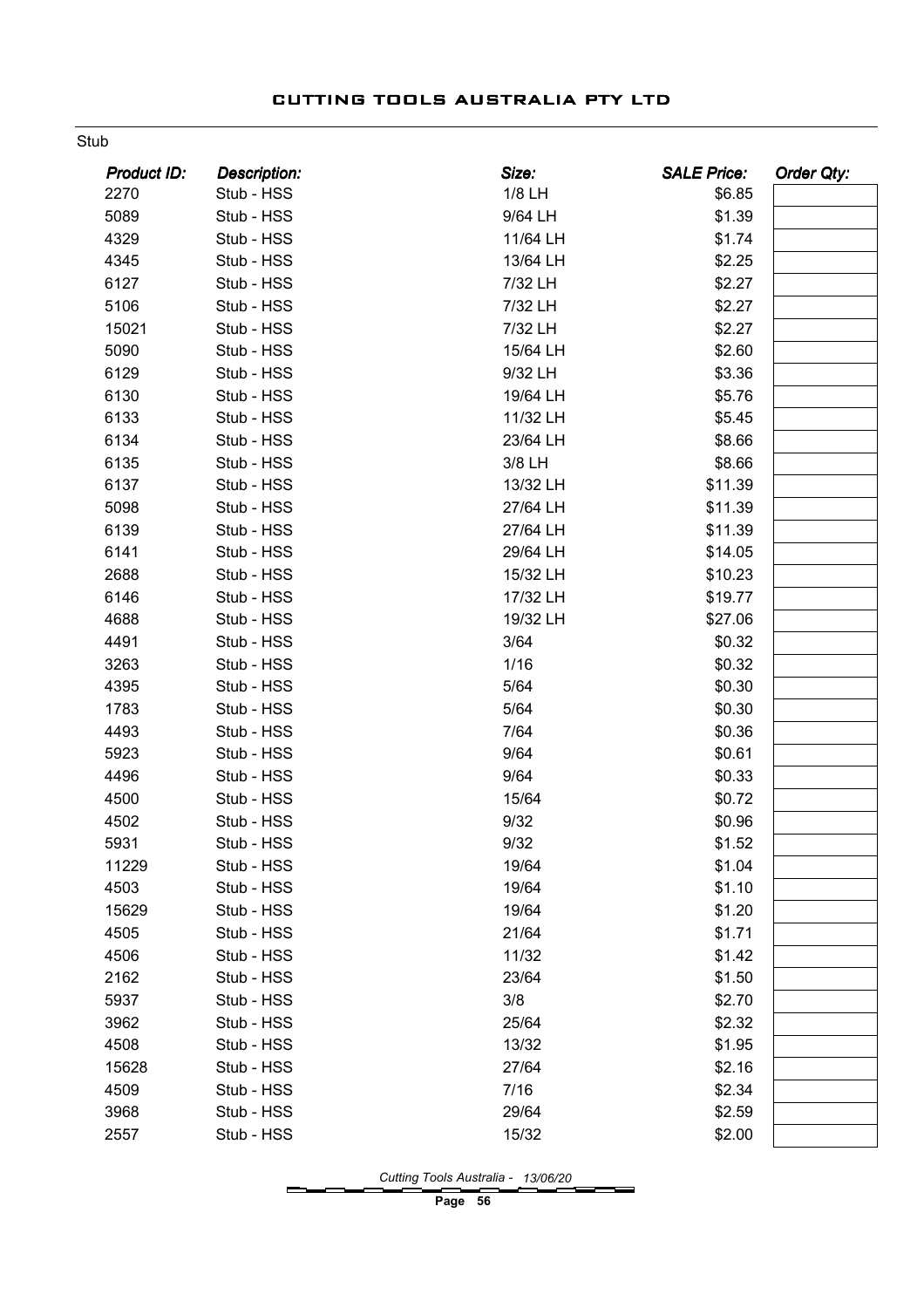#### Stub

| <b>Product ID:</b> | <b>Description:</b> | Size:    | <b>SALE Price:</b> | <b>Order Qty:</b> |
|--------------------|---------------------|----------|--------------------|-------------------|
| 2270               | Stub - HSS          | 1/8 LH   | \$6.85             |                   |
| 5089               | Stub - HSS          | 9/64 LH  | \$1.39             |                   |
| 4329               | Stub - HSS          | 11/64 LH | \$1.74             |                   |
| 4345               | Stub - HSS          | 13/64 LH | \$2.25             |                   |
| 6127               | Stub - HSS          | 7/32 LH  | \$2.27             |                   |
| 5106               | Stub - HSS          | 7/32 LH  | \$2.27             |                   |
| 15021              | Stub - HSS          | 7/32 LH  | \$2.27             |                   |
| 5090               | Stub - HSS          | 15/64 LH | \$2.60             |                   |
| 6129               | Stub - HSS          | 9/32 LH  | \$3.36             |                   |
| 6130               | Stub - HSS          | 19/64 LH | \$5.76             |                   |
| 6133               | Stub - HSS          | 11/32 LH | \$5.45             |                   |
| 6134               | Stub - HSS          | 23/64 LH | \$8.66             |                   |
| 6135               | Stub - HSS          | 3/8 LH   | \$8.66             |                   |
| 6137               | Stub - HSS          | 13/32 LH | \$11.39            |                   |
| 5098               | Stub - HSS          | 27/64 LH | \$11.39            |                   |
| 6139               | Stub - HSS          | 27/64 LH | \$11.39            |                   |
| 6141               | Stub - HSS          | 29/64 LH | \$14.05            |                   |
| 2688               | Stub - HSS          | 15/32 LH | \$10.23            |                   |
| 6146               | Stub - HSS          | 17/32 LH | \$19.77            |                   |
| 4688               | Stub - HSS          | 19/32 LH | \$27.06            |                   |
| 4491               | Stub - HSS          | 3/64     | \$0.32             |                   |
| 3263               | Stub - HSS          | 1/16     | \$0.32             |                   |
| 4395               | Stub - HSS          | 5/64     | \$0.30             |                   |
| 1783               | Stub - HSS          | 5/64     | \$0.30             |                   |
| 4493               | Stub - HSS          | 7/64     | \$0.36             |                   |
| 5923               | Stub - HSS          | 9/64     | \$0.61             |                   |
| 4496               | Stub - HSS          | 9/64     | \$0.33             |                   |
| 4500               | Stub - HSS          | 15/64    | \$0.72             |                   |
| 4502               | Stub - HSS          | 9/32     | \$0.96             |                   |
| 5931               | Stub - HSS          | 9/32     | \$1.52             |                   |
| 11229              | Stub - HSS          | 19/64    | \$1.04             |                   |
| 4503               | Stub - HSS          | 19/64    | \$1.10             |                   |
| 15629              | Stub - HSS          | 19/64    | \$1.20             |                   |
| 4505               | Stub - HSS          | 21/64    | \$1.71             |                   |
| 4506               | Stub - HSS          | 11/32    | \$1.42             |                   |
| 2162               | Stub - HSS          | 23/64    | \$1.50             |                   |
| 5937               | Stub - HSS          | 3/8      | \$2.70             |                   |
| 3962               | Stub - HSS          | 25/64    | \$2.32             |                   |
| 4508               | Stub - HSS          | 13/32    | \$1.95             |                   |
| 15628              | Stub - HSS          | 27/64    | \$2.16             |                   |
| 4509               | Stub - HSS          | 7/16     | \$2.34             |                   |
| 3968               | Stub - HSS          | 29/64    | \$2.59             |                   |
| 2557               | Stub - HSS          | 15/32    | \$2.00             |                   |

Cutting Tools Australia - 13/06/20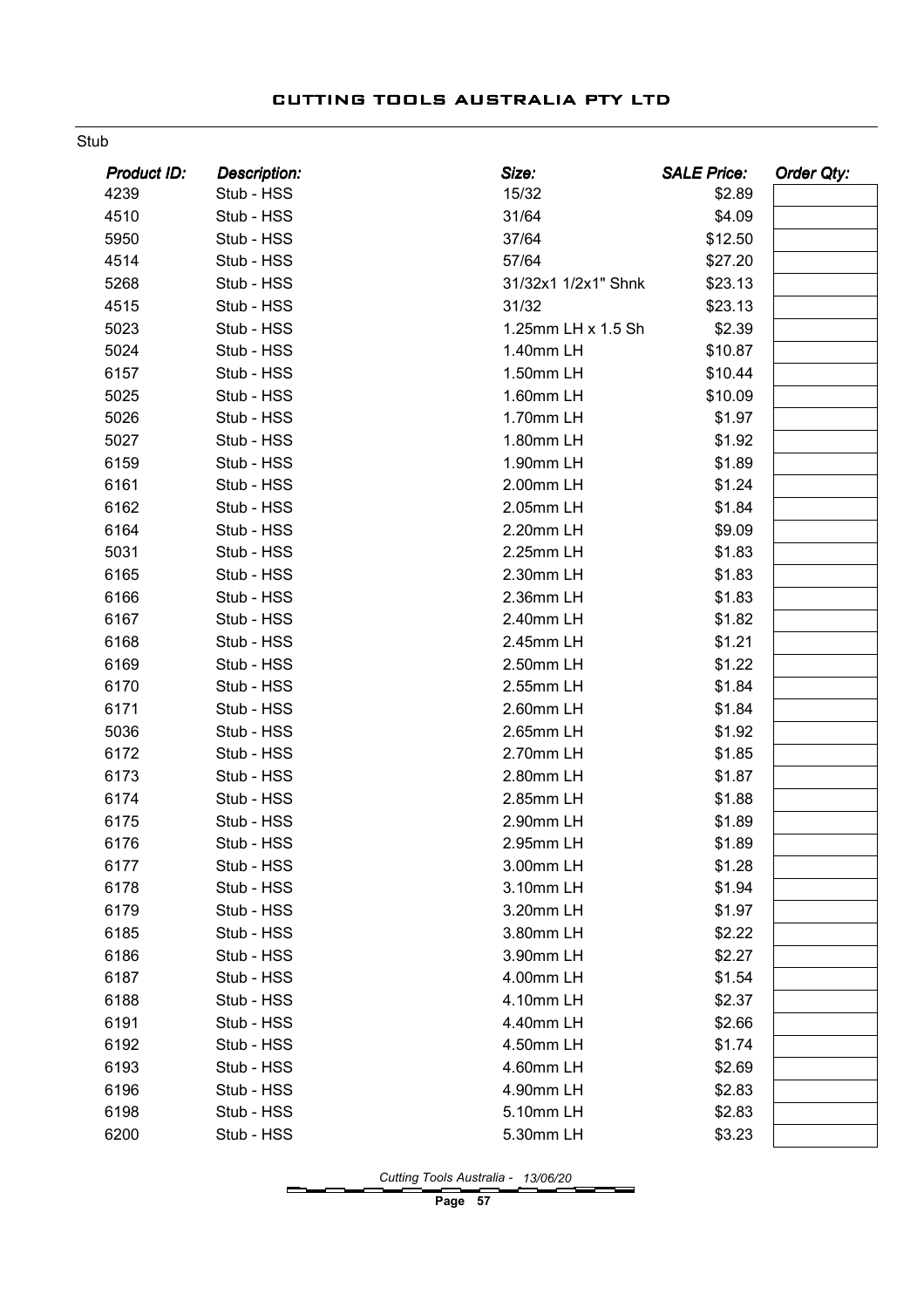#### Stub

| <b>Product ID:</b> | <b>Description:</b> | Size:               | <b>SALE Price:</b> | <b>Order Qty:</b> |
|--------------------|---------------------|---------------------|--------------------|-------------------|
| 4239               | Stub - HSS          | 15/32               | \$2.89             |                   |
| 4510               | Stub - HSS          | 31/64               | \$4.09             |                   |
| 5950               | Stub - HSS          | 37/64               | \$12.50            |                   |
| 4514               | Stub - HSS          | 57/64               | \$27.20            |                   |
| 5268               | Stub - HSS          | 31/32x1 1/2x1" Shnk | \$23.13            |                   |
| 4515               | Stub - HSS          | 31/32               | \$23.13            |                   |
| 5023               | Stub - HSS          | 1.25mm LH x 1.5 Sh  | \$2.39             |                   |
| 5024               | Stub - HSS          | 1.40mm LH           | \$10.87            |                   |
| 6157               | Stub - HSS          | 1.50mm LH           | \$10.44            |                   |
| 5025               | Stub - HSS          | 1.60mm LH           | \$10.09            |                   |
| 5026               | Stub - HSS          | 1.70mm LH           | \$1.97             |                   |
| 5027               | Stub - HSS          | 1.80mm LH           | \$1.92             |                   |
| 6159               | Stub - HSS          | 1.90mm LH           | \$1.89             |                   |
| 6161               | Stub - HSS          | 2.00mm LH           | \$1.24             |                   |
| 6162               | Stub - HSS          | 2.05mm LH           | \$1.84             |                   |
| 6164               | Stub - HSS          | 2.20mm LH           | \$9.09             |                   |
| 5031               | Stub - HSS          | 2.25mm LH           | \$1.83             |                   |
| 6165               | Stub - HSS          | 2.30mm LH           | \$1.83             |                   |
| 6166               | Stub - HSS          | 2.36mm LH           | \$1.83             |                   |
| 6167               | Stub - HSS          | 2.40mm LH           | \$1.82             |                   |
| 6168               | Stub - HSS          | 2.45mm LH           | \$1.21             |                   |
| 6169               | Stub - HSS          | 2.50mm LH           | \$1.22             |                   |
| 6170               | Stub - HSS          | 2.55mm LH           | \$1.84             |                   |
| 6171               | Stub - HSS          | 2.60mm LH           | \$1.84             |                   |
| 5036               | Stub - HSS          | 2.65mm LH           | \$1.92             |                   |
| 6172               | Stub - HSS          | 2.70mm LH           | \$1.85             |                   |
| 6173               | Stub - HSS          | 2.80mm LH           | \$1.87             |                   |
| 6174               | Stub - HSS          | 2.85mm LH           | \$1.88             |                   |
| 6175               | Stub - HSS          | 2.90mm LH           | \$1.89             |                   |
| 6176               | Stub - HSS          | 2.95mm LH           | \$1.89             |                   |
| 6177               | Stub - HSS          | 3.00mm LH           | \$1.28             |                   |
| 6178               | Stub - HSS          | 3.10mm LH           | \$1.94             |                   |
| 6179               | Stub - HSS          | 3.20mm LH           | \$1.97             |                   |
| 6185               | Stub - HSS          | 3.80mm LH           | \$2.22             |                   |
| 6186               | Stub - HSS          | 3.90mm LH           | \$2.27             |                   |
| 6187               | Stub - HSS          | 4.00mm LH           | \$1.54             |                   |
| 6188               | Stub - HSS          | 4.10mm LH           | \$2.37             |                   |
| 6191               | Stub - HSS          | 4.40mm LH           | \$2.66             |                   |
| 6192               | Stub - HSS          | 4.50mm LH           | \$1.74             |                   |
| 6193               | Stub - HSS          | 4.60mm LH           | \$2.69             |                   |
| 6196               | Stub - HSS          | 4.90mm LH           | \$2.83             |                   |
| 6198               | Stub - HSS          | 5.10mm LH           | \$2.83             |                   |
| 6200               | Stub - HSS          | 5.30mm LH           | \$3.23             |                   |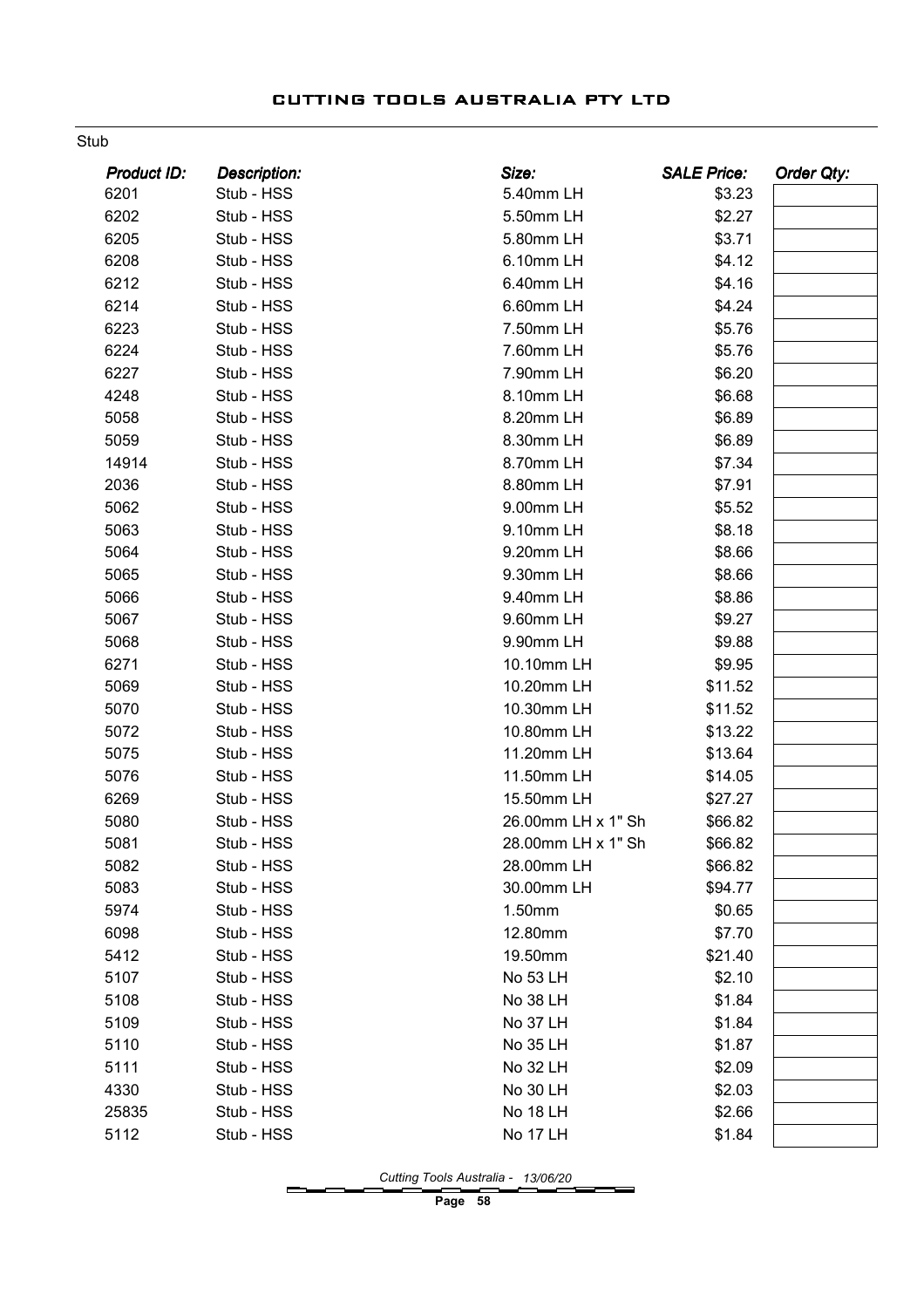#### Stub

| <b>Product ID:</b> | <b>Description:</b> | Size:              | <b>SALE Price:</b> | <b>Order Qty:</b> |
|--------------------|---------------------|--------------------|--------------------|-------------------|
| 6201               | Stub - HSS          | 5.40mm LH          | \$3.23             |                   |
| 6202               | Stub - HSS          | 5.50mm LH          | \$2.27             |                   |
| 6205               | Stub - HSS          | 5.80mm LH          | \$3.71             |                   |
| 6208               | Stub - HSS          | 6.10mm LH          | \$4.12             |                   |
| 6212               | Stub - HSS          | 6.40mm LH          | \$4.16             |                   |
| 6214               | Stub - HSS          | 6.60mm LH          | \$4.24             |                   |
| 6223               | Stub - HSS          | 7.50mm LH          | \$5.76             |                   |
| 6224               | Stub - HSS          | 7.60mm LH          | \$5.76             |                   |
| 6227               | Stub - HSS          | 7.90mm LH          | \$6.20             |                   |
| 4248               | Stub - HSS          | 8.10mm LH          | \$6.68             |                   |
| 5058               | Stub - HSS          | 8.20mm LH          | \$6.89             |                   |
| 5059               | Stub - HSS          | 8.30mm LH          | \$6.89             |                   |
| 14914              | Stub - HSS          | 8.70mm LH          | \$7.34             |                   |
| 2036               | Stub - HSS          | 8.80mm LH          | \$7.91             |                   |
| 5062               | Stub - HSS          | 9.00mm LH          | \$5.52             |                   |
| 5063               | Stub - HSS          | 9.10mm LH          | \$8.18             |                   |
| 5064               | Stub - HSS          | 9.20mm LH          | \$8.66             |                   |
| 5065               | Stub - HSS          | 9.30mm LH          | \$8.66             |                   |
| 5066               | Stub - HSS          | 9.40mm LH          | \$8.86             |                   |
| 5067               | Stub - HSS          | 9.60mm LH          | \$9.27             |                   |
| 5068               | Stub - HSS          | 9.90mm LH          | \$9.88             |                   |
| 6271               | Stub - HSS          | 10.10mm LH         | \$9.95             |                   |
| 5069               | Stub - HSS          | 10.20mm LH         | \$11.52            |                   |
| 5070               | Stub - HSS          | 10.30mm LH         | \$11.52            |                   |
| 5072               | Stub - HSS          | 10.80mm LH         | \$13.22            |                   |
| 5075               | Stub - HSS          | 11.20mm LH         | \$13.64            |                   |
| 5076               | Stub - HSS          | 11.50mm LH         | \$14.05            |                   |
| 6269               | Stub - HSS          | 15.50mm LH         | \$27.27            |                   |
| 5080               | Stub - HSS          | 26.00mm LH x 1" Sh | \$66.82            |                   |
| 5081               | Stub - HSS          | 28.00mm LH x 1" Sh | \$66.82            |                   |
| 5082               | Stub - HSS          | 28.00mm LH         | \$66.82            |                   |
| 5083               | Stub - HSS          | 30.00mm LH         | \$94.77            |                   |
| 5974               | Stub - HSS          | 1.50mm             | \$0.65             |                   |
| 6098               | Stub - HSS          | 12.80mm            | \$7.70             |                   |
| 5412               | Stub - HSS          | 19.50mm            | \$21.40            |                   |
| 5107               | Stub - HSS          | No 53 LH           | \$2.10             |                   |
| 5108               | Stub - HSS          | No 38 LH           | \$1.84             |                   |
| 5109               | Stub - HSS          | No 37 LH           | \$1.84             |                   |
| 5110               | Stub - HSS          | No 35 LH           | \$1.87             |                   |
| 5111               | Stub - HSS          | No 32 LH           | \$2.09             |                   |
| 4330               | Stub - HSS          | No 30 LH           | \$2.03             |                   |
| 25835              | Stub - HSS          | <b>No 18 LH</b>    | \$2.66             |                   |
| 5112               | Stub - HSS          | <b>No 17 LH</b>    | \$1.84             |                   |

Cutting Tools Australia - 13/06/20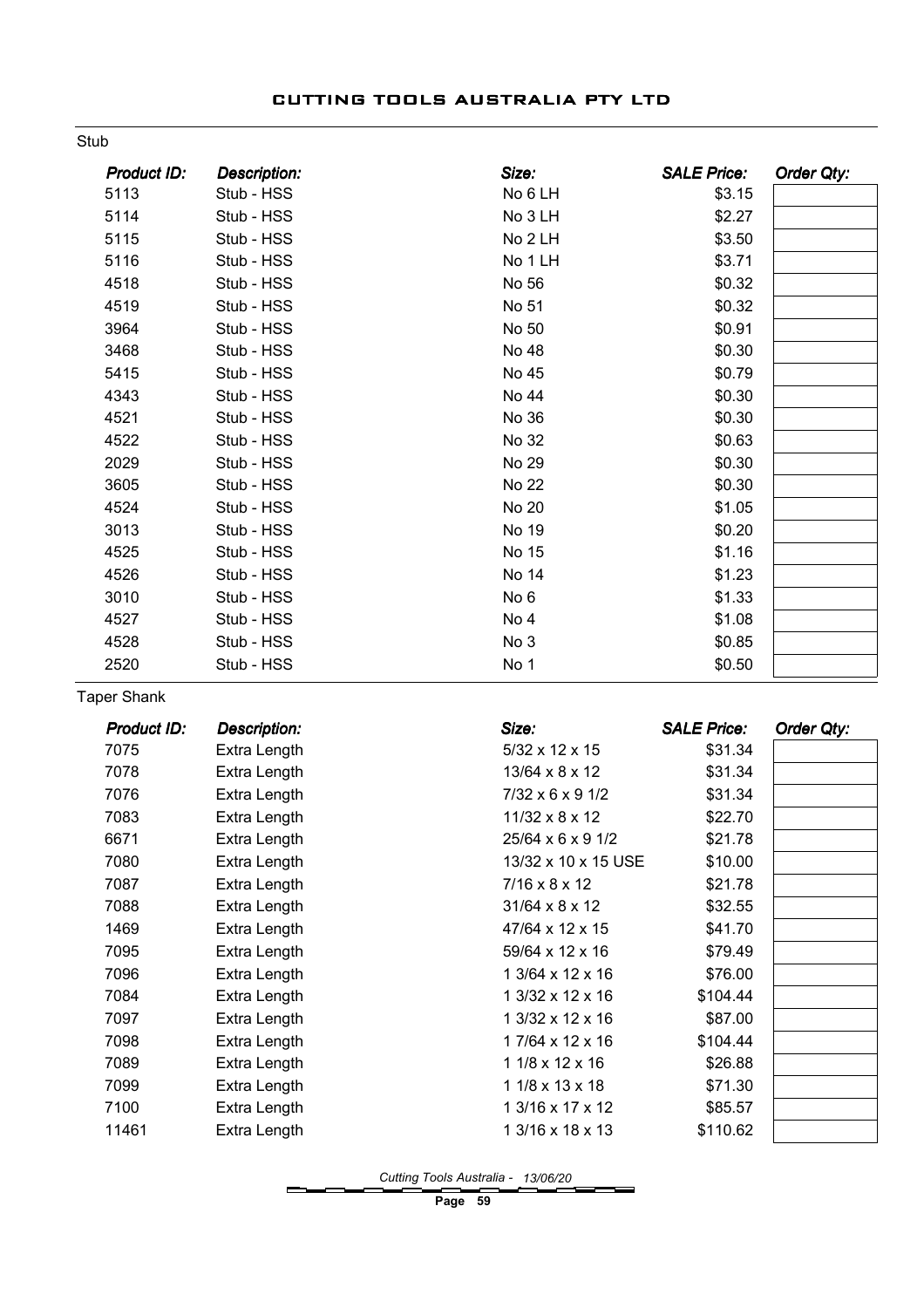#### Stub

| Product ID: | <b>Description:</b> | Size:           | <b>SALE Price:</b> | Order Qty: |
|-------------|---------------------|-----------------|--------------------|------------|
| 5113        | Stub - HSS          | No 6 LH         | \$3.15             |            |
| 5114        | Stub - HSS          | No 3 LH         | \$2.27             |            |
| 5115        | Stub - HSS          | No 2 LH         | \$3.50             |            |
| 5116        | Stub - HSS          | No 1 LH         | \$3.71             |            |
| 4518        | Stub - HSS          | No 56           | \$0.32             |            |
| 4519        | Stub - HSS          | No 51           | \$0.32             |            |
| 3964        | Stub - HSS          | No 50           | \$0.91             |            |
| 3468        | Stub - HSS          | No 48           | \$0.30             |            |
| 5415        | Stub - HSS          | No 45           | \$0.79             |            |
| 4343        | Stub - HSS          | No 44           | \$0.30             |            |
| 4521        | Stub - HSS          | No 36           | \$0.30             |            |
| 4522        | Stub - HSS          | No 32           | \$0.63             |            |
| 2029        | Stub - HSS          | No 29           | \$0.30             |            |
| 3605        | Stub - HSS          | No 22           | \$0.30             |            |
| 4524        | Stub - HSS          | No 20           | \$1.05             |            |
| 3013        | Stub - HSS          | No 19           | \$0.20             |            |
| 4525        | Stub - HSS          | No 15           | \$1.16             |            |
| 4526        | Stub - HSS          | No 14           | \$1.23             |            |
| 3010        | Stub - HSS          | No <sub>6</sub> | \$1.33             |            |
| 4527        | Stub - HSS          | No 4            | \$1.08             |            |
| 4528        | Stub - HSS          | No 3            | \$0.85             |            |
| 2520        | Stub - HSS          | No 1            | \$0.50             |            |

Taper Shank

| Product ID: | <b>Description:</b> | Size:                         | <b>SALE Price:</b> | Order Qty: |
|-------------|---------------------|-------------------------------|--------------------|------------|
| 7075        | Extra Length        | $5/32 \times 12 \times 15$    | \$31.34            |            |
| 7078        | Extra Length        | $13/64 \times 8 \times 12$    | \$31.34            |            |
| 7076        | Extra Length        | $7/32 \times 6 \times 9$ 1/2  | \$31.34            |            |
| 7083        | Extra Length        | $11/32 \times 8 \times 12$    | \$22.70            |            |
| 6671        | Extra Length        | $25/64 \times 6 \times 9$ 1/2 | \$21.78            |            |
| 7080        | Extra Length        | 13/32 x 10 x 15 USE           | \$10.00            |            |
| 7087        | Extra Length        | $7/16 \times 8 \times 12$     | \$21.78            |            |
| 7088        | Extra Length        | $31/64 \times 8 \times 12$    | \$32.55            |            |
| 1469        | Extra Length        | 47/64 x 12 x 15               | \$41.70            |            |
| 7095        | Extra Length        | 59/64 x 12 x 16               | \$79.49            |            |
| 7096        | Extra Length        | 1 3/64 x 12 x 16              | \$76.00            |            |
| 7084        | Extra Length        | 1 3/32 x 12 x 16              | \$104.44           |            |
| 7097        | Extra Length        | 1 3/32 x 12 x 16              | \$87.00            |            |
| 7098        | Extra Length        | 1 7/64 x 12 x 16              | \$104.44           |            |
| 7089        | Extra Length        | 1 1/8 x 12 x 16               | \$26.88            |            |
| 7099        | Extra Length        | 1 1/8 x 13 x 18               | \$71.30            |            |
| 7100        | Extra Length        | 1 3/16 x 17 x 12              | \$85.57            |            |
| 11461       | Extra Length        | 1 3/16 x 18 x 13              | \$110.62           |            |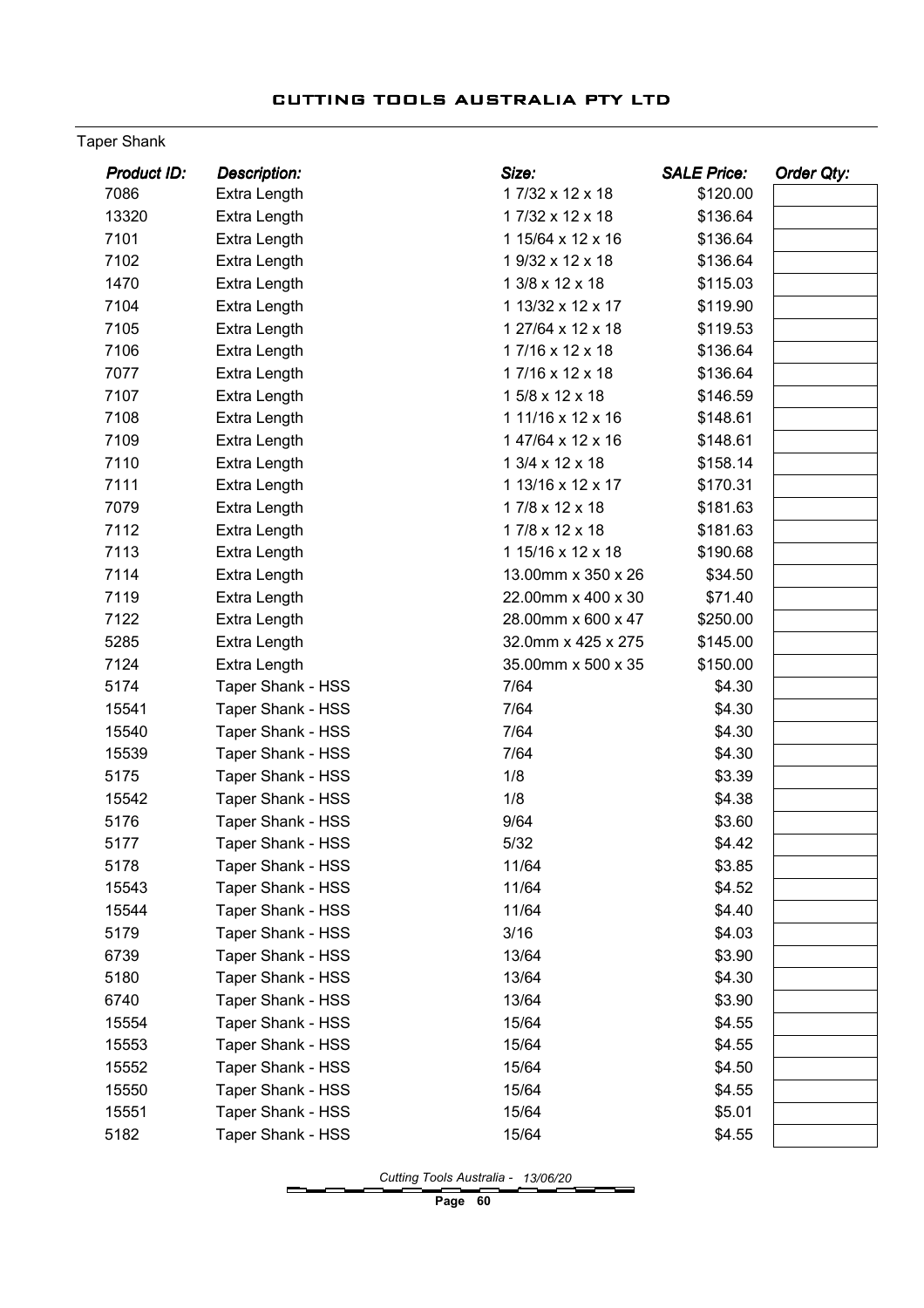### Taper Shank

| 7086<br>17/32 x 12 x 18<br>\$120.00<br>Extra Length<br>13320<br>17/32 x 12 x 18<br>Extra Length<br>\$136.64<br>7101<br>Extra Length<br>1 15/64 x 12 x 16<br>\$136.64<br>7102<br>Extra Length<br>1 9/32 x 12 x 18<br>\$136.64<br>1 3/8 x 12 x 18<br>1470<br>\$115.03<br>Extra Length<br>7104<br>1 13/32 x 12 x 17<br>\$119.90<br>Extra Length<br>7105<br>1 27/64 x 12 x 18<br><b>Extra Length</b><br>\$119.53<br>7106<br>17/16 x 12 x 18<br>\$136.64<br>Extra Length<br>7077<br>17/16 x 12 x 18<br>Extra Length<br>\$136.64<br>1 5/8 x 12 x 18<br>7107<br>Extra Length<br>\$146.59<br>7108<br>1 11/16 x 12 x 16<br>Extra Length<br>\$148.61<br>7109<br>147/64 x 12 x 16<br><b>Extra Length</b><br>\$148.61<br>7110<br>1 3/4 x 12 x 18<br>\$158.14<br>Extra Length<br>7111<br>Extra Length<br>1 13/16 x 12 x 17<br>\$170.31<br>17/8 x 12 x 18<br>7079<br>Extra Length<br>\$181.63<br>7112<br>Extra Length<br>17/8 x 12 x 18<br>\$181.63<br>7113<br>1 15/16 x 12 x 18<br>Extra Length<br>\$190.68<br>7114<br>13.00mm x 350 x 26<br>Extra Length<br>\$34.50<br>7119<br>Extra Length<br>22.00mm x 400 x 30<br>\$71.40<br>7122<br>Extra Length<br>28.00mm x 600 x 47<br>\$250.00<br>5285<br>Extra Length<br>32.0mm x 425 x 275<br>\$145.00<br>7124<br>Extra Length<br>35.00mm x 500 x 35<br>\$150.00<br>5174<br>Taper Shank - HSS<br>7/64<br>\$4.30<br>15541<br>Taper Shank - HSS<br>7/64<br>\$4.30<br>7/64<br>15540<br>Taper Shank - HSS<br>\$4.30<br>15539<br>Taper Shank - HSS<br>7/64<br>\$4.30<br>5175<br>1/8<br>\$3.39<br>Taper Shank - HSS<br>1/8<br>Taper Shank - HSS<br>\$4.38<br>15542<br>Taper Shank - HSS<br>5176<br>9/64<br>\$3.60<br>5177<br>Taper Shank - HSS<br>$5/32$<br>\$4.42<br>Taper Shank - HSS<br>11/64<br>\$3.85<br>5178<br>Taper Shank - HSS<br>15543<br>11/64<br>\$4.52 |
|---------------------------------------------------------------------------------------------------------------------------------------------------------------------------------------------------------------------------------------------------------------------------------------------------------------------------------------------------------------------------------------------------------------------------------------------------------------------------------------------------------------------------------------------------------------------------------------------------------------------------------------------------------------------------------------------------------------------------------------------------------------------------------------------------------------------------------------------------------------------------------------------------------------------------------------------------------------------------------------------------------------------------------------------------------------------------------------------------------------------------------------------------------------------------------------------------------------------------------------------------------------------------------------------------------------------------------------------------------------------------------------------------------------------------------------------------------------------------------------------------------------------------------------------------------------------------------------------------------------------------------------------------------------------------------------------------------------------------------------------------------------------------------------------|
|                                                                                                                                                                                                                                                                                                                                                                                                                                                                                                                                                                                                                                                                                                                                                                                                                                                                                                                                                                                                                                                                                                                                                                                                                                                                                                                                                                                                                                                                                                                                                                                                                                                                                                                                                                                             |
|                                                                                                                                                                                                                                                                                                                                                                                                                                                                                                                                                                                                                                                                                                                                                                                                                                                                                                                                                                                                                                                                                                                                                                                                                                                                                                                                                                                                                                                                                                                                                                                                                                                                                                                                                                                             |
|                                                                                                                                                                                                                                                                                                                                                                                                                                                                                                                                                                                                                                                                                                                                                                                                                                                                                                                                                                                                                                                                                                                                                                                                                                                                                                                                                                                                                                                                                                                                                                                                                                                                                                                                                                                             |
|                                                                                                                                                                                                                                                                                                                                                                                                                                                                                                                                                                                                                                                                                                                                                                                                                                                                                                                                                                                                                                                                                                                                                                                                                                                                                                                                                                                                                                                                                                                                                                                                                                                                                                                                                                                             |
|                                                                                                                                                                                                                                                                                                                                                                                                                                                                                                                                                                                                                                                                                                                                                                                                                                                                                                                                                                                                                                                                                                                                                                                                                                                                                                                                                                                                                                                                                                                                                                                                                                                                                                                                                                                             |
|                                                                                                                                                                                                                                                                                                                                                                                                                                                                                                                                                                                                                                                                                                                                                                                                                                                                                                                                                                                                                                                                                                                                                                                                                                                                                                                                                                                                                                                                                                                                                                                                                                                                                                                                                                                             |
|                                                                                                                                                                                                                                                                                                                                                                                                                                                                                                                                                                                                                                                                                                                                                                                                                                                                                                                                                                                                                                                                                                                                                                                                                                                                                                                                                                                                                                                                                                                                                                                                                                                                                                                                                                                             |
|                                                                                                                                                                                                                                                                                                                                                                                                                                                                                                                                                                                                                                                                                                                                                                                                                                                                                                                                                                                                                                                                                                                                                                                                                                                                                                                                                                                                                                                                                                                                                                                                                                                                                                                                                                                             |
|                                                                                                                                                                                                                                                                                                                                                                                                                                                                                                                                                                                                                                                                                                                                                                                                                                                                                                                                                                                                                                                                                                                                                                                                                                                                                                                                                                                                                                                                                                                                                                                                                                                                                                                                                                                             |
|                                                                                                                                                                                                                                                                                                                                                                                                                                                                                                                                                                                                                                                                                                                                                                                                                                                                                                                                                                                                                                                                                                                                                                                                                                                                                                                                                                                                                                                                                                                                                                                                                                                                                                                                                                                             |
|                                                                                                                                                                                                                                                                                                                                                                                                                                                                                                                                                                                                                                                                                                                                                                                                                                                                                                                                                                                                                                                                                                                                                                                                                                                                                                                                                                                                                                                                                                                                                                                                                                                                                                                                                                                             |
|                                                                                                                                                                                                                                                                                                                                                                                                                                                                                                                                                                                                                                                                                                                                                                                                                                                                                                                                                                                                                                                                                                                                                                                                                                                                                                                                                                                                                                                                                                                                                                                                                                                                                                                                                                                             |
|                                                                                                                                                                                                                                                                                                                                                                                                                                                                                                                                                                                                                                                                                                                                                                                                                                                                                                                                                                                                                                                                                                                                                                                                                                                                                                                                                                                                                                                                                                                                                                                                                                                                                                                                                                                             |
|                                                                                                                                                                                                                                                                                                                                                                                                                                                                                                                                                                                                                                                                                                                                                                                                                                                                                                                                                                                                                                                                                                                                                                                                                                                                                                                                                                                                                                                                                                                                                                                                                                                                                                                                                                                             |
|                                                                                                                                                                                                                                                                                                                                                                                                                                                                                                                                                                                                                                                                                                                                                                                                                                                                                                                                                                                                                                                                                                                                                                                                                                                                                                                                                                                                                                                                                                                                                                                                                                                                                                                                                                                             |
|                                                                                                                                                                                                                                                                                                                                                                                                                                                                                                                                                                                                                                                                                                                                                                                                                                                                                                                                                                                                                                                                                                                                                                                                                                                                                                                                                                                                                                                                                                                                                                                                                                                                                                                                                                                             |
|                                                                                                                                                                                                                                                                                                                                                                                                                                                                                                                                                                                                                                                                                                                                                                                                                                                                                                                                                                                                                                                                                                                                                                                                                                                                                                                                                                                                                                                                                                                                                                                                                                                                                                                                                                                             |
|                                                                                                                                                                                                                                                                                                                                                                                                                                                                                                                                                                                                                                                                                                                                                                                                                                                                                                                                                                                                                                                                                                                                                                                                                                                                                                                                                                                                                                                                                                                                                                                                                                                                                                                                                                                             |
|                                                                                                                                                                                                                                                                                                                                                                                                                                                                                                                                                                                                                                                                                                                                                                                                                                                                                                                                                                                                                                                                                                                                                                                                                                                                                                                                                                                                                                                                                                                                                                                                                                                                                                                                                                                             |
|                                                                                                                                                                                                                                                                                                                                                                                                                                                                                                                                                                                                                                                                                                                                                                                                                                                                                                                                                                                                                                                                                                                                                                                                                                                                                                                                                                                                                                                                                                                                                                                                                                                                                                                                                                                             |
|                                                                                                                                                                                                                                                                                                                                                                                                                                                                                                                                                                                                                                                                                                                                                                                                                                                                                                                                                                                                                                                                                                                                                                                                                                                                                                                                                                                                                                                                                                                                                                                                                                                                                                                                                                                             |
|                                                                                                                                                                                                                                                                                                                                                                                                                                                                                                                                                                                                                                                                                                                                                                                                                                                                                                                                                                                                                                                                                                                                                                                                                                                                                                                                                                                                                                                                                                                                                                                                                                                                                                                                                                                             |
|                                                                                                                                                                                                                                                                                                                                                                                                                                                                                                                                                                                                                                                                                                                                                                                                                                                                                                                                                                                                                                                                                                                                                                                                                                                                                                                                                                                                                                                                                                                                                                                                                                                                                                                                                                                             |
|                                                                                                                                                                                                                                                                                                                                                                                                                                                                                                                                                                                                                                                                                                                                                                                                                                                                                                                                                                                                                                                                                                                                                                                                                                                                                                                                                                                                                                                                                                                                                                                                                                                                                                                                                                                             |
|                                                                                                                                                                                                                                                                                                                                                                                                                                                                                                                                                                                                                                                                                                                                                                                                                                                                                                                                                                                                                                                                                                                                                                                                                                                                                                                                                                                                                                                                                                                                                                                                                                                                                                                                                                                             |
|                                                                                                                                                                                                                                                                                                                                                                                                                                                                                                                                                                                                                                                                                                                                                                                                                                                                                                                                                                                                                                                                                                                                                                                                                                                                                                                                                                                                                                                                                                                                                                                                                                                                                                                                                                                             |
|                                                                                                                                                                                                                                                                                                                                                                                                                                                                                                                                                                                                                                                                                                                                                                                                                                                                                                                                                                                                                                                                                                                                                                                                                                                                                                                                                                                                                                                                                                                                                                                                                                                                                                                                                                                             |
|                                                                                                                                                                                                                                                                                                                                                                                                                                                                                                                                                                                                                                                                                                                                                                                                                                                                                                                                                                                                                                                                                                                                                                                                                                                                                                                                                                                                                                                                                                                                                                                                                                                                                                                                                                                             |
|                                                                                                                                                                                                                                                                                                                                                                                                                                                                                                                                                                                                                                                                                                                                                                                                                                                                                                                                                                                                                                                                                                                                                                                                                                                                                                                                                                                                                                                                                                                                                                                                                                                                                                                                                                                             |
|                                                                                                                                                                                                                                                                                                                                                                                                                                                                                                                                                                                                                                                                                                                                                                                                                                                                                                                                                                                                                                                                                                                                                                                                                                                                                                                                                                                                                                                                                                                                                                                                                                                                                                                                                                                             |
|                                                                                                                                                                                                                                                                                                                                                                                                                                                                                                                                                                                                                                                                                                                                                                                                                                                                                                                                                                                                                                                                                                                                                                                                                                                                                                                                                                                                                                                                                                                                                                                                                                                                                                                                                                                             |
|                                                                                                                                                                                                                                                                                                                                                                                                                                                                                                                                                                                                                                                                                                                                                                                                                                                                                                                                                                                                                                                                                                                                                                                                                                                                                                                                                                                                                                                                                                                                                                                                                                                                                                                                                                                             |
| 15544<br><b>Taper Shank - HSS</b><br>11/64<br>\$4.40                                                                                                                                                                                                                                                                                                                                                                                                                                                                                                                                                                                                                                                                                                                                                                                                                                                                                                                                                                                                                                                                                                                                                                                                                                                                                                                                                                                                                                                                                                                                                                                                                                                                                                                                        |
| 3/16<br>5179<br><b>Taper Shank - HSS</b><br>\$4.03                                                                                                                                                                                                                                                                                                                                                                                                                                                                                                                                                                                                                                                                                                                                                                                                                                                                                                                                                                                                                                                                                                                                                                                                                                                                                                                                                                                                                                                                                                                                                                                                                                                                                                                                          |
| 6739<br><b>Taper Shank - HSS</b><br>13/64<br>\$3.90                                                                                                                                                                                                                                                                                                                                                                                                                                                                                                                                                                                                                                                                                                                                                                                                                                                                                                                                                                                                                                                                                                                                                                                                                                                                                                                                                                                                                                                                                                                                                                                                                                                                                                                                         |
| 5180<br><b>Taper Shank - HSS</b><br>13/64<br>\$4.30                                                                                                                                                                                                                                                                                                                                                                                                                                                                                                                                                                                                                                                                                                                                                                                                                                                                                                                                                                                                                                                                                                                                                                                                                                                                                                                                                                                                                                                                                                                                                                                                                                                                                                                                         |
| 6740<br><b>Taper Shank - HSS</b><br>13/64<br>\$3.90                                                                                                                                                                                                                                                                                                                                                                                                                                                                                                                                                                                                                                                                                                                                                                                                                                                                                                                                                                                                                                                                                                                                                                                                                                                                                                                                                                                                                                                                                                                                                                                                                                                                                                                                         |
| <b>Taper Shank - HSS</b><br>15/64<br>15554<br>\$4.55                                                                                                                                                                                                                                                                                                                                                                                                                                                                                                                                                                                                                                                                                                                                                                                                                                                                                                                                                                                                                                                                                                                                                                                                                                                                                                                                                                                                                                                                                                                                                                                                                                                                                                                                        |
| 15553<br><b>Taper Shank - HSS</b><br>15/64<br>\$4.55                                                                                                                                                                                                                                                                                                                                                                                                                                                                                                                                                                                                                                                                                                                                                                                                                                                                                                                                                                                                                                                                                                                                                                                                                                                                                                                                                                                                                                                                                                                                                                                                                                                                                                                                        |
| 15552<br><b>Taper Shank - HSS</b><br>15/64<br>\$4.50                                                                                                                                                                                                                                                                                                                                                                                                                                                                                                                                                                                                                                                                                                                                                                                                                                                                                                                                                                                                                                                                                                                                                                                                                                                                                                                                                                                                                                                                                                                                                                                                                                                                                                                                        |
| 15/64<br>15550<br><b>Taper Shank - HSS</b><br>\$4.55                                                                                                                                                                                                                                                                                                                                                                                                                                                                                                                                                                                                                                                                                                                                                                                                                                                                                                                                                                                                                                                                                                                                                                                                                                                                                                                                                                                                                                                                                                                                                                                                                                                                                                                                        |
| 15551<br><b>Taper Shank - HSS</b><br>15/64<br>\$5.01                                                                                                                                                                                                                                                                                                                                                                                                                                                                                                                                                                                                                                                                                                                                                                                                                                                                                                                                                                                                                                                                                                                                                                                                                                                                                                                                                                                                                                                                                                                                                                                                                                                                                                                                        |
| 5182<br><b>Taper Shank - HSS</b><br>15/64<br>\$4.55                                                                                                                                                                                                                                                                                                                                                                                                                                                                                                                                                                                                                                                                                                                                                                                                                                                                                                                                                                                                                                                                                                                                                                                                                                                                                                                                                                                                                                                                                                                                                                                                                                                                                                                                         |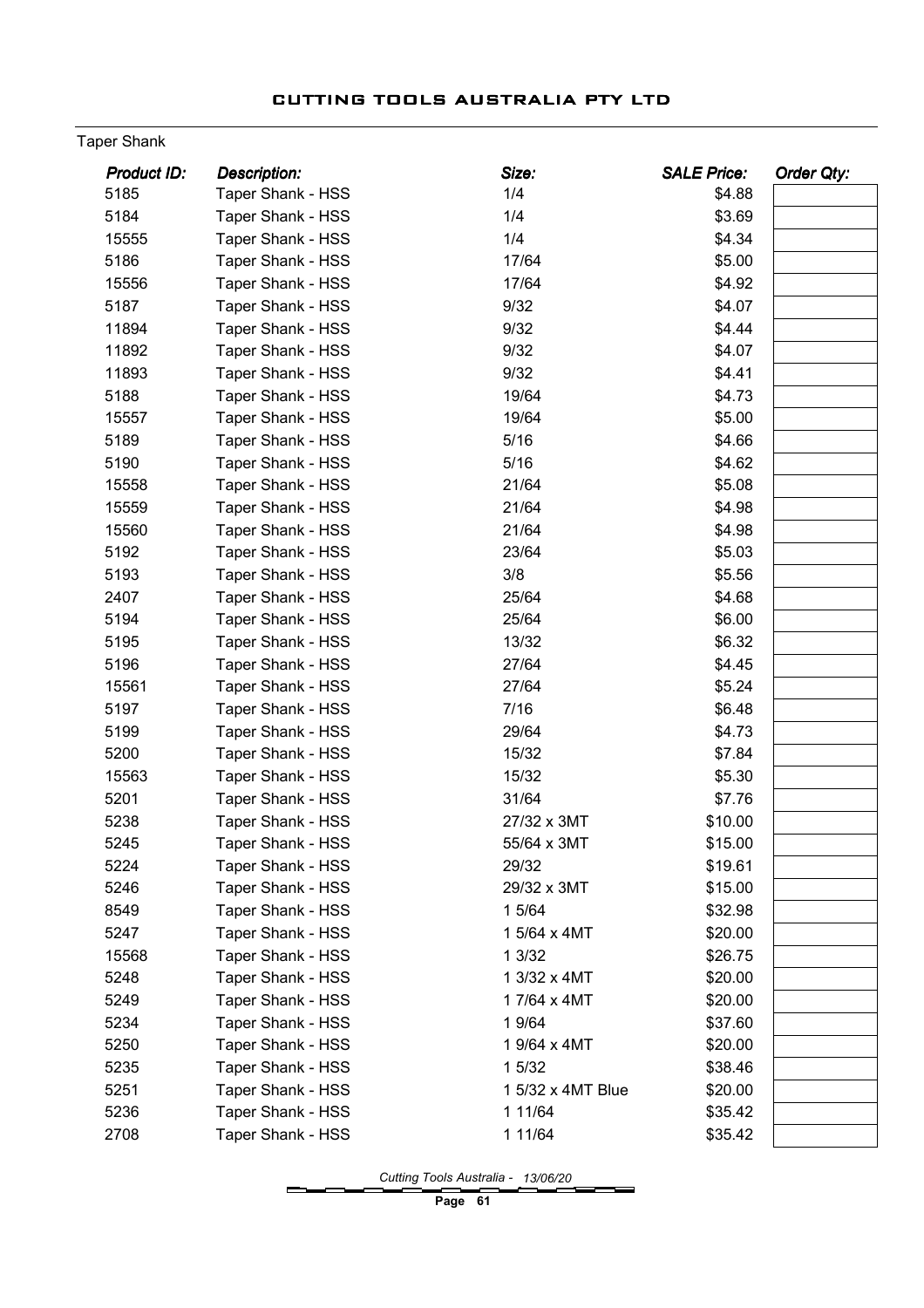### Taper Shank

| <b>Product ID:</b> | <b>Description:</b>      | Size:             | <b>SALE Price:</b> | Order Qty: |
|--------------------|--------------------------|-------------------|--------------------|------------|
| 5185               | Taper Shank - HSS        | 1/4               | \$4.88             |            |
| 5184               | Taper Shank - HSS        | 1/4               | \$3.69             |            |
| 15555              | Taper Shank - HSS        | 1/4               | \$4.34             |            |
| 5186               | Taper Shank - HSS        | 17/64             | \$5.00             |            |
| 15556              | Taper Shank - HSS        | 17/64             | \$4.92             |            |
| 5187               | Taper Shank - HSS        | 9/32              | \$4.07             |            |
| 11894              | Taper Shank - HSS        | 9/32              | \$4.44             |            |
| 11892              | Taper Shank - HSS        | 9/32              | \$4.07             |            |
| 11893              | <b>Taper Shank - HSS</b> | 9/32              | \$4.41             |            |
| 5188               | Taper Shank - HSS        | 19/64             | \$4.73             |            |
| 15557              | Taper Shank - HSS        | 19/64             | \$5.00             |            |
| 5189               | Taper Shank - HSS        | 5/16              | \$4.66             |            |
| 5190               | Taper Shank - HSS        | 5/16              | \$4.62             |            |
| 15558              | Taper Shank - HSS        | 21/64             | \$5.08             |            |
| 15559              | Taper Shank - HSS        | 21/64             | \$4.98             |            |
| 15560              | Taper Shank - HSS        | 21/64             | \$4.98             |            |
| 5192               | Taper Shank - HSS        | 23/64             | \$5.03             |            |
| 5193               | Taper Shank - HSS        | 3/8               | \$5.56             |            |
| 2407               | Taper Shank - HSS        | 25/64             | \$4.68             |            |
| 5194               | Taper Shank - HSS        | 25/64             | \$6.00             |            |
| 5195               | Taper Shank - HSS        | 13/32             | \$6.32             |            |
| 5196               | Taper Shank - HSS        | 27/64             | \$4.45             |            |
| 15561              | Taper Shank - HSS        | 27/64             | \$5.24             |            |
| 5197               | Taper Shank - HSS        | 7/16              | \$6.48             |            |
| 5199               | Taper Shank - HSS        | 29/64             | \$4.73             |            |
| 5200               | Taper Shank - HSS        | 15/32             | \$7.84             |            |
| 15563              | Taper Shank - HSS        | 15/32             | \$5.30             |            |
| 5201               | Taper Shank - HSS        | 31/64             | \$7.76             |            |
| 5238               | Taper Shank - HSS        | 27/32 x 3MT       | \$10.00            |            |
| 5245               | Taper Shank - HSS        | 55/64 x 3MT       | \$15.00            |            |
| 5224               | Taper Shank - HSS        | 29/32             | \$19.61            |            |
| 5246               | Taper Shank - HSS        | 29/32 x 3MT       | \$15.00            |            |
| 8549               | Taper Shank - HSS        | 1 5/64            | \$32.98            |            |
| 5247               | Taper Shank - HSS        | 1 5/64 x 4MT      | \$20.00            |            |
| 15568              | Taper Shank - HSS        | 1 3/32            | \$26.75            |            |
| 5248               | Taper Shank - HSS        | 1 3/32 x 4MT      | \$20.00            |            |
| 5249               | Taper Shank - HSS        | 17/64 x 4MT       | \$20.00            |            |
| 5234               | Taper Shank - HSS        | 1 9/64            | \$37.60            |            |
| 5250               | Taper Shank - HSS        | 1 9/64 x 4MT      | \$20.00            |            |
| 5235               | Taper Shank - HSS        | 1 5/32            | \$38.46            |            |
| 5251               | Taper Shank - HSS        | 1 5/32 x 4MT Blue | \$20.00            |            |
| 5236               | Taper Shank - HSS        | 1 11/64           | \$35.42            |            |
| 2708               | Taper Shank - HSS        | 1 11/64           | \$35.42            |            |
|                    |                          |                   |                    |            |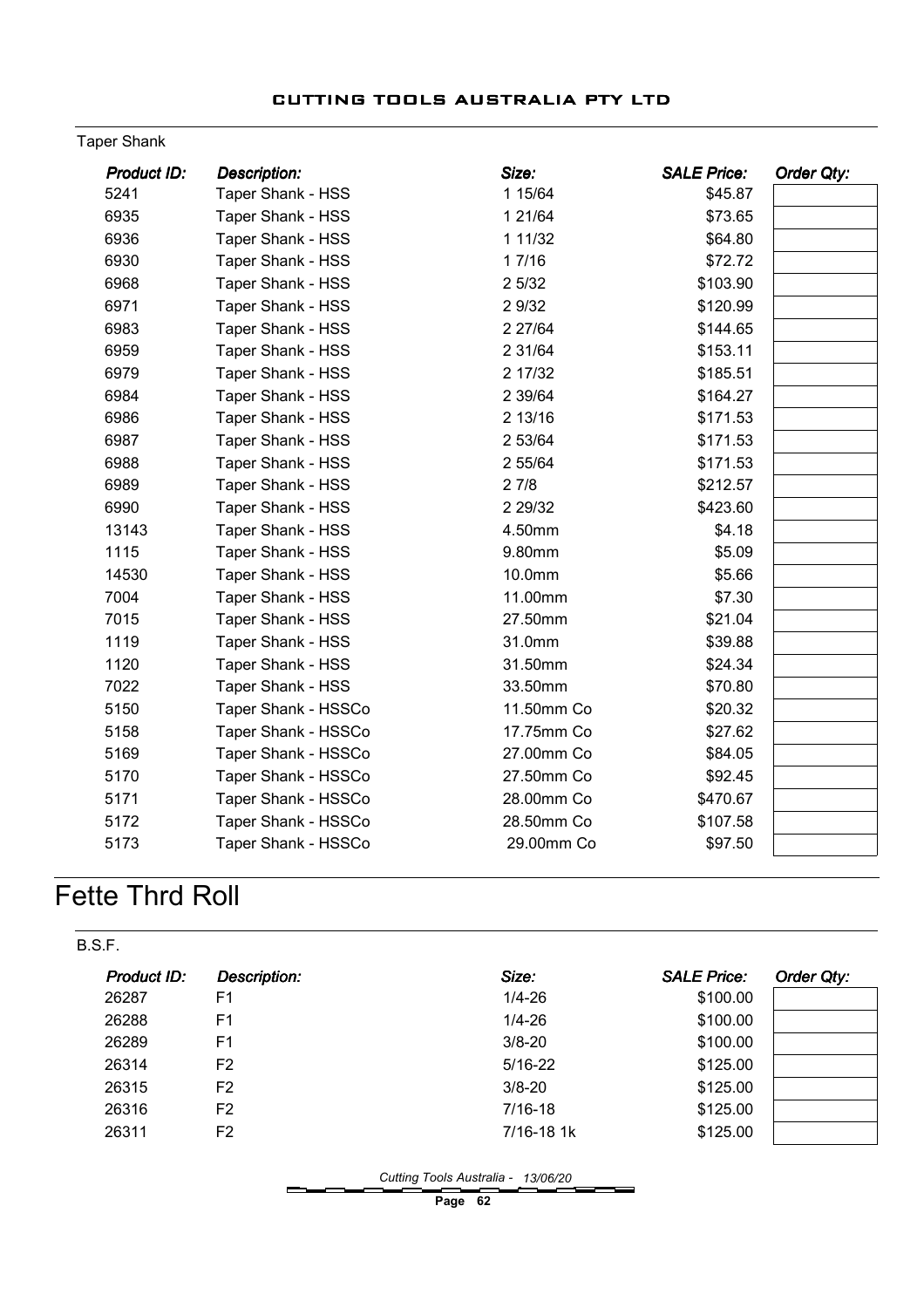### Taper Shank

| Product ID: | <b>Description:</b>      | Size:      | <b>SALE Price:</b> | Order Qty: |
|-------------|--------------------------|------------|--------------------|------------|
| 5241        | Taper Shank - HSS        | 1 15/64    | \$45.87            |            |
| 6935        | Taper Shank - HSS        | 1 21/64    | \$73.65            |            |
| 6936        | <b>Taper Shank - HSS</b> | 1 11/32    | \$64.80            |            |
| 6930        | Taper Shank - HSS        | 17/16      | \$72.72            |            |
| 6968        | <b>Taper Shank - HSS</b> | 2 5/32     | \$103.90           |            |
| 6971        | Taper Shank - HSS        | 2 9/32     | \$120.99           |            |
| 6983        | Taper Shank - HSS        | 2 27/64    | \$144.65           |            |
| 6959        | Taper Shank - HSS        | 2 3 1/64   | \$153.11           |            |
| 6979        | Taper Shank - HSS        | 2 17/32    | \$185.51           |            |
| 6984        | <b>Taper Shank - HSS</b> | 2 39/64    | \$164.27           |            |
| 6986        | Taper Shank - HSS        | 2 13/16    | \$171.53           |            |
| 6987        | <b>Taper Shank - HSS</b> | 2 53/64    | \$171.53           |            |
| 6988        | Taper Shank - HSS        | 2 55/64    | \$171.53           |            |
| 6989        | Taper Shank - HSS        | 27/8       | \$212.57           |            |
| 6990        | Taper Shank - HSS        | 2 29/32    | \$423.60           |            |
| 13143       | <b>Taper Shank - HSS</b> | 4.50mm     | \$4.18             |            |
| 1115        | Taper Shank - HSS        | 9.80mm     | \$5.09             |            |
| 14530       | Taper Shank - HSS        | 10.0mm     | \$5.66             |            |
| 7004        | Taper Shank - HSS        | 11.00mm    | \$7.30             |            |
| 7015        | <b>Taper Shank - HSS</b> | 27.50mm    | \$21.04            |            |
| 1119        | Taper Shank - HSS        | 31.0mm     | \$39.88            |            |
| 1120        | Taper Shank - HSS        | 31.50mm    | \$24.34            |            |
| 7022        | Taper Shank - HSS        | 33.50mm    | \$70.80            |            |
| 5150        | Taper Shank - HSSCo      | 11.50mm Co | \$20.32            |            |
| 5158        | Taper Shank - HSSCo      | 17.75mm Co | \$27.62            |            |
| 5169        | Taper Shank - HSSCo      | 27.00mm Co | \$84.05            |            |
| 5170        | Taper Shank - HSSCo      | 27.50mm Co | \$92.45            |            |
| 5171        | Taper Shank - HSSCo      | 28.00mm Co | \$470.67           |            |
| 5172        | Taper Shank - HSSCo      | 28.50mm Co | \$107.58           |            |
| 5173        | Taper Shank - HSSCo      | 29.00mm Co | \$97.50            |            |

# Fette Thrd Roll

| B.S.F.             |                     |             |                    |            |
|--------------------|---------------------|-------------|--------------------|------------|
| <b>Product ID:</b> | <b>Description:</b> | Size:       | <b>SALE Price:</b> | Order Qty: |
| 26287              | F <sub>1</sub>      | $1/4 - 26$  | \$100.00           |            |
| 26288              | F <sub>1</sub>      | $1/4 - 26$  | \$100.00           |            |
| 26289              | F <sub>1</sub>      | $3/8 - 20$  | \$100.00           |            |
| 26314              | F <sub>2</sub>      | $5/16 - 22$ | \$125.00           |            |
| 26315              | F <sub>2</sub>      | $3/8 - 20$  | \$125.00           |            |
| 26316              | F <sub>2</sub>      | $7/16-18$   | \$125.00           |            |
| 26311              | F <sub>2</sub>      | 7/16-18 1k  | \$125.00           |            |

Cutting Tools Australia - 13/06/20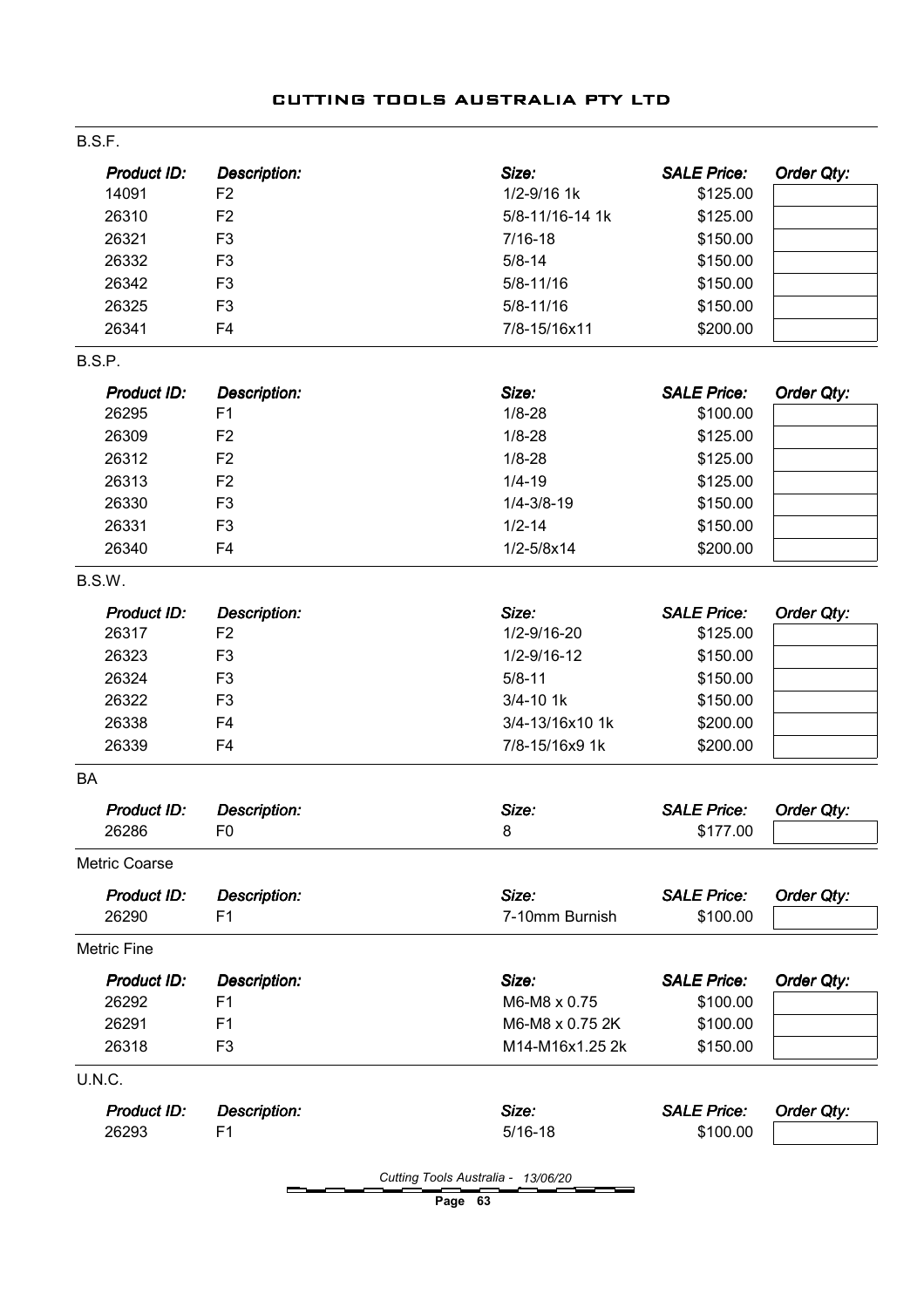| B.S.F.               |                     |                       |                    |            |
|----------------------|---------------------|-----------------------|--------------------|------------|
| <b>Product ID:</b>   | <b>Description:</b> | Size:                 | <b>SALE Price:</b> | Order Qty: |
| 14091                | F <sub>2</sub>      | 1/2-9/16 1k           | \$125.00           |            |
| 26310                | F <sub>2</sub>      | 5/8-11/16-14 1k       | \$125.00           |            |
| 26321                | F <sub>3</sub>      | $7/16 - 18$           | \$150.00           |            |
| 26332                | F <sub>3</sub>      | $5/8 - 14$            | \$150.00           |            |
| 26342                | F <sub>3</sub>      | $5/8 - 11/16$         | \$150.00           |            |
| 26325                | F <sub>3</sub>      | $5/8 - 11/16$         | \$150.00           |            |
| 26341                | F <sub>4</sub>      | 7/8-15/16x11          | \$200.00           |            |
| B.S.P.               |                     |                       |                    |            |
| <b>Product ID:</b>   | <b>Description:</b> | Size:                 | <b>SALE Price:</b> | Order Qty: |
| 26295                | F1                  | $1/8 - 28$            | \$100.00           |            |
| 26309                | F <sub>2</sub>      | $1/8 - 28$            | \$125.00           |            |
| 26312                | F <sub>2</sub>      | $1/8 - 28$            | \$125.00           |            |
| 26313                | F <sub>2</sub>      | $1/4 - 19$            | \$125.00           |            |
| 26330                | F <sub>3</sub>      | $1/4 - 3/8 - 19$      | \$150.00           |            |
| 26331                | F <sub>3</sub>      | $1/2 - 14$            | \$150.00           |            |
| 26340                | F <sub>4</sub>      | $1/2 - 5/8 \times 14$ | \$200.00           |            |
| B.S.W.               |                     |                       |                    |            |
| <b>Product ID:</b>   | Description:        | Size:                 | <b>SALE Price:</b> | Order Qty: |
| 26317                | F <sub>2</sub>      | 1/2-9/16-20           | \$125.00           |            |
| 26323                | F <sub>3</sub>      | $1/2 - 9/16 - 12$     | \$150.00           |            |
| 26324                | F <sub>3</sub>      | $5/8 - 11$            | \$150.00           |            |
| 26322                | F <sub>3</sub>      | $3/4 - 10$ 1k         | \$150.00           |            |
| 26338                | F <sub>4</sub>      | 3/4-13/16x10 1k       | \$200.00           |            |
| 26339                | F <sub>4</sub>      | 7/8-15/16x9 1k        | \$200.00           |            |
| <b>BA</b>            |                     |                       |                    |            |
| Product ID:          | <b>Description:</b> | Size:                 | <b>SALE Price:</b> | Order Qty: |
| 26286                | F <sub>0</sub>      | 8                     | \$177.00           |            |
| <b>Metric Coarse</b> |                     |                       |                    |            |
| Product ID:          | <b>Description:</b> | Size:                 | <b>SALE Price:</b> | Order Qty: |
| 26290                | F1                  | 7-10mm Burnish        | \$100.00           |            |
| <b>Metric Fine</b>   |                     |                       |                    |            |
| Product ID:          | <b>Description:</b> | Size:                 | <b>SALE Price:</b> | Order Qty: |
| 26292                | F <sub>1</sub>      | M6-M8 x 0.75          | \$100.00           |            |
| 26291                | F <sub>1</sub>      | M6-M8 x 0.75 2K       | \$100.00           |            |
| 26318                | F <sub>3</sub>      | M14-M16x1.25 2k       | \$150.00           |            |
| U.N.C.               |                     |                       |                    |            |
| <b>Product ID:</b>   | <b>Description:</b> | Size:                 | <b>SALE Price:</b> | Order Qty: |
| 26293                | F <sub>1</sub>      | $5/16 - 18$           | \$100.00           |            |

Cutting Tools Australia - 13/06/20

Page 63

## CUTTING TOOLS AUSTRALIA PTY LTD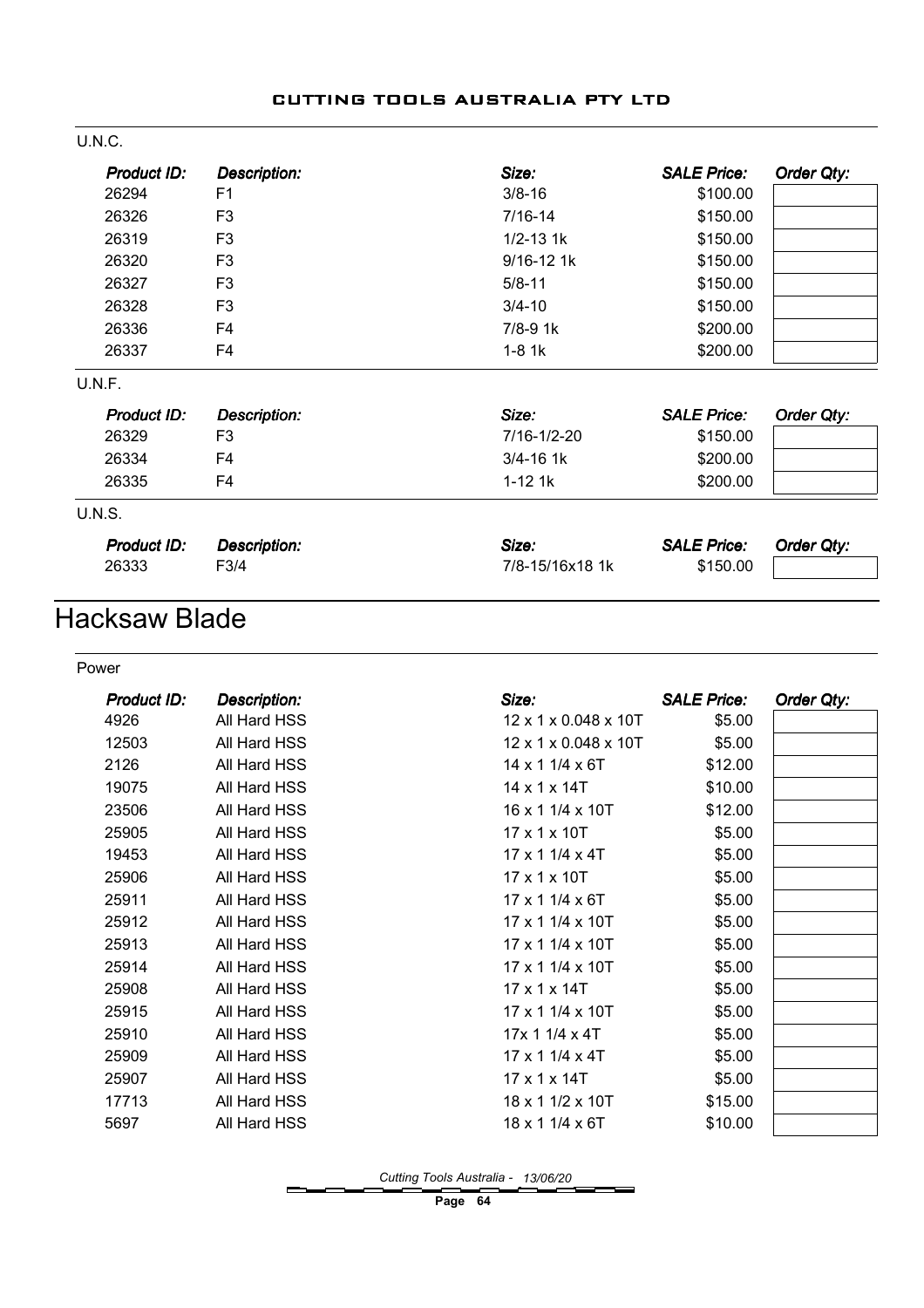| U.N.C.        |                     |                 |                    |            |
|---------------|---------------------|-----------------|--------------------|------------|
| Product ID:   | <b>Description:</b> | Size:           | <b>SALE Price:</b> | Order Qty: |
| 26294         | F <sub>1</sub>      | $3/8 - 16$      | \$100.00           |            |
| 26326         | F <sub>3</sub>      | $7/16 - 14$     | \$150.00           |            |
| 26319         | F <sub>3</sub>      | $1/2 - 13$ 1k   | \$150.00           |            |
| 26320         | F <sub>3</sub>      | 9/16-12 1k      | \$150.00           |            |
| 26327         | F <sub>3</sub>      | $5/8 - 11$      | \$150.00           |            |
| 26328         | F <sub>3</sub>      | $3/4 - 10$      | \$150.00           |            |
| 26336         | F <sub>4</sub>      | $7/8 - 9$ 1 $k$ | \$200.00           |            |
| 26337         | F4                  | $1-8$ 1 $k$     | \$200.00           |            |
| U.N.F.        |                     |                 |                    |            |
| Product ID:   | <b>Description:</b> | Size:           | <b>SALE Price:</b> | Order Qty: |
| 26329         | F <sub>3</sub>      | 7/16-1/2-20     | \$150.00           |            |
| 26334         | F4                  | $3/4 - 16$ 1k   | \$200.00           |            |
| 26335         | F4                  | $1 - 12$ 1 $k$  | \$200.00           |            |
| <b>U.N.S.</b> |                     |                 |                    |            |
| Product ID:   | <b>Description:</b> | Size:           | <b>SALE Price:</b> | Order Qty: |
| 26333         | F3/4                | 7/8-15/16x18 1k | \$150.00           |            |
|               |                     |                 |                    |            |

# Hacksaw Blade

#### Power

| Product ID: | Description: | Size:                       | <b>SALE Price:</b> | Order Qty: |
|-------------|--------------|-----------------------------|--------------------|------------|
| 4926        | All Hard HSS | 12 x 1 x 0.048 x 10T        | \$5.00             |            |
| 12503       | All Hard HSS | 12 x 1 x 0.048 x 10T        | \$5.00             |            |
| 2126        | All Hard HSS | 14 x 1 1/4 x 6T             | \$12.00            |            |
| 19075       | All Hard HSS | 14 x 1 x 14T                | \$10.00            |            |
| 23506       | All Hard HSS | $16 \times 11/4 \times 10T$ | \$12.00            |            |
| 25905       | All Hard HSS | 17 x 1 x 10T                | \$5.00             |            |
| 19453       | All Hard HSS | 17 x 1 1/4 x 4T             | \$5.00             |            |
| 25906       | All Hard HSS | 17 x 1 x 10T                | \$5.00             |            |
| 25911       | All Hard HSS | 17 x 1 1/4 x 6T             | \$5.00             |            |
| 25912       | All Hard HSS | 17 x 1 1/4 x 10T            | \$5.00             |            |
| 25913       | All Hard HSS | 17 x 1 1/4 x 10T            | \$5.00             |            |
| 25914       | All Hard HSS | 17 x 1 1/4 x 10T            | \$5.00             |            |
| 25908       | All Hard HSS | 17 x 1 x 14T                | \$5.00             |            |
| 25915       | All Hard HSS | 17 x 1 1/4 x 10T            | \$5.00             |            |
| 25910       | All Hard HSS | 17x 11/4x 4T                | \$5.00             |            |
| 25909       | All Hard HSS | 17 x 1 1/4 x 4T             | \$5.00             |            |
| 25907       | All Hard HSS | 17 x 1 x 14T                | \$5.00             |            |
| 17713       | All Hard HSS | 18 x 1 1/2 x 10T            | \$15.00            |            |
| 5697        | All Hard HSS | 18 x 1 1/4 x 6T             | \$10.00            |            |
|             |              |                             |                    |            |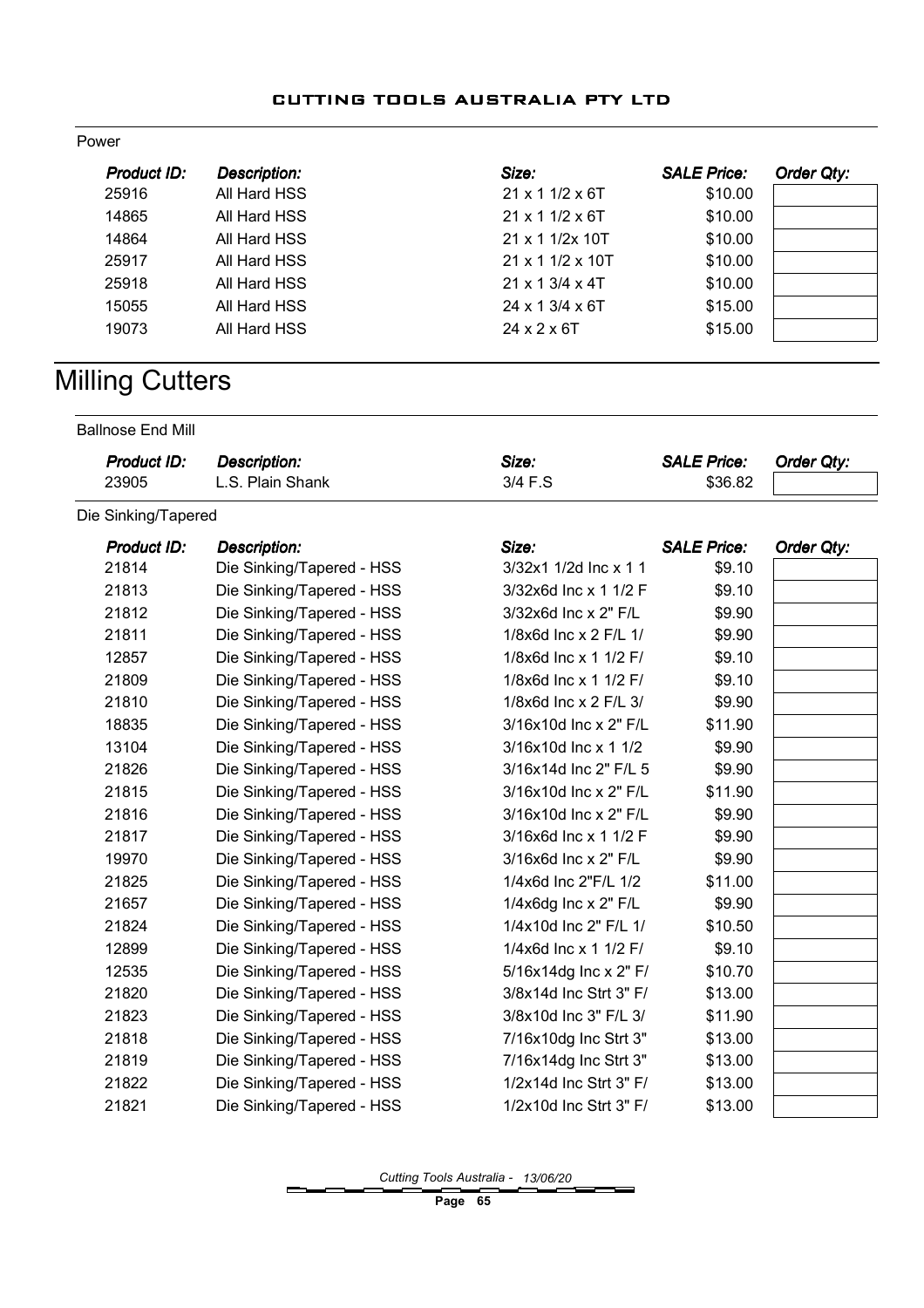#### Power

| Product ID: | <b>Description:</b> | Size:                          | <b>SALE Price:</b> | Order Qty: |
|-------------|---------------------|--------------------------------|--------------------|------------|
| 25916       | All Hard HSS        | $21 \times 11/2 \times 6T$     | \$10.00            |            |
| 14865       | All Hard HSS        | $21 \times 11/2 \times 6$ T    | \$10.00            |            |
| 14864       | All Hard HSS        | 21 x 1 1/2x 10T                | \$10.00            |            |
| 25917       | All Hard HSS        | $21 \times 1$ 1/2 $\times$ 10T | \$10.00            |            |
| 25918       | All Hard HSS        | $21 \times 13/4 \times 4T$     | \$10.00            |            |
| 15055       | All Hard HSS        | $24 \times 13/4 \times 6T$     | \$15.00            |            |
| 19073       | All Hard HSS        | $24 \times 2 \times 6$ T       | \$15.00            |            |

# **Milling Cutters**

Ballnose End Mill

| Product ID: | <b>Description:</b> | Size:   | <b>SALE Price:</b> | <b>Order Qty:</b> |
|-------------|---------------------|---------|--------------------|-------------------|
| 23905       | L.S. Plain Shank    | 3/4 F.S | \$36.82            |                   |

Die Sinking/Tapered

| Product ID: | <b>Description:</b>       | Size:                  | <b>SALE Price:</b> | Order Qty: |
|-------------|---------------------------|------------------------|--------------------|------------|
| 21814       | Die Sinking/Tapered - HSS | 3/32x1 1/2d Inc x 1 1  | \$9.10             |            |
| 21813       | Die Sinking/Tapered - HSS | 3/32x6d Inc x 1 1/2 F  | \$9.10             |            |
| 21812       | Die Sinking/Tapered - HSS | 3/32x6d Inc x 2" F/L   | \$9.90             |            |
| 21811       | Die Sinking/Tapered - HSS | 1/8x6d Inc x 2 F/L 1/  | \$9.90             |            |
| 12857       | Die Sinking/Tapered - HSS | 1/8x6d Inc x 1 1/2 F/  | \$9.10             |            |
| 21809       | Die Sinking/Tapered - HSS | 1/8x6d Inc x 1 1/2 F/  | \$9.10             |            |
| 21810       | Die Sinking/Tapered - HSS | 1/8x6d Inc x 2 F/L 3/  | \$9.90             |            |
| 18835       | Die Sinking/Tapered - HSS | 3/16x10d Inc x 2" F/L  | \$11.90            |            |
| 13104       | Die Sinking/Tapered - HSS | 3/16x10d Inc x 1 1/2   | \$9.90             |            |
| 21826       | Die Sinking/Tapered - HSS | 3/16x14d Inc 2" F/L 5  | \$9.90             |            |
| 21815       | Die Sinking/Tapered - HSS | 3/16x10d Inc x 2" F/L  | \$11.90            |            |
| 21816       | Die Sinking/Tapered - HSS | 3/16x10d Inc x 2" F/L  | \$9.90             |            |
| 21817       | Die Sinking/Tapered - HSS | 3/16x6d Inc x 1 1/2 F  | \$9.90             |            |
| 19970       | Die Sinking/Tapered - HSS | 3/16x6d Inc x 2" F/L   | \$9.90             |            |
| 21825       | Die Sinking/Tapered - HSS | 1/4x6d Inc 2"F/L 1/2   | \$11.00            |            |
| 21657       | Die Sinking/Tapered - HSS | $1/4x6dg$ Inc x 2" F/L | \$9.90             |            |
| 21824       | Die Sinking/Tapered - HSS | 1/4x10d Inc 2" F/L 1/  | \$10.50            |            |
| 12899       | Die Sinking/Tapered - HSS | 1/4x6d Inc x 1 1/2 F/  | \$9.10             |            |
| 12535       | Die Sinking/Tapered - HSS | 5/16x14dg Inc x 2" F/  | \$10.70            |            |
| 21820       | Die Sinking/Tapered - HSS | 3/8x14d Inc Strt 3" F/ | \$13.00            |            |
| 21823       | Die Sinking/Tapered - HSS | 3/8x10d Inc 3" F/L 3/  | \$11.90            |            |
| 21818       | Die Sinking/Tapered - HSS | 7/16x10dg Inc Strt 3"  | \$13.00            |            |
| 21819       | Die Sinking/Tapered - HSS | 7/16x14dg Inc Strt 3"  | \$13.00            |            |
| 21822       | Die Sinking/Tapered - HSS | 1/2x14d Inc Strt 3" F/ | \$13.00            |            |
| 21821       | Die Sinking/Tapered - HSS | 1/2x10d Inc Strt 3" F/ | \$13.00            |            |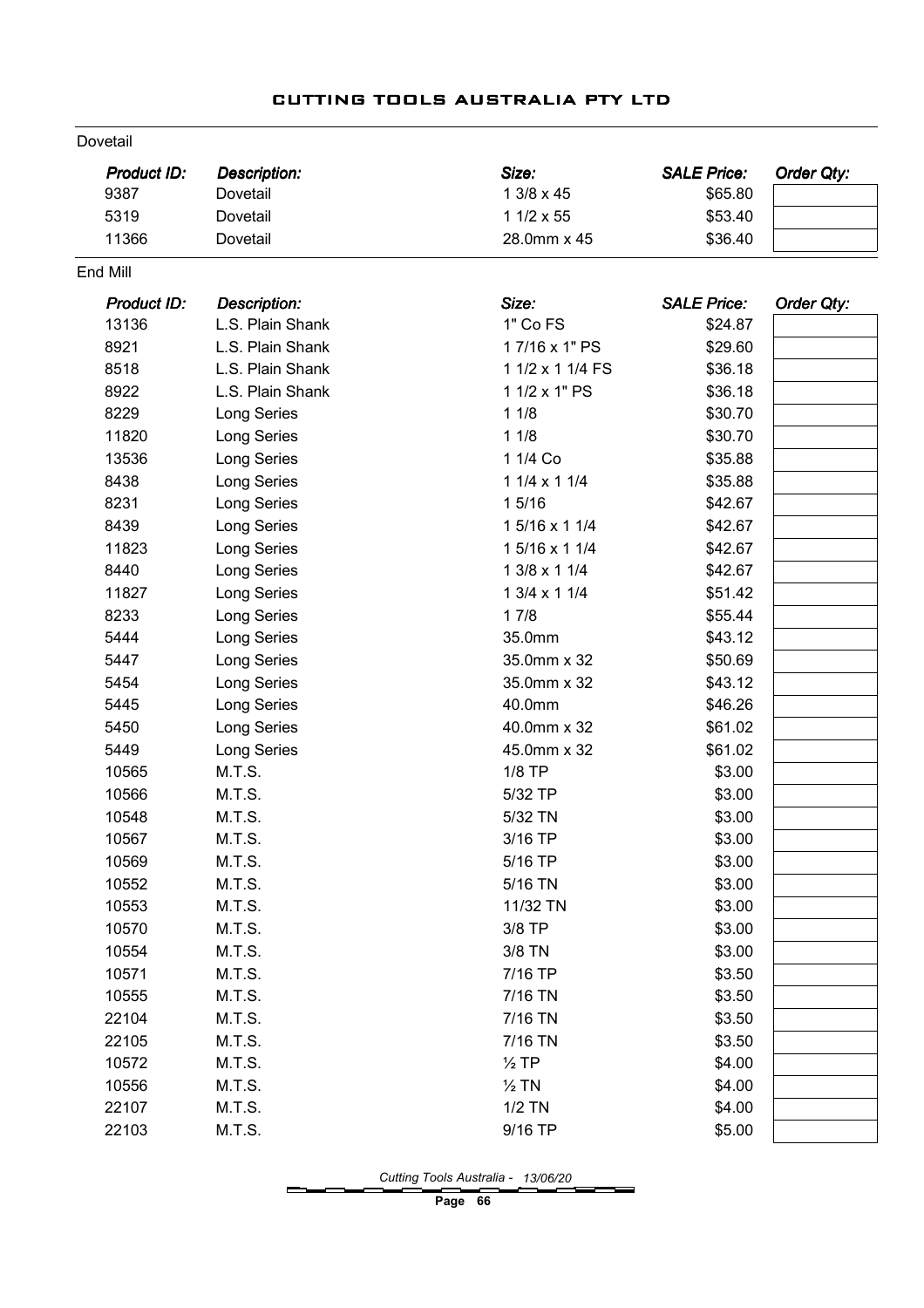|  | CUTTING TOOLS AUSTRALIA PTY LTD |  |
|--|---------------------------------|--|
|  |                                 |  |

| Dovetail    |                     |                  |                    |            |
|-------------|---------------------|------------------|--------------------|------------|
| Product ID: | <b>Description:</b> | Size:            | <b>SALE Price:</b> | Order Qty: |
| 9387        | Dovetail            | 1 3/8 x 45       | \$65.80            |            |
| 5319        | Dovetail            | 1 1/2 x 55       | \$53.40            |            |
| 11366       | Dovetail            | 28.0mm x 45      | \$36.40            |            |
| End Mill    |                     |                  |                    |            |
| Product ID: | <b>Description:</b> | Size:            | <b>SALE Price:</b> | Order Qty: |
| 13136       | L.S. Plain Shank    | 1" Co FS         | \$24.87            |            |
| 8921        | L.S. Plain Shank    | 17/16 x 1" PS    | \$29.60            |            |
| 8518        | L.S. Plain Shank    | 1 1/2 x 1 1/4 FS | \$36.18            |            |
| 8922        | L.S. Plain Shank    | 1 1/2 x 1" PS    | \$36.18            |            |
| 8229        | Long Series         | 11/8             | \$30.70            |            |
| 11820       | Long Series         | 11/8             | \$30.70            |            |
| 13536       | Long Series         | 1 1/4 Co         | \$35.88            |            |
| 8438        | Long Series         | 1 1/4 x 1 1/4    | \$35.88            |            |
| 8231        | Long Series         | 15/16            | \$42.67            |            |
| 8439        | Long Series         | 1 5/16 x 1 1/4   | \$42.67            |            |
| 11823       | Long Series         | 1 5/16 x 1 1/4   | \$42.67            |            |
| 8440        | Long Series         | 1 3/8 x 1 1/4    | \$42.67            |            |
| 11827       | Long Series         | 1 3/4 x 1 1/4    | \$51.42            |            |
| 8233        | Long Series         | 17/8             | \$55.44            |            |
| 5444        | Long Series         | 35.0mm           | \$43.12            |            |
| 5447        | Long Series         | 35.0mm x 32      | \$50.69            |            |
| 5454        | Long Series         | 35.0mm x 32      | \$43.12            |            |
| 5445        | Long Series         | 40.0mm           | \$46.26            |            |
| 5450        | <b>Long Series</b>  | 40.0mm x 32      | \$61.02            |            |
| 5449        | Long Series         | 45.0mm x 32      | \$61.02            |            |
| 10565       | M.T.S.              | $1/8$ TP         | \$3.00             |            |
| 10566       | M.T.S.              | 5/32 TP          | \$3.00             |            |
| 10548       | M.T.S.              | 5/32 TN          | \$3.00             |            |
| 10567       | M.T.S.              | 3/16 TP          | \$3.00             |            |
| 10569       | M.T.S.              | 5/16 TP          | \$3.00             |            |
| 10552       | M.T.S.              | 5/16 TN          | \$3.00             |            |
| 10553       | M.T.S.              | 11/32 TN         | \$3.00             |            |
| 10570       | M.T.S.              | 3/8 TP           | \$3.00             |            |
| 10554       | M.T.S.              | 3/8 TN           | \$3.00             |            |
| 10571       | M.T.S.              | 7/16 TP          | \$3.50             |            |
| 10555       | M.T.S.              | 7/16 TN          | \$3.50             |            |
| 22104       | M.T.S.              | 7/16 TN          | \$3.50             |            |
| 22105       | M.T.S.              | 7/16 TN          | \$3.50             |            |
| 10572       | M.T.S.              | $\frac{1}{2}$ TP | \$4.00             |            |
| 10556       | M.T.S.              | $\frac{1}{2}$ TN | \$4.00             |            |
| 22107       | M.T.S.              | $1/2$ TN         | \$4.00             |            |
| 22103       | M.T.S.              | 9/16 TP          | \$5.00             |            |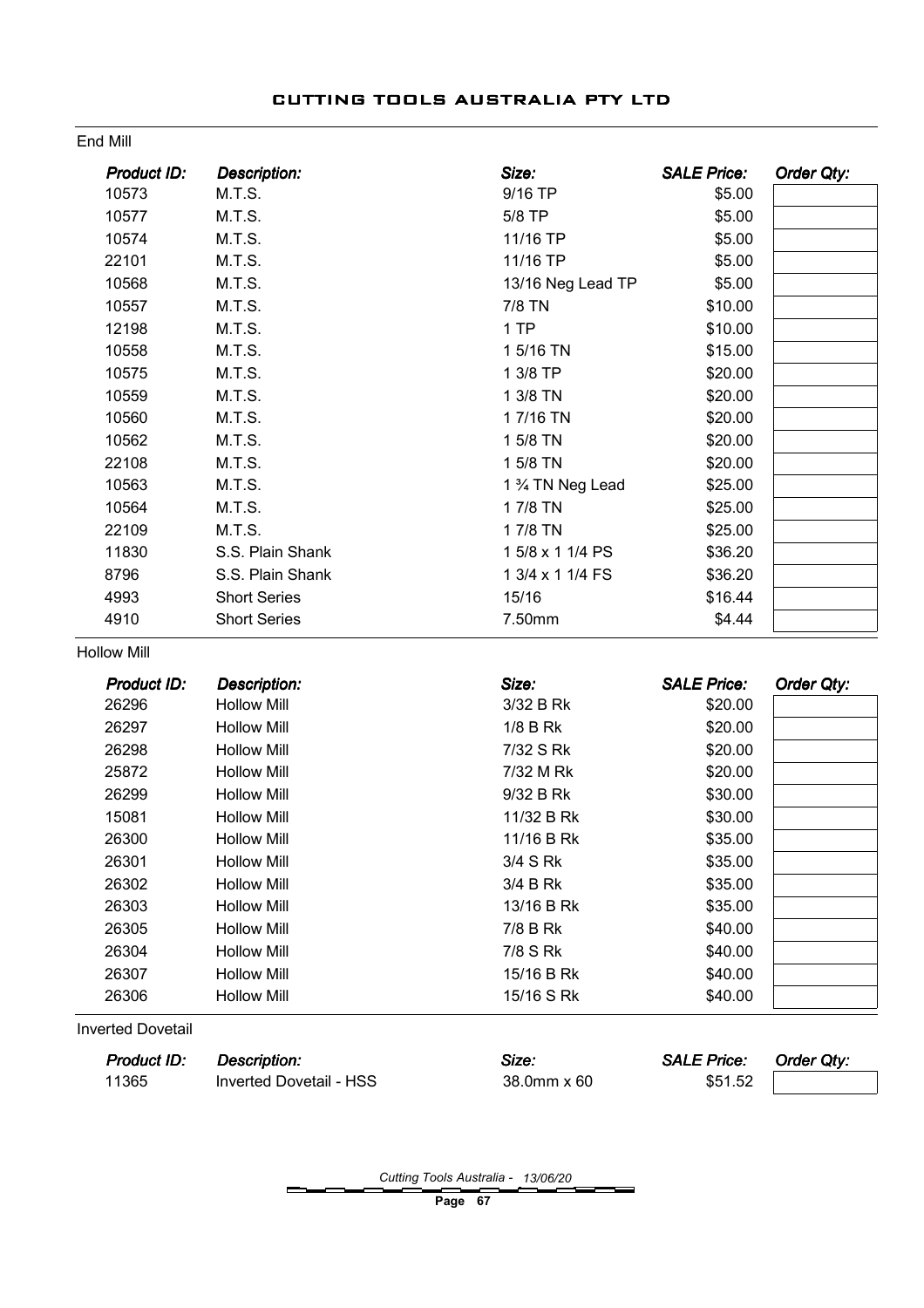| Product ID:              | <b>Description:</b> | Size:             | <b>SALE Price:</b> | <b>Order Qty:</b> |
|--------------------------|---------------------|-------------------|--------------------|-------------------|
| 10573                    | M.T.S.              | 9/16 TP           | \$5.00             |                   |
| 10577                    | M.T.S.              | 5/8 TP            | \$5.00             |                   |
| 10574                    | M.T.S.              | 11/16 TP          | \$5.00             |                   |
| 22101                    | M.T.S.              | 11/16 TP          | \$5.00             |                   |
| 10568                    | M.T.S.              | 13/16 Neg Lead TP | \$5.00             |                   |
| 10557                    | M.T.S.              | 7/8 TN            | \$10.00            |                   |
| 12198                    | M.T.S.              | 1 TP              | \$10.00            |                   |
| 10558                    | M.T.S.              | 1 5/16 TN         | \$15.00            |                   |
| 10575                    | M.T.S.              | 1 3/8 TP          | \$20.00            |                   |
| 10559                    | M.T.S.              | 1 3/8 TN          | \$20.00            |                   |
| 10560                    | M.T.S.              | 17/16 TN          | \$20.00            |                   |
| 10562                    | M.T.S.              | 1 5/8 TN          | \$20.00            |                   |
| 22108                    | M.T.S.              | 1 5/8 TN          | \$20.00            |                   |
| 10563                    | M.T.S.              | 1 % TN Neg Lead   | \$25.00            |                   |
| 10564                    | M.T.S.              | 17/8 TN           | \$25.00            |                   |
| 22109                    | M.T.S.              | 17/8 TN           | \$25.00            |                   |
| 11830                    | S.S. Plain Shank    | 1 5/8 x 1 1/4 PS  | \$36.20            |                   |
| 8796                     | S.S. Plain Shank    | 1 3/4 x 1 1/4 FS  | \$36.20            |                   |
| 4993                     | <b>Short Series</b> | 15/16             | \$16.44            |                   |
| 4910                     | <b>Short Series</b> | 7.50mm            | \$4.44             |                   |
| <b>Hollow Mill</b>       |                     |                   |                    |                   |
| <b>Product ID:</b>       | <b>Description:</b> | Size:             | <b>SALE Price:</b> | Order Qty:        |
| 26296                    | <b>Hollow Mill</b>  | 3/32 B Rk         | \$20.00            |                   |
| 26297                    | <b>Hollow Mill</b>  | 1/8 B Rk          | \$20.00            |                   |
| 26298                    | <b>Hollow Mill</b>  | 7/32 S Rk         | \$20.00            |                   |
| 25872                    | <b>Hollow Mill</b>  | 7/32 M Rk         | \$20.00            |                   |
| 26299                    | <b>Hollow Mill</b>  | 9/32 B Rk         | \$30.00            |                   |
| 15081                    | <b>Hollow Mill</b>  | 11/32 B Rk        | \$30.00            |                   |
| 26300                    | <b>Hollow Mill</b>  | 11/16 B Rk        | \$35.00            |                   |
| 26301                    | <b>Hollow Mill</b>  | 3/4 S Rk          | \$35.00            |                   |
| 26302                    | <b>Hollow Mill</b>  | 3/4 B Rk          | \$35.00            |                   |
| 26303                    | <b>Hollow Mill</b>  | 13/16 B Rk        | \$35.00            |                   |
| 26305                    | <b>Hollow Mill</b>  | 7/8 B Rk          | \$40.00            |                   |
| 26304                    | <b>Hollow Mill</b>  | 7/8 S Rk          | \$40.00            |                   |
| 26307                    | <b>Hollow Mill</b>  | 15/16 B Rk        | \$40.00            |                   |
| 26306                    | <b>Hollow Mill</b>  | 15/16 S Rk        | \$40.00            |                   |
| <b>Inverted Dovetail</b> |                     |                   |                    |                   |

End Mill

| <b>Product ID:</b> | <b>Description:</b>     | Size:       | <b>SALE Price:</b> | <b>Order Qty:</b> |
|--------------------|-------------------------|-------------|--------------------|-------------------|
| 11365              | Inverted Dovetail - HSS | 38.0mm x 60 | \$51.52            |                   |

Cutting Tools Australia - 13/06/20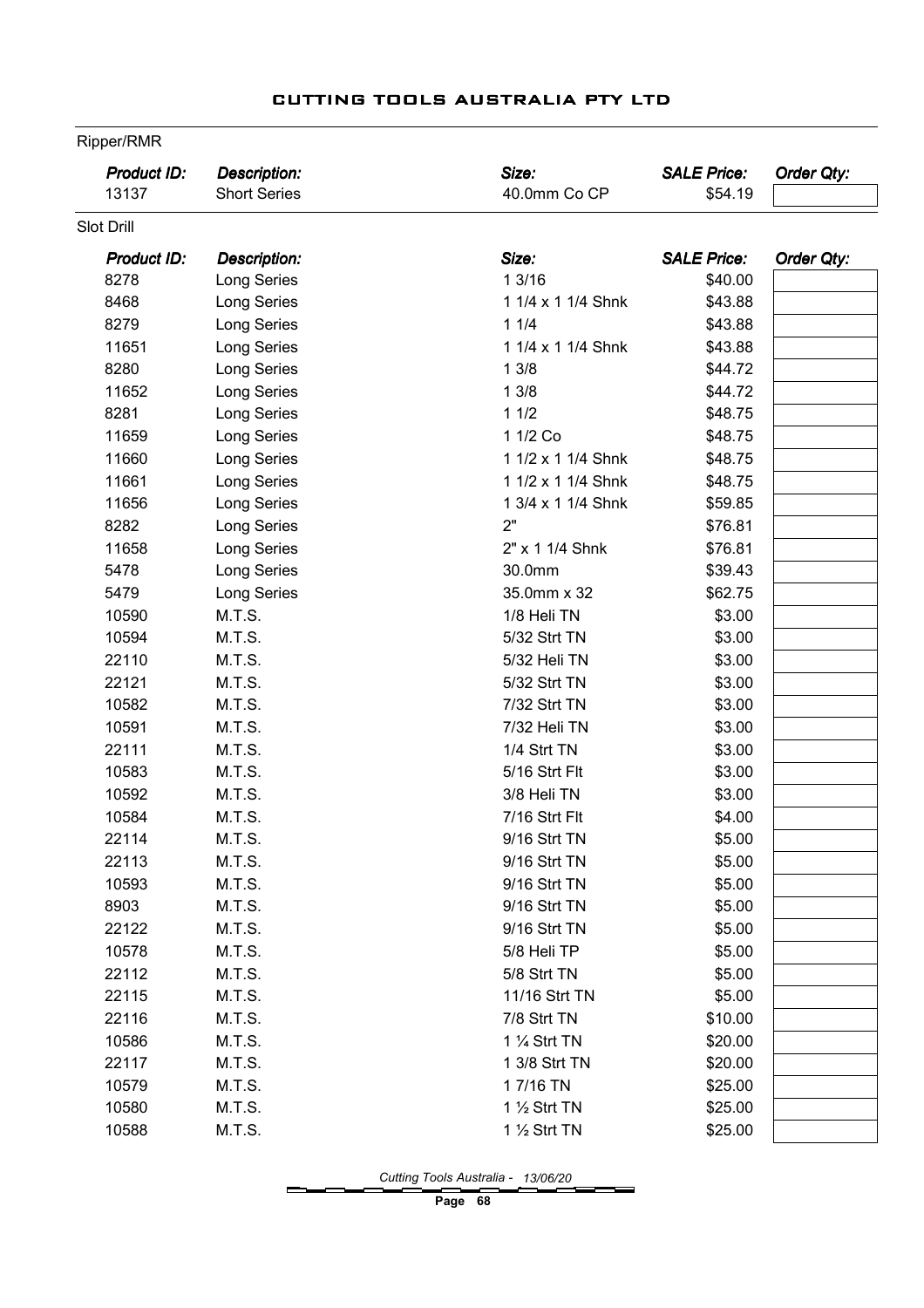| Product ID:<br>13137 | <b>Description:</b><br><b>Short Series</b> | Size:<br>40.0mm Co CP   | <b>SALE Price:</b><br>\$54.19 | <b>Order Qty:</b> |
|----------------------|--------------------------------------------|-------------------------|-------------------------------|-------------------|
| Slot Drill           |                                            |                         |                               |                   |
| Product ID:          | Description:                               | Size:                   | <b>SALE Price:</b>            | <b>Order Qty:</b> |
| 8278                 | Long Series                                | 13/16                   | \$40.00                       |                   |
| 8468                 | Long Series                                | 1 1/4 x 1 1/4 Shnk      | \$43.88                       |                   |
| 8279                 | Long Series                                | 11/4                    | \$43.88                       |                   |
| 11651                | Long Series                                | 1 1/4 x 1 1/4 Shnk      | \$43.88                       |                   |
| 8280                 | Long Series                                | 13/8                    | \$44.72                       |                   |
| 11652                | Long Series                                | 13/8                    | \$44.72                       |                   |
| 8281                 | Long Series                                | 11/2                    | \$48.75                       |                   |
| 11659                | Long Series                                | 1 1/2 Co                | \$48.75                       |                   |
| 11660                | Long Series                                | 1 1/2 x 1 1/4 Shnk      | \$48.75                       |                   |
| 11661                | Long Series                                | 1 1/2 x 1 1/4 Shnk      | \$48.75                       |                   |
| 11656                | Long Series                                | 1 3/4 x 1 1/4 Shnk      | \$59.85                       |                   |
| 8282                 | Long Series                                | 2"                      | \$76.81                       |                   |
| 11658                | Long Series                                | 2" x 1 1/4 Shnk         | \$76.81                       |                   |
| 5478                 | Long Series                                | 30.0mm                  | \$39.43                       |                   |
| 5479                 | Long Series                                | 35.0mm x 32             | \$62.75                       |                   |
| 10590                | M.T.S.                                     | 1/8 Heli TN             | \$3.00                        |                   |
| 10594                | M.T.S.                                     | 5/32 Strt TN            | \$3.00                        |                   |
| 22110                | M.T.S.                                     | 5/32 Heli TN            | \$3.00                        |                   |
| 22121                | M.T.S.                                     | 5/32 Strt TN            | \$3.00                        |                   |
| 10582                | M.T.S.                                     | 7/32 Strt TN            | \$3.00                        |                   |
| 10591                | M.T.S.                                     | 7/32 Heli TN            | \$3.00                        |                   |
| 22111                | M.T.S.                                     | 1/4 Strt TN             | \$3.00                        |                   |
| 10583                | M.T.S.                                     | 5/16 Strt Flt           | \$3.00                        |                   |
| 10592                | M.T.S.                                     | 3/8 Heli TN             | \$3.00                        |                   |
| 10584                | M.T.S.                                     | 7/16 Strt Flt           | \$4.00                        |                   |
| 22114                | M.T.S.                                     | 9/16 Strt TN            | \$5.00                        |                   |
| 22113                | M.T.S.                                     | 9/16 Strt TN            | \$5.00                        |                   |
| 10593                | M.T.S.                                     | 9/16 Strt TN            | \$5.00                        |                   |
| 8903                 | M.T.S.                                     | 9/16 Strt TN            | \$5.00                        |                   |
| 22122                | M.T.S.                                     | 9/16 Strt TN            | \$5.00                        |                   |
| 10578                | M.T.S.                                     | 5/8 Heli TP             | \$5.00                        |                   |
| 22112                | M.T.S.                                     | 5/8 Strt TN             | \$5.00                        |                   |
| 22115                | M.T.S.                                     | 11/16 Strt TN           | \$5.00                        |                   |
| 22116                | M.T.S.                                     | 7/8 Strt TN             | \$10.00                       |                   |
| 10586                | M.T.S.                                     | 1 1/4 Strt TN           | \$20.00                       |                   |
| 22117                | M.T.S.                                     | 1 3/8 Strt TN           | \$20.00                       |                   |
| 10579                | M.T.S.                                     | 17/16 TN                | \$25.00                       |                   |
| 10580                | M.T.S.                                     | 1 $\frac{1}{2}$ Strt TN | \$25.00                       |                   |
| 10588                | M.T.S.                                     | 1 1/2 Strt TN           | \$25.00                       |                   |

Ripper/RMR

Cutting Tools Australia - 13/06/20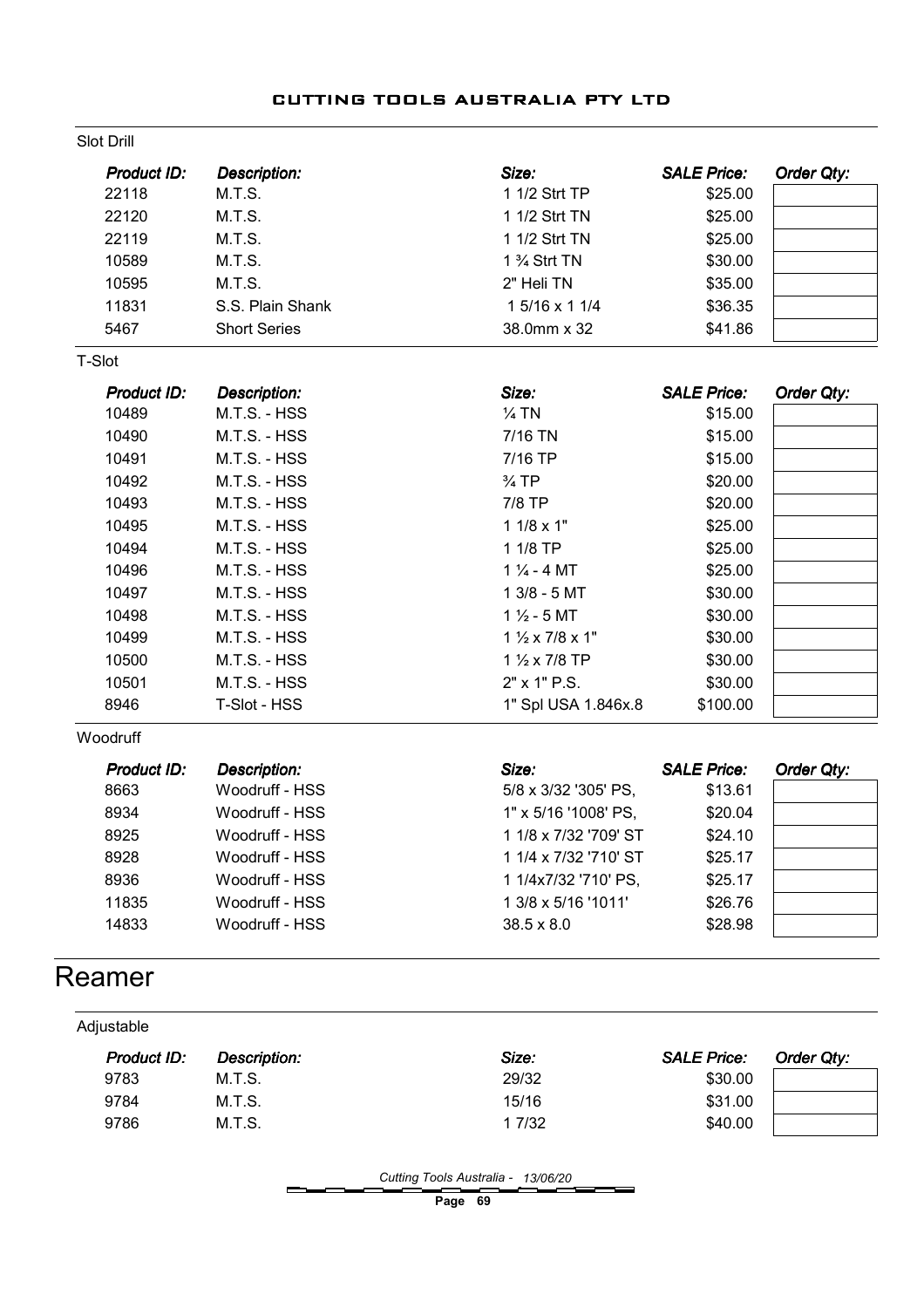|  | CUTTING TOOLS AUSTRALIA PTY LTD |  |
|--|---------------------------------|--|
|  |                                 |  |

| <b>Slot Drill</b> |                     |                                      |                    |            |
|-------------------|---------------------|--------------------------------------|--------------------|------------|
| Product ID:       | <b>Description:</b> | Size:                                | <b>SALE Price:</b> | Order Qty: |
| 22118             | M.T.S.              | 1 1/2 Strt TP                        | \$25.00            |            |
| 22120             | M.T.S.              | 1 1/2 Strt TN                        | \$25.00            |            |
| 22119             | M.T.S.              | 1 1/2 Strt TN                        | \$25.00            |            |
| 10589             | M.T.S.              | 1 % Strt TN                          | \$30.00            |            |
| 10595             | M.T.S.              | 2" Heli TN                           | \$35.00            |            |
| 11831             | S.S. Plain Shank    | 1 5/16 x 1 1/4                       | \$36.35            |            |
| 5467              | <b>Short Series</b> | 38.0mm x 32                          | \$41.86            |            |
| T-Slot            |                     |                                      |                    |            |
| Product ID:       | <b>Description:</b> | Size:                                | <b>SALE Price:</b> | Order Qty: |
| 10489             | M.T.S. - HSS        | $\frac{1}{4}$ TN                     | \$15.00            |            |
| 10490             | M.T.S. - HSS        | 7/16 TN                              | \$15.00            |            |
| 10491             | M.T.S. - HSS        | 7/16 TP                              | \$15.00            |            |
| 10492             | M.T.S. - HSS        | $\frac{3}{4}$ TP                     | \$20.00            |            |
| 10493             | M.T.S. - HSS        | 7/8 TP                               | \$20.00            |            |
| 10495             | M.T.S. - HSS        | $11/8 \times 1"$                     | \$25.00            |            |
| 10494             | M.T.S. - HSS        | 1 1/8 TP                             | \$25.00            |            |
| 10496             | M.T.S. - HSS        | $1\frac{1}{4}$ - 4 MT                | \$25.00            |            |
| 10497             | M.T.S. - HSS        | $13/8 - 5MT$                         | \$30.00            |            |
| 10498             | M.T.S. - HSS        | $1\frac{1}{2}$ - 5 MT                | \$30.00            |            |
| 10499             | M.T.S. - HSS        | $1\frac{1}{2} \times 7/8 \times 1$ " | \$30.00            |            |
| 10500             | M.T.S. - HSS        | 1 1/2 x 7/8 TP                       | \$30.00            |            |
| 10501             | M.T.S. - HSS        | 2" x 1" P.S.                         | \$30.00            |            |
| 8946              | T-Slot - HSS        | 1" Spl USA 1.846x.8                  | \$100.00           |            |
| Woodruff          |                     |                                      |                    |            |
| Product ID:       | Description:        | Size:                                | <b>SALE Price:</b> | Order Qty: |
| 8663              | Woodruff - HSS      | 5/8 x 3/32 '305' PS,                 | \$13.61            |            |
| 8934              | Woodruff - HSS      | 1" x 5/16 '1008' PS,                 | \$20.04            |            |
| 8925              | Woodruff - HSS      | 1 1/8 x 7/32 '709' ST                | \$24.10            |            |
| 8928              | Woodruff - HSS      | 1 1/4 x 7/32 '710' ST                | \$25.17            |            |
| 8936              | Woodruff - HSS      | 1 1/4x7/32 '710' PS,                 | \$25.17            |            |
| 11835             | Woodruff - HSS      | 1 3/8 x 5/16 '1011'                  | \$26.76            |            |
| 14833             | Woodruff - HSS      | $38.5 \times 8.0$                    | \$28.98            |            |
| Reamer            |                     |                                      |                    |            |
| Adjustable        |                     |                                      |                    |            |
| Product ID:       | <b>Description:</b> | Size:                                | <b>SALE Price:</b> | Order Qty: |
| 9783              | M.T.S.              | 29/32                                | \$30.00            |            |

Cutting Tools Australia - 13/06/20

Page 69

 M.T.S. 15/16 \$31.00 9786 M.T.S. 1 7/32 \$40.00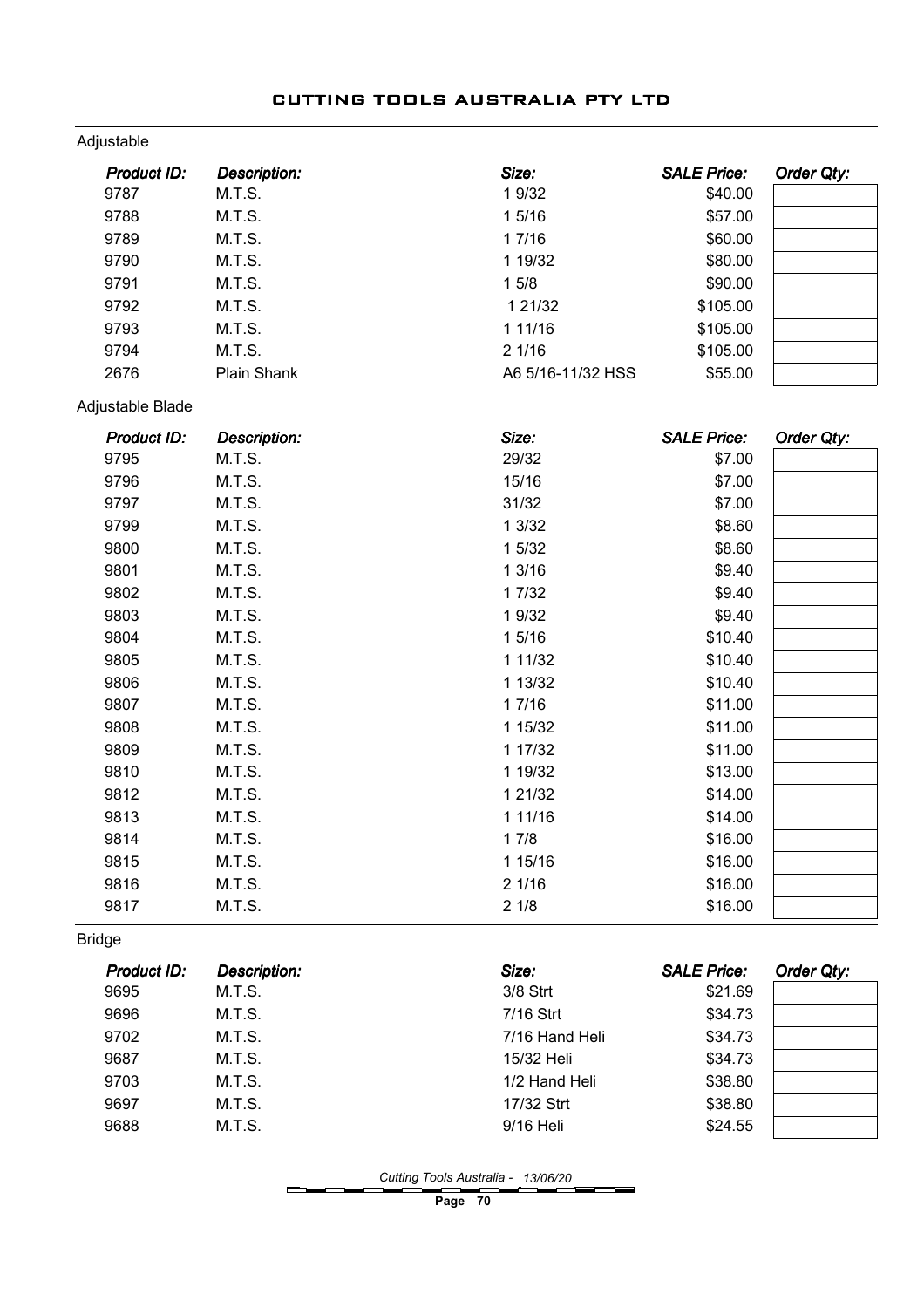| Adjustable  |                     |                   |                    |            |
|-------------|---------------------|-------------------|--------------------|------------|
| Product ID: | <b>Description:</b> | Size:             | <b>SALE Price:</b> | Order Qty: |
| 9787        | M.T.S.              | 1 9/32            | \$40.00            |            |
| 9788        | M.T.S.              | 1 5/16            | \$57.00            |            |
| 9789        | M.T.S.              | 1 7/16            | \$60.00            |            |
| 9790        | M.T.S.              | 1 19/32           | \$80.00            |            |
| 9791        | M.T.S.              | 15/8              | \$90.00            |            |
| 9792        | M.T.S.              | 1 21/32           | \$105.00           |            |
| 9793        | M.T.S.              | 1 11/16           | \$105.00           |            |
| 9794        | M.T.S.              | 21/16             | \$105.00           |            |
| 2676        | <b>Plain Shank</b>  | A6 5/16-11/32 HSS | \$55.00            |            |

Adjustable Blade

| Product ID: | <b>Description:</b> | Size:       | <b>SALE Price:</b> | Order Qty: |
|-------------|---------------------|-------------|--------------------|------------|
| 9795        | M.T.S.              | 29/32       | \$7.00             |            |
| 9796        | M.T.S.              | 15/16       | \$7.00             |            |
| 9797        | M.T.S.              | 31/32       | \$7.00             |            |
| 9799        | M.T.S.              | 13/32       | \$8.60             |            |
| 9800        | M.T.S.              | 1 5/32      | \$8.60             |            |
| 9801        | M.T.S.              | 13/16       | \$9.40             |            |
| 9802        | M.T.S.              | 1 7/32      | \$9.40             |            |
| 9803        | M.T.S.              | 1 9/32      | \$9.40             |            |
| 9804        | M.T.S.              | 15/16       | \$10.40            |            |
| 9805        | M.T.S.              | 1 1 1 / 3 2 | \$10.40            |            |
| 9806        | M.T.S.              | 1 13/32     | \$10.40            |            |
| 9807        | M.T.S.              | 17/16       | \$11.00            |            |
| 9808        | M.T.S.              | 1 15/32     | \$11.00            |            |
| 9809        | M.T.S.              | 1 17/32     | \$11.00            |            |
| 9810        | M.T.S.              | 1 19/32     | \$13.00            |            |
| 9812        | M.T.S.              | 1 21/32     | \$14.00            |            |
| 9813        | M.T.S.              | 1 11/16     | \$14.00            |            |
| 9814        | M.T.S.              | 17/8        | \$16.00            |            |
| 9815        | M.T.S.              | 1 15/16     | \$16.00            |            |
| 9816        | M.T.S.              | 21/16       | \$16.00            |            |
| 9817        | M.T.S.              | 21/8        | \$16.00            |            |

Bridge

| <b>Product ID:</b> | Description: | Size:          | <b>SALE Price:</b> | Order Qty: |
|--------------------|--------------|----------------|--------------------|------------|
| 9695               | M.T.S.       | $3/8$ Strt     | \$21.69            |            |
| 9696               | M.T.S.       | 7/16 Strt      | \$34.73            |            |
| 9702               | M.T.S.       | 7/16 Hand Heli | \$34.73            |            |
| 9687               | M.T.S.       | 15/32 Heli     | \$34.73            |            |
| 9703               | M.T.S.       | 1/2 Hand Heli  | \$38.80            |            |
| 9697               | M.T.S.       | 17/32 Strt     | \$38.80            |            |
| 9688               | M.T.S.       | 9/16 Heli      | \$24.55            |            |

Cutting Tools Australia - 13/06/20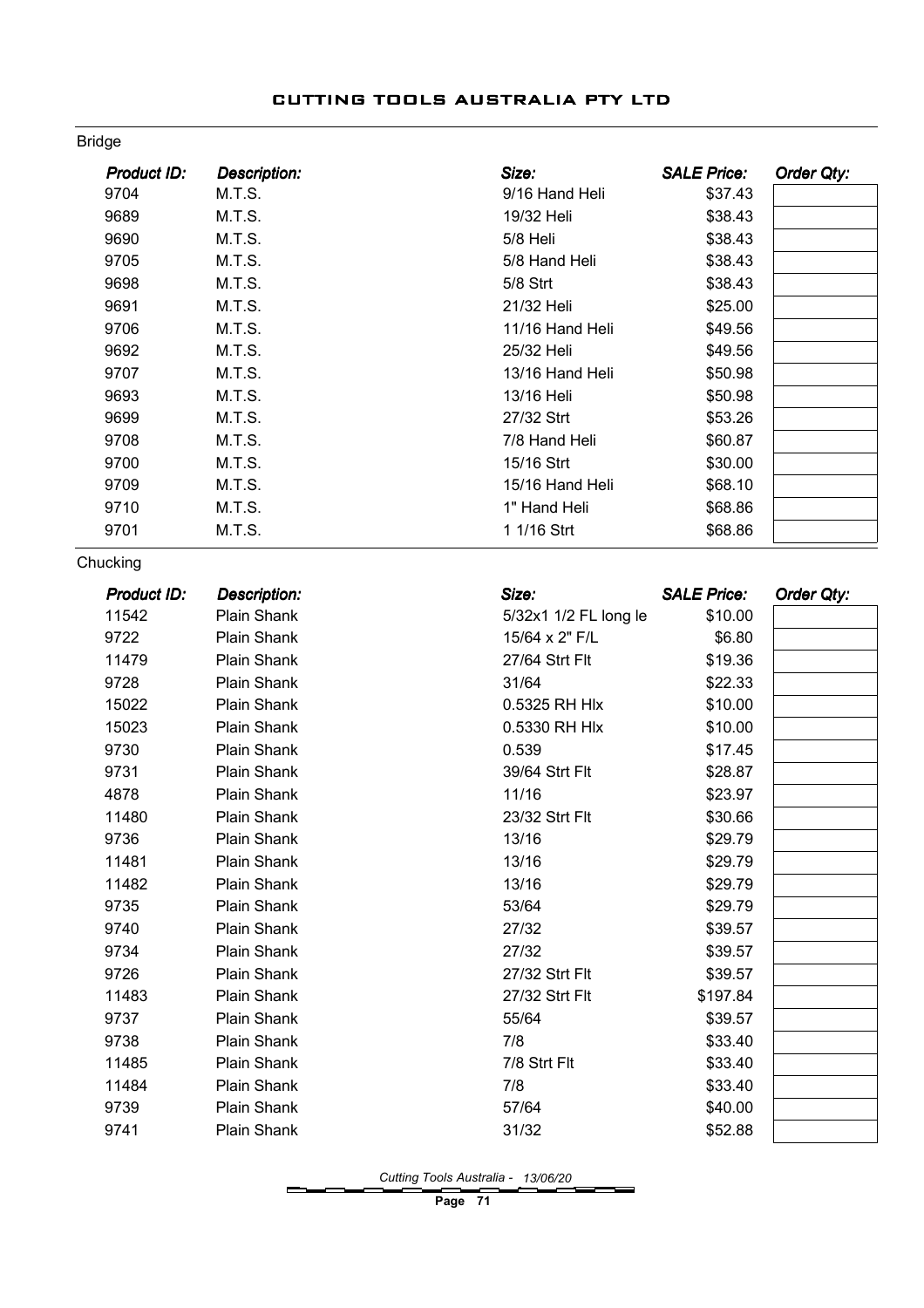| Product ID:        | Description:        | Size:                 | <b>SALE Price:</b> | Order Qty:        |
|--------------------|---------------------|-----------------------|--------------------|-------------------|
| 9704               | M.T.S.              | 9/16 Hand Heli        | \$37.43            |                   |
| 9689               | M.T.S.              | 19/32 Heli            | \$38.43            |                   |
| 9690               | M.T.S.              | 5/8 Heli              | \$38.43            |                   |
| 9705               | M.T.S.              | 5/8 Hand Heli         | \$38.43            |                   |
| 9698               | M.T.S.              | 5/8 Strt              | \$38.43            |                   |
| 9691               | M.T.S.              | 21/32 Heli            | \$25.00            |                   |
| 9706               | M.T.S.              | 11/16 Hand Heli       | \$49.56            |                   |
| 9692               | M.T.S.              | 25/32 Heli            | \$49.56            |                   |
| 9707               | M.T.S.              | 13/16 Hand Heli       | \$50.98            |                   |
| 9693               | M.T.S.              | 13/16 Heli            | \$50.98            |                   |
| 9699               | M.T.S.              | 27/32 Strt            | \$53.26            |                   |
| 9708               | M.T.S.              | 7/8 Hand Heli         | \$60.87            |                   |
| 9700               | M.T.S.              | 15/16 Strt            | \$30.00            |                   |
| 9709               | M.T.S.              | 15/16 Hand Heli       | \$68.10            |                   |
| 9710               | M.T.S.              | 1" Hand Heli          | \$68.86            |                   |
| 9701               | M.T.S.              | 1 1/16 Strt           | \$68.86            |                   |
| Chucking           |                     |                       |                    |                   |
| <b>Product ID:</b> | <b>Description:</b> | Size:                 | <b>SALE Price:</b> | <b>Order Qty:</b> |
| 11542              | Plain Shank         | 5/32x1 1/2 FL long le | \$10.00            |                   |
| 9722               | Plain Shank         | 15/64 x 2" F/L        | \$6.80             |                   |
| 11479              | Plain Shank         | 27/64 Strt Flt        | \$19.36            |                   |
| 9728               | Plain Shank         | 31/64                 | \$22.33            |                   |
| 15022              | Plain Shank         | 0.5325 RH Hlx         | \$10.00            |                   |
| 15023              | Plain Shank         | 0.5330 RH Hlx         | \$10.00            |                   |
| 9730               | Plain Shank         | 0.539                 | \$17.45            |                   |
| 9731               | Plain Shank         | 39/64 Strt Flt        | \$28.87            |                   |
| 4878               | Plain Shank         | 11/16                 | \$23.97            |                   |
| 11480              | Plain Shank         | 23/32 Strt Flt        | \$30.66            |                   |
| 9736               | Plain Shank         | 13/16                 | \$29.79            |                   |
| 11481              | Plain Shank         | 13/16                 | \$29.79            |                   |
| 11482              | Plain Shank         | 13/16                 | \$29.79            |                   |
| 9735               | Plain Shank         | 53/64                 | \$29.79            |                   |
| 9740               | Plain Shank         | 27/32                 | \$39.57            |                   |
| 9734               | Plain Shank         | 27/32                 | \$39.57            |                   |
| 9726               | Plain Shank         | 27/32 Strt Flt        | \$39.57            |                   |
| 11483              | Plain Shank         | 27/32 Strt Flt        | \$197.84           |                   |
| 9737               | Plain Shank         | 55/64                 | \$39.57            |                   |
| 9738               | Plain Shank         | 7/8                   | \$33.40            |                   |
| 11485              | Plain Shank         | 7/8 Strt Flt          | \$33.40            |                   |
| 11484              | Plain Shank         | 7/8                   | \$33.40            |                   |
| 9739               | Plain Shank         | 57/64                 | \$40.00            |                   |
| 9741               | Plain Shank         | 31/32                 | \$52.88            |                   |

Bridge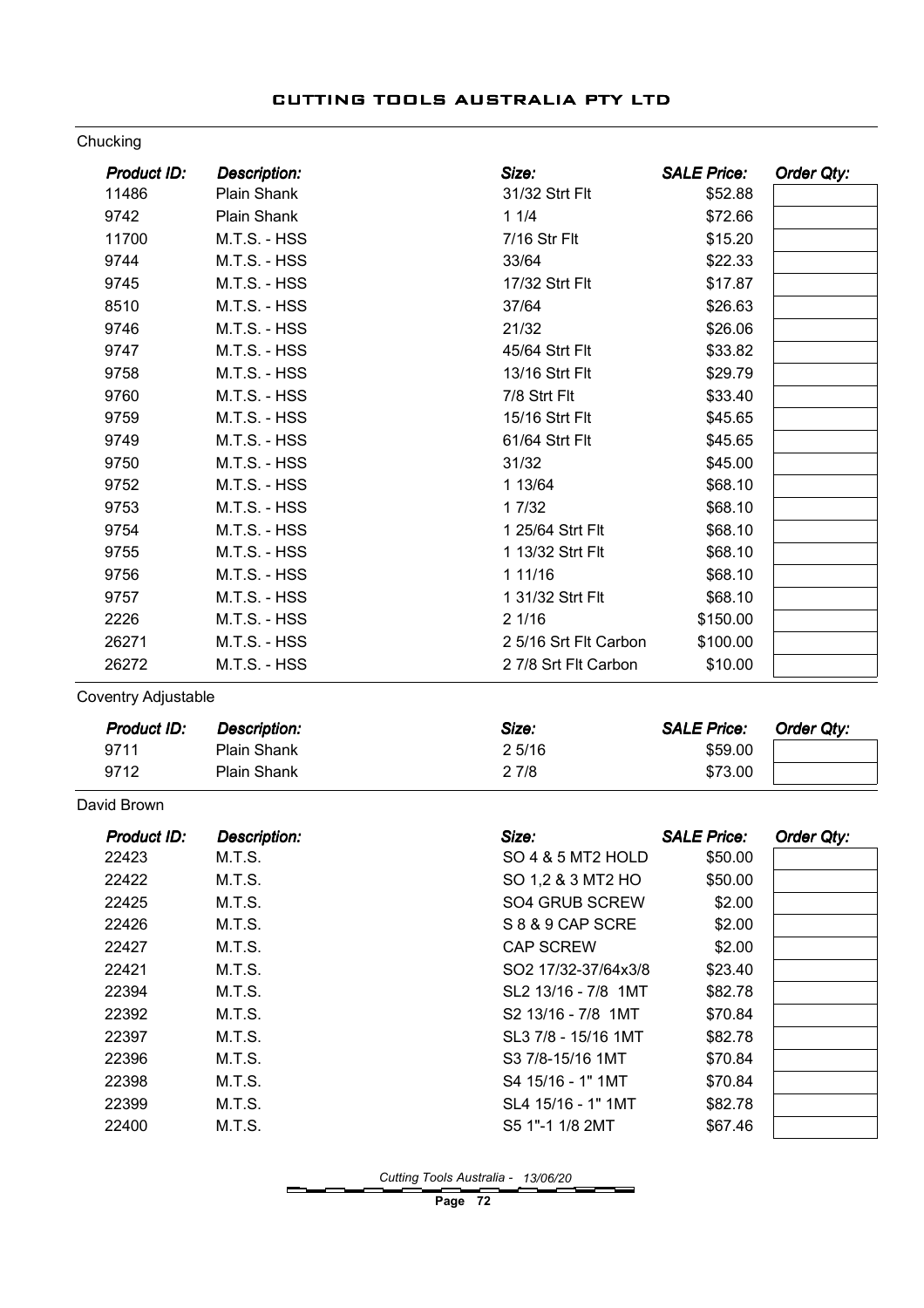#### Chucking

| Product ID: | <b>Description:</b> | Size:                 | <b>SALE Price:</b> | Order Qty: |
|-------------|---------------------|-----------------------|--------------------|------------|
| 11486       | Plain Shank         | 31/32 Strt Flt        | \$52.88            |            |
| 9742        | Plain Shank         | 11/4                  | \$72.66            |            |
| 11700       | M.T.S. - HSS        | 7/16 Str Flt          | \$15.20            |            |
| 9744        | M.T.S. - HSS        | 33/64                 | \$22.33            |            |
| 9745        | M.T.S. - HSS        | 17/32 Strt Flt        | \$17.87            |            |
| 8510        | M.T.S. - HSS        | 37/64                 | \$26.63            |            |
| 9746        | M.T.S. - HSS        | 21/32                 | \$26.06            |            |
| 9747        | M.T.S. - HSS        | 45/64 Strt Flt        | \$33.82            |            |
| 9758        | M.T.S. - HSS        | 13/16 Strt Flt        | \$29.79            |            |
| 9760        | M.T.S. - HSS        | 7/8 Strt Flt          | \$33.40            |            |
| 9759        | M.T.S. - HSS        | 15/16 Strt Flt        | \$45.65            |            |
| 9749        | M.T.S. - HSS        | 61/64 Strt Flt        | \$45.65            |            |
| 9750        | M.T.S. - HSS        | 31/32                 | \$45.00            |            |
| 9752        | M.T.S. - HSS        | 1 13/64               | \$68.10            |            |
| 9753        | M.T.S. - HSS        | 1 7/32                | \$68.10            |            |
| 9754        | M.T.S. - HSS        | 1 25/64 Strt Flt      | \$68.10            |            |
| 9755        | M.T.S. - HSS        | 1 13/32 Strt Flt      | \$68.10            |            |
| 9756        | M.T.S. - HSS        | 1 11/16               | \$68.10            |            |
| 9757        | M.T.S. - HSS        | 1 31/32 Strt Flt      | \$68.10            |            |
| 2226        | M.T.S. - HSS        | 21/16                 | \$150.00           |            |
| 26271       | M.T.S. - HSS        | 2 5/16 Srt Flt Carbon | \$100.00           |            |
| 26272       | M.T.S. - HSS        | 2 7/8 Srt Flt Carbon  | \$10.00            |            |

Coventry Adjustable

| Product ID: | <b>Description:</b> | Size: | <b>SALE Price:</b> | Order Qtv: |
|-------------|---------------------|-------|--------------------|------------|
| 9711        | Plain Shank         | 25/16 | \$59.00            |            |
| 9712        | Plain Shank         | 2 7/8 | \$73.00            |            |

#### David Brown

| Product ID: | <b>Description:</b> | Size:               | <b>SALE Price:</b> | Order Qty: |
|-------------|---------------------|---------------------|--------------------|------------|
| 22423       | M.T.S.              | SO 4 & 5 MT2 HOLD   | \$50.00            |            |
| 22422       | M.T.S.              | SO 1,2 & 3 MT2 HO   | \$50.00            |            |
| 22425       | M.T.S.              | SO4 GRUB SCREW      | \$2.00             |            |
| 22426       | M.T.S.              | S 8 & 9 CAP SCRE    | \$2.00             |            |
| 22427       | M.T.S.              | <b>CAP SCREW</b>    | \$2.00             |            |
| 22421       | M.T.S.              | SO2 17/32-37/64x3/8 | \$23.40            |            |
| 22394       | M.T.S.              | SL2 13/16 - 7/8 1MT | \$82.78            |            |
| 22392       | M.T.S.              | S2 13/16 - 7/8 1MT  | \$70.84            |            |
| 22397       | M.T.S.              | SL3 7/8 - 15/16 1MT | \$82.78            |            |
| 22396       | M.T.S.              | S3 7/8-15/16 1MT    | \$70.84            |            |
| 22398       | M.T.S.              | S4 15/16 - 1" 1MT   | \$70.84            |            |
| 22399       | M.T.S.              | SL4 15/16 - 1" 1MT  | \$82.78            |            |
| 22400       | M.T.S.              | S5 1"-1 1/8 2MT     | \$67.46            |            |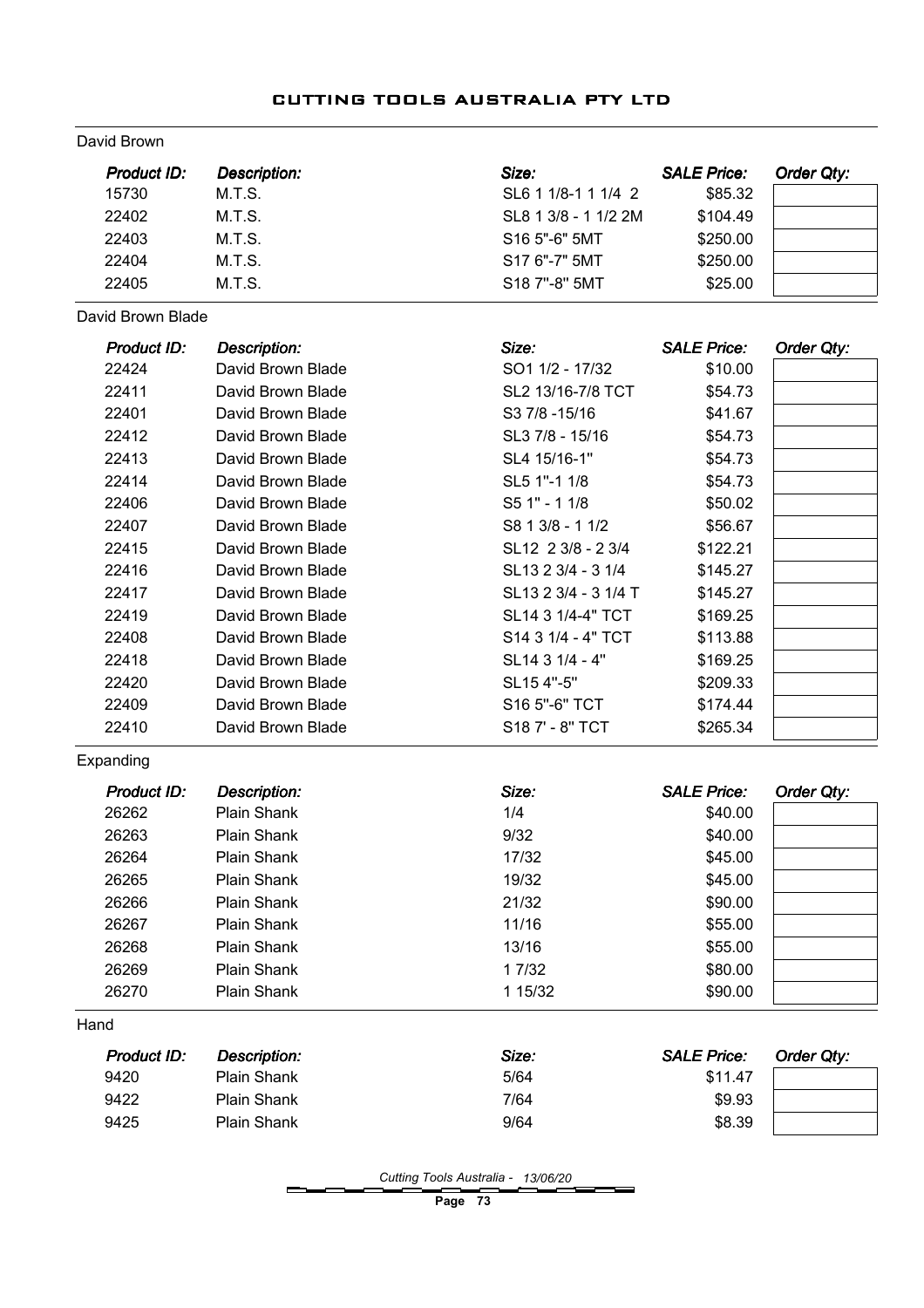David Brown

| <b>Product ID:</b> | <b>Description:</b> | Size:                | <b>SALE Price:</b> | <b>Order Qty:</b> |
|--------------------|---------------------|----------------------|--------------------|-------------------|
| 15730              | M.T.S.              | SL6 1 1/8-1 1 1/4 2  | \$85.32            |                   |
| 22402              | M.T.S.              | SL8 1 3/8 - 1 1/2 2M | \$104.49           |                   |
| 22403              | M.T.S.              | S16 5"-6" 5MT        | \$250.00           |                   |
| 22404              | M.T.S.              | S17 6"-7" 5MT        | \$250.00           |                   |
| 22405              | M.T.S.              | S18 7"-8" 5MT        | \$25.00            |                   |
| David Brown Blade  |                     |                      |                    |                   |
| Product ID:        | <b>Description:</b> | Size:                | <b>SALE Price:</b> | <b>Order Qty:</b> |
| 22424              | David Brown Blade   | SO1 1/2 - 17/32      | \$10.00            |                   |
| 22411              | David Brown Blade   | SL2 13/16-7/8 TCT    | \$54.73            |                   |
| 22401              | David Brown Blade   | S3 7/8 - 15/16       | \$41.67            |                   |
| 22412              | David Brown Blade   | SL3 7/8 - 15/16      | \$54.73            |                   |
| 22413              | David Brown Blade   | SL4 15/16-1"         | \$54.73            |                   |
| 22414              | David Brown Blade   | SL5 1"-1 1/8         | \$54.73            |                   |
| 22406              | David Brown Blade   | S5 1" - 1 1/8        | \$50.02            |                   |
| 22407              | David Brown Blade   | S8 1 3/8 - 1 1/2     | \$56.67            |                   |
| 22415              | David Brown Blade   | SL12 2 3/8 - 2 3/4   | \$122.21           |                   |
| 22416              | David Brown Blade   | SL13 2 3/4 - 3 1/4   | \$145.27           |                   |
| 22417              | David Brown Blade   | SL13 2 3/4 - 3 1/4 T | \$145.27           |                   |
| 22419              | David Brown Blade   | SL14 3 1/4-4" TCT    | \$169.25           |                   |
| 22408              | David Brown Blade   | S14 3 1/4 - 4" TCT   | \$113.88           |                   |
| 22418              | David Brown Blade   | SL14 3 1/4 - 4"      | \$169.25           |                   |
| 22420              | David Brown Blade   | SL15 4"-5"           | \$209.33           |                   |
| 22409              | David Brown Blade   | S16 5"-6" TCT        | \$174.44           |                   |
| 22410              | David Brown Blade   | S18 7' - 8" TCT      | \$265.34           |                   |
| Expanding          |                     |                      |                    |                   |
| <b>Product ID:</b> | <b>Description:</b> | Size:                | <b>SALE Price:</b> | Order Qty:        |
| 26262              | Plain Shank         | 1/4                  | \$40.00            |                   |
| 26263              | Plain Shank         | 9/32                 | \$40.00            |                   |
| 26264              | Plain Shank         | 17/32                | \$45.00            |                   |
| 26265              | Plain Shank         | 19/32                | \$45.00            |                   |
| 26266              | Plain Shank         | 21/32                | \$90.00            |                   |
| 26267              | Plain Shank         | 11/16                | \$55.00            |                   |
| 26268              | Plain Shank         | 13/16                | \$55.00            |                   |
| 26269              | Plain Shank         | 1 7/32               | \$80.00            |                   |
| 26270              | Plain Shank         | 1 15/32              | \$90.00            |                   |
| Hand               |                     |                      |                    |                   |
|                    |                     | Size:                | <b>SALE Price:</b> | Order Qty:        |
| Product ID:        | <b>Description:</b> |                      |                    |                   |
| 9420               | Plain Shank         | 5/64                 | \$11.47            |                   |
| 9422               | Plain Shank         | 7/64                 | \$9.93             |                   |

Page 73

\_\_\_\_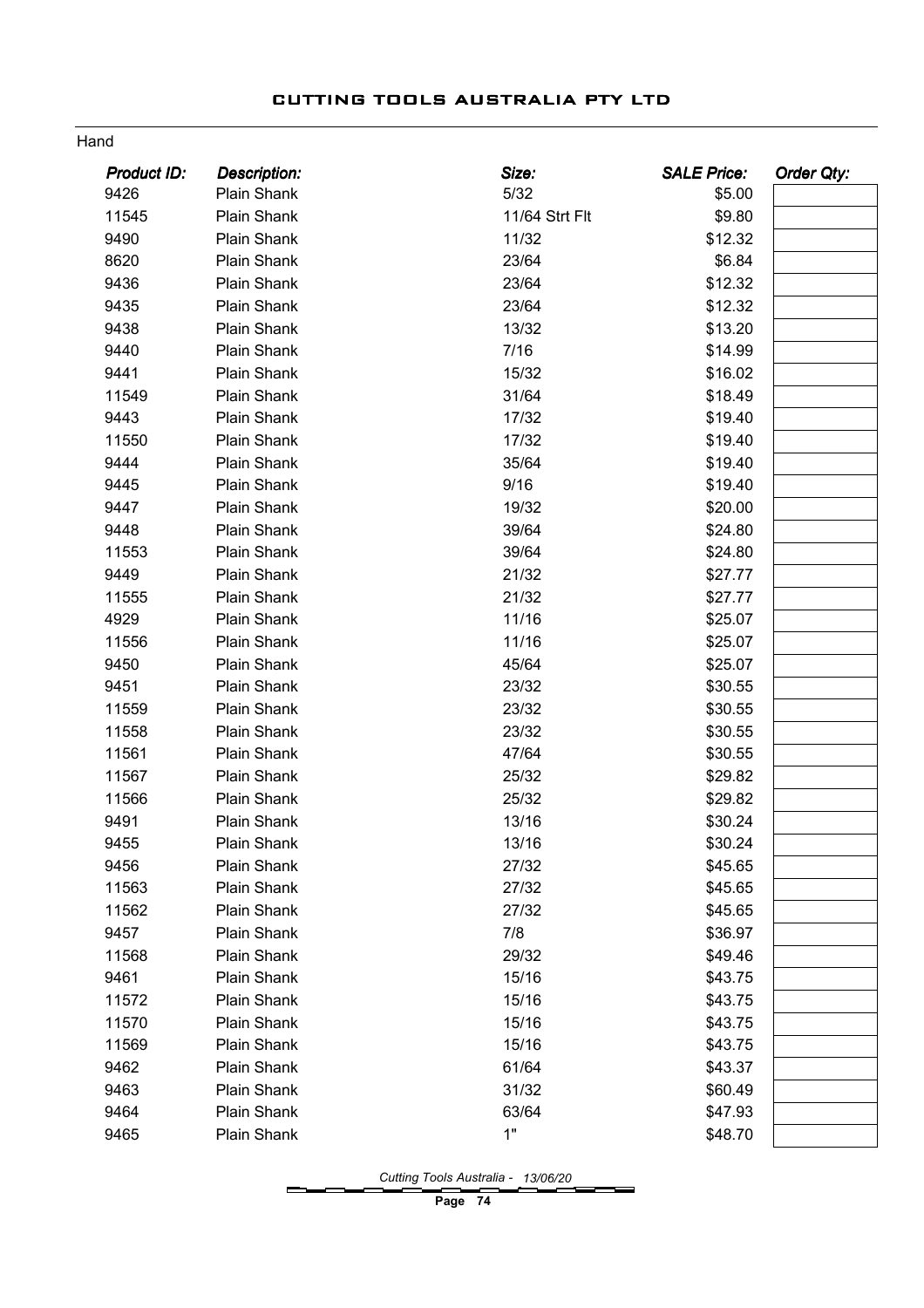#### Hand

| <b>Product ID:</b> | <b>Description:</b> | Size:          | <b>SALE Price:</b> | <b>Order Qty:</b> |
|--------------------|---------------------|----------------|--------------------|-------------------|
| 9426               | Plain Shank         | 5/32           | \$5.00             |                   |
| 11545              | Plain Shank         | 11/64 Strt Flt | \$9.80             |                   |
| 9490               | Plain Shank         | 11/32          | \$12.32            |                   |
| 8620               | Plain Shank         | 23/64          | \$6.84             |                   |
| 9436               | Plain Shank         | 23/64          | \$12.32            |                   |
| 9435               | Plain Shank         | 23/64          | \$12.32            |                   |
| 9438               | Plain Shank         | 13/32          | \$13.20            |                   |
| 9440               | Plain Shank         | 7/16           | \$14.99            |                   |
| 9441               | Plain Shank         | 15/32          | \$16.02            |                   |
| 11549              | Plain Shank         | 31/64          | \$18.49            |                   |
| 9443               | Plain Shank         | 17/32          | \$19.40            |                   |
| 11550              | Plain Shank         | 17/32          | \$19.40            |                   |
| 9444               | Plain Shank         | 35/64          | \$19.40            |                   |
| 9445               | Plain Shank         | 9/16           | \$19.40            |                   |
| 9447               | Plain Shank         | 19/32          | \$20.00            |                   |
| 9448               | Plain Shank         | 39/64          | \$24.80            |                   |
| 11553              | Plain Shank         | 39/64          | \$24.80            |                   |
| 9449               | Plain Shank         | 21/32          | \$27.77            |                   |
| 11555              | Plain Shank         | 21/32          | \$27.77            |                   |
| 4929               | Plain Shank         | 11/16          | \$25.07            |                   |
| 11556              | Plain Shank         | 11/16          | \$25.07            |                   |
| 9450               | Plain Shank         | 45/64          | \$25.07            |                   |
| 9451               | Plain Shank         | 23/32          | \$30.55            |                   |
| 11559              | Plain Shank         | 23/32          | \$30.55            |                   |
| 11558              | Plain Shank         | 23/32          | \$30.55            |                   |
| 11561              | Plain Shank         | 47/64          | \$30.55            |                   |
| 11567              | Plain Shank         | 25/32          | \$29.82            |                   |
| 11566              | Plain Shank         | 25/32          | \$29.82            |                   |
| 9491               | Plain Shank         | 13/16          | \$30.24            |                   |
| 9455               | Plain Shank         | 13/16          | \$30.24            |                   |
| 9456               | Plain Shank         | 27/32          | \$45.65            |                   |
| 11563              | Plain Shank         | 27/32          | \$45.65            |                   |
| 11562              | Plain Shank         | 27/32          | \$45.65            |                   |
| 9457               | Plain Shank         | 7/8            | \$36.97            |                   |
| 11568              | Plain Shank         | 29/32          | \$49.46            |                   |
| 9461               | Plain Shank         | 15/16          | \$43.75            |                   |
| 11572              | Plain Shank         | 15/16          | \$43.75            |                   |
| 11570              | Plain Shank         | 15/16          | \$43.75            |                   |
| 11569              | Plain Shank         | 15/16          | \$43.75            |                   |
| 9462               | Plain Shank         | 61/64          | \$43.37            |                   |
| 9463               | Plain Shank         | 31/32          | \$60.49            |                   |
| 9464               | Plain Shank         | 63/64          | \$47.93            |                   |
| 9465               | Plain Shank         | 1"             | \$48.70            |                   |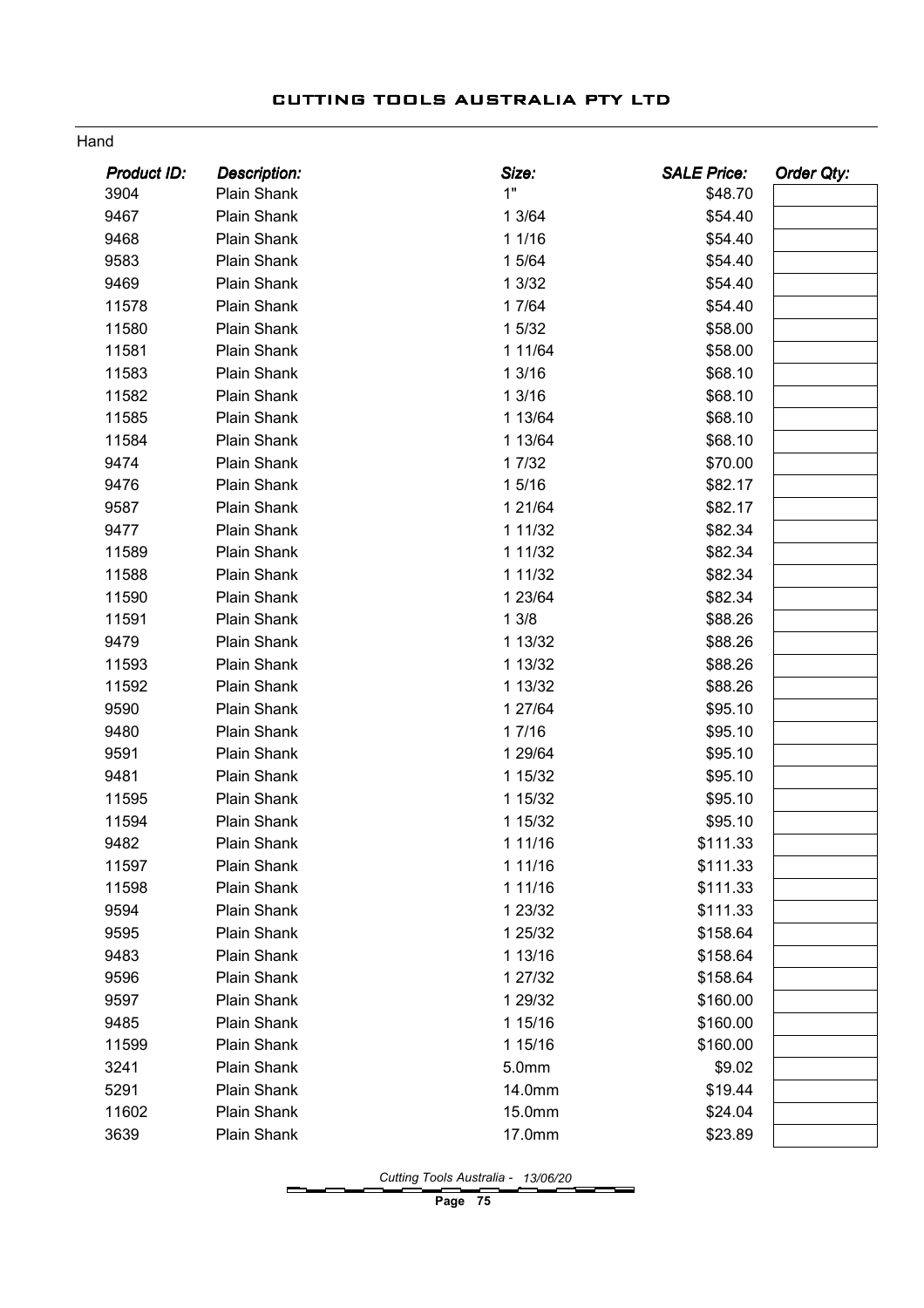#### Hand

| Product ID: | Description: | Size:       | <b>SALE Price:</b> | <b>Order Qty:</b> |
|-------------|--------------|-------------|--------------------|-------------------|
| 3904        | Plain Shank  | 1"          | \$48.70            |                   |
| 9467        | Plain Shank  | 1 3/64      | \$54.40            |                   |
| 9468        | Plain Shank  | 1 1/16      | \$54.40            |                   |
| 9583        | Plain Shank  | 1 5/64      | \$54.40            |                   |
| 9469        | Plain Shank  | 1 3/32      | \$54.40            |                   |
| 11578       | Plain Shank  | 1 7/64      | \$54.40            |                   |
| 11580       | Plain Shank  | 1 5/32      | \$58.00            |                   |
| 11581       | Plain Shank  | 1 1 1/64    | \$58.00            |                   |
| 11583       | Plain Shank  | 1 3/16      | \$68.10            |                   |
| 11582       | Plain Shank  | 13/16       | \$68.10            |                   |
| 11585       | Plain Shank  | 1 13/64     | \$68.10            |                   |
| 11584       | Plain Shank  | 1 13/64     | \$68.10            |                   |
| 9474        | Plain Shank  | 1 7/32      | \$70.00            |                   |
| 9476        | Plain Shank  | 15/16       | \$82.17            |                   |
| 9587        | Plain Shank  | 1 21/64     | \$82.17            |                   |
| 9477        | Plain Shank  | 1 1 1 / 3 2 | \$82.34            |                   |
| 11589       | Plain Shank  | 1 1 1 / 3 2 | \$82.34            |                   |
| 11588       | Plain Shank  | 1 1 1 / 3 2 | \$82.34            |                   |
| 11590       | Plain Shank  | 1 23/64     | \$82.34            |                   |
| 11591       | Plain Shank  | 13/8        | \$88.26            |                   |
| 9479        | Plain Shank  | 1 13/32     | \$88.26            |                   |
| 11593       | Plain Shank  | 1 13/32     | \$88.26            |                   |
| 11592       | Plain Shank  | 1 13/32     | \$88.26            |                   |
| 9590        | Plain Shank  | 1 27/64     | \$95.10            |                   |
| 9480        | Plain Shank  | 17/16       | \$95.10            |                   |
| 9591        | Plain Shank  | 1 29/64     | \$95.10            |                   |
| 9481        | Plain Shank  | 1 15/32     | \$95.10            |                   |
| 11595       | Plain Shank  | 1 15/32     | \$95.10            |                   |
| 11594       | Plain Shank  | 1 15/32     | \$95.10            |                   |
| 9482        | Plain Shank  | 1 11/16     | \$111.33           |                   |
| 11597       | Plain Shank  | 1 11/16     | \$111.33           |                   |
| 11598       | Plain Shank  | 1 11/16     | \$111.33           |                   |
| 9594        | Plain Shank  | 1 23/32     | \$111.33           |                   |
| 9595        | Plain Shank  | 1 25/32     | \$158.64           |                   |
| 9483        | Plain Shank  | 1 13/16     | \$158.64           |                   |
| 9596        | Plain Shank  | 1 27/32     | \$158.64           |                   |
| 9597        | Plain Shank  | 1 29/32     | \$160.00           |                   |
| 9485        | Plain Shank  | 1 15/16     | \$160.00           |                   |
| 11599       | Plain Shank  | 1 15/16     | \$160.00           |                   |
| 3241        | Plain Shank  | 5.0mm       | \$9.02             |                   |
| 5291        | Plain Shank  | 14.0mm      | \$19.44            |                   |
| 11602       | Plain Shank  | 15.0mm      | \$24.04            |                   |
| 3639        | Plain Shank  | 17.0mm      | \$23.89            |                   |
|             |              |             |                    |                   |

Cutting Tools Australia - 13/06/20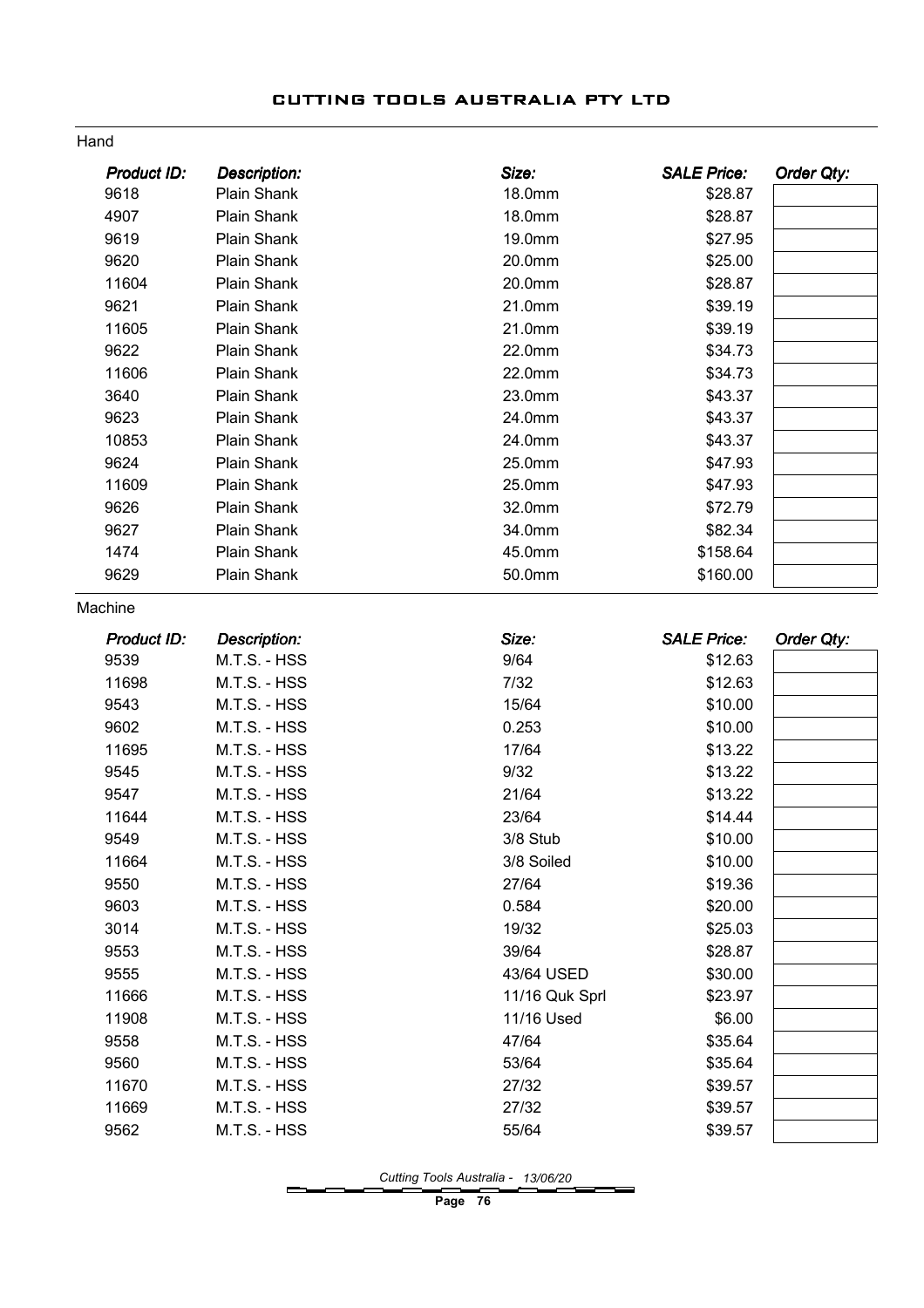#### Hand

| Product ID: | <b>Description:</b> | Size:          | <b>SALE Price:</b> | <b>Order Qty:</b> |
|-------------|---------------------|----------------|--------------------|-------------------|
| 9618        | Plain Shank         | 18.0mm         | \$28.87            |                   |
| 4907        | Plain Shank         | 18.0mm         | \$28.87            |                   |
| 9619        | Plain Shank         | 19.0mm         | \$27.95            |                   |
| 9620        | Plain Shank         | 20.0mm         | \$25.00            |                   |
| 11604       | Plain Shank         | 20.0mm         | \$28.87            |                   |
| 9621        | Plain Shank         | 21.0mm         | \$39.19            |                   |
| 11605       | Plain Shank         | 21.0mm         | \$39.19            |                   |
| 9622        | Plain Shank         | 22.0mm         | \$34.73            |                   |
| 11606       | Plain Shank         | 22.0mm         | \$34.73            |                   |
| 3640        | Plain Shank         | 23.0mm         | \$43.37            |                   |
| 9623        | Plain Shank         | 24.0mm         | \$43.37            |                   |
| 10853       | Plain Shank         | 24.0mm         | \$43.37            |                   |
| 9624        | Plain Shank         | 25.0mm         | \$47.93            |                   |
| 11609       | Plain Shank         | 25.0mm         | \$47.93            |                   |
| 9626        | Plain Shank         | 32.0mm         | \$72.79            |                   |
| 9627        | Plain Shank         | 34.0mm         | \$82.34            |                   |
| 1474        | Plain Shank         | 45.0mm         | \$158.64           |                   |
| 9629        | Plain Shank         | 50.0mm         | \$160.00           |                   |
| Machine     |                     |                |                    |                   |
| Product ID: | <b>Description:</b> | Size:          | <b>SALE Price:</b> | <b>Order Qty:</b> |
| 9539        | M.T.S. - HSS        | 9/64           | \$12.63            |                   |
| 11698       | M.T.S. - HSS        | $7/32$         | \$12.63            |                   |
| 9543        | M.T.S. - HSS        | 15/64          | \$10.00            |                   |
| 9602        | M.T.S. - HSS        | 0.253          | \$10.00            |                   |
| 11695       | M.T.S. - HSS        | 17/64          | \$13.22            |                   |
| 9545        | M.T.S. - HSS        | 9/32           | \$13.22            |                   |
| 9547        | M.T.S. - HSS        | 21/64          | \$13.22            |                   |
| 11644       | M.T.S. - HSS        | 23/64          | \$14.44            |                   |
| 9549        | M.T.S. - HSS        | 3/8 Stub       | \$10.00            |                   |
| 11664       | M.T.S. - HSS        | 3/8 Soiled     | \$10.00            |                   |
| 9550        | M.T.S. - HSS        | 27/64          | \$19.36            |                   |
| 9603        | M.T.S. - HSS        | 0.584          | \$20.00            |                   |
| 3014        | M.T.S. - HSS        | 19/32          | \$25.03            |                   |
| 9553        | M.T.S. - HSS        | 39/64          | \$28.87            |                   |
| 9555        | M.T.S. - HSS        | 43/64 USED     | \$30.00            |                   |
| 11666       | M.T.S. - HSS        | 11/16 Quk Sprl | \$23.97            |                   |
| 11908       | M.T.S. - HSS        | 11/16 Used     | \$6.00             |                   |
| 9558        | M.T.S. - HSS        | 47/64          | \$35.64            |                   |
| 9560        | M.T.S. - HSS        | 53/64          | \$35.64            |                   |
| 11670       | M.T.S. - HSS        | 27/32          | \$39.57            |                   |
| 11669       | M.T.S. - HSS        | 27/32          | \$39.57            |                   |
| 9562        | M.T.S. - HSS        | 55/64          | \$39.57            |                   |

Cutting Tools Australia - 13/06/20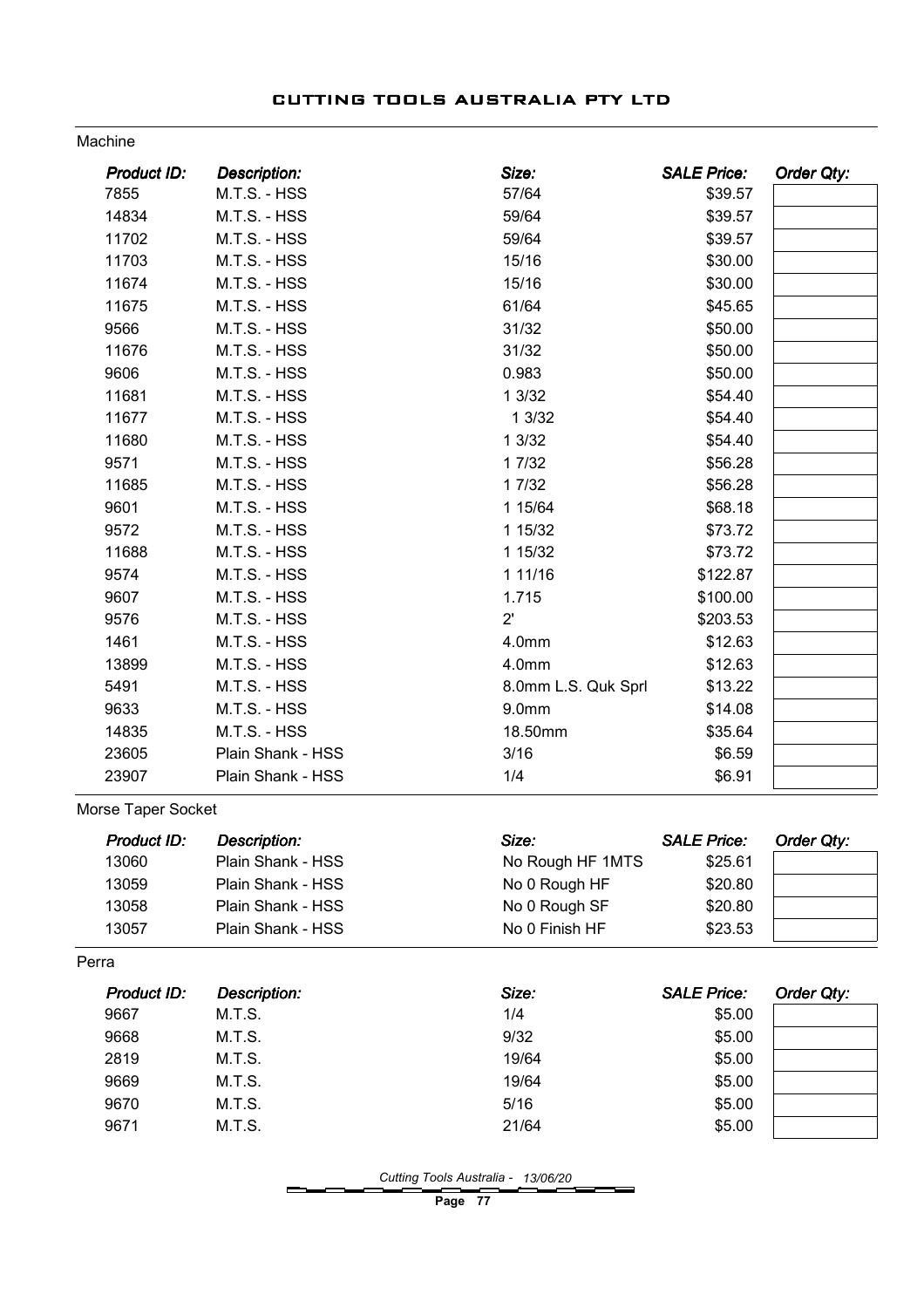#### Machine

| <b>Product ID:</b> | <b>Description:</b> | Size:               | <b>SALE Price:</b> | Order Qty: |
|--------------------|---------------------|---------------------|--------------------|------------|
| 7855               | M.T.S. - HSS        | 57/64               | \$39.57            |            |
| 14834              | M.T.S. - HSS        | 59/64               | \$39.57            |            |
| 11702              | M.T.S. - HSS        | 59/64               | \$39.57            |            |
| 11703              | M.T.S. - HSS        | 15/16               | \$30.00            |            |
| 11674              | M.T.S. - HSS        | 15/16               | \$30.00            |            |
| 11675              | M.T.S. - HSS        | 61/64               | \$45.65            |            |
| 9566               | M.T.S. - HSS        | 31/32               | \$50.00            |            |
| 11676              | M.T.S. - HSS        | 31/32               | \$50.00            |            |
| 9606               | M.T.S. - HSS        | 0.983               | \$50.00            |            |
| 11681              | M.T.S. - HSS        | 13/32               | \$54.40            |            |
| 11677              | M.T.S. - HSS        | 13/32               | \$54.40            |            |
| 11680              | M.T.S. - HSS        | 13/32               | \$54.40            |            |
| 9571               | M.T.S. - HSS        | 1 7/32              | \$56.28            |            |
| 11685              | M.T.S. - HSS        | 1 7/32              | \$56.28            |            |
| 9601               | M.T.S. - HSS        | 1 15/64             | \$68.18            |            |
| 9572               | M.T.S. - HSS        | 1 15/32             | \$73.72            |            |
| 11688              | M.T.S. - HSS        | 1 15/32             | \$73.72            |            |
| 9574               | M.T.S. - HSS        | 1 11/16             | \$122.87           |            |
| 9607               | M.T.S. - HSS        | 1.715               | \$100.00           |            |
| 9576               | M.T.S. - HSS        | $2^{\prime}$        | \$203.53           |            |
| 1461               | M.T.S. - HSS        | 4.0mm               | \$12.63            |            |
| 13899              | M.T.S. - HSS        | 4.0mm               | \$12.63            |            |
| 5491               | M.T.S. - HSS        | 8.0mm L.S. Quk Sprl | \$13.22            |            |
| 9633               | M.T.S. - HSS        | 9.0 <sub>mm</sub>   | \$14.08            |            |
| 14835              | M.T.S. - HSS        | 18.50mm             | \$35.64            |            |
| 23605              | Plain Shank - HSS   | 3/16                | \$6.59             |            |
| 23907              | Plain Shank - HSS   | 1/4                 | \$6.91             |            |
| Morse Taper Socket |                     |                     |                    |            |
| <b>Product ID:</b> | <b>Description:</b> | Size:               | <b>SALE Price:</b> | Order Qty: |
| 13060              | Plain Shank - HSS   | No Rough HF 1MTS    | \$25.61            |            |
| 13059              | Plain Shank - HSS   | No 0 Rough HF       | \$20.80            |            |
| 13058              | Plain Shank - HSS   | No 0 Rough SF       | \$20.80            |            |
| 13057              | Plain Shank - HSS   | No 0 Finish HF      | \$23.53            |            |
| Perra              |                     |                     |                    |            |
| Product ID:        | <b>Description:</b> | Size:               | <b>SALE Price:</b> | Order Qty: |
| 9667               | M.T.S.              | 1/4                 | \$5.00             |            |
| 9668               | M.T.S.              | 9/32                | \$5.00             |            |
| 2819               | M.T.S.              | 19/64               | \$5.00             |            |

Cutting Tools Australia - 13/06/20

Page 77

9669 M.T.S. 19/64 \$5.00 9670 M.T.S. 6/16 5/16 5/16 9671 M.T.S. 21/64 \$5.00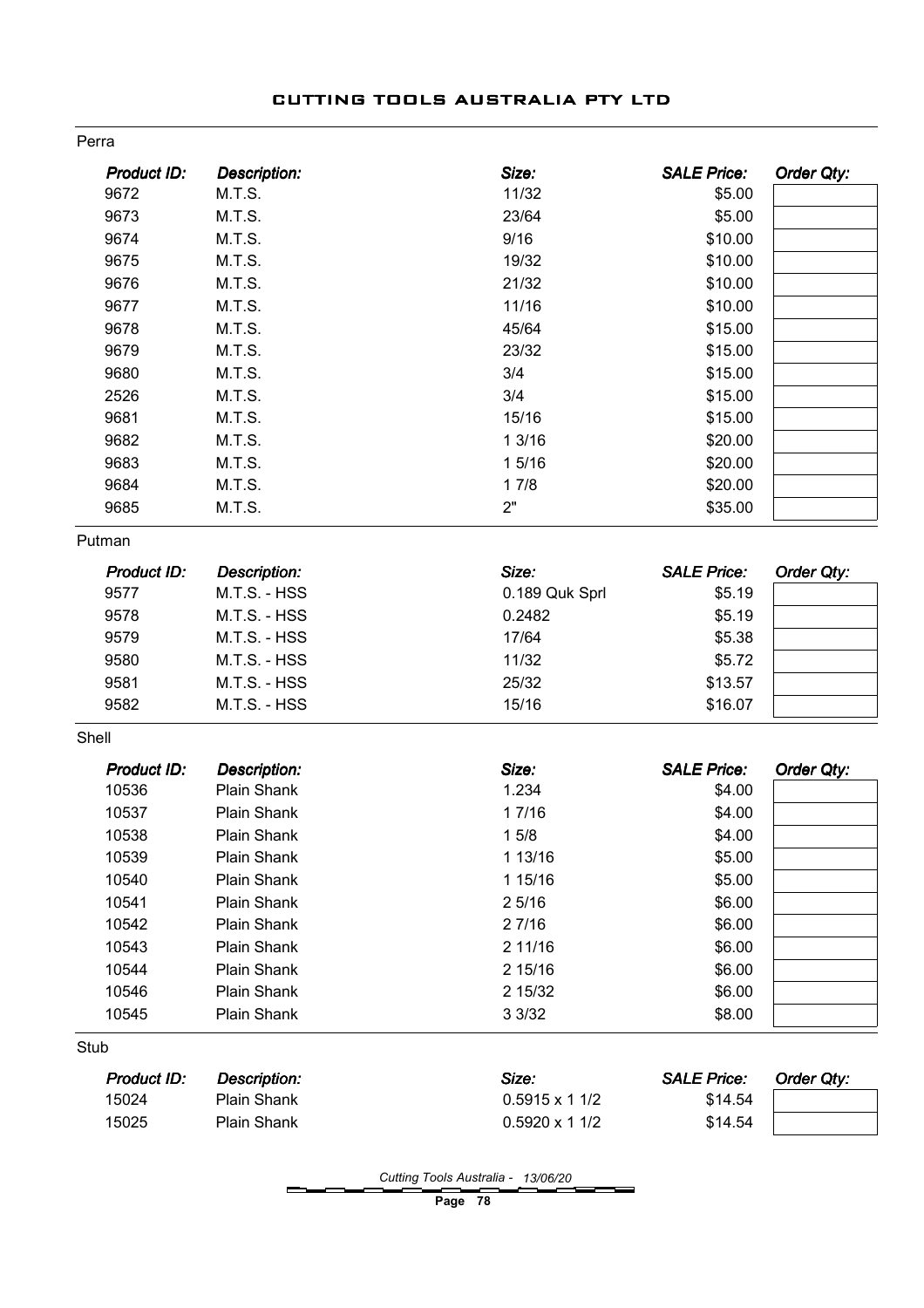| <b>Description:</b> | Size:                | <b>SALE Price:</b> | Order Qty:                 |
|---------------------|----------------------|--------------------|----------------------------|
| M.T.S.              | 11/32                | \$5.00             |                            |
| M.T.S.              | 23/64                | \$5.00             |                            |
| M.T.S.              | 9/16                 | \$10.00            |                            |
| M.T.S.              | 19/32                | \$10.00            |                            |
| M.T.S.              | 21/32                | \$10.00            |                            |
| M.T.S.              | 11/16                | \$10.00            |                            |
| M.T.S.              | 45/64                | \$15.00            |                            |
| M.T.S.              | 23/32                | \$15.00            |                            |
| M.T.S.              | 3/4                  | \$15.00            |                            |
| M.T.S.              | 3/4                  | \$15.00            |                            |
| M.T.S.              | 15/16                | \$15.00            |                            |
| M.T.S.              | 13/16                | \$20.00            |                            |
| M.T.S.              | 1 5/16               | \$20.00            |                            |
| M.T.S.              | 17/8                 | \$20.00            |                            |
| M.T.S.              | 2"                   | \$35.00            |                            |
|                     |                      |                    |                            |
| <b>Description:</b> | Size:                | <b>SALE Price:</b> | Order Qty:                 |
| M.T.S. - HSS        | 0.189 Quk Sprl       | \$5.19             |                            |
| M.T.S. - HSS        | 0.2482               | \$5.19             |                            |
| M.T.S. - HSS        | 17/64                | \$5.38             |                            |
| M.T.S. - HSS        | 11/32                | \$5.72             |                            |
| M.T.S. - HSS        | 25/32                | \$13.57            |                            |
| M.T.S. - HSS        | 15/16                | \$16.07            |                            |
|                     |                      |                    |                            |
| <b>Description:</b> | Size:                | <b>SALE Price:</b> | Order Qty:                 |
| Plain Shank         | 1.234                | \$4.00             |                            |
| <b>Plain Shank</b>  | 17/16                | \$4.00             |                            |
| Plain Shank         | 15/8                 | \$4.00             |                            |
| Plain Shank         | 1 13/16              | \$5.00             |                            |
| Plain Shank         | 1 15/16              | \$5.00             |                            |
| Plain Shank         | 25/16                | \$6.00             |                            |
| Plain Shank         | 2 7/16               | \$6.00             |                            |
| Plain Shank         | 2 11/16              |                    |                            |
| Plain Shank         |                      |                    |                            |
| Plain Shank         | 2 15/32              |                    |                            |
| Plain Shank         | 3 3/32               | \$8.00             |                            |
|                     |                      |                    |                            |
| Description:        | Size:                | <b>SALE Price:</b> | Order Qty:                 |
|                     |                      |                    |                            |
| Plain Shank         | $0.5915 \times 11/2$ | \$14.54            |                            |
|                     |                      | 2 15/16            | \$6.00<br>\$6.00<br>\$6.00 |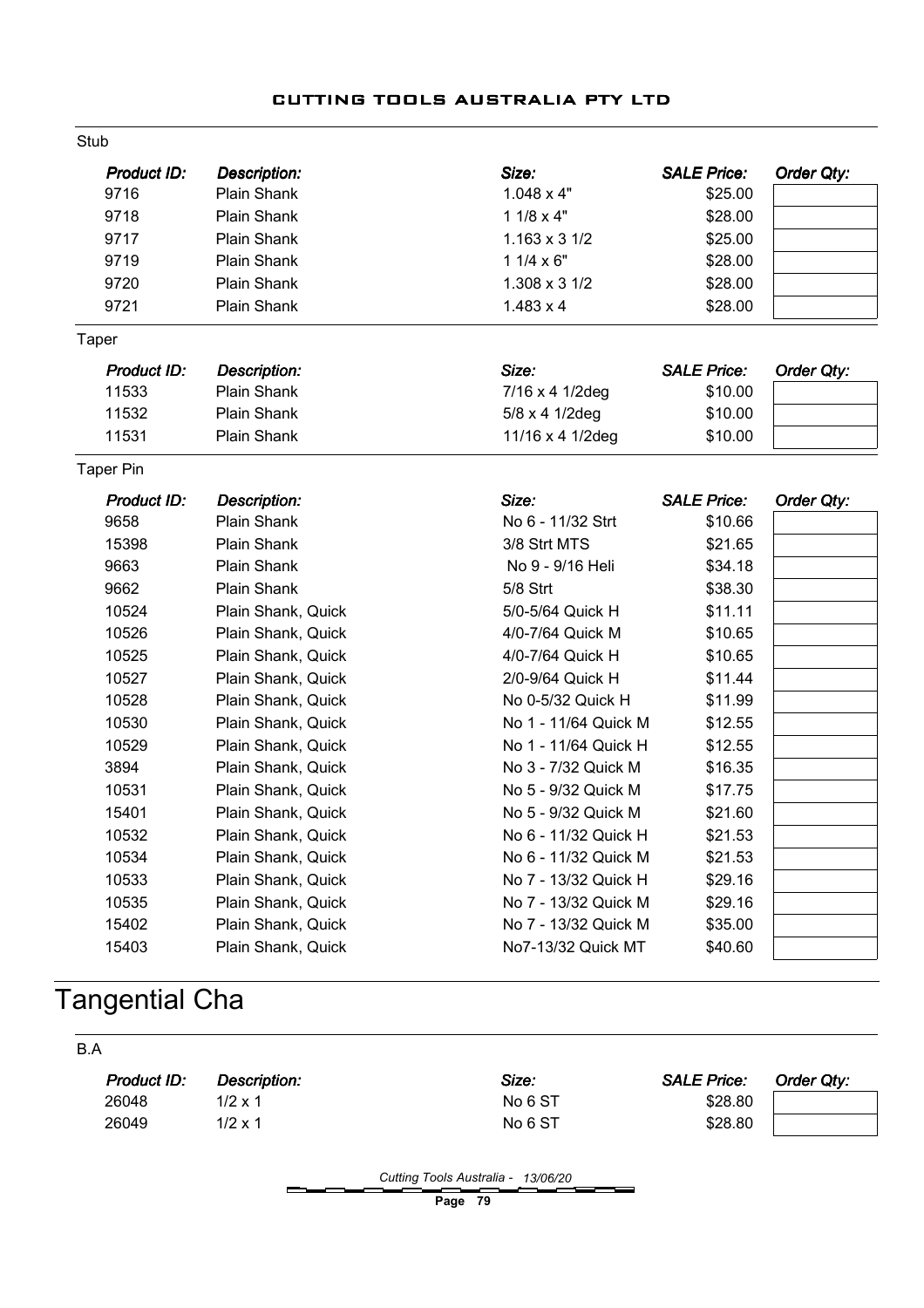| Stub               |                     |                      |                    |                   |
|--------------------|---------------------|----------------------|--------------------|-------------------|
| <b>Product ID:</b> | <b>Description:</b> | Size:                | <b>SALE Price:</b> | <b>Order Qty:</b> |
| 9716               | Plain Shank         | $1.048 \times 4"$    | \$25.00            |                   |
| 9718               | <b>Plain Shank</b>  | $11/8 \times 4"$     | \$28.00            |                   |
| 9717               | <b>Plain Shank</b>  | $1.163 \times 31/2$  | \$25.00            |                   |
| 9719               | Plain Shank         | $11/4 \times 6"$     | \$28.00            |                   |
| 9720               | Plain Shank         | 1.308 x 3 1/2        | \$28.00            |                   |
| 9721               | Plain Shank         | $1.483 \times 4$     | \$28.00            |                   |
| <b>Taper</b>       |                     |                      |                    |                   |
| <b>Product ID:</b> | Description:        | Size:                | <b>SALE Price:</b> | <b>Order Qty:</b> |
| 11533              | Plain Shank         | 7/16 x 4 1/2deg      | \$10.00            |                   |
| 11532              | Plain Shank         | 5/8 x 4 1/2deg       | \$10.00            |                   |
| 11531              | Plain Shank         | 11/16 x 4 1/2deg     | \$10.00            |                   |
| <b>Taper Pin</b>   |                     |                      |                    |                   |
| <b>Product ID:</b> | <b>Description:</b> | Size:                | <b>SALE Price:</b> | <b>Order Qty:</b> |
| 9658               | Plain Shank         | No 6 - 11/32 Strt    | \$10.66            |                   |
| 15398              | Plain Shank         | 3/8 Strt MTS         | \$21.65            |                   |
| 9663               | Plain Shank         | No 9 - 9/16 Heli     | \$34.18            |                   |
| 9662               | <b>Plain Shank</b>  | 5/8 Strt             | \$38.30            |                   |
| 10524              | Plain Shank, Quick  | 5/0-5/64 Quick H     | \$11.11            |                   |
| 10526              | Plain Shank, Quick  | 4/0-7/64 Quick M     | \$10.65            |                   |
| 10525              | Plain Shank, Quick  | 4/0-7/64 Quick H     | \$10.65            |                   |
| 10527              | Plain Shank, Quick  | 2/0-9/64 Quick H     | \$11.44            |                   |
| 10528              | Plain Shank, Quick  | No 0-5/32 Quick H    | \$11.99            |                   |
| 10530              | Plain Shank, Quick  | No 1 - 11/64 Quick M | \$12.55            |                   |
| 10529              | Plain Shank, Quick  | No 1 - 11/64 Quick H | \$12.55            |                   |
| 3894               | Plain Shank, Quick  | No 3 - 7/32 Quick M  | \$16.35            |                   |
| 10531              | Plain Shank, Quick  | No 5 - 9/32 Quick M  | \$17.75            |                   |
| 15401              | Plain Shank, Quick  | No 5 - 9/32 Quick M  | \$21.60            |                   |
| 10532              | Plain Shank, Quick  | No 6 - 11/32 Quick H | \$21.53            |                   |
| 10534              | Plain Shank, Quick  | No 6 - 11/32 Quick M | \$21.53            |                   |
| 10533              | Plain Shank, Quick  | No 7 - 13/32 Quick H | \$29.16            |                   |
| 10535              | Plain Shank, Quick  | No 7 - 13/32 Quick M | \$29.16            |                   |
| 15402              | Plain Shank, Quick  | No 7 - 13/32 Quick M | \$35.00            |                   |
| 15403              | Plain Shank, Quick  | No7-13/32 Quick MT   | \$40.60            |                   |

# Tangential Cha

| B.A         |                |         |                    |            |
|-------------|----------------|---------|--------------------|------------|
| Product ID: | Description:   | Size:   | <b>SALE Price:</b> | Order Qty: |
| 26048       | $1/2 \times 1$ | No 6 ST | \$28.80            |            |
| 26049       | $1/2 \times 1$ | No 6 ST | \$28.80            |            |
|             |                |         |                    |            |

Cutting Tools Australia - 13/06/20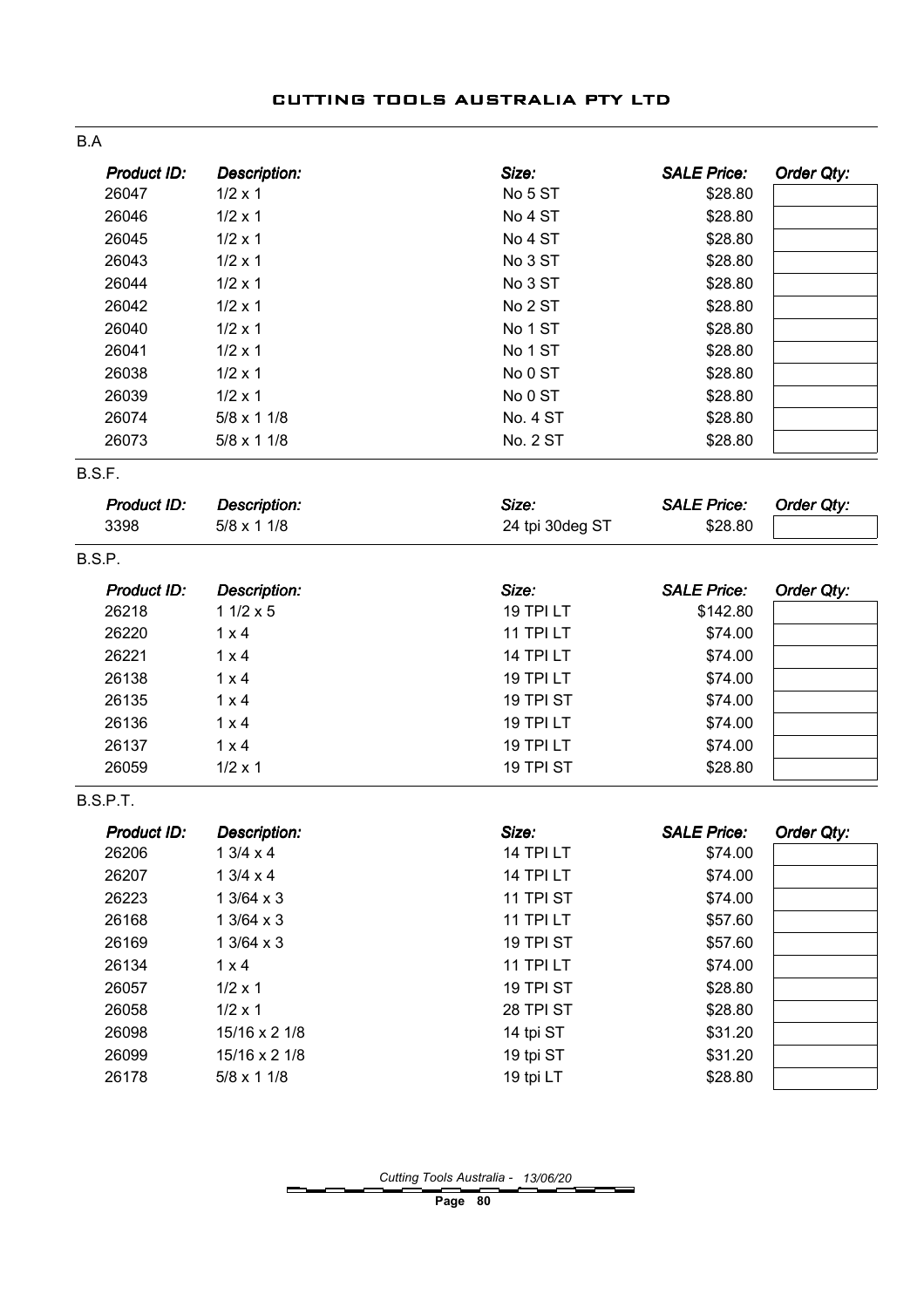| B.A                |                     |                 |                    |            |
|--------------------|---------------------|-----------------|--------------------|------------|
| <b>Product ID:</b> | <b>Description:</b> | Size:           | <b>SALE Price:</b> | Order Qty: |
| 26047              | $1/2 \times 1$      | No 5 ST         | \$28.80            |            |
| 26046              | $1/2 \times 1$      | No 4 ST         | \$28.80            |            |
| 26045              | $1/2 \times 1$      | No 4 ST         | \$28.80            |            |
| 26043              | $1/2 \times 1$      | No 3 ST         | \$28.80            |            |
| 26044              | $1/2 \times 1$      | No 3 ST         | \$28.80            |            |
| 26042              | $1/2 \times 1$      | No 2 ST         | \$28.80            |            |
| 26040              | $1/2 \times 1$      | No 1 ST         | \$28.80            |            |
| 26041              | $1/2 \times 1$      | No 1 ST         | \$28.80            |            |
| 26038              | $1/2 \times 1$      | No 0 ST         | \$28.80            |            |
| 26039              | $1/2 \times 1$      | No 0 ST         | \$28.80            |            |
| 26074              | $5/8 \times 11/8$   | <b>No. 4 ST</b> | \$28.80            |            |
| 26073              | $5/8 \times 11/8$   | <b>No. 2 ST</b> | \$28.80            |            |
| B.S.F.             |                     |                 |                    |            |
| Product ID:        | <b>Description:</b> | Size:           | <b>SALE Price:</b> | Order Qty: |
| 3398               | $5/8 \times 11/8$   | 24 tpi 30deg ST | \$28.80            |            |
| B.S.P.             |                     |                 |                    |            |
| <b>Product ID:</b> | <b>Description:</b> | Size:           | <b>SALE Price:</b> | Order Qty: |
| 26218              | $11/2 \times 5$     | 19 TPI LT       | \$142.80           |            |
| 26220              | $1 \times 4$        | 11 TPI LT       | \$74.00            |            |
| 26221              | $1 \times 4$        | 14 TPI LT       | \$74.00            |            |
| 26138              | $1 \times 4$        | 19 TPI LT       | \$74.00            |            |
| 26135              | $1 \times 4$        | 19 TPI ST       | \$74.00            |            |
| 26136              | $1 \times 4$        | 19 TPI LT       | \$74.00            |            |
| 26137              | $1 \times 4$        | 19 TPI LT       | \$74.00            |            |
| 26059              | $1/2 \times 1$      | 19 TPI ST       | \$28.80            |            |
| B.S.P.T.           |                     |                 |                    |            |
| <b>Product ID:</b> | <b>Description:</b> | Size:           | <b>SALE Price:</b> | Order Qty: |
| 26206              | $13/4 \times 4$     | 14 TPI LT       | \$74.00            |            |
| 26207              | 13/4 x 4            | 14 TPI LT       | \$74.00            |            |
| 26223              | $13/64 \times 3$    | 11 TPI ST       | \$74.00            |            |
| 26168              | $13/64 \times 3$    | 11 TPI LT       | \$57.60            |            |
| 26169              | $13/64 \times 3$    | 19 TPI ST       | \$57.60            |            |
| 26134              | $1 \times 4$        | 11 TPI LT       | \$74.00            |            |
| 26057              | $1/2 \times 1$      | 19 TPI ST       | \$28.80            |            |
| 26058              | $1/2 \times 1$      | 28 TPI ST       | \$28.80            |            |
| 26098              | 15/16 x 2 1/8       | 14 tpi ST       | \$31.20            |            |
| 26099              | 15/16 x 2 1/8       | 19 tpi ST       | \$31.20            |            |
| 26178              | $5/8 \times 11/8$   | 19 tpi LT       | \$28.80            |            |

Cutting Tools Australia - 13/06/20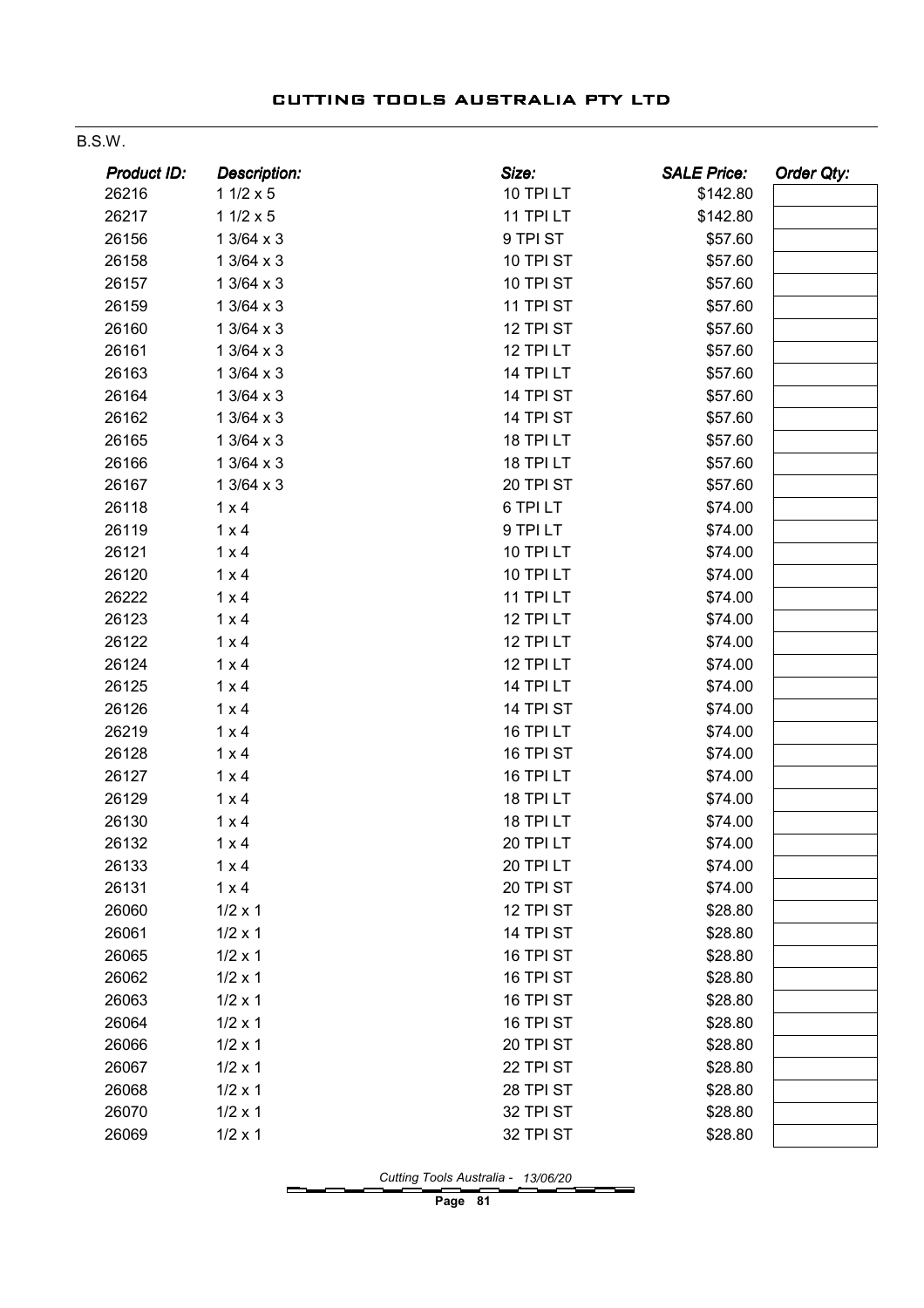#### B.S.W.

| Product ID: | Description:     | Size:     | <b>SALE Price:</b> | <b>Order Qty:</b> |
|-------------|------------------|-----------|--------------------|-------------------|
| 26216       | $11/2 \times 5$  | 10 TPI LT | \$142.80           |                   |
| 26217       | $11/2 \times 5$  | 11 TPI LT | \$142.80           |                   |
| 26156       | 1 3/64 x 3       | 9 TPI ST  | \$57.60            |                   |
| 26158       | $13/64 \times 3$ | 10 TPI ST | \$57.60            |                   |
| 26157       | $13/64 \times 3$ | 10 TPI ST | \$57.60            |                   |
| 26159       | $13/64 \times 3$ | 11 TPI ST | \$57.60            |                   |
| 26160       | $13/64 \times 3$ | 12 TPI ST | \$57.60            |                   |
| 26161       | $13/64 \times 3$ | 12 TPI LT | \$57.60            |                   |
| 26163       | $13/64 \times 3$ | 14 TPI LT | \$57.60            |                   |
| 26164       | $13/64 \times 3$ | 14 TPI ST | \$57.60            |                   |
| 26162       | $13/64 \times 3$ | 14 TPI ST | \$57.60            |                   |
| 26165       | $13/64 \times 3$ | 18 TPI LT | \$57.60            |                   |
| 26166       | $13/64 \times 3$ | 18 TPI LT | \$57.60            |                   |
| 26167       | $13/64 \times 3$ | 20 TPI ST | \$57.60            |                   |
| 26118       | $1 \times 4$     | 6 TPI LT  | \$74.00            |                   |
| 26119       | $1 \times 4$     | 9 TPI LT  | \$74.00            |                   |
| 26121       | $1 \times 4$     | 10 TPI LT | \$74.00            |                   |
| 26120       | $1 \times 4$     | 10 TPI LT | \$74.00            |                   |
| 26222       | $1 \times 4$     | 11 TPI LT | \$74.00            |                   |
| 26123       | $1 \times 4$     | 12 TPI LT | \$74.00            |                   |
| 26122       | $1 \times 4$     | 12 TPI LT | \$74.00            |                   |
| 26124       | $1 \times 4$     | 12 TPI LT | \$74.00            |                   |
| 26125       | $1 \times 4$     | 14 TPI LT | \$74.00            |                   |
| 26126       | $1 \times 4$     | 14 TPI ST | \$74.00            |                   |
| 26219       | $1 \times 4$     | 16 TPI LT | \$74.00            |                   |
| 26128       | $1 \times 4$     | 16 TPI ST | \$74.00            |                   |
| 26127       | $1 \times 4$     | 16 TPI LT | \$74.00            |                   |
| 26129       | $1 \times 4$     | 18 TPI LT | \$74.00            |                   |
| 26130       | $1 \times 4$     | 18 TPI LT | \$74.00            |                   |
| 26132       | $1 \times 4$     | 20 TPI LT | \$74.00            |                   |
| 26133       | $1 \times 4$     | 20 TPI LT | \$74.00            |                   |
| 26131       | $1 \times 4$     | 20 TPI ST | \$74.00            |                   |
| 26060       | $1/2 \times 1$   | 12 TPI ST | \$28.80            |                   |
| 26061       | $1/2 \times 1$   | 14 TPI ST | \$28.80            |                   |
| 26065       | $1/2 \times 1$   | 16 TPI ST | \$28.80            |                   |
| 26062       | $1/2 \times 1$   | 16 TPI ST | \$28.80            |                   |
| 26063       | $1/2 \times 1$   | 16 TPI ST | \$28.80            |                   |
| 26064       | $1/2 \times 1$   | 16 TPI ST | \$28.80            |                   |
| 26066       | $1/2 \times 1$   | 20 TPI ST | \$28.80            |                   |
| 26067       | $1/2 \times 1$   | 22 TPI ST | \$28.80            |                   |
| 26068       | $1/2 \times 1$   | 28 TPI ST | \$28.80            |                   |
| 26070       | $1/2 \times 1$   | 32 TPI ST | \$28.80            |                   |
| 26069       | $1/2 \times 1$   | 32 TPI ST | \$28.80            |                   |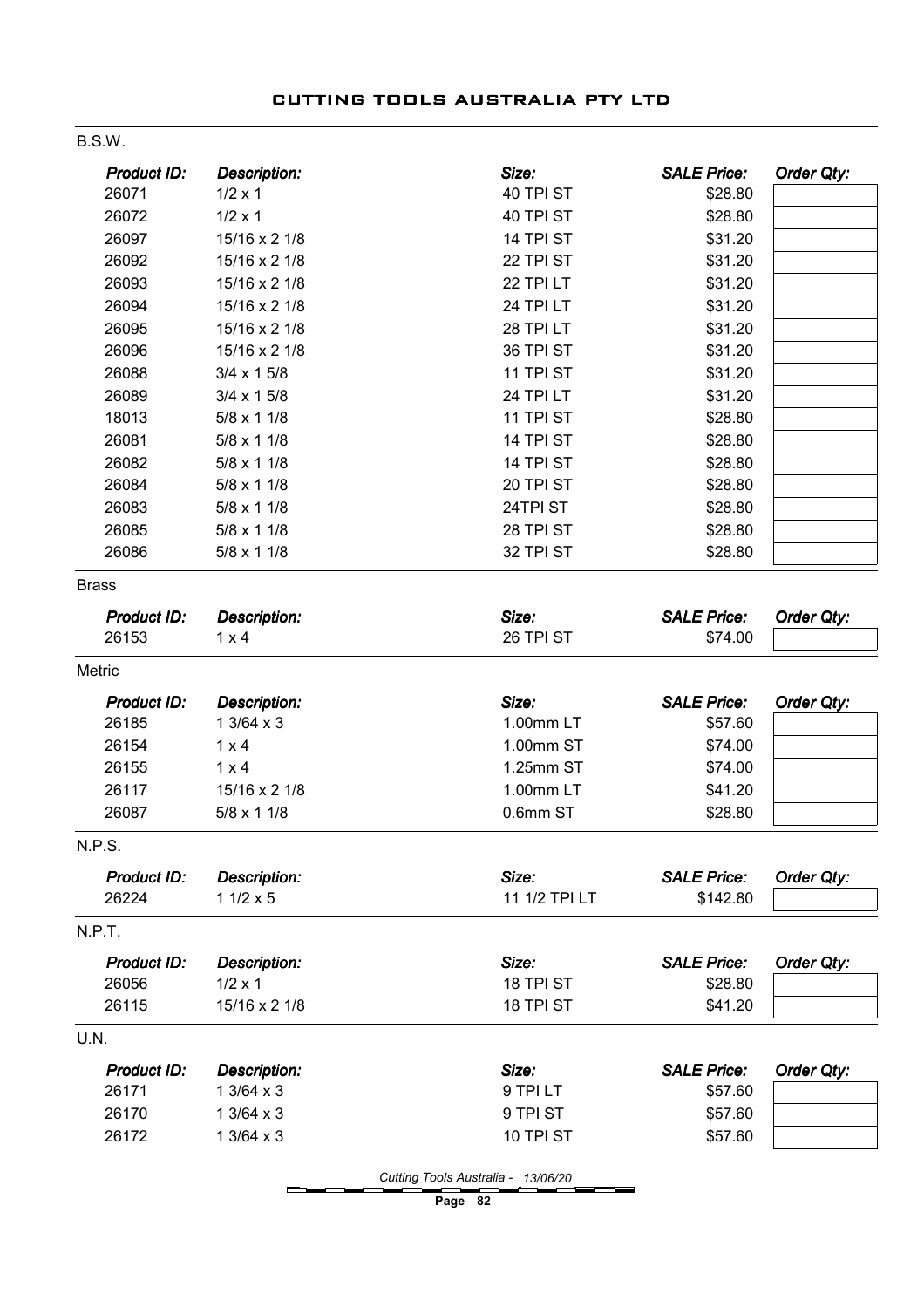| Product ID:          | <b>Description:</b> | Size:         | <b>SALE Price:</b> | Order Qty:        |
|----------------------|---------------------|---------------|--------------------|-------------------|
| 26071                | $1/2 \times 1$      | 40 TPI ST     | \$28.80            |                   |
| 26072                | $1/2 \times 1$      | 40 TPI ST     | \$28.80            |                   |
| 26097                | 15/16 x 2 1/8       | 14 TPI ST     | \$31.20            |                   |
| 26092                | 15/16 x 2 1/8       | 22 TPI ST     | \$31.20            |                   |
| 26093                | 15/16 x 2 1/8       | 22 TPI LT     | \$31.20            |                   |
| 26094                | 15/16 x 2 1/8       | 24 TPI LT     | \$31.20            |                   |
| 26095                | 15/16 x 2 1/8       | 28 TPI LT     | \$31.20            |                   |
| 26096                | 15/16 x 2 1/8       | 36 TPI ST     | \$31.20            |                   |
| 26088                | $3/4 \times 15/8$   | 11 TPI ST     | \$31.20            |                   |
| 26089                | $3/4 \times 15/8$   | 24 TPI LT     | \$31.20            |                   |
| 18013                | $5/8 \times 11/8$   | 11 TPI ST     | \$28.80            |                   |
| 26081                | 5/8 x 1 1/8         | 14 TPI ST     | \$28.80            |                   |
| 26082                | $5/8 \times 11/8$   | 14 TPI ST     | \$28.80            |                   |
| 26084                | $5/8 \times 11/8$   | 20 TPI ST     | \$28.80            |                   |
| 26083                | $5/8 \times 11/8$   | 24TPI ST      | \$28.80            |                   |
| 26085                | $5/8 \times 11/8$   | 28 TPI ST     | \$28.80            |                   |
| 26086                | $5/8 \times 11/8$   | 32 TPI ST     | \$28.80            |                   |
| <b>Brass</b>         |                     |               |                    |                   |
| Product ID:          | <b>Description:</b> | Size:         | <b>SALE Price:</b> | Order Qty:        |
| 26153                | $1 \times 4$        | 26 TPI ST     | \$74.00            |                   |
| Metric               |                     |               |                    |                   |
|                      |                     |               |                    |                   |
| <b>Product ID:</b>   | <b>Description:</b> | Size:         | <b>SALE Price:</b> | Order Qty:        |
| 26185                | $13/64 \times 3$    | 1.00mm LT     | \$57.60            |                   |
| 26154                | $1 \times 4$        | 1.00mm ST     | \$74.00            |                   |
| 26155                | $1 \times 4$        | 1.25mm ST     | \$74.00            |                   |
| 26117                | 15/16 x 2 1/8       | 1.00mm LT     | \$41.20            |                   |
| 26087                | $5/8 \times 11/8$   | 0.6mm ST      | \$28.80            |                   |
|                      |                     |               |                    |                   |
| N.P.S<br>Product ID: | Description:        | Size:         | <b>SALE Price:</b> | Order Qty:        |
| 26224                | $11/2 \times 5$     | 11 1/2 TPI LT | \$142.80           |                   |
| N.P.T.               |                     |               |                    |                   |
| Product ID:          | <b>Description:</b> | Size:         | <b>SALE Price:</b> | Order Qty:        |
| 26056                | $1/2 \times 1$      | 18 TPI ST     | \$28.80            |                   |
| 26115                | 15/16 x 2 1/8       | 18 TPI ST     | \$41.20            |                   |
| U.N.                 |                     |               |                    |                   |
| Product ID:          | <b>Description:</b> | Size:         | <b>SALE Price:</b> | <b>Order Qty:</b> |
| 26171                | $13/64 \times 3$    | 9 TPI LT      | \$57.60            |                   |
| 26170                | $13/64 \times 3$    | 9 TPI ST      | \$57.60            |                   |

Cutting Tools Australia - 13/06/20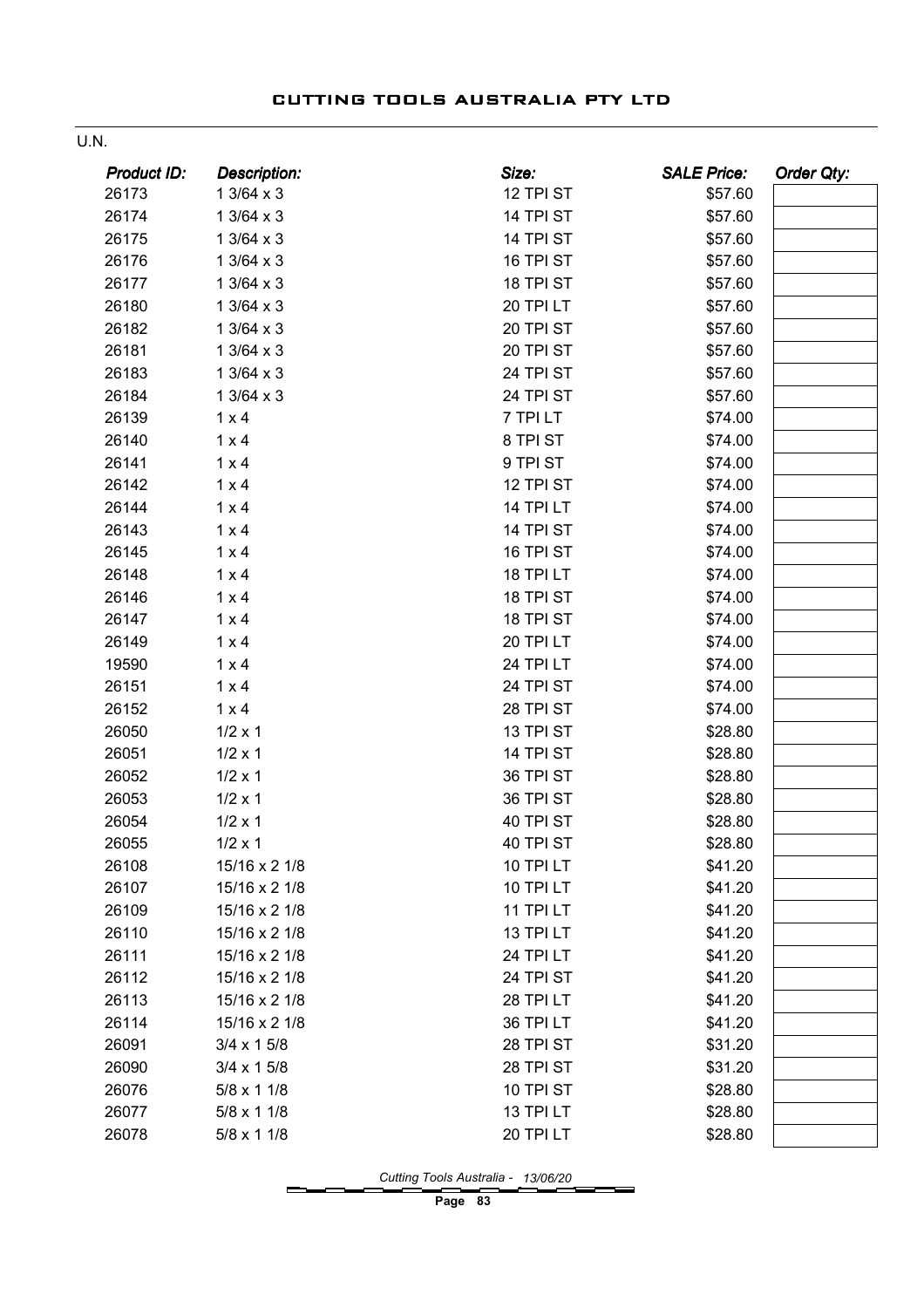| ×<br>I<br>.,<br>۰. |  |
|--------------------|--|
|                    |  |

| <b>Product ID:</b> | <b>Description:</b> | Size:            | <b>SALE Price:</b> | Order Qty: |
|--------------------|---------------------|------------------|--------------------|------------|
| 26173              | $13/64 \times 3$    | 12 TPI ST        | \$57.60            |            |
| 26174              | $13/64 \times 3$    | 14 TPI ST        | \$57.60            |            |
| 26175              | $13/64 \times 3$    | 14 TPI ST        | \$57.60            |            |
| 26176              | $13/64 \times 3$    | 16 TPI ST        | \$57.60            |            |
| 26177              | $13/64 \times 3$    | 18 TPI ST        | \$57.60            |            |
| 26180              | $13/64 \times 3$    | 20 TPI LT        | \$57.60            |            |
| 26182              | 1 3/64 x 3          | 20 TPI ST        | \$57.60            |            |
| 26181              | $13/64 \times 3$    | 20 TPI ST        | \$57.60            |            |
| 26183              | $13/64 \times 3$    | 24 TPI ST        | \$57.60            |            |
| 26184              | $13/64 \times 3$    | 24 TPI ST        | \$57.60            |            |
| 26139              | $1 \times 4$        | 7 TPI LT         | \$74.00            |            |
| 26140              | $1 \times 4$        | 8 TPI ST         | \$74.00            |            |
| 26141              | $1 \times 4$        | 9 TPI ST         | \$74.00            |            |
| 26142              | $1 \times 4$        | 12 TPI ST        | \$74.00            |            |
| 26144              | $1 \times 4$        | 14 TPI LT        | \$74.00            |            |
| 26143              | $1 \times 4$        | 14 TPI ST        | \$74.00            |            |
| 26145              | $1 \times 4$        | 16 TPI ST        | \$74.00            |            |
| 26148              | $1 \times 4$        | 18 TPI LT        | \$74.00            |            |
| 26146              | $1 \times 4$        | 18 TPI ST        | \$74.00            |            |
| 26147              | $1 \times 4$        | 18 TPI ST        | \$74.00            |            |
| 26149              | $1 \times 4$        | 20 TPI LT        | \$74.00            |            |
| 19590              | $1 \times 4$        | 24 TPI LT        | \$74.00            |            |
| 26151              | $1 \times 4$        | 24 TPI ST        | \$74.00            |            |
| 26152              | $1 \times 4$        | 28 TPI ST        | \$74.00            |            |
| 26050              | $1/2 \times 1$      | 13 TPI ST        | \$28.80            |            |
| 26051              | $1/2 \times 1$      | 14 TPI ST        | \$28.80            |            |
| 26052              | $1/2 \times 1$      | 36 TPI ST        | \$28.80            |            |
| 26053              | $1/2 \times 1$      | 36 TPI ST        | \$28.80            |            |
| 26054              | $1/2 \times 1$      | 40 TPI ST        | \$28.80            |            |
| 26055              | $1/2 \times 1$      | 40 TPI ST        | \$28.80            |            |
| 26108              | 15/16 x 2 1/8       | <b>10 TPI LT</b> | \$41.20            |            |
| 26107              | 15/16 x 2 1/8       | 10 TPI LT        | \$41.20            |            |
| 26109              | 15/16 x 2 1/8       | 11 TPI LT        | \$41.20            |            |
| 26110              | 15/16 x 2 1/8       | 13 TPI LT        | \$41.20            |            |
| 26111              | 15/16 x 2 1/8       | 24 TPI LT        | \$41.20            |            |
| 26112              | 15/16 x 2 1/8       | 24 TPI ST        | \$41.20            |            |
| 26113              | 15/16 x 2 1/8       | 28 TPI LT        | \$41.20            |            |
| 26114              | 15/16 x 2 1/8       | 36 TPI LT        | \$41.20            |            |
| 26091              | $3/4 \times 15/8$   | 28 TPI ST        | \$31.20            |            |
| 26090              | $3/4 \times 15/8$   | 28 TPI ST        | \$31.20            |            |
| 26076              | $5/8 \times 11/8$   | 10 TPI ST        | \$28.80            |            |
| 26077              | $5/8 \times 11/8$   | 13 TPI LT        | \$28.80            |            |
| 26078              | $5/8 \times 11/8$   | 20 TPI LT        | \$28.80            |            |

Cutting Tools Australia - 13/06/20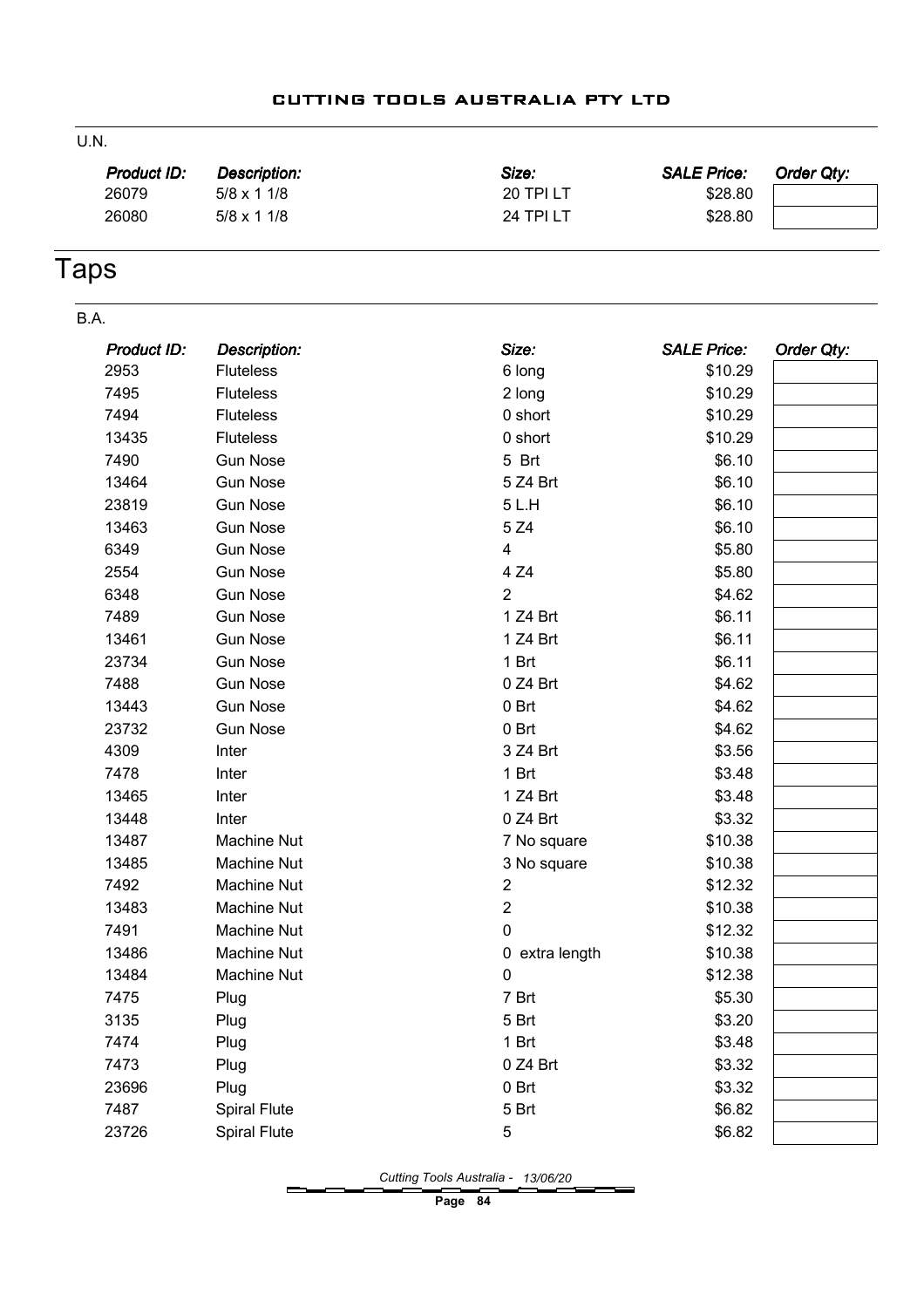#### U.N.

| <b>Product ID:</b> | Description:      | Size:            | <b>SALE Price:</b> | Order Qty: |
|--------------------|-------------------|------------------|--------------------|------------|
| 26079              | $5/8 \times 11/8$ | <b>20 TPI LT</b> | \$28.80            |            |
| 26080              | $5/8 \times 11/8$ | 24 TPI LT        | \$28.80            |            |
|                    |                   |                  |                    |            |

# Taps

| B.A. |             |                     |                |                    |            |
|------|-------------|---------------------|----------------|--------------------|------------|
|      | Product ID: | <b>Description:</b> | Size:          | <b>SALE Price:</b> | Order Qty: |
|      | 2953        | <b>Fluteless</b>    | 6 long         | \$10.29            |            |
|      | 7495        | <b>Fluteless</b>    | 2 long         | \$10.29            |            |
|      | 7494        | <b>Fluteless</b>    | 0 short        | \$10.29            |            |
|      | 13435       | <b>Fluteless</b>    | 0 short        | \$10.29            |            |
|      | 7490        | <b>Gun Nose</b>     | 5 Brt          | \$6.10             |            |
|      | 13464       | <b>Gun Nose</b>     | 5 Z4 Brt       | \$6.10             |            |
|      | 23819       | <b>Gun Nose</b>     | 5L.H           | \$6.10             |            |
|      | 13463       | <b>Gun Nose</b>     | 5 Z4           | \$6.10             |            |
|      | 6349        | <b>Gun Nose</b>     | 4              | \$5.80             |            |
|      | 2554        | <b>Gun Nose</b>     | 4 Z4           | \$5.80             |            |
|      | 6348        | <b>Gun Nose</b>     | $\overline{2}$ | \$4.62             |            |
|      | 7489        | <b>Gun Nose</b>     | 1 Z4 Brt       | \$6.11             |            |
|      | 13461       | <b>Gun Nose</b>     | 1 Z4 Brt       | \$6.11             |            |
|      | 23734       | <b>Gun Nose</b>     | 1 Brt          | \$6.11             |            |
|      | 7488        | <b>Gun Nose</b>     | 0 Z4 Brt       | \$4.62             |            |
|      | 13443       | <b>Gun Nose</b>     | 0 Brt          | \$4.62             |            |
|      | 23732       | <b>Gun Nose</b>     | 0 Brt          | \$4.62             |            |
|      | 4309        | Inter               | 3 Z4 Brt       | \$3.56             |            |
|      | 7478        | Inter               | 1 Brt          | \$3.48             |            |
|      | 13465       | Inter               | 1 Z4 Brt       | \$3.48             |            |
|      | 13448       | Inter               | 0 Z4 Brt       | \$3.32             |            |
|      | 13487       | <b>Machine Nut</b>  | 7 No square    | \$10.38            |            |
|      | 13485       | <b>Machine Nut</b>  | 3 No square    | \$10.38            |            |
|      | 7492        | Machine Nut         | $\overline{c}$ | \$12.32            |            |
|      | 13483       | <b>Machine Nut</b>  | $\overline{c}$ | \$10.38            |            |
|      | 7491        | Machine Nut         | $\pmb{0}$      | \$12.32            |            |
|      | 13486       | Machine Nut         | 0 extra length | \$10.38            |            |
|      | 13484       | Machine Nut         | 0              | \$12.38            |            |
|      | 7475        | Plug                | 7 Brt          | \$5.30             |            |
|      | 3135        | Plug                | 5 Brt          | \$3.20             |            |
|      | 7474        | Plug                | 1 Brt          | \$3.48             |            |
|      | 7473        | Plug                | 0 Z4 Brt       | \$3.32             |            |
|      | 23696       | Plug                | 0 Brt          | \$3.32             |            |
|      | 7487        | <b>Spiral Flute</b> | 5 Brt          | \$6.82             |            |
|      | 23726       | <b>Spiral Flute</b> | 5              | \$6.82             |            |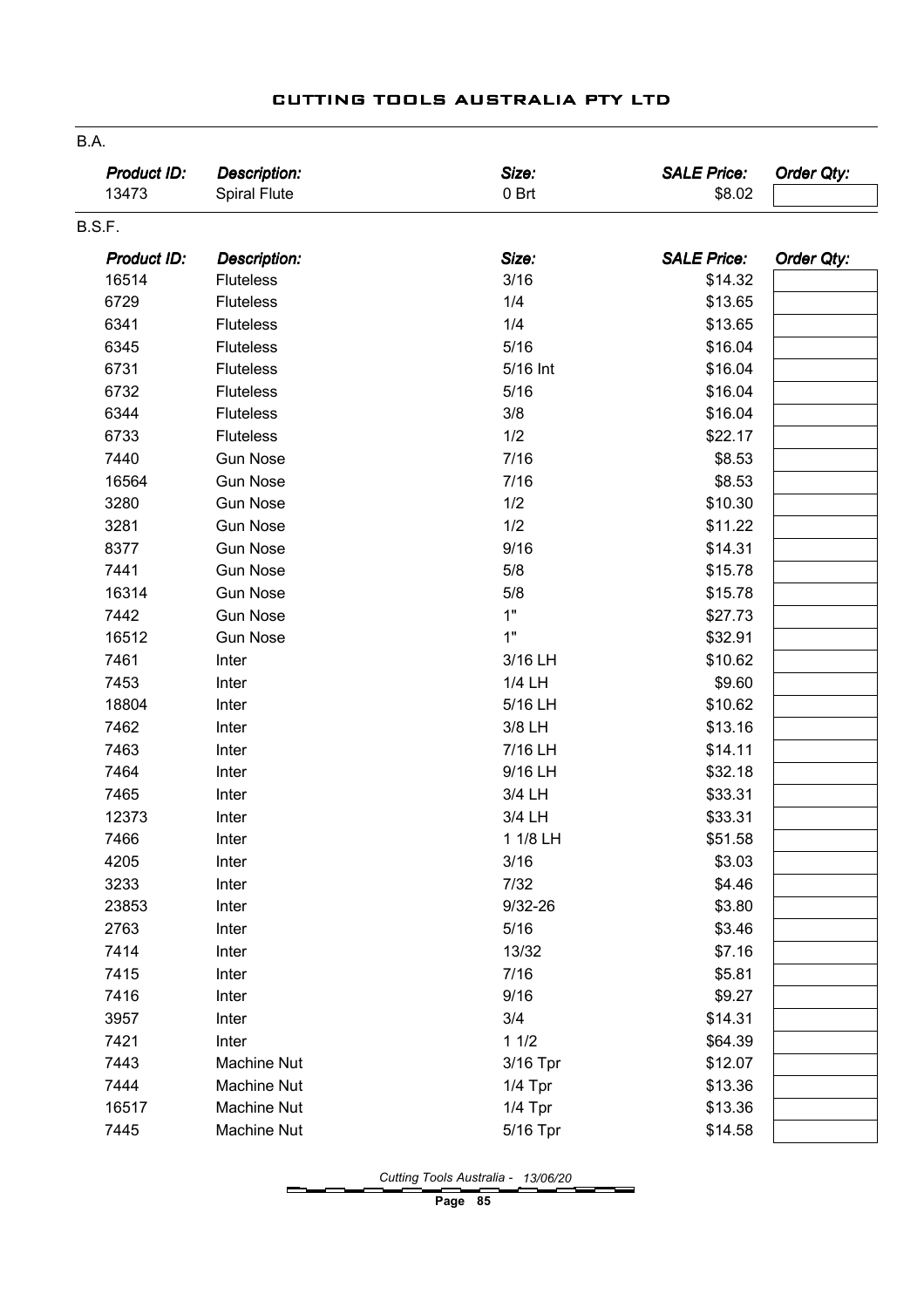| Product ID:<br>13473 | <b>Description:</b><br><b>Spiral Flute</b> | Size:<br>0 Brt | <b>SALE Price:</b><br>\$8.02 | Order Qty: |
|----------------------|--------------------------------------------|----------------|------------------------------|------------|
| B.S.F.               |                                            |                |                              |            |
| <b>Product ID:</b>   | <b>Description:</b>                        | Size:          | <b>SALE Price:</b>           | Order Qty: |
| 16514                | <b>Fluteless</b>                           | 3/16           | \$14.32                      |            |
| 6729                 | <b>Fluteless</b>                           | 1/4            | \$13.65                      |            |
| 6341                 | <b>Fluteless</b>                           | 1/4            | \$13.65                      |            |
| 6345                 | <b>Fluteless</b>                           | 5/16           | \$16.04                      |            |
| 6731                 | <b>Fluteless</b>                           | 5/16 Int       | \$16.04                      |            |
| 6732                 | <b>Fluteless</b>                           | 5/16           | \$16.04                      |            |
| 6344                 | <b>Fluteless</b>                           | 3/8            | \$16.04                      |            |
| 6733                 | <b>Fluteless</b>                           | 1/2            | \$22.17                      |            |
| 7440                 | <b>Gun Nose</b>                            | 7/16           | \$8.53                       |            |
| 16564                | <b>Gun Nose</b>                            | 7/16           | \$8.53                       |            |
| 3280                 | <b>Gun Nose</b>                            | 1/2            | \$10.30                      |            |
| 3281                 | <b>Gun Nose</b>                            | 1/2            | \$11.22                      |            |
| 8377                 | <b>Gun Nose</b>                            | 9/16           | \$14.31                      |            |
| 7441                 | <b>Gun Nose</b>                            | 5/8            | \$15.78                      |            |
| 16314                | <b>Gun Nose</b>                            | 5/8            | \$15.78                      |            |
| 7442                 | <b>Gun Nose</b>                            | 1"             | \$27.73                      |            |
| 16512                | <b>Gun Nose</b>                            | 1"             | \$32.91                      |            |
| 7461                 | Inter                                      | 3/16 LH        | \$10.62                      |            |
| 7453                 | Inter                                      | 1/4 LH         | \$9.60                       |            |
| 18804                | Inter                                      | 5/16 LH        | \$10.62                      |            |
| 7462                 | Inter                                      | 3/8 LH         | \$13.16                      |            |
| 7463                 | Inter                                      | 7/16 LH        | \$14.11                      |            |
| 7464                 | Inter                                      | 9/16 LH        | \$32.18                      |            |
| 7465                 | Inter                                      | 3/4 LH         | \$33.31                      |            |
| 12373                | Inter                                      | 3/4 LH         | \$33.31                      |            |
| 7466                 | Inter                                      | 1 1/8 LH       | \$51.58                      |            |
| 4205                 | Inter                                      | 3/16           | \$3.03                       |            |
| 3233                 | Inter                                      | 7/32           | \$4.46                       |            |
| 23853                | Inter                                      | $9/32 - 26$    | \$3.80                       |            |
| 2763                 | Inter                                      | 5/16           | \$3.46                       |            |
| 7414                 | Inter                                      | 13/32          | \$7.16                       |            |
| 7415                 | Inter                                      | 7/16           | \$5.81                       |            |
| 7416                 | Inter                                      | 9/16           | \$9.27                       |            |
| 3957                 | Inter                                      | 3/4            | \$14.31                      |            |
| 7421                 | Inter                                      | 11/2           | \$64.39                      |            |
| 7443                 | Machine Nut                                | 3/16 Tpr       | \$12.07                      |            |
| 7444                 | <b>Machine Nut</b>                         | $1/4$ Tpr      | \$13.36                      |            |
| 16517                | Machine Nut                                | $1/4$ Tpr      | \$13.36                      |            |
| 7445                 | Machine Nut                                | 5/16 Tpr       | \$14.58                      |            |

B.A.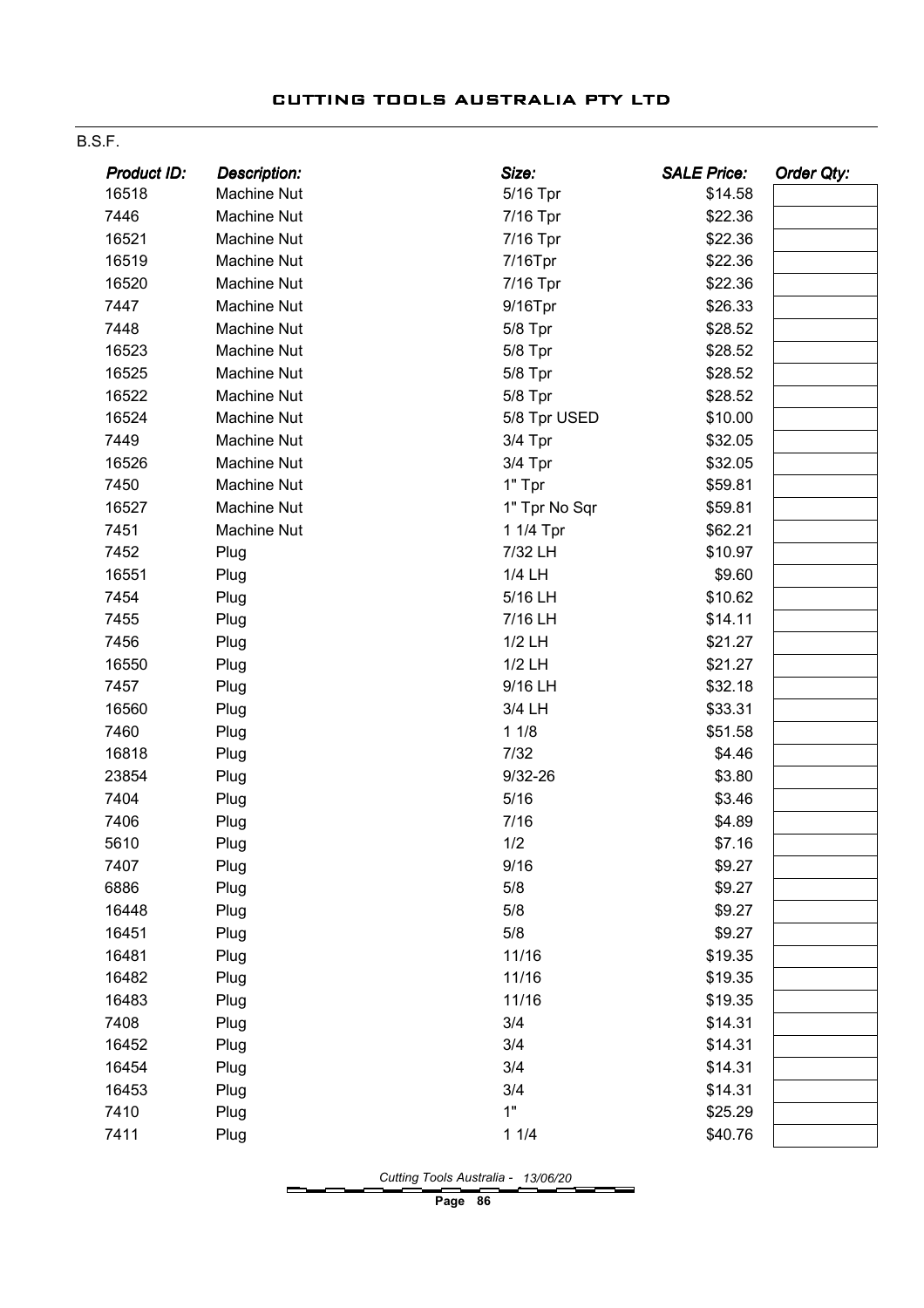#### B.S.F.

| Product ID: | <b>Description:</b> | Size:         | <b>SALE Price:</b> | <b>Order Qty:</b> |
|-------------|---------------------|---------------|--------------------|-------------------|
| 16518       | Machine Nut         | 5/16 Tpr      | \$14.58            |                   |
| 7446        | Machine Nut         | 7/16 Tpr      | \$22.36            |                   |
| 16521       | Machine Nut         | 7/16 Tpr      | \$22.36            |                   |
| 16519       | <b>Machine Nut</b>  | 7/16Tpr       | \$22.36            |                   |
| 16520       | Machine Nut         | 7/16 Tpr      | \$22.36            |                   |
| 7447        | Machine Nut         | $9/16$ Tpr    | \$26.33            |                   |
| 7448        | <b>Machine Nut</b>  | 5/8 Tpr       | \$28.52            |                   |
| 16523       | Machine Nut         | 5/8 Tpr       | \$28.52            |                   |
| 16525       | Machine Nut         | 5/8 Tpr       | \$28.52            |                   |
| 16522       | Machine Nut         | 5/8 Tpr       | \$28.52            |                   |
| 16524       | Machine Nut         | 5/8 Tpr USED  | \$10.00            |                   |
| 7449        | Machine Nut         | 3/4 Tpr       | \$32.05            |                   |
| 16526       | Machine Nut         | 3/4 Tpr       | \$32.05            |                   |
| 7450        | Machine Nut         | 1" Tpr        | \$59.81            |                   |
| 16527       | Machine Nut         | 1" Tpr No Sqr | \$59.81            |                   |
| 7451        | <b>Machine Nut</b>  | 1 1/4 Tpr     | \$62.21            |                   |
| 7452        | Plug                | 7/32 LH       | \$10.97            |                   |
| 16551       | Plug                | 1/4 LH        | \$9.60             |                   |
| 7454        | Plug                | 5/16 LH       | \$10.62            |                   |
| 7455        | Plug                | 7/16 LH       | \$14.11            |                   |
| 7456        | Plug                | 1/2 LH        | \$21.27            |                   |
| 16550       | Plug                | 1/2 LH        | \$21.27            |                   |
| 7457        | Plug                | 9/16 LH       | \$32.18            |                   |
| 16560       | Plug                | 3/4 LH        | \$33.31            |                   |
| 7460        | Plug                | 11/8          | \$51.58            |                   |
| 16818       | Plug                | 7/32          | \$4.46             |                   |
| 23854       | Plug                | $9/32 - 26$   | \$3.80             |                   |
| 7404        | Plug                | 5/16          | \$3.46             |                   |
| 7406        | Plug                | 7/16          | \$4.89             |                   |
| 5610        | Plug                | 1/2           | \$7.16             |                   |
| 7407        | Plug                | 9/16          | \$9.27             |                   |
| 6886        | Plug                | 5/8           | \$9.27             |                   |
| 16448       | Plug                | 5/8           | \$9.27             |                   |
| 16451       | Plug                | 5/8           | \$9.27             |                   |
| 16481       | Plug                | 11/16         | \$19.35            |                   |
| 16482       | Plug                | 11/16         | \$19.35            |                   |
| 16483       | Plug                | 11/16         | \$19.35            |                   |
| 7408        | Plug                | 3/4           | \$14.31            |                   |
| 16452       | Plug                | 3/4           | \$14.31            |                   |
| 16454       | Plug                | 3/4           | \$14.31            |                   |
| 16453       | Plug                | 3/4           | \$14.31            |                   |
| 7410        | Plug                | 1"            | \$25.29            |                   |
| 7411        | Plug                | 11/4          | \$40.76            |                   |

Cutting Tools Australia - 13/06/20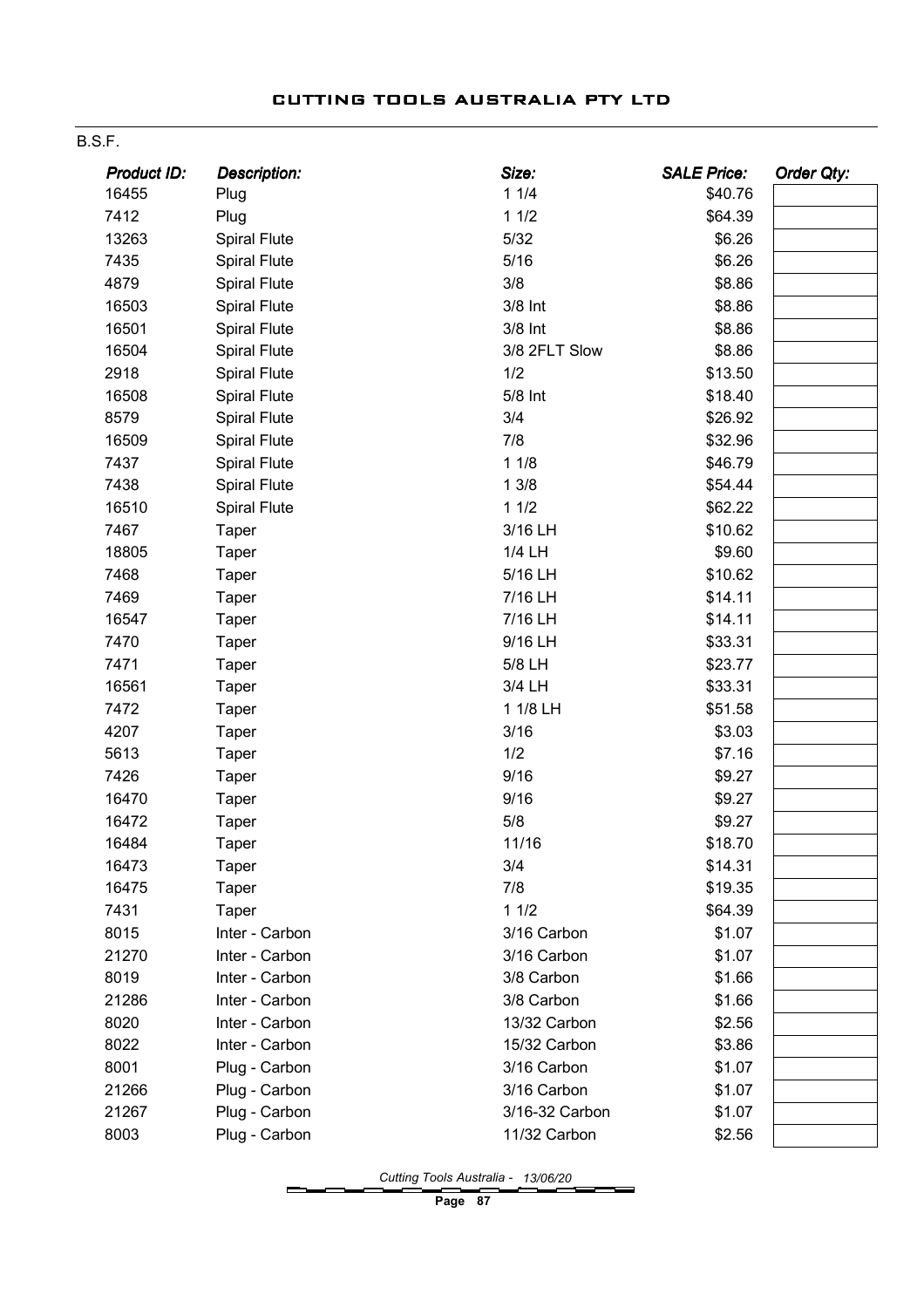#### B.S.F.

| Product ID: | <b>Description:</b> | Size:          | <b>SALE Price:</b> | Order Qty: |
|-------------|---------------------|----------------|--------------------|------------|
| 16455       | Plug                | 11/4           | \$40.76            |            |
| 7412        | Plug                | 11/2           | \$64.39            |            |
| 13263       | <b>Spiral Flute</b> | $5/32$         | \$6.26             |            |
| 7435        | <b>Spiral Flute</b> | 5/16           | \$6.26             |            |
| 4879        | <b>Spiral Flute</b> | 3/8            | \$8.86             |            |
| 16503       | <b>Spiral Flute</b> | 3/8 Int        | \$8.86             |            |
| 16501       | <b>Spiral Flute</b> | 3/8 Int        | \$8.86             |            |
| 16504       | <b>Spiral Flute</b> | 3/8 2FLT Slow  | \$8.86             |            |
| 2918        | <b>Spiral Flute</b> | 1/2            | \$13.50            |            |
| 16508       | <b>Spiral Flute</b> | 5/8 Int        | \$18.40            |            |
| 8579        | Spiral Flute        | 3/4            | \$26.92            |            |
| 16509       | <b>Spiral Flute</b> | 7/8            | \$32.96            |            |
| 7437        | <b>Spiral Flute</b> | 11/8           | \$46.79            |            |
| 7438        | <b>Spiral Flute</b> | 13/8           | \$54.44            |            |
| 16510       | <b>Spiral Flute</b> | 11/2           | \$62.22            |            |
| 7467        | Taper               | 3/16 LH        | \$10.62            |            |
| 18805       | <b>Taper</b>        | 1/4 LH         | \$9.60             |            |
| 7468        | Taper               | 5/16 LH        | \$10.62            |            |
| 7469        | Taper               | 7/16 LH        | \$14.11            |            |
| 16547       | <b>Taper</b>        | 7/16 LH        | \$14.11            |            |
| 7470        | <b>Taper</b>        | 9/16 LH        | \$33.31            |            |
| 7471        | <b>Taper</b>        | 5/8 LH         | \$23.77            |            |
| 16561       | <b>Taper</b>        | 3/4 LH         | \$33.31            |            |
| 7472        | Taper               | 1 1/8 LH       | \$51.58            |            |
| 4207        | <b>Taper</b>        | 3/16           | \$3.03             |            |
| 5613        | <b>Taper</b>        | 1/2            | \$7.16             |            |
| 7426        | <b>Taper</b>        | 9/16           | \$9.27             |            |
| 16470       | <b>Taper</b>        | 9/16           | \$9.27             |            |
| 16472       | Taper               | 5/8            | \$9.27             |            |
| 16484       | <b>Taper</b>        | 11/16          | \$18.70            |            |
| 16473       | Taper               | 3/4            | \$14.31            |            |
| 16475       | <b>Taper</b>        | 7/8            | \$19.35            |            |
| 7431        | Taper               | 11/2           | \$64.39            |            |
| 8015        | Inter - Carbon      | 3/16 Carbon    | \$1.07             |            |
| 21270       | Inter - Carbon      | 3/16 Carbon    | \$1.07             |            |
| 8019        | Inter - Carbon      | 3/8 Carbon     | \$1.66             |            |
| 21286       | Inter - Carbon      | 3/8 Carbon     | \$1.66             |            |
| 8020        | Inter - Carbon      | 13/32 Carbon   | \$2.56             |            |
| 8022        | Inter - Carbon      | 15/32 Carbon   | \$3.86             |            |
| 8001        | Plug - Carbon       | 3/16 Carbon    | \$1.07             |            |
| 21266       | Plug - Carbon       | 3/16 Carbon    | \$1.07             |            |
| 21267       | Plug - Carbon       | 3/16-32 Carbon | \$1.07             |            |
| 8003        | Plug - Carbon       | 11/32 Carbon   | \$2.56             |            |

Cutting Tools Australia - 13/06/20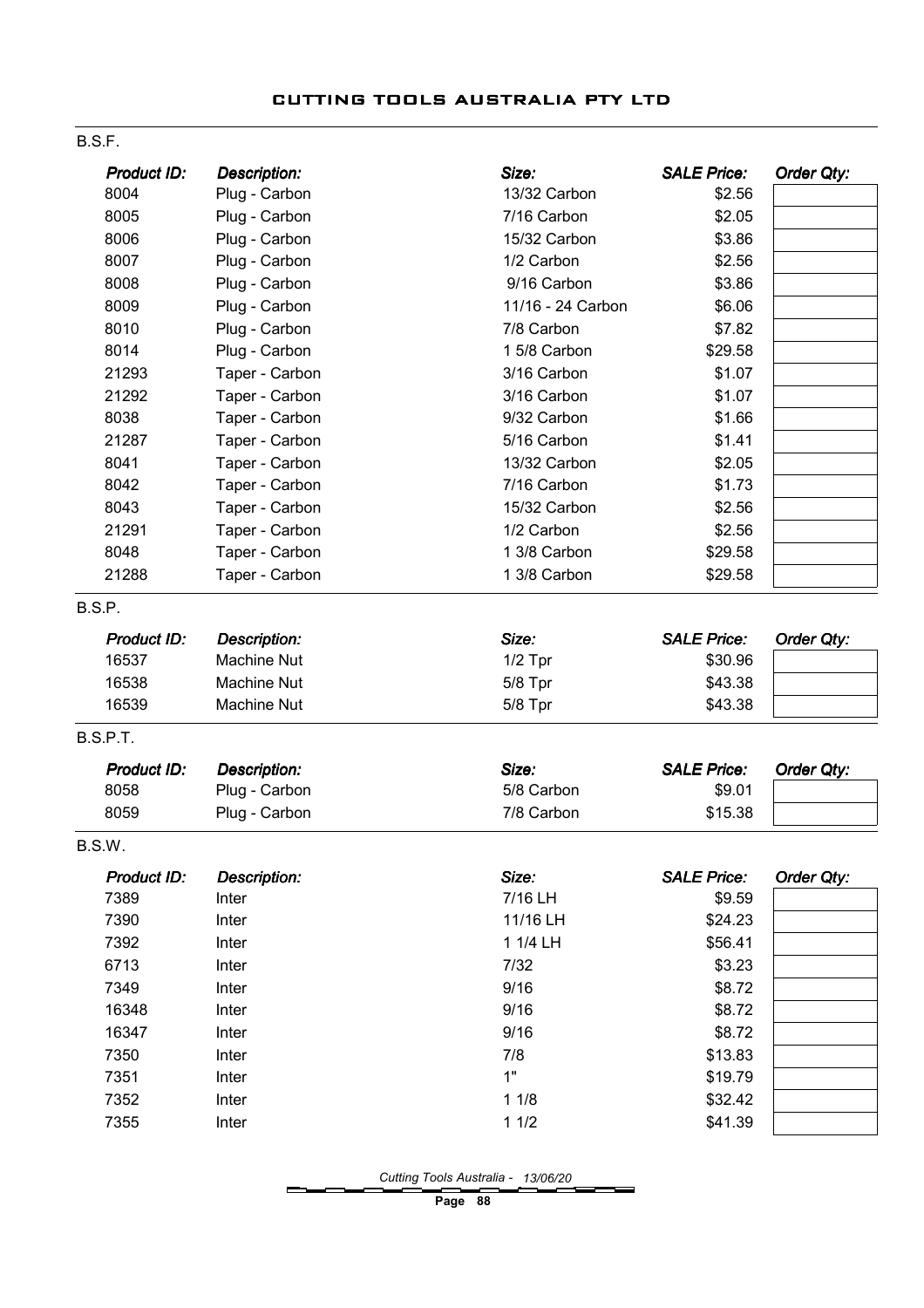#### B.S.F.

| <b>Product ID:</b> | <b>Description:</b> | Size:             | <b>SALE Price:</b> | Order Qty: |
|--------------------|---------------------|-------------------|--------------------|------------|
| 8004               | Plug - Carbon       | 13/32 Carbon      | \$2.56             |            |
| 8005               | Plug - Carbon       | 7/16 Carbon       | \$2.05             |            |
| 8006               | Plug - Carbon       | 15/32 Carbon      | \$3.86             |            |
| 8007               | Plug - Carbon       | 1/2 Carbon        | \$2.56             |            |
| 8008               | Plug - Carbon       | 9/16 Carbon       | \$3.86             |            |
| 8009               | Plug - Carbon       | 11/16 - 24 Carbon | \$6.06             |            |
| 8010               | Plug - Carbon       | 7/8 Carbon        | \$7.82             |            |
| 8014               | Plug - Carbon       | 1 5/8 Carbon      | \$29.58            |            |
| 21293              | Taper - Carbon      | 3/16 Carbon       | \$1.07             |            |
| 21292              | Taper - Carbon      | 3/16 Carbon       | \$1.07             |            |
| 8038               | Taper - Carbon      | 9/32 Carbon       | \$1.66             |            |
| 21287              | Taper - Carbon      | 5/16 Carbon       | \$1.41             |            |
| 8041               | Taper - Carbon      | 13/32 Carbon      | \$2.05             |            |
| 8042               | Taper - Carbon      | 7/16 Carbon       | \$1.73             |            |
| 8043               | Taper - Carbon      | 15/32 Carbon      | \$2.56             |            |
| 21291              | Taper - Carbon      | 1/2 Carbon        | \$2.56             |            |
| 8048               | Taper - Carbon      | 1 3/8 Carbon      | \$29.58            |            |
| 21288              | Taper - Carbon      | 1 3/8 Carbon      | \$29.58            |            |
| B.S.P.             |                     |                   |                    |            |
| Product ID:        | <b>Description:</b> | Size:             | <b>SALE Price:</b> | Order Qty: |
| 16537              | <b>Machine Nut</b>  | $1/2$ Tpr         | \$30.96            |            |
| 16538              | Machine Nut         | 5/8 Tpr           | \$43.38            |            |
| 16539              | Machine Nut         | 5/8 Tpr           | \$43.38            |            |
| B.S.P.T.           |                     |                   |                    |            |
| Product ID:        | <b>Description:</b> | Size:             | <b>SALE Price:</b> | Order Qty: |
| 8058               | Plug - Carbon       | 5/8 Carbon        | \$9.01             |            |
| 8059               | Plug - Carbon       | 7/8 Carbon        | \$15.38            |            |
| B.S.W.             |                     |                   |                    |            |
| Product ID:        | <b>Description:</b> | Size:             | <b>SALE Price:</b> | Order Qty: |
| 7389               | Inter               | 7/16 LH           | \$9.59             |            |
| 7390               | Inter               | 11/16 LH          | \$24.23            |            |
| 7392               | Inter               | 1 1/4 LH          | \$56.41            |            |
| 6713               | Inter               | 7/32              | \$3.23             |            |
| 7349               | Inter               | 9/16              | \$8.72             |            |
| 16348              | Inter               | 9/16              | \$8.72             |            |
| 16347              | Inter               | 9/16              | \$8.72             |            |
| 7350               | Inter               | 7/8               | \$13.83            |            |
| 7351               | Inter               | 1"                | \$19.79            |            |
| 7352               | Inter               | 11/8              | \$32.42            |            |
| 7355               | Inter               | 11/2              | \$41.39            |            |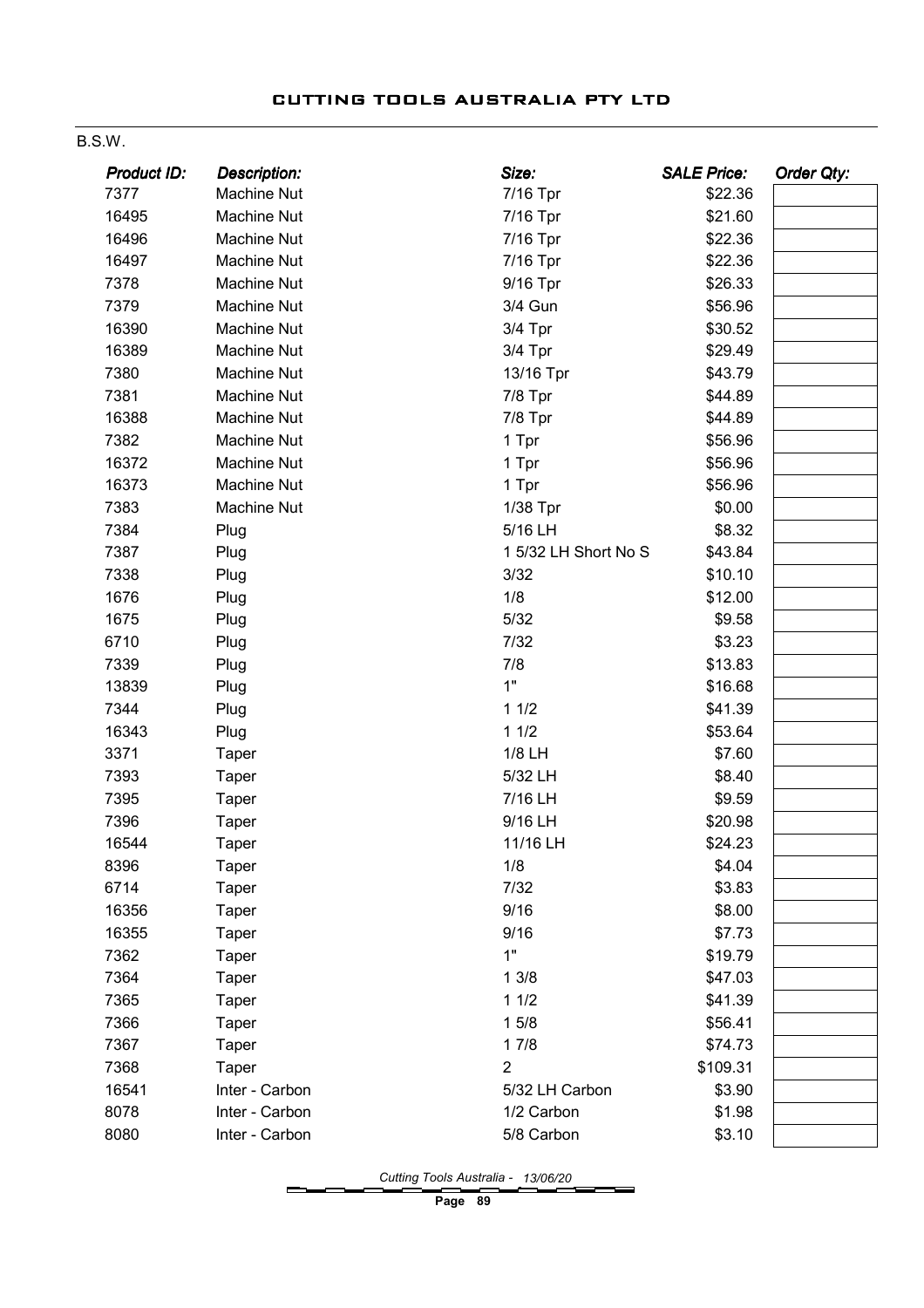#### B.S.W.

| <b>Product ID:</b> | <b>Description:</b> | Size:                | <b>SALE Price:</b> | <b>Order Qty:</b> |
|--------------------|---------------------|----------------------|--------------------|-------------------|
| 7377               | Machine Nut         | 7/16 Tpr             | \$22.36            |                   |
| 16495              | Machine Nut         | 7/16 Tpr             | \$21.60            |                   |
| 16496              | Machine Nut         | 7/16 Tpr             | \$22.36            |                   |
| 16497              | <b>Machine Nut</b>  | 7/16 Tpr             | \$22.36            |                   |
| 7378               | Machine Nut         | 9/16 Tpr             | \$26.33            |                   |
| 7379               | Machine Nut         | 3/4 Gun              | \$56.96            |                   |
| 16390              | <b>Machine Nut</b>  | 3/4 Tpr              | \$30.52            |                   |
| 16389              | Machine Nut         | 3/4 Tpr              | \$29.49            |                   |
| 7380               | <b>Machine Nut</b>  | 13/16 Tpr            | \$43.79            |                   |
| 7381               | Machine Nut         | 7/8 Tpr              | \$44.89            |                   |
| 16388              | <b>Machine Nut</b>  | 7/8 Tpr              | \$44.89            |                   |
| 7382               | <b>Machine Nut</b>  | 1 Tpr                | \$56.96            |                   |
| 16372              | Machine Nut         | 1 Tpr                | \$56.96            |                   |
| 16373              | <b>Machine Nut</b>  | 1 Tpr                | \$56.96            |                   |
| 7383               | Machine Nut         | 1/38 Tpr             | \$0.00             |                   |
| 7384               | Plug                | 5/16 LH              | \$8.32             |                   |
| 7387               | Plug                | 1 5/32 LH Short No S | \$43.84            |                   |
| 7338               | Plug                | 3/32                 | \$10.10            |                   |
| 1676               | Plug                | 1/8                  | \$12.00            |                   |
| 1675               | Plug                | 5/32                 | \$9.58             |                   |
| 6710               | Plug                | 7/32                 | \$3.23             |                   |
| 7339               | Plug                | 7/8                  | \$13.83            |                   |
| 13839              | Plug                | 1"                   | \$16.68            |                   |
| 7344               | Plug                | 11/2                 | \$41.39            |                   |
| 16343              | Plug                | 11/2                 | \$53.64            |                   |
| 3371               | Taper               | 1/8 LH               | \$7.60             |                   |
| 7393               | Taper               | 5/32 LH              | \$8.40             |                   |
| 7395               | <b>Taper</b>        | 7/16 LH              | \$9.59             |                   |
| 7396               | Taper               | 9/16 LH              | \$20.98            |                   |
| 16544              | Taper               | 11/16 LH             | \$24.23            |                   |
| 8396               | Taper               | 1/8                  | \$4.04             |                   |
| 6714               | Taper               | 7/32                 | \$3.83             |                   |
| 16356              | <b>Taper</b>        | 9/16                 | \$8.00             |                   |
| 16355              | Taper               | 9/16                 | \$7.73             |                   |
| 7362               | Taper               | 1"                   | \$19.79            |                   |
| 7364               | <b>Taper</b>        | 13/8                 | \$47.03            |                   |
| 7365               | Taper               | 11/2                 | \$41.39            |                   |
| 7366               | <b>Taper</b>        | 15/8                 | \$56.41            |                   |
| 7367               | <b>Taper</b>        | 17/8                 | \$74.73            |                   |
| 7368               | Taper               | 2                    | \$109.31           |                   |
| 16541              | Inter - Carbon      | 5/32 LH Carbon       | \$3.90             |                   |
| 8078               | Inter - Carbon      | 1/2 Carbon           | \$1.98             |                   |
| 8080               | Inter - Carbon      | 5/8 Carbon           | \$3.10             |                   |
|                    |                     |                      |                    |                   |

Cutting Tools Australia - 13/06/20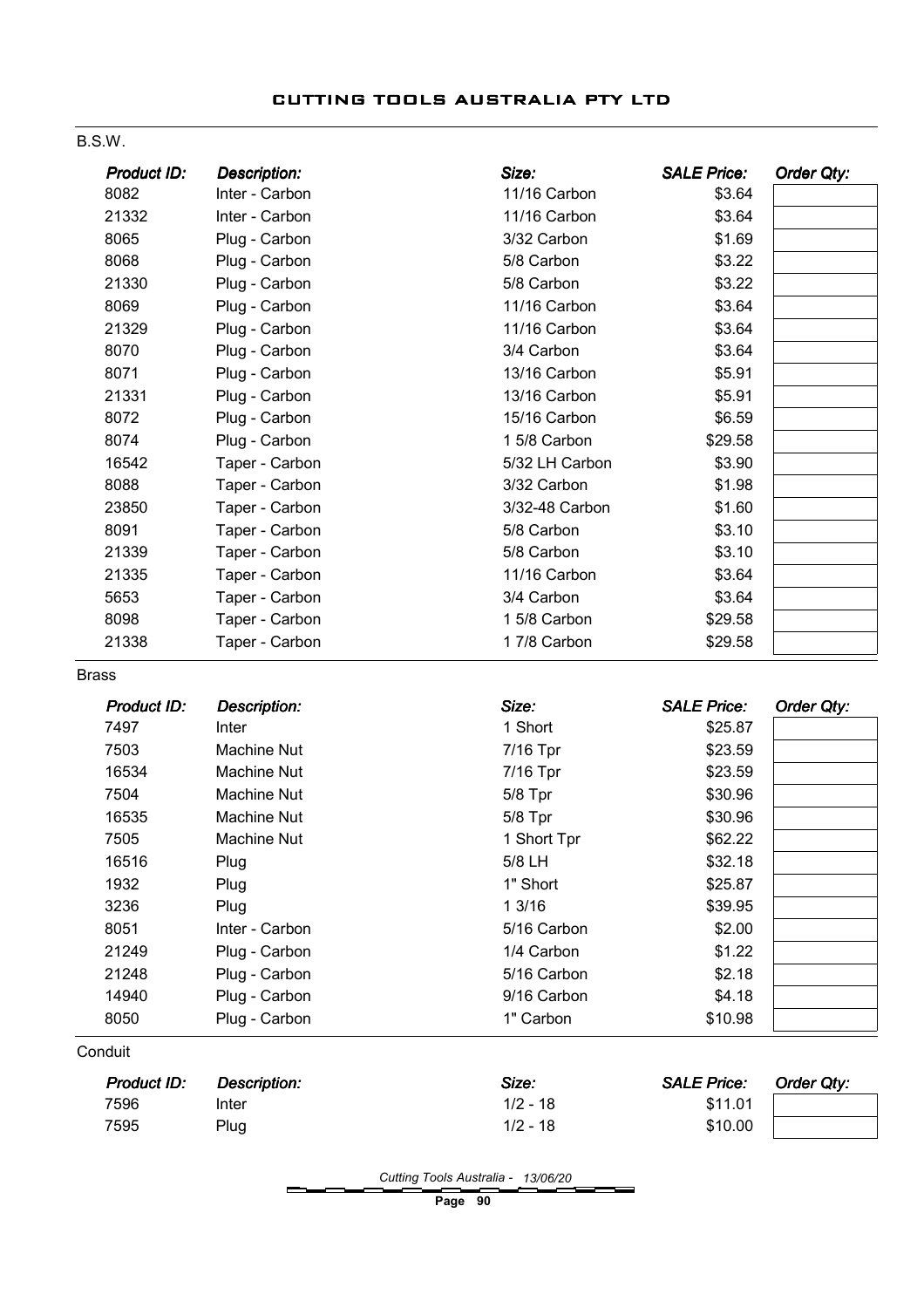#### B.S.W.

| Product ID: | <b>Description:</b> | Size:          | <b>SALE Price:</b> | Order Qty: |
|-------------|---------------------|----------------|--------------------|------------|
| 8082        | Inter - Carbon      | 11/16 Carbon   | \$3.64             |            |
| 21332       | Inter - Carbon      | 11/16 Carbon   | \$3.64             |            |
| 8065        | Plug - Carbon       | 3/32 Carbon    | \$1.69             |            |
| 8068        | Plug - Carbon       | 5/8 Carbon     | \$3.22             |            |
| 21330       | Plug - Carbon       | 5/8 Carbon     | \$3.22             |            |
| 8069        | Plug - Carbon       | 11/16 Carbon   | \$3.64             |            |
| 21329       | Plug - Carbon       | 11/16 Carbon   | \$3.64             |            |
| 8070        | Plug - Carbon       | 3/4 Carbon     | \$3.64             |            |
| 8071        | Plug - Carbon       | 13/16 Carbon   | \$5.91             |            |
| 21331       | Plug - Carbon       | 13/16 Carbon   | \$5.91             |            |
| 8072        | Plug - Carbon       | 15/16 Carbon   | \$6.59             |            |
| 8074        | Plug - Carbon       | 1 5/8 Carbon   | \$29.58            |            |
| 16542       | Taper - Carbon      | 5/32 LH Carbon | \$3.90             |            |
| 8088        | Taper - Carbon      | 3/32 Carbon    | \$1.98             |            |
| 23850       | Taper - Carbon      | 3/32-48 Carbon | \$1.60             |            |
| 8091        | Taper - Carbon      | 5/8 Carbon     | \$3.10             |            |
| 21339       | Taper - Carbon      | 5/8 Carbon     | \$3.10             |            |
| 21335       | Taper - Carbon      | 11/16 Carbon   | \$3.64             |            |
| 5653        | Taper - Carbon      | 3/4 Carbon     | \$3.64             |            |
| 8098        | Taper - Carbon      | 1 5/8 Carbon   | \$29.58            |            |
| 21338       | Taper - Carbon      | 17/8 Carbon    | \$29.58            |            |

Brass

| Product ID: | <b>Description:</b> | Size:       | <b>SALE Price:</b> | Order Qty: |
|-------------|---------------------|-------------|--------------------|------------|
| 7497        | Inter               | 1 Short     | \$25.87            |            |
| 7503        | Machine Nut         | 7/16 Tpr    | \$23.59            |            |
| 16534       | Machine Nut         | 7/16 Tpr    | \$23.59            |            |
| 7504        | Machine Nut         | $5/8$ Tpr   | \$30.96            |            |
| 16535       | Machine Nut         | $5/8$ Tpr   | \$30.96            |            |
| 7505        | Machine Nut         | 1 Short Tpr | \$62.22            |            |
| 16516       | Plug                | 5/8 LH      | \$32.18            |            |
| 1932        | Plug                | 1" Short    | \$25.87            |            |
| 3236        | Plug                | 13/16       | \$39.95            |            |
| 8051        | Inter - Carbon      | 5/16 Carbon | \$2.00             |            |
| 21249       | Plug - Carbon       | 1/4 Carbon  | \$1.22             |            |
| 21248       | Plug - Carbon       | 5/16 Carbon | \$2.18             |            |
| 14940       | Plug - Carbon       | 9/16 Carbon | \$4.18             |            |
| 8050        | Plug - Carbon       | 1" Carbon   | \$10.98            |            |

**Conduit** 

| <b>Product ID:</b> | Description: | Size:      | <b>SALE Price:</b> | Order Qty: |
|--------------------|--------------|------------|--------------------|------------|
| 7596               | Inter        | $1/2 - 18$ | \$11.01            |            |
| 7595               | Plug         | $1/2 - 18$ | \$10.00            |            |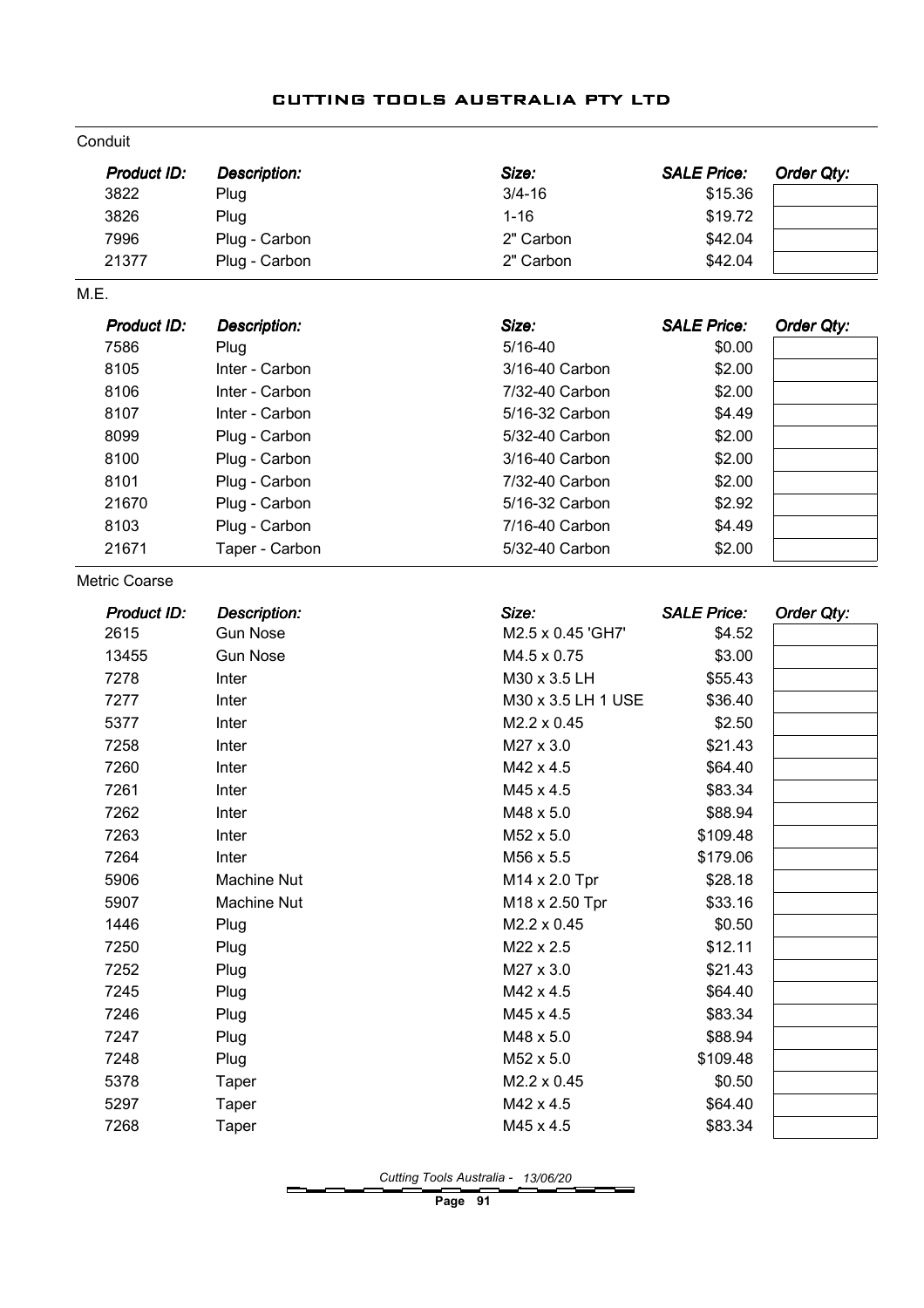| Conduit              |                     |                    |                    |            |
|----------------------|---------------------|--------------------|--------------------|------------|
| <b>Product ID:</b>   | <b>Description:</b> | Size:              | <b>SALE Price:</b> | Order Qty: |
| 3822                 | Plug                | $3/4 - 16$         | \$15.36            |            |
| 3826                 | Plug                | $1 - 16$           | \$19.72            |            |
| 7996                 | Plug - Carbon       | 2" Carbon          | \$42.04            |            |
| 21377                | Plug - Carbon       | 2" Carbon          | \$42.04            |            |
| M.E.                 |                     |                    |                    |            |
| Product ID:          | Description:        | Size:              | <b>SALE Price:</b> | Order Qty: |
| 7586                 | Plug                | $5/16 - 40$        | \$0.00             |            |
| 8105                 | Inter - Carbon      | 3/16-40 Carbon     | \$2.00             |            |
| 8106                 | Inter - Carbon      | 7/32-40 Carbon     | \$2.00             |            |
| 8107                 | Inter - Carbon      | 5/16-32 Carbon     | \$4.49             |            |
| 8099                 | Plug - Carbon       | 5/32-40 Carbon     | \$2.00             |            |
| 8100                 | Plug - Carbon       | 3/16-40 Carbon     | \$2.00             |            |
| 8101                 | Plug - Carbon       | 7/32-40 Carbon     | \$2.00             |            |
| 21670                | Plug - Carbon       | 5/16-32 Carbon     | \$2.92             |            |
| 8103                 | Plug - Carbon       | 7/16-40 Carbon     | \$4.49             |            |
| 21671                | Taper - Carbon      | 5/32-40 Carbon     | \$2.00             |            |
| <b>Metric Coarse</b> |                     |                    |                    |            |
| <b>Product ID:</b>   | Description:        | Size:              | <b>SALE Price:</b> | Order Qty: |
| 2615                 | <b>Gun Nose</b>     | M2.5 x 0.45 'GH7'  | \$4.52             |            |
| 13455                | <b>Gun Nose</b>     | M4.5 x 0.75        | \$3.00             |            |
| 7278                 | Inter               | M30 x 3.5 LH       | \$55.43            |            |
| 7277                 | Inter               | M30 x 3.5 LH 1 USE | \$36.40            |            |
| 5377                 | Inter               | M2.2 x 0.45        | \$2.50             |            |
| 7258                 | Inter               | M27 x 3.0          | \$21.43            |            |
| 7260                 | Inter               | M42 x 4.5          | \$64.40            |            |
| 7261                 | Inter               | M45 x 4.5          | \$83.34            |            |
| 7262                 | Inter               | M48 x 5.0          | \$88.94            |            |
| 7263                 | Inter               | M52 x 5.0          | \$109.48           |            |
| 7264                 | Inter               | M56 x 5.5          | \$179.06           |            |
| 5906                 | Machine Nut         | M14 x 2.0 Tpr      | \$28.18            |            |
| 5907                 | <b>Machine Nut</b>  | M18 x 2.50 Tpr     | \$33.16            |            |
| 1446                 | Plug                | M2.2 x 0.45        | \$0.50             |            |
| 7250                 | Plug                | M22 x 2.5          | \$12.11            |            |
| 7252                 | Plug                | M27 x 3.0          | \$21.43            |            |
| 7245                 | Plug                | M42 x 4.5          | \$64.40            |            |
| 7246                 | Plug                | M45 x 4.5          | \$83.34            |            |
| 7247                 | Plug                | M48 x 5.0          | \$88.94            |            |
| 7248                 | Plug                | M52 x 5.0          | \$109.48           |            |
| 5378                 | Taper               | M2.2 x 0.45        | \$0.50             |            |
| 5297                 | Taper               | M42 x 4.5          | \$64.40            |            |
| 7268                 | Taper               | M45 x 4.5          | \$83.34            |            |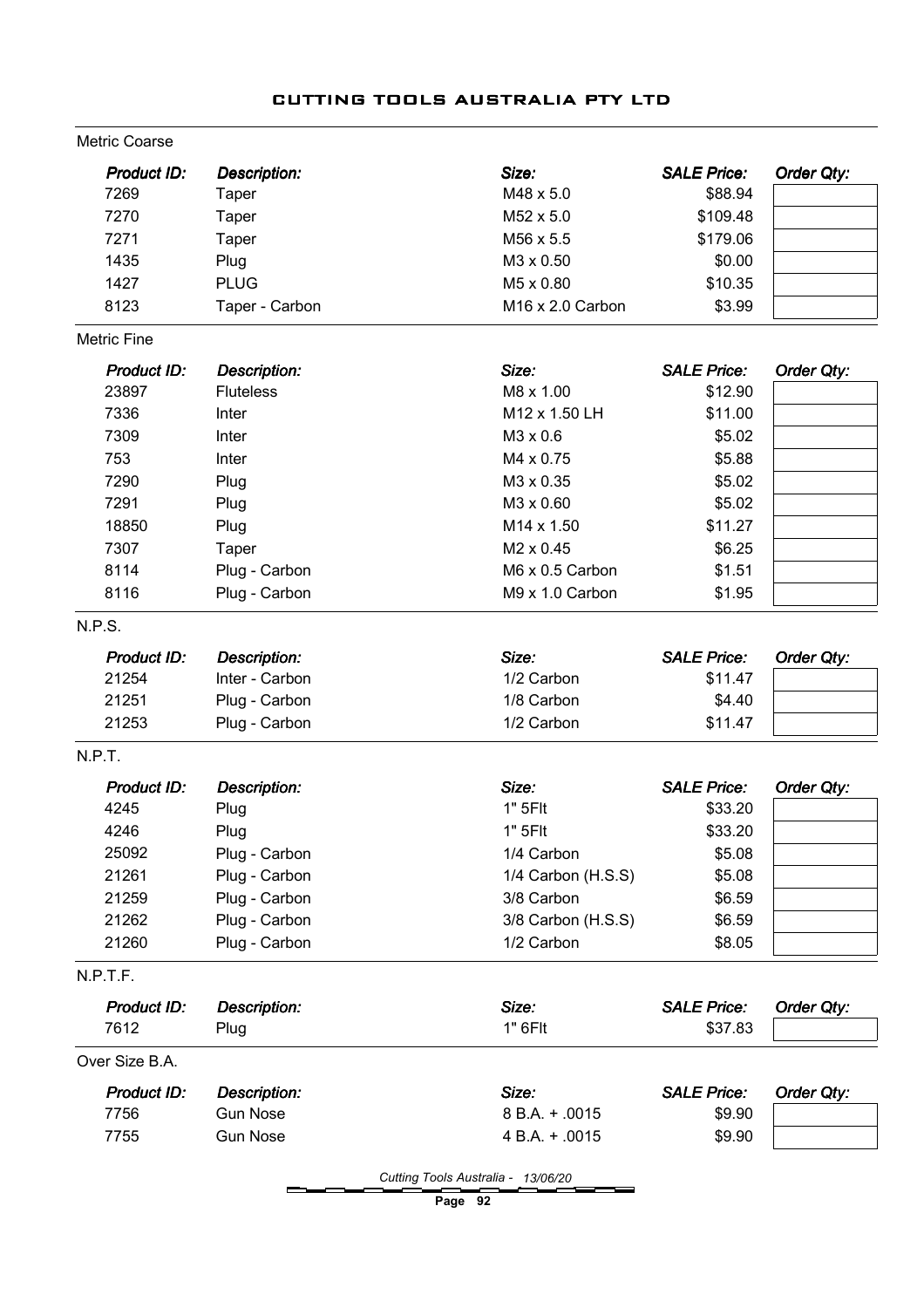# Description: Size: Description: Size: SALE Price: SALE Price: Product ID: Order Qty: Metric Coarse 7269 Taper M48 x 5.0 \$88.94 7270 Taper M52 x 5.0 \$109.48 7271 Taper M56 x 5.5 \$179.06 1435 Plug M3 x 0.50 \$0.00 1427 PLUG 200 M5 x 0.80 \$10.35 8123 Taper - Carbon M16 x 2.0 Carbon \$3.99 Description: Size: Description: Size: SALE Price: SALE Price: Product ID: Order Qty: Metric Fine 23897 Fluteless M8 x 1.00 \$12.90 7336 Inter **Inter M12 x 1.50 LH** \$11.00 7309 Inter **Inter M3 x 0.6** \$5.02 753 Inter **Inter Network 19 and 19 and 19 and 19 and 19 and 19 and 19 and 19 and 19 and 19 and 19 and 19 and 1** 7290 Plug M3 x 0.35 \$5.02 7291 Plug M3 x 0.60 \$5.02 18850 Plug M14 x 1.50 \$11.27 7307 Taper M2 x 0.45 \$6.25 8114 Plug - Carbon M6 x 0.5 Carbon \$1.51 8116 Plug - Carbon **M9 x 1.0 Carbon** \$1.95 Description: Size: Description: Size: SALE Price: N.P.S. Product ID: Order Qty: 21254 Inter - Carbon 1/2 Carbon \$11.47 21251 Plug - Carbon 1/8 Carbon \$4.40 21253 Plug - Carbon 1/2 Carbon \$11.47 Description: Size: Description: Size: SALE Price: Product ID: Order Qty: N.P.T. 4245 Plug 1" 5Flt \$33.20 4246 Plug 1" 5Flt \$33.20 25092 Plug - Carbon 1/4 Carbon \$5.08 21261 Plug - Carbon 1/4 Carbon (H.S.S) \$5.08 21259 Plug - Carbon 3/8 Carbon \$6.59 21262 Plug - Carbon 3/8 Carbon (H.S.S) \$6.59 21260 Plug - Carbon 1/2 Carbon \$8.05 Description: Size: Description: Size: SALE Price: SALE Price: Product ID: Order Qty: N.P.T.F. 7612 Plug 1" 6Flt \$37.83 Description: Size: Description: Size: SALE Price: Product ID: Order Qty: Over Size B.A. 7756 Gun Nose 8 B.A. + .0015 \$9.90 7755 Gun Nose 4 B.A. + .0015 \$9.90

#### CUTTING TOOLS AUSTRALIA PTY LTD

Page 92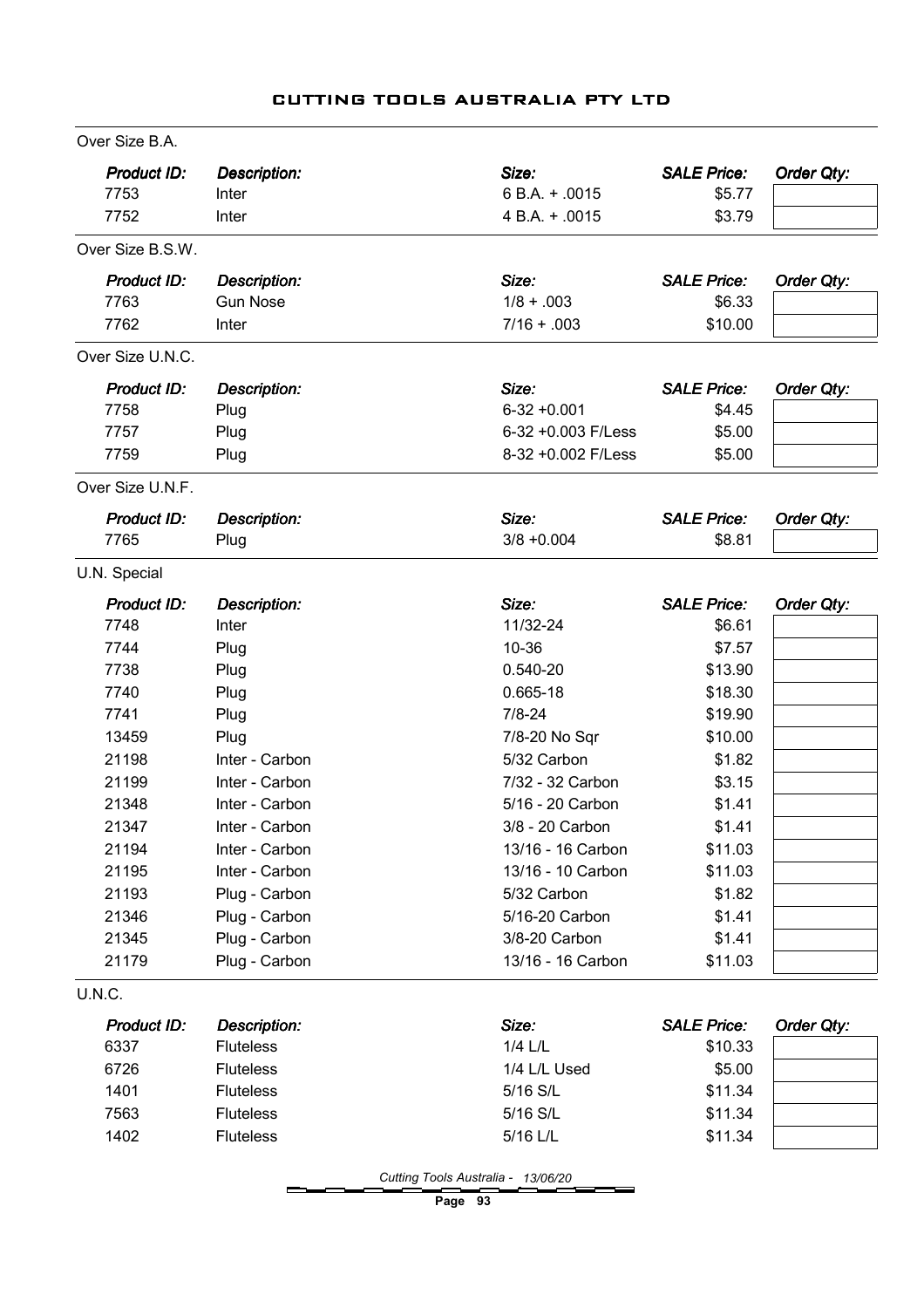| Product ID:        | <b>Description:</b> | Size:              | <b>SALE Price:</b> | Order Qty: |
|--------------------|---------------------|--------------------|--------------------|------------|
| 7753               | Inter               | 6 B.A. + .0015     | \$5.77             |            |
| 7752               | Inter               | 4 B.A. + .0015     | \$3.79             |            |
| Over Size B.S.W.   |                     |                    |                    |            |
| <b>Product ID:</b> | <b>Description:</b> | Size:              | <b>SALE Price:</b> | Order Qty: |
| 7763               | <b>Gun Nose</b>     | $1/8 + .003$       | \$6.33             |            |
| 7762               | Inter               | $7/16 + .003$      | \$10.00            |            |
| Over Size U.N.C.   |                     |                    |                    |            |
| <b>Product ID:</b> | <b>Description:</b> | Size:              | <b>SALE Price:</b> | Order Qty: |
| 7758               | Plug                | $6-32 + 0.001$     | \$4.45             |            |
| 7757               | Plug                | 6-32 +0.003 F/Less | \$5.00             |            |
| 7759               | Plug                | 8-32 +0.002 F/Less | \$5.00             |            |
| Over Size U.N.F.   |                     |                    |                    |            |
| Product ID:        | Description:        | Size:              | <b>SALE Price:</b> | Order Qty: |
| 7765               | Plug                | $3/8 + 0.004$      | \$8.81             |            |
| U.N. Special       |                     |                    |                    |            |
| Product ID:        | <b>Description:</b> | Size:              | <b>SALE Price:</b> | Order Qty: |
| 7748               | Inter               | 11/32-24           | \$6.61             |            |
| 7744               | Plug                | 10-36              | \$7.57             |            |
| 7738               | Plug                | 0.540-20           | \$13.90            |            |
| 7740               | Plug                | 0.665-18           | \$18.30            |            |
| 7741               | Plug                | $7/8 - 24$         | \$19.90            |            |
| 13459              | Plug                | 7/8-20 No Sqr      | \$10.00            |            |
| 21198              | Inter - Carbon      | 5/32 Carbon        | \$1.82             |            |
| 21199              | Inter - Carbon      | 7/32 - 32 Carbon   | \$3.15             |            |
| 21348              | Inter - Carbon      | 5/16 - 20 Carbon   | \$1.41             |            |
| 21347              | Inter - Carbon      | 3/8 - 20 Carbon    | \$1.41             |            |
| 21194              | Inter - Carbon      | 13/16 - 16 Carbon  | \$11.03            |            |
| 21195              | Inter - Carbon      | 13/16 - 10 Carbon  | \$11.03            |            |
| 21193              | Plug - Carbon       | 5/32 Carbon        | \$1.82             |            |
| 21346              | Plug - Carbon       | 5/16-20 Carbon     | \$1.41             |            |
| 21345              | Plug - Carbon       | 3/8-20 Carbon      | \$1.41             |            |
| 21179              | Plug - Carbon       | 13/16 - 16 Carbon  | \$11.03            |            |
| <b>U.N.C.</b>      |                     |                    |                    |            |
| Product ID:        | <b>Description:</b> | Size:              | <b>SALE Price:</b> | Order Qty: |
| 6337               | <b>Fluteless</b>    | $1/4$ $L/L$        | \$10.33            |            |
| 6726               | <b>Fluteless</b>    | 1/4 L/L Used       | \$5.00             |            |
| 1401               | <b>Fluteless</b>    | 5/16 S/L           | \$11.34            |            |
| 7563               | <b>Fluteless</b>    | 5/16 S/L           | \$11.34            |            |
| 1402               | <b>Fluteless</b>    | 5/16 L/L           | \$11.34            |            |
|                    |                     |                    |                    |            |

Page 93

—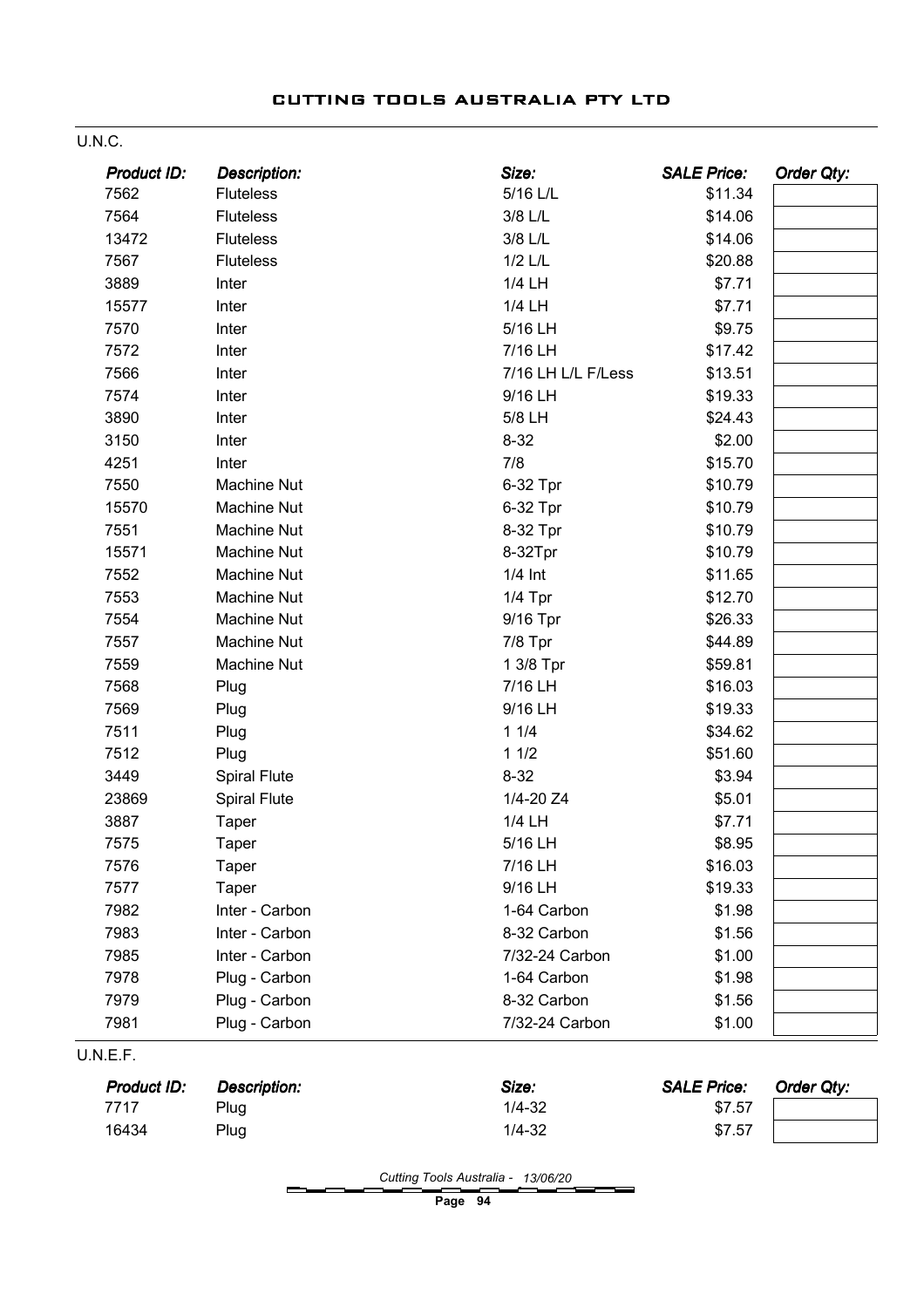#### U.N.C.

| Product ID: | <b>Description:</b> | Size:              | <b>SALE Price:</b> | Order Qty: |
|-------------|---------------------|--------------------|--------------------|------------|
| 7562        | <b>Fluteless</b>    | 5/16 L/L           | \$11.34            |            |
| 7564        | <b>Fluteless</b>    | 3/8 L/L            | \$14.06            |            |
| 13472       | <b>Fluteless</b>    | 3/8 L/L            | \$14.06            |            |
| 7567        | <b>Fluteless</b>    | $1/2$ $L/L$        | \$20.88            |            |
| 3889        | Inter               | 1/4 LH             | \$7.71             |            |
| 15577       | Inter               | 1/4 LH             | \$7.71             |            |
| 7570        | Inter               | 5/16 LH            | \$9.75             |            |
| 7572        | Inter               | 7/16 LH            | \$17.42            |            |
| 7566        | Inter               | 7/16 LH L/L F/Less | \$13.51            |            |
| 7574        | Inter               | 9/16 LH            | \$19.33            |            |
| 3890        | Inter               | 5/8 LH             | \$24.43            |            |
| 3150        | Inter               | $8 - 32$           | \$2.00             |            |
| 4251        | Inter               | 7/8                | \$15.70            |            |
| 7550        | <b>Machine Nut</b>  | 6-32 Tpr           | \$10.79            |            |
| 15570       | <b>Machine Nut</b>  | 6-32 Tpr           | \$10.79            |            |
| 7551        | <b>Machine Nut</b>  | 8-32 Tpr           | \$10.79            |            |
| 15571       | <b>Machine Nut</b>  | 8-32Tpr            | \$10.79            |            |
| 7552        | <b>Machine Nut</b>  | $1/4$ Int          | \$11.65            |            |
| 7553        | <b>Machine Nut</b>  | $1/4$ Tpr          | \$12.70            |            |
| 7554        | <b>Machine Nut</b>  | 9/16 Tpr           | \$26.33            |            |
| 7557        | <b>Machine Nut</b>  | $7/8$ Tpr          | \$44.89            |            |
| 7559        | <b>Machine Nut</b>  | 1 3/8 Tpr          | \$59.81            |            |
| 7568        | Plug                | 7/16 LH            | \$16.03            |            |
| 7569        | Plug                | 9/16 LH            | \$19.33            |            |
| 7511        | Plug                | 11/4               | \$34.62            |            |
| 7512        | Plug                | 11/2               | \$51.60            |            |
| 3449        | <b>Spiral Flute</b> | $8 - 32$           | \$3.94             |            |
| 23869       | <b>Spiral Flute</b> | 1/4-20 Z4          | \$5.01             |            |
| 3887        | Taper               | 1/4 LH             | \$7.71             |            |
| 7575        | Taper               | 5/16 LH            | \$8.95             |            |
| 7576        | Taper               | 7/16 LH            | \$16.03            |            |
| 7577        | Taper               | 9/16 LH            | \$19.33            |            |
| 7982        | Inter - Carbon      | 1-64 Carbon        | \$1.98             |            |
| 7983        | Inter - Carbon      | 8-32 Carbon        | \$1.56             |            |
| 7985        | Inter - Carbon      | 7/32-24 Carbon     | \$1.00             |            |
| 7978        | Plug - Carbon       | 1-64 Carbon        | \$1.98             |            |
| 7979        | Plug - Carbon       | 8-32 Carbon        | \$1.56             |            |
| 7981        | Plug - Carbon       | 7/32-24 Carbon     | \$1.00             |            |
| U.N.E.F.    |                     |                    |                    |            |
| Product ID: | <b>Description:</b> | Size:              | <b>SALE Price:</b> | Order Qty: |
| 7717        | Plug                | $1/4 - 32$         | \$7.57             |            |
| 16434       | Plug                | $1/4 - 32$         | \$7.57             |            |

Cutting Tools Australia - 13/06/20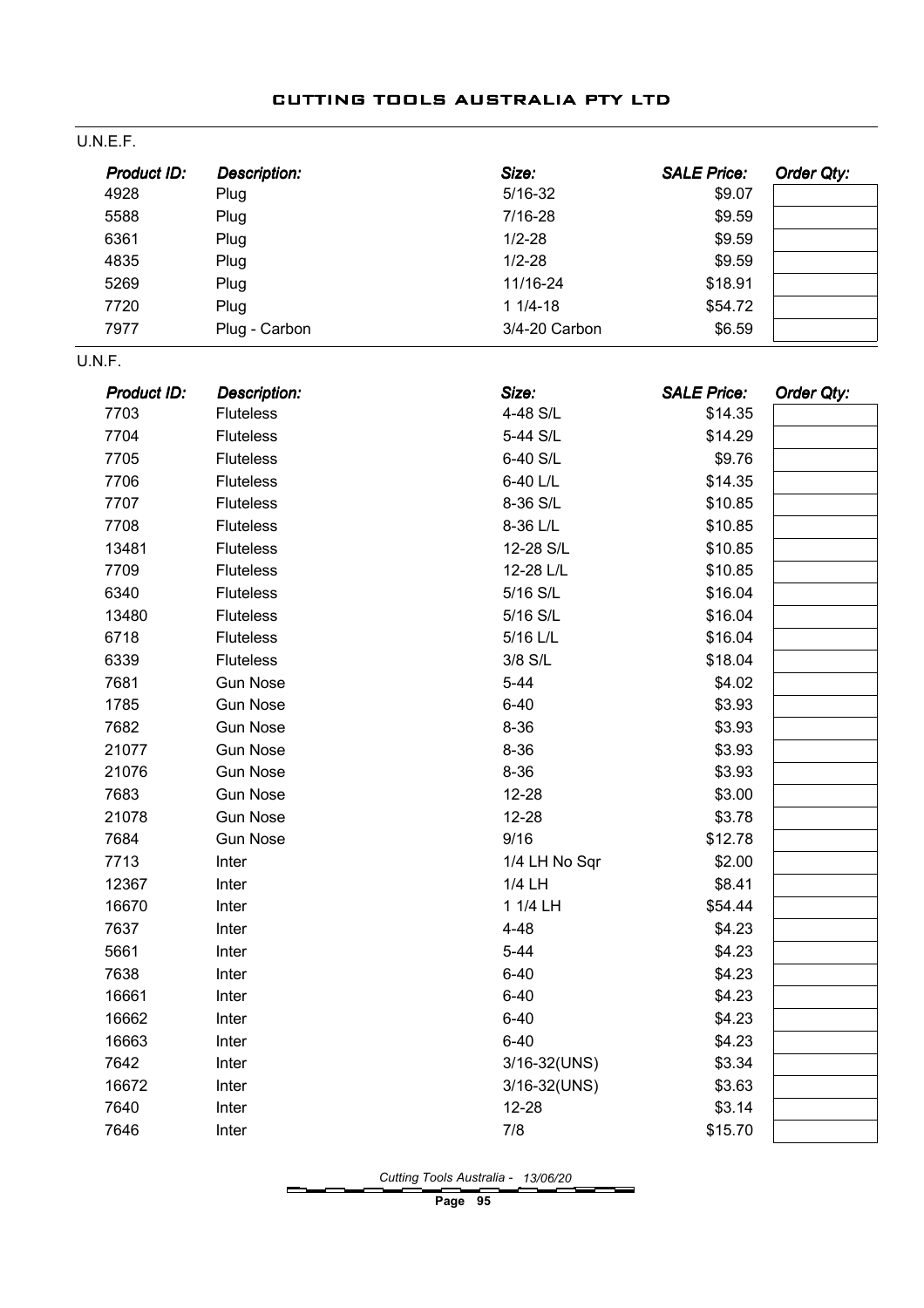| U.N.E.F.           |                     |               |                    |                   |
|--------------------|---------------------|---------------|--------------------|-------------------|
| <b>Product ID:</b> | <b>Description:</b> | Size:         | <b>SALE Price:</b> | <b>Order Qty:</b> |
| 4928               | Plug                | $5/16 - 32$   | \$9.07             |                   |
| 5588               | Plug                | 7/16-28       | \$9.59             |                   |
| 6361               | Plug                | $1/2 - 28$    | \$9.59             |                   |
| 4835               | Plug                | $1/2 - 28$    | \$9.59             |                   |
| 5269               | Plug                | 11/16-24      | \$18.91            |                   |
| 7720               | Plug                | $11/4-18$     | \$54.72            |                   |
| 7977               | Plug - Carbon       | 3/4-20 Carbon | \$6.59             |                   |
| U.N.F.             |                     |               |                    |                   |
| <b>Product ID:</b> | <b>Description:</b> | Size:         | <b>SALE Price:</b> | Order Qty:        |
| 7703               | <b>Fluteless</b>    | 4-48 S/L      | \$14.35            |                   |
| 7704               | <b>Fluteless</b>    | 5-44 S/L      | \$14.29            |                   |
| 7705               | <b>Fluteless</b>    | 6-40 S/L      | \$9.76             |                   |
| 7706               | <b>Fluteless</b>    | 6-40 L/L      | \$14.35            |                   |
| 7707               | <b>Fluteless</b>    | 8-36 S/L      | \$10.85            |                   |
| 7708               | <b>Fluteless</b>    | 8-36 L/L      | \$10.85            |                   |
| 13481              | <b>Fluteless</b>    | 12-28 S/L     | \$10.85            |                   |
| 7709               | <b>Fluteless</b>    | 12-28 L/L     | \$10.85            |                   |
| 6340               | <b>Fluteless</b>    | 5/16 S/L      | \$16.04            |                   |
| 13480              | <b>Fluteless</b>    | 5/16 S/L      | \$16.04            |                   |
| 6718               | <b>Fluteless</b>    | 5/16 L/L      | \$16.04            |                   |
| 6339               | <b>Fluteless</b>    | 3/8 S/L       | \$18.04            |                   |
| 7681               | <b>Gun Nose</b>     | $5 - 44$      | \$4.02             |                   |
| 1785               | <b>Gun Nose</b>     | $6 - 40$      | \$3.93             |                   |
| 7682               | <b>Gun Nose</b>     | $8 - 36$      | \$3.93             |                   |
| 21077              | <b>Gun Nose</b>     | $8 - 36$      | \$3.93             |                   |
| 21076              | <b>Gun Nose</b>     | $8 - 36$      | \$3.93             |                   |
| 7683               | <b>Gun Nose</b>     | $12 - 28$     | \$3.00             |                   |
| 21078              | <b>Gun Nose</b>     | 12-28         | \$3.78             |                   |
| 7684               | <b>Gun Nose</b>     | 9/16          | \$12.78            |                   |
| 7713               | Inter               | 1/4 LH No Sqr | \$2.00             |                   |
| 12367              | Inter               | 1/4 LH        | \$8.41             |                   |
| 16670              | Inter               | 1 1/4 LH      | \$54.44            |                   |
| 7637               | Inter               | $4 - 48$      | \$4.23             |                   |
| 5661               | Inter               | $5 - 44$      | \$4.23             |                   |
| 7638               | Inter               | $6 - 40$      | \$4.23             |                   |
| 16661              | Inter               | $6 - 40$      | \$4.23             |                   |
| 16662              | Inter               | $6 - 40$      | \$4.23             |                   |
| 16663              | Inter               | $6 - 40$      | \$4.23             |                   |
| 7642               | Inter               | 3/16-32(UNS)  | \$3.34             |                   |
| 16672              | Inter               | 3/16-32(UNS)  | \$3.63             |                   |
| 7640               | Inter               | $12 - 28$     | \$3.14             |                   |
| 7646               | Inter               | 7/8           | \$15.70            |                   |

Cutting Tools Australia - 13/06/20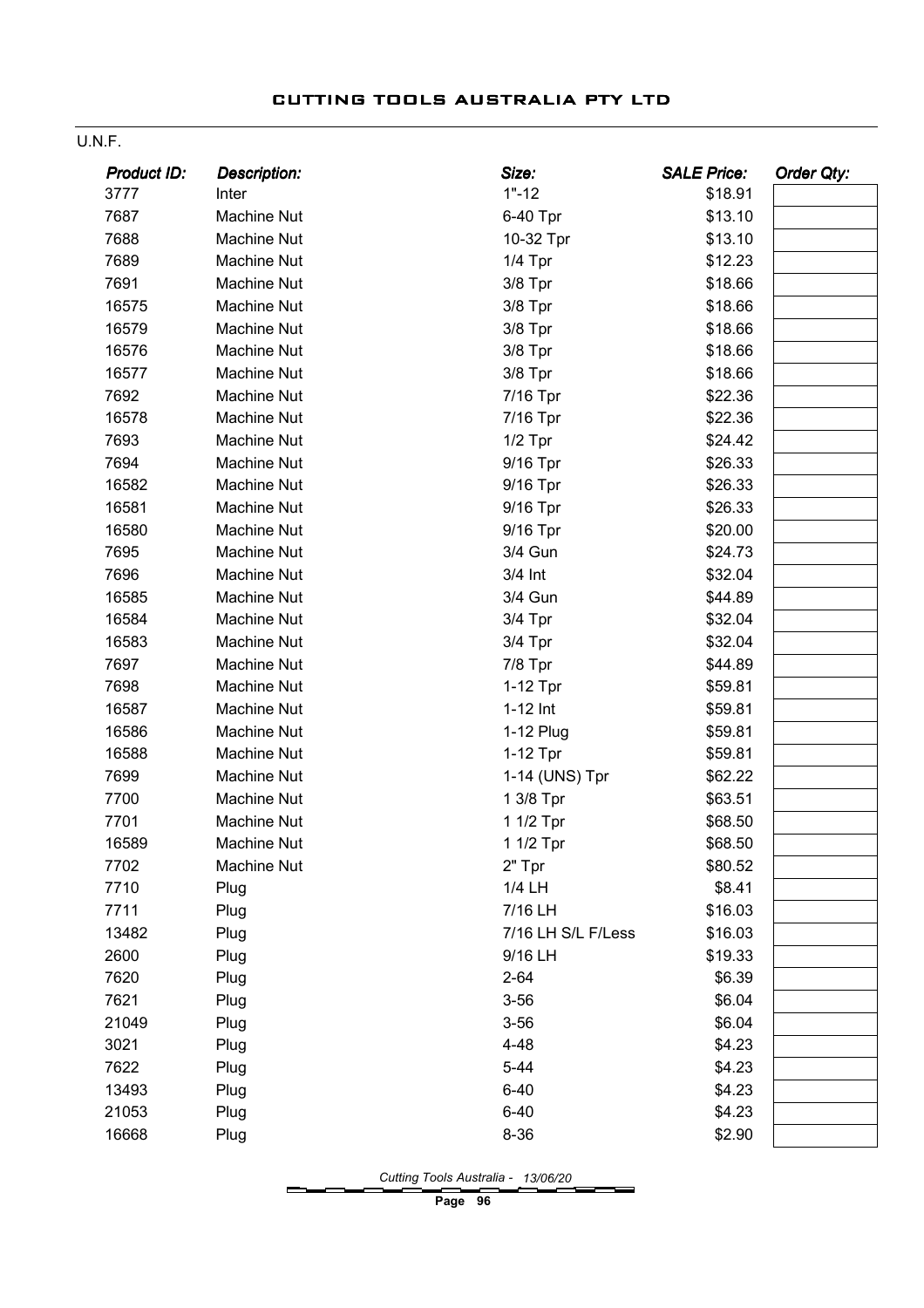#### U.N.F.

| <b>Product ID:</b> | Description:       | Size:              | <b>SALE Price:</b> | <b>Order Qty:</b> |
|--------------------|--------------------|--------------------|--------------------|-------------------|
| 3777               | Inter              | $1" - 12$          | \$18.91            |                   |
| 7687               | Machine Nut        | 6-40 Tpr           | \$13.10            |                   |
| 7688               | Machine Nut        | 10-32 Tpr          | \$13.10            |                   |
| 7689               | Machine Nut        | $1/4$ Tpr          | \$12.23            |                   |
| 7691               | <b>Machine Nut</b> | $3/8$ Tpr          | \$18.66            |                   |
| 16575              | Machine Nut        | $3/8$ Tpr          | \$18.66            |                   |
| 16579              | <b>Machine Nut</b> | 3/8 Tpr            | \$18.66            |                   |
| 16576              | Machine Nut        | $3/8$ Tpr          | \$18.66            |                   |
| 16577              | Machine Nut        | $3/8$ Tpr          | \$18.66            |                   |
| 7692               | <b>Machine Nut</b> | 7/16 Tpr           | \$22.36            |                   |
| 16578              | Machine Nut        | 7/16 Tpr           | \$22.36            |                   |
| 7693               | Machine Nut        | $1/2$ Tpr          | \$24.42            |                   |
| 7694               | Machine Nut        | 9/16 Tpr           | \$26.33            |                   |
| 16582              | Machine Nut        | 9/16 Tpr           | \$26.33            |                   |
| 16581              | <b>Machine Nut</b> | 9/16 Tpr           | \$26.33            |                   |
| 16580              | Machine Nut        | 9/16 Tpr           | \$20.00            |                   |
| 7695               | Machine Nut        | 3/4 Gun            | \$24.73            |                   |
| 7696               | Machine Nut        | 3/4 Int            | \$32.04            |                   |
| 16585              | Machine Nut        | 3/4 Gun            | \$44.89            |                   |
| 16584              | Machine Nut        | 3/4 Tpr            | \$32.04            |                   |
| 16583              | Machine Nut        | $3/4$ Tpr          | \$32.04            |                   |
| 7697               | Machine Nut        | $7/8$ Tpr          | \$44.89            |                   |
| 7698               | Machine Nut        | 1-12 Tpr           | \$59.81            |                   |
| 16587              | Machine Nut        | $1-12$ Int         | \$59.81            |                   |
| 16586              | Machine Nut        | 1-12 Plug          | \$59.81            |                   |
| 16588              | Machine Nut        | 1-12 Tpr           | \$59.81            |                   |
| 7699               | Machine Nut        | 1-14 (UNS) Tpr     | \$62.22            |                   |
| 7700               | Machine Nut        | 1 3/8 Tpr          | \$63.51            |                   |
| 7701               | Machine Nut        | 1 1/2 Tpr          | \$68.50            |                   |
| 16589              | Machine Nut        | 1 1/2 Tpr          | \$68.50            |                   |
| 7702               | Machine Nut        | 2" Tpr             | \$80.52            |                   |
| 7710               | Plug               | 1/4 LH             | \$8.41             |                   |
| 7711               | Plug               | 7/16 LH            | \$16.03            |                   |
| 13482              | Plug               | 7/16 LH S/L F/Less | \$16.03            |                   |
| 2600               | Plug               | 9/16 LH            | \$19.33            |                   |
| 7620               | Plug               | $2 - 64$           | \$6.39             |                   |
| 7621               | Plug               | $3 - 56$           | \$6.04             |                   |
| 21049              | Plug               | $3 - 56$           | \$6.04             |                   |
| 3021               | Plug               | $4 - 48$           | \$4.23             |                   |
| 7622               | Plug               | $5 - 44$           | \$4.23             |                   |
| 13493              | Plug               | $6 - 40$           | \$4.23             |                   |
| 21053              | Plug               | $6 - 40$           | \$4.23             |                   |
| 16668              | Plug               | $8 - 36$           | \$2.90             |                   |

Cutting Tools Australia - 13/06/20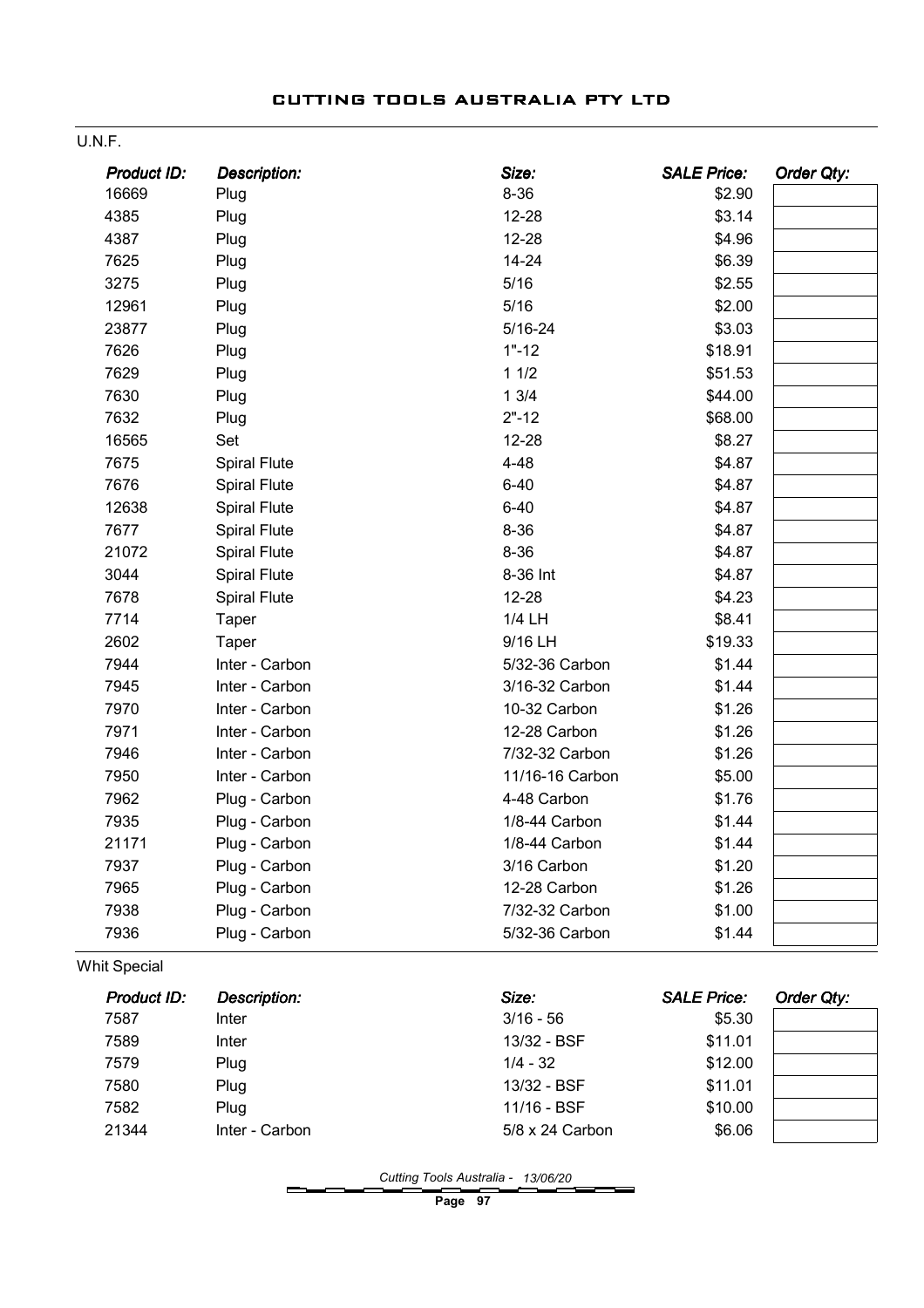|  | CUTTING TOOLS AUSTRALIA PTY LTD |  |
|--|---------------------------------|--|
|  |                                 |  |

| Product ID: | <b>Description:</b> | Size:           | <b>SALE Price:</b> | <b>Order Qty:</b> |
|-------------|---------------------|-----------------|--------------------|-------------------|
| 16669       | Plug                | $8 - 36$        | \$2.90             |                   |
| 4385        | Plug                | $12 - 28$       | \$3.14             |                   |
| 4387        | Plug                | $12 - 28$       | \$4.96             |                   |
| 7625        | Plug                | $14 - 24$       | \$6.39             |                   |
| 3275        | Plug                | 5/16            | \$2.55             |                   |
| 12961       | Plug                | 5/16            | \$2.00             |                   |
| 23877       | Plug                | $5/16 - 24$     | \$3.03             |                   |
| 7626        | Plug                | $1" - 12$       | \$18.91            |                   |
| 7629        | Plug                | 11/2            | \$51.53            |                   |
| 7630        | Plug                | 13/4            | \$44.00            |                   |
| 7632        | Plug                | $2" - 12$       | \$68.00            |                   |
| 16565       | Set                 | $12 - 28$       | \$8.27             |                   |
| 7675        | <b>Spiral Flute</b> | $4 - 48$        | \$4.87             |                   |
| 7676        | <b>Spiral Flute</b> | $6 - 40$        | \$4.87             |                   |
| 12638       | <b>Spiral Flute</b> | $6 - 40$        | \$4.87             |                   |
| 7677        | <b>Spiral Flute</b> | $8 - 36$        | \$4.87             |                   |
| 21072       | <b>Spiral Flute</b> | $8 - 36$        | \$4.87             |                   |
| 3044        | <b>Spiral Flute</b> | 8-36 Int        | \$4.87             |                   |
| 7678        | <b>Spiral Flute</b> | $12 - 28$       | \$4.23             |                   |
| 7714        | Taper               | 1/4 LH          | \$8.41             |                   |
| 2602        | Taper               | 9/16 LH         | \$19.33            |                   |
| 7944        | Inter - Carbon      | 5/32-36 Carbon  | \$1.44             |                   |
| 7945        | Inter - Carbon      | 3/16-32 Carbon  | \$1.44             |                   |
| 7970        | Inter - Carbon      | 10-32 Carbon    | \$1.26             |                   |
| 7971        | Inter - Carbon      | 12-28 Carbon    | \$1.26             |                   |
| 7946        | Inter - Carbon      | 7/32-32 Carbon  | \$1.26             |                   |
| 7950        | Inter - Carbon      | 11/16-16 Carbon | \$5.00             |                   |
| 7962        | Plug - Carbon       | 4-48 Carbon     | \$1.76             |                   |
| 7935        | Plug - Carbon       | 1/8-44 Carbon   | \$1.44             |                   |
| 21171       | Plug - Carbon       | 1/8-44 Carbon   | \$1.44             |                   |
| 7937        | Plug - Carbon       | 3/16 Carbon     | \$1.20             |                   |
| 7965        | Plug - Carbon       | 12-28 Carbon    | \$1.26             |                   |
| 7938        | Plug - Carbon       | 7/32-32 Carbon  | \$1.00             |                   |
| 7936        | Plug - Carbon       | 5/32-36 Carbon  | \$1.44             |                   |

Whit Special

U.N.F.

| <b>Product ID:</b> | <b>Description:</b> | Size:           | <b>SALE Price:</b> | Order Qty: |
|--------------------|---------------------|-----------------|--------------------|------------|
| 7587               | Inter               | $3/16 - 56$     | \$5.30             |            |
| 7589               | Inter               | 13/32 - BSF     | \$11.01            |            |
| 7579               | Plug                | $1/4 - 32$      | \$12.00            |            |
| 7580               | Plug                | 13/32 - BSF     | \$11.01            |            |
| 7582               | Plug                | 11/16 - BSF     | \$10.00            |            |
| 21344              | Inter - Carbon      | 5/8 x 24 Carbon | \$6.06             |            |

Cutting Tools Australia - 13/06/20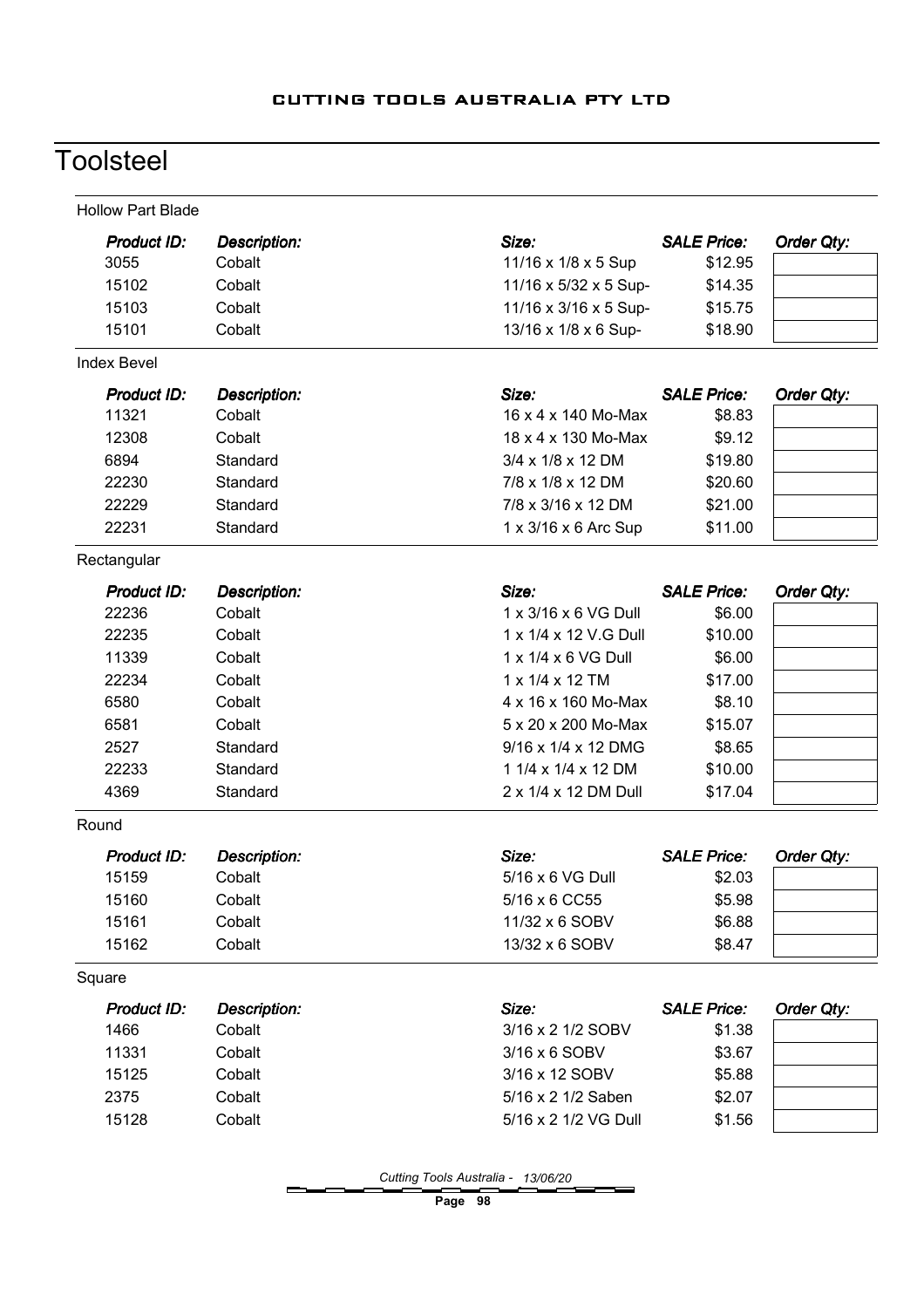# **Toolsteel**

| Product ID:<br>Size:<br><b>SALE Price:</b><br>Order Qty:<br>Description:<br>3055<br>Cobalt<br>11/16 x 1/8 x 5 Sup<br>\$12.95<br>15102<br>11/16 x 5/32 x 5 Sup-<br>Cobalt<br>\$14.35<br>15103<br>Cobalt<br>11/16 x 3/16 x 5 Sup-<br>\$15.75<br>15101<br>Cobalt<br>13/16 x 1/8 x 6 Sup-<br>\$18.90<br>Size:<br><b>SALE Price:</b><br>Product ID:<br><b>Description:</b><br><b>Order Qty:</b><br>11321<br>Cobalt<br>16 x 4 x 140 Mo-Max<br>\$8.83<br>12308<br>18 x 4 x 130 Mo-Max<br>Cobalt<br>\$9.12<br>6894<br>Standard<br>3/4 x 1/8 x 12 DM<br>\$19.80<br>22230<br>7/8 x 1/8 x 12 DM<br>Standard<br>\$20.60<br>22229<br>Standard<br>7/8 x 3/16 x 12 DM<br>\$21.00<br>22231<br>1 x 3/16 x 6 Arc Sup<br>Standard<br>\$11.00<br>Size:<br><b>SALE Price:</b><br><b>Product ID:</b><br><b>Description:</b><br>Order Qty:<br>22236<br>1 x 3/16 x 6 VG Dull<br>\$6.00<br>Cobalt<br>22235<br>Cobalt<br>1 x 1/4 x 12 V.G Dull<br>\$10.00<br>11339<br>Cobalt<br>1 x 1/4 x 6 VG Dull<br>\$6.00<br>22234<br>$1 \times 1/4 \times 12$ TM<br>\$17.00<br>Cobalt<br>6580<br>Cobalt<br>4 x 16 x 160 Mo-Max<br>\$8.10<br>6581<br>Cobalt<br>5 x 20 x 200 Mo-Max<br>\$15.07<br>2527<br>Standard<br>9/16 x 1/4 x 12 DMG<br>\$8.65<br>22233<br>1 1/4 x 1/4 x 12 DM<br>\$10.00<br>Standard<br>4369<br>Standard<br>2 x 1/4 x 12 DM Dull<br>\$17.04<br>Size:<br><b>SALE Price:</b><br>Order Qty:<br><b>Product ID:</b><br><b>Description:</b><br>5/16 x 6 VG Dull<br>15159<br>Cobalt<br>\$2.03<br>\$5.98<br>15160<br>5/16 x 6 CC55<br>Cobalt<br>15161<br>Cobalt<br>11/32 x 6 SOBV<br>\$6.88<br>15162<br>Cobalt<br>13/32 x 6 SOBV<br>\$8.47<br>Size:<br><b>SALE Price:</b><br>Order Qty:<br>Product ID:<br><b>Description:</b><br>1466<br>Cobalt<br>3/16 x 2 1/2 SOBV<br>\$1.38<br>11331<br>Cobalt<br>3/16 x 6 SOBV<br>\$3.67<br>15125<br>Cobalt<br>3/16 x 12 SOBV<br>\$5.88<br>5/16 x 2 1/2 Saben<br>2375<br>Cobalt<br>\$2.07<br>15128<br>Cobalt<br>5/16 x 2 1/2 VG Dull<br>\$1.56 | <b>Hollow Part Blade</b> |  |  |
|-----------------------------------------------------------------------------------------------------------------------------------------------------------------------------------------------------------------------------------------------------------------------------------------------------------------------------------------------------------------------------------------------------------------------------------------------------------------------------------------------------------------------------------------------------------------------------------------------------------------------------------------------------------------------------------------------------------------------------------------------------------------------------------------------------------------------------------------------------------------------------------------------------------------------------------------------------------------------------------------------------------------------------------------------------------------------------------------------------------------------------------------------------------------------------------------------------------------------------------------------------------------------------------------------------------------------------------------------------------------------------------------------------------------------------------------------------------------------------------------------------------------------------------------------------------------------------------------------------------------------------------------------------------------------------------------------------------------------------------------------------------------------------------------------------------------------------------------------------------------------------------------------------------------------------------------------------------|--------------------------|--|--|
|                                                                                                                                                                                                                                                                                                                                                                                                                                                                                                                                                                                                                                                                                                                                                                                                                                                                                                                                                                                                                                                                                                                                                                                                                                                                                                                                                                                                                                                                                                                                                                                                                                                                                                                                                                                                                                                                                                                                                           |                          |  |  |
|                                                                                                                                                                                                                                                                                                                                                                                                                                                                                                                                                                                                                                                                                                                                                                                                                                                                                                                                                                                                                                                                                                                                                                                                                                                                                                                                                                                                                                                                                                                                                                                                                                                                                                                                                                                                                                                                                                                                                           |                          |  |  |
|                                                                                                                                                                                                                                                                                                                                                                                                                                                                                                                                                                                                                                                                                                                                                                                                                                                                                                                                                                                                                                                                                                                                                                                                                                                                                                                                                                                                                                                                                                                                                                                                                                                                                                                                                                                                                                                                                                                                                           |                          |  |  |
|                                                                                                                                                                                                                                                                                                                                                                                                                                                                                                                                                                                                                                                                                                                                                                                                                                                                                                                                                                                                                                                                                                                                                                                                                                                                                                                                                                                                                                                                                                                                                                                                                                                                                                                                                                                                                                                                                                                                                           |                          |  |  |
|                                                                                                                                                                                                                                                                                                                                                                                                                                                                                                                                                                                                                                                                                                                                                                                                                                                                                                                                                                                                                                                                                                                                                                                                                                                                                                                                                                                                                                                                                                                                                                                                                                                                                                                                                                                                                                                                                                                                                           |                          |  |  |
|                                                                                                                                                                                                                                                                                                                                                                                                                                                                                                                                                                                                                                                                                                                                                                                                                                                                                                                                                                                                                                                                                                                                                                                                                                                                                                                                                                                                                                                                                                                                                                                                                                                                                                                                                                                                                                                                                                                                                           | <b>Index Bevel</b>       |  |  |
|                                                                                                                                                                                                                                                                                                                                                                                                                                                                                                                                                                                                                                                                                                                                                                                                                                                                                                                                                                                                                                                                                                                                                                                                                                                                                                                                                                                                                                                                                                                                                                                                                                                                                                                                                                                                                                                                                                                                                           |                          |  |  |
|                                                                                                                                                                                                                                                                                                                                                                                                                                                                                                                                                                                                                                                                                                                                                                                                                                                                                                                                                                                                                                                                                                                                                                                                                                                                                                                                                                                                                                                                                                                                                                                                                                                                                                                                                                                                                                                                                                                                                           |                          |  |  |
|                                                                                                                                                                                                                                                                                                                                                                                                                                                                                                                                                                                                                                                                                                                                                                                                                                                                                                                                                                                                                                                                                                                                                                                                                                                                                                                                                                                                                                                                                                                                                                                                                                                                                                                                                                                                                                                                                                                                                           |                          |  |  |
|                                                                                                                                                                                                                                                                                                                                                                                                                                                                                                                                                                                                                                                                                                                                                                                                                                                                                                                                                                                                                                                                                                                                                                                                                                                                                                                                                                                                                                                                                                                                                                                                                                                                                                                                                                                                                                                                                                                                                           |                          |  |  |
|                                                                                                                                                                                                                                                                                                                                                                                                                                                                                                                                                                                                                                                                                                                                                                                                                                                                                                                                                                                                                                                                                                                                                                                                                                                                                                                                                                                                                                                                                                                                                                                                                                                                                                                                                                                                                                                                                                                                                           |                          |  |  |
|                                                                                                                                                                                                                                                                                                                                                                                                                                                                                                                                                                                                                                                                                                                                                                                                                                                                                                                                                                                                                                                                                                                                                                                                                                                                                                                                                                                                                                                                                                                                                                                                                                                                                                                                                                                                                                                                                                                                                           |                          |  |  |
|                                                                                                                                                                                                                                                                                                                                                                                                                                                                                                                                                                                                                                                                                                                                                                                                                                                                                                                                                                                                                                                                                                                                                                                                                                                                                                                                                                                                                                                                                                                                                                                                                                                                                                                                                                                                                                                                                                                                                           |                          |  |  |
|                                                                                                                                                                                                                                                                                                                                                                                                                                                                                                                                                                                                                                                                                                                                                                                                                                                                                                                                                                                                                                                                                                                                                                                                                                                                                                                                                                                                                                                                                                                                                                                                                                                                                                                                                                                                                                                                                                                                                           | Rectangular              |  |  |
|                                                                                                                                                                                                                                                                                                                                                                                                                                                                                                                                                                                                                                                                                                                                                                                                                                                                                                                                                                                                                                                                                                                                                                                                                                                                                                                                                                                                                                                                                                                                                                                                                                                                                                                                                                                                                                                                                                                                                           |                          |  |  |
|                                                                                                                                                                                                                                                                                                                                                                                                                                                                                                                                                                                                                                                                                                                                                                                                                                                                                                                                                                                                                                                                                                                                                                                                                                                                                                                                                                                                                                                                                                                                                                                                                                                                                                                                                                                                                                                                                                                                                           |                          |  |  |
|                                                                                                                                                                                                                                                                                                                                                                                                                                                                                                                                                                                                                                                                                                                                                                                                                                                                                                                                                                                                                                                                                                                                                                                                                                                                                                                                                                                                                                                                                                                                                                                                                                                                                                                                                                                                                                                                                                                                                           |                          |  |  |
|                                                                                                                                                                                                                                                                                                                                                                                                                                                                                                                                                                                                                                                                                                                                                                                                                                                                                                                                                                                                                                                                                                                                                                                                                                                                                                                                                                                                                                                                                                                                                                                                                                                                                                                                                                                                                                                                                                                                                           |                          |  |  |
|                                                                                                                                                                                                                                                                                                                                                                                                                                                                                                                                                                                                                                                                                                                                                                                                                                                                                                                                                                                                                                                                                                                                                                                                                                                                                                                                                                                                                                                                                                                                                                                                                                                                                                                                                                                                                                                                                                                                                           |                          |  |  |
|                                                                                                                                                                                                                                                                                                                                                                                                                                                                                                                                                                                                                                                                                                                                                                                                                                                                                                                                                                                                                                                                                                                                                                                                                                                                                                                                                                                                                                                                                                                                                                                                                                                                                                                                                                                                                                                                                                                                                           |                          |  |  |
|                                                                                                                                                                                                                                                                                                                                                                                                                                                                                                                                                                                                                                                                                                                                                                                                                                                                                                                                                                                                                                                                                                                                                                                                                                                                                                                                                                                                                                                                                                                                                                                                                                                                                                                                                                                                                                                                                                                                                           |                          |  |  |
|                                                                                                                                                                                                                                                                                                                                                                                                                                                                                                                                                                                                                                                                                                                                                                                                                                                                                                                                                                                                                                                                                                                                                                                                                                                                                                                                                                                                                                                                                                                                                                                                                                                                                                                                                                                                                                                                                                                                                           |                          |  |  |
|                                                                                                                                                                                                                                                                                                                                                                                                                                                                                                                                                                                                                                                                                                                                                                                                                                                                                                                                                                                                                                                                                                                                                                                                                                                                                                                                                                                                                                                                                                                                                                                                                                                                                                                                                                                                                                                                                                                                                           |                          |  |  |
|                                                                                                                                                                                                                                                                                                                                                                                                                                                                                                                                                                                                                                                                                                                                                                                                                                                                                                                                                                                                                                                                                                                                                                                                                                                                                                                                                                                                                                                                                                                                                                                                                                                                                                                                                                                                                                                                                                                                                           |                          |  |  |
|                                                                                                                                                                                                                                                                                                                                                                                                                                                                                                                                                                                                                                                                                                                                                                                                                                                                                                                                                                                                                                                                                                                                                                                                                                                                                                                                                                                                                                                                                                                                                                                                                                                                                                                                                                                                                                                                                                                                                           | Round                    |  |  |
|                                                                                                                                                                                                                                                                                                                                                                                                                                                                                                                                                                                                                                                                                                                                                                                                                                                                                                                                                                                                                                                                                                                                                                                                                                                                                                                                                                                                                                                                                                                                                                                                                                                                                                                                                                                                                                                                                                                                                           |                          |  |  |
|                                                                                                                                                                                                                                                                                                                                                                                                                                                                                                                                                                                                                                                                                                                                                                                                                                                                                                                                                                                                                                                                                                                                                                                                                                                                                                                                                                                                                                                                                                                                                                                                                                                                                                                                                                                                                                                                                                                                                           |                          |  |  |
|                                                                                                                                                                                                                                                                                                                                                                                                                                                                                                                                                                                                                                                                                                                                                                                                                                                                                                                                                                                                                                                                                                                                                                                                                                                                                                                                                                                                                                                                                                                                                                                                                                                                                                                                                                                                                                                                                                                                                           |                          |  |  |
|                                                                                                                                                                                                                                                                                                                                                                                                                                                                                                                                                                                                                                                                                                                                                                                                                                                                                                                                                                                                                                                                                                                                                                                                                                                                                                                                                                                                                                                                                                                                                                                                                                                                                                                                                                                                                                                                                                                                                           |                          |  |  |
|                                                                                                                                                                                                                                                                                                                                                                                                                                                                                                                                                                                                                                                                                                                                                                                                                                                                                                                                                                                                                                                                                                                                                                                                                                                                                                                                                                                                                                                                                                                                                                                                                                                                                                                                                                                                                                                                                                                                                           |                          |  |  |
|                                                                                                                                                                                                                                                                                                                                                                                                                                                                                                                                                                                                                                                                                                                                                                                                                                                                                                                                                                                                                                                                                                                                                                                                                                                                                                                                                                                                                                                                                                                                                                                                                                                                                                                                                                                                                                                                                                                                                           | Square                   |  |  |
|                                                                                                                                                                                                                                                                                                                                                                                                                                                                                                                                                                                                                                                                                                                                                                                                                                                                                                                                                                                                                                                                                                                                                                                                                                                                                                                                                                                                                                                                                                                                                                                                                                                                                                                                                                                                                                                                                                                                                           |                          |  |  |
|                                                                                                                                                                                                                                                                                                                                                                                                                                                                                                                                                                                                                                                                                                                                                                                                                                                                                                                                                                                                                                                                                                                                                                                                                                                                                                                                                                                                                                                                                                                                                                                                                                                                                                                                                                                                                                                                                                                                                           |                          |  |  |
|                                                                                                                                                                                                                                                                                                                                                                                                                                                                                                                                                                                                                                                                                                                                                                                                                                                                                                                                                                                                                                                                                                                                                                                                                                                                                                                                                                                                                                                                                                                                                                                                                                                                                                                                                                                                                                                                                                                                                           |                          |  |  |
|                                                                                                                                                                                                                                                                                                                                                                                                                                                                                                                                                                                                                                                                                                                                                                                                                                                                                                                                                                                                                                                                                                                                                                                                                                                                                                                                                                                                                                                                                                                                                                                                                                                                                                                                                                                                                                                                                                                                                           |                          |  |  |
|                                                                                                                                                                                                                                                                                                                                                                                                                                                                                                                                                                                                                                                                                                                                                                                                                                                                                                                                                                                                                                                                                                                                                                                                                                                                                                                                                                                                                                                                                                                                                                                                                                                                                                                                                                                                                                                                                                                                                           |                          |  |  |
|                                                                                                                                                                                                                                                                                                                                                                                                                                                                                                                                                                                                                                                                                                                                                                                                                                                                                                                                                                                                                                                                                                                                                                                                                                                                                                                                                                                                                                                                                                                                                                                                                                                                                                                                                                                                                                                                                                                                                           |                          |  |  |

Cutting Tools Australia - 13/06/20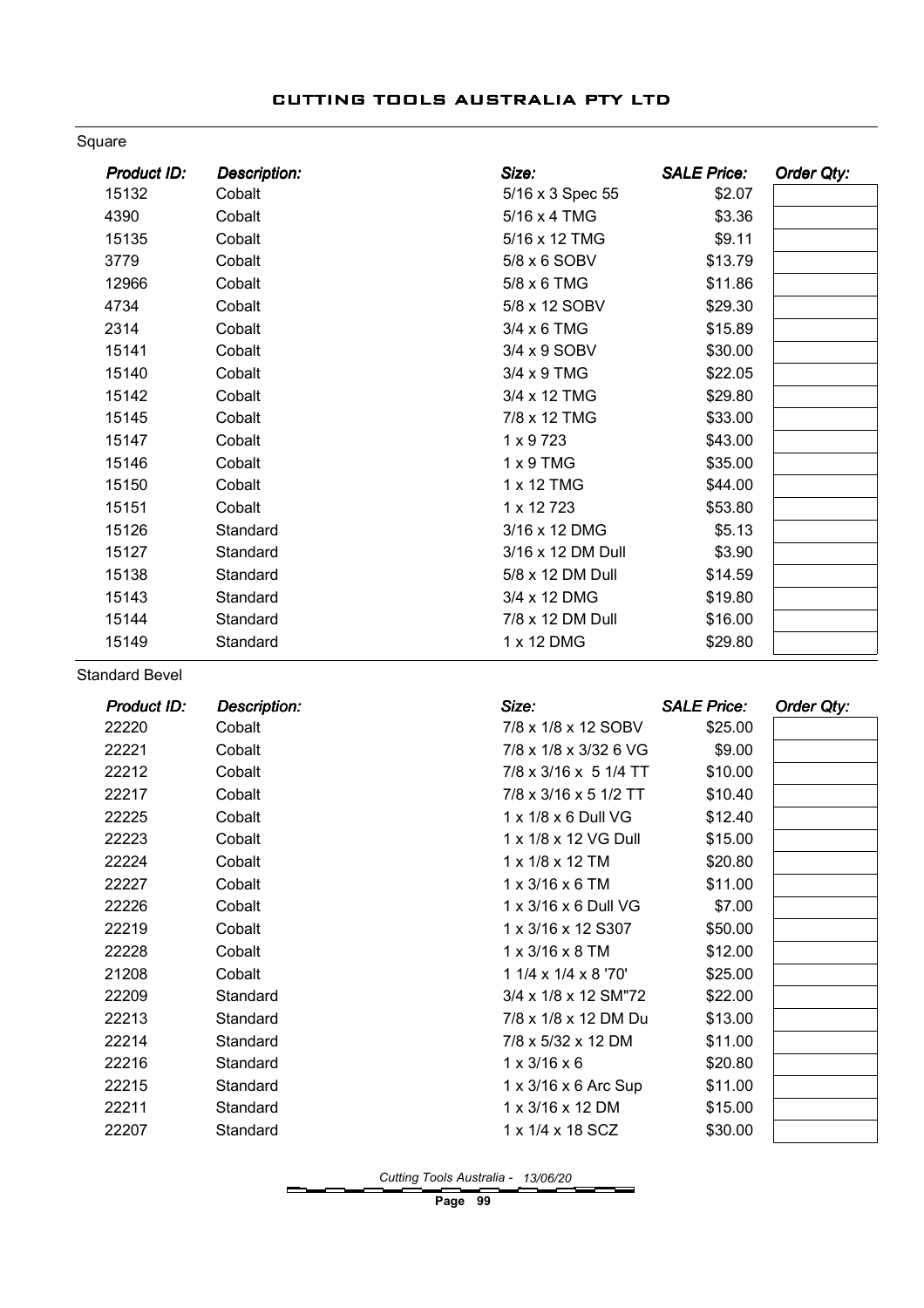#### Square

| <b>Product ID:</b> | <b>Description:</b> | Size:             | <b>SALE Price:</b> | Order Qty: |
|--------------------|---------------------|-------------------|--------------------|------------|
| 15132              | Cobalt              | 5/16 x 3 Spec 55  | \$2.07             |            |
| 4390               | Cobalt              | 5/16 x 4 TMG      | \$3.36             |            |
| 15135              | Cobalt              | 5/16 x 12 TMG     | \$9.11             |            |
| 3779               | Cobalt              | 5/8 x 6 SOBV      | \$13.79            |            |
| 12966              | Cobalt              | 5/8 x 6 TMG       | \$11.86            |            |
| 4734               | Cobalt              | 5/8 x 12 SOBV     | \$29.30            |            |
| 2314               | Cobalt              | 3/4 x 6 TMG       | \$15.89            |            |
| 15141              | Cobalt              | 3/4 x 9 SOBV      | \$30.00            |            |
| 15140              | Cobalt              | 3/4 x 9 TMG       | \$22.05            |            |
| 15142              | Cobalt              | 3/4 x 12 TMG      | \$29.80            |            |
| 15145              | Cobalt              | 7/8 x 12 TMG      | \$33.00            |            |
| 15147              | Cobalt              | $1 \times 9723$   | \$43.00            |            |
| 15146              | Cobalt              | $1 \times 9$ TMG  | \$35.00            |            |
| 15150              | Cobalt              | 1 x 12 TMG        | \$44.00            |            |
| 15151              | Cobalt              | 1 x 12 723        | \$53.80            |            |
| 15126              | Standard            | 3/16 x 12 DMG     | \$5.13             |            |
| 15127              | Standard            | 3/16 x 12 DM Dull | \$3.90             |            |
| 15138              | Standard            | 5/8 x 12 DM Dull  | \$14.59            |            |
| 15143              | Standard            | 3/4 x 12 DMG      | \$19.80            |            |
| 15144              | Standard            | 7/8 x 12 DM Dull  | \$16.00            |            |
| 15149              | Standard            | 1 x 12 DMG        | \$29.80            |            |

Standard Bevel

| <b>Product ID:</b> | <b>Description:</b> | Size:                       | <b>SALE Price:</b> | Order Qty: |
|--------------------|---------------------|-----------------------------|--------------------|------------|
| 22220              | Cobalt              | 7/8 x 1/8 x 12 SOBV         | \$25.00            |            |
| 22221              | Cobalt              | 7/8 x 1/8 x 3/32 6 VG       | \$9.00             |            |
| 22212              | Cobalt              | 7/8 x 3/16 x 5 1/4 TT       | \$10.00            |            |
| 22217              | Cobalt              | 7/8 x 3/16 x 5 1/2 TT       | \$10.40            |            |
| 22225              | Cobalt              | 1 x 1/8 x 6 Dull VG         | \$12.40            |            |
| 22223              | Cobalt              | 1 x 1/8 x 12 VG Dull        | \$15.00            |            |
| 22224              | Cobalt              | 1 x 1/8 x 12 TM             | \$20.80            |            |
| 22227              | Cobalt              | $1 \times 3/16 \times 6$ TM | \$11.00            |            |
| 22226              | Cobalt              | 1 x 3/16 x 6 Dull VG        | \$7.00             |            |
| 22219              | Cobalt              | 1 x 3/16 x 12 S307          | \$50.00            |            |
| 22228              | Cobalt              | $1 \times 3/16 \times 8$ TM | \$12.00            |            |
| 21208              | Cobalt              | 1 1/4 x 1/4 x 8 '70'        | \$25.00            |            |
| 22209              | Standard            | 3/4 x 1/8 x 12 SM"72        | \$22.00            |            |
| 22213              | Standard            | 7/8 x 1/8 x 12 DM Du        | \$13.00            |            |
| 22214              | Standard            | 7/8 x 5/32 x 12 DM          | \$11.00            |            |
| 22216              | Standard            | $1 \times 3/16 \times 6$    | \$20.80            |            |
| 22215              | Standard            | 1 x 3/16 x 6 Arc Sup        | \$11.00            |            |
| 22211              | Standard            | 1 x 3/16 x 12 DM            | \$15.00            |            |
| 22207              | Standard            | 1 x 1/4 x 18 SCZ            | \$30.00            |            |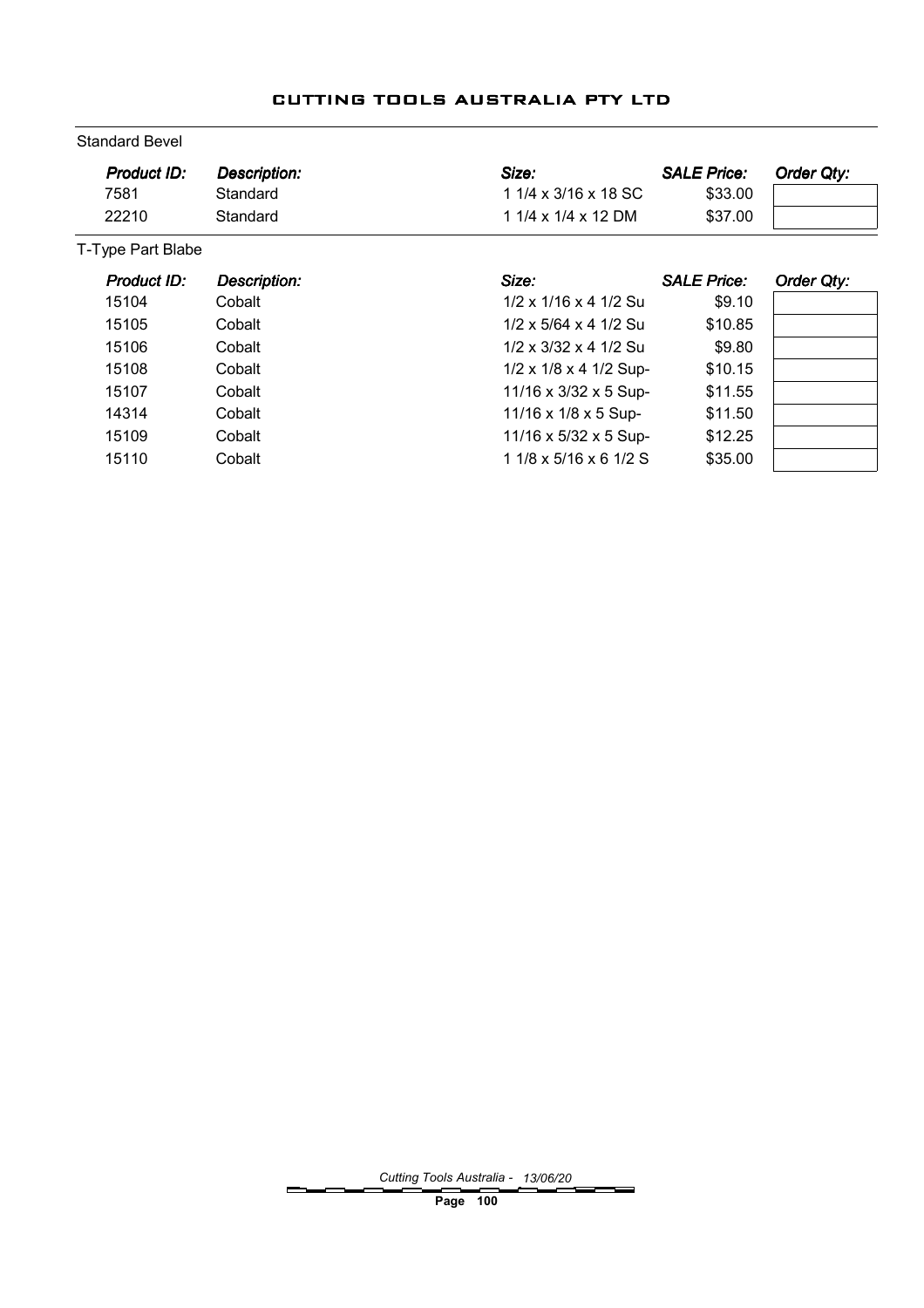| <b>Standard Bevel</b> |                     |                                    |                    |            |  |  |  |  |
|-----------------------|---------------------|------------------------------------|--------------------|------------|--|--|--|--|
| Product ID:           | <b>Description:</b> | Size:                              | <b>SALE Price:</b> | Order Qty: |  |  |  |  |
| 7581                  | Standard            | 1 1/4 x 3/16 x 18 SC               | \$33.00            |            |  |  |  |  |
| 22210                 | Standard            | 1 1/4 x 1/4 x 12 DM                | \$37.00            |            |  |  |  |  |
| T-Type Part Blabe     |                     |                                    |                    |            |  |  |  |  |
| Product ID:           | <b>Description:</b> | Size:                              | <b>SALE Price:</b> | Order Qty: |  |  |  |  |
| 15104                 | Cobalt              | 1/2 x 1/16 x 4 1/2 Su              | \$9.10             |            |  |  |  |  |
| 15105                 | Cobalt              | $1/2 \times 5/64 \times 4$ 1/2 Su  | \$10.85            |            |  |  |  |  |
| 15106                 | Cobalt              | $1/2 \times 3/32 \times 4$ 1/2 Su  | \$9.80             |            |  |  |  |  |
| 15108                 | Cobalt              | $1/2 \times 1/8 \times 4$ 1/2 Sup- | \$10.15            |            |  |  |  |  |
| 15107                 | Cobalt              | 11/16 x 3/32 x 5 Sup-              | \$11.55            |            |  |  |  |  |
| 14314                 | Cobalt              | 11/16 x 1/8 x 5 Sup-               | \$11.50            |            |  |  |  |  |
| 15109                 | Cobalt              | 11/16 x 5/32 x 5 Sup-              | \$12.25            |            |  |  |  |  |
| 15110                 | Cobalt              | $11/8 \times 5/16 \times 61/2$ S   | \$35.00            |            |  |  |  |  |

## CUTTING TOOLS AUSTRALIA PTY LTD

Cutting Tools Australia - 13/06/20

Page 100